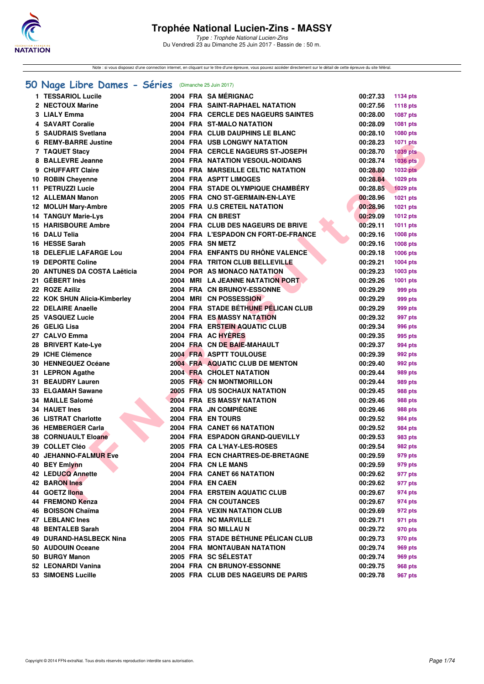

Type : Trophée National Lucien-Zins Du Vendredi 23 au Dimanche 25 Juin 2017 - Bassin de : 50 m.

Note : si vous disposez d'une connection internet, en cliquant sur le titre d'une épreuve, vous pouvez accéder directement sur le détail de cette épreuve du site féféral.

## **[50 Nage Libre Dames - Séries](http://www.ffnatation.fr/webffn/resultats.php?idact=nat&go=epr&idcpt=47287&idepr=1)** (Dimanche 25 Juin 2017)

| 1 TESSARIOL Lucile                               |  | 2004 FRA SAMÉRIGNAC                                   | 00:27.33 | <b>1134 pts</b> |
|--------------------------------------------------|--|-------------------------------------------------------|----------|-----------------|
| 2 NECTOUX Marine                                 |  | 2004 FRA SAINT-RAPHAEL NATATION                       | 00:27.56 | 1118 pts        |
| 3 LIALY Emma                                     |  | 2004 FRA CERCLE DES NAGEURS SAINTES                   | 00:28.00 | <b>1087 pts</b> |
| 4 SAVART Coralie                                 |  | 2004 FRA ST-MALO NATATION                             | 00:28.09 | 1081 pts        |
| 5 SAUDRAIS Svetlana                              |  | 2004 FRA CLUB DAUPHINS LE BLANC                       | 00:28.10 | 1080 pts        |
| 6 REMY-BARRE Justine                             |  | <b>2004 FRA USB LONGWY NATATION</b>                   | 00:28.23 | <b>1071 pts</b> |
| 7 TAQUET Stacy                                   |  | 2004 FRA CERCLE NAGEURS ST-JOSEPH                     | 00:28.70 | <b>1039 pts</b> |
| 8 BALLEVRE Jeanne                                |  | <b>2004 FRA NATATION VESOUL-NOIDANS</b>               | 00:28.74 | <b>1036 pts</b> |
| 9 CHUFFART Claire                                |  | 2004 FRA MARSEILLE CELTIC NATATION                    | 00:28.80 | <b>1032 pts</b> |
| 10 ROBIN Cheyenne                                |  | 2004 FRA ASPTT LIMOGES                                | 00:28.84 | 1029 pts        |
| 11 PETRUZZI Lucie                                |  | 2004 FRA STADE OLYMPIQUE CHAMBÉRY                     | 00:28.85 | <b>1029 pts</b> |
| 12 ALLEMAN Manon                                 |  | 2005 FRA CNO ST-GERMAIN-EN-LAYE                       | 00:28.96 | 1021 pts        |
| 12 MOLUH Mary-Ambre                              |  | 2005 FRA U.S CRETEIL NATATION                         | 00:28.96 | <b>1021 pts</b> |
| <b>14 TANGUY Marie-Lys</b>                       |  | 2004 FRA CN BREST                                     | 00:29.09 | <b>1012 pts</b> |
| <b>15 HARISBOURE Ambre</b>                       |  | 2004 FRA CLUB DES NAGEURS DE BRIVE                    |          |                 |
| 16 DALU Telia                                    |  | 2004 FRA L'ESPADON CN FORT-DE-FRANCE                  | 00:29.11 | <b>1011 pts</b> |
|                                                  |  |                                                       | 00:29.16 | 1008 pts        |
| 16 HESSE Sarah<br><b>18 DELEFLIE LAFARGE Lou</b> |  | 2005 FRA SN METZ<br>2004 FRA ENFANTS DU RHÔNE VALENCE | 00:29.16 | <b>1008 pts</b> |
|                                                  |  |                                                       | 00:29.18 | <b>1006 pts</b> |
| <b>19 DEPORTE Coline</b>                         |  | 2004 FRA TRITON CLUB BELLEVILLE                       | 00:29.21 | <b>1004 pts</b> |
| 20 ANTUNES DA COSTA Laëticia                     |  | 2004 POR AS MONACO NATATION                           | 00:29.23 | 1003 pts        |
| 21 GÉBERT Inès                                   |  | 2004 MRI LA JEANNE NATATION PORT                      | 00:29.26 | 1001 pts        |
| 22 ROZE Aziliz                                   |  | 2004 FRA CN BRUNOY-ESSONNE                            | 00:29.29 | 999 pts         |
| 22 KOK SHUN Alicia-Kimberlev                     |  | 2004 MRI CN POSSESSION                                | 00:29.29 | 999 pts         |
| 22 DELAIRE Anaelle                               |  | 2004 FRA STADE BÉTHUNE PÉLICAN CLUB                   | 00:29.29 | 999 pts         |
| 25 VASQUEZ Lucie                                 |  | <b>2004 FRA ES MASSY NATATION</b>                     | 00:29.32 | 997 pts         |
| 26 GELIG Lisa                                    |  | 2004 FRA ERSTEIN AQUATIC CLUB                         | 00:29.34 | 996 pts         |
| 27 CALVO Emma                                    |  | 2004 FRA AC HYÈRES                                    | 00:29.35 | 995 pts         |
| 28 BRIVERT Kate-Lye                              |  | 2004 FRA CN DE BAIE-MAHAULT                           | 00:29.37 | 994 pts         |
| 29 ICHE Clémence                                 |  | 2004 FRA ASPTT TOULOUSE                               | 00:29.39 | 992 pts         |
| 30 HENNEQUEZ Océane                              |  | 2004 FRA AQUATIC CLUB DE MENTON                       | 00:29.40 | 992 pts         |
| 31 LEPRON Agathe                                 |  | <b>2004 FRA CHOLET NATATION</b>                       | 00:29.44 | 989 pts         |
| 31 BEAUDRY Lauren                                |  | 2005 FRA CN MONTMORILLON                              | 00:29.44 | 989 pts         |
| 33 ELGAMAH Sawane                                |  | <b>2005 FRA US SOCHAUX NATATION</b>                   | 00:29.45 | 988 pts         |
| 34 MAILLE Salomé                                 |  | <b>2004 FRA ES MASSY NATATION</b>                     | 00:29.46 | 988 pts         |
| <b>34 HAUET Ines</b>                             |  | 2004 FRA JN COMPIÈGNE                                 | 00:29.46 | 988 pts         |
| <b>36 LISTRAT Charlotte</b>                      |  | 2004 FRA EN TOURS                                     | 00:29.52 | 984 pts         |
| 36 HEMBERGER Carla                               |  | 2004 FRA CANET 66 NATATION                            | 00:29.52 | 984 pts         |
| <b>38 CORNUAULT Eloane</b>                       |  | 2004 FRA ESPADON GRAND-QUEVILLY                       | 00:29.53 | 983 pts         |
| 39 COLLET Cléo                                   |  | 2005 FRA CA L'HAY-LES-ROSES                           | 00:29.54 | 982 pts         |
| <b>40 JEHANNO-FALMUR Eve</b>                     |  | 2004 FRA ECN CHARTRES-DE-BRETAGNE                     | 00:29.59 | 979 pts         |
| 40 BEY Emlynn                                    |  | 2004 FRA CN LE MANS                                   | 00:29.59 | 979 pts         |
| 42 LEDUCQ Annette                                |  | 2004 FRA CANET 66 NATATION                            | 00:29.62 | 977 pts         |
| <b>42 BARON Ines</b>                             |  | 2004 FRA EN CAEN                                      | 00:29.62 | 977 pts         |
| 44 GOETZ Ilona                                   |  | <b>2004 FRA ERSTEIN AQUATIC CLUB</b>                  | 00:29.67 | 974 pts         |
| 44 FREMOND Kenza                                 |  | 2004 FRA CN COUTANCES                                 | 00:29.67 | 974 pts         |
| 46 BOISSON Chaïma                                |  | 2004 FRA VEXIN NATATION CLUB                          | 00:29.69 | 972 pts         |
| <b>47 LEBLANC Ines</b>                           |  | 2004 FRA NC MARVILLE                                  | 00:29.71 | 971 pts         |
| 48 BENTALEB Sarah                                |  | 2004 FRA SO MILLAU N                                  | 00:29.72 | 970 pts         |
| 49 DURAND-HASLBECK Nina                          |  | 2005 FRA STADE BÉTHUNE PÉLICAN CLUB                   | 00:29.73 | 970 pts         |
| 50 AUDOUIN Oceane                                |  | <b>2004 FRA MONTAUBAN NATATION</b>                    | 00:29.74 | 969 pts         |
| 50 BURGY Manon                                   |  | 2005 FRA SC SÉLESTAT                                  | 00:29.74 | 969 pts         |
| 52 LEONARDI Vanina                               |  | 2004 FRA CN BRUNOY-ESSONNE                            | 00:29.75 | 968 pts         |
| 53 SIMOENS Lucille                               |  | 2005 FRA CLUB DES NAGEURS DE PARIS                    | 00:29.78 | 967 pts         |
|                                                  |  |                                                       |          |                 |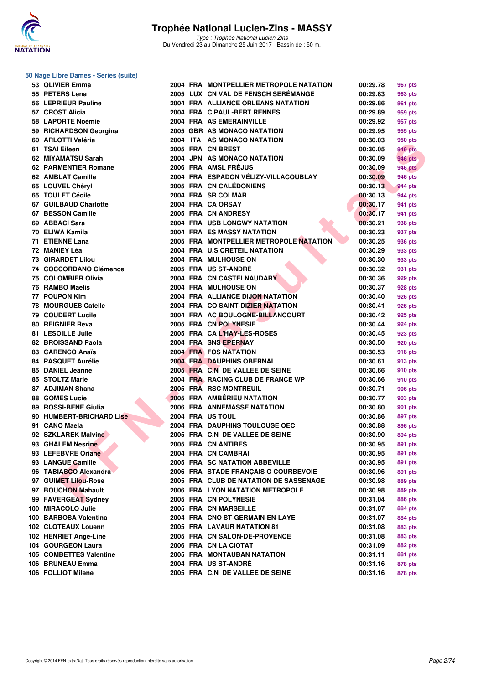

**50 Nage Libre Dames - Séries (suite)**

| 53 OLIVIER Emma            |  | 2004 FRA MONTPELLIER METROPOLE NATATION | 00:29.78             | 967 pts        |
|----------------------------|--|-----------------------------------------|----------------------|----------------|
| 55 PETERS Lena             |  | 2005 LUX CN VAL DE FENSCH SERÉMANGE     | 00:29.83             | 963 pts        |
| 56 LEPRIEUR Pauline        |  | 2004 FRA ALLIANCE ORLEANS NATATION      | 00:29.86             | 961 pts        |
| 57 CROST Alicia            |  | 2004 FRA C PAUL-BERT RENNES             | 00:29.89             | 959 pts        |
| 58 LAPORTE Noémie          |  | 2004 FRA AS EMERAINVILLE                | 00:29.92             | 957 pts        |
| 59 RICHARDSON Georgina     |  | <b>2005 GBR AS MONACO NATATION</b>      | 00:29.95             | 955 pts        |
| 60 ARLOTTI Valéria         |  | 2004 ITA AS MONACO NATATION             | 00:30.03             | 950 pts        |
| 61 TSAI Eileen             |  | 2005 FRA CN BREST                       | 00:30.05             | 949 pts        |
| 62 MIYAMATSU Sarah         |  | 2004 JPN AS MONACO NATATION             | 00:30.09             | 946 pts        |
| 62 PARMENTIER Romane       |  | 2006 FRA AMSL FRÉJUS                    | 00:30.09             | <b>946 pts</b> |
| 62 AMBLAT Camille          |  | 2004 FRA ESPADON VÉLIZY-VILLACOUBLAY    | 00:30.09             | <b>946 pts</b> |
| 65 LOUVEL Chéryl           |  | 2005 FRA CN CALÉDONIENS                 | 00:30.13             | 944 pts        |
| 65 TOULET Cécile           |  | 2004 FRA SR COLMAR                      | 00:30.13             | 944 pts        |
| 67 GUILBAUD Charlotte      |  | 2004 FRA CA ORSAY                       | 00:30.17             | 941 pts        |
| 67 BESSON Camille          |  | 2005 FRA CN ANDRESY                     | 00:30.17             | 941 pts        |
| 69 ABBACI Sara             |  | 2004 FRA USB LONGWY NATATION            | 00:30.21             | 938 pts        |
| 70 ELIWA Kamila            |  | 2004 FRA ES MASSY NATATION              | 00:30.23             | 937 pts        |
| 71 ETIENNE Lana            |  | 2005 FRA MONTPELLIER METROPOLE NATATION | 00:30.25             | 936 pts        |
| 72 MANIEY Léa              |  | 2004 FRA U.S CRETEIL NATATION           | 00:30.29             | 933 pts        |
| <b>73 GIRARDET Lilou</b>   |  | 2004 FRA MULHOUSE ON                    | 00:30.30             | 933 pts        |
| 74 COCCORDANO Clémence     |  | 2005 FRA US ST-ANDRÉ                    | 00:30.32             | 931 pts        |
| <b>75 COLOMBIER Olivia</b> |  | <b>2004 FRA CN CASTELNAUDARY</b>        | 00:30.36             |                |
| 76 RAMBO Maelis            |  | 2004 FRA MULHOUSE ON                    | 00:30.37             | 929 pts        |
| 77 POUPON Kim              |  | 2004 FRA ALLIANCE DIJON NATATION        |                      | 928 pts        |
| <b>78 MOURGUES Catelle</b> |  | 2004 FRA CO SAINT-DIZIER NATATION       | 00:30.40<br>00:30.41 | 926 pts        |
| 79 COUDERT Lucile          |  | 2004 FRA AC BOULOGNE-BILLANCOURT        | 00:30.42             | 926 pts        |
|                            |  |                                         |                      | 925 pts        |
| <b>80 REIGNIER Reva</b>    |  | 2005 FRA CN POLYNESIE                   | 00:30.44             | 924 pts        |
| 81 LESOILLE Julie          |  | 2005 FRA CAL'HAY-LES-ROSES              | 00:30.45             | 923 pts        |
| 82 BROISSAND Paola         |  | 2004 FRA SNS EPERNAY                    | 00:30.50             | 920 pts        |
| 83 CARENCO Anaïs           |  | <b>2004 FRA FOS NATATION</b>            | 00:30.53             | 918 pts        |
| <b>84 PASQUET Aurélie</b>  |  | 2004 FRA DAUPHINS OBERNAI               | 00:30.61             | 913 pts        |
| 85 DANIEL Jeanne           |  | 2005 FRA C.N DE VALLEE DE SEINE         | 00:30.66             | 910 pts        |
| 85 STOLTZ Marie            |  | 2004 FRA RACING CLUB DE FRANCE WP       | 00:30.66             | 910 pts        |
| 87 ADJIMAN Shana           |  | 2005 FRA RSC MONTREUIL                  | 00:30.71             | 906 pts        |
| 88 GOMES Lucie             |  | 2005 FRA AMBÉRIEU NATATION              | 00:30.77             | 903 pts        |
| 89 ROSSI-BENE Giulia       |  | 2006 FRA ANNEMASSE NATATION             | 00:30.80             | 901 pts        |
| 90 HUMBERT-BRICHARD Lise   |  | 2004 FRA US TOUL                        | 00:30.86             | 897 pts        |
| 91 CANO Maela              |  | 2004 FRA DAUPHINS TOULOUSE OEC          | 00:30.88             | 896 pts        |
| 92 SZKLAREK Malvine        |  | 2005 FRA C.N DE VALLEE DE SEINE         | 00:30.90             | 894 pts        |
| 93 GHALEM Nesrine          |  | 2005 FRA CN ANTIBES                     | 00:30.95             | 891 pts        |
| 93 LEFEBVRE Oriane         |  | 2004 FRA CN CAMBRAI                     | 00:30.95             | 891 pts        |
| 93 LANGUE Camille          |  | <b>2005 FRA SC NATATION ABBEVILLE</b>   | 00:30.95             | 891 pts        |
| 96 TABIASCO Alexandra      |  | 2006 FRA STADE FRANÇAIS O COURBEVOIE    | 00:30.96             | 891 pts        |
| 97 GUIMET Lilou-Rose       |  | 2005 FRA CLUB DE NATATION DE SASSENAGE  | 00:30.98             | 889 pts        |
| 97 BOUCHON Mahault         |  | 2006 FRA LYON NATATION METROPOLE        | 00:30.98             | 889 pts        |
| 99 FAVERGEAT Sydney        |  | 2005 FRA CN POLYNESIE                   | 00:31.04             | 886 pts        |
| 100 MIRACOLO Julie         |  | 2005 FRA CN MARSEILLE                   | 00:31.07             | 884 pts        |
| 100 BARBOSA Valentina      |  | 2004 FRA CNO ST-GERMAIN-EN-LAYE         | 00:31.07             | 884 pts        |
| 102 CLOTEAUX Louenn        |  | 2005 FRA LAVAUR NATATION 81             | 00:31.08             | 883 pts        |
| 102 HENRIET Ange-Line      |  | 2005 FRA CN SALON-DE-PROVENCE           | 00:31.08             | 883 pts        |
| 104 GOURGEON Laura         |  | 2006 FRA CN LA CIOTAT                   | 00:31.09             | 882 pts        |
| 105 COMBETTES Valentine    |  | 2005 FRA MONTAUBAN NATATION             | 00:31.11             | 881 pts        |
| 106 BRUNEAU Emma           |  | 2004 FRA US ST-ANDRE                    | 00:31.16             | 878 pts        |
| 106 FOLLIOT Milene         |  | 2005 FRA C.N DE VALLEE DE SEINE         | 00:31.16             | 878 pts        |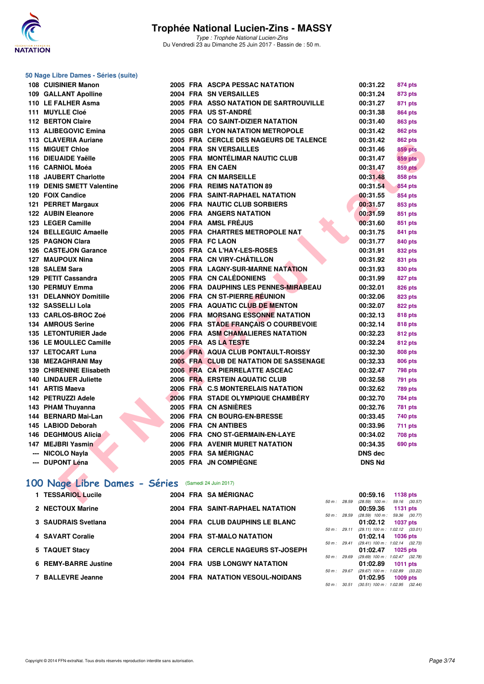

Type : Trophée National Lucien-Zins Du Vendredi 23 au Dimanche 25 Juin 2017 - Bassin de : 50 m.

| 50 Nage Libre Dames - Séries (suite) |
|--------------------------------------|
| 108 CUISINIER Manon                  |
| 109 GALLANT Apolline                 |
| 110 LE FALHER Asma                   |
| 111 MUYLLE Cloé                      |
| 112 BERTON Claire                    |
| 113 ALIBEGOVIC Emina                 |
| 113 CLAVERIA Auriane                 |
| 115 MIGUET Chloe                     |
| 116 DIEUAIDE Yaëlle                  |
| 116 CARNIOL Moéa                     |
| 118 JAUBERT Charlotte                |
| 119 DENIS SMETT Valentine            |
| 120 FOIX Candice                     |
| 121 PERRET Margaux                   |
| 122 AUBIN Eleanore                   |
| 123 LEGER Camille                    |
| 124 BELLEGUIC Amaelle                |
| 125 PAGNON Clara                     |
| 126 CASTEJON Garance                 |
| 127 MAUPOUX Nina                     |
| 128 SALEM Sara                       |
| 129 PETIT Cassandra                  |
| 130 PERMUY Emma                      |
| 131 DELANNOY Domitille               |
| 132 SASSELLI Lola                    |
| 133 CARLOS-BROC Zoé                  |
| 134 AMROUS Serine                    |
| 135 LETONTURIER Jade                 |
| 136 LE MOULLEC Camille               |
| 137 LETOCART Luna                    |
| 138 MEZAGHRANI May                   |
| 139 CHIRENINE Elisabeth              |
| 140 LINDAUER Juliette                |
| 141 ARTIS Maeva                      |
| 142 PETRUZZI Adele                   |
| 143 PHAM Thuyanna                    |
| 144 BERNARD Mai-Lan                  |
| 145 LABIOD Deborah                   |
| 146 DEGHMOUS Alicia                  |
| 147 MEJBRI Yasmin                    |
| --- NICOLO Nayla                     |
| --- DUPONT Léna                      |
|                                      |

| 108 CUISINIER Manon                                |  | 2005 FRA ASCPA PESSAC NATATION         | 00:31.22                                   | 874 pts        |
|----------------------------------------------------|--|----------------------------------------|--------------------------------------------|----------------|
| 109 GALLANT Apolline                               |  | 2004 FRA SN VERSAILLES                 | 00:31.24                                   | 873 pts        |
| 110 LE FALHER Asma                                 |  | 2005 FRA ASSO NATATION DE SARTROUVILLE | 00:31.27                                   | 871 pts        |
| 111 MUYLLE Cloé                                    |  | 2005 FRA US ST-ANDRÉ                   | 00:31.38                                   | <b>864 pts</b> |
| 112 BERTON Claire                                  |  | 2004 FRA CO SAINT-DIZIER NATATION      | 00:31.40                                   | 863 pts        |
| 113 ALIBEGOVIC Emina                               |  | 2005 GBR LYON NATATION METROPOLE       | 00:31.42                                   | <b>862 pts</b> |
| 113 CLAVERIA Auriane                               |  | 2005 FRA CERCLE DES NAGEURS DE TALENCE | 00:31.42                                   | <b>862 pts</b> |
| 115 MIGUET Chloe                                   |  | 2004 FRA SN VERSAILLES                 | 00:31.46                                   | <b>859 pts</b> |
| 116 DIEUAIDE Yaëlle                                |  | 2005 FRA MONTÉLIMAR NAUTIC CLUB        | 00:31.47                                   | <b>859 pts</b> |
| 116 CARNIOL Moéa                                   |  | 2005 FRA EN CAEN                       | 00:31.47                                   | 859 pts        |
| 118 JAUBERT Charlotte                              |  | 2004 FRA CN MARSEILLE                  | 00:31.48                                   | 858 pts        |
| 119 DENIS SMETT Valentine                          |  | 2006 FRA REIMS NATATION 89             | 00:31.54                                   | <b>854 pts</b> |
| 120 FOIX Candice                                   |  | 2006 FRA SAINT-RAPHAEL NATATION        | 00:31.55                                   | 854 pts        |
| 121 PERRET Margaux                                 |  | 2006 FRA NAUTIC CLUB SORBIERS          | 00:31.57                                   | 853 pts        |
| 122 AUBIN Eleanore                                 |  | <b>2006 FRA ANGERS NATATION</b>        | 00:31.59                                   | 851 pts        |
| 123 LEGER Camille                                  |  | 2004 FRA AMSL FRÉJUS                   | 00:31.60                                   | 851 pts        |
| 124 BELLEGUIC Amaelle                              |  | 2005 FRA CHARTRES METROPOLE NAT        | 00:31.75                                   | 841 pts        |
| 125 PAGNON Clara                                   |  | 2005 FRA FC LAON                       | 00:31.77                                   | 840 pts        |
| 126 CASTEJON Garance                               |  | 2005 FRA CA L'HAY-LES-ROSES            | 00:31.91                                   | 832 pts        |
| 127 MAUPOUX Nina                                   |  | 2004 FRA CN VIRY-CHÂTILLON             | 00:31.92                                   | 831 pts        |
| 128 SALEM Sara                                     |  | 2005 FRA LAGNY-SUR-MARNE NATATION      | 00:31.93                                   | 830 pts        |
| 129 PETIT Cassandra                                |  | 2005 FRA CN CALÉDONIENS                | 00:31.99                                   | 827 pts        |
| 130 PERMUY Emma                                    |  | 2006 FRA DAUPHINS LES PENNES-MIRABEAU  | 00:32.01                                   | <b>826 pts</b> |
| <b>131 DELANNOY Domitille</b>                      |  | 2006 FRA CN ST-PIERRE RÉUNION          | 00:32.06                                   | 823 pts        |
| 132 SASSELLI Lola                                  |  | 2005 FRA AQUATIC CLUB DE MENTON        | 00:32.07                                   | <b>822 pts</b> |
| 133 CARLOS-BROC Zoé                                |  | 2006 FRA MORSANG ESSONNE NATATION      | 00:32.13                                   | 818 pts        |
| 134 AMROUS Serine                                  |  | 2006 FRA STADE FRANCAIS O COURBEVOIE   | 00:32.14                                   | 818 pts        |
| 135 LETONTURIER Jade                               |  | 2006 FRA ASM CHAMALIERES NATATION      | 00:32.23                                   | 812 pts        |
| 136 LE MOULLEC Camille                             |  | 2005 FRA AS LA TESTE                   | 00:32.24                                   | 812 pts        |
| 137 LETOCART Luna                                  |  | 2006 FRA AQUA CLUB PONTAULT-ROISSY     | 00:32.30                                   | <b>808 pts</b> |
| 138 MEZAGHRANI May                                 |  | 2005 FRA CLUB DE NATATION DE SASSENAGE | 00:32.33                                   | <b>806 pts</b> |
| 139 CHIRENINE Elisabeth                            |  | 2006 FRA CA PIERRELATTE ASCEAC         | 00:32.47                                   | <b>798 pts</b> |
| 140 LINDAUER Juliette                              |  | 2006 FRA ERSTEIN AQUATIC CLUB          | 00:32.58                                   | <b>791 pts</b> |
| 141 ARTIS Maeva                                    |  | 2006 FRA C.S MONTERELAIS NATATION      | 00:32.62                                   | <b>789 pts</b> |
| 142 PETRUZZI Adele                                 |  | 2006 FRA STADE OLYMPIQUE CHAMBÉRY      | 00:32.70                                   | <b>784 pts</b> |
| 143 PHAM Thuyanna                                  |  | 2005 FRA CN ASNIÈRES                   | 00:32.76                                   | <b>781 pts</b> |
| 144 BERNARD Mai-Lan                                |  | 2006 FRA CN BOURG-EN-BRESSE            | 00:33.45                                   | 740 pts        |
| 145 LABIOD Deborah                                 |  | 2006 FRA CN ANTIBES                    | 00:33.96                                   | 711 pts        |
| 146 DEGHMOUS Alicia                                |  | 2006 FRA CNO ST-GERMAIN-EN-LAYE        | 00:34.02                                   | <b>708 pts</b> |
| 147 MEJBRI Yasmin                                  |  | <b>2006 FRA AVENIR MURET NATATION</b>  | 00:34.35                                   | 690 pts        |
| --- NICOLO Navia                                   |  | 2005 FRA SA MÉRIGNAC                   | <b>DNS dec</b>                             |                |
| --- DUPONT Léna                                    |  | 2005 FRA JN COMPIEGNE                  | <b>DNS Nd</b>                              |                |
|                                                    |  |                                        |                                            |                |
| 00 Nage Libre Dames - Séries (Samedi 24 Juin 2017) |  |                                        |                                            |                |
| 1 TESSARIOL Lucile                                 |  | 2004 FRA SAMÉRIGNAC                    | 00:59.16 1138 pts                          |                |
|                                                    |  |                                        | 50 m : 28.59 (28.59) 100 m : 59.16 (30.57) |                |

## **[100 Nage Libre Dames - Séries](http://www.ffnatation.fr/webffn/resultats.php?idact=nat&go=epr&idcpt=47287&idepr=2)** (Samedi 24 Juin 2017)

| <b>TESSARIOL Lucile</b> |  | 2004 FRA SAMÉRIGNAC                     |                        | 00:59.16                                        | 1138 pts        |  |
|-------------------------|--|-----------------------------------------|------------------------|-------------------------------------------------|-----------------|--|
|                         |  |                                         | 50 m: 28.59            | $(28.59)$ 100 m :                               | 59.16 (30.57)   |  |
| 2 NECTOUX Marine        |  | 2004 FRA SAINT-RAPHAEL NATATION         |                        | 00:59.36                                        | <b>1131 pts</b> |  |
|                         |  |                                         | $50 m$ : 28.59         | $(28.59)$ 100 m : 59.36 $(30.77)$               |                 |  |
| 3 SAUDRAIS Svetlana     |  | 2004 FRA CLUB DAUPHINS LE BLANC         |                        | 01:02.12                                        | <b>1037 pts</b> |  |
|                         |  |                                         | $50 m$ : 29.11         | $(29.11)$ 100 m : 1:02.12 $(33.01)$             |                 |  |
| 4 SAVART Coralie        |  | 2004 FRA ST-MALO NATATION               |                        | 01:02.14                                        | <b>1036 pts</b> |  |
|                         |  |                                         | $50 \text{ m}$ : 29.41 | $(29.41)$ 100 m : 1:02.14 $(32.73)$             |                 |  |
| 5 TAQUET Stacy          |  | 2004 FRA CERCLE NAGEURS ST-JOSEPH       |                        | 01:02.47                                        | $1025$ pts      |  |
| 6 REMY-BARRE Justine    |  | 2004 FRA USB LONGWY NATATION            | $50 \text{ m}$ : 29.69 | $(29.69)$ 100 m : 1:02.47 $(32.78)$<br>01:02.89 |                 |  |
|                         |  |                                         | $50 m$ : 29.67         | $(29.67)$ 100 m : 1:02.89 $(33.22)$             | 1011 pts        |  |
| 7 BALLEVRE Jeanne       |  | <b>2004 FRA NATATION VESOUL-NOIDANS</b> |                        | 01:02.95                                        | $1009$ pts      |  |
|                         |  |                                         | $50 m$ : $30.51$       | $(30.51)$ 100 m : 1:02.95 $(32.44)$             |                 |  |
|                         |  |                                         |                        |                                                 |                 |  |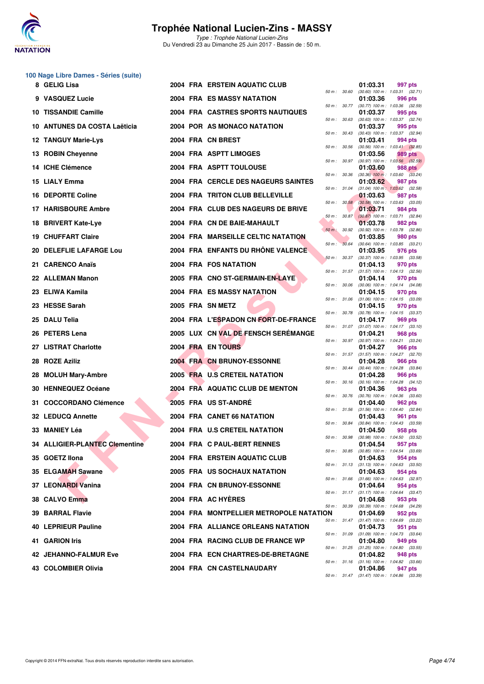

Type : Trophée National Lucien-Zins Du Vendredi 23 au Dimanche 25 Juin 2017 - Bassin de : 50 m.

# **100 Nage Libre Dames - Séries (suite)**

| 8 GELIG Lisa                   |  | <b>2004 FRA ERSTEIN AQUATIC CLUB</b>    |                  |                  | 01:03.31                      | 997 pts                                                                                             |
|--------------------------------|--|-----------------------------------------|------------------|------------------|-------------------------------|-----------------------------------------------------------------------------------------------------|
| 9 VASQUEZ Lucie                |  | <b>2004 FRA ES MASSY NATATION</b>       |                  | 50 m : 30.60     | 01:03.36                      | $(30.60)$ 100 m : 1:03.31 $(32.71)$<br>996 pts                                                      |
| 10 TISSANDIE Camille           |  | 2004 FRA CASTRES SPORTS NAUTIQUES       |                  | 50 m : 30.77     | 01:03.37                      | $(30.77)$ 100 m : 1:03.36 $(32.59)$<br>995 pts                                                      |
| 10 ANTUNES DA COSTA Laëticia   |  | 2004 POR AS MONACO NATATION             | 50 m : 30.63     |                  | 01:03.37                      | $(30.63)$ 100 m : 1:03.37 $(32.74)$<br>995 pts                                                      |
| <b>12 TANGUY Marie-Lys</b>     |  | 2004 FRA CN BREST                       | 50 m: 30.43      |                  | 01:03.41                      | $(30.43)$ 100 m : 1:03.37 $(32.94)$<br>994 pts                                                      |
| 13 ROBIN Cheyenne              |  | 2004 FRA ASPTT LIMOGES                  | 50 m: 30.56      |                  | 01:03.56                      | $(30.56)$ 100 m : 1:03.41 $(32.85)$<br>989 pts                                                      |
| 14 ICHE Clémence               |  | 2004 FRA ASPTT TOULOUSE                 | 50 m : 30.97     |                  | 01:03.60                      | $(30.97)$ 100 m : 1:03.56 $(32.59)$<br>988 pts                                                      |
| 15 LIALY Emma                  |  | 2004 FRA CERCLE DES NAGEURS SAINTES     | 50 m : 30.36     |                  | 01:03.62                      | $(30.36)$ 100 m : 1:03.60 $(33.24)$<br>987 pts                                                      |
| <b>16 DEPORTE Coline</b>       |  | 2004 FRA TRITON CLUB BELLEVILLE         | 50 m : 31.04     |                  | 01:03.63                      | $(31.04)$ 100 m : 1:03.62 $(32.58)$<br>987 pts                                                      |
| <b>17 HARISBOURE Ambre</b>     |  | 2004 FRA CLUB DES NAGEURS DE BRIVE      |                  | 50 m: 30.58      | 01:03.71                      | $(30.58)$ 100 m : 1:03.63 $(33.05)$<br>984 pts                                                      |
| 18 BRIVERT Kate-Lye            |  | 2004 FRA CN DE BAIE-MAHAULT             |                  | 50 m: 30.87      | 01:03.78                      | $(30.87)$ 100 m : 1:03.71 $(32.84)$<br>982 pts                                                      |
| <b>19 CHUFFART Claire</b>      |  | 2004 FRA MARSEILLE CELTIC NATATION      | $50 m$ : $30.92$ |                  | 01:03.85                      | $(30.92)$ 100 m : 1:03.78 $(32.86)$<br>980 pts                                                      |
| 20 DELEFLIE LAFARGE Lou        |  | 2004 FRA ENFANTS DU RHONE VALENCE       | 50 m :           | 30.64            | 01:03.95                      | $(30.64)$ 100 m : 1:03.85 $(33.21)$<br>976 pts                                                      |
| 21 CARENCO Anaïs               |  | 2004 FRA FOS NATATION                   |                  | $50 m$ : $30.37$ | 01:04.13                      | $(30.37)$ 100 m : 1:03.95 $(33.58)$<br>970 pts                                                      |
| 22 ALLEMAN Manon               |  | 2005 FRA CNO ST-GERMAIN-EN-LAYE         |                  |                  | 01:04.14                      | 50 m: 31.57 (31.57) 100 m: 1:04.13 (32.56)<br>970 pts                                               |
| 23 ELIWA Kamila                |  | 2004 FRA ES MASSY NATATION              | 50 m : 30.06     |                  | 01:04.15                      | (30.06) 100 m: 1:04.14 (34.08)<br>970 pts                                                           |
| 23 HESSE Sarah                 |  | 2005 FRA SN METZ                        |                  |                  | 01:04.15                      | 50 m: 31.06 (31.06) 100 m: 1:04.15 (33.09)<br>970 pts                                               |
| 25 DALU Telia                  |  | 2004 FRA L'ESPADON CN FORT-DE-FRANCE    | 50 m : 30.78     |                  | 01:04.17                      | $(30.78)$ 100 m : 1:04.15 $(33.37)$<br>969 pts                                                      |
| 26 PETERS Lena                 |  | 2005 LUX CN VAL DE FENSCH SERÉMANGE     |                  | 50 m : 31.07     | 01:04.21                      | $(31.07)$ 100 m : 1:04.17 $(33.10)$<br>968 pts                                                      |
| 27 LISTRAT Charlotte           |  | 2004 FRA EN TOURS                       |                  | 50 m : 30.97     | 01:04.27                      | (30.97) 100 m: 1:04.21 (33.24)<br>966 pts                                                           |
| 28 ROZE Aziliz                 |  | 2004 FRA CN BRUNOY-ESSONNE              |                  |                  | 01:04.28                      | 50 m: 31.57 (31.57) 100 m: 1:04.27 (32.70)<br>966 pts                                               |
| 28 MOLUH Mary-Ambre            |  | 2005 FRA U.S CRETEIL NATATION           |                  | 50 m : 30.44     | 01:04.28                      | $(30.44)$ 100 m : 1:04.28 $(33.84)$<br>966 pts                                                      |
| 30 HENNEQUEZ Océane            |  | 2004 FRA AQUATIC CLUB DE MENTON         |                  | 50 m : 30.16     | 01:04.36                      | $(30.16)$ 100 m : 1:04.28 $(34.12)$<br>963 pts                                                      |
| 31 COCCORDANO Clémence         |  | 2005 FRA US ST-ANDRE                    |                  |                  | 01:04.40                      | 50 m : 30.76 (30.76) 100 m : 1:04.36 (33.60)<br>962 pts<br>$(31.56)$ 100 m : 1:04.40 $(32.84)$      |
| 32 LEDUCQ Annette              |  | 2004 FRA CANET 66 NATATION              | 50 m: 31.56      |                  | 01:04.43                      | 961 pts                                                                                             |
| 33 MANIEY Léa                  |  | 2004 FRA U.S CRETEIL NATATION           | 50 m : 30.98     | 50 m : 30.84     | 01:04.50                      | $(30.84)$ 100 m : 1:04.43 $(33.59)$<br>958 pts<br>$(30.98)$ 100 m : 1:04.50 $(33.52)$               |
| 34 ALLIGIER-PLANTEC Clementine |  | 2004 FRA C PAUL-BERT RENNES             |                  |                  | 01:04.54                      | 957 pts                                                                                             |
| 35 GOETZ Ilona                 |  | <b>2004 FRA ERSTEIN AQUATIC CLUB</b>    |                  |                  | 01:04.63                      | 50 m : 30.85 (30.85) 100 m : 1:04.54 (33.69)<br>954 pts                                             |
| 35 ELGAMAH Sawane              |  | 2005 FRA US SOCHAUX NATATION            |                  |                  | 01:04.63                      | 50 m: 31.13 (31.13) 100 m: 1:04.63 (33.50)<br>954 pts<br>50 m: 31.66 (31.66) 100 m: 1:04.63 (32.97) |
| 37 LEONARDI Vanina             |  | 2004 FRA CN BRUNOY-ESSONNE              |                  |                  | 01:04.64                      | 954 pts<br>50 m: 31.17 (31.17) 100 m: 1:04.64 (33.47)                                               |
| 38 CALVO Emma                  |  | 2004 FRA AC HYERES                      |                  |                  | 01:04.68                      | 953 pts<br>50 m : 30.39 (30.39) 100 m : 1:04.68 (34.29)                                             |
| 39 BARRAL Flavie               |  | 2004 FRA MONTPELLIER METROPOLE NATATION |                  |                  | 01:04.69                      | 952 pts                                                                                             |
| 40 LEPRIEUR Pauline            |  | 2004 FRA ALLIANCE ORLEANS NATATION      |                  |                  | 01:04.73                      | 50 m: 31.47 (31.47) 100 m: 1:04.69 (33.22)<br>951 pts                                               |
| 41 GARION Iris                 |  | 2004 FRA RACING CLUB DE FRANCE WP       |                  |                  | 01:04.80                      | 50 m : 31.09 (31.09) 100 m : 1:04.73 (33.64)<br>949 pts                                             |
| 42 JEHANNO-FALMUR Eve          |  | 2004 FRA ECN CHARTRES-DE-BRETAGNE       |                  |                  | 01:04.82                      | 50 m: 31.25 (31.25) 100 m: 1:04.80 (33.55)<br>948 pts                                               |
| 43 COLOMBIER Olivia            |  | 2004 FRA CN CASTELNAUDARY               |                  |                  | 01:04.86<br>$(0 + 17) + 00 =$ | 50 m: 31.16 (31.16) 100 m: 1:04.82 (33.66)<br>947 pts                                               |

| 50 m :       | 30.60 | 01:03.31<br>$(30.60)$ 100 m : | 997 pts<br>1:03.31<br>(32.71)        |
|--------------|-------|-------------------------------|--------------------------------------|
|              |       | 01:03.36                      | 996 pts                              |
| $50 m$ :     | 30.77 | $(30.77)$ 100 m :<br>01:03.37 | 1:03.36<br>(32.59)<br>995 pts        |
| $50 m$ :     | 30.63 | $(30.63)$ 100 m :             | 1:03.37<br>(32.74)                   |
| $50 m$ :     | 30.43 | 01:03.37<br>$(30.43) 100 m$ : | 995 pts<br>1:03.37<br>(32.94)        |
|              |       | 01:03.41                      | 994 pts                              |
| $50 m$ :     | 30.56 | $(30.56)$ 100 m :<br>01:03.56 | 1:03.41<br>(32.85)<br><b>989 pts</b> |
| $50 m$ :     | 30.97 | $(30.97)$ 100 m :             | 1:03.56<br>(32.59)                   |
| 50 m :       | 30.36 | 01:03.60<br>$(30.36)$ 100 m : | <b>988 pts</b><br>(33.24)<br>1:03.60 |
|              |       | 01:03.62                      | 987 pts                              |
| $50 m$ :     | 31.04 | $(31.04) 100 m$ :<br>01:03.63 | 1:03.62<br>(32.58)<br>987 pts        |
| $50 m$ :     | 30.58 | $(30.58)$ 100 m :             | 1:03.63<br>(33.05)                   |
| 50 m :       | 30.87 | 01:03.71<br>$(30.87)$ 100 m : | 984 pts<br>(32.84)<br>1:03.71        |
|              |       | 01:03.78                      | 982 pts                              |
| $50 m$ :     | 30.92 | (30.92) 100 m :<br>01:03.85   | 1:03.78<br>(32.86)<br>980 pts        |
| $50 m$ :     | 30.64 | $(30.64) 100 m$ :             | 1:03.85<br>(33.21)                   |
| 50 m :       | 30.37 | 01:03.95<br>$(30.37) 100 m$ : | 976 pts<br>1:03.95<br>(33.58)        |
|              |       | 01:04.13                      | 970 pts                              |
| $50 m$ :     | 31.57 | $(31.57) 100 m$ :<br>01:04.14 | 1:04.13<br>(32.56)<br>970 pts        |
| 50 m :       | 30.06 | $(30.06)$ 100 m :             | 1:04.14<br>(34.08)                   |
| 50 m :       | 31.06 | 01:04.15<br>$(31.06) 100 m$ : | 970 pts<br>1:04.15<br>(33.09)        |
| $50 m$ :     | 30.78 | 01:04.15<br>(30.78) 100 m :   | 970 pts<br>1:04.15<br>(33.37)        |
|              |       | 01:04.17                      | 969 pts                              |
| $50 m$ :     | 31.07 | $(31.07) 100 m$ :<br>01:04.21 | 1:04.17<br>(33.10)<br><b>968 pts</b> |
| 50 m :       | 30.97 | (30.97) 100 m :               | 1:04.21<br>(33.24)                   |
| $50 m$ :     | 31.57 | 01:04.27<br>$(31.57) 100 m$ : | 966 pts<br>1:04.27<br>(32.70)        |
|              |       | 01:04.28                      | <b>966 pts</b>                       |
| 50 m :       | 30.44 | $(30.44) 100 m$ :<br>01:04.28 | 1:04.28<br>(33.84)<br>966 pts        |
| 50 m :       | 30.16 | (30.16) 100 m :<br>01:04.36   | 1:04.28<br>(34.12)                   |
| $50 m$ :     | 30.76 | $(30.76)$ 100 m :             | 963 pts<br>1:04.36<br>(33.60)        |
| $50 m$ :     | 31.56 | 01:04.40<br>$(31.56) 100 m$ : | 962 pts<br>1:04.40<br>(32.84)        |
|              |       | 01:04.43                      | <b>961 pts</b>                       |
| 50 m :       | 30.84 | $(30.84)$ 100 m :<br>01:04.50 | 1:04.43<br>(33.59)<br>958 pts        |
| 50 m :       | 30.98 | $(30.98)$ 100 m :             | 1:04.50 (33.52)                      |
| $50 m$ :     | 30.85 | 01:04.54<br>$(30.85)$ 100 m : | 957 pts<br>1:04.54<br>(33.69)        |
|              |       | 01:04.63                      | 954 pts                              |
| $50 m$ :     | 31.13 | (31.13) 100 m :<br>01:04.63   | 1:04.63<br>(33.50)<br>954 pts        |
| $50 m$ :     | 31.66 | $(31.66) 100 m$ :             | 1:04.63<br>(32.97)                   |
| $50 m$ :     | 31.17 | 01:04.64<br>$(31.17) 100 m$ : | 954 pts<br>1:04.64<br>(33.47)        |
|              |       | 01:04.68                      | 953 pts<br>1:04.68                   |
| 50 m :<br>ΟN | 30.39 | (30.39) 100 m :<br>01:04.69   | (34.29)<br>952 pts                   |
| $50 m$ :     | 31.47 | $(31.47) 100 m$ :<br>01:04.73 | 1:04.69<br>(33.22)<br>951<br>pts     |
| $50 m$ :     | 31.09 | $(31.09) 100 m$ :             | 1:04.73<br>(33.64)                   |
| $50 m$ :     | 31.25 | 01:04.80<br>(31.25) 100 m :   | 949 pts<br>1:04.80<br>(33.55)        |
|              |       | 01:04.82                      | 948 pts                              |
| $50 m$ :     | 31.16 | (31.16) 100 m :<br>01:04.86   | 1:04.82<br>(33.66)<br>947 pts        |
| $50 m$ :     | 31.47 | $(31.47) 100 m$ :             | 1:04.86<br>(33.39)                   |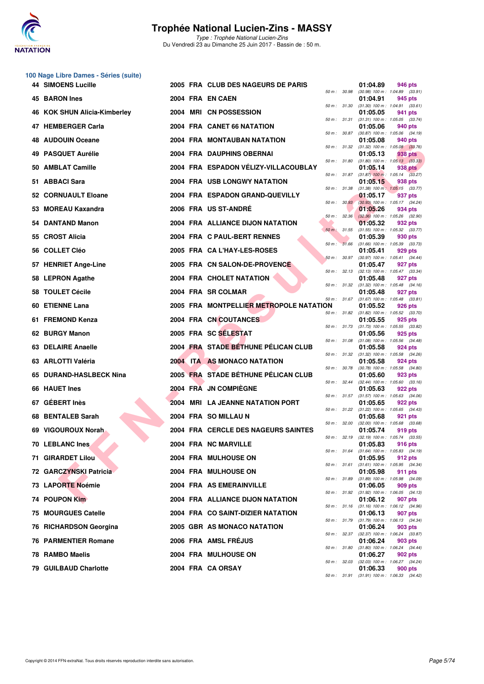

**100 Nage Libre Dames - Séries (suite)**

## **Trophée National Lucien-Zins - MASSY**

| <b>44 SIMOENS Lucille</b>    | <b>2005 FRA CLUB DES NAGEURS DE PARIS</b> |                             | 01:04.89 | 946 pts                                                                               |
|------------------------------|-------------------------------------------|-----------------------------|----------|---------------------------------------------------------------------------------------|
| 45 BARON Ines                | 2004 FRA EN CAEN                          | 50 m : 30.98                | 01:04.91 | $(30.98)$ 100 m : 1:04.89 $(33.91)$<br>945 pts                                        |
| 46 KOK SHUN Alicia-Kimberley | 2004 MRI CN POSSESSION                    | 50 m : 31.30                | 01:05.05 | $(31.30)$ 100 m : 1:04.91 $(33.61)$<br>941 pts                                        |
| 47 HEMBERGER Carla           | 2004 FRA CANET 66 NATATION                | 50 m : 31.31                | 01:05.06 | $(31.31)$ 100 m : 1:05.05 $(33.74)$<br>940 pts                                        |
| <b>AUDOUIN Oceane</b><br>48  | 2004 FRA MONTAUBAN NATATION               | 50 m : 30.87                | 01:05.08 | $(30.87)$ 100 m : 1:05.06 $(34.19)$<br>940 pts                                        |
| 49 PASQUET Aurélie           | 2004 FRA DAUPHINS OBERNAI                 | 50 m : 31.32                | 01:05.13 | $(31.32)$ 100 m : 1:05.08 $(33.76)$<br>938 pts                                        |
| <b>AMBLAT Camille</b><br>50  | 2004 FRA ESPADON VÉLIZY-VILLACOUBLAY      | 50 m : 31.80                | 01:05.14 | $(31.80)$ 100 m : 1:05.13 $(33.33)$<br>938 pts                                        |
| 51 ABBACI Sara               | <b>2004 FRA USB LONGWY NATATION</b>       |                             | 01:05.15 | 50 m: 31.87 (31.87) 100 m: 1:05.14 (33.27)<br>938 pts                                 |
| 52 CORNUAULT Eloane          | 2004 FRA ESPADON GRAND-QUEVILLY           | 50 m : 31.38                | 01:05.17 | $(31.38)$ 100 m : 1:05.15 $(33.77)$<br>937 pts                                        |
| <b>MOREAU Kaxandra</b><br>53 | 2006 FRA US ST-ANDRE                      | 50 m: 30.93                 | 01:05.26 | (30.93) 100 m: 1:05.17 (34.24)<br>934 pts                                             |
| 54 DANTAND Manon             | 2004 FRA ALLIANCE DIJON NATATION          | 50 m: 32.36                 | 01:05.32 | $(32.36)$ 100 m : 1:05.26 $(32.90)$<br>932 pts                                        |
| <b>CROST Alicia</b><br>55    | 2004 FRA C PAUL-BERT RENNES               | $50 m$ : 31.55              | 01:05.39 | (31.55) 100 m: 1:05.32 (33.77)<br>930 pts                                             |
| 56 COLLET Cléo               | 2005 FRA CA L'HAY-LES-ROSES               | 50 m: 31.66                 | 01:05.41 | $(31.66)$ 100 m : 1:05.39 $(33.73)$<br>929 pts                                        |
| 57 HENRIET Ange-Line         | 2005 FRA CN SALON-DE-PROVENCE             | 50 m: 30.97                 | 01:05.47 | (30.97) 100 m: 1:05.41 (34.44)<br>927 pts                                             |
| 58 LEPRON Agathe             | 2004 FRA CHOLET NATATION                  |                             | 01:05.48 | 50 m: 32.13 (32.13) 100 m: 1:05.47 (33.34)<br>927 pts                                 |
| 58 TOULET Cécile             | 2004 FRA SR COLMAR                        | 50 m : 31.32                | 01:05.48 | $(31.32)$ 100 m : 1:05.48 $(34.16)$<br>927 pts                                        |
| <b>ETIENNE Lana</b><br>60.   | 2005 FRA MONTPELLIER METROPOLE NATATION   | 50 m : 31.67<br>50 m: 31.82 | 01:05.52 | $(31.67)$ 100 m : 1:05.48 $(33.81)$<br>926 pts<br>$(31.82)$ 100 m : 1:05.52 $(33.70)$ |
| 61 FREMOND Kenza             | 2004 FRA CN COUTANCES                     | 50 m : 31.73                | 01:05.55 | 925 pts<br>$(31.73)$ 100 m : 1:05.55 $(33.82)$                                        |
| <b>BURGY Manon</b><br>62     | 2005 FRA SC SÉLESTAT                      | 50 m : 31.08                | 01:05.56 | 925 pts<br>$(31.08)$ 100 m : 1:05.56 $(34.48)$                                        |
| 63 DELAIRE Anaelle           | 2004 FRA STADE BÉTHUNE PÉLICAN CLUB       |                             | 01:05.58 | 924 pts<br>50 m: 31.32 (31.32) 100 m: 1:05.58 (34.26)                                 |
| 63 ARLOTTI Valéria           | 2004 ITA AS MONACO NATATION               | 50 m : 30.78                | 01:05.58 | 924 pts<br>$(30.78)$ 100 m : 1:05.58 $(34.80)$                                        |
| 65 DURAND-HASLBECK Nina      | 2005 FRA STADE BÉTHUNE PÉLICAN CLUB       | 50 m: 32.44                 | 01:05.60 | 923 pts<br>$(32.44)$ 100 m : 1:05.60 $(33.16)$                                        |
| 66 HAUET Ines                | 2004 FRA JN COMPIÈGNE                     | 50 m: 31.57                 | 01:05.63 | 922 pts<br>$(31.57)$ 100 m : 1:05.63 $(34.06)$                                        |
| <b>GÉBERT Inès</b><br>67     | 2004 MRI LA JEANNE NATATION PORT          | 50 m : 31.22                | 01:05.65 | 922 pts<br>$(31.22)$ 100 m : 1:05.65 $(34.43)$                                        |
| 68 BENTALEB Sarah            | 2004 FRA SO MILLAU N                      | 50 m : 32.00                | 01:05.68 | 921 pts<br>$(32.00)$ 100 m : 1:05.68 $(33.68)$                                        |
| 69 VIGOUROUX Norah           | 2004 FRA CERCLE DES NAGEURS SAINTES       | 50 m: 32.19                 | 01:05.74 | 919 pts<br>$(32.19)$ 100 m : 1:05.74 $(33.55)$                                        |
| 70 LEBLANC Ines              | 2004 FRA NC MARVILLE                      |                             | 01:05.83 | 916 pts<br>50 m: 31.64 (31.64) 100 m: 1:05.83 (34.19)                                 |
| 71 GIRARDET Lilou            | 2004 FRA MULHOUSE ON                      |                             | 01:05.95 | 912 pts<br>50 m: 31.61 (31.61) 100 m: 1:05.95 (34.34)                                 |
| 72 GARCZYNSKI Patricia       | 2004 FRA MULHOUSE ON                      |                             | 01:05.98 | 911 pts<br>50 m: 31.89 (31.89) 100 m: 1:05.98 (34.09)                                 |
| 73 LAPORTE Noémie            | 2004 FRA AS EMERAINVILLE                  |                             | 01:06.05 | 909 pts<br>50 m: 31.92 (31.92) 100 m: 1:06.05 (34.13)                                 |
| 74 POUPON Kim                | 2004 FRA ALLIANCE DIJON NATATION          |                             | 01:06.12 | 907 pts<br>50 m: 31.16 (31.16) 100 m: 1:06.12 (34.96)                                 |
| <b>75 MOURGUES Catelle</b>   | 2004 FRA CO SAINT-DIZIER NATATION         |                             | 01:06.13 | 907 pts<br>50 m: 31.79 (31.79) 100 m: 1:06.13 (34.34)                                 |
| 76 RICHARDSON Georgina       | 2005 GBR AS MONACO NATATION               |                             | 01:06.24 | 903 pts<br>50 m : 32.37 (32.37) 100 m : 1:06.24 (33.87)                               |
| <b>76 PARMENTIER Romane</b>  | 2006 FRA AMSL FREJUS                      |                             | 01:06.24 | 903 pts<br>50 m: 31.80 (31.80) 100 m: 1:06.24 (34.44)                                 |
| 78 RAMBO Maelis              | 2004 FRA MULHOUSE ON                      |                             | 01:06.27 | 902 pts<br>50 m: 32.03 (32.03) 100 m: 1:06.27 (34.24)                                 |
| 79 GUILBAUD Charlotte        | 2004 FRA CA ORSAY                         |                             | 01:06.33 | 900 pts<br>50 m: 31.91 (31.91) 100 m: 1:06.33 (34.42)                                 |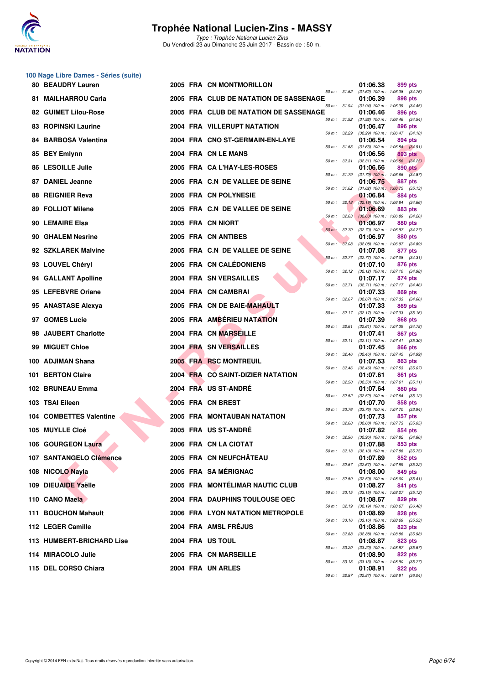

Type : Trophée National Lucien-Zins Du Vendredi 23 au Dimanche 25 Juin 2017 - Bassin de : 50 m.

#### **100 Nage Libre Dames - Séries (suite)**

|     | <b>80 BEAUDRY Lauren</b>  |  | 2005 FRA CN MONTMORILLON                |              | 01:06.38 | 899 pts                                                 |
|-----|---------------------------|--|-----------------------------------------|--------------|----------|---------------------------------------------------------|
|     | 81 MAILHARROU Carla       |  | 2005 FRA CLUB DE NATATION DE SASSENAGE  | 50 m : 31.62 | 01:06.39 | $(31.62)$ 100 m : 1:06.38 $(34.76)$<br>898 pts          |
|     | 82 GUIMET Lilou-Rose      |  | 2005 FRA CLUB DE NATATION DE SASSENAGE  | 50 m : 31.94 | 01:06.46 | $(31.94)$ 100 m : 1:06.39 $(34.45)$<br>896 pts          |
|     | 83 ROPINSKI Laurine       |  | 2004 FRA VILLERUPT NATATION             | 50 m : 31.92 | 01:06.47 | $(31.92)$ 100 m : 1:06.46 $(34.54)$<br>896 pts          |
| 84. | <b>BARBOSA Valentina</b>  |  | 2004 FRA CNO ST-GERMAIN-EN-LAYE         | 50 m : 32.29 | 01:06.54 | (32.29) 100 m: 1:06.47 (34.18)<br>894 pts               |
|     | 85 BEY Emlynn             |  | 2004 FRA CN LE MANS                     | 50 m : 31.63 | 01:06.56 | $(31.63)$ 100 m : 1:06.54 $(34.91)$<br>893 pts          |
|     | 86 LESOILLE Julie         |  | 2005 FRA CA L'HAY-LES-ROSES             | 50 m : 32.31 | 01:06.66 | $(32.31)$ 100 m : 1:06.56 $(34.25)$<br>890 pts          |
|     | 87 DANIEL Jeanne          |  | 2005 FRA C.N DE VALLEE DE SEINE         | 50 m : 31.79 | 01:06.75 | $(31.79)$ 100 m : 1:06.66 $(34.87)$<br>887 pts          |
|     | <b>88 REIGNIER Reva</b>   |  | 2005 FRA CN POLYNESIE                   | 50 m: 31.62  | 01:06.84 | $(31.62)$ 100 m : 1:06.75 $(35.13)$<br>884 pts          |
|     | 89 FOLLIOT Milene         |  | 2005 FRA C.N DE VALLEE DE SEINE         | 50 m: 32.18  | 01:06.89 | $(32.18)$ 100 m : 1:06.84 $(34.66)$<br>883 pts          |
|     | 90 LEMAIRE Elsa           |  | 2005 FRA CN NIORT                       | 50 m: 32.63  | 01:06.97 | $(32.63)$ 100 m : 1:06.89 $(34.26)$<br>880 pts          |
|     | 90 GHALEM Nesrine         |  | 2005 FRA CN ANTIBES                     | 50 m: 32.70  | 01:06.97 | (32.70) 100 m: 1:06.97 (34.27)<br>880 pts               |
|     | 92 SZKLAREK Malvine       |  | 2005 FRA C.N DE VALLEE DE SEINE         | 50 m: 32.08  | 01:07.08 | (32.08) 100 m: 1:06.97 (34.89)<br>877 pts               |
|     | 93 LOUVEL Chéryl          |  | 2005 FRA CN CALÉDONIENS                 | 50 m: 32.77  | 01:07.10 | (32.77) 100 m: 1:07.08 (34.31)<br>876 pts               |
|     | 94 GALLANT Apolline       |  | 2004 FRA SN VERSAILLES                  |              | 01:07.17 | 50 m: 32.12 (32.12) 100 m: 1:07.10 (34.98)<br>874 pts   |
|     | 95 LEFEBVRE Oriane        |  | 2004 FRA CN CAMBRAI                     | 50 m : 32.71 | 01:07.33 | $(32.71)$ 100 m : 1:07.17 $(34.46)$<br>869 pts          |
|     | 95 ANASTASE Alexya        |  | 2005 FRA CN DE BAIE-MAHAULT             | 50 m : 32.67 | 01:07.33 | (32.67) 100 m: 1:07.33 (34.66)<br>869 pts               |
|     | 97 GOMES Lucie            |  | 2005 FRA AMBÉRIEU NATATION              | 50 m: 32.17  | 01:07.39 | $(32.17)$ 100 m : 1:07.33 $(35.16)$<br>868 pts          |
| 98. | <b>JAUBERT Charlotte</b>  |  | 2004 FRA CN MARSEILLE                   | 50 m: 32.61  | 01:07.41 | $(32.61)$ 100 m : 1:07.39 $(34.78)$<br>867 pts          |
|     | 99 MIGUET Chloe           |  | 2004 FRA SN VERSAILLES                  |              | 01:07.45 | 50 m: 32.11 (32.11) 100 m: 1:07.41 (35.30)<br>866 pts   |
|     | 100 ADJIMAN Shana         |  | 2005 FRA RSC MONTREUIL                  | 50 m: 32.46  | 01:07.53 | $(32.46)$ 100 m : 1:07.45 $(34.99)$<br>863 pts          |
|     | 101 BERTON Claire         |  | 2004 FRA CO SAINT-DIZIER NATATION       | 50 m : 32.46 | 01:07.61 | $(32.46)$ 100 m : 1:07.53 $(35.07)$<br>861 pts          |
|     | 102 BRUNEAU Emma          |  | 2004 FRA US ST-ANDRE                    | 50 m: 32.50  | 01:07.64 | $(32.50)$ 100 m : 1:07.61 $(35.11)$<br>860 pts          |
|     | 103 TSAI Eileen           |  | 2005 FRA CN BREST                       | 50 m: 32.52  | 01:07.70 | (32.52) 100 m: 1:07.64 (35.12)<br>858 pts               |
|     | 104 COMBETTES Valentine   |  | <b>2005 FRA MONTAUBAN NATATION</b>      | 50 m : 33.76 | 01:07.73 | $(33.76)$ 100 m : 1:07.70 $(33.94)$<br>857 pts          |
|     | 105 MUYLLE Cloé           |  | 2005 FRA US ST-ANDRE                    | 50 m: 32.68  | 01:07.82 | $(32.68)$ 100 m : 1:07.73 $(35.05)$<br>854 pts          |
|     | 106 GOURGEON Laura        |  | 2006 FRA CN LA CIOTAT                   | 50 m: 32.96  | 01:07.88 | $(32.96)$ 100 m : 1:07.82 $(34.86)$<br>853 pts          |
|     | 107 SANTANGELO Clémence   |  | 2005 FRA CN NEUFCHATEAU                 |              | 01:07.89 | 50 m : 32.13 (32.13) 100 m : 1:07.88 (35.75)<br>852 pts |
|     | 108 NICOLO Nayla          |  | 2005 FRA SA MÉRIGNAC                    | 50 m : 32.67 | 01:08.00 | (32.67) 100 m : 1:07.89 (35.22)<br>849 pts              |
|     | 109 DIEUAIDE Yaëlle       |  | 2005 FRA MONTELIMAR NAUTIC CLUB         | 50 m : 32.59 | 01:08.27 | $(32.59)$ 100 m : 1:08.00 $(35.41)$<br>841 pts          |
|     | 110 CANO Maela            |  | 2004 FRA DAUPHINS TOULOUSE OEC          |              | 01:08.67 | 50 m: 33.15 (33.15) 100 m: 1:08.27 (35.12)<br>829 pts   |
|     | 111 BOUCHON Mahault       |  | <b>2006 FRA LYON NATATION METROPOLE</b> | 50 m : 32.19 | 01:08.69 | $(32.19)$ 100 m : 1:08.67 $(36.48)$<br>828 pts          |
|     | 112 LEGER Camille         |  | 2004 FRA AMSL FRÉJUS                    |              | 01:08.86 | 50 m: 33.16 (33.16) 100 m: 1:08.69 (35.53)<br>823 pts   |
|     | 113 HUMBERT-BRICHARD Lise |  | 2004 FRA US TOUL                        | 50 m : 32.88 | 01:08.87 | $(32.88)$ 100 m : 1:08.86 $(35.98)$<br>823 pts          |
|     | 114 MIRACOLO Julie        |  | 2005 FRA CN MARSEILLE                   | 50 m : 33.20 | 01:08.90 | $(33.20)$ 100 m : 1:08.87 $(35.67)$<br>822 pts          |
|     | 115 DEL CORSO Chiara      |  | 2004 FRA UN ARLES                       |              | 01:08.91 | 50 m: 33.13 (33.13) 100 m: 1:08.90 (35.77)<br>822 pts   |
|     |                           |  |                                         |              |          | 50 m: 32.87 (32.87) 100 m: 1:08.91 (36.04)              |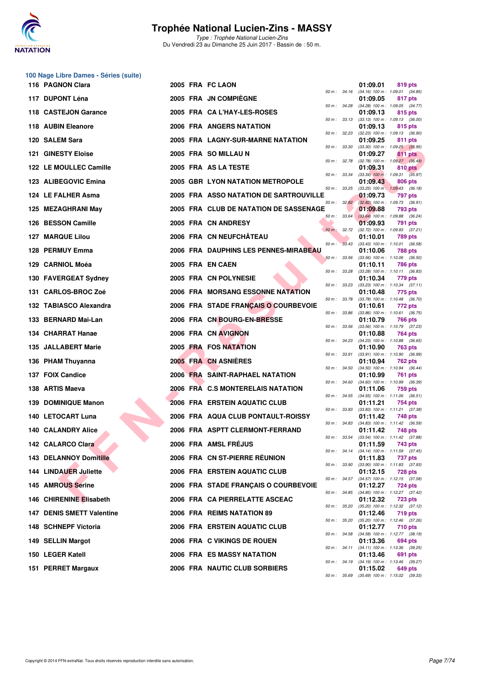

| 100 Nage Libre Dames - Séries (suite) |  |                                        |              |       |          |                                                                |
|---------------------------------------|--|----------------------------------------|--------------|-------|----------|----------------------------------------------------------------|
| 116 PAGNON Clara                      |  | 2005 FRA FC LAON                       | 50 m: 34.16  |       | 01:09.01 | 819 pts<br>$(34.16)$ 100 m : 1:09.01 $(34.85)$                 |
| 117 DUPONT Léna                       |  | 2005 FRA JN COMPIEGNE                  |              |       | 01:09.05 | 817 pts<br>50 m: 34.28 (34.28) 100 m: 1:09.05 (34.77)          |
| 118 CASTEJON Garance                  |  | 2005 FRA CAL'HAY-LES-ROSES             |              |       | 01:09.13 | 815 pts                                                        |
| 118 AUBIN Eleanore                    |  | 2006 FRA ANGERS NATATION               | 50 m: 33.13  |       | 01:09.13 | $(33.13)$ 100 m : 1:09.13 $(36.00)$<br>815 pts                 |
| 120 SALEM Sara                        |  | 2005 FRA LAGNY-SUR-MARNE NATATION      | 50 m: 32.23  |       | 01:09.25 | $(32.23)$ 100 m : 1:09.13 $(36.90)$<br>811 pts                 |
| <b>121 GINESTY Eloise</b>             |  | 2005 FRA SO MILLAU N                   | 50 m : 33.30 |       | 01:09.27 | $(33.30)$ 100 m : 1:09.25 $(35.95)$<br>811 pts                 |
| 122 LE MOULLEC Camille                |  | 2005 FRA AS LA TESTE                   | 50 m : 32.78 |       | 01:09.31 | $(32.78)$ 100 m : 1:09.27 $(36.49)$<br>810 pts                 |
| 123 ALIBEGOVIC Emina                  |  | 2005 GBR LYON NATATION METROPOLE       | 50 m : 33.34 |       | 01:09.43 | $(33.34)$ 100 m : 1:09.31 $(35.97)$<br>806 pts                 |
| 124 LE FALHER Asma                    |  | 2005 FRA ASSO NATATION DE SARTROUVILLE | 50 m : 33.25 |       | 01:09.73 | $(33.25)$ 100 m : 1:09.43 $(36.18)$<br>797 pts                 |
| 125 MEZAGHRANI May                    |  | 2005 FRA CLUB DE NATATION DE SASSENAGE | 50 m : 32.82 |       | 01:09.88 | $(32.82)$ 100 m : 1:09.73 $(36.91)$<br>793 pts                 |
| 126 BESSON Camille                    |  | 2005 FRA CN ANDRESY                    | 50 m : 33.64 |       | 01:09.93 | $(33.64)$ 100 m : 1:09.88 $(36.24)$<br>791 pts                 |
|                                       |  |                                        | 50 m : 32.72 |       |          | (32.72) 100 m: 1:09.93 (37.21)                                 |
| 127 MARQUE Lilou                      |  | 2006 FRA CN NEUFCHÂTEAU                | $50 m$ :     | 33.43 | 01:10.01 | <b>789 pts</b><br>$(33.43)$ 100 m : 1:10.01 $(36.58)$          |
| 128 PERMUY Emma                       |  | 2006 FRA DAUPHINS LES PENNES-MIRABEAU  | 50 m: 33.56  |       | 01:10.06 | 788 pts<br>$(33.56)$ 100 m : 1:10.06 $(36.50)$                 |
| 129 CARNIOL Moéa                      |  | 2005 FRA EN CAEN                       | 50 m : 33.28 |       | 01:10.11 | 786 pts<br>(33.28) 100 m: 1:10.11 (36.83)                      |
| 130 FAVERGEAT Sydney                  |  | 2005 FRA CN POLYNESIE                  | 50 m : 33.23 |       | 01:10.34 | 779 pts<br>$(33.23)$ 100 m : 1:10.34 $(37.11)$                 |
| 131 CARLOS-BROC Zoé                   |  | 2006 FRA MORSANG ESSONNE NATATION      | 50 m : 33.78 |       | 01:10.48 | 775 pts<br>(33.78) 100 m : 1:10.48 (36.70)                     |
| 132 TABIASCO Alexandra                |  | 2006 FRA STADE FRANÇAIS O COURBEVOIE   | 50 m : 33.86 |       | 01:10.61 | 772 pts                                                        |
| 133 BERNARD Mai-Lan                   |  | 2006 FRA CN BOURG-EN-BRESSE            |              |       | 01:10.79 | $(33.86)$ 100 m : 1:10.61 $(36.75)$<br>766 pts                 |
| 134 CHARRAT Hanae                     |  | 2006 FRA CN AVIGNON                    | 50 m : 33.56 |       | 01:10.88 | (33.56) 100 m: 1:10.79 (37.23)<br>764 pts                      |
| <b>135 JALLABERT Marie</b>            |  | 2005 FRA FOS NATATION                  | 50 m : 34.23 |       | 01:10.90 | (34.23) 100 m: 1:10.88 (36.65)<br>763 pts                      |
| 136 PHAM Thuyanna                     |  | 2005 FRA CN ASNIÈRES                   | 50 m : 33.91 |       | 01:10.94 | (33.91) 100 m: 1:10.90 (36.99)<br>762 pts                      |
| 137 FOIX Candice                      |  | 2006 FRA SAINT-RAPHAEL NATATION        | 50 m : 34.50 |       | 01:10.99 | $(34.50)$ 100 m : 1:10.94 $(36.44)$<br>761 pts                 |
| 138 ARTIS Maeva                       |  | 2006 FRA C.S MONTERELAIS NATATION      | 50 m: 34.60  |       | 01:11.06 | (34.60) 100 m: 1:10.99 (36.39)<br>759 pts                      |
| <b>139 DOMINIQUE Manon</b>            |  | 2006 FRA ERSTEIN AQUATIC CLUB          | 50 m : 34.55 |       | 01:11.21 | $(34.55)$ 100 m : 1:11.06 $(36.51)$<br>754 pts                 |
| 140 LETOCART Luna                     |  | 2006 FRA AQUA CLUB PONTAULT-ROISSY     | 50 m : 33.83 |       | 01:11.42 | $(33.83)$ 100 m : 1:11.21 $(37.38)$<br>748 pts                 |
|                                       |  |                                        | 50 m : 34.83 |       | 01:11.42 | $(34.83)$ 100 m : 1:11.42 $(36.59)$                            |
| <b>140 CALANDRY Alice</b>             |  | 2006 FRA ASPTT CLERMONT-FERRAND        |              |       |          | 748 pts<br>50 m: 33.54 (33.54) 100 m: 1:11.42 (37.88)          |
| 142 CALARCO Clara                     |  | 2006 FRA AMSL FRÉJUS                   | 50 m : 34.14 |       | 01:11.59 | 743 pts<br>$(34.14)$ 100 m : 1:11.59 $(37.45)$                 |
| <b>143 DELANNOY Domitille</b>         |  | 2006 FRA CN ST-PIERRE REUNION          | 50 m : 33.90 |       | 01:11.83 | 737 pts<br>(33.90) 100 m: 1:11.83 (37.93)                      |
| 144 LINDAUER Juliette                 |  | 2006 FRA ERSTEIN AQUATIC CLUB          | 50 m : 34.57 |       | 01:12.15 | <b>728 pts</b><br>(34.57) 100 m: 1:12.15 (37.58)               |
| 145 AMROUS Serine                     |  | 2006 FRA STADE FRANÇAIS O COURBEVOIE   | 50 m : 34.85 |       | 01:12.27 | 724 pts<br>(34.85) 100 m : 1:12.27 (37.42)                     |
| 146 CHIRENINE Elisabeth               |  | 2006 FRA CA PIERRELATTE ASCEAC         | 50 m : 35.20 |       | 01:12.32 | 723 pts<br>$(35.20)$ 100 m : 1:12.32 $(37.12)$                 |
| <b>147 DENIS SMETT Valentine</b>      |  | 2006 FRA REIMS NATATION 89             |              |       | 01:12.46 | 719 pts                                                        |
| 148 SCHNEPF Victoria                  |  | 2006 FRA ERSTEIN AQUATIC CLUB          | 50 m : 35.20 |       | 01:12.77 | $(35.20)$ 100 m : 1:12.46 $(37.26)$<br>710 pts                 |
| 149 SELLIN Margot                     |  | 2006 FRA C VIKINGS DE ROUEN            |              |       | 01:13.36 | 50 m : 34.58 (34.58) 100 m : 1:12.77 (38.19)<br><b>694 pts</b> |
| 150 LEGER Katell                      |  | 2006 FRA ES MASSY NATATION             | 50 m : 34.11 |       | 01:13.46 | (34.11) 100 m: 1:13.36 (39.25)<br>691 pts                      |
| 151 PERRET Margaux                    |  | 2006 FRA NAUTIC CLUB SORBIERS          | 50 m : 34.19 |       | 01:15.02 | $(34.19)$ 100 m : 1:13.46 $(39.27)$<br>649 pts                 |
|                                       |  |                                        |              |       |          | 50 m: 35.69 (35.69) 100 m: 1:15.02 (39.33)                     |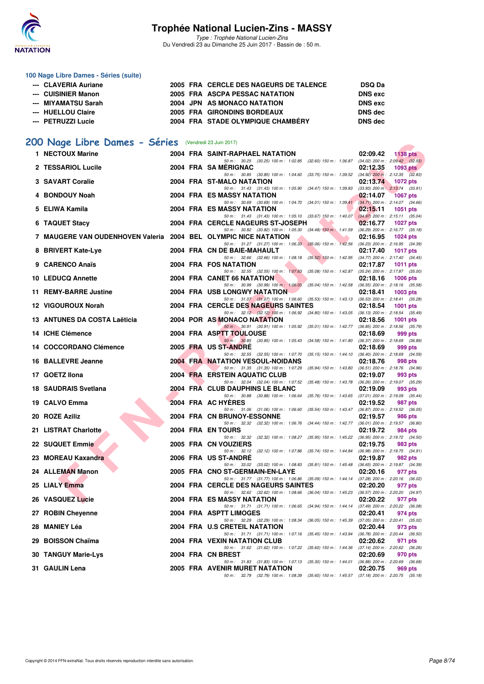

Type : Trophée National Lucien-Zins Du Vendredi 23 au Dimanche 25 Juin 2017 - Bassin de : 50 m.

#### **100 Nage Libre Dames - Séries (suite)**

| --- CLAVERIA Auriane |  | 2005 FRA CERCLE DES NAGEURS DE TALENCE | <b>DSQ Da</b>  |
|----------------------|--|----------------------------------------|----------------|
| --- CUISINIER Manon  |  | 2005 FRA ASCPA PESSAC NATATION         | <b>DNS</b> exc |
| --- MIYAMATSU Sarah  |  | 2004 JPN AS MONACO NATATION            | <b>DNS</b> exc |
| --- HUELLOU Claire   |  | 2005 FRA GIRONDINS BORDEAUX            | <b>DNS</b> dec |
| --- PETRUZZI Lucie   |  | 2004 FRA STADE OLYMPIQUE CHAMBÉRY      | <b>DNS</b> dec |
|                      |  |                                        |                |

# **[200 Nage Libre Dames - Séries](http://www.ffnatation.fr/webffn/resultats.php?idact=nat&go=epr&idcpt=47287&idepr=3)** (Vendredi 23 Juin 2017)

| <b>UU Nage LIbre Dames - Series</b> (Vendredi 23 Juin 2017)     |  |  |                                                                                                                                        |          |                                                        |  |  |  |
|-----------------------------------------------------------------|--|--|----------------------------------------------------------------------------------------------------------------------------------------|----------|--------------------------------------------------------|--|--|--|
| 1 NECTOUX Marine                                                |  |  | 2004 FRA SAINT-RAPHAEL NATATION                                                                                                        | 02:09.42 | 1138 $pts$                                             |  |  |  |
| 2 TESSARIOL Lucile                                              |  |  | 50 m: 30.25 (30.25) 100 m: 1:02.85 (32.60) 150 m: 1:36.87 (34.02) 200 m: 2:09.42 (32.55)<br>2004 FRA SAMERIGNAC                        | 02:12.35 | 1093 pts                                               |  |  |  |
| 3 SAVART Coralie                                                |  |  | 50 m: 30.85 (30.85) 100 m: 1:04.60 (33.75) 150 m: 1:39.52 (34.92) 200 m: 2:12.35 (32.83)<br>2004 FRA ST-MALO NATATION                  | 02:13.74 | 1072 pts                                               |  |  |  |
| 4 BONDOUY Noah                                                  |  |  | 50 m: 31.43 (31.43) 100 m: 1:05.90 (34.47) 150 m: 1:39.83 (33.93) 200 m: 2:13.74 (33.91)<br>2004 FRA ES MASSY NATATION                 | 02:14.07 | <b>1067 pts</b>                                        |  |  |  |
| 5 ELIWA Kamila                                                  |  |  | 50 m: 30.69 (30.69) 100 m: 1:04.70 (34.01) 150 m: 1:39.41 (34.71) 200 m: 2:14.07 (34.66)<br>2004 FRA ES MASSY NATATION                 | 02:15.11 | <b>1051 pts</b>                                        |  |  |  |
|                                                                 |  |  | 50 m: 31.43 (31.43) 100 m: 1:05.10 (33.67) 150 m: 1:40.07 (34.97) 200 m: 2:15.11 (35.04)                                               |          |                                                        |  |  |  |
| 6 TAQUET Stacy                                                  |  |  | 2004 FRA CERCLE NAGEURS ST-JOSEPH<br>50 m: 30.82 (30.82) 100 m: 1:05.30 (34.48) 150 m: 1:41.59 (36.29) 200 m: 2:16.77 (35.18)          | 02:16.77 | <b>1027 pts</b>                                        |  |  |  |
| 7 MAUGERE VAN OUDENHOVEN Valeria 2004 BEL OLYMPIC NICE NATATION |  |  | 50 m: 31.27 (31.27) 100 m: 1:06.33 (35.06) 150 m: 1:42.56 (36.23) 200 m: 2:16.95 (34.39)                                               | 02:16.95 | 1024 pts                                               |  |  |  |
| 8 BRIVERT Kate-Lye                                              |  |  | 2004 FRA CN DE BAIE-MAHAULT                                                                                                            | 02:17.40 | <b>1017 pts</b>                                        |  |  |  |
| 9 CARENCO Anaïs                                                 |  |  | 50 m: 32.66 (32.66) 100 m: 1.08.18 (35.52) 150 m: 1.42.95 (34.77) 200 m: 2.17.40 (34.45)<br>2004 FRA FOS NATATION                      | 02:17.87 | 1011 pts                                               |  |  |  |
| 10 LEDUCQ Annette                                               |  |  | 50 m : 32.55 (32.55) 100 m : 1:07.63 (35.08) 150 m : 1:42.87<br>2004 FRA CANET 66 NATATION                                             | 02:18.16 | $(35.24)$ 200 m : 2:17.87 $(35.00)$<br><b>1006 pts</b> |  |  |  |
| 11 REMY-BARRE Justine                                           |  |  | 50 m : 30.99 (30.99) 100 m : 1:06.03<br>(35.04) 150 m : 1:42.58 (36.55) 200 m : 2:18.16 (35.58)<br><b>2004 FRA USB LONGWY NATATION</b> | 02:18.41 | <b>1003 pts</b>                                        |  |  |  |
|                                                                 |  |  | 50 m: 31.07 (31.07) 100 m: 1:06.60 (35.53) 150 m: 1:43.13 (36.53) 200 m: 2:18.41 (35.28)                                               |          |                                                        |  |  |  |
| 12 VIGOUROUX Norah                                              |  |  | 2004 FRA CERCLE DES NAGEURS SAINTES<br>50 m: 32.12 (32.12) 100 m: 1:06.92 (34.80) 150 m: 1:43.05 (36.13) 200 m: 2:18.54 (35.49)        | 02:18.54 | 1001 pts                                               |  |  |  |
| 13 ANTUNES DA COSTA Laëticia                                    |  |  | 2004 POR AS MONACO NATATION                                                                                                            | 02:18.56 | <b>1001 pts</b>                                        |  |  |  |
| <b>14 ICHE Clémence</b>                                         |  |  | 50 m: 30.91 (30.91) 100 m: 1:05.92 (35.01) 150 m: 1:42.77 (36.85) 200 m: 2:18.56 (35.79)<br>2004 FRA ASPTT TOULOUSE                    | 02:18.69 | 999 pts                                                |  |  |  |
| 14 COCCORDANO Clémence                                          |  |  | 50 m : 30.85 (30.85) 100 m : 1:05.43<br>(34.58) 150 m : 1:41.80 (36.37) 200 m : 2:18.69 (36.89)<br>2005 FRA US ST-ANDRE                | 02:18.69 | 999 pts                                                |  |  |  |
| 16 BALLEVRE Jeanne                                              |  |  | 50 m: 32.55 (32.55) 100 m: 1:07.70<br>(35.15) 150 m: 1:44.10 (36.40) 200 m: 2:18.69 (34.59)<br><b>2004 FRA NATATION VESOUL-NOIDANS</b> | 02:18.76 | 998 pts                                                |  |  |  |
| 17 GOETZ Ilona                                                  |  |  | 50 m: 31.35 (31.35) 100 m: 1:07.29<br>(35.94) 150 m : 1:43.80 (36.51) 200 m : 2:18.76 (34.96)<br><b>2004 FRA ERSTEIN AQUATIC CLUB</b>  | 02:19.07 | 993 pts                                                |  |  |  |
|                                                                 |  |  | 50 m: 32.04 (32.04) 100 m: 1:07.52 (35.48) 150 m: 1:43.78 (36.26) 200 m: 2:19.07 (35.29)                                               |          |                                                        |  |  |  |
| 18 SAUDRAIS Svetlana                                            |  |  | 2004 FRA CLUB DAUPHINS LE BLANC<br>50 m: 30.88 (30.88) 100 m: 1:06.64<br>(35.76) 150 m : 1:43.65 (37.01) 200 m : 2:19.09 (35.44)       | 02:19.09 | 993 pts                                                |  |  |  |
| 19 CALVO Emma                                                   |  |  | 2004 FRA AC HYERES                                                                                                                     | 02:19.52 | 987 pts                                                |  |  |  |
| 20 ROZE Aziliz                                                  |  |  | 50 m: 31.06 (31.06) 100 m: 1:06.60<br>(35.54) 150 m : 1:43.47 (36.87) 200 m : 2:19.52 (36.05)<br>2004 FRA CN BRUNOY-ESSONNE            | 02:19.57 | 986 pts                                                |  |  |  |
| 21 LISTRAT Charlotte                                            |  |  | 50 m: 32.32 (32.32) 100 m: 1:06.76<br>(34.44) 150 m : 1:42.77 (36.01) 200 m : 2:19.57 (36.80)<br>2004 FRA EN TOURS                     | 02:19.72 | 984 pts                                                |  |  |  |
|                                                                 |  |  | 50 m : 32.32 (32.32) 100 m : 1:08.27 (35.95) 150 m : 1:45.22<br>2005 FRA CN VOUZIERS                                                   |          | $(36.95)$ 200 m : 2:19.72 $(34.50)$                    |  |  |  |
| 22 SUQUET Emmie                                                 |  |  | 50 m: 32.12 (32.12) 100 m: 1:07.86<br>(35.74) 150 m : 1:44.84 (36.98) 200 m : 2:19.75 (34.91)                                          | 02:19.75 | 983 pts                                                |  |  |  |
| 23 MOREAU Kaxandra                                              |  |  | 2006 FRA US ST-ANDRE<br>50 m: 33.02 (33.02) 100 m: 1:08.83 (35.81) 150 m: 1:45.48 (36.65) 200 m: 2:19.87 (34.39)                       | 02:19.87 | 982 pts                                                |  |  |  |
| 24 ALLEMAN Manon                                                |  |  | 2005 FRA CNO ST-GERMAIN-EN-LAYE                                                                                                        | 02:20.16 | 977 pts                                                |  |  |  |
| 25 LIALY Emma                                                   |  |  | 50 m: 31.77 (31.77) 100 m: 1:06.86 (35.09) 150 m: 1:44.14 (37.28) 200 m: 2:20.16 (36.02)<br>2004 FRA CERCLE DES NAGEURS SAINTES        | 02:20.20 | 977 pts                                                |  |  |  |
| 26   VASQUEZ Lucie                                              |  |  | 50 m: 32.62 (32.62) 100 m: 1:08.66 (36.04) 150 m: 1:45.23 (36.57) 200 m: 2:20.20 (34.97)<br>2004 FRA ES MASSY NATATION                 | 02:20.22 | 977 pts                                                |  |  |  |
|                                                                 |  |  | 50 m: 31.71 (31.71) 100 m: 1:06.65 (34.94) 150 m: 1:44.14                                                                              |          | $(37.49)$ 200 m : 2:20.22 $(36.08)$                    |  |  |  |
| 27 ROBIN Cheyenne                                               |  |  | 2004 FRA ASPTT LIMOGES<br>50 m : 32.29 (32.29) 100 m : 1:08.34 (36.05) 150 m : 1:45.39                                                 | 02:20.41 | 974 pts<br>$(37.05)$ 200 m : 2:20.41 $(35.02)$         |  |  |  |
| 28  MANIEY Léa                                                  |  |  | 2004 FRA U.S CRETEIL NATATION<br>50 m: 31.71 (31.71) 100 m: 1:07.16 (35.45) 150 m: 1:43.94                                             | 02:20.44 | 973 pts<br>$(36.78)$ 200 m : 2:20.44 $(36.50)$         |  |  |  |
| 29 BOISSON Chaïma                                               |  |  | 2004 FRA VEXIN NATATION CLUB<br>50 m: 31.62 (31.62) 100 m: 1:07.22 (35.60) 150 m: 1:44.36                                              | 02:20.62 | 971 pts<br>$(37.14)$ 200 m : 2:20.62 $(36.26)$         |  |  |  |
| 30 TANGUY Marie-Lys                                             |  |  | 2004 FRA CN BREST                                                                                                                      | 02:20.69 | 970 pts                                                |  |  |  |
| 31   GAULIN Lena                                                |  |  | 50 m: 31.83 (31.83) 100 m: 1:07.13 (35.30) 150 m: 1:44.01<br><b>2005 FRA AVENIR MURET NATATION</b>                                     | 02:20.75 | $(36.88)$ 200 m : 2:20.69 $(36.68)$<br>969 pts         |  |  |  |
|                                                                 |  |  | 50 m: 32.79 (32.79) 100 m: 1:08.39 (35.60) 150 m: 1:45.57 (37.18) 200 m: 2:20.75 (35.18)                                               |          |                                                        |  |  |  |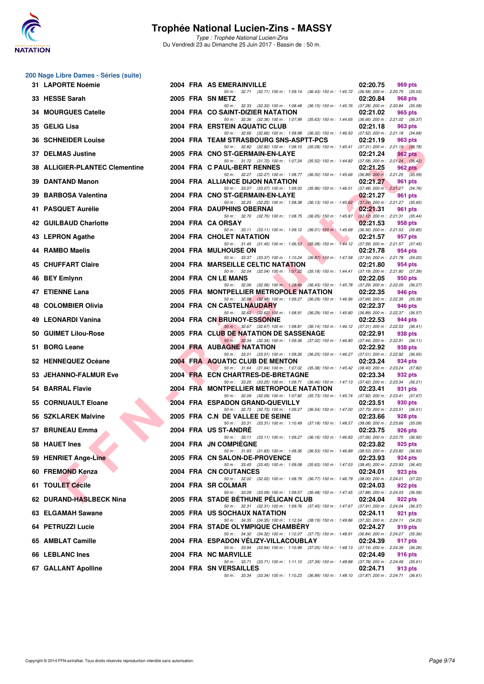

Type : Trophée National Lucien-Zins Du Vendredi 23 au Dimanche 25 Juin 2017 - Bassin de : 50 m.

#### **200 Nage Libre Dames - Séries (suite)**

| <b>31 LAPORTE Noémie</b>       |  | 2004 FRA AS EMERAINVILLE                                                                                                            | 02:20.75<br>969 pts                                        |  |
|--------------------------------|--|-------------------------------------------------------------------------------------------------------------------------------------|------------------------------------------------------------|--|
| 33 HESSE Sarah                 |  | 50 m: 32.71 (32.71) 100 m: 1:09.14 (36.43) 150 m: 1:45.72 (36.58) 200 m: 2:20.75 (35.03)<br>2005 FRA SN METZ                        | 02:20.84<br>968 pts                                        |  |
| <b>34 MOURGUES Catelle</b>     |  | 50 m: 32.33 (32.33) 100 m: 1:08.48 (36.15) 150 m: 1:45.76 (37.28) 200 m: 2:20.84 (35.08)<br>2004 FRA CO SAINT-DIZIER NATATION       | 02:21.02<br>965 pts                                        |  |
| 35 GELIG Lisa                  |  | 50 m: 32.36 (32.36) 100 m: 1:07.99 (35.63) 150 m: 1:44.65 (36.66) 200 m: 2:21.02 (36.37)<br>2004 FRA ERSTEIN AQUATIC CLUB           | 02:21.18<br>963 pts                                        |  |
| <b>36 SCHNEIDER Louise</b>     |  | 50 m: 32.66 (32.66) 100 m: 1.08.98 (36.32) 150 m: 1.46.50 (37.52) 200 m: 2:21.18 (34.68)<br>2004 FRA TEAM STRASBOURG SNS-ASPTT-PCS  | 02:21.19<br>963 pts                                        |  |
| 37 DELMAS Justine              |  | 50 m: 32.82 (32.82) 100 m: 1:08.10 (35.28) 150 m: 1:45.41 (37.31) 200 m: 2:21.19 (35.78)<br>2005 FRA CNO ST-GERMAIN-EN-LAYE         | 02:21.24<br><b>962 pts</b>                                 |  |
| 38 ALLIGIER-PLANTEC Clementine |  | 50 m: 31.72 (31.72) 100 m: 1:07.24 (35.52) 150 m: 1:44.82 (37.58) 200 m: 2:21.24 (36.42)<br>2004 FRA C PAUL-BERT RENNES             | 02:21.25<br>962 pts                                        |  |
| 39 DANTAND Manon               |  | 50 m: 32.27 (32.27) 100 m: 1.08.77 (36.50) 150 m: 1.45.66 (36.89) 200 m: 2.21.25 (35.59)<br>2004 FRA ALLIANCE DIJON NATATION        | 02:21.27<br>961 pts                                        |  |
| 39 BARBOSA Valentina           |  | 50 m: 33.07 (33.07) 100 m: 1:09.03 (35.96) 150 m: 1:46.51 (37.48) 200 m: 2:21.27 (34.76)<br>2004 FRA CNO ST-GERMAIN-EN-LAYE         | 02:21.27<br>961 pts                                        |  |
| 41 PASQUET Aurélie             |  | 50 m: 32.25 (32.25) 100 m: 1:08.38 (36.13) 150 m: 1:45.62 (37.24) 200 m: 2:21.27 (35.65)<br>2004 FRA DAUPHINS OBERNAI               | 02:21.31<br>961 pts                                        |  |
| 42 GUILBAUD Charlotte          |  | 50 m: 32.70 (32.70) 100 m: 1:08.75 (36.05) 150 m: 1:45.87<br>2004 FRA CA ORSAY                                                      | $(37.12)$ 200 m : 2:21.31 $(35.44)$<br>02:21.53<br>958 pts |  |
| 43 LEPRON Agathe               |  | 50 m: 33.11 (33.11) 100 m: 1:09.12 (36.01) 150 m: 1:45.68<br>2004 FRA CHOLET NATATION                                               | $(36.56)$ 200 m : 2:21.53 $(35.85)$<br>02:21.57<br>957 pts |  |
| 44 RAMBO Maelis                |  | 50 m: 31.45 (31.45) 100 m: 1:06.53 (35.08) 150 m: 1:44.12 (37.59) 200 m: 2:21.57 (37.45)<br>2004 FRA MULHOUSE ON                    | 02:21.78<br>954 pts                                        |  |
| 45 CHUFFART Claire             |  | 50 m: 33.37 (33.37) 100 m: 1:10.24 (36.87) 150 m: 1:47.58 (37.34) 200 m: 2:21.78 (34.20)<br>2004 FRA MARSEILLE CELTIC NATATION      | 02:21.80<br>954 pts                                        |  |
| 46 BEY Emlynn                  |  | 50 m: 32.04 (32.04) 100 m: 1:07.22 (35.18) 150 m: 1:44.41 (37.19) 200 m: 2:21.80 (37.39)<br>2004 FRA CN LE MANS                     | 02:22.05<br>950 pts                                        |  |
| 47 ETIENNE Lana                |  | 50 m: 32.06 (32.06) 100 m: 1:08.49 (36.43) 150 m: 1:45.78 (37.29) 200 m: 2:22.05 (36.27)<br>2005 FRA MONTPELLIER METROPOLE NATATION | 02:22.35<br>946 pts                                        |  |
| <b>48 COLOMBIER Olivia</b>     |  | 50 m: 32.98 (32.98) 100 m: 1:09.27 (36.29) 150 m: 1:46.96 (37.69) 200 m: 2:22.35 (35.39)<br>2004 FRA CN CASTELNAUDARY               | 02:22.37<br>946 pts                                        |  |
| 49 LEONARDI Vanina             |  | 50 m: 32.62 (32.62) 100 m: 1:08.91 (36.29) 150 m: 1:45.80 (36.89) 200 m: 2:22.37 (36.57)<br>2004 FRA CN BRUNOY-ESSONNE              | 02:22.53<br>944 pts                                        |  |
| 50 GUIMET Lilou-Rose           |  | 50 m: 32.67 (32.67) 100 m: 1:08.81 (36.14) 150 m: 1:46.12 (37.31) 200 m: 2:22.53 (36.41)<br>2005 FRA CLUB DE NATATION DE SASSENAGE  | 02:22.91<br>938 pts                                        |  |
| 51 BORG Leane                  |  | 50 m: 32.34 (32.34) 100 m: 1:09.36 (37.02) 150 m: 1:46.80 (37.44) 200 m: 2:22.91 (36.11)<br>2004 FRA AUBAGNE NATATION               | 02:22.92<br>938 pts                                        |  |
| 52 HENNEQUEZ Océane            |  | 50 m: 33.01 (33.01) 100 m: 1:09.26 (36.25) 150 m: 1:46.27 (37.01) 200 m: 2:22.92 (36.65)<br>2004 FRA AQUATIC CLUB DE MENTON         | 02:23.24<br>934 pts                                        |  |
| 53 JEHANNO-FALMUR Eve          |  | 50 m: 31.64 (31.64) 100 m: 1:07.02 (35.38) 150 m: 1:45.42 (38.40) 200 m: 2:23.24 (37.82)<br>2004 FRA ECN CHARTRES-DE-BRETAGNE       | 02:23.34<br>932 pts                                        |  |
| 54 BARRAL Flavie               |  | 50 m: 33.25 (33.25) 100 m: 1:09.71 (36.46) 150 m: 1:47.13 (37.42) 200 m: 2:23.34 (36.21)<br>2004 FRA MONTPELLIER METROPOLE NATATION | 02:23.41<br>931 pts                                        |  |
| 55 CORNUAULT Eloane            |  | 50 m: 32.09 (32.09) 100 m: 1:07.82 (35.73) 150 m: 1:45.74 (37.92) 200 m: 2:23.41 (37.67)<br>2004 FRA ESPADON GRAND-QUEVILLY         | 02:23.51<br>930 pts                                        |  |
| 56 SZKLAREK Malvine            |  | 50 m: 32.73 (32.73) 100 m: 1:09.27 (36.54) 150 m: 1:47.00 (37.73) 200 m: 2:23.51 (36.51)<br>2005 FRA C.N DE VALLEE DE SEINE         | 02:23.66<br>928 pts                                        |  |
| 57 BRUNEAU Emma                |  | 50 m: 33.31 (33.31) 100 m: 1:10.49 (37.18) 150 m: 1:48.57 (38.08) 200 m: 2:23.66 (35.09)<br>2004 FRA US ST-ANDRE                    | 02:23.75<br>926 pts                                        |  |
| 58 HAUET Ines                  |  | 50 m: 33.11 (33.11) 100 m: 1:09.27 (36.16) 150 m: 1:46.83<br>2004 FRA JN COMPIEGNE                                                  | $(37.56)$ 200 m : 2:23.75 $(36.92)$<br>02:23.82<br>925 pts |  |
| 59 HENRIET Ange-Line           |  | 50 m : 31.83 (31.83) 100 m : 1:08.36<br>(36.53) 150 m : 1:46.89<br>2005 FRA CN SALON-DE-PROVENCE                                    | $(38.53)$ 200 m : 2:23.82 $(36.93)$<br>02:23.93<br>924 pts |  |
| 60 FREMOND Kenza               |  | 50 m: 33.45 (33.45) 100 m: 1:09.08 (35.63) 150 m: 1:47.53<br>2004 FRA CN COUTANCES                                                  | $(38.45)$ 200 m : 2:23.93 $(36.40)$<br>02:24.01<br>923 pts |  |
| 61 TOULET Cécile               |  | 50 m: 32.02 (32.02) 100 m: 1:08.79 (36.77) 150 m: 1:46.79<br>2004 FRA SR COLMAR                                                     | $(38.00)$ 200 m : 2:24.01 $(37.22)$<br>02:24.03<br>922 pts |  |
| 62 DURAND-HASLBECK Nina        |  | 50 m: 33.09 (33.09) 100 m: 1:09.57 (36.48) 150 m: 1:47.45 (37.88) 200 m: 2:24.03 (36.58)<br>2005 FRA STADE BETHUNE PELICAN CLUB     | 02:24.04<br>922 pts                                        |  |
| 63 ELGAMAH Sawane              |  | 50 m: 32.31 (32.31) 100 m: 1:09.76 (37.45) 150 m: 1:47.67 (37.91) 200 m: 2:24.04 (36.37)<br>2005 FRA US SOCHAUX NATATION            | 02:24.11<br>921 pts                                        |  |
| 64 PETRUZZI Lucie              |  | 50 m: 34.35 (34.35) 100 m: 1:12.54 (38.19) 150 m: 1:49.86<br>2004 FRA STADE OLYMPIQUE CHAMBERY                                      | $(37.32)$ 200 m : 2:24.11 $(34.25)$<br>02:24.27<br>919 pts |  |
| 65 AMBLAT Camille              |  | 50 m: 34.32 (34.32) 100 m: 1:12.07 (37.75) 150 m: 1:48.91 (36.84) 200 m: 2:24.27 (35.36)<br>2004 FRA ESPADON VELIZY-VILLACOUBLAY    | 02:24.39<br>917 pts                                        |  |
| 66 LEBLANC Ines                |  | 50 m: 33.94 (33.94) 100 m: 1:10.99 (37.05) 150 m: 1:48.13 (37.14) 200 m: 2:24.39 (36.26)<br>2004 FRA NC MARVILLE                    | 02:24.49<br>916 pts                                        |  |
| 67 GALLANT Apolline            |  | 50 m: 33.71 (33.71) 100 m: 1:11.10 (37.39) 150 m: 1:48.88 (37.78) 200 m: 2:24.49 (35.61)<br>2004 FRA SN VERSAILLES                  | 02:24.71<br>913 pts                                        |  |
|                                |  | 50 m: 33.34 (33.34) 100 m: 1:10.23 (36.89) 150 m: 1:48.10 (37.87) 200 m: 2:24.71 (36.61)                                            |                                                            |  |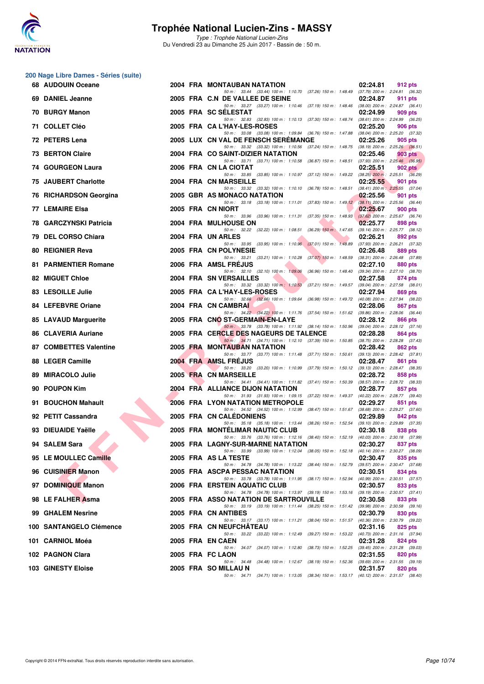

**200 Nage Libre Dames - Séries (suite)**

## **Trophée National Lucien-Zins - MASSY**

|     | 68 AUDOUIN Oceane           |  | 2004 FRA MONTAUBAN NATATION                                                                                                         | 02:24.81 | 912 pts                                        |
|-----|-----------------------------|--|-------------------------------------------------------------------------------------------------------------------------------------|----------|------------------------------------------------|
|     | 69 DANIEL Jeanne            |  | 50 m: 33.44 (33.44) 100 m: 1:10.70 (37.26) 150 m: 1:48.49 (37.79) 200 m: 2:24.81 (36.32)<br>2005 FRA C.N DE VALLEE DE SEINE         | 02:24.87 | 911 pts                                        |
|     | 70 BURGY Manon              |  | 50 m: 33.27 (33.27) 100 m: 1:10.46 (37.19) 150 m: 1:48.46 (38.00) 200 m: 2:24.87 (36.41)<br>2005 FRA SC SELESTAT                    | 02:24.99 | 909 pts                                        |
|     | 71 COLLET Cléo              |  | 50 m: 32.83 (32.83) 100 m: 1:10.13 (37.30) 150 m: 1:48.74<br>2005 FRA CA L'HAY-LES-ROSES                                            | 02:25.20 | $(38.61)$ 200 m : 2:24.99 $(36.25)$<br>906 pts |
|     | 72 PETERS Lena              |  | 50 m: 33.08 (33.08) 100 m: 1:09.84 (36.76) 150 m: 1:47.88 (38.04) 200 m: 2:25.20 (37.32)<br>2005 LUX CN VAL DE FENSCH SEREMANGE     | 02:25.26 | 905 pts                                        |
|     | <b>73 BERTON Claire</b>     |  | 50 m: 33.32 (33.32) 100 m: 1:10.56 (37.24) 150 m: 1:48.75 (38.19) 200 m: 2:25.26 (36.51)<br>2004 FRA CO SAINT-DIZIER NATATION       | 02:25.46 | 903 pts                                        |
|     | 74 GOURGEON Laura           |  | 50 m: 33.71 (33.71) 100 m: 1:10.58 (36.87) 150 m: 1:48.51 (37.93) 200 m: 2:25.46 (36.95)<br>2006 FRA CN LA CIOTAT                   | 02:25.51 | 902 pts                                        |
|     | 75 JAUBERT Charlotte        |  | 50 m: 33.85 (33.85) 100 m: 1:10.97 (37.12) 150 m: 1:49.22 (38.25) 200 m: 2:25.51 (36.29)<br>2004 FRA CN MARSEILLE                   | 02:25.55 | 901 pts                                        |
|     | 76 RICHARDSON Georgina      |  | 50 m: 33.32 (33.32) 100 m: 1:10.10 (36.78) 150 m: 1:48.51<br>2005 GBR AS MONACO NATATION                                            | 02:25.56 | $(38.41)$ 200 m : 2:25.55 $(37.04)$<br>901 pts |
|     | 77 LEMAIRE Elsa             |  | 50 m: 33.18 (33.18) 100 m: 1:11.01 (37.83) 150 m: 1:49.12<br>2005 FRA CN NIORT                                                      | 02:25.67 | $(38.11)$ 200 m : 2:25.56 $(36.44)$<br>900 pts |
|     | 78 GARCZYNSKI Patricia      |  | 50 m: 33.96 (33.96) 100 m: 1:11.31 (37.35) 150 m: 1:48.93<br>2004 FRA MULHOUSE ON                                                   | 02:25.77 | $(37.62)$ 200 m : 2:25.67 $(36.74)$<br>898 pts |
|     | 79 DEL CORSO Chiara         |  | 50 m : 32.22 (32.22) 100 m : 1:08.51 (36.29) 150 m : 1:47.65<br>2004 FRA UN ARLES                                                   | 02:26.21 | (39.14) 200 m : 2:25.77 (38.12)<br>892 pts     |
|     | <b>80 REIGNIER Reva</b>     |  | 50 m: 33.95 (33.95) 100 m: 1:10.96 (37.01) 150 m: 1:48.89<br>2005 FRA CN POLYNESIE                                                  | 02:26.48 | $(37.93)$ 200 m : 2:26.21 $(37.32)$<br>889 pts |
|     | <b>81 PARMENTIER Romane</b> |  | 50 m : 33.21 (33.21) 100 m : 1:10.28 (37.07) 150 m : 1:48.59<br>2006 FRA AMSL FREJUS                                                | 02:27.10 | $(38.31)$ 200 m : 2:26.48 $(37.89)$<br>880 pts |
|     | 82 MIGUET Chloe             |  | 50 m : 32.10 (32.10) 100 m : 1:09.06 (36.96) 150 m : 1:48.40<br>2004 FRA SN VERSAILLES                                              | 02:27.58 | $(39.34)$ 200 m : 2:27.10 $(38.70)$<br>874 pts |
|     | 83 LESOILLE Julie           |  | 50 m: 33.32 (33.32) 100 m: 1:10.53 (37.21) 150 m: 1:49.57<br>2005 FRA CA L'HAY-LES-ROSES                                            | 02:27.94 | $(39.04)$ 200 m : 2:27.58 $(38.01)$<br>869 pts |
|     | <b>84 LEFEBVRE Oriane</b>   |  | 50 m: 32.66 (32.66) 100 m: 1:09.64 (36.98) 150 m: 1:49.72 (40.08) 200 m: 2:27.94 (38.22)<br>2004 FRA CN CAMBRAI                     | 02:28.06 | 867 pts                                        |
|     | 85 LAVAUD Marguerite        |  | 50 m: 34.22 (34.22) 100 m: 1:11.76 (37.54) 150 m: 1:51.62 (39.86) 200 m: 2:28.06 (36.44)<br>2005 FRA CNO ST-GERMAIN-EN-LAYE         | 02:28.12 | 866 pts                                        |
|     | 86 CLAVERIA Auriane         |  | 50 m: 33.78 (33.78) 100 m: 1:11.92 (38.14) 150 m: 1:50.96 (39.04) 200 m: 2:28.12 (37.16)<br>2005 FRA CERCLE DES NAGEURS DE TALENCE  | 02:28.28 | 864 pts                                        |
|     | 87 COMBETTES Valentine      |  | 50 m: 34.71 (34.71) 100 m: 1:12.10 (37.39) 150 m: 1:50.85 (38.75) 200 m: 2:28.28 (37.43)<br>2005 FRA MONTAUBAN NATATION             | 02:28.42 | 862 pts                                        |
|     | 88 LEGER Camille            |  | 50 m: 33.77 (33.77) 100 m: 1:11.48 (37.71) 150 m: 1:50.61 (39.13) 200 m: 2:28.42 (37.81)<br>2004 FRA AMSL FREJUS                    | 02:28.47 | 861 pts                                        |
| 89. | <b>MIRACOLO Julie</b>       |  | 50 m: 33.20 (33.20) 100 m: 1:10.99 (37.79) 150 m: 1:50.12 (39.13) 200 m: 2:28.47 (38.35)<br>2005 FRA CN MARSEILLE                   | 02:28.72 | 858 pts                                        |
|     | 90 POUPON Kim               |  | 50 m: 34.41 (34.41) 100 m: 1:11.82 (37.41) 150 m: 1:50.39 (38.57) 200 m: 2:28.72 (38.33)<br>2004 FRA ALLIANCE DIJON NATATION        | 02:28.77 | 857 pts                                        |
| 91  | <b>BOUCHON Mahault</b>      |  | 50 m: 31.93 (31.93) 100 m: 1:09.15 (37.22) 150 m: 1:49.37 (40.22) 200 m: 2:28.77 (39.40)<br><b>2006 FRA LYON NATATION METROPOLE</b> | 02:29.27 | 851 pts                                        |
|     | 92 PETIT Cassandra          |  | 50 m: 34.52 (34.52) 100 m: 1:12.99 (38.47) 150 m: 1:51.67 (38.68) 200 m: 2:29.27 (37.60)<br>2005 FRA CN CALEDONIENS                 | 02:29.89 | 842 pts                                        |
|     | 93 DIEUAIDE Yaëlle          |  | 50 m: 35.18 (35.18) 100 m: 1:13.44 (38.26) 150 m: 1:52.54 (39.10) 200 m: 2:29.89 (37.35)<br>2005 FRA MONTÉLIMAR NAUTIC CLUB         | 02:30.18 | 838 pts                                        |
|     | 94 SALEM Sara               |  | 50 m: 33.76 (33.76) 100 m: 1:12.16 (38.40) 150 m: 1:52.19 (40.03) 200 m: 2:30.18 (37.99)<br>2005 FRA LAGNY-SUR-MARNE NATATION       | 02:30.27 | 837 pts                                        |
|     | 95 LE MOULLEC Camille       |  | 50 m: 33.99 (33.99) 100 m: 1:12.04 (38.05) 150 m: 1:52.18 (40.14) 200 m: 2:30.27 (38.09)<br>2005 FRA AS LA TESTE                    | 02:30.47 | 835 pts                                        |
|     | 96 CUISINIER Manon          |  | 50 m: 34.78 (34.78) 100 m: 1:13.22 (38.44) 150 m: 1:52.79 (39.57) 200 m: 2:30.47 (37.68)<br>2005 FRA ASCPA PESSAC NATATION          | 02:30.51 | 834 pts                                        |
|     | 97 DOMINIQUE Manon          |  | 50 m: 33.78 (33.78) 100 m: 1:11.95 (38.17) 150 m: 1:52.94 (40.99) 200 m: 2:30.51 (37.57)<br>2006 FRA ERSTEIN AQUATIC CLUB           | 02:30.57 | 833 pts                                        |
|     | 98 LE FALHER Asma           |  | 50 m: 34.78 (34.78) 100 m: 1:13.97 (39.19) 150 m: 1:53.16 (39.19) 200 m: 2:30.57 (37.41)<br>2005 FRA ASSO NATATION DE SARTROUVILLE  | 02:30.58 | 833 pts                                        |
|     | 99 GHALEM Nesrine           |  | 50 m: 33.19 (33.19) 100 m: 1:11.44 (38.25) 150 m: 1:51.42 (39.98) 200 m: 2:30.58 (39.16)<br>2005 FRA CN ANTIBES                     | 02:30.79 | 830 pts                                        |
|     | 100 SANTANGELO Clémence     |  | 50 m: 33.17 (33.17) 100 m: 1:11.21 (38.04) 150 m: 1:51.57 (40.36) 200 m: 2:30.79 (39.22)<br>2005 FRA CN NEUFCHATEAU                 | 02:31.16 | 825 pts                                        |
|     | 101 CARNIOL Moéa            |  | 50 m: 33.22 (33.22) 100 m: 1:12.49 (39.27) 150 m: 1:53.22 (40.73) 200 m: 2:31.16 (37.94)<br>2005 FRA EN CAEN                        | 02:31.28 | 824 pts                                        |
|     | 102 PAGNON Clara            |  | 50 m: 34.07 (34.07) 100 m: 1:12.80 (38.73) 150 m: 1:52.25<br>2005 FRA FC LAON                                                       | 02:31.55 | (39.45) 200 m : 2:31.28 (39.03)<br>820 pts     |
|     | 103 GINESTY Eloise          |  | 50 m: 34.48 (34.48) 100 m: 1:12.67 (38.19) 150 m: 1:52.36 (39.69) 200 m: 2:31.55 (39.19)<br>2005 FRA SO MILLAU N                    | 02:31.57 | 820 pts                                        |
|     |                             |  | 50 m: 34.71 (34.71) 100 m: 1:13.05 (38.34) 150 m: 1:53.17 (40.12) 200 m: 2:31.57 (38.40)                                            |          |                                                |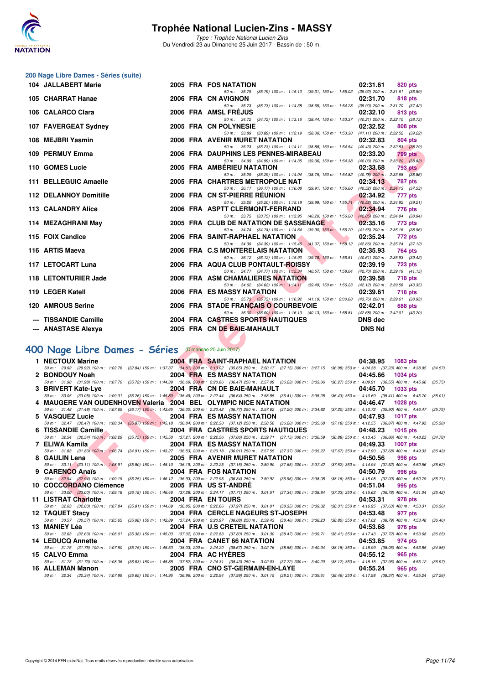

Type : Trophée National Lucien-Zins Du Vendredi 23 au Dimanche 25 Juin 2017 - Bassin de : 50 m.

#### **200 Nage Libre Dames - Séries (suite)**

|   | 104 JALLABERT Marie                                             | 2005 FRA FOS NATATION                                                                                                                                                                                                 | 02:31.61<br>820 pts                                        |
|---|-----------------------------------------------------------------|-----------------------------------------------------------------------------------------------------------------------------------------------------------------------------------------------------------------------|------------------------------------------------------------|
|   | 105 CHARRAT Hanae                                               | 50 m: 35.79 (35.79) 100 m: 1:15.10 (39.31) 150 m: 1:55.02 (39.92) 200 m: 2:31.61 (36.59)<br>2006 FRA CN AVIGNON                                                                                                       | 02:31.70<br>818 pts                                        |
|   | 106 CALARCO Clara                                               | 50 m: 35.73 (35.73) 100 m: 1:14.38 (38.65) 150 m: 1:54.28 (39.90) 200 m: 2:31.70 (37.42)<br>2006 FRA AMSL FREJUS                                                                                                      | 02:32.10<br>813 pts                                        |
|   | 107 FAVERGEAT Sydney                                            | 50 m: 34.72 (34.72) 100 m: 1:13.16 (38.44) 150 m: 1:53.37 (40.21) 200 m: 2:32.10 (38.73)<br>2005 FRA CN POLYNESIE                                                                                                     | 02:32.52<br>808 pts                                        |
|   |                                                                 | 50 m: 33.89 (33.89) 100 m: 1:12.19 (38.30) 150 m: 1:53.30 (41.11) 200 m: 2:32.52 (39.22)                                                                                                                              |                                                            |
|   | 108 MEJBRI Yasmin                                               | <b>2006 FRA AVENIR MURET NATATION</b><br>50 m: 35.23 (35.23) 100 m: 1:14.11 (38.88) 150 m: 1:54.54 (40.43) 200 m: 2:32.83 (38.29)                                                                                     | 02:32.83<br>804 pts                                        |
|   | 109 PERMUY Emma                                                 | 2006 FRA DAUPHINS LES PENNES-MIRABEAU<br>50 m: 34.99 (34.99) 100 m: 1:14.35 (39.36) 150 m: 1:54.38 (40.03) 200 m: 2:33.20 (38.82)                                                                                     | 02:33.20<br><b>799 pts</b>                                 |
|   | 110 GOMES Lucie                                                 | 2005 FRA AMBERIEU NATATION                                                                                                                                                                                            | 02:33.68<br>793 pts                                        |
|   | 111 BELLEGUIC Amaelle                                           | 50 m: 35.29 (35.29) 100 m: 1:14.04 (38.75) 150 m: 1:54.82 (40.78) 200 m: 2:33.68 (38.86)<br>2005 FRA CHARTRES METROPOLE NAT                                                                                           | 02:34.13<br><b>787 pts</b>                                 |
|   | <b>112 DELANNOY Domitille</b>                                   | 50 m: 36.17 (36.17) 100 m: 1:16.08 (39.91) 150 m: 1:56.60<br>2006 FRA CN ST-PIERRE REUNION                                                                                                                            | $(40.52)$ 200 m : 2:34.13 $(37.53)$<br>02:34.92<br>777 pts |
|   |                                                                 | 50 m: 35.20 (35.20) 100 m: 1:15.19 (39.99) 150 m: 1:55.71 (40.52) 200 m: 2:34.92 (39.21)                                                                                                                              |                                                            |
|   | 113 CALANDRY Alice                                              | 2006 FRA ASPTT CLERMONT-FERRAND<br>50 m: 33.75 (33.75) 100 m: 1:13.95 (40.20) 150 m: 1:56.00                                                                                                                          | 02:34.94<br>776 pts<br>$(42.05)$ 200 m : 2:34.94 (38.94)   |
|   | 114 MEZAGHRANI May                                              | 2005 FRA CLUB DE NATATION DE SASSENAGE                                                                                                                                                                                | 02:35.16<br>773 pts                                        |
|   | 115 FOIX Candice                                                | 50 m: 34.74 (34.74) 100 m: 1:14.64 (39.90) 150 m: 1:56.20 (41.56) 200 m: 2:35.16 (38.96)<br>2006 FRA SAINT-RAPHAEL NATATION                                                                                           | 02:35.24<br>772 pts                                        |
|   |                                                                 | 50 m: 34.39 (34.39) 100 m: 1:15.46 (41.07) 150 m: 1:58.12 (42.66) 200 m: 2:35.24 (37.12)                                                                                                                              |                                                            |
|   | 116 ARTIS Maeva                                                 | 2006 FRA C.S MONTERELAIS NATATION<br>50 m: 36.12 (36.12) 100 m: 1:15.90 (39.78) 150 m: 1:56.51 (40.61) 200 m: 2:35.93 (39.42)                                                                                         | 02:35.93<br>764 pts                                        |
|   | 117 LETOCART Luna                                               | 2006 FRA AQUA CLUB PONTAULT-ROISSY                                                                                                                                                                                    | 02:39.19<br><b>723 pts</b>                                 |
|   | 118 LETONTURIER Jade                                            | 50 m: 34.77 (34.77) 100 m: 1:15.34 (40.57) 150 m: 1:58.04 (42.70) 200 m: 2:39.19 (41.15)<br>2006 FRA ASM CHAMALIERES NATATION                                                                                         | 02:39.58<br><b>718 pts</b>                                 |
|   | 119 LEGER Katell                                                | 50 m: 34.62 (34.62) 100 m: 1:14.11 (39.49) 150 m: 1:56.23 (42.12) 200 m: 2:39.58 (43.35)<br>2006 FRA ES MASSY NATATION                                                                                                | 02:39.61<br><b>718 pts</b>                                 |
|   |                                                                 | 50 m: 35.73 (35.73) 100 m: 1:16.92 (41.19) 150 m: 2:00.68 (43.76) 200 m: 2:39.61 (38.93)                                                                                                                              |                                                            |
|   | 120 AMROUS Serine                                               | 2006 FRA STADE FRANCAIS O COURBEVOIE<br>50 m: 36.00 (36.00) 100 m: 1:16.13 (40.13) 150 m: 1:58.81 (42.68) 200 m: 2:42.01 (43.20)                                                                                      | 02:42.01<br>688 pts                                        |
|   | --- TISSANDIE Camille                                           | 2004 FRA CASTRES SPORTS NAUTIQUES                                                                                                                                                                                     | <b>DNS dec</b>                                             |
|   | --- ANASTASE Alexya                                             | 2005 FRA CN DE BAIE-MAHAULT                                                                                                                                                                                           | <b>DNS Nd</b>                                              |
|   |                                                                 |                                                                                                                                                                                                                       |                                                            |
|   | 400 Nage Libre Dames - Séries (Dimanche 25 Juin 2017)           |                                                                                                                                                                                                                       |                                                            |
|   | 1 NECTOUX Marine                                                | 2004 FRA SAINT-RAPHAEL NATATION                                                                                                                                                                                       | 04:38.95<br>1083 pts                                       |
|   | 2 BONDOUY Noah                                                  | 50 m: 29.92 (29.92) 100 m: 1:02.76 (32.84) 150 m: 1:37.37 (34.61) 200 m: 2:13.02 (35.65) 250 m: 2:50.17 (37.15) 300 m: 3:27.15 (36.98) 350 m: 4:04.38 (37.23) 400 m: 4:38.95 (3<br>2004 FRA ES MASSY NATATION         | 04:45.66<br><b>1034 pts</b>                                |
|   |                                                                 | 50 m: 31.98 (31.98) 100 m: 1:07.70 (35.72) 150 m: 1:44.39 (36.69) 200 m: 2:20.86 (36.47) 250 m: 2:57.09 (36.23) 300 m: 3:33.36 (36.27) 350 m: 4:09.91 (36.55) 400 m: 4:45.66 (3.                                      |                                                            |
|   | 3 BRIVERT Kate-Lye                                              | 2004 FRA CN DE BAIE-MAHAULT<br>50 m: 33.05 (33.05) 100 m: 1:09.31 (36.26) 150 m: 1:45.80 (36.49) 200 m: 2:22.44 (36.64) 250 m: 2:58.85 (36.41) 300 m: 3:35.28 (36.43) 350 m: 4:10.69 (35.41) 400 m: 4:45.70 (3        | 04:45.70<br>1033 pts                                       |
|   | 4 MAUGERE VAN OUDENHOVEN Valeria 2004 BEL OLYMPIC NICE NATATION |                                                                                                                                                                                                                       | 04:46.47<br><b>1028 pts</b>                                |
|   |                                                                 | 50 m: 31.48 (31.48) 100 m: 1:07.65 (36.17) 150 m: 1:43.65 (36.00) 200 m: 2:20.42 (36.77) 250 m: 2:57.62 (37.20) 300 m: 3:34.82 (37.20) 350 m: 4:10.72 (35.90) 400 m: 4:46.47 (3:                                      |                                                            |
|   | 5 VASQUEZ Lucie                                                 | <b>2004 FRA ES MASSY NATATION</b><br>50 m: 32.47 (32.47) 100 m: 1:08.34 (35.87) 150 m: 1:45.18 (36.84) 200 m: 2:22.30 (37.12) 250 m: 2:58.50 (36.20) 300 m: 3:35.68 (37.18) 350 m: 4:12.55 (36.87) 400 m: 4:47.93 (3. | 04:47.93<br><b>1017 pts</b>                                |
| 6 | <b>TISSANDIE Camille</b>                                        | <b>2004 FRA CASTRES SPORTS NAUTIQUES</b>                                                                                                                                                                              | 04:48.23<br><b>1015 pts</b>                                |
|   | 7 ELIWA Kamila                                                  | 50 m: 32.54 (32.54) 100 m: 1:08.29 (35.75) 150 m: 1:45.50 (37.21) 200 m: 2:22.56 (37.06) 250 m: 2:59.71 (37.15) 300 m: 3:36.59 (36.88) 350 m: 4:13.45 (36.86) 400 m: 4:48.23 (3.<br>2004 FRA ES MASSY NATATION        | 04:49.33<br><b>1007 pts</b>                                |
|   |                                                                 | 50 m: 31.83 (31.83) 100 m: 1:06.74 (34.91) 150 m: 1:43.27 (36.53) 200 m: 2:20.18 (36.91) 250 m: 2:57.55 (37.37) 300 m: 3:35.22 (37.67) 350 m: 4:12.90 (37.68) 400 m: 4:49.33 (31                                      |                                                            |
|   | 8 GAULIN Lena                                                   | 2005 FRA AVENIR MURET NATATION                                                                                                                                                                                        | 04:50.56<br><b>998 pts</b>                                 |
|   | 9 CARENCO Anaïs                                                 | 50 m: 33.11 (33.11) 100 m: 1.08.91 (35.80) 150 m: 1.45.10 (36.19) 200 m: 2:22.25 (37.15) 250 m: 2:59.90 (37.65) 300 m: 3:37.42 (37.52) 350 m: 4:14.94 (37.52) 400 m: 4:50.56 (3<br>2004 FRA FOS NATATION              | 04:50.79<br><b>996 pts</b>                                 |
|   |                                                                 | 50 m: 32.94 (32.94) 100 m: 1.09.19 (36.25) 150 m: 1.46.12 (36.93) 200 m: 2:22.96 (36.84) 250 m: 2:59.92 (36.96) 300 m: 3:38.08 (38.16) 350 m: 4:15.08 (37.00) 400 m: 4:50.79 (3.                                      |                                                            |
|   | 10 COCCORDANO Clémence                                          | 2005 FRA US ST-ANDRE<br>50 m: 33.00 (33.00) 100 m: 1:09.18 (36.18) 150 m: 1:46.46 (37.28) 200 m: 2:24.17 (37.71) 250 m: 3:01.51 (37.34) 300 m: 3:38.84 (37.33) 350 m: 4:15.62 (36.78) 400 m: 4:51.04 (3.              | 04:51.04<br>995 pts                                        |
|   | 11 LISTRAT Charlotte                                            | 2004 FRA EN TOURS                                                                                                                                                                                                     | 04:53.31<br><b>978 pts</b>                                 |

# **[400 Nage Libre Dames - Séries](http://www.ffnatation.fr/webffn/resultats.php?idact=nat&go=epr&idcpt=47287&idepr=4)** (Dimanche 25 Juin 2017)

| 1 NECTOUX Marine                                                                                                                                                                     |                                                                                                                                                                                      |                       | 2004 FRA SAINT-RAPHAEL NATATION       | 04:38.95 | 1083 pts        |         |
|--------------------------------------------------------------------------------------------------------------------------------------------------------------------------------------|--------------------------------------------------------------------------------------------------------------------------------------------------------------------------------------|-----------------------|---------------------------------------|----------|-----------------|---------|
| 50 m: 29.92 (29.92) 100 m: 1:02.76 (32.84) 150 m: 1:37.37 (34.61) 200 m: 2:13.02 (35.65) 250 m: 2:50.17 (37.15) 300 m: 3:27.15 (36.98) 350 m: 4:04.38 (37.23) 400 m: 4:38.95 (34.57) |                                                                                                                                                                                      |                       |                                       |          |                 |         |
| 2 BONDOUY Noah                                                                                                                                                                       |                                                                                                                                                                                      |                       | <b>2004 FRA ES MASSY NATATION</b>     | 04:45.66 | 1034 pts        |         |
| 50 m: 31.98 (31.98) 100 m: 1:07.70 (35.72) 150 m: 1:44.39 (36.69) 200 m: 2:20.86 (36.47) 250 m: 2:57.09 (36.23) 300 m: 3:33.36 (36.27) 350 m: 4:09.91 (36.55) 400 m: 4:45.66         |                                                                                                                                                                                      |                       |                                       |          |                 | (35.75) |
| 3 BRIVERT Kate-Lye                                                                                                                                                                   |                                                                                                                                                                                      |                       | 2004 FRA CN DE BAIE-MAHAULT           | 04:45.70 | 1033 pts        |         |
| 50 m: 33.05 (33.05) 100 m: 1:09.31 (36.26) 150 m: 1:45.80 (36.49) 200 m: 2:22.44 (36.64) 250 m: 2:58.85 (36.41) 300 m: 3:35.28 (36.43) 350 m: 4:10.69 (35.41) 400 m: 4:45.70         |                                                                                                                                                                                      |                       |                                       |          |                 | (35.01) |
| 4 MAUGERE VAN OUDENHOVEN Valeria 2004 BEL OLYMPIC NICE NATATION                                                                                                                      |                                                                                                                                                                                      |                       |                                       | 04:46.47 | <b>1028 pts</b> |         |
| 50 m: 31.48 (31.48) 100 m: 1:07.65 (36.17) 150 m: 1:43.65 (36.00) 200 m: 2:20.42 (36.77) 250 m: 2:57.62 (37.20) 300 m: 3:34.82 (37.20) 350 m: 4:10.72 (35.90) 400 m: 4:46.47 (35.75) |                                                                                                                                                                                      |                       |                                       |          |                 |         |
| 5 VASQUEZ Lucie                                                                                                                                                                      |                                                                                                                                                                                      |                       | 2004 FRA ES MASSY NATATION            | 04:47.93 | 1017 pts        |         |
| 50 m: 32.47 (32.47) 100 m: 1:08.34 (35.87) 150 m: 1:45.18 (36.84) 200 m: 2:22.30 (37.12) 250 m: 2:58.50 (36.20) 300 m: 3:35.68 (37.18) 350 m: 4:12.55 (36.87) 400 m: 4:47.93         |                                                                                                                                                                                      |                       |                                       |          |                 | (35.38) |
| 6 TISSANDIE Camille                                                                                                                                                                  |                                                                                                                                                                                      |                       | 2004 FRA CASTRES SPORTS NAUTIQUES     | 04:48.23 | <b>1015 pts</b> |         |
| 50 m: 32.54 (32.54) 100 m: 1:08.29 (35.75) 150 m: 1:45.50 (37.21) 200 m: 2:22.56 (37.06) 250 m: 2:59.71 (37.15) 300 m: 3:36.59 (36.88) 350 m: 4:13.45 (36.86) 400 m: 4:48.23         |                                                                                                                                                                                      |                       |                                       |          |                 | (34.78) |
| 7 ELIWA Kamila                                                                                                                                                                       |                                                                                                                                                                                      |                       | 2004 FRA ES MASSY NATATION            | 04:49.33 | <b>1007 pts</b> |         |
| 50 m: 31.83 (31.83) 100 m: 1:06.74 (34.91) 150 m: 1:43.27 (36.53) 200 m: 2:20.18 (36.91) 250 m: 2:57.55 (37.37) 300 m: 3:35.22 (37.67) 350 m: 4:12.90 (37.68) 400 m: 4:49.33         |                                                                                                                                                                                      |                       |                                       |          |                 | (36.43) |
| 8 GAULIN Lena                                                                                                                                                                        |                                                                                                                                                                                      |                       | <b>2005 FRA AVENIR MURET NATATION</b> | 04:50.56 | 998 pts         |         |
| 50 m: 33.11 (33.11) 100 m: 1:08.91 (35.80) 150 m: 1:45.10 (36.19) 200 m: 2:22.25 (37.15) 250 m: 2:59.90 (37.65) 300 m: 3:37.42 (37.52) 350 m: 4:14.94 (37.52) 400 m: 4:50.56         |                                                                                                                                                                                      |                       |                                       |          |                 | (35.62) |
| 9 CARENCO Anaïs                                                                                                                                                                      |                                                                                                                                                                                      | 2004 FRA FOS NATATION |                                       | 04:50.79 | 996 pts         |         |
| 50 m : 32.94 (32.94) 100 m : 1:09.19 (36.25) 150 m : 1:46.12 (36.93) 200 m : 2:22.96 (36.84) 250 m : 2:59.92 (36.96) 300 m : 3:38.08 (38.16) 350 m : 4:15.08 (37.00) 400 m : 4:50.79 |                                                                                                                                                                                      |                       |                                       |          |                 | (35.71) |
| 10 COCCORDANO Clémence                                                                                                                                                               |                                                                                                                                                                                      | 2005 FRA US ST-ANDRE  |                                       | 04:51.04 | 995 pts         |         |
| 50 m: 33.00 (33.00) 100 m: 1:09.18 (36.18) 150 m: 1:46.46 (37.28) 200 m: 2:24.17 (37.71) 250 m: 3:01.51 (37.34) 300 m: 3:38.84 (37.33) 350 m: 4:15.62 (36.78) 400 m: 4:51.04 (35.42) |                                                                                                                                                                                      |                       |                                       |          |                 |         |
| 11 LISTRAT Charlotte                                                                                                                                                                 |                                                                                                                                                                                      | 2004 FRA EN TOURS     |                                       | 04:53.31 | 978 pts         |         |
|                                                                                                                                                                                      |                                                                                                                                                                                      |                       |                                       |          |                 |         |
|                                                                                                                                                                                      | 50 m : 32.03 (32.03) 100 m : 1:07.84 (35.81) 150 m : 1:44.69 (36.85) 200 m : 2:22.66 (37.97) 250 m : 3:01.01 (38.35) 300 m : 3:39.32 (38.31) 350 m : 4:16.95 (37.63) 400 m : 4:53.31 |                       |                                       |          |                 | (36.36) |
| <b>12 TAQUET Stacv</b>                                                                                                                                                               |                                                                                                                                                                                      |                       | 2004 FRA CERCLE NAGEURS ST-JOSEPH     | 04:53.48 | 977 pts         |         |
| 50 m : 30.57 (30.57) 100 m : 1:05.65 (35.08) 150 m : 1:42.89 (37.24) 200 m : 2:20.97 (38.08) 250 m : 2:59.43 (38.46) 300 m : 3:38.23 (38.80) 350 m : 4:17.02 (38.79) 400 m : 4:53.48 |                                                                                                                                                                                      |                       |                                       |          |                 | (36.46) |
| 13 MANIEY Léa                                                                                                                                                                        |                                                                                                                                                                                      |                       | 2004 FRA U.S CRETEIL NATATION         | 04:53.68 | 976 pts         |         |
| 50 m: 32.63 (32.63) 100 m: 1:08.01 (35.38) 150 m: 1:45.03 (37.02) 200 m: 2:22.83 (37.80) 250 m: 3:01.30 (38.47) 300 m: 3:39.71 (38.41) 350 m: 4:17.43 (37.72) 400 m: 4:53.68         |                                                                                                                                                                                      |                       |                                       |          |                 | (36.25) |
| 14 LEDUCQ Annette                                                                                                                                                                    |                                                                                                                                                                                      |                       | 2004 FRA CANET 66 NATATION            | 04:53.85 | 974 pts         |         |
| 50 m: 31.75 (31.75) 100 m: 1:07.50 (35.75) 150 m: 1:45.53 (38.03) 200 m: 2:24.20 (38.67) 250 m: 3:02.76 (38.56) 300 m: 3:40.94 (38.18) 350 m: 4:18.99 (38.05) 400 m: 4:53.85         |                                                                                                                                                                                      |                       |                                       |          |                 | (34.86) |
| 15 CALVO Emma                                                                                                                                                                        |                                                                                                                                                                                      | 2004 FRA AC HYERES    |                                       | 04:55.12 | 965 pts         |         |
| 50 m: 31.73 (31.73) 100 m: 1:08.36 (36.63) 150 m: 1:45.88 (37.52) 200 m: 2:24.31 (38.43) 250 m: 3:02.03 (37.72) 300 m: 3:40.20 (38.17) 350 m: 4:18.15 (37.95) 400 m: 4:55.12 (36.97) |                                                                                                                                                                                      |                       |                                       |          |                 |         |
| 16 ALLEMAN Manon                                                                                                                                                                     |                                                                                                                                                                                      |                       | 2005 FRA CNO ST-GERMAIN-EN-LAYE       | 04:55.24 | 965 pts         |         |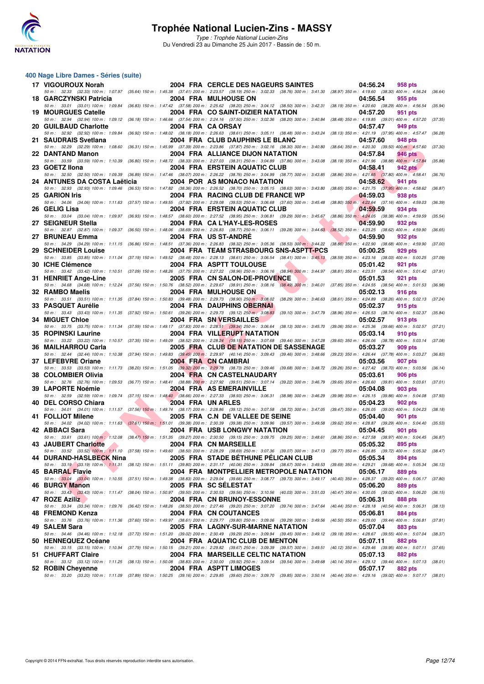

Type : Trophée National Lucien-Zins Du Vendredi 23 au Dimanche 25 Juin 2017 - Bassin de : 50 m.

#### **400 Nage Libre Dames - Séries (suite)**

| 17 VIGOUROUX Norah           |                   | 2004 FRA CERCLE DES NAGEURS SAINTES                                                                                                                                                                                             | 04:56.24                                                  | 958 pts            |         |
|------------------------------|-------------------|---------------------------------------------------------------------------------------------------------------------------------------------------------------------------------------------------------------------------------|-----------------------------------------------------------|--------------------|---------|
| 18 GARCZYNSKI Patricia       |                   | 50 m : 32.33 (32.33) 100 m : 1:07.97 (35.64) 150 m : 1:45.38 (37.41) 200 m : 2:23.57 (38.19) 250 m : 3:02.33 (38.76) 300 m : 3:41.30 (38.97) 350 m : 4:19.60 (38.30) 400 m : 4:56.24<br>2004 FRA MULHOUSE ON                    | 04:56.54                                                  | 955 pts            | (36.64) |
| 19 MOURGUES Catelle          |                   | 50 m: 33.01 (33.01) 100 m: 1:09.84 (36.83) 150 m: 1:47.42 (37.58) 200 m: 2:25.62 (38.20) 250 m: 3:04.12 (38.50) 300 m: 3:42.31 (38.19) 350 m: 4:20.60 (38.29) 400 m: 4:56.54 (35.94)<br>2004 FRA CO SAINT-DIZIER NATATION       | 04:57.20                                                  | 951 pts            |         |
| 20 GUILBAUD Charlotte        |                   | 50 m : 32.94 (32.94) 100 m : 1:09.12 (36.18) 150 m : 1:46.66 (37.54) 200 m : 2:24.16 (37.50) 250 m : 3:02.36 (38.20) 300 m : 3:40.84<br>2004 FRA CA ORSAY                                                                       | (38.48) 350 m: 4:19.85 (39.01) 400 m: 4:57.20<br>04:57.47 | 949 pts            | (37.35) |
|                              |                   | 50 m: 32.92 (32.92) 100 m: 1:09.84 (36.92) 150 m: 1:48.02 (38.18) 200 m: 2:26.63 (38.61) 250 m: 3:05.11 (38.48) 300 m: 3:43.24 (38.13) 350 m: 4:21.19 (37.95) 400 m: 4:57.47                                                    |                                                           |                    | (36.28) |
| 21 SAUDRAIS Svetlana         |                   | 2004 FRA CLUB DAUPHINS LE BLANC<br>50 m: 32.29 (32.29) 100 m: 1:08.60 (36.31) 150 m: 1:45.99 (37.39) 200 m: 2:23.86 (37.87) 250 m: 3:02.16 (38.30) 300 m: 3:40.80 (38.64) 350 m: 4:20.30 (39.50) 400 m: 4:57.60 (37.30)         | 04:57.60                                                  | 948 pts            |         |
| 22 DANTAND Manon             |                   | 2004 FRA ALLIANCE DIJON NATATION                                                                                                                                                                                                | 04:57.84                                                  | 946 pts            |         |
| 23 GOETZ Ilona               |                   | 50 m : 33.59 (33.59) 100 m : 1:10.39 (36.80) 150 m : 1:48.72 (38.33) 200 m : 2:27.03 (38.31) 250 m : 3:04.89 (37.86) 300 m : 3:43.08 (38.19) 350 m : 4:21.96 (38.88) 400 m : 4:57.84<br>2004 FRA ERSTEIN AQUATIC CLUB           | 04:58.41                                                  | 942 pts            | (35.88) |
| 24 ANTUNES DA COSTA Laëticia |                   | 50 m : 32.50 (32.50) 100 m : 1:09.39 (36.89) 150 m : 1:47.46 (38.07) 200 m : 2:26.22 (38.76) 250 m : 3:04.99 (38.77) 300 m : 3:43.85 (38.86) 350 m : 4:21.65 (37.80) 400 m : 4:58.41 (36.76)<br>2004 POR AS MONACO NATATION     | 04:58.62                                                  | 941 pts            |         |
|                              |                   | 50 m: 32.93 (32.93) 100 m: 1:09.46 (36.53) 150 m: 1:47.82 (38.36) 200 m: 2:26.52 (38.70) 250 m: 3:05.15 (38.63) 300 m: 3:43.80 (38.65) 350 m: 4:21.75 (37.95) 400 m: 4:58.62                                                    |                                                           | (36.87)            |         |
| 25 GARION Iris               |                   | 2004 FRA RACING CLUB DE FRANCE WP<br>50 m: 34.06 (34.06) 100 m: 1:11.63 (37.57) 150 m: 1:49.55 (37.92) 200 m: 2:29.08 (39.53) 250 m: 3:06.68 (37.60) 300 m: 3:45.48 (38.80) 350 m: 4:22.64 (37.16) 400 m: 4:59.03               | 04:59.03                                                  | 938 pts            | (36.39) |
| 26 GELIG Lisa                |                   | 2004 FRA ERSTEIN AQUATIC CLUB<br>50 m: 33.04 (33.04) 100 m: 1:09.97 (36.93) 150 m: 1:48.57 (38.60) 200 m: 2:27.52 (38.95) 250 m: 3:06.81 (39.29) 300 m: 3:45.67 (38.86) 350 m: 4:24.05 (38.38) 400 m: 4:59.59                   | 04:59.59                                                  | 934 pts            | (35.54) |
| 27 SEIGNEUR Stella           |                   | 2004 FRA CA L'HAY-LES-ROSES                                                                                                                                                                                                     | 04:59.90                                                  | 932 pts            |         |
| 27 BRUNEAU Emma              |                   | 50 m : 32.87 (32.87) 100 m : 1:09.37 (36.50) 150 m : 1:48.06 (38.69) 200 m : 2:26.83 (38.77) 250 m : 3:06.11 (39.28) 300 m : 3:44.63 (38.52) 350 m : 4:23.25 (38.62) 400 m : 4:59.90<br>2004 FRA US ST-ANDRE                    | 04:59.90                                                  | 932 pts            | (36.65) |
| 29 SCHNEIDER Louise          |                   | 50 m: 34.29 (34.29) 100 m: 1:11.15 (36.86) 150 m: 1:48.51 (37.36) 200 m: 2:26.83 (38.32) 250 m: 3:05.36 (38.53) 300 m: 3:44.22 (38.86) 350 m: 4:22.90 (38.68) 400 m: 4:59.90 (37.00)<br>2004 FRA TEAM STRASBOURG SNS-ASPTT-PCS  | 05:00.25                                                  | 929 pts            |         |
|                              |                   | 50 m: 33.85 (33.85) 100 m: 1:11.04 (37.19) 150 m: 1:49.52 (38.48) 200 m: 2:28.13 (38.61) 250 m: 3:06.54 (38.41) 300 m: 3:45.13 (38.59) 350 m: 4:23.16 (38.03) 400 m: 5:00.25                                                    |                                                           | (37.09)            |         |
| 30 ICHE Clémence             |                   | 2004 FRA ASPTT TOULOUSE<br>50 m: 33.42 (33.42) 100 m: 1:10.51 (37.09) 150 m: 1:48.26 (37.75) 200 m: 2:27.22 (38.96) 250 m: 3:06.16 (38.94) 300 m: 3:44.97 (38.81) 350 m: 4:23.51 (38.54) 400 m: 5:01.42 (37.91)                 | 05:01.42                                                  | 921 pts            |         |
| 31 HENRIET Ange-Line         |                   | 2005 FRA CN SALON-DE-PROVENCE<br>50 m: 34.68 (34.68) 100 m: 1:12.24 (37.56) 150 m: 1:50.76 (38.52) 200 m: 2:29.67 (38.91) 250 m: 3:08.16 (38.49) 300 m: 3:46.01 (37.85) 350 m: 4:24.55 (38.54) 400 m: 5:01.53                   | 05:01.53                                                  | <b>921 pts</b>     | (36.98) |
| 32 RAMBO Maelis              |                   | 2004 FRA MULHOUSE ON                                                                                                                                                                                                            | 05:02.13                                                  | 916 pts            |         |
| 33 PASQUET Aurélie           |                   | 50 m: 33.51 (33.51) 100 m: 1:11.35 (37.84) 150 m: 1:50.83 (39.48) 200 m: 2:29.73 (38.90) 250 m: 3:08.02 (38.29) 300 m: 3:46.63 (38.61) 350 m: 4:24.89 (38.26) 400 m: 5:02.13 (37.24)<br>2004 FRA DAUPHINS OBERNAI               | 05:02.37                                                  | 915 pts            |         |
| 34 MIGUET Chloe              |                   | 50 m : 33.43 (33.43) 100 m : 1:11.35 (37.92) 150 m : 1:50.61 (39.26) 200 m : 2:29.73 (39.12) 250 m : 3:08.83 (39.10) 300 m : 3:47.79 (38.96) 350 m : 4:26.53 (38.74) 400 m : 5:02.37 (35.84)<br>2004 FRA SN VERSAILLES          | 05:02.57                                                  | 913 pts            |         |
|                              |                   | 50 m: 33.75 (33.75) 100 m: 1:11.34 (37.59) 150 m: 1:49.17 (37.83) 200 m: 2:28.51 (39.34) 250 m: 3:06.64 (38.13) 300 m: 3:45.70 (39.06) 350 m: 4:25.36 (39.66) 400 m: 5:02.57 (37.21)                                            |                                                           |                    |         |
| 35 ROPINSKI Laurine          |                   | 2004 FRA VILLERUPT NATATION<br>50 m : 33.22 (33.22) 100 m : 1:10.57 (37.35) 150 m : 1:49.09 (38.52) 200 m : 2:28.24 (39.15) 250 m : 3:07.68 (39.44) 300 m : 3:47.28 (39.60) 350 m : 4:26.06 (38.78) 400 m : 5:03.14 (37.08)     | 05:03.14                                                  | 910 pts            |         |
| 36 MAILHARROU Carla          |                   | 2005 FRA CLUB DE NATATION DE SASSENAGE<br>50 m: 32.44 (32.44) 100 m: 1:10.38 (37.94) 150 m: 1:49.83 (39.45) 200 m: 2:29.97 (40.14) 250 m: 3:09.43 (39.46) 300 m: 3:48.66 (39.23) 350 m: 4:26.44 (37.78) 400 m: 5:03.27          | 05:03.27                                                  | 909 pts            | (36.83) |
| 37 LEFEBVRE Oriane           |                   | 2004 FRA CN CAMBRAI                                                                                                                                                                                                             | 05:03.56                                                  | 907 pts            |         |
| 38 COLOMBIER Olivia          |                   | 50 50 m: 33.53 (33.53) 100 m: 1:11.73 (38.20) 150 m: 1:51.05 (39.32) 200 m: 2:29.78 (38.73) 250 m: 3:09.46 (39.68) 300 m: 3:48.72 (39.26) 350 m: 4:27.42 (38.70) 400 m: 5:03.56<br>2004 FRA CN CASTELNAUDARY                    | 05:03.61                                                  | (36.14)<br>906 pts |         |
| 39 LAPORTE Noémie            |                   | 50 m: 32.76 (32.76) 100 m: 1:09.53 (36.77) 150 m: 1:48.41 (38.88) 200 m: 2:27.92 (39.51) 250 m: 3:07.14 (39.22) 300 m: 3:46.79 (39.65) 350 m: 4:26.60 (39.81) 400 m: 5:03.61<br>2004 FRA AS EMERAINVILLE                        | 05:04.08                                                  | 903 pts            | (37.01) |
|                              |                   | 50 m : 32.59 (32.59) 100 m : 1:09.74 (37.15) 150 m : 1:48.40 (38.66) 200 m : 2:27.33 (38.93) 250 m : 3:06.31 (38.98) 300 m : 3:46.29 (39.98) 350 m : 4:26.15 (39.86) 400 m : 5:04.08 (37.93)                                    |                                                           |                    |         |
| 40 DEL CORSO Chiara          | 2004 FRA UN ARLES | 50 m: 34.01 (34.01) 100 m: 1:11.57 (37.56) 150 m: 1:49.74 (38.17) 200 m: 2:28.86 (39.12) 250 m: 3:07.58 (38.72) 300 m: 3:47.05 (39.47) 350 m: 4:26.05 (39.00) 400 m: 5:04.23 (38.18)                                            | 05:04.23                                                  | 902 pts            |         |
| 41 FOLLIOT Milene            |                   | 2005 FRA C.N DE VALLEE DE SEINE<br>50 m : 34.02 (34.02) 100 m : 1:11.63 (37.61) 150 m : 1:51.01 (39.38) 200 m : 2:30.39 (39.38) 250 m : 3:09.96 (39.57) 300 m : 3:49.58 (39.62) 350 m : 4:28.87 (39.29) 400 m : 5:04.40 (35.53) | 05:04.40                                                  | 901 pts            |         |
| 42 ABBACI Sara               |                   | <b>2004 FRA USB LONGWY NATATION</b>                                                                                                                                                                                             | 05:04.45                                                  | 901 pts            |         |
| 43 JAUBERT Charlotte         |                   | 50 m: 33.61 (33.61) 100 m: 1:12.08 (38.47) 150 m: 1:51.35 (39.27) 200 m: 2:30.50 (39.15) 250 m: 3:09.75 (39.25) 300 m: 3:48.61 (38.86) 350 m: 4:27.58 (38.97) 400 m: 5:04.45 (36.87)<br>2004 FRA CN MARSEILLE                   | 05:05.32                                                  | 895 pts            |         |
|                              |                   | 50 m: 33.52 (33.52) 100 m: 1:11.10 (37.58) 150 m: 1:49.60 (38.50) 200 m: 2:28.29 (38.69) 250 m: 3:07.36 (39.07) 300 m: 3:47.13 (39.77) 350 m: 4:26.85 (39.72) 400 m: 5:05.32 (38.47)<br>2005 FRA STADE BETHUNE PELICAN CLUB     |                                                           |                    |         |
| 44 DURAND-HASLBECK Nina      |                   | 50 m : 33.19 (33.19) 100 m : 1:11.31 (38.12) 150 m : 1:51.11 (39.80) 200 m : 2:31.17 (40.06) 250 m : 3:09.84 (38.67) 300 m : 3:49.53 (39.69) 350 m : 4:29.21 (39.68) 400 m : 5:05.34 (36.13)                                    | 05:05.34                                                  | 894 pts            |         |
| 45 BARRAL Flavie             |                   | 2004 FRA MONTPELLIER METROPOLE NATATION<br>50 m: 33.04 (33.04) 100 m: 1:10.55 (37.51) 150 m: 1:49.38 (38.83) 200 m: 2:29.04 (39.66) 250 m: 3:08.77 (39.73) 300 m: 3:49.17 (40.40) 350 m: 4:28.37 (39.20) 400 m: 5:06.17 (37.80) | 05:06.17                                                  | 889 pts            |         |
| 46 BURGY Manon               |                   | 2005 FRA SC SELESTAT                                                                                                                                                                                                            | 05:06.20                                                  | 889 pts            |         |
| 47 ROZE Aziliz               |                   | 50 m: 33.43 (33.43) 100 m: 1:11.47 (38.04) 150 m: 1:50.97 (39.50) 200 m: 2:30.53 (39.56) 250 m: 3:10.56 (40.03) 300 m: 3:51.03 (40.47) 350 m: 4:30.05 (39.02) 400 m: 5:06.20 (36.15)<br>2004 FRA CN BRUNOY-ESSONNE              | 05:06.31                                                  | 888 pts            |         |
| 48 FREMOND Kenza             |                   | 50 m : 33.34 (33.34) 100 m : 1:09.76 (36.42) 150 m : 1:48.26 (38.50) 200 m : 2:27.46 (39.20) 250 m : 3:07.20 (39.74) 300 m : 3:47.64 (40.44) 350 m : 4:28.18 (40.54) 400 m : 5:06.31 (38.13)<br>2004 FRA CN COUTANCES           | 05:06.81                                                  | 884 pts            |         |
|                              |                   | 50 m : 33.76 (33.76) 100 m : 1:11.36 (37.60) 150 m : 1:49.97 (38.61) 200 m : 2:29.77 (39.80) 250 m : 3:09.06 (39.29) 300 m : 3:49.56 (40.50) 350 m : 4:29.00 (39.44) 400 m : 5:06.81 (37.81)                                    |                                                           |                    |         |
| 49 SALEM Sara                |                   | 2005 FRA LAGNY-SUR-MARNE NATATION<br>50 m: 34.46 (34.46) 100 m: 1:12.18 (37.72) 150 m: 1:51.20 (39.02) 200 m: 2:30.49 (39.29) 250 m: 3:09.94 (39.45) 300 m: 3:49.12 (39.18) 350 m: 4:28.67 (39.55) 400 m: 5:07.04               | 05:07.04                                                  | 883 pts            | (38.37) |
| 50 HENNEQUEZ Océane          |                   | 2004 FRA AQUATIC CLUB DE MENTON<br>50 m: 33.15 (33.15) 100 m: 1:10.94 (37.79) 150 m: 1:50.15 (39.21) 200 m: 2:29.82 (39.67) 250 m: 3:09.39 (39.57) 300 m: 3:49.51 (40.12) 350 m: 4:29.46 (39.95) 400 m: 5:07.11 (37.65)         | 05:07.11                                                  | 882 pts            |         |
| 51 CHUFFART Claire           |                   | 2004 FRA MARSEILLE CELTIC NATATION                                                                                                                                                                                              | 05:07.13                                                  | 882 pts            |         |
| 52 ROBIN Cheyenne            |                   | 50 m : 33.12 (33.12) 100 m : 1:11.25 (38.13) 150 m : 1:50.08 (38.83) 200 m : 2:30.00 (39.92) 250 m : 3:09.54 (39.54) 300 m : 3:49.68 (40.14) 350 m : 4:29.12 (39.44) 400 m : 5:07.13 (38.01)<br>2004 FRA ASPTT LIMOGES          | 05:07.17                                                  | 882 pts            |         |
|                              |                   | 50 m : 33.20 (33.20) 100 m : 1:11.09 (37.89) 150 m : 1:50.25 (39.16) 200 m : 2:29.85 (39.60) 250 m : 3:09.70 (39.85) 300 m : 3:50.14 (40.44) 350 m : 4:29.16 (39.02) 400 m : 5:07.17 (38.01)                                    |                                                           |                    |         |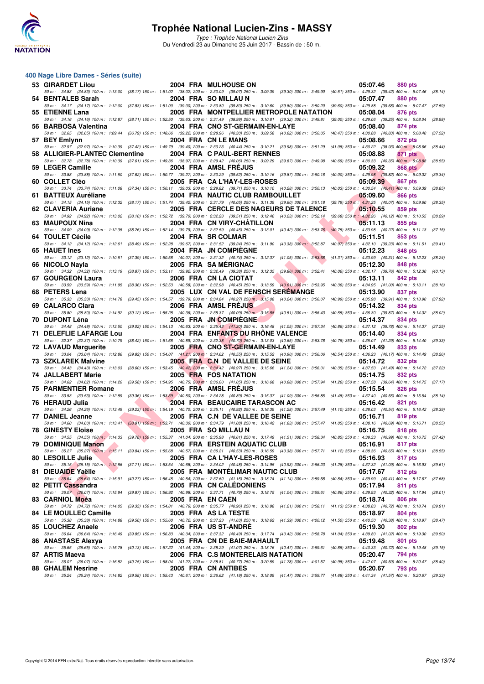

Type : Trophée National Lucien-Zins Du Vendredi 23 au Dimanche 25 Juin 2017 - Bassin de : 50 m.

#### **400 Nage Libre Dames - Séries (suite)**

| 53 GIRARDET Lilou              |  | 2004 FRA MULHOUSE ON                                                                                                                                                                                                            | 05:07.46 | 880 pts        |         |
|--------------------------------|--|---------------------------------------------------------------------------------------------------------------------------------------------------------------------------------------------------------------------------------|----------|----------------|---------|
| 54 BENTALEB Sarah              |  | 50 m: 34.83 (34.83) 100 m: 1:13.00 (38.17) 150 m: 1:51.02 (38.02) 200 m: 2:30.09 (39.07) 250 m: 3:09.39 (39.30) 300 m: 3:49.90 (40.51) 350 m: 4:29.32 (39.42) 400 m: 5:07.46<br>2004 FRA SO MILLAU N                            | 05:07.47 | <b>880 pts</b> | (38.14) |
|                                |  | 50 m: 34.17 (34.17) 100 m: 1:12.00 (37.83) 150 m: 1:51.00 (39.00) 200 m: 2:30.80 (39.80) 250 m: 3:10.60 (39.80) 300 m: 3:50.20 (39.60) 350 m: 4:29.88 (39.68) 400 m: 5:07.47 (37.59)                                            |          |                |         |
| 55 ETIENNE Lana                |  | 2005 FRA MONTPELLIER METROPOLE NATATION<br>50 m: 34.16 (34.16) 100 m: 1:12.87 (38.71) 150 m: 1:52.50 (39.63) 200 m: 2:31.49 (38.99) 250 m: 3:10.81 (39.32) 300 m: 3:49.81 (39.00) 350 m: 4:29.06 (39.25) 400 m: 5:08.04         | 05:08.04 | 876 pts        | (38.98) |
| 56 BARBOSA Valentina           |  | 2004 FRA CNO ST-GERMAIN-EN-LAYE                                                                                                                                                                                                 | 05:08.40 | 874 pts        |         |
|                                |  | 50 m: 32.65 (32.65) 100 m: 1:09.44 (36.79) 150 m: 1:48.66 (39.22) 200 m: 2:28.96 (40.30) 250 m: 3:09.58 (40.62) 300 m: 3:50.05 (40.47) 350 m: 4:30.88 (40.83) 400 m: 5:08.40                                                    |          |                | (37.52) |
| 57 BEY Emlynn                  |  | 2004 FRA CN LE MANS<br>50 m : 32.97 (32.97) 100 m : 1:10.39 (37.42) 150 m : 1:49.79 (39.40) 200 m : 2:30.23 (40.44) 250 m : 3:10.21 (39.98) 300 m : 3:51.29 (41.08) 350 m : 4:30.22 (38.93) 400 m : 5:08.66 (38.44)             | 05:08.66 | 872 pts        |         |
| 58 ALLIGIER-PLANTEC Clementine |  | 2004 FRA C PAUL-BERT RENNES                                                                                                                                                                                                     | 05:08.88 | 871 pts        |         |
|                                |  | 50 m: 32.78 (32.78) 100 m: 1:10.39 (37.61) 150 m: 1:49.36 (38.97) 200 m: 2:29.42 (40.06) 250 m: 3:09.29 (39.87) 300 m: 3:49.98 (40.69) 350 m: 4:30.33 (40.35) 400 m: 5:08.88                                                    |          |                | (38.55) |
| 59 LEGER Camille               |  | 2004 FRA AMSL FREJUS<br>50 m: 33.88 (33.88) 100 m: 1:11.50 (37.62) 150 m: 1:50.77 (39.27) 200 m: 2:30.29 (39.52) 250 m: 3:10.16 (39.87) 300 m: 3:50.16 (40.00) 350 m: 4:29.98 (39.82) 400 m: 5:09.32 (39.34)                    | 05:09.32 | 868 pts        |         |
| 60 COLLET Cléo                 |  | 2005 FRA CA L'HAY-LES-ROSES                                                                                                                                                                                                     | 05:09.39 | 867 pts        |         |
| 61 BATTEUX Auréliane           |  | 50 m: 33.74 (33.74) 100 m: 1:11.08 (37.34) 150 m: 1:50.11 (39.03) 200 m: 2:29.82 (39.71) 250 m: 3:10.10 (40.28) 300 m: 3:50.13 (40.03) 350 m: 4:30.54 (40.41) 400 m: 5:09.39<br>2004 FRA NAUTIC CLUB RAMBOUILLET                | 05:09.60 | 866 pts        | (38.85) |
|                                |  | 50 m: 34.15 (34.15) 100 m: 1:12.32 (38.17) 150 m: 1:51.74 (39.42) 200 m: 2:31.79 (40.05) 250 m: 3:11.39 (39.60) 300 m: 3:51.18 (39.79) 350 m: 4:31.25 (40.07) 400 m: 5:09.60                                                    |          |                | (38.35) |
| 62 CLAVERIA Auriane            |  | 2005 FRA CERCLE DES NAGEURS DE TALENCE                                                                                                                                                                                          | 05:10.55 | 859 pts        |         |
| 63 MAUPOUX Nina                |  | 50 m: 34.92 (34.92) 100 m: 1:13.02 (38.10) 150 m: 1:52.72 (39.70) 200 m: 2:32.23 (39.51) 250 m: 3:12.46 (40.23) 300 m: 3:52.14 (39.68) 350 m: 4:32.26 (40.12) 400 m: 5:10.55<br>2004 FRA CN VIRY-CHATILLON                      | 05:11.13 | 855 pts        | (38.29) |
|                                |  | 50 m : 34.09 (34.09) 100 m : 1:12.35 (38.26) 150 m : 1:52.14 (39.79) 200 m : 2:32.59 (40.45) 250 m : 3:13.01 (40.42) 300 m : 3:53.76 (40.75) 350 m : 4:33.98 (40.22) 400 m : 5:11.13 (37.15)                                    |          |                |         |
| 64 TOULET Cécile               |  | 2004 FRA SR COLMAR<br>50 m: 34.12 (34.12) 100 m: 1:12.61 (38.49) 150 m: 1:52.28 (39.67) 200 m: 2:31.52 (39.24) 250 m: 3:11.90 (40.38) 300 m: 3:52.87 (40.97) 350 m: 4:32.10 (39.23) 400 m: 5:11.51 (39.41)                      | 05:11.51 | 853 pts        |         |
| 65 HAUET Ines                  |  | 2004 FRA JN COMPIEGNE                                                                                                                                                                                                           | 05:12.23 | 848 pts        |         |
|                                |  | 50 m: 33.12 (33.12) 100 m: 1:10.51 (37.39) 150 m: 1:50.58 (40.07) 200 m: 2:31.32 (40.74) 250 m: 3:12.37 (41.05) 300 m: 3:53.68 (41.31) 350 m: 4:33.99 (40.31) 400 m: 5:12.23 (38.24)                                            |          |                |         |
| 66 NICOLO Navia                |  | 2005 FRA SAMERIGNAC<br>50 m : 34.32 (34.32) 100 m : 1:13.19 (38.87) 150 m : 1:53.11 (39.92) 200 m : 2:32.49 (39.38) 250 m : 3:12.35 (39.86) 300 m : 3:52.41 (40.06) 350 m : 4:32.17 (39.76) 400 m : 5:12.30 (40.13)             | 05:12.30 | 848 pts        |         |
| 67 GOURGEON Laura              |  | 2006 FRA CN LA CIOTAT                                                                                                                                                                                                           | 05:13.11 | <b>842 pts</b> |         |
| 68 PETERS Lena                 |  | 50 m: 33.59 (33.59) 100 m: 1:11.95 (38.36) 150 m: 1:52.53 (40.58) 200 m: 2:32.98 (40.45) 250 m: 3:13.59 (40.61) 300 m: 3:53.95 (40.36) 350 m: 4:34.95 (41.00) 400 m: 5:13.11 (38.16)<br>2005 LUX CN VAL DE FENSCH SEREMANGE     | 05:13.90 | <b>837 pts</b> |         |
|                                |  | 50 m : 35.33 (35.33) 100 m : 1:14.78 (39.45) 150 m : 1:54.57 (39.79) 200 m : 2:34.84 (40.27) 250 m : 3:15.08 (40.24) 300 m : 3:56.07 (40.99) 350 m : 4:35.98 (39.91) 400 m : 5:13.90 (37.92)                                    |          |                |         |
| 69 CALARCO Clara               |  | 2006 FRA AMSL FREJUS                                                                                                                                                                                                            | 05:14.32 | 834 pts        |         |
| 70 DUPONT Léna                 |  | 50 m : 35.80 (35.80) 100 m : 1:14.92 (39.12) 150 m : 1:55.28 (40.36) 200 m : 2:35.37 (40.09) 250 m : 3:15.88 (40.51) 300 m : 3:56.43 (40.55) 350 m : 4:36.30 (39.87) 400 m : 5:14.32 (38.02)<br>2005 FRA JN COMPIEGNE           | 05:14.37 | 834 pts        |         |
|                                |  | 50 m: 34.48 (34.48) 100 m: 1:13.50 (39.02) 150 m: 1:54.13 (40.63) 200 m: 2:35.43 (41.30) 250 m: 3:16.48 (41.05) 300 m: 3:57.34 (40.86) 350 m: 4:37.12 (39.78) 400 m: 5:14.37 (37.25)                                            |          |                |         |
|                                |  |                                                                                                                                                                                                                                 |          |                |         |
| 71 DELEFLIE LAFARGE Lou        |  | 2004 FRA ENFANTS DU RHONE VALENCE                                                                                                                                                                                               | 05:14.40 | 834 pts        |         |
| 72 LAVAUD Marguerite           |  | 50 m : 32.37 (32.37) 100 m : 1:10.79 (38.42) 150 m : 1:51.68 (40.89) 200 m : 2:32.38 (40.70) 250 m : 3:13.03 (40.65) 300 m : 3:53.78 (40.75) 350 m : 4:35.07 (41.29) 400 m : 5:14.40 (39.33)<br>2005 FRA CNO ST-GERMAIN-EN-LAYE | 05:14.49 | 833 pts        |         |
|                                |  | 50 m: 33.04 (33.04) 100 m: 1:12.86 (39.82) 150 m: 1:54.07 (41.21) 200 m: 2:34.62 (40.55) 250 m: 3:15.52 (40.90) 300 m: 3:56.06 (40.54) 350 m: 4:36.23 (40.17) 400 m: 5:14.49                                                    |          |                | (38.26) |
| 73 SZKLAREK Malvine            |  | 2005 FRA C.N DE VALLEE DE SEINE<br>50 m : 34.43 (34.43) 100 m : 1:13.03 (38.60) 150 m : 1:53.45 (40.42) 200 m : 2:34.42 (40.97) 250 m : 3:15.66 (41.24) 300 m : 3:56.01 (40.35) 350 m : 4:37.50 (41.49) 400 m : 5:14.72 (37.22) | 05:14.72 | 832 pts        |         |
| 74 JALLABERT Marie             |  | 2005 FRA FOS NATATION                                                                                                                                                                                                           | 05:14.75 | 832 pts        |         |
| <b>75 PARMENTIER Romane</b>    |  | 50 m: 34.62 (34.62) 100 m: 1:14.20 (39.58) 150 m: 1:54.95 (40.75) 200 m: 2:36.00 (41.05) 250 m: 3:16.68 (40.68) 300 m: 3:57.94 (41.26) 350 m: 4:37.58 (39.64) 400 m: 5:14.75 (37.17)<br>2006 FRA AMSL FREJUS                    | 05:15.54 | 826 pts        |         |
|                                |  | 50 m : 33.53 (33.53) 100 m : 1:12.89 (39.36) 150 m : 1:53. <mark>39 (</mark> 40.50) 200 m : 2:34.28 (40.89) 250 m : 3:15.37 (41.09) 300 m : 3:56.85 (41.48) 350 m : 4:37.40 (40.55) 400 m : 5:15.54 (38.14)                     |          |                |         |
| 76 HERAUD Julia                |  | 2004 FRA BEAUCAIRE TARASCON AC                                                                                                                                                                                                  | 05:16.42 | 821 pts        |         |
| 77 DANIEL Jeanne               |  | 50 m: 34.26 (34.26) 100 m: 1:13.49 (39.23) 150 m: 1:54.19 (40.70) 200 m: 2:35.11 (40.92) 250 m: 3:16.39 (41.28) 300 m: 3:57.49 (41.10) 350 m: 4:38.03 (40.54) 400 m: 5:16.42 (38.39)<br>2005 FRA C.N DE VALLEE DE SEINE         | 05:16.71 | 819 pts        |         |
|                                |  | 50 m: 34.60 (34.60) 100 m: 1:13.41 (38.81) 150 m: 1:53.71 (40.30) 200 m: 2:34.79 (41.08) 250 m: 3:16.42 (41.63) 300 m: 3:57.47 (41.05) 350 m: 4:38.16 (40.69) 400 m: 5:16.71 (38.55)                                            |          |                |         |
| <b>78 GINESTY Eloise</b>       |  | 2005 FRA SO MILLAU N<br>50 m: 34.55 (34.55) 100 m: 1:14.33 (39.78) 150 m: 1:55.37 (41.04) 200 m: 2:35.98 (40.61) 250 m: 3:17.49 (41.51) 300 m: 3:58.34 (40.85) 350 m: 4:39.33 (40.99) 400 m: 5:16.75 (37.42)                    | 05:16.75 | 818 pts        |         |
| 79 DOMINIQUE Manon             |  | 2006 FRA ERSTEIN AQUATIC CLUB                                                                                                                                                                                                   | 05:16.91 | 817 pts        |         |
|                                |  | 50 m : 35.27 (35.27) 100 m : 1:15.11 (39.84) 150 m : 1:55.68 (40.57) 200 m : 2:36.21 (40.53) 250 m : 3:16.59 (40.38) 300 m : 3:57.71 (41.12) 350 m : 4:38.36 (40.65) 400 m : 5:16.91 (38.55)                                    |          |                |         |
| 80 LESOILLE Julie              |  | 2005 FRA CA L'HAY-LES-ROSES<br>50 m : 35.15 (35.15) 100 m : 1:12.86 (37.71) 150 m : 1:53.54 (40.68) 200 m : 2:34.02 (40.48) 250 m : 3:14.95 (40.93) 300 m : 3:56.23 (41.28) 350 m : 4:37.32 (41.09) 400 m : 5:16.93 (39.61)     | 05:16.93 | 817 pts        |         |
| 81 DIEUAIDE Yaëlle             |  | 2005 FRA MONTELIMAR NAUTIC CLUB                                                                                                                                                                                                 | 05:17.67 | 812 pts        |         |
| 82 PETIT Cassandra             |  | 50 m: 35.64 (35.64) 100 m: 1:15.91 (40.27) 150 m: 1:56.45 (40.54) 200 m: 2:37.60 (41.15) 250 m: 3:18.74 (41.14) 300 m: 3:59.58 (40.84) 350 m: 4:39.99 (40.41) 400 m: 5:17.67 (37.68)<br>2005 FRA CN CALEDONIENS                 | 05:17.94 | 811 pts        |         |
|                                |  | 50 m : 36.07 (36.07) 100 m : 1:15.94 (39.87) 150 m : 1:56.92 (40.98) 200 m : 2:37.71 (40.79) 250 m : 3:18.75 (41.04) 300 m : 3:59.61 (40.86) 350 m : 4:39.93 (40.32) 400 m : 5:17.94 (38.01)                                    |          |                |         |
| 83 CARNIOL Moéa                |  | 2005 FRA EN CAEN<br>50 m : 34.72 (34.72) 100 m : 1:14.05 (39.33) 150 m : 1:54.81 (40.76) 200 m : 2:35.77 (40.96) 250 m : 3:16.98 (41.21) 300 m : 3:58.11 (41.13) 350 m : 4:38.83 (40.72) 400 m : 5:18.74 (39.91)                | 05:18.74 | 806 pts        |         |
| 84 LE MOULLEC Camille          |  | 2005 FRA AS LA TESTE                                                                                                                                                                                                            | 05:18.97 | 804 pts        |         |
|                                |  | 50 m: 35.38 (35.38) 100 m: 1:14.88 (39.50) 150 m: 1:55.60 (40.72) 200 m: 2:37.23 (41.63) 250 m: 3:18.62 (41.39) 300 m: 4:00.12 (41.50) 350 m: 4:40.50 (40.38) 400 m: 5:18.97                                                    |          |                | (38.47) |
| 85 LOUCHEZ Anaele              |  | 2006 FRA US ST-ANDRE<br>50 m: 36.64 (36.64) 100 m: 1:16.49 (39.85) 150 m: 1:56.83 (40.34) 200 m: 2:37.32 (40.49) 250 m: 3:17.74 (40.42) 300 m: 3:58.78 (41.04) 350 m: 4:39.80 (41.02) 400 m: 5:19.30                            | 05:19.30 | 802 pts        | (39.50) |
| 86 ANASTASE Alexya             |  | 2005 FRA CN DE BAIE-MAHAULT                                                                                                                                                                                                     | 05:19.48 | 801 pts        |         |
| 87 ARTIS Maeva                 |  | 50 m: 35.65 (35.65) 100 m: 1:15.78 (40.13) 150 m: 1:57.22 (41.44) 200 m: 2:38.29 (41.07) 250 m: 3:18.76 (40.47) 300 m: 3:59.61 (40.85) 350 m: 4:40.33 (40.72) 400 m: 5:19.48<br>2006 FRA C.S MONTERELAIS NATATION               | 05:20.47 | 794 pts        | (39.15) |
|                                |  | 50 m : 36.07 (36.07) 100 m : 1:16.82 (40.75) 150 m : 1:58.04 (41.22) 200 m : 2:38.81 (40.77) 250 m : 3:20.59 (41.78) 300 m : 4:01.57 (40.98) 350 m : 4:42.07 (40.50) 400 m : 5:20.47 (38.40)                                    |          |                |         |
| 88 GHALEM Nesrine              |  | 2005 FRA CN ANTIBES<br>50 m: 35.24 (35.24) 100 m: 1:14.82 (39.58) 150 m: 1:55.43 (40.61) 200 m: 2:36.62 (41.19) 250 m: 3:18.09 (41.47) 300 m: 3:59.77 (41.68) 350 m: 4:41.34 (41.57) 400 m: 5:20.67 (39.33)                     | 05:20.67 | 793 pts        |         |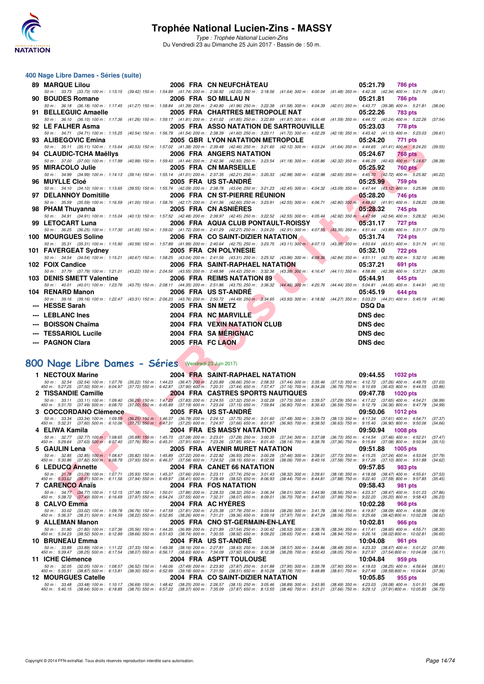

Type : Trophée National Lucien-Zins Du Vendredi 23 au Dimanche 25 Juin 2017 - Bassin de : 50 m.

#### **400 Nage Libre Dames - Séries (suite)**

| <b>89 MARQUE Lilou</b>                                                                                                                                                                                                                                                       |                                                                                                                                                                                                                                                                | 2006 FRA CN NEUFCHATEAU                                                                                                                                                                                                                                         | 05:21.79<br><b>786 pts</b>                                                                                                                                                                                                                                                                                 |
|------------------------------------------------------------------------------------------------------------------------------------------------------------------------------------------------------------------------------------------------------------------------------|----------------------------------------------------------------------------------------------------------------------------------------------------------------------------------------------------------------------------------------------------------------|-----------------------------------------------------------------------------------------------------------------------------------------------------------------------------------------------------------------------------------------------------------------|------------------------------------------------------------------------------------------------------------------------------------------------------------------------------------------------------------------------------------------------------------------------------------------------------------|
|                                                                                                                                                                                                                                                                              |                                                                                                                                                                                                                                                                | 50 m: 33.73 (33.73) 100 m: 1:13.15 (39.42) 150 m: 1:54.89 (41.74) 200 m: 2:36.92 (42.03) 250 m: 3:18.56 (41.64) 300 m: 4:00.04 (41.48) 350 m: 4:42.38 (42.34) 400 m: 5:21.79                                                                                    | (39.41)                                                                                                                                                                                                                                                                                                    |
| 90 BOUDES Romane                                                                                                                                                                                                                                                             |                                                                                                                                                                                                                                                                | 2006 FRA SO MILLAU N                                                                                                                                                                                                                                            | 05:21.81<br><b>786 pts</b>                                                                                                                                                                                                                                                                                 |
|                                                                                                                                                                                                                                                                              |                                                                                                                                                                                                                                                                | 50 m: 36.18 (36.18) 100 m: 1:17.45 (41.27) 150 m: 1:58.84 (41.39) 200 m: 2:40.80 (41.96) 250 m: 3:22.38 (41.58) 300 m: 4:04.39 (42.01) 350 m: 4:43.77 (39.38) 400 m: 5:21.81                                                                                    | (38.04)                                                                                                                                                                                                                                                                                                    |
| 91 BELLEGUIC Amaelle                                                                                                                                                                                                                                                         |                                                                                                                                                                                                                                                                | 2005 FRA CHARTRES METROPOLE NAT                                                                                                                                                                                                                                 | 05:22.26<br><b>783 pts</b>                                                                                                                                                                                                                                                                                 |
| 92 LE FALHER Asma                                                                                                                                                                                                                                                            |                                                                                                                                                                                                                                                                | 50 m: 36.10 (36.10) 100 m: 1:17.36 (41.26) 150 m: 1:59.17 (41.81) 200 m: 2:41.02 (41.85) 250 m: 3:22.89 (41.87) 300 m: 4:04.48 (41.59) 350 m: 4:44.72 (40.24) 400 m: 5:22.26 (37.54)<br><b>2005 FRA ASSO NATATION DE SARTROUVILLE</b>                           | 05:23.03<br>778 pts                                                                                                                                                                                                                                                                                        |
|                                                                                                                                                                                                                                                                              |                                                                                                                                                                                                                                                                | 50 m: 34.71 (34.71) 100 m: 1:15.25 (40.54) 150 m: 1:56.79 (41.54) 200 m: 2:38.39 (41.60) 250 m: 3:20.11 (41.72) 300 m: 4:02.29 (42.18) 350 m: 4:43.42 (41.13) 400 m: 5:23.03 (39.61)                                                                            |                                                                                                                                                                                                                                                                                                            |
| 93 ALIBEGOVIC Emina                                                                                                                                                                                                                                                          |                                                                                                                                                                                                                                                                | <b>2005 GBR LYON NATATION METROPOLE</b>                                                                                                                                                                                                                         | 05:24.20<br>771 pts                                                                                                                                                                                                                                                                                        |
|                                                                                                                                                                                                                                                                              |                                                                                                                                                                                                                                                                | 50 m: 35.11 (35.11) 100 m: 1:15.64 (40.53) 150 m: 1:57.02 (41.38) 200 m: 2:39.48 (42.46) 250 m: 3:21.60 (42.12) 300 m: 4:03.24 (41.64) 350 m: 4:44.65 (41.41) 400 m: 5:24.20 (39.55)                                                                            |                                                                                                                                                                                                                                                                                                            |
| 94 CLAUDIC-TCHA Maëllys                                                                                                                                                                                                                                                      |                                                                                                                                                                                                                                                                | <b>2006 FRA ANGERS NATATION</b>                                                                                                                                                                                                                                 | 05:24.67<br><b>768 pts</b>                                                                                                                                                                                                                                                                                 |
|                                                                                                                                                                                                                                                                              |                                                                                                                                                                                                                                                                | 50 m : 37.00 (37.00) 100 m : 1:17.99 (40.99) 150 m : 1:59.43 (41.44) 200 m : 2:42.36 (42.93) 250 m : 3:23.54 (41.18) 300 m : 4:05.86 (42.32) 350 m : 4:46.29 (40.43) 400 m : 5:24.67                                                                            | (38.38)                                                                                                                                                                                                                                                                                                    |
| 95 MIRACOLO Julie                                                                                                                                                                                                                                                            |                                                                                                                                                                                                                                                                | 2005 FRA CN MARSEILLE                                                                                                                                                                                                                                           | 05:25.92<br><b>760 pts</b>                                                                                                                                                                                                                                                                                 |
|                                                                                                                                                                                                                                                                              |                                                                                                                                                                                                                                                                | 50 m: 34.99 (34.99) 100 m: 1:14.13 (39.14) 150 m: 1:55.14 (41.01) 200 m: 2:37.35 (42.21) 250 m: 3:20.33 (42.88) 300 m: 4:02.98 (42.65) 350 m: 4:45.70 (42.72) 400 m: 5:25.92                                                                                    | (40.22)                                                                                                                                                                                                                                                                                                    |
| 96 MUYLLE Cloé                                                                                                                                                                                                                                                               |                                                                                                                                                                                                                                                                | 2005 FRA US ST-ANDRE                                                                                                                                                                                                                                            | 05:25.99<br><b>759 pts</b>                                                                                                                                                                                                                                                                                 |
|                                                                                                                                                                                                                                                                              |                                                                                                                                                                                                                                                                | 50 m: 34.10 (34.10) 100 m: 1:13.65 (39.55) 150 m: 1:55.74 (42.09) 200 m: 2:38.78 (43.04) 250 m: 3:21.23 (42.45) 300 m: 4:04.32 (43.09) 350 m: 4:47.44 (43.12) 400 m: 5:25.99                                                                                    | (38.55)                                                                                                                                                                                                                                                                                                    |
| 97 DELANNOY Domitille                                                                                                                                                                                                                                                        |                                                                                                                                                                                                                                                                | 2006 FRA CN ST-PIERRE REUNION                                                                                                                                                                                                                                   | 05:28.20<br>746 pts                                                                                                                                                                                                                                                                                        |
|                                                                                                                                                                                                                                                                              |                                                                                                                                                                                                                                                                | 50 m: 35.59 (35.59) 100 m: 1:16.59 (41.00) 150 m: 1:58.76 (42.17) 200 m: 2:41.36 (42.60) 250 m: 3:23.91 (42.55) 300 m: 4:06.71 (42.80) 350 m: 4:48.62 (41.91) 400 m: 5:28.20 (39.58)                                                                            |                                                                                                                                                                                                                                                                                                            |
| 98 PHAM Thuyanna                                                                                                                                                                                                                                                             |                                                                                                                                                                                                                                                                | 2005 FRA CN ASNIERES<br>50 m: 34.91 (34.91) 100 m: 1:15.04 (40.13) 150 m: 1:57.52 (42.48) 200 m: 2:39.97 (42.45) 250 m: 3:22.52 (42.55) 300 m: 4:05.44 (42.92) 350 m: 4:47.98 (42.54) 400 m: 5:28.32                                                            | 05:28.32<br>745 pts                                                                                                                                                                                                                                                                                        |
| 99 LETOCART Luna                                                                                                                                                                                                                                                             |                                                                                                                                                                                                                                                                | 2006 FRA AQUA CLUB PONTAULT-ROISSY                                                                                                                                                                                                                              | (40.34)<br>05:31.17<br>727 pts                                                                                                                                                                                                                                                                             |
|                                                                                                                                                                                                                                                                              |                                                                                                                                                                                                                                                                | 50 m: 36.25 (36.25) 100 m: 1:17.30 (41.05) 150 m: 1:59.02 (41.72) 200 m: 2:41.29 (42.27) 250 m: 3:24.20 (42.91) 300 m: 4:07.55 (43.35) 350 m: 4:51.44 (43.89) 400 m: 5:31.17 (39.73)                                                                            |                                                                                                                                                                                                                                                                                                            |
| <b>100 MOURGUES Soline</b>                                                                                                                                                                                                                                                   |                                                                                                                                                                                                                                                                | 2006 FRA CO SAINT-DIZIER NATATION.                                                                                                                                                                                                                              | 05:31.74<br><b>724 pts</b>                                                                                                                                                                                                                                                                                 |
|                                                                                                                                                                                                                                                                              |                                                                                                                                                                                                                                                                | 50 m: 35.31 (35.31) 100 m: 1:15.90 (40.59) 150 m: 1:57.89 (41.99) 200 m: 2:40.64 (42.75) 250 m: 3:23.75 (43.11) 300 m: 4:07.13 (43.38) 350 m: 4:50.64 (43.51) 400 m: 5:31.74 (41.10)                                                                            |                                                                                                                                                                                                                                                                                                            |
| 101 FAVERGEAT Sydney                                                                                                                                                                                                                                                         |                                                                                                                                                                                                                                                                | 2005 FRA CN POLYNESIE                                                                                                                                                                                                                                           | <b>722 pts</b><br>05:32.10                                                                                                                                                                                                                                                                                 |
|                                                                                                                                                                                                                                                                              |                                                                                                                                                                                                                                                                | 50 m: 34.54 (34.54) 100 m: 1:15.21 (40.67) 150 m: 1:58.25 (43.04) 200 m: 2:41.56 (43.31) 250 m: 3:25.52 (43.96) 300 m: 4:08.36 (42.84) 350 m: 4:51.11 (42.75) 400 m: 5:32.10 (40.99)                                                                            |                                                                                                                                                                                                                                                                                                            |
| 102 FOIX Candice                                                                                                                                                                                                                                                             |                                                                                                                                                                                                                                                                | 2006 FRA SAINT-RAPHAEL NATATION                                                                                                                                                                                                                                 | 05:37.21<br>691 pts                                                                                                                                                                                                                                                                                        |
|                                                                                                                                                                                                                                                                              |                                                                                                                                                                                                                                                                | 50 m: 37.79 (37.79) 100 m: 1:21.01 (43.22) 150 m: 2:04.56 (43.55) 200 m: 2:48.98 (44.42) 250 m: 3:32.36 (43.38) 300 m: 4:16.47 (44.11) 350 m: 4:58.86 (42.39) 400 m: 5:37.21 (38.35)                                                                            |                                                                                                                                                                                                                                                                                                            |
| 103 DENIS SMETT Valentine                                                                                                                                                                                                                                                    |                                                                                                                                                                                                                                                                | <b>2006 FRA REIMS NATATION 89</b>                                                                                                                                                                                                                               | 05:44.91<br><b>645 pts</b>                                                                                                                                                                                                                                                                                 |
|                                                                                                                                                                                                                                                                              |                                                                                                                                                                                                                                                                |                                                                                                                                                                                                                                                                 |                                                                                                                                                                                                                                                                                                            |
|                                                                                                                                                                                                                                                                              |                                                                                                                                                                                                                                                                |                                                                                                                                                                                                                                                                 | 50 m: 40.01 (40.01) 100 m: 1:23.76 (43.75) 150 m: 2:08.11 (44.35) 200 m: 2:51.86 (43.75) 250 m: 3:36.32 (44.46) 300 m: 4:20.76 (44.44) 350 m: 5:04.81 (44.05) 400 m: 5:44.91 (40.10)                                                                                                                       |
| 104 RENARD Manon                                                                                                                                                                                                                                                             |                                                                                                                                                                                                                                                                | 2006 FRA US ST-ANDRE                                                                                                                                                                                                                                            | 05:45.19<br><b>644 pts</b>                                                                                                                                                                                                                                                                                 |
|                                                                                                                                                                                                                                                                              |                                                                                                                                                                                                                                                                | 50 m: 39.16 (39.16) 100 m: 1:22.47 (43.31) 150 m: 2:06.23 (43.76) 200 m: 2:50.72 (44.49) 250 m: 3:34.65 (43.93) 300 m: 4:18.92 (44.27) 350 m: 5:03.23 (44.31) 400 m: 5:45.19 (41.96)                                                                            |                                                                                                                                                                                                                                                                                                            |
| --- HESSE Sarah                                                                                                                                                                                                                                                              | 2005 FRA SN METZ                                                                                                                                                                                                                                               |                                                                                                                                                                                                                                                                 | <b>DSQ Da</b>                                                                                                                                                                                                                                                                                              |
| --- LEBLANC Ines                                                                                                                                                                                                                                                             |                                                                                                                                                                                                                                                                | 2004 FRA NC MARVILLE                                                                                                                                                                                                                                            | <b>DNS dec</b>                                                                                                                                                                                                                                                                                             |
| <b>BOISSON Chaïma</b>                                                                                                                                                                                                                                                        |                                                                                                                                                                                                                                                                |                                                                                                                                                                                                                                                                 | <b>DNS dec</b>                                                                                                                                                                                                                                                                                             |
|                                                                                                                                                                                                                                                                              |                                                                                                                                                                                                                                                                | 2004 FRA VEXI <mark>N NAT</mark> ATION CLUB                                                                                                                                                                                                                     |                                                                                                                                                                                                                                                                                                            |
| --- TESSARIOL Lucile                                                                                                                                                                                                                                                         |                                                                                                                                                                                                                                                                | 2004 FRA SA MÉRIGNAC                                                                                                                                                                                                                                            | <b>DNS dec</b>                                                                                                                                                                                                                                                                                             |
| --- PAGNON Clara                                                                                                                                                                                                                                                             | 2005 FRA FC LAON                                                                                                                                                                                                                                               |                                                                                                                                                                                                                                                                 | <b>DNS</b> dec                                                                                                                                                                                                                                                                                             |
|                                                                                                                                                                                                                                                                              |                                                                                                                                                                                                                                                                |                                                                                                                                                                                                                                                                 |                                                                                                                                                                                                                                                                                                            |
|                                                                                                                                                                                                                                                                              |                                                                                                                                                                                                                                                                |                                                                                                                                                                                                                                                                 |                                                                                                                                                                                                                                                                                                            |
| <b>300 Nage Libre Dames - Séries</b> (Vendredi 23 Juin 2017)                                                                                                                                                                                                                 |                                                                                                                                                                                                                                                                |                                                                                                                                                                                                                                                                 |                                                                                                                                                                                                                                                                                                            |
| 1 NECTOUX Marine                                                                                                                                                                                                                                                             |                                                                                                                                                                                                                                                                | 2004 FRA SAINT-RAPHAEL NATATION                                                                                                                                                                                                                                 | 09:44.55<br><b>1032 pts</b>                                                                                                                                                                                                                                                                                |
|                                                                                                                                                                                                                                                                              |                                                                                                                                                                                                                                                                |                                                                                                                                                                                                                                                                 | (37.03)<br>(33.86)                                                                                                                                                                                                                                                                                         |
|                                                                                                                                                                                                                                                                              |                                                                                                                                                                                                                                                                | 50 m : 32.54 (32.54) 100 m : 1:07.76 (35.22) 150 m : 1:44.23 (36.47) <mark>200 m</mark> : 2:20.89 (36.66) 250 m : 2:56.33 (37.44) 300 m : 3:35.46 (37.13) 350 m : 4:12.72 (37.26) 400 m : 4:49.75<br>450 m : 5:27.25 (37.50) 500 m : 6:04.97                    | 09:47.78<br><b>1020 pts</b>                                                                                                                                                                                                                                                                                |
| 2 TISSANDIE Camille                                                                                                                                                                                                                                                          |                                                                                                                                                                                                                                                                | 2004 FRA CASTRES SPORTS NAUTIQUES                                                                                                                                                                                                                               | (36.99)                                                                                                                                                                                                                                                                                                    |
|                                                                                                                                                                                                                                                                              |                                                                                                                                                                                                                                                                | 50 m : 33.11 (33.11) 100 m : 1.09.40 (36.29) 150 m : 1.47.23 (37.83) 200 m : 2:24.55 (37.32) 250 m : 3:02.28 (37.73) 300 m : 3:39.57<br>450 m : 5:31.70 (37.49) 500 m : 6:08.70 (37.00) 550 m : 6:45.89 (37.19) 600 m : 7:23.04 (                               | $\begin{array}{ccc} (37.29) \ 350 \ m \ \colon \ \ 4:17.22 \ \ \hline \end{array} \quad \begin{array}{ccc} (37.65) \ 400 \ m \ \colon \ \ 4:54.21 \\ (36.59) \ 750 \ m \ \colon \ \ 9:12.79 \ \ \hline \end{array} \quad \begin{array}{ccc} (38.36) \ 800 \ m \ \colon \ \ 9:47.78 \end{array}$<br>(34.99) |
| 3 COCCORDANO Clémence                                                                                                                                                                                                                                                        |                                                                                                                                                                                                                                                                | 2005 FRA US ST-ANDRE                                                                                                                                                                                                                                            | 09:50.06<br><b>1012 pts</b>                                                                                                                                                                                                                                                                                |
|                                                                                                                                                                                                                                                                              |                                                                                                                                                                                                                                                                |                                                                                                                                                                                                                                                                 | (38.13) 350 m: 4:17.34 (37.61) 400 m: 4:54.71<br>(37.37)<br>(34.66)                                                                                                                                                                                                                                        |
| 4 ELIWA Kamila                                                                                                                                                                                                                                                               |                                                                                                                                                                                                                                                                | 50 m : 33.34 (33.34) 100 m : 1:09.59 (36.25) 150 m : 1:46.37 (36.78) 200 m : 2:24.12 (37.75) 250 m : 3:01.60 (37.48) 300 m : 3:39.73<br>450 m : 5:32.31 (37.60) 500 m : 6:10.06 (37.75) 550 m : 6:47.31 (37.25) 600 m : 7:24.97 (<br>2004 FRA ES MASSY NATATION | (36.63) 750 m : 9:15.40 (36.90) 800 m : 9:50.06<br>09:50.94<br><b>1008 pts</b>                                                                                                                                                                                                                             |
|                                                                                                                                                                                                                                                                              |                                                                                                                                                                                                                                                                | $(37.34)$ 300 m : 3:37.08                                                                                                                                                                                                                                       | (37.47)                                                                                                                                                                                                                                                                                                    |
| 50 m :    32.77    (32.77)  100 m :   1.08.65    (35.88)  150 m :   1.45.73    (37.08) 200 m :   2:23.01    (37.28) 250 m :   3:00.35<br>50 m :   5:29.64    (37.63) 500 m :   6:07.40    (37.76) 550 m :   6:45.31    (37.91) 60<br>450 m : 5:29.64 (37.63) 500 m : 6:07.40 |                                                                                                                                                                                                                                                                | $(38.14)$ 700 m : 8:38.76                                                                                                                                                                                                                                       | $(36.73) \ 350 \ m \colon \ 4.14.54 \quad \, (37.46) \ 400 \ m \colon \ 4.52.01$<br>$(37.36)$ 750 m : 9:15.84<br>$(37.08)$ 800 m : 9:50.94<br>(35.10)                                                                                                                                                      |
| 5 GAULIN Lena                                                                                                                                                                                                                                                                |                                                                                                                                                                                                                                                                | <b>2005 FRA AVENIR MURET NATATION</b>                                                                                                                                                                                                                           | 09:51.88<br>1005 pts                                                                                                                                                                                                                                                                                       |
| 50 m : 32.85 (32.85) 100 m : 1:08.67<br>450 m : 5:30.86 (37.82) 500 m : 6:08.79                                                                                                                                                                                              | $(35.82)$ 150 m : 1:45.89 $(37.22)$ 200 m : 2:22.82 $(36.93)$ 250 m : 3:00.28<br>$(37.93)$ 550 m : 6:46.37 $(37.58)$ 600 m : 7:24.52 $(38.15)$ 650 m : 8:02.58                                                                                                 | $(37.46)$ 300 m : 3:38.01<br>$(38.06)$ 700 m : 8:40.16                                                                                                                                                                                                          | (37.73) 350 m: 4:15.25 (37.24) 400 m: 4:53.04<br>(37.79)<br>(37.58) 750 m : 9:17.26 (37.10) 800 m : 9:51.88<br>(34.62)                                                                                                                                                                                     |
| <b>6 LEDUCQ Annette</b>                                                                                                                                                                                                                                                      |                                                                                                                                                                                                                                                                | 2004 FRA CANET 66 NATATION                                                                                                                                                                                                                                      | 09:57.85<br><b>983 pts</b>                                                                                                                                                                                                                                                                                 |
|                                                                                                                                                                                                                                                                              |                                                                                                                                                                                                                                                                | $(38.32)$ 300 m : 3:39.61                                                                                                                                                                                                                                       | $(38.18)$ 350 m : 4:18.08 $(38.47)$ 400 m : 4:55.61<br>(37.53)                                                                                                                                                                                                                                             |
| $50 \text{ m}: 31.78$ $(31.78) 100 \text{ m}: 1.07.71$<br>$450 \text{ m}: 5.33.62$ $(38.01) 500 \text{ m}: 6.11.56$                                                                                                                                                          | $\begin{array}{cccc} (35.93) \ 150 \ m \colon \ 1.45.37 & (37.66) \ 200 \ m \colon \ 2.23.11 & (37.74) \ 250 \ m \colon \ 3.01.43 \\ (37.94) \ 550 \ m \colon \ 6.49.97 & (38.41) \ 600 \ m \colon \ 7.28.49 & (38.52) \ 650 \ m \colon \ 8.06.93 \end{array}$ | $(38.44)$ 700 m : 8:44.81                                                                                                                                                                                                                                       | $(37.88)$ 750 m : 9:22.40 $(37.59)$ 800 m : 9:57.85<br>(35.45)                                                                                                                                                                                                                                             |
| 7 CARENCO Anaïs                                                                                                                                                                                                                                                              |                                                                                                                                                                                                                                                                | 2004 FRA FOS NATATION                                                                                                                                                                                                                                           | 09:58.43<br>981 pts                                                                                                                                                                                                                                                                                        |
|                                                                                                                                                                                                                                                                              |                                                                                                                                                                                                                                                                | 50 m : 34.77 (34.77) 100 m : 1:12.15 (37.38) 150 m : 1:50.01 (37.86) 200 m : 2:28.33 (38.32) 250 m : 3:06.34 (38.01) 300 m : 3:44.90 (38.56) 350 m : 4:23.37 (38.47) 400 m : 5:01.23 (37.86)<br>450 m : 5:38.72 (37.49) 500 m : 6                               |                                                                                                                                                                                                                                                                                                            |

# **[800 Nage Libre Dames - Séries](http://www.ffnatation.fr/webffn/resultats.php?idact=nat&go=epr&idcpt=47287&idepr=5)** (Vendredi 23 Juin 2017)

| <b>NECTOUX Marine</b>           |                                                                               |                                                                               | <b>2004 FRA SAINT-RAPHAEL NATATION</b>                                                                                                                                                                                                                                                                                           |                                                          | 09:44.55                                                                                                   | <b>1032 pts</b> |                    |
|---------------------------------|-------------------------------------------------------------------------------|-------------------------------------------------------------------------------|----------------------------------------------------------------------------------------------------------------------------------------------------------------------------------------------------------------------------------------------------------------------------------------------------------------------------------|----------------------------------------------------------|------------------------------------------------------------------------------------------------------------|-----------------|--------------------|
| $50 \text{ m}$ : 32.54          |                                                                               | $(32.54)$ 100 m : 1.07.76 $(35.22)$ 150 m : 1.44.23 $(36.47)$ 200 m : 2.20.89 | $(36.66)$ 250 m : 2:58.33<br>450 m : 5:27.25 (37.50) 500 m : 6:04.97 (37.72) 550 m : 6:42.87 (37.90) 600 m : 7:20.31 (37.44) 650 m : 7:57.47 (37.16) 700 m : 8:34.26                                                                                                                                                             | (37.44) 300 m : 3:35.46                                  | $(37.13)$ 350 m : 4:12.72 $(37.26)$ 400 m : 4:49.75<br>$(36.79)$ 750 m : 9:10.69 $(36.43)$ 800 m : 9:44.55 |                 | (37.03)<br>(33.86) |
| 2 TISSANDIE Camille             |                                                                               |                                                                               | <b>2004 FRA CASTRES SPORTS NAUTIQUES</b>                                                                                                                                                                                                                                                                                         |                                                          | 09:47.78                                                                                                   | <b>1020 pts</b> |                    |
|                                 | 50 m: 33.11 (33.11) 100 m: 1:09.40<br>450 m : 5:31.70 (37.49) 500 m : 6:08.70 |                                                                               | (36.29) 150 m: 1:47.23 (37.83) 200 m: 2:24.55 (37.32) 250 m: 3:02.28 (37.73) 300 m: 3:39.57<br>(37.00) 550 m : 6:45.89 (37.19) 600 m : 7:23.04 (37.15) 650 m : 7:59.84                                                                                                                                                           | $(36.80)$ 700 m : 8:36.43                                | $(37.29)$ 350 m : 4:17.22 $(37.65)$ 400 m : 4:54.21<br>(36.59) 750 m : 9:12.79 (36.36) 800 m : 9:47.78     |                 | (36.99)<br>(34.99) |
|                                 | 3 COCCORDANO Clémence                                                         |                                                                               | 2005 FRA US ST-ANDRE                                                                                                                                                                                                                                                                                                             |                                                          | 09:50.06                                                                                                   | <b>1012 pts</b> |                    |
|                                 | 50 m : 33.34 (33.34) 100 m : 1:09.59                                          |                                                                               | (36.25) 150 m: 1:46.37 (36.78) 200 m: 2:24.12 (37.75) 250 m: 3:01.60 (37.48) 300 m: 3:39.73<br>450 m : 5:32.31 (37.60) 500 m : 6:10.06 (37.75) 550 m : 6:47.31 (37.25) 600 m : 7:24.97 (37.66) 650 m : 8:01.87 (36.90) 700 m : 8:38.50                                                                                           |                                                          | (38.13) 350 m : 4:17.34 (37.61) 400 m : 4:54.71<br>$(36.63)$ 750 m : $9.15.40$ $(36.90)$ 800 m : $9.50.06$ |                 | (37.37)<br>(34.66) |
| 4 ELIWA Kamila                  |                                                                               |                                                                               | <b>2004 FRA ES MASSY NATATION</b>                                                                                                                                                                                                                                                                                                |                                                          | 09:50.94                                                                                                   | <b>1008 pts</b> |                    |
|                                 | 50 m: 32.77 (32.77) 100 m: 1:08.65<br>450 m : 5:29.64 (37.63) 500 m : 6:07.40 |                                                                               | (35.88) 150 m: 1.45.73 (37.08) 200 m: 2.23.01 (37.28) 250 m: 3.00.35<br>(37.76) 550 m: 6:45.31 (37.91) 600 m: 7:23.26 (37.95) 650 m: 8:01.40                                                                                                                                                                                     | $(37.34)$ 300 m : 3:37.08<br>$(38.14)$ 700 m : $8.38.76$ | $(36.73)$ 350 m : 4:14.54 $(37.46)$ 400 m : 4:52.01<br>(37.36) 750 m : 9:15.84 (37.08) 800 m : 9:50.94     |                 | (37.47)<br>(35.10) |
| 5 GAULIN Lena                   |                                                                               |                                                                               | <b>2005 FRA AVENIR MURET NATATION</b>                                                                                                                                                                                                                                                                                            |                                                          | 09:51.88                                                                                                   | <b>1005 pts</b> |                    |
| 50 m : 32.85<br>450 m : 5:30.86 | (32.85) 100 m : 1:08.67<br>$(37.82)$ 500 m : 6:08.79                          |                                                                               | (35.82) 150 m: 1:45.89 (37.22) 200 m: 2:22.82 (36.93) 250 m: 3:00.28<br>$(37.93)$ 550 m : 6:46.37 $(37.58)$ 600 m : 7:24.52 $(38.15)$ 650 m : 8:02.58                                                                                                                                                                            | $(37.46)$ 300 m : 3:38.01<br>$(38.06)$ 700 m : 8:40.16   | (37.73) 350 m : 4:15.25 (37.24) 400 m : 4:53.04<br>$(37.58)$ 750 m : $9:17.26$ $(37.10)$ 800 m : $9:51.88$ |                 | (37.79)<br>(34.62) |
| 6 LEDUCQ Annette                |                                                                               |                                                                               | 2004 FRA CANET 66 NATATION                                                                                                                                                                                                                                                                                                       |                                                          | 09:57.85                                                                                                   | 983 pts         |                    |
| $50 \text{ m}$ : $31.78$        |                                                                               |                                                                               | (31.78) 100 m: 1:07.71 (35.93) 150 m: 1:45.37 (37.66) 200 m: 2:23.11 (37.74) 250 m: 3:01.43<br>450 m : 5:33.62 (38.01) 500 m : 6:11.56 (37.94) 550 m : 6:49.97 (38.41) 600 m : 7:28.49 (38.52) 650 m : 8:06.93                                                                                                                   | $(38.32)$ 300 m : 3:39.61<br>$(38.44)$ 700 m : $8.44.81$ | $(38.18)$ 350 m : 4:18.08 $(38.47)$ 400 m : 4:55.61<br>(37.88) 750 m : 9:22.40 (37.59) 800 m : 9:57.85     |                 | (37.53)<br>(35.45) |
| 7 CARENCO Anaïs                 |                                                                               |                                                                               | 2004 FRA FOS NATATION                                                                                                                                                                                                                                                                                                            |                                                          | 09:58.43                                                                                                   | <b>981 pts</b>  |                    |
|                                 |                                                                               |                                                                               | 50 m: 34.77 (34.77) 100 m: 1:12.15 (37.38) 150 m: 1:50.01 (37.86) 200 m: 2:28.33 (38.32) 250 m: 3:06.34<br>450 m : 5:38.72 (37.49) 500 m : 6:16.69 (37.97) 550 m : 6:54.24 (37.55) 600 m : 7:32.31 (38.07) 650 m : 8:09.01                                                                                                       | $(38.01)$ 300 m : 3:44.90<br>$(36.70)$ 700 m : $8.47.00$ | (38.56) 350 m : 4:23.37 (38.47) 400 m : 5:01.23<br>(37.99) 750 m : 9:22.20 (35.20) 800 m : 9:58.43         |                 | (37.86)<br>(36.23) |
| 8 CALVO Emma                    |                                                                               |                                                                               | 2004 FRA AC HYERES                                                                                                                                                                                                                                                                                                               |                                                          | 10:02.28                                                                                                   | 968 pts         |                    |
| 50 m : 33.02                    | (33.02) 100 m : 1:09.78<br>450 m: 5:36.37 (38.31) 500 m: 6:14.59              |                                                                               | (36.76) 150 m: 1:47.59 (37.81) 200 m: 2:25.38 (37.79) 250 m: 3:03.64 (38.26) 300 m: 3:41.78<br>(38.22) 550 m : 6:52.85 (38.26) 600 m : 7:31.21 (38.36) 650 m : 8:09.18 (37.97) 700 m : 8:47.24                                                                                                                                   |                                                          | $(38.14)$ 350 m : 4:19.87 $(38.09)$ 400 m : 4:58.06<br>(38.06) 750 m : 9:25.66 (38.42) 800 m : 10:02.28    |                 | (38.19)<br>(36.62) |
| <b>ALLEMAN Manon</b>            |                                                                               |                                                                               | 2005 FRA CNO ST-GERMAIN-EN-LAYE                                                                                                                                                                                                                                                                                                  |                                                          | 10:02.81                                                                                                   | <b>966 pts</b>  |                    |
|                                 | 50 m: 31.80 (31.80) 100 m: 1:07.36<br>450 m : 5:34.23 (38.52) 500 m : 6:12.89 |                                                                               | $(35.56)$ 150 m : 1:44.35 $(36.99)$ 200 m : 2:21.89 $(37.54)$ 250 m : 3:00.42 $(38.53)$ 300 m : 3:38.76<br>(38.66) 550 m: 6:51.63 (38.74) 600 m: 7:30.55 (38.92) 650 m: 8:09.20 (38.65) 700 m: 8:48.14                                                                                                                           |                                                          | $(38.34)$ 350 m : 4:17.41 $(38.65)$ 400 m : 4:55.71<br>(38.94) 750 m : 9:26.16 (38.02) 800 m : 10:02.81    |                 | (38.30)<br>(36.65) |
| 10 BRUNEAU Emma                 |                                                                               |                                                                               | 2004 FRA US ST-ANDRE                                                                                                                                                                                                                                                                                                             |                                                          | 10:04.08                                                                                                   | 961 pts         |                    |
| 50 m : 33.89                    |                                                                               |                                                                               | (33.89) 100 m: 1:11.22 (37.33) 150 m: 1:49.38 (38.16) 200 m: 2:27.81 (38.43) 250 m: 3:06.38<br>450 m : 5:39.47 (38.25) 500 m : 6:17.54 (38.07) 550 m : 6:56.17 (38.63) 600 m : 7:34.09 (37.92) 650 m : 8:12.38                                                                                                                   | $(38.57)$ 300 m : 3:44.86<br>$(38.29)$ 700 m : $8.50.43$ | $(38.48)$ 350 m : 4:23.33 $(38.47)$ 400 m : 5:01.22<br>(38.05) 750 m : 9:27.97 (37.54) 800 m : 10:04.08    |                 | (37.89)<br>(36.11) |
| 11 ICHE Clémence                |                                                                               |                                                                               | <b>2004 FRA ASPTT TOULOUSE</b>                                                                                                                                                                                                                                                                                                   |                                                          | 10:04.84                                                                                                   | 959 pts         |                    |
| 50 m : 32.05                    | (32.05) 100 m : 1:08.57                                                       |                                                                               | (36.52) 150 m: 1.46.06 (37.49) 200 m: 2.23.93 (37.87) 250 m: 3:01.88<br>450 m : 5:35.51 (38.87) 500 m : 6:13.81 (38.30) 550 m : 6:52.99 (39.18) 600 m : 7:31.50 (38.51) 650 m : 8:10.28 (38.78) 700 m : 8:48.89                                                                                                                  | (37.95) 300 m : 3:39.78                                  | $(37.90)$ 350 m : 4:18.03 $(38.25)$ 400 m : 4:56.64<br>(38.61) 750 m : 9:27.48 (38.59) 800 m : 10:04.84    |                 | (38.61)<br>(37.36) |
| <b>12 MOURGUES Catelle</b>      |                                                                               |                                                                               | 2004 FRA CO SAINT-DIZIER NATATION                                                                                                                                                                                                                                                                                                |                                                          | 10:05.85                                                                                                   | 955 pts         |                    |
|                                 | 450 m : 5:40.15 (38.64) 500 m : 6:18.85                                       |                                                                               | 50 m: 33.48 (33.48) 100 m: 1:10.17 (36.69) 150 m: 1:48.42 (38.25) 200 m: 2:26.57 (38.15) 250 m: 3:05.46 (38.89) 300 m: 3:43.95 (38.49) 350 m: 4:23.03 (39.08) 400 m: 5:01.51<br>(38.70) 550 m : 6:57.22 (38.37) 600 m : 7:35.09 (37.87) 650 m : 8:13.55 (38.46) 700 m : 8:51.21 (37.66) 750 m : 9:29.12 (37.91) 800 m : 10:05.85 |                                                          |                                                                                                            |                 | (38.48)<br>(36.73) |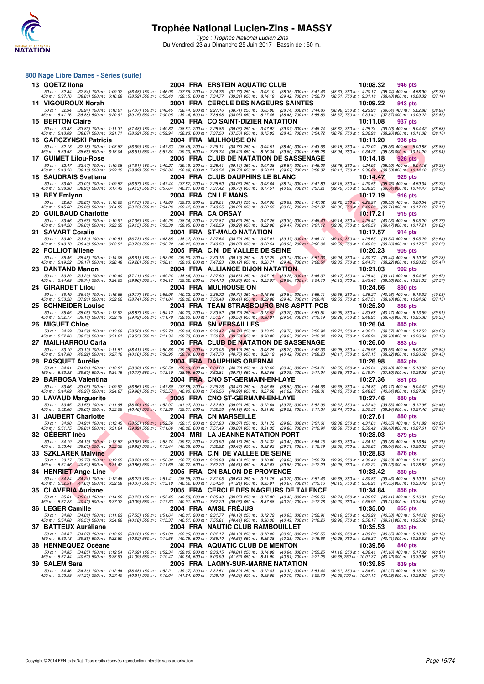

Type : Trophée National Lucien-Zins Du Vendredi 23 au Dimanche 25 Juin 2017 - Bassin de : 50 m.

#### **800 Nage Libre Dames - Séries (suite)**

|    | 13 GOETZ IIona                                                                                                                  |                                                                                                                                                                                    | 2004 FRA ERSTEIN AQUATIC CLUB                                                                                                                                                                                                                                                                                                     | 10:08.32<br><b>946 pts</b>                                                                                                     |
|----|---------------------------------------------------------------------------------------------------------------------------------|------------------------------------------------------------------------------------------------------------------------------------------------------------------------------------|-----------------------------------------------------------------------------------------------------------------------------------------------------------------------------------------------------------------------------------------------------------------------------------------------------------------------------------|--------------------------------------------------------------------------------------------------------------------------------|
|    | 450 m : 5:37.76 (38.86) 500 m : 6:16.28                                                                                         |                                                                                                                                                                                    | 50 m : 32.84 (32.84) 100 m : 1:09.32 (36.48) 150 m : 1:46.98 (37.66) 200 m : 2:24.75 (37.77) 250 m : 3:03.10 (38.35) 300 m : 3:41.43<br>$(38.52)$ 550 m : 6:55.43 $(39.15)$ 600 m : 7:34.77 $(39.34)$ 650 m : 8:14.19 $(39.42)$ 700 m : 8:52.70                                                                                   | (38.33) 350 m: 4:20.17 (38.74) 400 m: 4:58.90<br>(38.73)<br>(38.51) 750 m : 9:31.18 (38.48) 800 m : 10:08.32<br>(37.14)        |
|    | 14 VIGOUROUX Norah                                                                                                              |                                                                                                                                                                                    | 2004 FRA CERCLE DES NAGEURS SAINTES                                                                                                                                                                                                                                                                                               | 10:09.22<br>943 pts                                                                                                            |
|    | 50 m : 32.94 (32.94) 100 m : 1:10.01                                                                                            |                                                                                                                                                                                    | (37.07) 150 m : 1:48.45 (38.44) 200 m : 2:27.16 (38.71) 250 m : 3:05.90 (38.74) 300 m : 3:44.86                                                                                                                                                                                                                                   | (38.96) 350 m : 4:23.90 (39.04) 400 m : 5:02.88<br>(38.98)                                                                     |
|    | 450 m : 5.41.76 (38.88) 500 m : 6.20.91                                                                                         |                                                                                                                                                                                    | (39.15) 550 m : 7:00.05 (39.14) 600 m : 7:38.98 (38.93) 650 m : 8:17.46 (38.48) 700 m : 8:55.83                                                                                                                                                                                                                                   | (38.37) 750 m : 9:33.40 (37.57) 800 m : 10:09.22<br>(35.82)                                                                    |
|    | 15 BERTON Claire<br>50 m: 33.83<br>(33.83) 100 m : 1:11.31                                                                      | (37.48) 150 m : 1:49.82 (38.51) 200 m : 2:28.85 (39.03) 250 m : 3:07.92                                                                                                            | 2004 FRA CO SAINT-DIZIER NATATION<br>(39.07) 300 m : 3:46.74                                                                                                                                                                                                                                                                      | 10:11.08<br>937 pts<br>(38.82) 350 m : 4:25.74 (39.00) 400 m : 5:04.42<br>(38.68)                                              |
|    | 450 m : 5:43.09 (38.67) 500 m : 6:21.71                                                                                         |                                                                                                                                                                                    | (38.62) 550 m: 6:59.94 (38.23) 600 m: 7:37.50 (37.56) 650 m: 8:15.93 (38.43) 700 m: 8:54.72                                                                                                                                                                                                                                       | (38.79) 750 m : 9:32.98 (38.26) 800 m : 10:11.08<br>(38.10)                                                                    |
|    | 16 GARCZYNSKI Patricia                                                                                                          |                                                                                                                                                                                    | 2004 FRA MULHOUSEON                                                                                                                                                                                                                                                                                                               | 10:11.20<br><b>936 pts</b>                                                                                                     |
|    | 50 m: 32.18 (32.18) 100 m: 1:08.87<br>450 m: 5:39.53 (38.65) 500 m: 6:18.04                                                     | (36.69) 150 m : 1:47.33                                                                                                                                                            | (38.46) 200 m : 2:26.11 (38.78) 250 m : 3:04.51 (38.40) 300 m : 3:43.66<br>(38.51) 550 m : 6:57.34 (39.30) 600 m : 7:36.74 (39.40) 650 m : 8:16.34 (39.60) 700 m : 8:55.28                                                                                                                                                        | (39.15) 350 m : 4:22.02 (38.36) 400 m : 5:00.88<br>(38.86)<br>(38.94) 750 m : 9:34.26 (38.98) 800 m : 10:11.20<br>(36.94)      |
|    | 17 GUIMET Lilou-Rose                                                                                                            |                                                                                                                                                                                    | 2005 FRA  CLUB DE NATATION DE SASSENAGE                                                                                                                                                                                                                                                                                           | 10:14.18<br><b>926 pts</b>                                                                                                     |
|    | 50 m: 32.47 (32.47) 100 m: 1:10.08<br>450 m : 5:43.26 (39.10) 500 m : 6:22.15                                                   | (37.61) 150 m : 1:49.27<br>$(39.19)$ 200 m : 2:28.41                                                                                                                               | $(39.14)$ 250 m : 3:07.28<br>$(38.87)$ 300 m : 3:46.03                                                                                                                                                                                                                                                                            | (38.75) 350 m : 4:24.93 (38.90) 400 m : 5:04.16<br>(39.23)<br>(38.11) 750 m : 9:36.82 (38.50) 800 m : 10:14.18                 |
|    | 18 SAUDRAIS Svetlana                                                                                                            |                                                                                                                                                                                    | (38.89) 550 m : 7:00.84 (38.69) 600 m : 7:40.54 (39.70) 650 m : 8:20.21 (39.67) 700 m : 8:58.32<br>2004 FRA CLUB DAUPHINS LE BLANC                                                                                                                                                                                                | (37.36)<br>10:14.47<br>925 pts                                                                                                 |
|    | 50 m: 33.00 (33.00) 100 m: 1:09.57                                                                                              | $(37.87)$ 200 m : 2:25.50<br>$(36.57)$ 150 m : 1:47.44                                                                                                                             | $(38.06)$ 250 m : 3:03.64<br>$(38.14)$ 300 m : 3:41.80                                                                                                                                                                                                                                                                            | (38.16) 350 m : 4:20.55 (38.75) 400 m : 4:59.34<br>(38.79)                                                                     |
|    | 450 m : 5:38.30<br>$(38.96)$ 500 m : 6:17.43                                                                                    | $(40.21)$ 600 m : 7:37.42<br>(39.13) 550 m : 6:57.64                                                                                                                               | $(39.78)$ 650 m : 8:17.51<br>(40.09) 700 m : 8:57.21                                                                                                                                                                                                                                                                              | $(39.70)$ 750 m : $9.36.25$<br>(39.04) 800 m : 10:14.47<br>(38.22)                                                             |
|    | 19 BEY Emiynn<br>50 m: 32.85 (32.85) 100 m: 1:10.60                                                                             | (37.75) 150 m : 1:49.80 (39.20) 200 m : 2:29.01 (39.21) 250 m : 3:07.90                                                                                                            | 2004 FRA CN LE MANS<br>$(38.89)$ 300 m : 3:47.62                                                                                                                                                                                                                                                                                  | <u> 10:17.19</u><br><b>916 pts</b><br>(39.72) 350 m: 4:26.97 (39.35) 400 m: 5:06.54<br>(39.57)                                 |
|    | 450 m: 5:45.62 (39.08) 500 m: 6:24.85                                                                                           | $(39.23)$ 550 m : 7:04.26<br>$(39.41)$ 600 m : 7:43.35                                                                                                                             | (39.09) 650 m : 8:22.55<br>$(39.20)$ 700 m : 9:01.37                                                                                                                                                                                                                                                                              | (38.82) 750 m : 9:40.08 (38.71) 800 m : 10:17.19<br>(37.11)                                                                    |
|    | <b>20 GUILBAUD Charlotte</b>                                                                                                    | 2004 FRA CAORSAY                                                                                                                                                                   |                                                                                                                                                                                                                                                                                                                                   | 10:17.21<br>915 pts                                                                                                            |
|    | 50 m: 33.56 (33.56) 100 m: 1:10.91<br>450 m: 5:44.20 (39.00) 500 m: 6:23.35                                                     | (37.35) 150 m : 1:49.25<br>$(39.15)$ 550 m : 7:03.30                                                                                                                               | (38.34) 200 m : 2:27.87 (38.62) 250 m : 3:07.26<br>$(39.39)$ 300 m : 3:46.40<br>(39.95) 600 m : 7:42.59 (39.29) 650 m : 8:22.06<br>$(39.47)$ 700 m : $9:01.12$                                                                                                                                                                    | (39.14) 350 m: 4:26.43 (40.03) 400 m: 5:05.20<br>(38.77)<br>$(39.06)$ 750 m : 9:40.59<br>(39.47) 800 m : 10:17.21<br>(36.62)   |
|    | 21 SAVART Coralie                                                                                                               |                                                                                                                                                                                    | 2004 FRA ST-MALO NATATION                                                                                                                                                                                                                                                                                                         | 10:17.57<br>914 pts                                                                                                            |
|    | 50 m: 33.80 (33.80) 100 m: 1:10.53                                                                                              | (36.73) 150 m: 1:48.85 (38.32) 200 m: 2:27.64 (38.79) 250 m: 3:07.01                                                                                                               | $(39.37)$ 300 m : 3:46.11                                                                                                                                                                                                                                                                                                         | (39.10) 350 m: 4:25.65 (39.54) 400 m: 5:05.29<br>(39.64)                                                                       |
|    | 450 m : 5:43.78 (38.49) 500 m : 6:23.51<br>22 FOLLIOT Milene                                                                    | (39.73) 550 m: 7:03.72 (40.21) 600 m: 7:43.59 (39.87) 650 m: 8:22.54                                                                                                               | $(38.95)$ 700 m : 9:02.04<br>2005 FRA C.N DE VALLEE DE SEINE                                                                                                                                                                                                                                                                      | (39.50) 750 m : 9:40.30 (38.26) 800 m : 10:17.57<br>(37.27)<br>10:20.23<br>905 pts                                             |
|    | 50 m: 35.45 (35.45) 100 m: 1:14.06                                                                                              | (38.61) 150 m: 1:53.96 (39.90) 200 m: 2:33.15 (39.19) 250 m: 3:12.29                                                                                                               | $(39.14)$ 300 m : 3:51.33                                                                                                                                                                                                                                                                                                         | (39.04) 350 m: 4:30.77 (39.44) 400 m: 5:10.05<br>(39.28)                                                                       |
|    | 450 m : 5:49.22 (39.17) 500 m : 6:28.48                                                                                         | (39.26) 550 m : 7:08.11 (39.63) 600 m : 7:47.23 (39.12) 650 m : 8:26.71                                                                                                            | $(39.48)$ 700 m : 9:06.54                                                                                                                                                                                                                                                                                                         | (39.83) 750 m: 9:44.76 (38.22) 800 m: 10:20.23<br>(35.47)                                                                      |
|    | 23 DANTAND Manon<br>50 m : 33.29                                                                                                |                                                                                                                                                                                    | 2004 FRA ALLIANCE DIJON NATATION<br>(37.11) 150 m : 1:49.24 (38.84) 200 m : 2:27.90 (38.66) 250 m : 3:07.15 (39.25) 300 m : 3:46.32                                                                                                                                                                                               | 10:21.03<br>902 pts<br>(39.17) 350 m: 4:25.43 (39.11) 400 m: 5:04.95                                                           |
|    | (33.29) 100 m : 1:10.40<br>450 m : 5:44.69<br>$(39.74)$ 500 m : 6:24.65                                                         |                                                                                                                                                                                    | (39.96) 550 m : 7:04.17 (39.52) 600 m : 7:44.13 (39.96) 650 m : 8:23.97 (39.84) 700 m : 9:04.10                                                                                                                                                                                                                                   | (39.52)<br>(40.13) 750 m: 9:43.46 (39.36) 800 m: 10:21.03<br>(37.57)                                                           |
|    | 24 GIRARDET Lilou                                                                                                               |                                                                                                                                                                                    | 2004 FRA MULHOUSEON                                                                                                                                                                                                                                                                                                               | 10:24.66<br>890 pts                                                                                                            |
|    | 50 m: 36.49<br>(36.49) 100 m : 1:15.66<br>450 m : 5:53.28 (37.96) 500 m : 6:32.02                                               |                                                                                                                                                                                    | $\begin{array}{cccc} (39.17) \ 150 \ m \ \vdots \ \ 1:55.98 & (40.32) \ 200 \ m \ \vdots \ \ 2:35.72 & (39.74) \ 250 \ m \ \vdots \ \ 3:5.56 & (39.84) \ 300 \ m \ \vdots \ \ 3:5.511 \\ (38.74) \ 550 \ m \ \vdots \ \ 7:11.04 & (39.02) \ 600 \ m \ \vdots \ \ 7:50.48 & (39.44) \ 650 \ m \ \vdots \ \ 8:29.88 & (39.40) \ 70$ | (39.55) 350 m: 4:35.27 (40.16) 400 m: 5:15.32<br>(40.05)<br>(39.53) 750 m : 9:47.51 (38.10) 800 m : 10:24.66<br>(37.15)        |
|    | 25 SCHNEIDER Louise                                                                                                             |                                                                                                                                                                                    | 2004 FRA TEAM STRASBOURG SNS-ASPTT-PCS                                                                                                                                                                                                                                                                                            | 10:25.30<br><b>888 pts</b>                                                                                                     |
|    | 50 m : 35.05 (35.05) 100 m : 1:13.92                                                                                            |                                                                                                                                                                                    | (38.87) 150 m : 1:54.12 (40.20) 200 m : 2:33.82 (39.70) 250 m : 3:13.52 (39.70) 300 m : 3:53.51                                                                                                                                                                                                                                   | $(39.99)$ 350 m : 4:33.68<br>$(40.17)$ 400 m : 5:13.59<br>(39.91)                                                              |
|    | 450 m: 5:52.77 (39.18) 500 m: 6:32.19<br><b>26 MIGUET Chloe</b>                                                                 |                                                                                                                                                                                    | (39.42) 550 m : 7:11.79 (39.60) 600 m : 7:51.37 (39.58) 650 m : 8:30.91 (39.54) 700 m : 9:10.19                                                                                                                                                                                                                                   | (39.28) 750 m : 9:48.95 (38.76) 800 m : 10:25.30<br>(36.35)<br>10:26.04                                                        |
|    | 50 m: 34.59 (34.59) 100 m: 1:13.09                                                                                              |                                                                                                                                                                                    | 2004 FRA SNVERSAILLES<br>(38.50) 150 m : 1:52.73 (39.64) 200 m : 2:33.47 (40.74) 250 m : 3:13.23 (39.76) 300 m : 3:52.94                                                                                                                                                                                                          | 885 pts<br>(39.71) 350 m: 4:32.51 (39.57) 400 m: 5:12.53<br>(40.02)                                                            |
|    | 450 m : 5:52.06 (39.53) 500 m : 6:31.61                                                                                         | (39.55) 550 m : 7:11.34 (39.73) 600 m : 7:50.87 (39.53) 650 m : 8:30.80                                                                                                            | (39.93) 700 m : 9:10.04                                                                                                                                                                                                                                                                                                           | (39.24) 750 m : 9:48.94<br>(38.90) 800 m : 10:26.04<br>(37.10)                                                                 |
|    | 27 MAILHARROU Carla                                                                                                             |                                                                                                                                                                                    | 2005 FRA CLUB DE NATATION DE SASSENAGE                                                                                                                                                                                                                                                                                            | 10:26.60<br>883 pts                                                                                                            |
|    | 50 m : 33.10 (33.10) 100 m : 1:11.51<br>450 m: 5:47.00 (40.22) 500 m: 6:27.16                                                   | $(38.41)$ 150 m : 1:50.86<br>(40.16) 550 m : 7:06.95                                                                                                                               | $(39.35)$ 200 m : 2:30.05 $(39.19)$ 250 m : 3:08.25<br>$(38.20)$ 300 m : 3:47.33<br>(39.79) 600 m : 7:47.70 (40.75) 650 m : 8:28.12<br>$(40.42)$ 700 m : 9:08.23                                                                                                                                                                  | (39.08) 350 m : 4:26.98 (39.65) 400 m : 5:06.78<br>(39.80)<br>(40.11) 750 m : 9:47.15<br>(38.92) 800 m : 10:26.60<br>(39.45)   |
|    | 28 PASQUET Aurélie                                                                                                              |                                                                                                                                                                                    | 2004 FRA DAUPHINS OBERNAI                                                                                                                                                                                                                                                                                                         | 10:26.98<br>882 pts                                                                                                            |
|    | 50 m: 34.91 (34.91) 100 m: 1:13.81<br>450 m: 5:53.38 (39.50) 500 m: 6:34.15                                                     | (38.90) 150 m : 1:53.50<br>$(40.77)$ 550 m : 7:13.10<br>$(38.95)$ 600 m : 7:52.81                                                                                                  | $(39.69)$ 200 m : 2:34.20 $(40.70)$ 250 m : 3:13.66<br>$(39.46)$ 300 m : 3:54.21<br>$(39.71)$ 650 m : 8:32.56<br>$(39.75)$ 700 m : 9:11.94                                                                                                                                                                                        | (40.55) 350 m : 4:33.64 (39.43) 400 m : 5:13.88<br>(40.24)<br>(39.38) 750 m : 9:49.74<br>(37.80) 800 m : 10:26.98<br>(37.24)   |
| 29 | <b>BARBOSA Valentina</b>                                                                                                        |                                                                                                                                                                                    | 2004 FRA CNO ST-GERMAIN-EN-LAYE                                                                                                                                                                                                                                                                                                   | 10:27.36<br>881 pts                                                                                                            |
|    | 50 m: 33.06 (33.06) 100 m: 1:09.92                                                                                              |                                                                                                                                                                                    | (36.86) 150 m : 1:47.80 (37.88) 200 m : 2:26.26 (38.46) 250 m : 3:05.08 (38.82) 300 m : 3:44.66                                                                                                                                                                                                                                   | (39.58) 350 m: 4:24.83 (40.17) 400 m: 5:04.42<br>(39.59)                                                                       |
|    | 450 m : 5:44.69 (40.27) 500 m : 6:24.67                                                                                         |                                                                                                                                                                                    | (39.98) 550 m : 7:05.57 (40.90) 600 m : 7:46.56 (40.99) 650 m : 8:27.58 (41.02) 700 m : 9:08.01                                                                                                                                                                                                                                   | (40.43) 750 m: 9:48.85 (40.84) 800 m: 10:27.36<br>(38.51)                                                                      |
|    | 30 LAVAUD Marquerite<br>$(33.55)$ 100 m : 1:11.95<br>50 m : 33.55                                                               | (38.40) 150 m: 1:52.97 (41.02) 200 m: 2:32.89 (39.92) 250 m: 3:12.64                                                                                                               | 2005 FRA CNO ST-GERMAIN-EN-LAYE<br>$(39.75)$ 300 m : 3:52.96                                                                                                                                                                                                                                                                      | 10:27.46<br>880 pts<br>(40.32) 350 m: 4:32.49 (39.53) 400 m: 5:12.95<br>(40.46)                                                |
|    | 450 m : 5:52.60 (39.65) 500 m : 6:33.08                                                                                         | $(40.48)$ 550 m : 7:12.39                                                                                                                                                          | $(39.31)$ 600 m : 7:52.58 $(40.19)$ 650 m : 8:31.60<br>$(39.02)$ 700 m : 9:11.34                                                                                                                                                                                                                                                  | (39.74) 750 m : 9:50.58 (39.24) 800 m : 10:27.46<br>(36.88)                                                                    |
|    | 31 JAUBERT Charlotte                                                                                                            |                                                                                                                                                                                    | 2004 FRA CN MARSEILLE                                                                                                                                                                                                                                                                                                             | 10:27.61<br>880 pts                                                                                                            |
|    | 50 m : 34.90<br>450 m : 5:51.75 (39.86) 500 m : 6:31.64                                                                         |                                                                                                                                                                                    | (34.90) 100 m : 1:13.45 (38.55) 150 m : 1:52.56 (39.11) 200 m : 2:31.93 (39.37) 250 m : 3:11.73 (39.80) 300 m : 3:51.61<br>(39.89) 550 m : 7:11.66 (40.02) 600 m : 7:51.49 (39.83) 650 m : 8:31.35 (39.86) 700 m : 9:10.94                                                                                                        | (39.88) 350 m: 4:31.66 (40.05) 400 m: 5:11.89<br>(40.23)<br>(39.59) 750 m : 9:50.42 (39.48) 800 m : 10:27.61<br>(37.19)        |
|    | 32 GEBERT Inès                                                                                                                  |                                                                                                                                                                                    | 2004 MRI LA JEANNE NATATION PORT                                                                                                                                                                                                                                                                                                  | 10:28.03<br>879 pts                                                                                                            |
|    |                                                                                                                                 | $(39.92)$ 550 m : 7:13.44                                                                                                                                                          | 50 m : 34.19 (34.19) 100 m : 1:13.87 (39.68) 150 m : 1:53.74 (39.87) 200 m : 2:33.90 (40.16) 250 m : 3:14.32 (40.42) 300 m : 3:54.15 (39.83) 350 m : 4:34.13 (39.88) 400 m : 5:13.84                                                                                                                                              | (39.71)<br>(39.56) 750 m : 9:50.83 (38.64) 800 m : 10:28.03<br>(37.20)                                                         |
|    | 450 m : 5:53.44 (39.60) 500 m : 6:33.36<br>33 SZKLAREK Malvine                                                                  |                                                                                                                                                                                    | (40.08) 600 m : 7:52.92 (39.48) 650 m : 8:32.63 (39.71) 700 m : 9:12.19<br>2005 FRA C.N DE VALLEE DE SEINE                                                                                                                                                                                                                        | 10:28.83<br>876 pts                                                                                                            |
|    | 50 m: 33.77 (33.77) 100 m: 1:12.05                                                                                              |                                                                                                                                                                                    | (38.28) 150 m : 1:50.82 (38.77) 200 m : 2:30.98 (40.16) 250 m : 3:10.86 (39.88) 300 m : 3:50.79                                                                                                                                                                                                                                   | $(39.93)$ 350 m : 4:30.42 $(39.63)$ 400 m : 5:11.05<br>(40.63)                                                                 |
|    | 450 m : 5:51.56 (40.51) 500 m : 6:31.42                                                                                         |                                                                                                                                                                                    | (39.86) 550 m : 7:11.69 (40.27) 600 m : 7:52.20 (40.51) 650 m : 8:32.03 (39.83) 700 m : 9:12.29                                                                                                                                                                                                                                   | (40.26) 750 m : 9:52.21 (39.92) 800 m : 10:28.83<br>(36.62)                                                                    |
|    | 34 HENRIET Ange-Line                                                                                                            |                                                                                                                                                                                    | 2005 FRA CN SALON-DE-PROVENCE<br>(38.22) 150 m: 1:51.41 (38.95) 200 m: 2:31.05 (39.64) 250 m: 3:11.75 (40.70) 300 m: 3:51.43                                                                                                                                                                                                      | 10:33.42<br><b>860 pts</b><br>(39.68) 350 m : 4:30.86 (39.43) 400 m : 5:10.91<br>(40.05)                                       |
|    | $50 \text{ m}:$ $34.24$ $(34.24)$ $100 \text{ m}:$ $1:12.46$<br>$450 \text{ m}:$ $5:52.51$ $(41.60)$ $500 \text{ m}:$ $6:32.58$ |                                                                                                                                                                                    | (40.07) 550 m: 7:13.10 (40.52) 600 m: 7:54.34 (41.24) 650 m: 8:35.01 (40.67) 700 m: 9:15.16                                                                                                                                                                                                                                       | (40.15) 750 m : 9:56.21 (41.05) 800 m : 10:33.42<br>(37.21)                                                                    |
|    | 35 CLAVERIA Auriane                                                                                                             |                                                                                                                                                                                    | 2005 FRA CERCLE DES NAGEURS DE TALENCE                                                                                                                                                                                                                                                                                            | 10:34.84<br>856 pts                                                                                                            |
|    | 50 m: 35.61 (35.61) 100 m: 1:14.86<br>450 m: 5:57.23 (40.42) 500 m: 6:37.32                                                     |                                                                                                                                                                                    | (39.25) 150 m : 1:55.45 (40.59) 200 m : 2:35.40 (39.95) 250 m : 3:15.82 (40.42) 300 m : 3:56.56<br>(40.09) 550 m : 7:17.33 (40.01) 600 m : 7:57.29 (39.96) 650 m : 8:37.58 (40.29) 700 m : 9:17.78                                                                                                                                | (40.74) 350 m : 4:36.97 (40.41) 400 m : 5:16.81<br>(39.84)<br>(40.20) 750 m: 9:56.99 (39.21) 800 m: 10:34.84<br>(37.85)        |
|    | 36 LEGER Camille                                                                                                                |                                                                                                                                                                                    | 2004 FRA AMSL FRÉJUS                                                                                                                                                                                                                                                                                                              | 10:35.00<br>855 pts                                                                                                            |
|    |                                                                                                                                 | 50 m: 34.08 (34.08) 100 m: 1:11.63 (37.55) 150 m: 1:51.64 (40.01) 200 m: 2:31.77 (40.13) 250 m: 3:12.72<br>(40.18) 550 m : 7:15.37 (40.51) 600 m : 7:55.81 (40.44) 650 m : 8:36.30 | (40.95) 300 m : 3:52.91                                                                                                                                                                                                                                                                                                           | (40.19) 350 m: 4:33.29 (40.38) 400 m: 5:14.18<br>(40.89)<br>(39.96) 750 m : 9:56.17 (39.91) 800 m : 10:35.00                   |
|    | 450 m : 5:54.68 (40.50) 500 m : 6:34.86<br>37 BATTEUX Auréliane                                                                 |                                                                                                                                                                                    | $(40.49)$ 700 m : 9:16.26<br>2004 FRA NAUTIC CLUB RAMBOUILLET                                                                                                                                                                                                                                                                     | (38.83)<br>10:35.53<br>853 pts                                                                                                 |
|    | 50 m: 34.87 (34.87) 100 m: 1:13.03                                                                                              |                                                                                                                                                                                    | (38.16) 150 m: 1:51.99 (38.96) 200 m: 2:32.17 (40.18) 250 m: 3:12.06 (39.89) 300 m: 3:52.55                                                                                                                                                                                                                                       | (40.49) 350 m: 4:33.20 (40.65) 400 m: 5:13.33<br>(40.13)                                                                       |
|    | 450 m: 5:53.18 (39.85) 500 m: 6:33.80                                                                                           |                                                                                                                                                                                    | (40.62) 550 m : 7:14.55 (40.75) 600 m : 7:55.10 (40.55) 650 m : 8:35.38 (40.28) 700 m : 9:15.66                                                                                                                                                                                                                                   | (40.28) 750 m: 9:56.37 (40.71) 800 m: 10:35.53<br>(39.16)                                                                      |
|    | 38 HENNEQUEZ Océane                                                                                                             |                                                                                                                                                                                    | 2004 FRA AQUATIC CLUB DE MENTON                                                                                                                                                                                                                                                                                                   | 10:39.56<br>840 pts                                                                                                            |
|    | 50 m: 34.85 (34.85) 100 m: 1:12.54<br>450 m : 5:57.84 (40.52) 500 m : 6:38.93                                                   |                                                                                                                                                                                    | (37.69) 150 m : 1:52.34 (39.80) 200 m : 2:33.15 (40.81) 250 m : 3:14.09 (40.94) 300 m : 3:55.25<br>(41.09) 550 m : 7:19.47 (40.54) 600 m : 8:00.99 (41.52) 650 m : 8:41.90 (40.91) 700 m : 9:21.25                                                                                                                                | $(41.16)$ 350 m : 4:36.41 $(41.16)$ 400 m : 5:17.32<br>(40.91)<br>(39.35) 750 m : 10:01.37 (40.12) 800 m : 10:39.56<br>(38.19) |
|    | 39 SALEM Sara                                                                                                                   |                                                                                                                                                                                    | 2005 FRA LAGNY-SUR-MARNE NATATION                                                                                                                                                                                                                                                                                                 | 10:39.85<br>839 pts                                                                                                            |
|    | 50 m : 34.36<br>(34.36) 100 m : 1:12.84<br>450 m : 5:56.59 (41.30) 500 m : 6:37.40                                              | (38.48) 150 m : 1:52.21                                                                                                                                                            | (39.37) 200 m : 2:32.51 (40.30) 250 m : 3:12.83 (40.32) 300 m : 3:53.44 (40.61) 350 m : 4:34.51 (41.07) 400 m : 5:15.29<br>(40.81) 550 m : 7:18.64 (41.24) 600 m : 7:59.18 (40.54) 650 m : 8:39.88 (40.70) 700 m : 9:20.76                                                                                                        | (40.78)<br>(40.88) 750 m : 10:01.15 (40.39) 800 m : 10:39.85<br>(38.70)                                                        |
|    |                                                                                                                                 |                                                                                                                                                                                    |                                                                                                                                                                                                                                                                                                                                   |                                                                                                                                |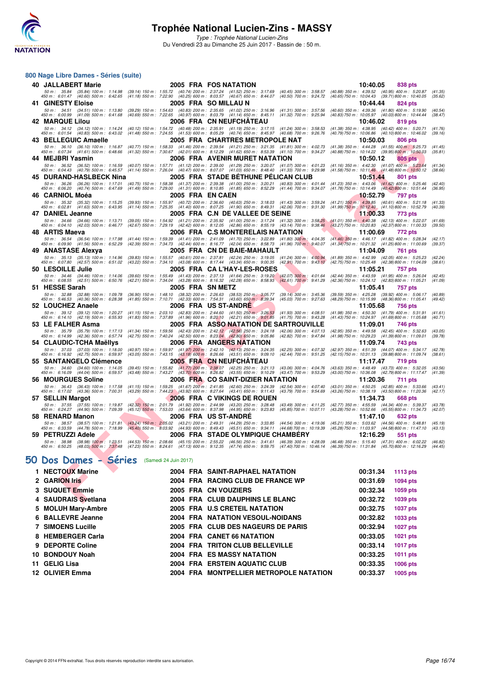

Type : Trophée National Lucien-Zins Du Vendredi 23 au Dimanche 25 Juin 2017 - Bassin de : 50 m.

#### **800 Nage Libre Dames - Séries (suite)**

|     | 40 JALLABERT Marie                                                               |                                                 |                  | 2005 FRA FOS NATATION                                                                                                                                                                                              | 10:40.05<br>838 pts                                                                                                      |
|-----|----------------------------------------------------------------------------------|-------------------------------------------------|------------------|--------------------------------------------------------------------------------------------------------------------------------------------------------------------------------------------------------------------|--------------------------------------------------------------------------------------------------------------------------|
|     | 50 m: 35.84 (35.84) 100 m: 1:14.98<br>450 m : 6:01.47 (40.60) 500 m : 6:42.65    |                                                 |                  | (39.14) 150 m: 1:55.72 (40.74) 200 m: 2:37.24 (41.52) 250 m: 3:17.69 (40.45) 300 m: 3:58.57<br>(41.18) 550 m : 7:22.90 (40.25) 600 m : 8:03.57 (40.67) 650 m : 8:44.07 (40.50) 700 m : 9:24.72                     | (40.88) 350 m: 4:39.52 (40.95) 400 m: 5:20.87<br>(41.35)<br>(40.65) 750 m: 10:04.43 (39.71) 800 m: 10:40.05<br>(35.62)   |
|     | 41 GINESTY Eloise                                                                |                                                 |                  | 2005 FRA SO MILLAU N                                                                                                                                                                                               | 10:44.44<br>824 pts                                                                                                      |
|     | 50 m: 34.51<br>$(34.51)$ 100 m : 1:13.80                                         | $(39.29)$ 150 m : 1:54.63                       |                  | (40.83) 200 m : 2:35.65 (41.02) 250 m : 3:16.96<br>$(41.31)$ 300 m : 3:57.56                                                                                                                                       | (40.60) 350 m: 4:39.36 (41.80) 400 m: 5:19.90<br>(40.54)                                                                 |
|     | 450 m : 6:00.99<br>$(41.09)$ 500 m : 6:41.68                                     | $(40.69)$ 550 m : 7:22.65                       |                  | $(40.97)$ 600 m : 8:03.79 $(41.14)$ 650 m : 8:45.11 $(41.32)$ 700 m : 9:25.94                                                                                                                                      | (40.83) 750 m : 10:05.97<br>(40.03) 800 m : 10:44.44<br>(38.47)                                                          |
|     | 42  MARQUE Lilou                                                                 |                                                 |                  | 2006 FRA CN NEUFCHATEAU                                                                                                                                                                                            | 10:46.02<br>819 pts                                                                                                      |
|     | 50 m: 34.12 (34.12) 100 m: 1:14.24<br>450 m : 6:01.54 (40.83) 500 m : 6:43.02    |                                                 |                  | (40.12) 150 m: 1:54.72 (40.48) 200 m: 2:35.91 (41.19) 250 m: 3:17.15 (41.24) 300 m: 3:58.53<br>(41.48) 550 m : 7:24.55 (41.53) 600 m : 8:05.29 (40.74) 650 m : 8:45.97 (40.68) 700 m : 9:26.76                     | (41.38) 350 m: 4:38.95 (40.42) 400 m: 5:20.71<br>(41.76)<br>(40.79) 750 m : 10:06.86 (40.10) 800 m : 10:46.02<br>(39.16) |
| 43  | BELLEGUIC Amaelle                                                                |                                                 |                  | 2005 FRA CHARTRES METROPOLE NAT                                                                                                                                                                                    | 10:50.03<br>806 pts                                                                                                      |
|     | 50 m: 36.10 (36.10) 100 m: 1:16.87                                               |                                                 |                  | (40.77) 150 m: 1:58.33 (41.46) 200 m: 2:39.54 (41.21) 250 m: 3:21.35<br>$(41.81)$ 300 m : 4:02.73                                                                                                                  | (41.38) 350 m: 4:44.28 (41.55) 400 m: 5:25.73<br>(41.45)                                                                 |
|     | 450 m : 6:07.34 (41.61) 500 m : 6:48.66<br>44 MEJBRI Yasmin                      |                                                 |                  | (41.32) 550 m : 7:30.67 (42.01) 600 m : 8:12.29 (41.62) 650 m : 8:53.39 (41.10) 700 m : 9:34.27                                                                                                                    | (40.88) 750 m : 10:14.22 (39.95) 800 m : 10:50.03<br>(35.81)                                                             |
|     | 50 m: 36.52 (36.52) 100 m: 1:16.59                                               |                                                 |                  | 2006 FRA AVENIR MURET NATATION<br>(40.07) 150 m: 1:57.71 (41.12) 200 m: 2:39.00 (41.29) 250 m: 3:20.07 (41.07) 300 m: 4:01.23                                                                                      | 10:50.12<br>805 pts<br>(41.16) 350 m: 4:42.30 (41.07) 400 m: 5:23.64<br>(41.34)                                          |
|     | 450 m : 6:04.43 (40.79) 500 m : 6:45.57                                          |                                                 |                  | $(41.14)$ 550 m $: 7.26.04$ $(40.47)$ 600 m $: 8.07.07$ $(41.03)$ 650 m $: 8.48.40$ $(41.33)$ 700 m $: 9.29.98$                                                                                                    | (41.58) 750 m : 10:11.46 (41.48) 800 m : 10:50.12<br>(38.66)                                                             |
| 45  | <b>DURAND-HASLBECK Nina</b>                                                      |                                                 |                  | 2005 FRA STADE BETHUNE PELICAN CLUB                                                                                                                                                                                | 10:51.44<br>801 pts                                                                                                      |
|     | 50 m: 36.26 (36.26) 100 m: 1:17.01<br>450 m : 6:06.20 (40.74) 500 m : 6:47.69    |                                                 |                  | (40.75) 150 m: 1:58.38 (41.37) 200 m: 2:39.38 (41.00) 250 m: 3:20.21 (40.83) 300 m: 4:01.44<br>(41.49) 550 m: 7:29.00 (41.31) 600 m: 8:10.85 (41.85) 650 m: 8:52.29<br>(41.44) 700 m : 9:34.07                     | (41.23) 350 m: 4:43.06 (41.62) 400 m: 5:25.46<br>(42.40)<br>(41.78) 750 m : 10:14.49 (40.42) 800 m : 10:51.44<br>(36.95) |
| 46. | <b>CARNIOL Moéa</b>                                                              |                                                 | 2005 FRA EN CAEN |                                                                                                                                                                                                                    | 10:52.79<br>797 pts                                                                                                      |
|     | 50 m: 35.32 (35.32) 100 m: 1:15.25                                               |                                                 |                  | (39.93) 150 m: 1:55.97 (40.72) 200 m: 2:36.60 (40.63) 250 m: 3:18.03 (41.43) 300 m: 3:59.24                                                                                                                        | (41.21) 350 m : 4:39.85 (40.61) 400 m : 5:21.18<br>(41.33)                                                               |
|     | 450 m: 6:02.81 (41.63) 500 m: 6:43.95                                            |                                                 |                  | (41.14) 550 m: 7:25.35 (41.40) 600 m: 8:07.25 (41.90) 650 m: 8:49.31 (42.06) 700 m: 9:31.30                                                                                                                        | (41.99) 750 m : 10:12.40 (41.10) 800 m : 10:52.79<br>(40.39)                                                             |
|     | 47 DANIEL Jeanne                                                                 |                                                 |                  | 2005 FRA C.N DE VALLEE DE SEINE<br>(39.05) 150 m: 1:54.92 (41.21) 200 m: 2:35.92 (41.00) 250 m: 3:17.24 (41.32) 300 m: 3:58.25                                                                                     | 11:00.33<br>773 pts<br>(41.01) 350 m: 4:40.38 (42.13) 400 m: 5:22.07<br>(41.69)                                          |
|     | 50 m: 34.66 (34.66) 100 m: 1:13.71<br>450 m: 6:04.10 (42.03) 500 m: 6:46.77      |                                                 |                  | (42.67) 550 m : 7:29.19 (42.42) 600 m : 8:12.05 (42.86) 650 m : 8:55.19<br>$(43.14)$ 700 m : 9:38.46                                                                                                               | (43.27) 750 m : 10:20.83 (42.37) 800 m : 11:00.33<br>(39.50)                                                             |
|     | 48   ARTIS Maeva                                                                 |                                                 |                  | 2006 FRA C.S MONTERELAIS NATATION                                                                                                                                                                                  | 11:00.69<br>772 pts                                                                                                      |
|     | 50 m : 36.54<br>(36.54) 100 m : 1:17.98<br>450 m: 6:09.90 (41.56) 500 m: 6:52.29 |                                                 |                  | (41.44) 150 m: 1:59.39 (41.41) 200 m: 2:41.09 (41.70) 250 m: 3:22.89 (41.80) 300 m: 4:04.35<br>(42.39) 550 m: 7:34.73 (42.44) 600 m: 8:16.77 (42.04) 650 m: 8:58.73 (41.96) 700 m: 9:40.07                         | (41.46) 350 m: 4:46.17 (41.82) 400 m: 5:28.34<br>(42.17)<br>(41.34) 750 m : 10:21.32 (41.25) 800 m : 11:00.69<br>(39.37) |
|     | 49 ANASTASE Alexya                                                               |                                                 |                  | 2005 FRA CN DE BAIE-MAHAULT                                                                                                                                                                                        | 11:04.09<br>761 pts                                                                                                      |
|     | 50 m: 35.13 (35.13) 100 m: 1:14.96                                               |                                                 |                  | (39.83) 150 m: 1:55.57 (40.61) 200 m: 2:37.81 (42.24) 250 m: 3:19.05 (41.24) 300 m: 4:00.94                                                                                                                        | (41.89) 350 m: 4:42.99 (42.05) 400 m: 5:25.23<br>(42.24)                                                                 |
|     | 450 m : 6:07.80 (42.57) 500 m : 6:51.02                                          |                                                 |                  | $(43.22)$ 550 m $: 7.34.10$ $(43.08)$ 600 m $: 8.17.44$ $(43.34)$ 650 m $: 9.00.35$<br>(42.91) 700 m : 9:43.10                                                                                                     | (42.75) 750 m: 10:25.48 (42.38) 800 m: 11:04.09<br>(38.61)                                                               |
|     | 50 LESOILLE Julie                                                                |                                                 |                  | 2005 FRA CA L'HAY-LES-ROSES                                                                                                                                                                                        | 11:05.21<br>757 pts                                                                                                      |
|     | 50 m: 34.46 (34.46) 100 m: 1:14.06<br>450 m : 6:08.55 (42.51) 500 m : 6:50.76    |                                                 |                  | (39.60) 150 m : 1:55.49 (41.43) 200 m : 2:37.13 (41.64) 250 m : 3:19.20 (42.07) 300 m : 4:01.64<br>$(42.21)$ 550 m : 7:34.04 $(43.28)$ 600 m : 8:16.32 $(42.28)$ 650 m : 8:58.93<br>$(42.61)$ 700 m : 9:41.29      | (42.44) 350 m: 4:43.59 (41.95) 400 m: 5:26.04<br>(42.45)<br>(42.36) 750 m: 10:24.12 (42.83) 800 m: 11:05.21<br>(41.09)   |
|     | 51 HESSE Sarah                                                                   |                                                 | 2005 FRA SN METZ |                                                                                                                                                                                                                    | 11:05.41<br>757 pts                                                                                                      |
|     | 50 m: 32.88<br>$(32.88)$ 100 m : 1:09.78                                         |                                                 |                  | (36.90) 150 m: 1:48.10 (38.32) 200 m: 2:26.63 (38.53) 250 m: 3:05.77<br>$(39.14)$ 300 m : 3:45.36                                                                                                                  | (39.59) 350 m: 4:25.28 (39.92) 400 m: 5:06.17<br>(40.89)                                                                 |
|     | 450 m: 5:46.53 (40.36) 500 m: 6:28.38<br>52 LOUCHEZ Anaele                       |                                                 |                  | $(41.85)$ 550 m $: 7.10.71$ $(42.33)$ 600 m $: 7.54.31$ $(43.60)$ 650 m $: 8.39.34$<br>$(45.03)$ 700 m : 9:27.63<br>2006 FRA US ST-ANDR <b>E</b>                                                                   | (48.29) 750 m: 10:15.99 (48.36) 800 m: 11:05.41<br>(49.42)<br>11:05.68<br>756 pts                                        |
|     | 50 m: 39.12 (39.12) 100 m: 1:20.27                                               |                                                 |                  | $(41.15)$ 150 m : 2:03.10 $(42.83)$ 200 m : 2:44.60 $(41.50)$ 250 m : 3:26.53<br>$(41.93)$ 300 m : 4:08.51                                                                                                         | (41.98) 350 m: 4:50.30 (41.79) 400 m: 5:31.91<br>(41.61)                                                                 |
|     | 450 m: 6:14.10 (42.19) 500 m: 6:55.93                                            |                                                 |                  | (41.83) 550 m : 7:37.89 (41.96) 600 m : 8:20.10 (42.21) 650 m : 9:01.85<br>$(41.75)$ 700 m : 9:43.28                                                                                                               | (41.43) 750 m : 10:24.97 (41.69) 800 m : 11:05.68<br>(40.71)                                                             |
|     | 53   LE FALHER Asma                                                              |                                                 |                  | 2005 FRA ASSO NATATION DE SARTROUVILLE                                                                                                                                                                             | 11:09.01<br>746 pts                                                                                                      |
|     | 50 m: 35.79 (35.79) 100 m: 1:17.13<br>450 m: 6:14.99 (42.36) 500 m: 6:57.74      |                                                 |                  | $(41.34)$ 150 m : 1:59.56 $(42.43)$ 200 m : 2:42.12 $(42.56)$ 250 m : 3:24.18 $(42.06)$ 300 m : 4:07.13<br>$(42.75)$ 550 m : 7:40.24 $(42.50)$ 600 m : 8:23.04 $(42.80)$ 650 m : 9:05.86 $(42.82)$ 700 m : 9:47.84 | (42.95) 350 m: 4:49.58 (42.45) 400 m: 5:32.63<br>(43.05)<br>(41.98) 750 m : 10:29.23 (41.39) 800 m : 11:09.01<br>(39.78) |
|     | 54 CLAUDIC-TCHA Maëllys                                                          |                                                 |                  | 2006 FRA ANGERS NATATION                                                                                                                                                                                           | 11:09.74<br>743 pts                                                                                                      |
|     | 50 m: 37.03 (37.03) 100 m: 1:18.00                                               |                                                 |                  | (40.97) 150 m: 1:59.97 (41.97) 200 m: 2:42.10 (42.13) 250 m: 3:24.35 (42.25) 300 m: 4:07.32                                                                                                                        | (42.97) 350 m: 4:51.39 (44.07) 400 m: 5:34.17<br>(42.78)                                                                 |
|     | 450 m : 6:16.92 (42.75) 500 m : 6:59.97<br>55 SANTANGELO Clémence                |                                                 |                  | (43.05) 550 m : 7:43.15 (43.18) 600 m : 8:26.66 (43.51) 650 m : 9:09.10<br>(42.44) 700 m : 9:51.25<br>2005 FRA CN NEUFCHATEAU                                                                                      | (42.15) 750 m: 10:31.13 (39.88) 800 m: 11:09.74<br>(38.61)<br>11:17.47<br>719 pts                                        |
|     | 50 m: 34.60 (34.60) 100 m: 1:14.05                                               |                                                 |                  | (39.45) 150 m: 1:55.82 (41.77) 200 m: 2:38.07 (42.25) 250 m: 3:21.13<br>(43.06) 300 m : 4:04.76                                                                                                                    | $(43.73)$ 400 m : 5:32.05<br>(43.63) 350 m : 4:48.49<br>(43.56)                                                          |
|     | 450 m: 6:16.09 (44.04) 500 m: 6:59.57                                            | (43.48) 550 m : 7:43.27                         |                  | (43.70) 600 m : 8:26.82 (43.55) 650 m : 9:10.29<br>(43.47) 700 m : 9:53.29                                                                                                                                         | (43.00) 750 m: 10:36.08 (42.79) 800 m: 11:17.47<br>(41.39)                                                               |
|     | <b>56 MOURGUES Soline</b>                                                        |                                                 |                  | 2006 FRA CO SAINT-DIZIER NATATION                                                                                                                                                                                  | 11:20.36<br>711 pts                                                                                                      |
|     | 50 m: 36.43 (36.43) 100 m: 1:17.58<br>450 m: 6:17.02 (43.36) 500 m: 7:00.31      |                                                 |                  | (41.15) 150 m: 1:59.25 (41.67) 200 m: 2:41.85 (42.60) 250 m: 3:24.39 (42.54) 300 m: 4:07.40<br>(43.29) 550 m: 7:44.23 (43.92) 600 m: 8:27.64 (43.41) 650 m: 9:11.43<br>(43.79) 700 m : 9:54.69                     | (43.01) 350 m: 4:50.25 (42.85) 400 m: 5:33.66<br>(43.41)<br>(43.26) 750 m: 10:38.19 (43.50) 800 m: 11:20.36<br>(42.17)   |
|     | 57 SELLIN Margot                                                                 |                                                 |                  | 2006 FRA C VIKINGS DE ROUEN                                                                                                                                                                                        | 11:34.73<br>668 pts                                                                                                      |
|     | 50 m: 37.55<br>(37.55) 100 m : 1:19.87                                           |                                                 |                  | (42.32) 150 m: 2:01.79 (41.92) 200 m: 2:44.99 (43.20) 250 m: 3:28.48 (43.49) 300 m: 4:11.25                                                                                                                        | (42.77) 350 m: 4:55.59 (44.34) 400 m: 5:39.37<br>(43.78)                                                                 |
|     | 450 m : 6:24.27 (44.90) 500 m : 7:09.39<br>58 RENARD Manon                       |                                                 |                  | (45.12) 550 m : 7:53.03 (43.64) 600 m : 8:37.98 (44.95) 650 m : 9:23.83<br>$(45.85)$ 700 m : 10:07.11<br>2006 FRA US ST-ANDRE                                                                                      | (43.28) 750 m: 10:52.66 (45.55) 800 m: 11:34.73<br>(42.07)<br>632 pts                                                    |
|     | 50 m: 38.57                                                                      |                                                 |                  | (38.57) 100 m: 1:21.81 (43.24) 150 m: 2:05.02 (43.21) 200 m: 2:49.31 (44.29) 250 m: 3:33.85 (44.54) 300 m: 4:19.06                                                                                                 | 11:47.10<br>(45.21) 350 m : 5:03.62 (44.56) 400 m : 5:48.81<br>(45.19)                                                   |
|     | 450 m: 6:33.59 (44.78) 500 m: 7:18.99                                            |                                                 |                  | (45.40) 550 m : 8:03.92 (44.93) 600 m : 8:49.43 (45.51) 650 m : 9:34.11 (44.68) 700 m : 10:19.39                                                                                                                   | (45.28) 750 m: 11:03.97 (44.58) 800 m: 11:47.10<br>(43.13)                                                               |
|     | 59 PETRUZZI Adele                                                                |                                                 |                  | 2006 FRA STADE OLYMPIQUE CHAMBERY                                                                                                                                                                                  | 12:16.29<br>551 pts                                                                                                      |
|     | $(38.98)$ 100 m : 1:23.51<br>50 m: 38.98<br>450 m : 6:50.25                      | (48.03) 500 m : 7:37.48 (47.23) 550 m : 8:24.61 |                  | (44.53) 150 m : 2:08.66 (45.15) 200 m : 2:55.22 (46.56) 250 m : 3:41.61 (46.39) 300 m : 4:28.09<br>(47.13) 600 m: 9:12.35 (47.74) 650 m: 9:59.75 (47.40) 700 m: 10:46.14                                           | (46.48) 350 m: 5:15.40 (47.31) 400 m: 6:02.22<br>(46.82)<br>(46.39) 750 m : 11:31.84 (45.70) 800 m : 12:16.29<br>(44.45) |
|     |                                                                                  |                                                 |                  |                                                                                                                                                                                                                    |                                                                                                                          |
| O   | Dos Dames - Séries (Samedi 24 Juin 2017)                                         |                                                 |                  |                                                                                                                                                                                                                    |                                                                                                                          |
|     | 1 NECTOUX Marine                                                                 |                                                 |                  | 2004 FRA SAINT-RAPHAEL NATATION                                                                                                                                                                                    | 00:31.34<br>1113 pts                                                                                                     |
|     | 2 GARION Iris                                                                    |                                                 |                  | 2004 FRA RACING CLUB DE FRANCE WP                                                                                                                                                                                  | 00:31.69<br><b>1094 pts</b>                                                                                              |
|     | 3 SUQUET Emmie                                                                   |                                                 |                  | 2005 FRA CN VOUZIERS                                                                                                                                                                                               | 00:32.34<br>1059 pts                                                                                                     |
|     | 4 SAUDRAIS Svetlana                                                              |                                                 |                  | 2004 FRA CLUB DAUPHINS LE BLANC                                                                                                                                                                                    | 00:32.72<br>1039 pts                                                                                                     |
|     |                                                                                  |                                                 |                  |                                                                                                                                                                                                                    |                                                                                                                          |

# **[50 Dos Dames - Séries](http://www.ffnatation.fr/webffn/resultats.php?idact=nat&go=epr&idcpt=47287&idepr=11)** (Samedi 24 Juin 2017)

| 1 NECTOUX Marine         |          | 2004 FRA SAINT-RAPHAEL NATATION         | 00:31.34 | 1113 pts        |
|--------------------------|----------|-----------------------------------------|----------|-----------------|
| 2 GARION Iris            |          | 2004 FRA RACING CLUB DE FRANCE WP       | 00:31.69 | 1094 pts        |
| 3 SUQUET Emmie           |          | 2005 FRA CN VOUZIERS                    | 00:32.34 | 1059 pts        |
| 4 SAUDRAIS Svetlana      |          | 2004 FRA CLUB DAUPHINS LE BLANC         | 00:32.72 | 1039 pts        |
| 5 MOLUH Mary-Ambre       |          | 2005 FRA U.S CRETEIL NATATION           | 00:32.75 | 1037 pts        |
| 6 BALLEVRE Jeanne        |          | <b>2004 FRA NATATION VESOUL-NOIDANS</b> | 00:32.82 | <b>1033 pts</b> |
| <b>7 SIMOENS Lucille</b> |          | 2005 FRA CLUB DES NAGEURS DE PARIS      | 00:32.94 | <b>1027 pts</b> |
| 8 HEMBERGER Carla        |          | 2004 FRA CANET 66 NATATION              | 00:33.05 | 1021 pts        |
| 9 DEPORTE Coline         |          | 2004 FRA TRITON CLUB BELLEVILLE         | 00:33.14 | 1017 pts        |
| 10 BONDOUY Noah          |          | 2004 FRA ES MASSY NATATION              | 00:33.25 | 1011 pts        |
| 11 GELIG Lisa            |          | <b>2004 FRA ERSTEIN AQUATIC CLUB</b>    | 00:33.35 | 1006 pts        |
| 12 OLIVIER Emma          | 2004 FRA | <b>MONTPELLIER METROPOLE NATATION</b>   | 00:33.37 | 1005 pts        |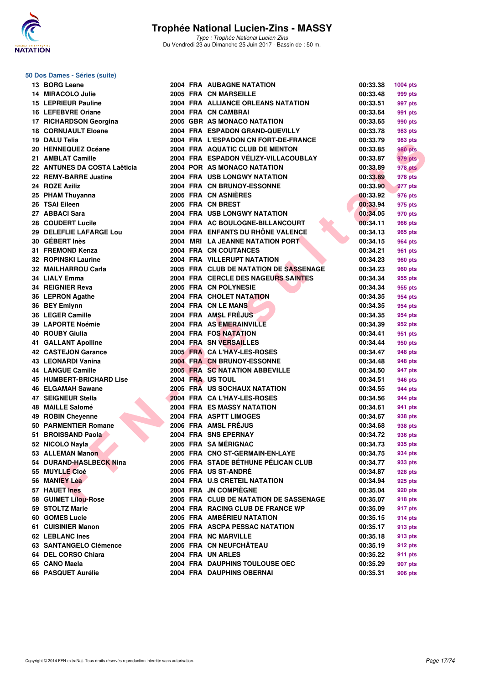

Type : Trophée National Lucien-Zins Du Vendredi 23 au Dimanche 25 Juin 2017 - Bassin de : 50 m.

#### **50 Dos Dames - Séries (suite)**

| 13 BORG Leane                |
|------------------------------|
| 14 MIRACOLO Julie            |
| <b>15 LEPRIEUR Pauline</b>   |
| <b>16 LEFEBVRE Oriane</b>    |
| 17 RICHARDSON Georgina       |
| <b>18 CORNUAULT Eloane</b>   |
| 19 DALU Telia                |
| 20 HENNEQUEZ Océane          |
| 21 AMBLAT Camille            |
| 22 ANTUNES DA COSTA Laëticia |
| 22 REMY-BARRE Justine        |
| 24 ROZE Aziliz               |
| 25 PHAM Thuyanna             |
| 26 TSAI Eileen               |
| 27 ABBACI Sara               |
| 28 COUDERT Lucile            |
| 29 DELEFLIE LAFARGE Lou      |
| 30 GÉBERT Inès               |
| 31 FREMOND Kenza             |
| 32 ROPINSKI Laurine          |
| 32 MAILHARROU Carla          |
| 34 LIALY Emma                |
| <b>34 REIGNIER Reva</b>      |
| 36 LEPRON Agathe             |
| 36 BEY Emlynn                |
| 36 LEGER Camille             |
| 39 LAPORTE Noémie            |
| 40 ROUBY Giulia              |
| <b>41 GALLANT Apolline</b>   |
| <b>42 CASTEJON Garance</b>   |
| <b>43 LEONARDI Vanina</b>    |
| <b>44 LANGUE Camille</b>     |
| 45 HUMBERT-BRICHARD Lise     |
| <b>46 ELGAMAH Sawane</b>     |
| <b>47 SEIGNEUR Stella</b>    |
| 48 MAILLE Salomé             |
| 49 ROBIN Cheyenne            |
| <b>50 PARMENTIER Romane</b>  |
| 51 BROISSAND Paola           |
| 52 NICOLO Nayla              |
| 53 ALLEMAN Manon             |
| 54 DURAND-HASLBECK Nina      |
| 55 MUYLLE Cloé               |
| 56 MANIEY Léa                |
| 57 HAUET Ines                |
| 58 GUIMET Lilou-Rose         |
| 59 STOLTZ Marie              |
| 60 GOMES Lucie               |
| 61 CUISINIER Manon           |
| <b>62 LEBLANC Ines</b>       |
| 63 SANTANGELO Clémence       |
| 64 DEL CORSO Chiara          |
| 65 CANO Maela                |
| 66 PASQUET Aurélie           |

| 13 BORG Leane                  |  | <b>2004 FRA AUBAGNE NATATION</b>       | 00:33.38 | 1004 pts       |
|--------------------------------|--|----------------------------------------|----------|----------------|
| 14 MIRACOLO Julie              |  | 2005 FRA CN MARSEILLE                  | 00:33.48 | 999 pts        |
| <b>15 LEPRIEUR Pauline</b>     |  | 2004 FRA ALLIANCE ORLEANS NATATION     | 00:33.51 | 997 pts        |
| 16 LEFEBVRE Oriane             |  | 2004 FRA CN CAMBRAI                    | 00:33.64 | 991 pts        |
| 17 RICHARDSON Georgina         |  | 2005 GBR AS MONACO NATATION            | 00:33.65 | 990 pts        |
| <b>18 CORNUAULT Eloane</b>     |  | 2004 FRA ESPADON GRAND-QUEVILLY        | 00:33.78 | 983 pts        |
| 19 DALU Telia                  |  | 2004 FRA L'ESPADON CN FORT-DE-FRANCE   | 00:33.79 | 983 pts        |
| 20 HENNEQUEZ Océane            |  | 2004 FRA AQUATIC CLUB DE MENTON        | 00:33.85 | <b>980 pts</b> |
| 21 AMBLAT Camille              |  | 2004 FRA ESPADON VÉLIZY-VILLACOUBLAY   | 00:33.87 | 979 pts        |
| 22 ANTUNES DA COSTA Laëticia   |  | 2004 POR AS MONACO NATATION            | 00:33.89 | 978 pts        |
| 22 REMY-BARRE Justine          |  | <b>2004 FRA USB LONGWY NATATION</b>    | 00:33.89 | 978 pts        |
| 24 ROZE Aziliz                 |  | 2004 FRA CN BRUNOY-ESSONNE             | 00:33.90 | 977 pts        |
| 25 PHAM Thuyanna               |  | 2005 FRA CN ASNIERES                   | 00:33.92 | 976 pts        |
| 26 TSAI Eileen                 |  | 2005 FRA CN BREST                      | 00:33.94 | 975 pts        |
| 27 ABBACI Sara                 |  | <b>2004 FRA USB LONGWY NATATION</b>    | 00:34.05 | 970 pts        |
| 28 COUDERT Lucile              |  | 2004 FRA AC BOULOGNE-BILLANCOURT       | 00:34.11 | <b>966 pts</b> |
| <b>29 DELEFLIE LAFARGE Lou</b> |  | 2004 FRA ENFANTS DU RHÔNE VALENCE      | 00:34.13 | 965 pts        |
| 30 GÉBERT Inès                 |  | 2004 MRI LA JEANNE NATATION PORT       | 00:34.15 | 964 pts        |
| 31 FREMOND Kenza               |  | 2004 FRA CN COUTANCES                  | 00:34.21 | <b>961 pts</b> |
| 32 ROPINSKI Laurine            |  | 2004 FRA VILLERUPT NATATION            | 00:34.23 | <b>960 pts</b> |
| 32 MAILHARROU Carla            |  | 2005 FRA CLUB DE NATATION DE SASSENAGE | 00:34.23 | 960 pts        |
| 34 LIALY Emma                  |  | 2004 FRA CERCLE DES NAGEURS SAINTES    | 00:34.34 | 955 pts        |
| 34 REIGNIER Reva               |  | 2005 FRA CN POLYNESIE                  | 00:34.34 | 955 pts        |
| 36 LEPRON Agathe               |  | 2004 FRA CHOLET NATATION               | 00:34.35 | 954 pts        |
| 36 BEY Emlynn                  |  | 2004 FRA CN LE MANS                    | 00:34.35 | 954 pts        |
| 36 LEGER Camille               |  | 2004 FRA AMSL FRÉJUS                   | 00:34.35 | 954 pts        |
| <b>39 LAPORTE Noémie</b>       |  | 2004 FRA AS EMERAINVILLE               | 00:34.39 | 952 pts        |
| 40 ROUBY Giulia                |  | 2004 FRA FOS NATATION                  | 00:34.41 | 951 pts        |
| 41 GALLANT Apolline            |  | 2004 FRA SN VERSAILLES                 | 00:34.44 | 950 pts        |
| <b>42 CASTEJON Garance</b>     |  | 2005 FRA CA L'HAY-LES-ROSES            | 00:34.47 | 948 pts        |
| 43 LEONARDI Vanina             |  | 2004 FRA CN BRUNOY-ESSONNE             | 00:34.48 | 948 pts        |
| 44 LANGUE Camille              |  | <b>2005 FRA SC NATATION ABBEVILLE</b>  | 00:34.50 | 947 pts        |
| 45 HUMBERT-BRICHARD Lise       |  | 2004 FRA US TOUL                       | 00:34.51 | 946 pts        |
| 46 ELGAMAH Sawane              |  | 2005 FRA US SOCHAUX NATATION           | 00:34.55 | 944 pts        |
| 47 SEIGNEUR Stella             |  | 2004 FRA CA L'HAY-LES-ROSES            | 00:34.56 | 944 pts        |
| <b>48 MAILLE Salomé</b>        |  | 2004 FRA ES MASSY NATATION             | 00:34.61 | 941 pts        |
| 49 ROBIN Cheyenne              |  | 2004 FRA ASPTT LIMOGES                 | 00:34.67 | 938 pts        |
| 50 PARMENTIER Romane           |  | 2006 FRA AMSL FRÉJUS                   | 00:34.68 | 938 pts        |
| 51 BROISSAND Paola             |  | 2004 FRA SNS EPERNAY                   | 00:34.72 | 936 pts        |
| 52 NICOLO Nayla                |  | 2005 FRA SA MÉRIGNAC                   | 00:34.73 | 935 pts        |
| 53 ALLEMAN Manon               |  | 2005 FRA CNO ST-GERMAIN-EN-LAYE        | 00:34.75 | 934 pts        |
| 54 DURAND-HASLBECK Nina        |  | 2005 FRA STADE BÉTHUNE PÉLICAN CLUB    | 00:34.77 | 933 pts        |
| 55 MUYLLE Cloé                 |  | 2005 FRA US ST-ANDRÉ                   | 00:34.87 | 928 pts        |
| 56 MANIEY Léa                  |  | 2004 FRA U.S CRETEIL NATATION          | 00:34.94 | 925 pts        |
| 57 HAUET Ines                  |  | 2004 FRA JN COMPIÈGNE                  | 00:35.04 | 920 pts        |
| 58 GUIMET Lilou-Rose           |  | 2005 FRA CLUB DE NATATION DE SASSENAGE | 00:35.07 | <b>918 pts</b> |
| 59 STOLTZ Marie                |  | 2004 FRA RACING CLUB DE FRANCE WP      | 00:35.09 | 917 pts        |
| 60 GOMES Lucie                 |  | 2005 FRA AMBÉRIEU NATATION             | 00:35.15 | 914 pts        |
| 61 CUISINIER Manon             |  | 2005 FRA ASCPA PESSAC NATATION         | 00:35.17 | 913 pts        |
| 62 LEBLANC Ines                |  | 2004 FRA NC MARVILLE                   | 00:35.18 | 913 pts        |
| 63 SANTANGELO Clémence         |  | 2005 FRA CN NEUFCHÂTEAU                | 00:35.19 | 912 pts        |
| 64 DEL CORSO Chiara            |  | 2004 FRA UN ARLES                      | 00:35.22 | 911 pts        |
| 65 CANO Maela                  |  | 2004 FRA DAUPHINS TOULOUSE OEC         | 00:35.29 | 907 pts        |
| 66 PASQUET Aurélie             |  | 2004 FRA DAUPHINS OBERNAI              | 00:35.31 | <b>906 pts</b> |
|                                |  |                                        |          |                |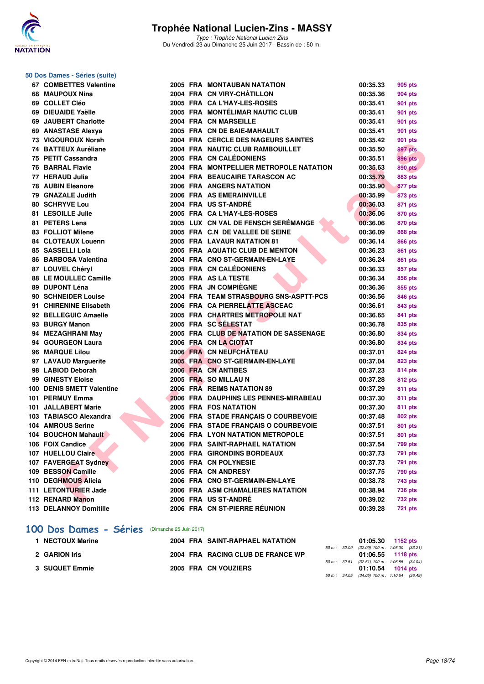

#### **50 Dos Dames - Séries (suite)**

|     | 67 COMBETTES Valentine    |
|-----|---------------------------|
|     | 68 MAUPOUX Nina           |
|     | 69 COLLET Cléo            |
|     | 69 DIEUAIDE Yaëlle        |
|     | 69 JAUBERT Charlotte      |
| 69  | <b>ANASTASE Alexya</b>    |
|     | 73 VIGOUROUX Norah        |
|     | 74 BATTEUX Auréliane      |
| 75  | <b>PETIT Cassandra</b>    |
|     | <b>76 BARRAL Flavie</b>   |
| 77  | <b>HERAUD Julia</b>       |
| 78  | <b>AUBIN Eleanore</b>     |
|     | 79 GNAZALE Judith         |
| 80  | <b>SCHRYVE Lou</b>        |
|     | 81 LESOILLE Julie         |
|     | 81 PETERS Lena            |
| 83  | <b>FOLLIOT Milene</b>     |
|     | 84 CLOTEAUX Louenn        |
| 85  | <b>SASSELLI Lola</b>      |
|     | 86 BARBOSA Valentina      |
|     | 87 LOUVEL Chéryl          |
|     | 88 LE MOULLEC Camille     |
|     | 89 DUPONT Léna            |
|     | 90 SCHNEIDER Louise       |
|     | 91 CHIRENINE Elisabeth    |
|     | 92 BELLEGUIC Amaelle      |
|     | 93 BURGY Manon            |
| 94  | <b>MEZAGHRANI May</b>     |
|     | 94 GOURGEON Laura         |
|     | 96 MARQUE Lilou           |
|     | 97 LAVAUD Marguerite      |
|     | 98 LABIOD Deborah         |
|     | 99 GINESTY Eloise         |
|     | 100 DENIS SMETT Valentine |
|     | 101 PERMUY Emma           |
| 101 | <b>JALLABERT Marie</b>    |
| 103 | <b>TABIASCO Alexandra</b> |
| 104 | <b>AMROUS Serine</b>      |
|     | 104 BOUCHON Mahault       |
|     | 106 FOIX Candice          |
| 107 | <b>HUELLOU Claire</b>     |
|     | 107 FAVERGEAT Sydney      |
|     | 109 BESSON Camille        |
|     | 110 DEGHMOUS Alicia       |
|     | 111 LETONTURIER Jade      |
| 112 | <b>RENARD Manon</b>       |

## **Trophée National Lucien-Zins - MASSY**

Type : Trophée National Lucien-Zins Du Vendredi 23 au Dimanche 25 Juin 2017 - Bassin de : 50 m.

| 67 COMBETTES Valentine        |  | 2005 FRA MONTAUBAN NATATION             | 00:35.33 | 905 pts        |
|-------------------------------|--|-----------------------------------------|----------|----------------|
| 68 MAUPOUX Nina               |  | 2004 FRA CN VIRY-CHÂTILLON              | 00:35.36 | 904 pts        |
| 69 COLLET Cléo                |  | 2005 FRA CAL'HAY-LES-ROSES              | 00:35.41 | 901 pts        |
| 69 DIEUAIDE Yaëlle            |  | 2005 FRA MONTÉLIMAR NAUTIC CLUB         | 00:35.41 | 901 pts        |
| 69 JAUBERT Charlotte          |  | 2004 FRA CN MARSEILLE                   | 00:35.41 | 901 pts        |
| 69 ANASTASE Alexya            |  | 2005 FRA CN DE BAIE-MAHAULT             | 00:35.41 | 901 pts        |
| 73 VIGOUROUX Norah            |  | 2004 FRA CERCLE DES NAGEURS SAINTES     | 00:35.42 | 901 pts        |
| 74 BATTEUX Auréliane          |  | 2004 FRA NAUTIC CLUB RAMBOUILLET        | 00:35.50 | 897 pts        |
| 75 PETIT Cassandra            |  | 2005 FRA CN CALÉDONIENS                 | 00:35.51 | 896 pts        |
| <b>76 BARRAL Flavie</b>       |  | 2004 FRA MONTPELLIER METROPOLE NATATION | 00:35.63 | <b>890 pts</b> |
| 77 HERAUD Julia               |  | 2004 FRA BEAUCAIRE TARASCON AC          | 00:35.79 | <b>883 pts</b> |
| <b>78 AUBIN Eleanore</b>      |  | 2006 FRA ANGERS NATATION                | 00:35.90 | 877 pts        |
| 79 GNAZALE Judith             |  | 2006 FRA AS EMERAINVILLE                | 00:35.99 | 873 pts        |
| <b>80 SCHRYVE Lou</b>         |  | 2004 FRA US ST-ANDRE                    | 00:36.03 | 871 pts        |
| 81 LESOILLE Julie             |  | 2005 FRA CA L'HAY-LES-ROSES             | 00:36.06 | 870 pts        |
| 81 PETERS Lena                |  | 2005 LUX CN VAL DE FENSCH SERÉMANGE     | 00:36.06 | 870 pts        |
| 83 FOLLIOT Milene             |  | 2005 FRA C.N DE VALLEE DE SEINE         | 00:36.09 | 868 pts        |
| <b>84 CLOTEAUX Louenn</b>     |  | 2005 FRA LAVAUR NATATION 81             | 00:36.14 | <b>866 pts</b> |
| 85 SASSELLI Lola              |  | 2005 FRA AQUATIC CLUB DE MENTON         | 00:36.23 | 861 pts        |
| 86 BARBOSA Valentina          |  | 2004 FRA CNO ST-GERMAIN-EN-LAYE         | 00:36.24 | 861 pts        |
| 87 LOUVEL Chéryl              |  | 2005 FRA CN CALÉDONIENS                 | 00:36.33 | 857 pts        |
| 88 LE MOULLEC Camille         |  | 2005 FRA AS LA TESTE                    | 00:36.34 | 856 pts        |
| 89 DUPONT Léna                |  | 2005 FRA JN COMPIÈGNE                   | 00:36.36 | 855 pts        |
| 90 SCHNEIDER Louise           |  | 2004 FRA TEAM STRASBOURG SNS-ASPTT-PCS  | 00:36.56 | 846 pts        |
| 91 CHIRENINE Elisabeth        |  | 2006 FRA CA PIERRELATTE ASCEAC          | 00:36.61 | 843 pts        |
| 92 BELLEGUIC Amaelle          |  | 2005 FRA CHARTRES METROPOLE NAT         | 00:36.65 | 841 pts        |
| 93 BURGY Manon                |  | 2005 FRA SC SÉLESTAT                    | 00:36.78 | 835 pts        |
| 94 MEZAGHRANI May             |  | 2005 FRA CLUB DE NATATION DE SASSENAGE  | 00:36.80 | 834 pts        |
| 94 GOURGEON Laura             |  | 2006 FRA CN LA CIOTAT                   | 00:36.80 | 834 pts        |
| 96 MARQUE Lilou               |  | 2006 FRA CN NEUFCHÂTEAU                 | 00:37.01 | 824 pts        |
| 97 LAVAUD Marguerite          |  | 2005 FRA CNO ST-GERMAIN-EN-LAYE         | 00:37.04 | 823 pts        |
| 98 LABIOD Deborah             |  | 2006 FRA CN ANTIBES                     | 00:37.23 | 814 pts        |
| 99 GINESTY Eloise             |  | 2005 FRA SO MILLAU N                    | 00:37.28 | 812 pts        |
| 100 DENIS SMETT Valentine     |  | 2006 FRA REIMS NATATION 89              | 00:37.29 | 811 pts        |
| 101 PERMUY Emma               |  | 2006 FRA DAUPHINS LES PENNES-MIRABEAU   | 00:37.30 | 811 pts        |
| 101 JALLABERT Marie           |  | 2005 FRA FOS NATATION                   | 00:37.30 | 811 pts        |
| 103 TABIASCO Alexandra        |  | 2006 FRA STADE FRANÇAIS O COURBEVOIE    | 00:37.48 | 802 pts        |
| 104 AMROUS Serine             |  | 2006 FRA STADE FRANÇAIS O COURBEVOIE    | 00:37.51 | 801 pts        |
| 104 BOUCHON Mahault           |  | 2006 FRA LYON NATATION METROPOLE        | 00:37.51 | 801 pts        |
| 106 FOIX Candice              |  | 2006 FRA SAINT-RAPHAEL NATATION         | 00:37.54 | 799 pts        |
| 107 HUELLOU Claire            |  | 2005 FRA GIRONDINS BORDEAUX             | 00:37.73 | 791 pts        |
| 107 FAVERGEAT Sydney          |  | 2005 FRA CN POLYNESIE                   | 00:37.73 | 791 pts        |
| 109 BESSON Camille            |  | 2005 FRA CN ANDRESY                     | 00:37.75 | 790 pts        |
| 110 DEGHMOUS Alicia           |  | 2006 FRA CNO ST-GERMAIN-EN-LAYE         | 00:38.78 | 743 pts        |
| 111 LETONTURIER Jade          |  | 2006 FRA ASM CHAMALIERES NATATION       | 00:38.94 | 736 pts        |
| 112 RENARD Manon              |  | 2006 FRA US ST-ANDRÉ                    | 00:39.02 | 732 pts        |
| <b>113 DELANNOY Domitille</b> |  | 2006 FRA CN ST-PIERRE RÉUNION           | 00:39.28 | <b>721 pts</b> |

## **[100 Dos Dames - Séries](http://www.ffnatation.fr/webffn/resultats.php?idact=nat&go=epr&idcpt=47287&idepr=12)** (Dimanche 25 Juin 2017)

| 1 NECTOUX Marine     | 2004 FRA SAINT-RAPHAEL NATATION   |  | $01:05.30$ 1152 pts                          |
|----------------------|-----------------------------------|--|----------------------------------------------|
|                      |                                   |  | 50 m : 32.09 (32.09) 100 m : 1:05.30 (33.21) |
| <b>2 GARION Iris</b> | 2004 FRA RACING CLUB DE FRANCE WP |  | $01:06.55$ 1118 pts                          |
|                      |                                   |  | 50 m : 32.51 (32.51) 100 m : 1:06.55 (34.04) |
| 3 SUQUET Emmie       | 2005 FRA CN VOUZIERS              |  | $01:10.54$ 1014 pts                          |
|                      |                                   |  | 50 m: 34.05 (34.05) 100 m: 1:10.54 (36.49)   |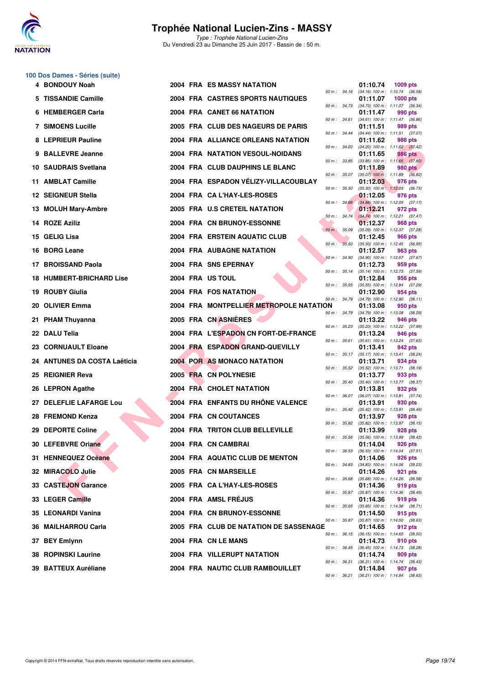

Type : Trophée National Lucien-Zins Du Vendredi 23 au Dimanche 25 Juin 2017 - Bassin de : 50 m.

# **100 Dos Dames - Séries (suite)**

| 4 BONDOUY Noah                  |  | <b>2004 FRA ES MASSY NATATION</b>       |                              |                  | 01:10.74 | 1009 pts                                                                                            |
|---------------------------------|--|-----------------------------------------|------------------------------|------------------|----------|-----------------------------------------------------------------------------------------------------|
| 5 TISSANDIE Camille             |  | 2004 FRA CASTRES SPORTS NAUTIQUES       |                              |                  | 01:11.07 | 50 m: 34.16 (34.16) 100 m: 1:10.74 (36.58)<br><b>1000 pts</b>                                       |
| 6 HEMBERGER Carla               |  | 2004 FRA CANET 66 NATATION              |                              |                  | 01:11.47 | 50 m: 34.73 (34.73) 100 m: 1:11.07 (36.34)<br>990 pts                                               |
| <b>7 SIMOENS Lucille</b>        |  | 2005 FRA CLUB DES NAGEURS DE PARIS      |                              | 50 m : 34.61     | 01:11.51 | $(34.61)$ 100 m : 1:11.47 $(36.86)$<br>989 pts                                                      |
| 8 LEPRIEUR Pauline              |  | 2004 FRA ALLIANCE ORLEANS NATATION      |                              |                  | 01:11.62 | 50 m: 34.44 (34.44) 100 m: 1:11.51 (37.07)<br>986 pts                                               |
| 9 BALLEVRE Jeanne               |  | <b>2004 FRA NATATION VESOUL-NOIDANS</b> |                              |                  | 01:11.65 | 50 m: 34.20 (34.20) 100 m: 1:11.62 (37.42)<br><b>986 pts</b>                                        |
| 10 SAUDRAIS Svetlana            |  | 2004 FRA CLUB DAUPHINS LE BLANC         | 50 m : 33.85                 |                  | 01:11.89 | $(33.85)$ 100 m : 1:11.65 $(37.80)$<br>980 pts                                                      |
| 11 AMBLAT Camille               |  | 2004 FRA ESPADON VÉLIZY-VILLACOUBLAY    | 50 m: 35.07                  |                  | 01:12.03 | $(35.07)$ 100 m : 1:11.89 $(36.82)$<br>976 pts                                                      |
| 12 SEIGNEUR Stella              |  | 2004 FRA CA L'HAY-LES-ROSES             | 50 m: 35.30                  |                  | 01:12.05 | $(35.30)$ 100 m : 1:12.03 $(36.73)$<br>976 pts                                                      |
| 13 MOLUH Mary-Ambre             |  | 2005 FRA U.S CRETEIL NATATION           |                              |                  | 01:12.21 | 50 m: 34.88 (34.88) 100 m: 1:12.05 (37.17)<br>972 pts                                               |
| 14 ROZE Aziliz                  |  | 2004 FRA CN BRUNOY-ESSONNE              |                              | $50 m$ : $34.74$ | 01:12.37 | $(34.74)$ 100 m : 1:12.21 $(37.47)$<br>968 pts                                                      |
| 15 GELIG Lisa                   |  | 2004 FRA ERSTEIN AQUATIC CLUB           | 50 m: 35.09                  |                  | 01:12.45 | $(35.09)$ 100 m : 1:12.37 $(37.28)$<br><b>966 pts</b>                                               |
| 16 BORG Leane                   |  | <b>2004 FRA AUBAGNE NATATION</b>        | 50 m: 35.50                  |                  | 01:12.57 | $(35.50)$ 100 m : 1:12.45 $(36.95)$<br>963 pts                                                      |
| 17 BROISSAND Paola              |  | 2004 FRA SNS EPERNAY                    | 50 m : 34.90                 |                  | 01:12.73 | $(34.90)$ 100 m : 1:12.57 $(37.67)$<br>959 pts                                                      |
| <b>18 HUMBERT-BRICHARD Lise</b> |  | 2004 FRA US TOUL                        | 50 m : 35.14                 |                  | 01:12.84 | $(35.14)$ 100 m : 1:12.73 $(37.59)$<br>956 pts                                                      |
| 19 ROUBY Giulia                 |  | 2004 FRA FOS NATATION                   |                              | 50 m : 35.55     | 01:12.90 | $(35.55)$ 100 m : 1:12.84 $(37.29)$<br>954 pts                                                      |
| 20 OLIVIER Emma                 |  | 2004 FRA MONTPELLIER METROPOLE NATATION |                              |                  | 01:13.08 | 50 m: 34.79 (34.79) 100 m: 1:12.90 (38.11)<br>950 pts<br>50 m: 34.79 (34.79) 100 m: 1:13.08 (38.29) |
| 21 PHAM Thuyanna                |  | 2005 FRA CN ASNIERES                    |                              |                  | 01:13.22 | 946 pts                                                                                             |
| 22 DALU Telia                   |  | 2004 FRA L'ESPADON CN FORT-DE-FRANCE    |                              |                  | 01:13.24 | 50 m: 35.23 (35.23) 100 m: 1:13.22 (37.99)<br>946 pts                                               |
| 23 CORNUAULT Eloane             |  | 2004 FRA ESPADON GRAND-QUEVILLY         | 50 m : 35.61                 |                  | 01:13.41 | $(35.61)$ 100 m : 1:13.24 $(37.63)$<br>942 pts                                                      |
| 24 ANTUNES DA COSTA Laëticia    |  | 2004 POR AS MONACO NATATION             |                              |                  | 01:13.71 | 50 m: 35.17 (35.17) 100 m: 1:13.41 (38.24)<br>934 pts                                               |
| 25 REIGNIER Reva                |  | 2005 FRA CN POLYNESIE                   |                              |                  | 01:13.77 | 50 m: 35.52 (35.52) 100 m: 1:13.71 (38.19)<br>933 pts                                               |
| 26 LEPRON Agathe                |  | 2004 FRA CHOLET NATATION                |                              | 50 m : 35.40     | 01:13.81 | (35.40) 100 m : 1:13.77 (38.37)<br>932 pts                                                          |
| 27 DELEFLIE LAFARGE Lou         |  | 2004 FRA ENFANTS DU RHÔNE VALENCE       |                              |                  | 01:13.91 | 50 m: 36.07 (36.07) 100 m: 1:13.81 (37.74)<br>930 pts                                               |
| 28 FREMOND Kenza                |  | 2004 FRA CN COUTANCES                   |                              |                  | 01:13.97 | 50 m : 35.42 (35.42) 100 m : 1:13.91 (38.49)<br>928 pts<br>$(35.82)$ 100 m : 1:13.97 $(38.15)$      |
| 29 DEPORTE Coline               |  | <b>2004 FRA TRITON CLUB BELLEVILLE</b>  |                              | 50 m : 35.82     | 01:13.99 | 928 pts                                                                                             |
| 30 LEFEBVRE Oriane              |  | 2004 FRA CN CAMBRAI                     |                              | 50 m : 36.53     | 01:14.04 | 50 m: 35.56 (35.56) 100 m: 1:13.99 (38.43)<br><b>926 pts</b><br>$(36.53)$ 100 m : 1:14.04 $(37.51)$ |
| 31 HENNEQUEZ Océane             |  | 2004 FRA AQUATIC CLUB DE MENTON         |                              |                  | 01:14.06 | 926 pts                                                                                             |
| 32 MIRACOLO Julie               |  | 2005 FRA CN MARSEILLE                   | 50 m : 34.83<br>50 m : 35.68 |                  | 01:14.26 | $(34.83)$ 100 m : 1:14.06 $(39.23)$<br>921 pts<br>$(35.68)$ 100 m : 1:14.26 $(38.58)$               |
| 33 CASTEJON Garance             |  | 2005 FRA CA L'HAY-LES-ROSES             | 50 m : 35.87                 |                  | 01:14.36 | 919 pts<br>$(35.87)$ 100 m : 1:14.36 $(38.49)$                                                      |
| 33 LEGER Camille                |  | 2004 FRA AMSL FREJUS                    | 50 m : 35.65                 |                  | 01:14.36 | 919 pts<br>$(35.65)$ 100 m : 1:14.36 $(38.71)$                                                      |
| 35 LEONARDI Vanina              |  | 2004 FRA CN BRUNOY-ESSONNE              | 50 m : 35.87                 |                  | 01:14.50 | 915 pts<br>$(35.87)$ 100 m : 1:14.50 $(38.63)$                                                      |
| 36 MAILHARROU Carla             |  | 2005 FRA CLUB DE NATATION DE SASSENAGE  |                              |                  | 01:14.65 | 912 pts<br>50 m: 36.15 (36.15) 100 m: 1:14.65 (38.50)                                               |
| 37 BEY Emlynn                   |  | 2004 FRA CN LE MANS                     |                              |                  | 01:14.73 | 910 pts<br>50 m: 36.45 (36.45) 100 m: 1:14.73 (38.28)                                               |
| 38 ROPINSKI Laurine             |  | 2004 FRA VILLERUPT NATATION             |                              |                  | 01:14.74 | 909 pts<br>50 m: 36.31 (36.31) 100 m: 1:14.74 (38.43)                                               |
| 39 BATTEUX Auréliane            |  | 2004 FRA NAUTIC CLUB RAMBOUILLET        |                              |                  | 01:14.84 | 907 pts<br>50 m: 36.21 (36.21) 100 m: 1:14.84 (38.63)                                               |
|                                 |  |                                         |                              |                  |          |                                                                                                     |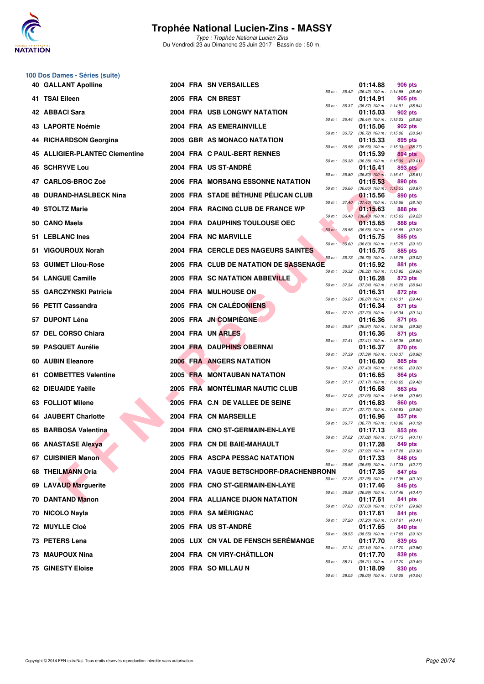

Type : Trophée National Lucien-Zins Du Vendredi 23 au Dimanche 25 Juin 2017 - Bassin de : 50 m.

# **100 Dos Dames - Séries (suite)**

| <b>40 GALLANT Apolline</b>     |  | 2004 FRA SN VERSAILLES                 |                  |                  | 01:14.88 | 906 pts                                                                                             |
|--------------------------------|--|----------------------------------------|------------------|------------------|----------|-----------------------------------------------------------------------------------------------------|
| 41 TSAI Eileen                 |  | 2005 FRA CN BREST                      |                  |                  | 01:14.91 | 50 m: 36.42 (36.42) 100 m: 1:14.88 (38.46)<br>905 pts                                               |
| 42 ABBACI Sara                 |  | 2004 FRA USB LONGWY NATATION           |                  | 50 m : 36.37     | 01:15.03 | $(36.37)$ 100 m : 1:14.91 $(38.54)$<br>902 pts                                                      |
| 43 LAPORTE Noémie              |  | 2004 FRA AS EMERAINVILLE               |                  | 50 m : 36.44     | 01:15.06 | (36.44) 100 m: 1:15.03 (38.59)<br>902 pts                                                           |
| 44 RICHARDSON Georgina         |  | 2005 GBR AS MONACO NATATION            |                  | 50 m : 36.72     | 01:15.33 | $(36.72)$ 100 m : 1:15.06 $(38.34)$<br>895 pts                                                      |
| 45 ALLIGIER-PLANTEC Clementine |  | 2004 FRA C PAUL-BERT RENNES            | 50 m : 36.56     |                  | 01:15.39 | $(36.56)$ 100 m : 1:15.33 $(38.77)$<br>894 pts                                                      |
| <b>46 SCHRYVE Lou</b>          |  | 2004 FRA US ST-ANDRE                   | 50 m: 36.38      |                  | 01:15.41 | $(36.38)$ 100 m : 1:15.39 $(39.01)$<br>893 pts                                                      |
| 47 CARLOS-BROC Zoé             |  | 2006 FRA MORSANG ESSONNE NATATION      | 50 m : 36.80     |                  | 01:15.53 | $(36.80)$ 100 m : 1:15.41 $(38.61)$<br>890 pts                                                      |
| 48 DURAND-HASLBECK Nina        |  | 2005 FRA STADE BÉTHUNE PÉLICAN CLUB    | 50 m: 36.66      |                  | 01:15.56 | $(36.66)$ 100 m : 1:15.53 $(38.87)$<br>890 pts                                                      |
| 49 STOLTZ Marie                |  | 2004 FRA RACING CLUB DE FRANCE WP      |                  | 50 m : 37.40     | 01:15.63 | $(37.40)$ 100 m : 1:15.56 $(38.16)$<br>888 pts                                                      |
| 50 CANO Maela                  |  | 2004 FRA DAUPHINS TOULOUSE OEC         |                  | $50 m$ : $36.40$ | 01:15.65 | $(36.40)$ 100 m : 1:15.63 $(39.23)$<br>888 pts                                                      |
| 51 LEBLANC Ines                |  | 2004 FRA NC MARVILLE                   | $50 m$ : $36.56$ |                  | 01:15.75 | $(36.56)$ 100 m : 1:15.65 $(39.09)$<br>885 pts                                                      |
| 51 VIGOUROUX Norah             |  | 2004 FRA CERCLE DES NAGEURS SAINTES    | 50 m: 36.60      |                  | 01:15.75 | $(36.60)$ 100 m : 1:15.75 $(39.15)$<br>885 pts                                                      |
| 53 GUIMET Lilou-Rose           |  | 2005 FRA CLUB DE NATATION DE SASSENAGE | $50 m$ : 36.73   |                  | 01:15.92 | (36.73) 100 m: 1:15.75 (39.02)<br>881 pts                                                           |
| 54 LANGUE Camille              |  | 2005 FRA SC NATATION ABBEVILLE         | 50 m: 36.32      |                  | 01:16.28 | $(36.32)$ 100 m : 1:15.92 $(39.60)$<br>873 pts                                                      |
| 55 GARCZYNSKI Patricia         |  | 2004 FRA MULHOUSE ON                   |                  | 50 m : 37.34     | 01:16.31 | $(37.34)$ 100 m : 1:16.28 $(38.94)$<br>872 pts                                                      |
| 56 PETIT Cassandra             |  | 2005 FRA CN CALÉDONIENS                |                  | 50 m : 36.87     | 01:16.34 | $(36.87)$ 100 m : 1:16.31 $(39.44)$<br>871 pts                                                      |
| 57 DUPONT Léna                 |  | 2005 FRA JN COMPIÈGNE                  | 50 m: 37.20      |                  | 01:16.36 | $(37.20)$ 100 m : 1:16.34 $(39.14)$<br>871 pts                                                      |
| 57 DEL CORSO Chiara            |  | 2004 FRA UN ARLES                      |                  |                  | 01:16.36 | $50\ m: \quad 36.97 \quad (36.97) \ 100\ m: \quad 1:16.36 \quad (39.39)$<br>871 pts                 |
| 59 PASQUET Aurélie             |  | 2004 FRA DAUPHINS OBERNAI              |                  | 50 m: 37.41      | 01:16.37 | $(37.41)$ 100 m : 1:16.36 $(38.95)$<br>870 pts                                                      |
| 60 AUBIN Eleanore              |  | <b>2006 FRA ANGERS NATATION</b>        |                  | 50 m : 37.39     | 01:16.60 | (37.39) 100 m: 1:16.37 (38.98)<br>865 pts                                                           |
| 61 COMBETTES Valentine         |  | <b>2005 FRA MONTAUBAN NATATION</b>     |                  |                  | 01:16.65 | 50 m: 37.40 (37.40) 100 m: 1:16.60 (39.20)<br>864 pts                                               |
| 62 DIEUAIDE Yaëlle             |  | 2005 FRA MONTÉLIMAR NAUTIC CLUB        |                  |                  | 01:16.68 | 50 m: 37.17 (37.17) 100 m: 1:16.65 (39.48)<br>863 pts                                               |
| 63 FOLLIOT Milene              |  | 2005 FRA C.N DE VALLEE DE SEINE        |                  |                  | 01:16.83 | 50 m: 37.03 (37.03) 100 m: 1:16.68 (39.65)<br><b>860 pts</b>                                        |
| 64 JAUBERT Charlotte           |  | 2004 FRA CN MARSEILLE                  |                  |                  | 01:16.96 | 50 m: 37.77 (37.77) 100 m: 1:16.83 (39.06)<br>857 pts                                               |
| 65 BARBOSA Valentina           |  | 2004 FRA CNO ST-GERMAIN-EN-LAYE        |                  |                  | 01:17.13 | 50 m: 36.77 (36.77) 100 m: 1:16.96 (40.19)<br>853 pts<br>50 m: 37.02 (37.02) 100 m: 1:17.13 (40.11) |
| 66 ANASTASE Alexya             |  | 2005 FRA CN DE BAIE-MAHAULT            |                  |                  | 01:17.28 | 849 pts                                                                                             |
| 67 CUISINIER Manon             |  | 2005 FRA ASCPA PESSAC NATATION         |                  |                  | 01:17.33 | 50 m: 37.92 (37.92) 100 m: 1:17.28 (39.36)<br>848 pts                                               |
| 68 THEILMANN Oria              |  | 2004 FRA VAGUE BETSCHDORF-DRACHENBRONN | 50 m : 36.56     |                  | 01:17.35 | $(36.56)$ 100 m : 1:17.33 $(40.77)$<br>847 pts<br>$(37.25)$ 100 m : 1:17.35 $(40.10)$               |
| 69 LAVAUD Marquerite           |  | 2005 FRA CNO ST-GERMAIN-EN-LAYE        |                  | 50 m : 37.25     | 01:17.46 | 845 pts                                                                                             |
| 70 DANTAND Manon               |  | 2004 FRA ALLIANCE DIJON NATATION       | 50 m : 36.99     |                  | 01:17.61 | (36.99) 100 m: 1:17.46 (40.47)<br>841 pts                                                           |
| 70 NICOLO Nayla                |  | 2005 FRA SAMÉRIGNAC                    | 50 m : 37.63     |                  | 01:17.61 | $(37.63)$ 100 m : 1:17.61 $(39.98)$<br>841 pts                                                      |
| 72 MUYLLE Cloé                 |  | 2005 FRA US ST-ANDRÉ                   |                  | 50 m : 37.20     | 01:17.65 | (37.20) 100 m: 1:17.61 (40.41)<br>840 pts                                                           |
| 73 PETERS Lena                 |  | 2005 LUX CN VAL DE FENSCH SEREMANGE    |                  | 50 m : 38.55     | 01:17.70 | $(38.55)$ 100 m : 1:17.65 $(39.10)$<br>839 pts                                                      |
| 73 MAUPOUX Nina                |  | 2004 FRA CN VIRY-CHÂTILLON             |                  |                  | 01:17.70 | 50 m : 37.14 (37.14) 100 m : 1:17.70 (40.56)<br>839 pts                                             |
| <b>75 GINESTY Eloise</b>       |  | 2005 FRA SO MILLAU N                   |                  |                  | 01:18.09 | 50 m : 38.21 (38.21) 100 m : 1:17.70 (39.49)<br>830 pts                                             |
|                                |  |                                        |                  |                  |          | 50 m: 38.05 (38.05) 100 m: 1:18.09 (40.04)                                                          |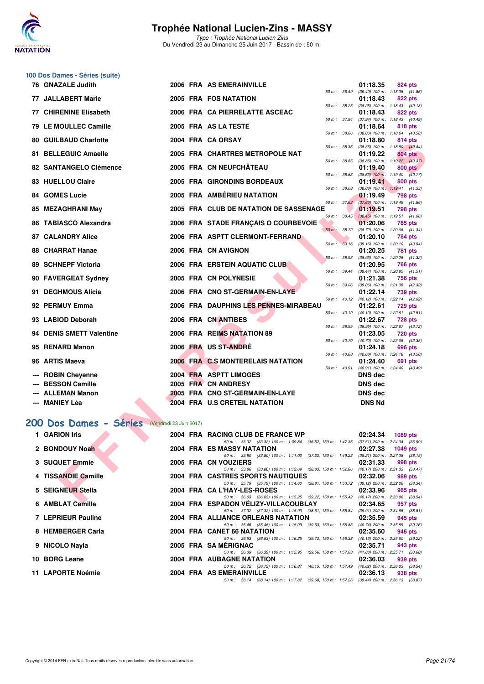

Type : Trophée National Lucien-Zins Du Vendredi 23 au Dimanche 25 Juin 2017 - Bassin de : 50 m.

#### **100 Dos Dames - Séries (suite)**

| 76 GNAZALE Judith                              |  | 2006 FRA AS EMERAINVILLE                                                                                                            |                  | 01:18.35                                               | <b>824 pts</b>  |  |
|------------------------------------------------|--|-------------------------------------------------------------------------------------------------------------------------------------|------------------|--------------------------------------------------------|-----------------|--|
| <b>77 JALLABERT Marie</b>                      |  | 2005 FRA FOS NATATION                                                                                                               | 50 m : 36.49     | $(36.49)$ 100 m : 1:18.35 $(41.86)$<br>01:18.43        | <b>822 pts</b>  |  |
| <b>77 CHIRENINE Elisabeth</b>                  |  | 2006 FRA CA PIERRELATTE ASCEAC                                                                                                      |                  | 50 m: 38.25 (38.25) 100 m: 1:18.43 (40.18)<br>01:18.43 | <b>822 pts</b>  |  |
| 79 LE MOULLEC Camille                          |  | 2005 FRA AS LA TESTE                                                                                                                | 50 m : 37.94     | $(37.94)$ 100 m : 1:18.43 $(40.49)$                    |                 |  |
|                                                |  |                                                                                                                                     | 50 m: 38.06      | 01:18.64<br>$(38.06)$ 100 m : 1:18.64 $(40.58)$        | 818 pts         |  |
| <b>80 GUILBAUD Charlotte</b>                   |  | 2004 FRA CA ORSAY                                                                                                                   | 50 m : 38.36     | 01:18.80<br>$(38.36)$ 100 m : 1:18.80 $(40.44)$        | 814 pts         |  |
| 81 BELLEGUIC Amaelle                           |  | 2005 FRA CHARTRES METROPOLE NAT                                                                                                     |                  | 01:19.22                                               | <b>804 pts</b>  |  |
| 82 SANTANGELO Clémence                         |  | 2005 FRA CN NEUFCHÂTEAU                                                                                                             | 50 m : 38.85     | $(38.85)$ 100 m : 1:19.22 $(40.37)$<br>01:19.40        | 800 pts         |  |
| 83 HUELLOU Claire                              |  | 2005 FRA GIRONDINS BORDEAUX                                                                                                         | 50 m: 38.63      | $(38.63)$ 100 m : 1:19.40 $(40.77)$<br>01:19.41        | 800 pts         |  |
|                                                |  |                                                                                                                                     | 50 m : 38.08     | $(38.08)$ 100 m : 1:19.41 $(41.33)$                    |                 |  |
| 84 GOMES Lucie                                 |  | 2005 FRA AMBÉRIEU NATATION                                                                                                          | 50 m: 37.63      | 01:19.49<br>$(37.63)$ 100 m : 1:19.49 $(41.86)$        | 798 pts         |  |
| 85 MEZAGHRANI May                              |  | 2005 FRA CLUB DE NATATION DE SASSENAGE                                                                                              |                  | 01:19.51                                               | 798 pts         |  |
| 86 TABIASCO Alexandra                          |  | 2006 FRA STADE FRANÇAIS O COURBEVOIE                                                                                                | $50 m$ : $38.45$ | $(38.45)$ 100 m : 1:19.51 (41.06)<br>01:20.06          | 785 pts         |  |
|                                                |  |                                                                                                                                     | 50 m: 38.72      | $(38.72)$ 100 m : 1:20.06 $(41.34)$                    |                 |  |
| <b>87 CALANDRY Alice</b>                       |  | 2006 FRA ASPTT CLERMONT-FERRAND                                                                                                     | 50 m: 39.16      | 01:20.10<br>$(39.16)$ 100 m : 1:20.10 $(40.94)$        | <b>784 pts</b>  |  |
| 88 CHARRAT Hanae                               |  | 2006 FRA CN AVIGNON                                                                                                                 |                  | 01:20.25                                               | 781 pts         |  |
| 89 SCHNEPF Victoria                            |  | 2006 FRA ERSTEIN AQUATIC CLUB                                                                                                       | 50 m : 38.93     | $(38.93)$ 100 m : 1:20.25 $(41.32)$<br>01:20.95        | <b>766 pts</b>  |  |
| 90 FAVERGEAT Sydney                            |  | 2005 FRA CN POLYNESIE                                                                                                               | 50 m : 39.44     | $(39.44)$ 100 m : 1:20.95 $(41.51)$<br>01:21.38        | <b>756 pts</b>  |  |
|                                                |  |                                                                                                                                     | 50 m: 39.06      | (39.06) 100 m: 1:21.38 (42.32)                         |                 |  |
| 91 DEGHMOUS Alicia                             |  | 2006 FRA CNO ST-GERMAIN-EN-LAYE                                                                                                     |                  | 01:22.14<br>50 m: 40.12 (40.12) 100 m: 1:22.14 (42.02) | 739 pts         |  |
| 92 PERMUY Emma                                 |  | 2006 FRA DAUPHINS LES PENNES-MIRABEAU                                                                                               |                  | 01:22.61                                               | <b>729 pts</b>  |  |
| 93 LABIOD Deborah                              |  | 2006 FRA CN ANTIBES                                                                                                                 |                  | 50 m: 40.10 (40.10) 100 m: 1:22.61 (42.51)<br>01:22.67 | <b>728 pts</b>  |  |
|                                                |  |                                                                                                                                     |                  | 50 m: 38.95 (38.95) 100 m: 1:22.67 (43.72)             |                 |  |
| 94 DENIS SMETT Valentine                       |  | 2006 FRA REIMS NATATION 89                                                                                                          | 50 m: 40.70      | 01:23.05<br>(40.70) 100 m: 1:23.05 (42.35)             | <b>720 pts</b>  |  |
| 95 RENARD Manon                                |  | 2006 FRA US ST-ANDRE                                                                                                                |                  | 01:24.18                                               | 696 pts         |  |
| 96 ARTIS Maeva                                 |  | 2006 FRA C.S MONTERELAIS NATATION                                                                                                   | $50 m$ : $40.68$ | $(40.68)$ 100 m : 1:24.18 $(43.50)$<br>01:24.40        | 691 pts         |  |
|                                                |  |                                                                                                                                     | 50 m: 40.91      | $(40.91)$ 100 m : 1:24.40 $(43.49)$                    |                 |  |
| <b>ROBIN Cheyenne</b><br><b>BESSON Camille</b> |  | 2004 FRA ASPTT LIMOGES<br>2005 FRA CN ANDRESY                                                                                       |                  | DNS dec<br><b>DNS dec</b>                              |                 |  |
| <b>ALLEMAN Manon</b>                           |  | 2005 FRA CNO ST-GERMAIN-EN-LAYE                                                                                                     |                  | <b>DNS dec</b>                                         |                 |  |
| --- MANIEY Léa                                 |  | 2004 FRA U.S CRETEIL NATATION                                                                                                       |                  | <b>DNS Nd</b>                                          |                 |  |
|                                                |  |                                                                                                                                     |                  |                                                        |                 |  |
| 200 Dos Dames - Séries (Vendredi 23 Juin 2017) |  |                                                                                                                                     |                  |                                                        |                 |  |
| 1 GARION Iris                                  |  | 2004 FRA RACING CLUB DE FRANCE WP                                                                                                   |                  | 02:24.34                                               | 1089 pts        |  |
| 2 BONDOUY Noah                                 |  | 50 m: 33.32 (33.32) 100 m: 1.09.84 (36.52) 150 m: 1.47.35 (37.51) 200 m: 2:24.34 (36.99)<br><b>2004 FRA ES MASSY NATATION</b>       |                  | 02:27.38                                               | <b>1049 pts</b> |  |
|                                                |  | 50 m: 33.80 (33.80) 100 m: 1:11.02 (37.22) 150 m: 1:49.23 (38.21) 200 m: 2:27.38 (38.15)                                            |                  |                                                        |                 |  |
| 3 SUQUET Emmie                                 |  | 2005 FRA CN VOUZIERS<br>50 m: 33.86 (33.86) 100 m: 1:12.69 (38.83) 150 m: 1:52.86 (40.17) 200 m: 2:31.33 (38.47)                    |                  | 02:31.33                                               | <b>998 pts</b>  |  |
| 4 TISSANDIE Camille                            |  | 2004 FRA CASTRES SPORTS NAUTIQUES                                                                                                   |                  | 02:32.06                                               | 989 pts         |  |
| 5 SEIGNEUR Stella                              |  | 50 m: 35.79 (35.79) 100 m: 1:14.60 (38.81) 150 m: 1:53.72 (39.12) 200 m: 2:32.06 (38.34)<br>2004 FRA CA L'HAY-LES-ROSES             |                  | 02:33.96                                               | 965 pts         |  |
| $C = A M D L A T C_{\text{max}} = 11.5$        |  | 50 m: 36.03 (36.03) 100 m: 1:15.25 (39.22) 150 m: 1:55.42 (40.17) 200 m: 2:33.96 (38.54)<br>$0.004$ FBA FORABON VÉLIZY VILLAGOUBLAV |                  | 0.0105                                                 |                 |  |

## **[200 Dos Dames - Séries](http://www.ffnatation.fr/webffn/resultats.php?idact=nat&go=epr&idcpt=47287&idepr=13)** (Vendredi 23 Juin 2017)

| 1 GARION Iris       |  | 2004 FRA RACING CLUB DE FRANCE WP<br>02:24.34<br>$1089$ pts                              |
|---------------------|--|------------------------------------------------------------------------------------------|
|                     |  | 50 m: 33.32 (33.32) 100 m: 1:09.84 (36.52) 150 m: 1:47.35 (37.51) 200 m: 2:24.34 (36.99) |
| 2 BONDOUY Noah      |  | 2004 FRA ES MASSY NATATION<br>02:27.38<br>1049 pts                                       |
|                     |  | 50 m: 33.80 (33.80) 100 m: 1:11.02 (37.22) 150 m: 1:49.23 (38.21) 200 m: 2:27.38 (38.15) |
| 3 SUQUET Emmie      |  | 2005 FRA CN VOUZIERS<br>02:31.33<br>998 pts                                              |
|                     |  | 50 m: 33.86 (33.86) 100 m: 1:12.69 (38.83) 150 m: 1:52.86 (40.17) 200 m: 2:31.33 (38.47) |
| 4 TISSANDIE Camille |  | 2004 FRA CASTRES SPORTS NAUTIQUES<br>02:32.06<br>989 pts                                 |
|                     |  | 50 m: 35.79 (35.79) 100 m: 1:14.60 (38.81) 150 m: 1:53.72 (39.12) 200 m: 2:32.06 (38.34) |
| 5 SEIGNEUR Stella   |  | 2004 FRA CAL'HAY-LES-ROSES<br>02:33.96<br>965 pts                                        |
|                     |  | 50 m: 36.03 (36.03) 100 m: 1:15.25 (39.22) 150 m: 1:55.42 (40.17) 200 m: 2:33.96 (38.54) |
| 6 AMBLAT Camille    |  | 2004 FRA ESPADON VELIZY-VILLACOUBLAY<br>02:34.65<br>957 pts                              |
|                     |  | 50 m: 37.32 (37.32) 100 m: 1:15.93 (38.61) 150 m: 1:55.84 (39.91) 200 m: 2:34.65 (38.81) |
| 7 LEPRIEUR Pauline  |  | 2004 FRA ALLIANCE ORLEANS NATATION 02:35.59<br>945 pts                                   |
|                     |  | 50 m: 35.46 (35.46) 100 m: 1:15.09 (39.63) 150 m: 1:55.83 (40.74) 200 m: 2:35.59 (39.76) |
| 8 HEMBERGER Carla   |  | 2004 FRA CANET 66 NATATION<br>02:35.60<br>945 pts                                        |
|                     |  | 50 m: 36.53 (36.53) 100 m: 1:16.25 (39.72) 150 m: 1:56.38 (40.13) 200 m: 2:35.60 (39.22) |
| 9 NICOLO Nayla      |  | 2005 FRA SAMERIGNAC<br>02:35.71<br>943 pts                                               |
|                     |  | 50 m: 36.39 (36.39) 100 m: 1:15.95 (39.56) 150 m: 1:57.03 (41.08) 200 m: 2:35.71 (38.68) |
| 10 BORG Leane       |  | <b>2004 FRA AUBAGNE NATATION</b><br>02:36.03<br>939 pts                                  |
|                     |  | 50 m: 36.72 (36.72) 100 m: 1:16.87 (40.15) 150 m: 1:57.49 (40.62) 200 m: 2:36.03 (38.54) |
| 11 LAPORTE Noémie   |  | 2004 FRA AS EMERAINVILLE<br>02:36.13<br>938 pts                                          |
|                     |  | 50 m: 38.14 (38.14) 100 m: 1:17.82 (39.68) 150 m: 1:57.26 (39.44) 200 m: 2:36.13 (38.87) |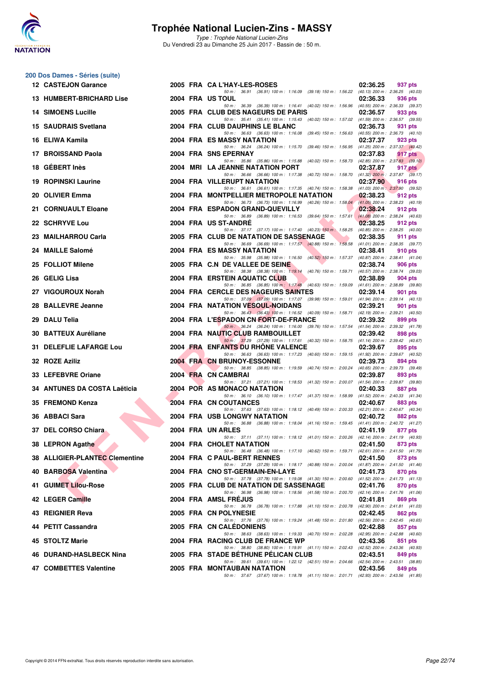

**200 Dos Dames - Séries (suite)**

## **Trophée National Lucien-Zins - MASSY**

Type : Trophée National Lucien-Zins Du Vendredi 23 au Dimanche 25 Juin 2017 - Bassin de : 50 m.

#### **FRANCIS CALIFE SERVICE SERVICE SERVICE SERVICE SERVICE SERVICE SERVICE SERVICE SERVICE SERVICE SERVICE SERVICE SERVICE SERVICE SERVICE SERVICE SERVICE SERVICE SERVICE SERVICE SERVICE SERVICE SERVICE SERVICE SERVICE SERVI 12 CASTEJON Garance 12 CASTEJON Garance 12 CASTES 12 CASTEJON Garance 2005 FRA CA L'HAY-LES-ROSES 69.18 150 m**: 1:56.09 (39.18) 150 m: 1:56.22 (40.13) 200 m: 2:36.25 (40.03) 50 m : 36.91 (36.91) 100 m : 1:16.09 (39.18) 150 m : 1:56.22 (40.13) 200 m : 2:36.25 (40.03)<br>**OLIL** 02:36.33 936 pts **13 HUMBERT-BRICHARD Lise 2004 FRA US TOUL 02:36.33 936 pts** 50 m : 36.39 (36.39) 100 m : 1:16.41 (40.02) 150 m : 1:56.96 (40.55) 200 m : 2:36.33 (39.3<br>**3 DES NAGEURS DE PARIS 02:36.57** 933 pts **14 SIMOENS Lucille** 2005 FRA CLUB DES NAGEURS DE PARIS 02:36.57 933<br> *50 m*: 35.41 (35.41) 100 m; 1:15.43 (40.02) 150 m; 1:57.02 (41.59) 200 m; 2:36.57 50 m : 35.41 (35.41) 100 m : 1:15.43 (40.02) 150 m : 1:57.02 (41.59) 200 m : 2:36.57 (39.55) **15 SAUDRAIS Svetlana 2004 FRA CLUB DAUPHINS LE BLANC 02:36.73 931 pts** 50 m : 36.63 (36.63) 100 m : 1:16.08 (39.45) 150 m : 1:56.63 (40.55) 200 m : 2:36.73 (40.10) **16 ELIWA Kamila** 2004 FRA ES MASSY NATATION 02:37.37 923 pts 923 pts  $\frac{50 \text{ m} \cdot 36.24}{50 \text{ m} \cdot 36.24}$   $\frac{36.24}{36.241}$   $\frac{100 \text{ m} \cdot 1:15.70}{39.461}$   $\frac{15.70}{39.461}$   $\frac{15.70}{39.461}$   $\frac{15.70}{39.461}$   $\frac{15$ 50 m : 36.24 (36.24) 100 m : 1:15.70 (39.46) 150 m : 1:56.95 **17 BROISSAND Paola 2004 FRA SNS EPERNAY 02:37.83 917 pts** 50 m : 35.86 (35.86) 100 m : 1:15.88 (40.02) 150 m : 1:58.73 (42.85) 200 m : 2:37.83 (39.10) **18 GÉBERT Inès** 2004 MRI LA JEANNE NATATION PORT 02:37.87 917 pts 2014 02:37.87 917 pts 2014 11:32 and minimage 2:37.87 03:17  $50 \text{ m}$  :  $36.66$   $(36.66)$   $100 \text{ m}$  :  $1:17.38$   $(40.72)$   $150 \text{ m}$  :  $1:58.70$ **19 ROPINSKI Laurine 2004 FRA VILLERUPT NATATION 02:37.90 916 pts** 50 m : 36.61 (36.61) 100 m : 1:17.35 (40.74) 150 m : 1:58.38 **20 OLIVIER Emma 2004 FRA MONTPELLIER METROPOLE NATATION 02:38.23 912 pts**<br> **2004 FRA MONTPELLIER METROPOLE NATATION 02:38.23 02:38.23 912 pts** 50 m : 36.73 (36.73) 100 m : 1:16.99 (40.26) 150 m : 1:58.04 **21 CORNUAULT Eloane** 2004 FRA ESPADON GRAND-QUEVILLY **16.53** (39.64) 150 m : 1:57.61 (41.08) 200 m : 2:38.24 (40.63)  $50 m$  :  $36.89$  ( $36.89$ )  $100 m$  :  $1:16.53$  ( $39.64$ )  $150 m$  :  $1:57.61$ **22 SCHRYVE Lou 2004 FRA US ST-ANDRÉ 02:38.25 912 pts**<br> **2004 FRA US ST-ANDRÉ 60m:** 37.17 (37.17) 100m: 1:17.40 (40.23) 150m: 1:58.25 (40.85) 200m: 2:38.25 (40.00) -----<br>37.17 (37.17) 100 m : 1:17.40 (40.23) 150 m : 1:58.25 **23 MAILHARROU Carla** 2005 FRA CLUB DE NATATION DE SASSENAGE 02:38.35 911 pts<br>
<sup>50 50</sup> 23.8.35 (41.01) 200 m : 2:38.35 (39.77) 36.69 (36.69) 100 m : 1:17.57 (40.88) 150 m : 1:58.58 **24 MAILLE Salomé** 2004 FRA ES MASSY NATATION 24 MAILLE Salomé 2004 FRA 2004 FRA ES MASSY NATATION 21.6.50 (40.52) 150 m : 1:57.37 (40.87) 200 m : 2:38.41 (41.04) 50 m : 35.98 (35.98) 100 m : 1:16.50 (40.52) 150 m : 1:57.37 (40.87) 200 m : 2:58.74 **25 FOLLIOT Milene** 2005 FRA C.N DE VALLEE DE SEINE 26.38.74 906 pts<br>  $\frac{50 \text{ m} \cdot 38.38}{50 \text{ m} \cdot 38.38}$   $\frac{(38.38) \cdot 100 \text{ m} \cdot 179.14}{(40.76) \cdot 150 \text{ m} \cdot 159.71}$   $\frac{(40.76) \cdot 159.71}{(40.57) \cdot 200 \text{ m} \cdot 2.38.74}$  (3  $(40.57)$  200 m : 2:38.74 (39.03) **26 GELIG Lisa 2004 FRA ERSTEIN AQUATIC CLUB 02:38.89 02:38.89 904 pts** *50 m:* 36.85 (36.85) 100 m; 1:17.48 (40.63) 150 m: 1:59.09 (41.61) 200 m: 2:38.89 (39.80) 50 m : 36.85 (36.85) 100 m : 1:17.48 (40.63) 150 m : 1:59.09 (41.61) 200 m : 2:38.89 (39.80)<br>CLE DES NAGEURS SAINTES (02:39.14 901 pts **27 VIGOUROUX Norah** 2004 FRA CERCLE DES NAGEURS SAINTES 202:39.14 901 pts 239.14 901 pts 2:39.14 901 pts 2:39.14 901 pts 2:39.14 901 pts 2:39.14 901 pts 2:39.14 901 pts 2:39.14 901 pts 2:39.14 901 pts 2:39.14 90.13) 50 m : 37.09 (37.09) 100 m : 1:17.07 (39.98) 150 m : 1:59.01 (41.94) 200 m : 2:39.14 (40.1.<br>**ATION VESOUL-NOIDANS** 02:39.21 901 pts **28 BALLEVRE Jeanne 2004 FRA NATATION VESOUL-NOIDANS 02:39.21 901 pts**<br> **2004 FRA NATATION VESOUL-NOIDANS 0.6.43 100 m**: 1:16.52 (40.09) 150 m: 1:58.71 (42.19) 200 m: 2:39.21 (40.50) 50 m : 36.43 (36.43) 100 m : 1:16.52 **29 DALU Telia** 2004 ERA L'ESPADON CN FORT-DE-FRANCE 29.76 150 m i 1:57.54 (41.54) 200 m i 2:39.32 2004 ERA L'ESPADON CN FORT-DE-FRANCE  $\frac{50 \text{ m}}{100 \text{ s}}$  36.24 (36.24) 100 m : 1:16.00 (39.76) 150 m : 1:57.54 (41.54) 200 m : 2:39.32 (41.78)<br> **SUMBRAMBOUILLET** 02:39.42 898 pts **30 BATTEUX Auréliane** 2004 FRA NAUTIC CLUB RAMBOUILLET 202:39.42 898 pts<br> **30 m**: 37.29 137.29 137.29 137.29 130 m: 1:1261 40.32 150 m: 1:58.75 41.14 200 m: 2:39.42 40.67 50 m : 37.29 (37.29) 100 m : 1:17.61 (40.32) 150 m : 1:58.75 **31 DELEFLIE LAFARGE Lou 2004 FRA ENFANTS DU RHÔNE VALENCE 02:39.67 895 pts**  $50 \text{ m}$  :  $36.63$   $(36.63)$   $100 \text{ m}$  :  $1:17.23$   $(40.60)$   $150 \text{ m}$  :  $1:59.15$ **32 ROZE Aziliz 2004 FRA CN BRUNOY-ESSONNE 02:39.73 894 pts** 50 m : 38.85 (38.85) 100 m : 1:19.59 (40.74) 150 m : 2:00.24 (40.65) 200 m : 2:39.73 (39.49) **33 LEFEBVRE Oriane 2004 FRA CN CAMBRAI 02:39.87 893 pts** 50 m : 37.21 (37.21) 100 m : 1:18.53 (41.32) 150 m : 2:00.07 (41.54) 200 m : 2:39.87 (39.80) **34 ANTUNES DA COSTA Laëticia 2004 POR AS MONACO NATATION 02:40.33 887 pts**  $50 \text{ m}$  :  $36.10$   $(36.10)$   $100 \text{ m}$  :  $1:17.47$   $(41.37)$   $150 \text{ m}$  :  $1:58.99$ **35 FREMOND Kenza 2004 FRA CN COUTANCES 02:40.67 883 pts 2004 FRA CN 2004 ERA CN COUTANCES 02:40.67 02:40.67 883 pts** 50 m : 37.63 (37.63) 100 m : 1:18.12 (40.49) 150 m : 2:00.33 **36 ABBACI Sara 2004 FRA USB LONGWY NATATION 02:40.72 882 pts**<br> **36 ABBACI Sara 36.88 100** m: 1:18.04 (41.16) 150 m: 1:59.45 (41.41) 200 m: 2:40.72 (41.27) 50 m : 36.88 (36.88) 100 m : 1:18.04 (41.16) 150 m : 1:59.45 **37 DEL CORSO Chiara** 2004 FRA UN ARLES **02:41.19** 877 pts **02:41.19** 877 pts  $50 \text{ m}$  :  $37.11$   $(37.11)$   $100 \text{ m}$  :  $1:18.12$   $(41.01)$   $150 \text{ m}$  : 2:00.26 **38 LEPRON Agathe 2004 FRA CHOLET NATATION** 02:41.50 873 pts 50 m: 36.48 (36.48) 100 m: 1:17.10 (40.62) 150 m: 1:59.71 (42.61) 200 m: 2:41.50 (41.79) 50 m : 36.48 (36.48) 100 m : 1:17.10 (40.62) 150 m : 1:59.71 (42.61) 200 m : 2:41.50 (41.79) **38 ALLIGIER-PLANTEC Clementine** 2004 FRA C PAUL-BERT RENNES 02:41.50 **02:41.50** 873 pts<br>
<sup>50 m:</sup> 37.29 (37.29) 100 m: 1:18.17 (40.88) 150 m: 2:00.04 (41.87) 200 m: 2:41.50 (41.46) 1:18.17 (40.88) 150 m : 2:00.04 **40 BARBOSA Valentina** 2004 FRA CNO ST-GERMAIN-EN-LAYE 02:41.73 870 pts<br> **2004 FRA CNO ST-GERMAIN-EN-LAYE** 697.781 100 m: 1:19.08 (41.30) 150 m: 2:0.60 (41.52) 200 m: 2:41.73 (41.13) 50 m : 37.78 (37.78) 100 m : 1:19.08 (41.30) 150 m : 2:00.60 (41.52) 200 m : 2:00.60 (41.52) 200 m : 2:00.60 (41.52) 200 m : 2:00.60 (41.52) 200 m : 2:00.60 (41.52) 200 m : 2:00.60 (41.52) 200 m : 2:00.60 (41.76) 201.41.76 **41 GUIMET Lilou-Rose 2005 FRA CLUB DE NATATION DE SASSENAGE 02:41.76 870 pts** 36.98 (36.98) 100 m : 1:18.56 (41.58) 150 m : 2:00.70 **42 LEGER Camille 2004 FRA AMSL FRÉJUS 02:41.81 869 pts** 50 m : 36.78) 100 m : 1:17.88 (41.10) 150 m : 2:00.78 (42.90) 200 m : 2:41.81 (41.03) 200 m : 2:41.81 (41.03) **43 REIGNIER Reva 13 REIGNIER Reva 2005 FRA CN POLYNESIE 62.76 662 pts 141.48 02:42.45 02:42.45 862 pts 642.56 200 m: 2:42.45 40.65** 50 m : 37.76 (37.76) 100 m : 1:19.24 (41.48) 150 m : 2:01.80 **44 PETIT Cassandra 2005 FRA CN CALÉDONIENS 02:42.88 857 pts** 50 m : 38.63 (38.63) 100 m : 1:19.33 (40.70) 150 m : 2:02.28 (42.95) 200 m : 2:42.88 (40.6<br>**NG CLUB DE FRANCE WP** 02:43.36 851 pts **45 STOLTZ Marie** 2004 FRA RACING CLUB DE FRANCE WP 22:43.36<br> **1908 100m**: 1:19.91 (41.11) 150m: 2:02.43 (42.52) 200m:

**46 DURAND-HASLBECK Nina 2005 FRA STADE BÉTHUNE PÉLICAN CLUB 02:43.51 849 pts**

**47 COMBETTES Valentine 2005 FRA MONTAUBAN NATATION 02:43.56 849 pts**

50 m : 38.80 (38.80) 100 m : 1:19.91 (41.11) 150 m : 2:02.43 (42.52) 200 m : 2:43.36 (40.93)<br>**E BÉTHUNE PÉLICAN CLUB** (02:43.51 649 pts)

50 m : 39.61 (39.61) 100 m : 1:22.12 (42.51) 150 m : 2:04.66 (42.54) 200 m : 2:43.51 (38.85)

50 m : 37.67 (37.67) 100 m : 1:18.78 (41.11) 150 m : 2:01.71 (42.93) 200 m : 2:43.56 (41.85)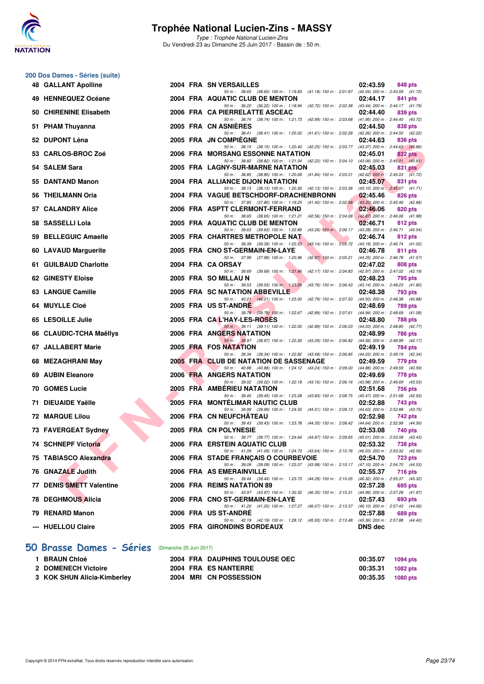

Type : Trophée National Lucien-Zins Du Vendredi 23 au Dimanche 25 Juin 2017 - Bassin de : 50 m.

#### **200 Dos Dames - Séries (suite)**

| 48 GALLANT Apolline      |  | 2004 FRA SN VERSAILLES                                                                                                             | 02:43.59       | 848 pts                                    |
|--------------------------|--|------------------------------------------------------------------------------------------------------------------------------------|----------------|--------------------------------------------|
| 49 HENNEQUEZ Océane      |  | 50 m: 38.65 (38.65) 100 m: 1:19.83 (41.18) 150 m: 2:01.87 (42.04) 200 m: 2:43.59 (41.72)<br>2004 FRA AQUATIC CLUB DE MENTON        | 02:44.17       | 841 pts                                    |
| 50 CHIRENINE Elisabeth   |  | 50 m: 36.22 (36.22) 100 m: 1:18.94 (42.72) 150 m: 2:02.38 (43.44) 200 m: 2:44.17 (41.79)<br>2006 FRA CA PIERRELATTE ASCEAC         | 02:44.40       | 839 pts                                    |
| 51 PHAM Thuyanna         |  | 50 m: 38.74 (38.74) 100 m: 1:21.73 (42.99) 150 m: 2:03.68 (41.95) 200 m: 2:44.40 (40.72)<br>2005 FRA CN ASNIERES                   | 02:44.50       | 838 pts                                    |
|                          |  | 50 m: 38.41 (38.41) 100 m: 1:20.02 (41.61) 150 m: 2:02.28 (42.26) 200 m: 2:44.50 (42.22)                                           |                |                                            |
| 52 DUPONT Léna           |  | 2005 FRA JN COMPIEGNE<br>50 m: 38.15 (38.15) 100 m: 1:20.40 (42.25) 150 m: 2:03.77 (43.37) 200 m: 2:44.63 (40.86)                  | 02:44.63       | 836 pts                                    |
| 53 CARLOS-BROC Zoé       |  | 2006 FRA MORSANG ESSONNE NATATION<br>50 m: 38.82 (38.82) 100 m: 1:21.04 (42.22) 150 m: 2:04.10 (43.06) 200 m: 2:45.01 (40.91)      | 02:45.01       | 832 pts                                    |
| 54 SALEM Sara            |  | 2005 FRA LAGNY-SUR-MARNE NATATION                                                                                                  | 02:45.03       | 831 pts                                    |
| 55 DANTAND Manon         |  | 50 m: 38.85 (38.85) 100 m: 1:20.69 (41.84) 150 m: 2:03.31 (42.62) 200 m: 2:45.03 (41.72)<br>2004 FRA ALLIANCE DIJON NATATION       | 02:45.07       | 831 pts                                    |
| 56 THEILMANN Oria        |  | 50 m: 38.13 (38.13) 100 m: 1:20.26 (42.13) 150 m: 2:03.36 (43.10) 200 m: 2:45.07 (41.71)<br>2004 FRA VAGUE BETSCHDORF-DRACHENBRONN | 02:45.46       | 826 pts                                    |
| 57 CALANDRY Alice        |  | 50 m: 37.85 (37.85) 100 m: 1:19.25 (41.40) 150 m: 2:02.58 (43.33) 200 m: 2:45.46 (42.88)<br>2006 FRA ASPTT CLERMONT-FERRAND        | 02:46.06       | 820 pts                                    |
|                          |  | 50 m: 38.65 (38.65) 100 m: 1:21.21 (42.56) 150 m: 2:04.08 (42.87) 200 m: 2:46.06 (41.98)                                           |                |                                            |
| 58 SASSELLI Lola         |  | 2005 FRA AQUATIC CLUB DE MENTON<br>50 m: 39.63 (39.63) 100 m: 1:22.89 (43.26) 150 m: 2:06.17 (43.28) 200 m: 2:46.71 (40.54)        | 02:46.71       | 812 pts                                    |
| 59 BELLEGUIC Amaelle     |  | 2005 FRA CHARTRES METROPOLE NAT<br>50 m: 39.39 (39.39) 100 m: 1:22.53 (43.14) 150 m: 2:05.72 (43.19) 200 m: 2:46.74 (41.02)        | 02:46.74       | 812 pts                                    |
| 60 LAVAUD Marguerite     |  | 2005 FRA CNO ST-GERMAIN-EN-LAYE                                                                                                    | 02:46.78       | 811 pts                                    |
| 61 GUILBAUD Charlotte    |  | 50 m: 37.99 (37.99) 100 m: 1:20.96 (42.97) 150 m: 2:05.21 (44.25) 200 m: 2:46.78 (41.57)<br>2004 FRA CA ORSAY                      | 02:47.02       | 808 pts                                    |
| 62 GINESTY Eloise        |  | 50 m: 39.69 (39.69) 100 m: 1:21.86<br>(42.17) 150 m : 2:04.83 (42.97) 200 m : 2:47.02 (42.19)<br>2005 FRA SO MILLAU N              | 02:48.23       | 795 pts                                    |
|                          |  | 50 m: 39.53 (39.53) 100 m: 1:23.29<br>(43.76) 150 m : 2:06.43 (43.14) 200 m : 2:48.23 (41.80)                                      |                |                                            |
| 63 LANGUE Camille        |  | 2005 FRA SC NATATION ABBEVILLE<br>50 m: 40.21 (40.21) 100 m: 1:23.00 (42.79) 150 m: 2:07.50 (44.50) 200 m: 2:48.38 (40.88)         | 02:48.38       | 793 pts                                    |
| 64 MUYLLE Cloé           |  | 2005 FRA US ST-ANDRE<br>50 m: 39.78 (39.78) 100 m: 1:22.67 (42.89) 150 m: 2:07.61 (44.94) 200 m: 2:48.69 (41.08)                   | 02:48.69       | <b>789 pts</b>                             |
| 65 LESOILLE Julie        |  | 2005 FRA CAL'HAY-LES-ROSES                                                                                                         | 02:48.80       | <b>788 pts</b>                             |
| 66 CLAUDIC-TCHA Maëllys  |  | 50 m: 39.11 (39.11) 100 m: 1:22.00 (42.89) 150 m: 2:06.03 (44.03) 200 m: 2:48.80 (42.77)<br>2006 FRA ANGERS NATATION               | 02:48.99       | 786 pts                                    |
| 67 JALLABERT Marie       |  | 50 m: 38.97 (38.97) 100 m: 1:22.26 (43.29) 150 m: 2:06.82 (44.56) 200 m: 2:48.99 (42.17)<br>2005 FRA FOS NATATION                  | 02:49.19       | 784 pts                                    |
| 68 MEZAGHRANI May        |  | 50 m: 39.34 (39.34) 100 m: 1:22.82 (43.48) 150 m: 2:06.85 (44.03) 200 m: 2:49.19 (42.34)<br>2005 FRA CLUB DE NATATION DE SASSENAGE | 02:49.59       | 779 pts                                    |
|                          |  | 50 m: 40.88 (40.88) 100 m: 1:24.12 (43.24) 150 m: 2:09.00 (44.88) 200 m: 2:49.59 (40.59)                                           |                |                                            |
| 69 AUBIN Eleanore        |  | 2006 FRA ANGERS NATATION<br>50 m: 39.02 (39.02) 100 m: 1:22.18 (43.16) 150 m: 2:06.16 (43.98) 200 m: 2:49.69 (43.53)               | 02:49.69       | 778 pts                                    |
| 70 GOMES Lucie           |  | <b>2005 FRA AMBERIEU NATATION</b>                                                                                                  | 02:51.68       | 756 pts                                    |
| 71 DIEUAIDE Yaëlle       |  | 50 m: 39.45 (39.45) 100 m: 1:23.28 (43.83) 150 m: 2:08.75 (45.47) 200 m: 2:51.68 (42.93)<br>2005 FRA MONTELIMAR NAUTIC CLUB        | 02:52.88       | 743 pts                                    |
| 72 MARQUE Lilou          |  | 50 m: 39.99 (39.99) 100 m: 1:24.50 (44.51) 150 m: 2:09.13 (44.63) 200 m: 2:52.88 (43.75)<br>2006 FRA CN NEUFCHATEAU                | 02:52.98       | 742 pts                                    |
|                          |  | 50 m: 39.43 (39.43) 100 m: 1:23.78 (44.35) 150 m: 2:08.42 (44.64) 200 m: 2:52.98 (44.56)                                           |                |                                            |
| 73 FAVERGEAT Sydney      |  | 2005 FRA CN POLYNESIE<br>50 m: 39.77 (39.77) 100 m: 1:24.64 (44.87) 150 m: 2:09.65 (45.01) 200 m: 2:53.08 (43.43)                  | 02:53.08       | 740 pts                                    |
| 74 SCHNEPF Victoria      |  | 2006 FRA ERSTEIN AQUATIC CLUB<br>50 m: 41.09 (41.09) 100 m: 1:24.73 (43.64) 150 m: 2:10.76 (46.03) 200 m: 2:53.32 (42.56)          | 02:53.32       | 738 pts                                    |
| 75 TABIASCO Alexandra    |  | 2006 FRA STADE FRANÇAIS O COURBEVOIE                                                                                               | 02:54.70       | <b>723 pts</b>                             |
| 76 GNAZALE Judith        |  | 50 m: 39.09 (39.09) 100 m: 1:23.07 (43.98) 150 m: 2:10.17 (47.10) 200 m: 2:54.70 (44.53)<br>2006 FRA AS EMERAINVILLE               | 02:55.37       | 716 pts                                    |
| 77 DENIS SMETT Valentine |  | 50 m: 39.44 (39.44) 100 m: 1:23.73 (44.29) 150 m: 2:10.05 (46.32) 200 m: 2:55.37 (45.32)<br>2006 FRA REIMS NATATION 89             | 02:57.28       | 695 pts                                    |
| 78 DEGHMOUS Alicia       |  | 50 m: 43.97 (43.97) 100 m: 1:30.32 (46.35) 150 m: 2:15.31 (44.99) 200 m: 2:57.28 (41.97)<br>2006 FRA CNO ST-GERMAIN-EN-LAYE        | 02:57.43       | 693 pts                                    |
|                          |  | 50 m: 41.20 (41.20) 100 m: 1:27.27 (46.07) 150 m: 2:13.37 (46.10) 200 m: 2:57.43 (44.06)                                           |                |                                            |
| 79 RENARD Manon          |  | 2006 FRA US ST-ANDRE<br>50 m: 42.19 (42.19) 100 m: 1:28.12 (45.93) 150 m: 2:13.48                                                  | 02:57.88       | 689 pts<br>(45.36) 200 m : 2:57.88 (44.40) |
| --- HUELLOU Claire       |  | 2005 FRA GIRONDINS BORDEAUX                                                                                                        | <b>DNS</b> dec |                                            |
|                          |  |                                                                                                                                    |                |                                            |

## **[50 Brasse Dames - Séries](http://www.ffnatation.fr/webffn/resultats.php?idact=nat&go=epr&idcpt=47287&idepr=21)** (Dimanche 25 Juin 2017)

| 1 BRAUN Chloé               |  | <b>2004 FRA DAUPHINS TOULOUSE OEC</b> | 00:35.07 | 1094 pts |
|-----------------------------|--|---------------------------------------|----------|----------|
| 2 DOMENECH Victoire         |  | 2004 FRA ES NANTERRE                  | 00:35.31 | 1082 pts |
| 3 KOK SHUN Alicia-Kimberley |  | 2004 MRI CN POSSESSION                | 00:35.35 | 1080 pts |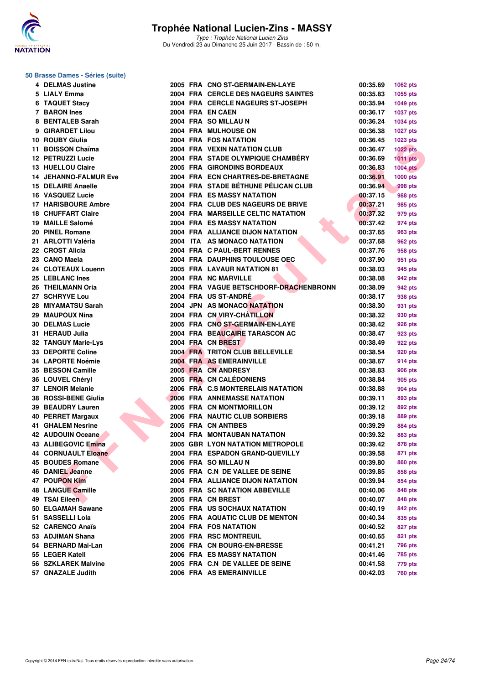

**50 Brasse Dames - Séries (suite)**

## **Trophée National Lucien-Zins - MASSY**

| 4 DELMAS Justine             |  | 2005 FRA CNO ST-GERMAIN-EN-LAYE        | 00:35.69 | 1062 pts        |
|------------------------------|--|----------------------------------------|----------|-----------------|
| 5 LIALY Emma                 |  | 2004 FRA CERCLE DES NAGEURS SAINTES    | 00:35.83 | 1055 pts        |
| 6 TAQUET Stacy               |  | 2004 FRA CERCLE NAGEURS ST-JOSEPH      | 00:35.94 | 1049 pts        |
| 7 BARON Ines                 |  | 2004 FRA EN CAEN                       | 00:36.17 | <b>1037 pts</b> |
| 8 BENTALEB Sarah             |  | 2004 FRA SO MILLAU N                   | 00:36.24 | 1034 pts        |
| 9 GIRARDET Lilou             |  | 2004 FRA MULHOUSE ON                   | 00:36.38 | <b>1027 pts</b> |
| 10 ROUBY Giulia              |  | 2004 FRA FOS NATATION                  | 00:36.45 | 1023 pts        |
| 11 BOISSON Chaïma            |  | <b>2004 FRA VEXIN NATATION CLUB</b>    | 00:36.47 | <b>1022 pts</b> |
| 12 PETRUZZI Lucie            |  | 2004 FRA STADE OLYMPIQUE CHAMBÉRY      | 00:36.69 | <b>1011 pts</b> |
| 13 HUELLOU Claire            |  | 2005 FRA GIRONDINS BORDEAUX            | 00:36.83 | <b>1004 pts</b> |
| <b>14 JEHANNO-FALMUR Eve</b> |  | 2004 FRA ECN CHARTRES-DE-BRETAGNE      | 00:36.91 | <b>1000 pts</b> |
| 15 DELAIRE Anaelle           |  | 2004 FRA STADE BÉTHUNE PÉLICAN CLUB    | 00:36.94 | 998 pts         |
| 16 VASQUEZ Lucie             |  | <b>2004 FRA ES MASSY NATATION</b>      | 00:37.15 | 988 pts         |
| <b>17 HARISBOURE Ambre</b>   |  | 2004 FRA CLUB DES NAGEURS DE BRIVE     | 00:37.21 | 985 pts         |
| <b>18 CHUFFART Claire</b>    |  | 2004 FRA MARSEILLE CELTIC NATATION     | 00:37.32 | 979 pts         |
| 19 MAILLE Salomé             |  | <b>2004 FRA ES MASSY NATATION</b>      | 00:37.42 | 974 pts         |
| 20 PINEL Romane              |  | 2004 FRA ALLIANCE DIJON NATATION       | 00:37.65 | 963 pts         |
| 21 ARLOTTI Valéria           |  | 2004 ITA AS MONACO NATATION            | 00:37.68 | <b>962 pts</b>  |
| 22 CROST Alicia              |  | 2004 FRA C PAUL-BERT RENNES            | 00:37.76 | 958 pts         |
| 23 CANO Maela                |  | 2004 FRA DAUPHINS TOULOUSE OEC         | 00:37.90 | 951 pts         |
| 24 CLOTEAUX Louenn           |  | 2005 FRA LAVAUR NATATION 81            | 00:38.03 | 945 pts         |
| 25 LEBLANC Ines              |  | 2004 FRA NC MARVILLE                   | 00:38.08 | 942 pts         |
| 26 THEILMANN Oria            |  | 2004 FRA VAGUE BETSCHDORF-DRACHENBRONN | 00:38.09 | 942 pts         |
| 27 SCHRYVE Lou               |  | 2004 FRA US ST-ANDRÉ                   | 00:38.17 | 938 pts         |
| 28 MIYAMATSU Sarah           |  | 2004 JPN AS MONACO NATATION            | 00:38.30 | 931 pts         |
| 29 MAUPOUX Nina              |  | 2004 FRA CN VIRY-CHATILLON             | 00:38.32 | 930 pts         |
| <b>30 DELMAS Lucie</b>       |  | 2005 FRA CNO ST-GERMAIN-EN-LAYE        | 00:38.42 | 926 pts         |
| 31 HERAUD Julia              |  | 2004 FRA BEAUCAIRE TARASCON AC         | 00:38.47 | 923 pts         |
| 32 TANGUY Marie-Lys          |  | 2004 FRA CN BREST                      | 00:38.49 | 922 pts         |
| 33 DEPORTE Coline            |  | 2004 FRA TRITON CLUB BELLEVILLE        | 00:38.54 | 920 pts         |
| 34 LAPORTE Noémie            |  | 2004 FRA AS EMERAINVILLE               | 00:38.67 | 914 pts         |
| 35 BESSON Camille            |  | 2005 FRA CN ANDRESY                    | 00:38.83 | 906 pts         |
| 36 LOUVEL Chéryl             |  | 2005 FRA CN CALÉDONIENS                | 00:38.84 | 905 pts         |
| 37 LENOIR Melanie            |  | 2006 FRA C.S MONTERELAIS NATATION      | 00:38.88 | 904 pts         |
| 38 ROSSI-BENE Giulia         |  | <b>2006 FRA ANNEMASSE NATATION</b>     | 00:39.11 | 893 pts         |
| 39 BEAUDRY Lauren            |  | 2005 FRA CN MONTMORILLON               | 00:39.12 | 892 pts         |
| <b>40 PERRET Margaux</b>     |  | 2006 FRA NAUTIC CLUB SORBIERS          | 00:39.18 | 889 pts         |
| 41 GHALEM Nesrine            |  | 2005 FRA CN ANTIBES                    | 00:39.29 | <b>884 pts</b>  |
| 42 AUDOUIN Oceane            |  | 2004 FRA MONTAUBAN NATATION            | 00:39.32 | 883 pts         |
| 43 ALIBEGOVIC Emina          |  | 2005 GBR LYON NATATION METROPOLE       | 00:39.42 | <b>878 pts</b>  |
| 44 CORNUAULT Eloane          |  | 2004 FRA ESPADON GRAND-QUEVILLY        | 00:39.58 | 871 pts         |
| 45 BOUDES Romane             |  | 2006 FRA SO MILLAU N                   | 00:39.80 | <b>860 pts</b>  |
| 46 DANIEL Jeanne             |  | 2005 FRA C.N DE VALLEE DE SEINE        | 00:39.85 | 858 pts         |
| 47 POUPON Kim                |  | 2004 FRA ALLIANCE DIJON NATATION       | 00:39.94 | 854 pts         |
| 48 LANGUE Camille            |  | 2005 FRA SC NATATION ABBEVILLE         | 00:40.06 | 848 pts         |
| 49 TSAI Eileen               |  | 2005 FRA CN BREST                      | 00:40.07 | 848 pts         |
| 50 ELGAMAH Sawane            |  | 2005 FRA US SOCHAUX NATATION           | 00:40.19 | 842 pts         |
| 51 SASSELLI Lola             |  | 2005 FRA AQUATIC CLUB DE MENTON        | 00:40.34 | 835 pts         |
| 52 CARENCO Anaïs             |  | 2004 FRA FOS NATATION                  | 00:40.52 | 827 pts         |
| 53 ADJIMAN Shana             |  | 2005 FRA RSC MONTREUIL                 | 00:40.65 | 821 pts         |
| 54 BERNARD Mai-Lan           |  | 2006 FRA CN BOURG-EN-BRESSE            | 00:41.21 | 796 pts         |
| 55 LEGER Katell              |  | 2006 FRA ES MASSY NATATION             | 00:41.46 | 785 pts         |
| 56 SZKLAREK Malvine          |  | <b>2005 FRA C.N DE VALLEE DE SEINE</b> | 00:41.58 | 779 pts         |
| 57 GNAZALE Judith            |  | 2006 FRA AS EMERAINVILLE               | 00:42.03 | 760 pts         |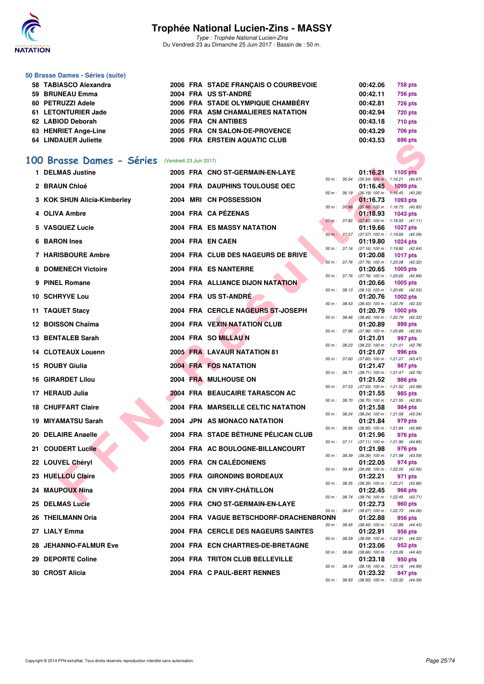

Type : Trophée National Lucien-Zins Du Vendredi 23 au Dimanche 25 Juin 2017 - Bassin de : 50 m.

#### **50 Brasse Dames - Séries (suite)**

| 58 TABIASCO Alexandra |  | 2006 FRA STADE FRANCAIS O COURBEVOIE | 00:42.06 | 758 pts |
|-----------------------|--|--------------------------------------|----------|---------|
| 59 BRUNEAU Emma       |  | 2004 FRA US ST-ANDRÉ                 | 00:42.11 | 756 pts |
| 60 PETRUZZI Adele     |  | 2006 FRA STADE OLYMPIQUE CHAMBÉRY    | 00:42.81 | 726 pts |
| 61 LETONTURIER Jade   |  | 2006 FRA ASM CHAMALIERES NATATION    | 00:42.94 | 720 pts |
| 62 LABIOD Deborah     |  | 2006 FRA CN ANTIBES                  | 00:43.18 | 710 pts |
| 63 HENRIET Ange-Line  |  | 2005 FRA CN SALON-DE-PROVENCE        | 00:43.29 | 706 pts |
| 64 LINDAUER Juliette  |  | 2006 FRA ERSTEIN AQUATIC CLUB        | 00:43.53 | 696 pts |
|                       |  |                                      |          |         |

### **[100 Brasse Dames - Séries](http://www.ffnatation.fr/webffn/resultats.php?idact=nat&go=epr&idcpt=47287&idepr=22)** (Vendredi 23 Juin 2017)

| <b>04 LINDAULR JUICUS</b>                        |  | 2000 FRA ERSTEIN AGOATIC CLOB          |              |              |          | ขอบ pเจ                                                       |
|--------------------------------------------------|--|----------------------------------------|--------------|--------------|----------|---------------------------------------------------------------|
| 00 Brasse Dames - Séries (Vendredi 23 Juin 2017) |  |                                        |              |              |          |                                                               |
| 1 DELMAS Justine                                 |  | 2005 FRA CNO ST-GERMAIN-EN-LAYE        |              |              | 01:16.21 | 1105 pts                                                      |
|                                                  |  |                                        |              | 50 m : 35.54 |          | $(35.54)$ 100 m : 1:16.21 (40.67)                             |
| 2 BRAUN Chloé                                    |  | 2004 FRA DAUPHINS TOULOUSE OEC         | 50 m : 36.19 |              | 01:16.45 | <b>1099 pts</b><br>$(36.19)$ 100 m : 1:16.45 $(40.26)$        |
| 3 KOK SHUN Alicia-Kimberley                      |  | 2004 MRI CN POSSESSION                 |              |              | 01:16.73 | 1093 pts                                                      |
| 4 OLIVA Ambre                                    |  | 2004 FRA CA PÉZENAS                    | 50 m : 35.88 |              | 01:18.93 | $(35.88)$ 100 m : 1:16.73 (40.85)<br>1043 pts                 |
|                                                  |  |                                        |              |              |          | 50 m: 37.82 (37.82) 100 m: 1:18.93 (41.11)                    |
| 5 VASQUEZ Lucie                                  |  | <b>2004 FRA ES MASSY NATATION</b>      |              |              | 01:19.66 | <b>1027 pts</b><br>50 m: 37.57 (37.57) 100 m: 1:19.66 (42.09) |
| 6 BARON Ines                                     |  | 2004 FRA EN CAEN                       |              |              | 01:19.80 | <b>1024 pts</b>                                               |
|                                                  |  |                                        |              |              |          | 50 m: 37.16 (37.16) 100 m: 1:19.80 (42.64)                    |
| <b>7 HARISBOURE Ambre</b>                        |  | 2004 FRA CLUB DES NAGEURS DE BRIVE     |              | 50 m: 37.76  | 01:20.08 | <b>1017 pts</b><br>$(37.76)$ 100 m : 1:20.08 $(42.32)$        |
| <b>8 DOMENECH Victoire</b>                       |  | 2004 FRA ES NANTERRE                   |              |              | 01:20.65 | <b>1005 pts</b>                                               |
| 9 PINEL Romane                                   |  | 2004 FRA ALLIANCE DIJON NATATION       |              | 50 m : 37.76 | 01:20.66 | (37.76) 100 m : 1:20.65 (42.89)<br>1005 pts                   |
|                                                  |  |                                        |              | 50 m : 38.13 |          | $(38.13)$ 100 m : 1:20.66 $(42.53)$                           |
| 10 SCHRYVE Lou                                   |  | 2004 FRA US ST-ANDRE                   |              |              | 01:20.76 | <b>1002 pts</b>                                               |
| 11 TAQUET Stacy                                  |  | 2004 FRA CERCLE NAGEURS ST-JOSEPH      |              | 50 m : 38.43 | 01:20.79 | $(38.43)$ 100 m : 1:20.76 $(42.33)$<br><b>1002 pts</b>        |
|                                                  |  |                                        |              | 50 m : 38.46 |          | $(38.46)$ 100 m : 1:20.79 $(42.33)$                           |
| 12 BOISSON Chaïma                                |  | 2004 FRA VEXIN NATATION CLUB           |              |              | 01:20.89 | 999 pts<br>50 m: 37.96 (37.96) 100 m: 1:20.89 (42.93)         |
| 13 BENTALEB Sarah                                |  | 2004 FRA SO MILLAU N                   |              |              | 01:21.01 | 997 pts                                                       |
|                                                  |  |                                        | 50 m: 38.23  |              |          | $(38.23)$ 100 m : 1:21.01 $(42.78)$                           |
| <b>14 CLOTEAUX Louenn</b>                        |  | 2005 FRA LAVAUR NATATION 81            | 50 m : 37.60 |              | 01:21.07 | 996 pts<br>$(37.60)$ 100 m : 1:21.07 $(43.47)$                |
| 15 ROUBY Giulia                                  |  | <b>2004 FRA FOS NATATION</b>           |              |              | 01:21.47 | 987 pts                                                       |
| 16 GIRARDET Lilou                                |  | 2004 FRA MULHOUSE ON                   |              | 50 m : 38.71 | 01:21.52 | (38.71) 100 m: 1:21.47 (42.76)<br>986 pts                     |
|                                                  |  |                                        |              | 50 m : 37.53 |          | (37.53) 100 m : 1:21.52 (43.99)                               |
| 17 HERAUD Julia                                  |  | 2004 FRA BEAUCAIRE TARASCON AC         |              |              | 01:21.55 | 985 pts                                                       |
| <b>18 CHUFFART Claire</b>                        |  | 2004 FRA MARSEILLE CELTIC NATATION     |              | 50 m : 38.70 | 01:21.58 | $(38.70)$ 100 m : 1:21.55 $(42.85)$<br>984 pts                |
|                                                  |  |                                        |              | 50 m : 38.24 |          | (38.24) 100 m: 1:21.58 (43.34)                                |
| 19 MIYAMATSU Sarah                               |  | 2004 JPN AS MONACO NATATION            |              | 50 m : 38.95 | 01:21.84 | 979 pts<br>$(38.95)$ 100 m : 1:21.84 $(42.89)$                |
| 20 DELAIRE Anaelle                               |  | 2004 FRA STADE BÉTHUNE PÉLICAN CLUB    |              |              | 01:21.96 | 976 pts                                                       |
| 21 COUDERT Lucile                                |  | 2004 FRA AC BOULOGNE-BILLANCOURT       |              | 50 m : 37.11 | 01:21.98 | $(37.11)$ 100 m : 1:21.96 $(44.85)$<br>976 pts                |
|                                                  |  |                                        | 50 m : 38.39 |              |          | (38.39) 100 m: 1:21.98 (43.59)                                |
| 22 LOUVEL Chéryl                                 |  | 2005 FRA CN CALEDONIENS                |              |              | 01:22.05 | 974 pts                                                       |
| 23 HUELLOU Claire                                |  | 2005 FRA GIRONDINS BORDEAUX            |              | 50 m : 39.49 | 01:22.21 | $(39.49)$ 100 m : 1:22.05 $(42.56)$<br>971 pts                |
|                                                  |  |                                        |              | 50 m : 38.35 |          | $(38.35)$ 100 m : 1:22.21 $(43.86)$                           |
| 24 MAUPOUX Nina                                  |  | 2004 FRA CN VIRY-CHÂTILLON             |              | 50 m : 38.74 | 01:22.45 | 966 pts<br>$(38.74)$ 100 m : 1:22.45 $(43.71)$                |
| <b>25 DELMAS Lucie</b>                           |  | 2005 FRA CNO ST-GERMAIN-EN-LAYE        |              |              | 01:22.73 | <b>960 pts</b>                                                |
|                                                  |  |                                        |              |              |          | 50 m: 38.67 (38.67) 100 m: 1:22.73 (44.06)                    |
| 26 THEILMANN Oria                                |  | 2004 FRA VAGUE BETSCHDORF-DRACHENBRONN |              |              | 01:22.88 | 956 pts<br>50 m: 38.45 (38.45) 100 m: 1:22.88 (44.43)         |
| 27 LIALY Emma                                    |  | 2004 FRA CERCLE DES NAGEURS SAINTES    |              |              | 01:22.91 | 956 pts                                                       |
| <b>28 JEHANNO-FALMUR Eve</b>                     |  | 2004 FRA ECN CHARTRES-DE-BRETAGNE      |              |              | 01:23.06 | 50 m: 38.59 (38.59) 100 m: 1:22.91 (44.32)<br>952 pts         |
|                                                  |  |                                        |              |              |          | 50 m: 38.66 (38.66) 100 m: 1:23.06 (44.40)                    |
| 29 DEPORTE Coline                                |  | 2004 FRA TRITON CLUB BELLEVILLE        |              |              | 01:23.18 | 950 pts                                                       |
| 30 CROST Alicia                                  |  | 2004 FRA C PAUL-BERT RENNES            |              |              | 01:23.32 | 50 m: 38.19 (38.19) 100 m: 1:23.18 (44.99)<br>947 pts         |
|                                                  |  |                                        |              |              |          | 50 m: 38.93 (38.93) 100 m: 1:23.32 (44.39)                    |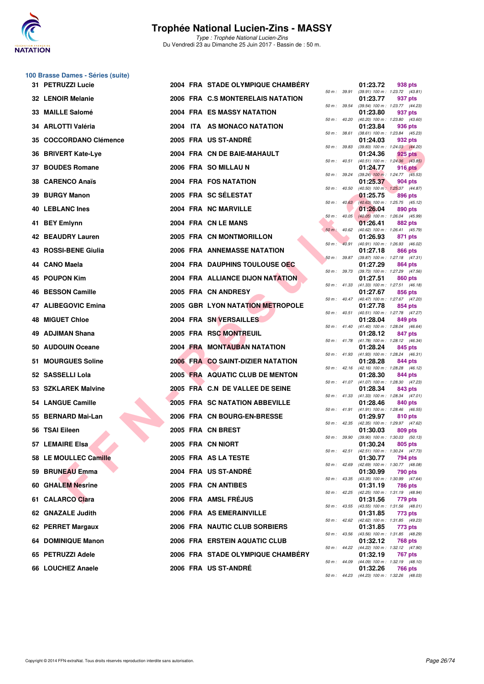

|     | 100 Brasse Dames - Séries (suite) |  |                                    |                          |              |          |                                                         |
|-----|-----------------------------------|--|------------------------------------|--------------------------|--------------|----------|---------------------------------------------------------|
|     | 31 PETRUZZI Lucie                 |  | 2004 FRA STADE OLYMPIQUE CHAMBERY  |                          | 50 m : 39.91 | 01:23.72 | 938 pts<br>(39.91) 100 m: 1:23.72 (43.81)               |
|     | 32 LENOIR Melanie                 |  | 2006 FRA C.S MONTERELAIS NATATION  | 50 m: 39.54              |              | 01:23.77 | 937 pts<br>(39.54) 100 m: 1:23.77 (44.23)               |
|     | 33 MAILLE Salomé                  |  | <b>2004 FRA ES MASSY NATATION</b>  |                          |              | 01:23.80 | 937 pts                                                 |
|     | 34 ARLOTTI Valéria                |  | 2004 ITA AS MONACO NATATION        | 50 m: 40.20              |              | 01:23.84 | (40.20) 100 m: 1:23.80 (43.60)<br>936 pts               |
|     | 35 COCCORDANO Clémence            |  | 2005 FRA US ST-ANDRE               | 50 m : 38.61             |              | 01:24.03 | (38.61) 100 m: 1:23.84 (45.23)<br>932 pts               |
|     | 36 BRIVERT Kate-Lye               |  | 2004 FRA CN DE BAIE-MAHAULT        | 50 m : 39.83             |              | 01:24.36 | (39.83) 100 m: 1:24.03 (44.20)<br>925 pts               |
|     | 37 BOUDES Romane                  |  | 2006 FRA SO MILLAU N               | 50 m: 40.51              |              | 01:24.77 | $(40.51)$ 100 m : 1:24.36 $(43.85)$<br>916 pts          |
|     | 38 CARENCO Anaïs                  |  | 2004 FRA FOS NATATION              | 50 m : 39.24             |              | 01:25.37 | $(39.24)$ 100 m : 1:24.77 $(45.53)$<br>904 pts          |
| 39  | <b>BURGY Manon</b>                |  | 2005 FRA SC SELESTAT               | 50 m: 40.50              |              | 01:25.75 | (40.50) 100 m: 1:25.37 (44.87)<br>896 pts               |
|     | <b>40 LEBLANC Ines</b>            |  | 2004 FRA NC MARVILLE               | $50 \text{ m}$ : $40.63$ |              | 01:26.04 | (40.63) 100 m: 1:25.75 (45.12)<br>890 pts               |
|     | 41 BEY Emlynn                     |  | 2004 FRA CN LE MANS                | $50 m$ : $40.05$         |              | 01:26.41 | $(40.05)$ 100 m : 1:26.04 $(45.99)$<br>882 pts          |
|     | 42 BEAUDRY Lauren                 |  | 2005 FRA CN MONTMORILLON           | $50 m$ :                 | 40.62        | 01:26.93 | (40.62) 100 m: 1:26.41 (45.79)<br>871 pts               |
| 43. | <b>ROSSI-BENE Giulia</b>          |  | <b>2006 FRA ANNEMASSE NATATION</b> | $50 m$ :                 | 40.91        | 01:27.18 | (40.91) 100 m: 1:26.93 (46.02)<br>866 pts               |
|     | 44 CANO Maela                     |  | 2004 FRA DAUPHINS TOULOUSE OEC     | 50 m: 39.87              |              | 01:27.29 | (39.87) 100 m: 1:27.18 (47.31)<br>864 pts               |
| 45  | <b>POUPON Kim</b>                 |  | 2004 FRA ALLIANCE DIJON NATATION   | 50 m : 39.73             |              | 01:27.51 | (39.73) 100 m : 1:27.29 (47.56)<br>860 pts              |
|     | 46 BESSON Camille                 |  | 2005 FRA CN ANDRESY                | 50 m: 41.33              |              | 01:27.67 | $(41.33)$ 100 m : 1:27.51 $(46.18)$<br>856 pts          |
|     | 47 ALIBEGOVIC Emina               |  | 2005 GBR LYON NATATION METROPOLE   | 50 m: 40.47              |              | 01:27.78 | (40.47) 100 m: 1:27.67 (47.20)<br>854 pts               |
| 48  | <b>MIGUET Chloe</b>               |  | 2004 FRA SN VERSAILLES             | 50 m : 40.51             |              | 01:28.04 | $(40.51)$ 100 m : 1:27.78 $(47.27)$<br>849 pts          |
| 49  | <b>ADJIMAN Shana</b>              |  | 2005 FRA RSC MONTREUIL             |                          | 50 m : 41.40 | 01:28.12 | $(41.40)$ 100 m : 1:28.04 $(46.64)$<br>847 pts          |
|     | 50 AUDOUIN Oceane                 |  | 2004 FRA MONTAUBAN NATATION        |                          |              | 01:28.24 | 50 m: 41.78 (41.78) 100 m: 1:28.12 (46.34)<br>845 pts   |
|     | 51 MOURGUES Soline                |  | 2006 FRA CO SAINT-DIZIER NATATION  |                          | 50 m : 41.93 | 01:28.28 | (41.93) 100 m: 1:28.24 (46.31)<br>844 pts               |
|     | 52 SASSELLI Lola                  |  | 2005 FRA AQUATIC CLUB DE MENTON    |                          |              | 01:28.30 | 50 m: 42.16 (42.16) 100 m: 1:28.28 (46.12)<br>844 pts   |
|     | 53 SZKLAREK Malvine               |  | 2005 FRA C.N DE VALLEE DE SEINE    | 50 m: 41.07              |              | 01:28.34 | (41.07) 100 m: 1:28.30 (47.23)<br>843 pts               |
|     | 54 LANGUE Camille                 |  | 2005 FRA SC NATATION ABBEVILLE     |                          | 50 m: 41.33  | 01:28.46 | $(41.33)$ 100 m : 1:28.34 $(47.01)$<br>840 pts          |
|     | 55 BERNARD Mai-Lan                |  | 2006 FRA CN BOURG-EN-BRESSE        |                          |              | 01:29.97 | 50 m: 41.91 (41.91) 100 m: 1:28.46 (46.55)<br>810 pts   |
|     | 56 TSAI Eileen                    |  | 2005 FRA CN BREST                  | 50 m : 42.35             |              | 01:30.03 | (42.35) 100 m : 1:29.97 (47.62)<br>809 pts              |
|     | 57 LEMAIRE Elsa                   |  | 2005 FRA CN NIORT                  |                          |              | 01:30.24 | 50 m : 39.90 (39.90) 100 m : 1:30.03 (50.13)<br>805 pts |
|     | 58 LE MOULLEC Camille             |  | 2005 FRA AS LA TESTE               | 50 m: 42.51              |              | 01:30.77 | (42.51) 100 m: 1:30.24 (47.73)<br>794 pts               |
|     | 59 BRUNEAU Emma                   |  | 2004 FRA US ST-ANDRÉ               | 50 m: 42.69              |              | 01:30.99 | (42.69) 100 m : 1:30.77 (48.08)<br>790 pts              |
|     | <b>60 GHALEM Nesrine</b>          |  | 2005 FRA CN ANTIBES                | 50 m : 43.35             |              | 01:31.19 | (43.35) 100 m: 1:30.99 (47.64)<br>786 pts               |
|     | 61 CALARCO Clara                  |  | 2006 FRA AMSL FRÉJUS               |                          |              | 01:31.56 | 50 m: 42.25 (42.25) 100 m: 1:31.19 (48.94)<br>779 pts   |
|     | 62 GNAZALE Judith                 |  | 2006 FRA AS EMERAINVILLE           |                          | 50 m : 43.55 | 01:31.85 | (43.55) 100 m: 1:31.56 (48.01)<br>773 pts               |
|     | 62 PERRET Margaux                 |  | 2006 FRA NAUTIC CLUB SORBIERS      |                          |              | 01:31.85 | 50 m: 42.62 (42.62) 100 m: 1:31.85 (49.23)<br>773 pts   |
|     | 64 DOMINIQUE Manon                |  | 2006 FRA ERSTEIN AQUATIC CLUB      | 50 m: 43.56              |              | 01:32.12 | (43.56) 100 m: 1:31.85 (48.29)<br>768 pts               |
|     | 65 PETRUZZI Adele                 |  | 2006 FRA STADE OLYMPIQUE CHAMBERY  | 50 m : 44.22             |              | 01:32.19 | (44.22) 100 m: 1:32.12 (47.90)<br>767 pts               |
|     | 66 LOUCHEZ Anaele                 |  | 2006 FRA US ST-ANDRÉ               | 50 m: 44.09              |              | 01:32.26 | (44.09) 100 m: 1:32.19 (48.10)<br>766 pts               |

|          |       | 01:23.72                      | 938 pts                              |
|----------|-------|-------------------------------|--------------------------------------|
| 50 m :   | 39.91 | $(39.91)$ 100 m :             | 1:23.72<br>(43.81)                   |
| 50 m :   | 39.54 | 01:23.77<br>$(39.54) 100 m$ : | 937<br>pts<br>1:23.77<br>(44.23)     |
|          |       | 01:23.80                      | 937 pts                              |
| $50 m$ : | 40.20 | (40.20) 100 m :               | 1:23.80<br>(43.60)                   |
|          |       | 01:23.84                      | 936 pts                              |
| 50 m :   | 38.61 | $(38.61)$ 100 m :             | 1:23.84<br>(45.23)                   |
|          |       | 01:24.03                      | 932 pts                              |
| $50 m$ : | 39.83 | (39.83) 100 m :<br>01:24.36   | 1:24.03<br>(44.20)<br>925 pts        |
| $50 m$ : | 40.51 | (40.51) 100 m :               | 1:24.36 (43.85)                      |
|          |       | 01:24.77                      | 916 pts                              |
| 50 m :   | 39.24 | $(39.24)$ 100 m :             | 1:24.77<br>(45.53)                   |
|          |       | 01:25.37                      | 904 pts                              |
| $50 m$ : | 40.50 | $(40.50)$ 100 m :<br>01:25.75 | 1:25.37<br>(44.87)<br>896 pts        |
| $50 m$ : | 40.63 | $(40.63)$ 100 m :             | 1:25.75<br>(45.12)                   |
|          |       | 01:26.04                      | 890 pts                              |
| 50 m :   | 40.05 | $(40.05)$ 100 m :             | 1:26.04<br>(45.99)                   |
|          |       | 01:26.41                      | <b>882 pts</b>                       |
| $50 m$ : | 40.62 | $(40.62)$ 100 m :             | 1:26.41<br>(45.79)                   |
| $50 m$ : | 40.91 | 01:26.93<br>$(40.91)$ 100 m : | 871 pts<br>1:26.93<br>(46.02)        |
|          |       | 01:27.18                      | <b>866 pts</b>                       |
| 50 m :   | 39.87 | $(39.87) 100 m$ :             | 1:27.18<br>(47.31)                   |
|          |       | 01:27.29                      | <b>864 pts</b>                       |
| 50 m :   | 39.73 | (39.73) 100 m :               | 1:27.29<br>(47.56)                   |
| $50 m$ : | 41.33 | 01:27.51<br>$(41.33) 100 m$ : | <b>860 pts</b><br>1:27.51<br>(46.18) |
|          |       | 01:27.67                      | 856 pts                              |
| 50 m :   | 40.47 | $(40.47) 100 m$ :             | 1:27.67<br>(47.20)                   |
|          |       | 01:27.78                      | <b>854 pts</b>                       |
| $50 m$ : | 40.51 | $(40.51)$ 100 m :             | 1:27.78<br>(47.27)                   |
| $50 m$ : | 41.40 | 01:28.04<br>$(41.40) 100 m$ : | 849 pts<br>1:28.04<br>(46.64)        |
|          |       | 01:28.12                      | 847 pts                              |
| 50 m :   | 41.78 | $(41.78) 100 m$ :             | 1:28.12<br>(46.34)                   |
|          |       | 01:28.24                      | 845 pts                              |
| $50 m$ : | 41.93 | $(41.93) 100 m$ :             | 1:28.24<br>(46.31)                   |
| $50 m$ : | 42.16 | 01:28.28<br>$(42.16) 100 m$ : | 844 pts<br>1:28.28<br>(46.12)        |
|          |       | 01:28.30                      | 844 pts                              |
| 50 m :   | 41.07 | $(41.07) 100 m$ :             | 1:28.30<br>(47.23)                   |
|          |       | 01:28.34                      | 843 pts                              |
| $50 m$ : | 41.33 | $(41.33) 100 m$ :             | 1:28.34<br>(47.01)                   |
| $50 m$ : | 41.91 | 01:28.46<br>$(41.91) 100 m$ : | <b>840 pts</b><br>1:28.46<br>(46.55) |
|          |       | 01:29.97                      | 810 pts                              |
| 50 m :   | 42.35 | (42.35) 100 m :               | 1:29.97<br>(47.62)                   |
|          |       | 01:30.03                      | 809 pts                              |
| $50 m$ : | 39.90 | (39.90) 100 m :<br>01:30.24   | 1:30.03<br>(50.13)<br>805 pts        |
| $50 m$ : | 42.51 | $(42.51)$ 100 m :             | 1:30.24<br>(47.73)                   |
|          |       | 01:30.77                      | 794 pts                              |
| $50 m$ : | 42.69 | $(42.69)$ 100 m :             | (48.08)<br>1:30.77                   |
|          |       | 01:30.99                      | <b>790 pts</b>                       |
| $50 m$ : | 43.35 | (43.35) 100 m :<br>01:31.19   | 1:30.99<br>(47.64)<br><b>786 pts</b> |
| $50 m$ : | 42.25 | (42.25) 100 m :               | 1:31.19<br>(48.94)                   |
|          |       | 01:31.56                      | 779 pts                              |
| $50 m$ : | 43.55 | $(43.55) 100 m$ :             | 1:31.56<br>(48.01)                   |
|          |       | 01:31.85                      | <b>773 pts</b>                       |
| $50 m$ : | 42.62 | (42.62) 100 m :<br>01:31.85   | 1:31.85<br>(49.23)<br>773 pts        |
| $50 m$ : | 43.56 | $(43.56) 100 m$ :             | 1:31.85<br>(48.29)                   |
|          |       | 01:32.12                      | <b>768 pts</b>                       |
| $50 m$ : | 44.22 | (44.22) 100 m :               | 1:32.12<br>(47.90)                   |
|          |       | 01:32.19                      | 767 pts                              |
| $50 m$ : | 44.09 | (44.09) 100 m :<br>01:32.26   | 1:32.19<br>(48.10)<br>766 pts        |
| 50 m :   | 44.23 | $(44.23) 100 m$ :             | 1:32.26 (48.03)                      |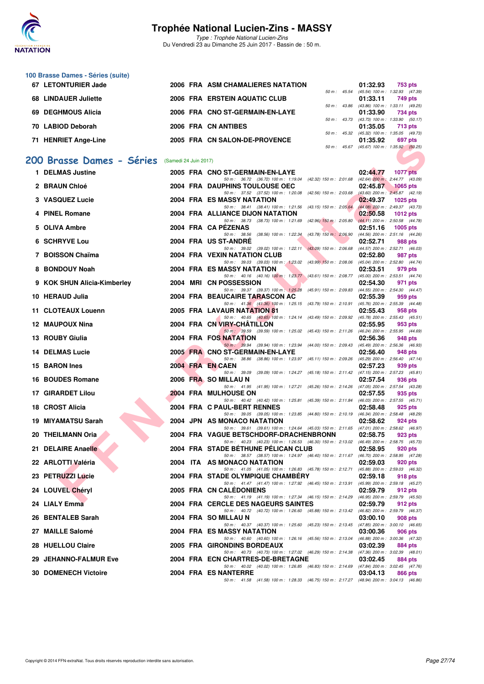

Type : Trophée National Lucien-Zins Du Vendredi 23 au Dimanche 25 Juin 2017 - Bassin de : 50 m.

| 100 Brasse Dames - Séries (suite) |  |                                   |                |                        |                                             |                |
|-----------------------------------|--|-----------------------------------|----------------|------------------------|---------------------------------------------|----------------|
| 67 LETONTURIER Jade               |  | 2006 FRA ASM CHAMALIERES NATATION |                |                        | 01:32.93                                    | <b>753 pts</b> |
|                                   |  |                                   |                |                        | 50 m: 45.54 (45.54) 100 m: 1:32.93 (47.39   |                |
| <b>68 LINDAUER Juliette</b>       |  | 2006 FRA ERSTEIN AQUATIC CLUB     |                |                        | 01:33.11                                    | 749 pts        |
|                                   |  |                                   | $50 m$ : 43.86 |                        | (43.86) 100 m : 1:33.11 (49.25              |                |
| 69 DEGHMOUS Alicia                |  | 2006 FRA CNO ST-GERMAIN-EN-LAYE   |                |                        | 01:33.90                                    | 734 pts        |
|                                   |  |                                   |                | $50 \text{ m}$ : 43.73 | (43.73) 100 m : 1:33.90 (50.17              |                |
| 70 LABIOD Deborah                 |  | 2006 FRA CN ANTIBES               |                |                        | 01:35.05                                    | 713 pts        |
|                                   |  |                                   |                |                        | 50 m : 45.32 (45.32) 100 m : 1:35.05 (49.73 |                |
| 71 HENRIET Ange-Line              |  | 2005 FRA CN SALON-DE-PROVENCE     |                |                        | 01:35.92                                    | 697 pts        |
|                                   |  |                                   | $50 m$ : 45.67 |                        | (45.67) 100 m : 1:35.92 (50.25)             |                |

## **[200 Brasse Dames - Séries](http://www.ffnatation.fr/webffn/resultats.php?idact=nat&go=epr&idcpt=47287&idepr=23)** (Samedi 24 Juin 2017)

| TI TIERRIET ANGELING                                  |  | <b>2003 FRA CN SALON-DE-FROVENCE</b>                                                                                               | 01.JJ.JZ | <b>USI</b> PLS<br>50 m: 45.67 (45.67) 100 m: 1:35.92 (50.25) |
|-------------------------------------------------------|--|------------------------------------------------------------------------------------------------------------------------------------|----------|--------------------------------------------------------------|
| <b>00 Brasse Dames - Séries</b> (Samedi 24 Juin 2017) |  |                                                                                                                                    |          |                                                              |
|                                                       |  |                                                                                                                                    |          |                                                              |
| 1 DELMAS Justine                                      |  | 2005 FRA CNO ST-GERMAIN-EN-LAYE                                                                                                    | 02:44.77 | <b>1077 pts</b>                                              |
| 2 BRAUN Chloé                                         |  | 50 m: 36.72 (36.72) 100 m: 1:19.04 (42.32) 150 m: 2:01.68 (42.64) 200 m: 2:44.77 (43.09)<br><b>2004 FRA DAUPHINS TOULOUSE OEC</b>  | 02:45.87 | <b>1065 pts</b>                                              |
| 3 VASQUEZ Lucie                                       |  | 50 m: 37.52 (37.52) 100 m: 1:20.08 (42.56) 150 m: 2:03.68 (43.60) 200 m: 2:45.87 (42.19)<br><b>2004 FRA ES MASSY NATATION</b>      | 02:49.37 | <b>1025 pts</b>                                              |
| 4 PINEL Romane                                        |  | 50 m: 38.41 (38.41) 100 m: 1:21.56 (43.15) 150 m: 2:05.64 (44.08) 200 m: 2:49.37 (43.73)<br>2004 FRA ALLIANCE DIJON NATATION       | 02:50.58 | <b>1012 pts</b>                                              |
| 5 OLIVA Ambre                                         |  | 50 m: 38.73 (38.73) 100 m: 1:21.69 (42.96) 150 m: 2:05.80 (44.11) 200 m: 2:50.58 (44.78)<br>2004 FRA CA PEZENAS                    | 02:51.16 | 1005 pts                                                     |
| 6 SCHRYVE Lou                                         |  | 50 m: 38.56 (38.56) 100 m: 1:22.34 (43.78) 150 m: 2:06.90 (44.56) 200 m: 2:51.16 (44.26)<br>2004 FRA US ST-ANDRE                   | 02:52.71 | 988 pts                                                      |
| 7 BOISSON Chaïma                                      |  | 50 m: 39.02 (39.02) 100 m: 1:22.11 (43.09) 150 m: 2:06.68 (44.57) 200 m: 2:52.71 (46.03)<br>2004 FRA VEXIN NATATION CLUB           | 02:52.80 | 987 pts                                                      |
| 8 BONDOUY Noah                                        |  | 50 m: 39.03 (39.03) 100 m: 1:23.02 (43.99) 150 m: 2:08.06 (45.04) 200 m: 2:52.80 (44.74)<br>2004 FRA ES MASSY NATATION             | 02:53.51 | 979 pts                                                      |
| 9 KOK SHUN Alicia-Kimberley                           |  | 50 m: 40.16 (40.16) 100 m: 1:23.77 (43.61) 150 m: 2:08.77 (45.00) 200 m: 2:53.51 (44.74)<br>2004 MRI CN POSSESSION                 | 02:54.30 | 971 pts                                                      |
|                                                       |  | 50 m: 39.37 (39.37) 100 m: 1:25.28 (45.91) 150 m: 2:09.83 (44.55) 200 m: 2:54.30 (44.47)                                           |          |                                                              |
| 10 HERAUD Julia                                       |  | 2004 FRA BEAUCAIRE TARASCON AC                                                                                                     | 02:55.39 | 959 pts                                                      |
| 11 CLOTEAUX Louenn                                    |  | 50 m: 41.36 (41.36) 100 m: 1:25.15 (43.79) 150 m: 2:10.91 (45.76) 200 m: 2:55.39 (44.48)<br><b>2005 FRA LAVAUR NATATION 81</b>     | 02:55.43 | 958 pts                                                      |
|                                                       |  | 50 m: 40.65 (40.65) 100 m: 1:24.14 (43.49) 150 m: 2:09.92 (45.78) 200 m: 2:55.43 (45.51)                                           |          |                                                              |
| 12 MAUPOUX Nina                                       |  | 2004 FRA CN VIRY-CHATILLON                                                                                                         | 02:55.95 | 953 pts                                                      |
|                                                       |  | 50 m: 39.59 (39.59) 100 m: 1:25.02 (45.43) 150 m: 2:11.26 (46.24) 200 m: 2:55.95 (44.69)                                           |          |                                                              |
| 13 ROUBY Giulia                                       |  | 2004 FRA FOS NATATION<br>50 m: 39.94 (39.94) 100 m: 1:23.94 (44.00) 150 m: 2:09.43 (45.49) 200 m: 2:56.36 (46.93)                  | 02:56.36 | 948 pts                                                      |
| <b>14 DELMAS Lucie</b>                                |  | 2005 FRA CNO ST-GERMAIN-EN-LAYE                                                                                                    | 02:56.40 | 948 pts                                                      |
|                                                       |  | 50 m: 38.86 (38.86) 100 m: 1:23.97 (45.11) 150 m: 2:09.26 (45.29) 200 m: 2:56.40 (47.14)                                           |          |                                                              |
| 15 BARON Ines                                         |  | 2004 FRA EN CAEN                                                                                                                   | 02:57.23 | 939 pts                                                      |
| 16 BOUDES Romane                                      |  | 50 m: 39.09 (39.09) 100 m: 1:24.27 (45.18) 150 m: 2:11.42 (47.15) 200 m: 2:57.23 (45.81)<br>2006 FRA SO MILLAU N                   | 02:57.54 | 936 pts                                                      |
| 17 GIRARDET Lilou                                     |  | 50 m: 41.95 (41.95) 100 m: 1:27.21 (45.26) 150 m: 2:14.26 (47.05) 200 m: 2:57.54 (43.28)<br><b>2004 FRA MULHOUSE ON</b>            | 02:57.55 | 935 pts                                                      |
| 18 CROST Alicia                                       |  | 50 m: 40.42 (40.42) 100 m: 1:25.81 (45.39) 150 m: 2:11.84 (46.03) 200 m: 2:57.55 (45.71)<br>2004 FRA C PAUL-BERT RENNES            | 02:58.48 | 925 pts                                                      |
| 19 MIYAMATSU Sarah                                    |  | 50 m: 39.05 (39.05) 100 m: 1:23.85 (44.80) 150 m: 2:10.19 (46.34) 200 m: 2:58.48 (48.29)<br>2004 JPN AS MONACO NATATION            | 02:58.62 | 924 pts                                                      |
| 20 THEILMANN Oria                                     |  | 50 m: 39.61 (39.61) 100 m: 1:24.64 (45.03) 150 m: 2:11.65 (47.01) 200 m: 2:58.62 (46.97)<br>2004 FRA VAGUE BETSCHDORF-DRACHENBRONN | 02:58.75 | 923 pts                                                      |
|                                                       |  | 50 m: 40.23 (40.23) 100 m: 1:26.53 (46.30) 150 m: 2:13.02 (46.49) 200 m: 2:58.75 (45.73)                                           |          |                                                              |
| 21 DELAIRE Anaelle                                    |  | 2004 FRA STADE BETHUNE PELICAN CLUB<br>50 m: 38.57 (38.57) 100 m: 1:24.97 (46.40) 150 m: 2:11.67 (46.70) 200 m: 2:58.95 (47.28)    | 02:58.95 | 920 pts                                                      |
| 22 ARLOTTI Valéria                                    |  | 2004 ITA AS MONACO NATATION                                                                                                        | 02:59.03 | 920 pts                                                      |
| 23 PETRUZZI Lucie                                     |  | 50 m: 41.05 (41.05) 100 m: 1:26.83 (45.78) 150 m: 2:12.71 (45.88) 200 m: 2:59.03 (46.32)<br>2004 FRA STADE OLYMPIQUE CHAMBERY      | 02:59.18 | 918 pts                                                      |
| 24 LOUVEL Chéryl                                      |  | 50 m: 41.47 (41.47) 100 m: 1:27.92 (46.45) 150 m: 2:13.91 (45.99) 200 m: 2:59.18 (45.27)<br>2005 FRA CN CALEDONIENS                | 02:59.79 | 912 pts                                                      |
| 24 LIALY Emma                                         |  | 50 m: 41.19 (41.19) 100 m: 1:27.34 (46.15) 150 m: 2:14.29 (46.95) 200 m: 2:59.79 (45.50)<br>2004 FRA CERCLE DES NAGEURS SAINTES    | 02:59.79 | 912 pts                                                      |
| 26 BENTALEB Sarah                                     |  | 50 m: 40.72 (40.72) 100 m: 1:26.60 (45.88) 150 m: 2:13.42 (46.82) 200 m: 2:59.79 (46.37)<br>2004 FRA SO MILLAU N                   | 03:00.10 | 908 pts                                                      |
| 27 MAILLE Salomé                                      |  | 50 m: 40.37 (40.37) 100 m: 1:25.60 (45.23) 150 m: 2:13.45 (47.85) 200 m: 3:00.10 (46.65)<br>2004 FRA ES MASSY NATATION             | 03:00.36 | 906 pts                                                      |
| 28 HUELLOU Claire                                     |  | 50 m : 40.60 (40.60) 100 m : 1:26.16 (45.56) 150 m : 2:13.04 (46.88) 200 m : 3:00.36 (47.32)<br>2005 FRA GIRONDINS BORDEAUX        | 03:02.39 | 884 pts                                                      |
| 29 JEHANNO-FALMUR Eve                                 |  | 50 m: 40.73 (40.73) 100 m: 1:27.02 (46.29) 150 m: 2:14.38 (47.36) 200 m: 3:02.39 (48.01)<br>2004 FRA ECN CHARTRES-DE-BRETAGNE      | 03:02.45 | 884 pts                                                      |
|                                                       |  | 50 m: 40.02 (40.02) 100 m: 1:26.85 (46.83) 150 m: 2:14.69 (47.84) 200 m: 3:02.45 (47.76)                                           |          |                                                              |
| <b>30 DOMENECH Victoire</b>                           |  | 2004 FRA ES NANTERRE<br>50 m: 41.58 (41.58) 100 m: 1:28.33 (46.75) 150 m: 2:17.27 (48.94) 200 m: 3:04.13 (46.86)                   | 03:04.13 | 866 pts                                                      |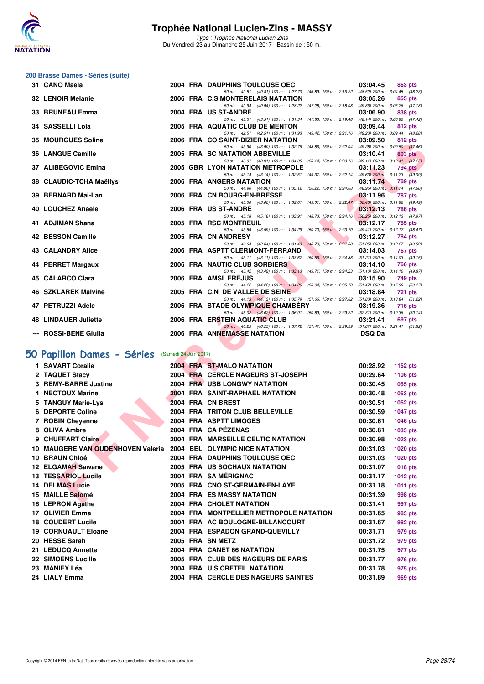

Type : Trophée National Lucien-Zins Du Vendredi 23 au Dimanche 25 Juin 2017 - Bassin de : 50 m.

# **200 Brasse Dames - Séries (suite)**

| 31 CANO Maela                                                    |                       | <b>2004 FRA DAUPHINS TOULOUSE OEC</b>                                                                                              | 03:04.45            | 863 pts                                             |
|------------------------------------------------------------------|-----------------------|------------------------------------------------------------------------------------------------------------------------------------|---------------------|-----------------------------------------------------|
| 32 LENOIR Melanie                                                |                       | 50 m: 40.81 (40.81) 100 m: 1:27.70 (46.89) 150 m: 2:16.22 (48.52) 200 m: 3:04.45 (48.23)<br>2006 FRA C.S MONTERELAIS NATATION      | 03:05.26            | 855 pts                                             |
| 33 BRUNEAU Emma                                                  |                       | 50 m: 40.94 (40.94) 100 m: 1:28.22<br>(47.28) 150 m : 2:18.08 (49.86) 200 m : 3:05.26 (47.18)<br>2004 FRA US ST-ANDRÉ              | 03:06.90            | 838 pts                                             |
| 34 SASSELLI Lola                                                 |                       | 50 m: 43.51 (43.51) 100 m: 1:31.34<br>(47.83) 150 m : 2:19.48 (48.14) 200 m : 3:06.90 (47.42)<br>2005 FRA AQUATIC CLUB DE MENTON   | 03:09.44            | 812 pts                                             |
|                                                                  |                       | 50 m: 42.51 (42.51) 100 m: 1:31.93<br>(49.42) 150 m: 2:21.16 (49.23) 200 m: 3:09.44 (48.28)                                        |                     |                                                     |
| <b>35 MOURGUES Soline</b>                                        |                       | 2006 FRA CO SAINT-DIZIER NATATION<br>50 m: 43.90 (43.90) 100 m: 1:32.76<br>(48.86) 150 m : 2:22.04 (49.28) 200 m : 3:09.50 (47.46) | 03:09.50            | 812 pts                                             |
| 36 LANGUE Camille                                                |                       | 2005 FRA SC NATATION ABBEVILLE<br>50 m: 43.91 (43.91) 100 m: 1:34.05 (50.14) 150 m: 2:23.16 (49.11) 200 m: 3:10.41 (47.25)         | 03:10.41            | 803 pts                                             |
| 37 ALIBEGOVIC Emina                                              |                       | 2005 GBR LYON NATATION METROPOLE                                                                                                   | 03:11.23            | <b>794 pts</b>                                      |
| 38 CLAUDIC-TCHA Maëllys                                          |                       | 50 m: 43.14 (43.14) 100 m: 1:32.51 (49.37) 150 m: 2:22.14 (49.63) 200 m: 3:11.23 (49.09)<br>2006 FRA ANGERS NATATION               | 03:11.74            | <b>789 pts</b>                                      |
| 39 BERNARD Mai-Lan                                               |                       | 50 m: 44.90 (44.90) 100 m: 1:35.12 (50.22) 150 m: 2:24.08 (48.96) 200 m: 3:11.74 (47.66)<br>2006 FRA CN BOURG-EN-BRESSE            | 03:11.96            | <b>787 pts</b>                                      |
|                                                                  |                       | 50 m: 43.00 (43.00) 100 m: 1:32.01 (49.01) 150 m: 2:22.47                                                                          |                     | (50.46) 200 m : 3:11.96 (49.49)                     |
| 40 LOUCHEZ Anaele                                                |                       | 2006 FRA US ST-ANDRE<br>50 m: 45.18 (45.18) 100 m: 1:33.91 (48.73) 150 m: 2:24.16                                                  | 03:12.13            | <b>786 pts</b><br>$(50.25)$ 200 m : 3:12.13 (47.97) |
| 41 ADJIMAN Shana                                                 |                       | 2005 FRA RSC MONTREUIL                                                                                                             | 03:12.17            | 785 pts                                             |
| <b>42 BESSON Camille</b>                                         |                       | 50 m: 43.59 (43.59) 100 m: 1:34.29 (50.70) 150 m: 2:23.70 (49.41) 200 m: 3:12.17 (48.47)<br>2005 FRA CN ANDRESY                    | 03:12.27            | 784 pts                                             |
| <b>43 CALANDRY Alice</b>                                         |                       | 50 m: 42.64 (42.64) 100 m: 1:31.43 (48.79) 150 m: 2:22.68 (51.25) 200 m: 3:12.27 (49.59)<br>2006 FRA ASPTT CLERMONT-FERRAND        | 03:14.03            | <b>767 pts</b>                                      |
|                                                                  |                       | 50 m: 43.11 (43.11) 100 m: 1:33.67 (50.56) 150 m: 2:24.88 (51.21) 200 m: 3:14.03 (49.15)                                           |                     |                                                     |
| 44 PERRET Margaux                                                |                       | 2006 FRA NAUTIC CLUB SORBIERS<br>50 m: 43.42 (43.42) 100 m: 1:33.13 (49.71) 150 m: 2:24.23 (51.10) 200 m: 3:14.10 (49.87)          | 03:14.10            | 766 pts                                             |
| 45 CALARCO Clara                                                 |                       | 2006 FRA AMSL FREJUS                                                                                                               | 03:15.90            | 749 pts                                             |
| 46 SZKLAREK Malvine                                              |                       | 50 m: 44.22 (44.22) 100 m: 1:34.26 (50.04) 150 m: 2:25.73 (51.47) 200 m: 3:15.90 (50.17)<br>2005 FRA C.N DE VALLEE DE SEINE        | 03:18.84            | <b>721 pts</b>                                      |
| 47 PETRUZZI Adele                                                |                       | 50 m: 44.13 (44.13) 100 m: 1:35.79 (51.66) 150 m: 2:27.62 (51.83) 200 m: 3:18.84 (51.22)<br>2006 FRA STADE OLYMPIQUE CHAMBERY      | 03:19.36            | 716 pts                                             |
| <b>48 LINDAUER Juliette</b>                                      |                       | 50 m: 46.02 (46.02) 100 m: 1:36.91 (50.89) 150 m: 2:29.22 (52.31) 200 m: 3:19.36 (50.14)<br>2006 FRA ERSTEIN AQUATIC CLUB          | 03:21.41            | 697 pts                                             |
|                                                                  |                       | 50 m: 46.25 (46.25) 100 m: 1:37.72 (51.47) 150 m: 2:29.59 (51.87) 200 m: 3:21.41 (51.82)                                           |                     |                                                     |
| --- ROSSI-BENE Giulia                                            |                       | <b>2006 FRA ANNEMASSE NATATION</b>                                                                                                 | <b>DSQ Da</b>       |                                                     |
| O Papillon Dames - Séries                                        | (Samedi 24 Juin 2017) |                                                                                                                                    |                     |                                                     |
| 1 SAVART Coralie                                                 |                       | 2004 FRA ST-MALO NATATION                                                                                                          | 00:28.92            | 1152 pts                                            |
| 2 TAQUET Stacy                                                   |                       | 2004 FRA CERCLE NAGEURS ST-JOSEPH                                                                                                  | 00:29.64            | 1106 pts                                            |
| 3 REMY-BARRE Justine                                             |                       | 2004 FRA USB LONGWY NATATION                                                                                                       | 00:30.45            | 1055 pts                                            |
| 4 NECTOUX Marine                                                 |                       | <b>2004 FRA SAINT-RAPHAEL NATATION</b>                                                                                             | 00:30.48            | 1053 pts                                            |
| 5 TANGUY Marie-Lys                                               |                       | 2004 FRA CN BREST                                                                                                                  | 00:30.51            | 1052 pts                                            |
| 6 DEPORTE Coline                                                 |                       | 2004 FRA TRITON CLUB BELLEVILLE                                                                                                    | 00:30.59            | <b>1047 pts</b>                                     |
| 7 ROBIN Cheyenne                                                 |                       | 2004 FRA ASPTT LIMOGES                                                                                                             | 00:30.61            | 1046 pts                                            |
| 8 OLIVA Ambre                                                    |                       | 2004 FRA CA PÉZENAS                                                                                                                | 00:30.81            | 1033 pts                                            |
| 9 CHUFFART Claire                                                |                       | 2004 FRA MARSEILLE CELTIC NATATION                                                                                                 | 00:30.98            | 1023 pts                                            |
| 10 MAUGERE VAN OUDENHOVEN Valeria 2004 BEL OLYMPIC NICE NATATION |                       |                                                                                                                                    | 00:31.03            | 1020 pts                                            |
| 10 BRAUN Chloé                                                   |                       | 2004 FRA DAUPHINS TOULOUSE OEC                                                                                                     | 00:31.03            | <b>1020 pts</b>                                     |
| <b>12 ELGAMAH Sawane</b>                                         |                       | 2005 FRA US SOCHAUX NATATION                                                                                                       | 00:31.07            | 1018 pts                                            |
| 13 TESSARIOL Lucile                                              |                       | 2004 FRA SA MÉRIGNAC                                                                                                               | 00:31.17            | <b>1012 pts</b>                                     |
| <b>14 DELMAS Lucie</b>                                           |                       | 2005 FRA CNO ST-GERMAIN-EN-LAYE                                                                                                    | 00:31.18            | 1011 pts                                            |
| 15 MAILLE Salomé<br><b>40 LEBRONIA ARABIA</b>                    |                       | <b>2004 FRA ES MASSY NATATION</b><br><b>COOL FRA CUOLET MATATION</b>                                                               | 00:31.39<br>00.01.1 | 998 pts<br>007.4                                    |
|                                                                  |                       |                                                                                                                                    |                     |                                                     |

# **[50 Papillon Dames - Séries](http://www.ffnatation.fr/webffn/resultats.php?idact=nat&go=epr&idcpt=47287&idepr=31)** (Samedi 24 Juin 2017)

| 1 SAVART Coralie                  |  | 2004 FRA ST-MALO NATATION               | 00:28.92 | 1152 pts        |
|-----------------------------------|--|-----------------------------------------|----------|-----------------|
| 2 TAQUET Stacy                    |  | 2004 FRA CERCLE NAGEURS ST-JOSEPH       | 00:29.64 | 1106 pts        |
| 3 REMY-BARRE Justine              |  | 2004 FRA USB LONGWY NATATION            | 00:30.45 | 1055 pts        |
| 4 NECTOUX Marine                  |  | <b>2004 FRA SAINT-RAPHAEL NATATION</b>  | 00:30.48 | 1053 pts        |
| 5 TANGUY Marie-Lys                |  | 2004 FRA CN BREST                       | 00:30.51 | 1052 pts        |
| 6 DEPORTE Coline                  |  | 2004 FRA TRITON CLUB BELLEVILLE         | 00:30.59 | <b>1047 pts</b> |
| 7 ROBIN Cheyenne                  |  | 2004 FRA ASPTT LIMOGES                  | 00:30.61 | 1046 pts        |
| 8 OLIVA Ambre                     |  | 2004 FRA CA PÉZENAS                     | 00:30.81 | 1033 pts        |
| 9 CHUFFART Claire                 |  | 2004 FRA MARSEILLE CELTIC NATATION      | 00:30.98 | 1023 pts        |
| 10 MAUGERE VAN OUDENHOVEN Valeria |  | 2004 BEL OLYMPIC NICE NATATION          | 00:31.03 | 1020 pts        |
| 10 BRAUN Chloé                    |  | 2004 FRA DAUPHINS TOULOUSE OEC          | 00:31.03 | 1020 pts        |
| 12 ELGAMAH Sawane                 |  | 2005 FRA US SOCHAUX NATATION            | 00:31.07 | 1018 pts        |
| 13 TESSARIOL Lucile               |  | 2004 FRA SAMÉRIGNAC                     | 00:31.17 | 1012 pts        |
| <b>14 DELMAS Lucie</b>            |  | 2005 FRA CNO ST-GERMAIN-EN-LAYE         | 00:31.18 | 1011 pts        |
| 15 MAILLE Salomé                  |  | 2004 FRA ES MASSY NATATION              | 00:31.39 | 998 pts         |
| 16 LEPRON Agathe                  |  | 2004 FRA CHOLET NATATION                | 00:31.41 | 997 pts         |
| 17 OLIVIER Emma                   |  | 2004 FRA MONTPELLIER METROPOLE NATATION | 00:31.65 | 983 pts         |
| <b>18 COUDERT Lucile</b>          |  | 2004 FRA AC BOULOGNE-BILLANCOURT        | 00:31.67 | 982 pts         |
| <b>19 CORNUAULT Eloane</b>        |  | 2004 FRA ESPADON GRAND-QUEVILLY         | 00:31.71 | 979 pts         |
| 20 HESSE Sarah                    |  | 2005 FRA SN METZ                        | 00:31.72 | 979 pts         |
| 21 LEDUCQ Annette                 |  | 2004 FRA CANET 66 NATATION              | 00:31.75 | 977 pts         |
| 22 SIMOENS Lucille                |  | 2005 FRA CLUB DES NAGEURS DE PARIS      | 00:31.77 | 976 pts         |
| 23 MANIEY Léa                     |  | 2004 FRA U.S CRETEIL NATATION           | 00:31.78 | 975 pts         |
| 24 LIALY Emma                     |  | 2004 FRA CERCLE DES NAGEURS SAINTES     | 00:31.89 | 969 pts         |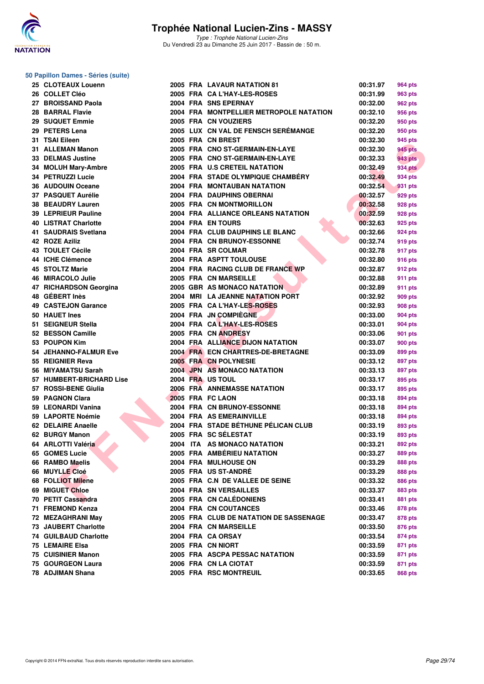

Type : Trophée National Lucien-Zins Du Vendredi 23 au Dimanche 25 Juin 2017 - Bassin de : 50 m.

#### **50 Papillon Dames - Séries (suite)**

|          | 25 CLOTEAUX Louenn           |
|----------|------------------------------|
|          | 26 COLLET Cléo               |
|          | 27 BROISSAND Paola           |
|          | 28 BARRAL Flavie             |
|          | 29 SUQUET Emmie              |
|          | 29 PETERS Lena               |
| 31       | <b>TSAI Eileen</b>           |
| 31       | <b>ALLEMAN Manon</b>         |
|          | 33 DELMAS Justine            |
|          | 34 MOLUH Mary-Ambre          |
|          | 34 PETRUZZI Lucie            |
|          | 36 AUDOUIN Oceane            |
|          | 37 PASQUET Aurélie           |
|          | 38 BEAUDRY Lauren            |
|          | 39 LEPRIEUR Pauline          |
|          | <b>40 LISTRAT Charlotte</b>  |
| 41       | <b>SAUDRAIS Svetlana</b>     |
|          | 42 ROZE Aziliz               |
|          | 43 TOULET Cécile             |
|          | 44 ICHE Clémence             |
|          | <b>45 STOLTZ Marie</b>       |
|          | 46 MIRACOLO Julie            |
|          | 47 RICHARDSON Georgina       |
|          | 48 GÉBERT Inès               |
|          | <b>49 CASTEJON Garance</b>   |
|          | 50 HAUET Ines                |
|          | 51 SEIGNEUR Stella           |
|          | 52 BESSON Camille            |
|          | 53 POUPON Kim                |
|          | 54 JEHANNO-FALMUR Eve        |
|          | 55 REIGNIER Reva             |
|          | 56 MIYAMATSU Sarah           |
| 57       | <b>HUMBERT-BRICHARD Lise</b> |
| 57       | <b>ROSSI-BENE Giulia</b>     |
|          | 59 PAGNON Clara              |
|          | 59 LEONARDI Vanina           |
|          | 59 LAPORTE Noémie            |
|          | 62 DELAIRE Anaelle           |
|          | 62 BURGY Manon               |
| 64       | ARLOTTI Valéria              |
|          | <b>GOMES Lucie</b>           |
| 65<br>66 | <b>RAMBO Maelis</b>          |
|          | <b>MUYLLE Cloé</b>           |
| 66       | <b>FOLLIOT Milene</b>        |
| 68       |                              |
| 69       | <b>MIGUET Chloe</b>          |
| 70       | <b>PETIT Cassandra</b>       |
| 71       | <b>FREMOND Kenza</b>         |
| 72       | <b>MEZAGHRANI May</b>        |
| 73       | <b>JAUBERT Charlotte</b>     |
| 74       | <b>GUILBAUD Charlotte</b>    |
| 75       | <b>LEMAIRE EIsa</b>          |
| 75       | <b>CUISINIER Manon</b>       |
| 75       | <b>GOURGEON Laura</b>        |
| 78       | <b>ADJIMAN Shana</b>         |

| 25 CLOTEAUX Louenn            |  | 2005 FRA LAVAUR NATATION 81             | 00:31.97 | <b>964 pts</b> |
|-------------------------------|--|-----------------------------------------|----------|----------------|
| 26 COLLET Cléo                |  | 2005 FRA CA L'HAY-LES-ROSES             | 00:31.99 | 963 pts        |
| 27 BROISSAND Paola            |  | 2004 FRA SNS EPERNAY                    | 00:32.00 | 962 pts        |
| 28 BARRAL Flavie              |  | 2004 FRA MONTPELLIER METROPOLE NATATION | 00:32.10 | 956 pts        |
| 29 SUQUET Emmie               |  | 2005 FRA CN VOUZIERS                    | 00:32.20 | 950 pts        |
| 29 PETERS Lena                |  | 2005 LUX CN VAL DE FENSCH SERÉMANGE     | 00:32.20 | 950 pts        |
| 31 TSAI Eileen                |  | 2005 FRA CN BREST                       | 00:32.30 | 945 pts        |
| 31 ALLEMAN Manon              |  | 2005 FRA CNO ST-GERMAIN-EN-LAYE         | 00:32.30 | <b>945 pts</b> |
| <b>33 DELMAS Justine</b>      |  | 2005 FRA CNO ST-GERMAIN-EN-LAYE         | 00:32.33 | <b>943 pts</b> |
| 34 MOLUH Mary-Ambre           |  | 2005 FRA U.S CRETEIL NATATION           | 00:32.49 | 934 pts        |
| 34 PETRUZZI Lucie             |  | 2004 FRA STADE OLYMPIQUE CHAMBÉRY       | 00:32.49 | 934 pts        |
| 36 AUDOUIN Oceane             |  | <b>2004 FRA MONTAUBAN NATATION</b>      | 00:32.54 | 931 pts        |
| <b>37 PASQUET Aurélie</b>     |  | 2004 FRA DAUPHINS OBERNAI               | 00:32.57 | 929 pts        |
| 38 BEAUDRY Lauren             |  | 2005 FRA CN MONTMORILLON                | 00:32.58 | 928 pts        |
| 39 LEPRIEUR Pauline           |  | 2004 FRA ALLIANCE ORLEANS NATATION      | 00:32.59 | 928 pts        |
| 40 LISTRAT Charlotte          |  | 2004 FRA EN TOURS                       | 00:32.63 | 925 pts        |
| 41 SAUDRAIS Svetlana          |  | 2004 FRA CLUB DAUPHINS LE BLANC         | 00:32.66 | 924 pts        |
| 42 ROZE Aziliz                |  | 2004 FRA CN BRUNOY-ESSONNE              | 00:32.74 | 919 pts        |
| 43 TOULET Cécile              |  | 2004 FRA SR COLMAR                      | 00:32.78 | 917 pts        |
| 44 ICHE Clémence              |  | 2004 FRA ASPTT TOULOUSE                 | 00:32.80 | 916 pts        |
| 45 STOLTZ Marie               |  | 2004 FRA RACING CLUB DE FRANCE WP       | 00:32.87 | 912 pts        |
| 46 MIRACOLO Julie             |  | 2005 FRA CN MARSEILLE                   | 00:32.88 | 911 pts        |
| 47 RICHARDSON Georgina        |  | 2005 GBR AS MONACO NATATION             | 00:32.89 | 911 pts        |
| 48 GÉBERT Inès                |  | 2004 MRI LA JEANNE NATATION PORT        | 00:32.92 | 909 pts        |
| 49 CASTEJON Garance           |  | 2005 FRA CA L'HAY-LES-ROSES             | 00:32.93 | 908 pts        |
| 50 HAUET Ines                 |  | 2004 FRA JN COMPIÈGNE                   | 00:33.00 | 904 pts        |
| 51 SEIGNEUR Stella            |  | 2004 FRA CAL'HAY-LES-ROSES              | 00:33.01 | 904 pts        |
| 52 BESSON Camille             |  | 2005 FRA CN ANDRESY                     | 00:33.06 | 901 pts        |
| 53 POUPON Kim                 |  | 2004 FRA ALLIANCE DIJON NATATION        | 00:33.07 | 900 pts        |
| 54 JEHANNO-FALMUR Eve         |  | 2004 FRA ECN CHARTRES-DE-BRETAGNE       | 00:33.09 | 899 pts        |
| 55 REIGNIER Reva              |  | 2005 FRA CN POLYNESIE                   | 00:33.12 | 897 pts        |
| 56 MIYAMATSU Sarah            |  | 2004 JPN AS MONACO NATATION             | 00:33.13 | 897 pts        |
| 57 HUMBERT-BRICHARD Lise      |  | 2004 FRA US TOUL                        | 00:33.17 | 895 pts        |
| 57 ROSSI-BENE Giulia          |  | <b>2006 FRA ANNEMASSE NATATION</b>      | 00:33.17 | 895 pts        |
| 59 PAGNON Clara               |  | 2005 FRA FC LAON                        | 00:33.18 | 894 pts        |
| 59 LEONARDI Vanina            |  | 2004 FRA CN BRUNOY-ESSONNE              | 00:33.18 | 894 pts        |
| <b>59 LAPORTE Noémie</b>      |  | 2004 FRA AS EMERAINVILLE                | 00:33.18 | 894 pts        |
| 62 DELAIRE Anaelle            |  | 2004 FRA STADE BÉTHUNE PÉLICAN CLUB     | 00:33.19 | 893 pts        |
| 62 BURGY Manon                |  | 2005 FRA SC SÉLESTAT                    | 00:33.19 | 893 pts        |
| 64 ARLOTTI Valéria            |  | 2004 ITA AS MONACO NATATION             | 00:33.21 | 892 pts        |
| 65   GOMES Lucie              |  | 2005 FRA AMBÉRIEU NATATION              | 00:33.27 | 889 pts        |
| 66 RAMBO Maelis               |  | 2004 FRA MULHOUSE ON                    | 00:33.29 | 888 pts        |
| 66 MUYLL <mark>E C</mark> loé |  | 2005 FRA US ST-ANDRE                    | 00:33.29 | 888 pts        |
| 68 FOLLIOT Milene             |  | 2005 FRA C.N DE VALLEE DE SEINE         | 00:33.32 | <b>886 pts</b> |
| 69 MIGUET Chloe               |  | 2004 FRA SN VERSAILLES                  | 00:33.37 | 883 pts        |
| 70 PETIT Cassandra            |  | 2005 FRA CN CALÉDONIENS                 | 00:33.41 | 881 pts        |
| 71 FREMOND Kenza              |  | 2004 FRA CN COUTANCES                   | 00:33.46 | 878 pts        |
| 72 MEZAGHRANI May             |  | 2005 FRA CLUB DE NATATION DE SASSENAGE  | 00:33.47 | 878 pts        |
| 73 JAUBERT Charlotte          |  | 2004 FRA CN MARSEILLE                   | 00:33.50 | 876 pts        |
| 74 GUILBAUD Charlotte         |  | 2004 FRA CA ORSAY                       | 00:33.54 | 874 pts        |
| 75 LEMAIRE Elsa               |  | 2005 FRA CN NIORT                       | 00:33.59 | 871 pts        |
| 75 CUISINIER Manon            |  | 2005 FRA ASCPA PESSAC NATATION          | 00:33.59 | 871 pts        |
| 75 GOURGEON Laura             |  | 2006 FRA CN LA CIOTAT                   | 00:33.59 | 871 pts        |
| 78 ADJIMAN Shana              |  | 2005 FRA RSC MONTREUIL                  | 00:33.65 | 868 pts        |
|                               |  |                                         |          |                |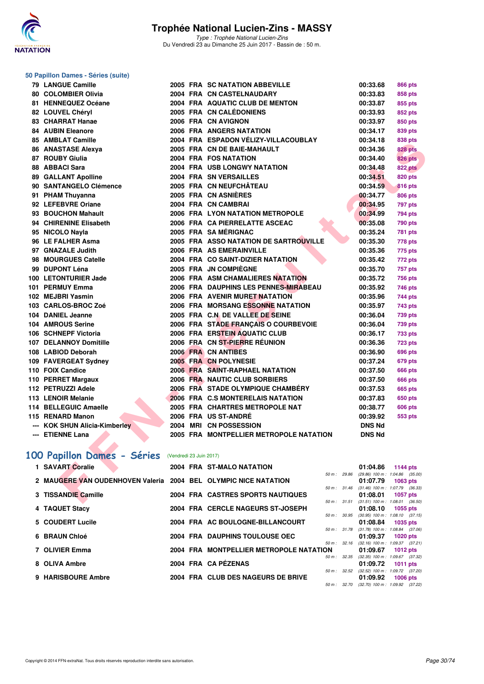

Type : Trophée National Lucien-Zins Du Vendredi 23 au Dimanche 25 Juin 2017 - Bassin de : 50 m.

#### **50 Papillon Dames - Séries (suite)**

| 79   LANGUE Camille           |
|-------------------------------|
| 80 COLOMBIER Olivia           |
| 81 HENNEQUEZ Océane           |
| 82 LOUVEL Chéryl              |
| 83 CHARRAT Hanae              |
| <b>84 AUBIN Eleanore</b>      |
| 85 AMBLAT Camille             |
| 86 ANASTASE Alexya            |
| 87 ROUBY Giulia               |
| 88 ABBACI Sara                |
| 89 GALLANT Apolline           |
| 90 SANTANGELO Clémence        |
| 91 PHAM Thuyanna              |
| 92 LEFEBVRE Oriane            |
| 93 BOUCHON Mahault            |
| 94 CHIRENINE Elisabeth        |
| 95 NICOLO Nayla               |
| 96 LE FALHER Asma             |
| 97 GNAZALE Judith             |
| 98 MOURGUES Catelle           |
| 99 DUPONT Léna                |
| 100 LETONTURIER Jade          |
| 101 PERMUY Emma               |
| 102 MEJBRI Yasmin             |
| 103 CARLOS-BROC Zoé           |
| 104 DANIEL Jeanne             |
| 104 AMROUS Serine             |
| 106 SCHNEPF Victoria          |
| 107 DELANNOY Domitille        |
| 108 LABIOD Deborah            |
| 109 FAVERGEAT Sydney          |
| 110 FOIX Candice              |
| 110 PERRET Margaux            |
| 112 PETRUZZI Adele            |
| 113 LENOIR Melanie            |
| 114 BELLEGUIC Amaelle         |
| 115 RENARD Manon              |
| --- KOK SHUN Alicia-Kimberley |
| --- ETIENNE Lana              |
|                               |

| <b>79 LANGUE Camille</b>                                        |  | <b>2005 FRA SC NATATION ABBEVILLE</b>   |             | 00:33.68      | <b>866 pts</b>                                                |
|-----------------------------------------------------------------|--|-----------------------------------------|-------------|---------------|---------------------------------------------------------------|
| 80 COLOMBIER Olivia                                             |  | 2004 FRA CN CASTELNAUDARY               |             | 00:33.83      | 858 pts                                                       |
| 81 HENNEQUEZ Océane                                             |  | 2004 FRA AQUATIC CLUB DE MENTON         |             | 00:33.87      | 855 pts                                                       |
| 82 LOUVEL Chéryl                                                |  | 2005 FRA CN CALÉDONIENS                 |             | 00:33.93      | 852 pts                                                       |
| 83 CHARRAT Hanae                                                |  | 2006 FRA CN AVIGNON                     |             | 00:33.97      | 850 pts                                                       |
| <b>84 AUBIN Eleanore</b>                                        |  | 2006 FRA ANGERS NATATION                |             | 00:34.17      | 839 pts                                                       |
| 85 AMBLAT Camille                                               |  | 2004 FRA ESPADON VÉLIZY-VILLACOUBLAY    |             | 00:34.18      | <b>838 pts</b>                                                |
| <b>86 ANASTASE Alexya</b>                                       |  | 2005 FRA CN DE BAIE-MAHAULT             |             | 00:34.36      | <b>828 pts</b>                                                |
| 87 ROUBY Giulia                                                 |  | 2004 FRA FOS NATATION                   |             | 00:34.40      | <b>826 pts</b>                                                |
| 88 ABBACI Sara                                                  |  | <b>2004 FRA USB LONGWY NATATION</b>     |             | 00:34.48      | 822 pts                                                       |
| <b>89 GALLANT Apolline</b>                                      |  | 2004 FRA SN VERSAILLES                  |             | 00:34.51      | <b>820 pts</b>                                                |
| 90 SANTANGELO Clémence                                          |  | 2005 FRA CN NEUFCHÂTEAU                 |             | 00:34.59      | 816 pts                                                       |
| 91 PHAM Thuyanna                                                |  | 2005 FRA CN ASNIÈRES                    |             | 00:34.77      | <b>806 pts</b>                                                |
| 92 LEFEBVRE Oriane                                              |  | 2004 FRA CN CAMBRAI                     |             | 00:34.95      | 797 pts                                                       |
| 93 BOUCHON Mahault                                              |  | 2006 FRA LYON NATATION METROPOLE        |             | 00:34.99      | 794 pts                                                       |
| 94 CHIRENINE Elisabeth                                          |  | 2006 FRA CA PIERRELATTE ASCEAC          |             | 00:35.08      | <b>790 pts</b>                                                |
| 95 NICOLO Nayla                                                 |  | 2005 FRA SA MÉRIGNAC                    |             | 00:35.24      | <b>781 pts</b>                                                |
| 96 LE FALHER Asma                                               |  | 2005 FRA ASSO NATATION DE SARTROUVILLE  |             | 00:35.30      | 778 pts                                                       |
| 97 GNAZALE Judith                                               |  | 2006 FRA AS EMERAINVILLE                |             | 00:35.36      | 775 pts                                                       |
| 98 MOURGUES Catelle                                             |  | 2004 FRA CO SAINT-DIZIER NATATION       |             | 00:35.42      | 772 pts                                                       |
| 99 DUPONT Léna                                                  |  | 2005 FRA JN COMPIEGNE                   |             | 00:35.70      | <b>757 pts</b>                                                |
| 100 LETONTURIER Jade                                            |  | 2006 FRA ASM CHAMALIERES NATATION       |             | 00:35.72      | <b>756 pts</b>                                                |
| 101 PERMUY Emma                                                 |  | 2006 FRA DAUPHINS LES PENNES-MIRABEAU   |             | 00:35.92      | 746 pts                                                       |
| 102 MEJBRI Yasmin                                               |  | 2006 FRA AVENIR MURET NATATION          |             | 00:35.96      | 744 pts                                                       |
| 103 CARLOS-BROC Zoé                                             |  | 2006 FRA MORSANG ESSONNE NATATION       |             | 00:35.97      | 743 pts                                                       |
| 104 DANIEL Jeanne                                               |  | 2005 FRA C.N. DE VALLEE DE SEINE        |             | 00:36.04      | 739 pts                                                       |
| 104 AMROUS Serine                                               |  | 2006 FRA STADE FRANÇAIS O COURBEVOIE    |             | 00:36.04      | <b>739 pts</b>                                                |
| 106 SCHNEPF Victoria                                            |  | 2006 FRA ERSTEIN AQUATIC CLUB           |             | 00:36.17      | 733 pts                                                       |
| 107 DELANNOY Domitille                                          |  | 2006 FRA CN ST-PIERRE RÉUNION           |             | 00:36.36      | <b>723 pts</b>                                                |
| 108 LABIOD Deborah                                              |  | <b>2006 FRA CN ANTIBES</b>              |             | 00:36.90      | 696 pts                                                       |
| 109 FAVERGEAT Sydney                                            |  | 2005 FRA CN POLYNESIE                   |             | 00:37.24      | 679 pts                                                       |
| 110 FOIX Candice                                                |  | 2006 FRA SAINT-RAPHAEL NATATION         |             | 00:37.50      | 666 pts                                                       |
| 110 PERRET Margaux                                              |  | 2006 FRA NAUTIC CLUB SORBIERS           |             | 00:37.50      | 666 pts                                                       |
| 112 PETRUZZI Adele                                              |  | 2006 FRA STADE OLYMPIQUE CHAMBÉRY       |             | 00:37.53      | <b>665 pts</b>                                                |
| 113 LENOIR Melanie                                              |  | 2006 FRA C.S MONTERELAIS NATATION       |             | 00:37.83      | <b>650 pts</b>                                                |
| 114 BELLEGUIC Amaelle                                           |  | 2005 FRA CHARTRES METROPOLE NAT         |             | 00:38.77      | <b>606 pts</b>                                                |
| 115 RENARD Manon                                                |  | 2006 FRA US ST-ANDRÉ                    |             | 00:39.92      | 553 pts                                                       |
| --- KOK SHUN Alicia-Kimberley                                   |  | 2004 MRI CN POSSESSION                  |             | <b>DNS Nd</b> |                                                               |
| --- ETIENNE Lana                                                |  | 2005 FRA MONTPELLIER METROPOLE NATATION |             | <b>DNS Nd</b> |                                                               |
|                                                                 |  |                                         |             |               |                                                               |
| 00 Papillon Dames - Séries (Vendredi 23 Juin 2017)              |  |                                         |             |               |                                                               |
| 1 SAVART Coralie                                                |  | 2004 FRA ST-MALO NATATION               |             | 01:04.86      | 1144 pts                                                      |
|                                                                 |  |                                         | 50 m: 29.86 |               | $(29.86)$ 100 m : 1:04.86 $(35.00)$                           |
| 2 MAUGERE VAN OUDENHOVEN Valeria 2004 BEL OLYMPIC NICE NATATION |  |                                         |             | 01:07.79      | 1063 pts                                                      |
| 3 TISSANDIE Camille                                             |  | 2004 FRA CASTRES SPORTS NAUTIQUES       |             | 01:08.01      | 50 m: 31.46 (31.46) 100 m: 1:07.79 (36.33)<br><b>1057 pts</b> |
|                                                                 |  |                                         |             |               | 50 m: 31.51 (31.51) 100 m: 1:08.01 (36.50)                    |

# **[100 Papillon Dames - Séries](http://www.ffnatation.fr/webffn/resultats.php?idact=nat&go=epr&idcpt=47287&idepr=32)** (Vendredi 23 Juin 2017)

| 1 SAVART Coralie                                                |  | 2004 FRA ST-MALO NATATION               |                        | 01:04.86                            | 1144 $pts$      |  |
|-----------------------------------------------------------------|--|-----------------------------------------|------------------------|-------------------------------------|-----------------|--|
|                                                                 |  |                                         | 50 m: 29.86            | $(29.86)$ 100 m : 1:04.86 $(35.00)$ |                 |  |
| 2 MAUGERE VAN OUDENHOVEN Valeria 2004 BEL OLYMPIC NICE NATATION |  |                                         |                        | 01:07.79                            | $1063$ pts      |  |
|                                                                 |  |                                         | 50 m: 31.46            | $(31.46)$ 100 m : 1:07.79 $(36.33)$ |                 |  |
| 3 TISSANDIE Camille                                             |  | 2004 FRA CASTRES SPORTS NAUTIQUES       |                        | 01:08.01                            | <b>1057 pts</b> |  |
|                                                                 |  |                                         | $50 m$ : $31.51$       | $(31.51)$ 100 m : 1:08.01 $(36.50)$ |                 |  |
| 4 TAQUET Stacy                                                  |  | 2004 FRA CERCLE NAGEURS ST-JOSEPH       |                        | 01:08.10                            | $1055$ pts      |  |
|                                                                 |  |                                         | $50 m$ : $30.95$       | $(30.95)$ 100 m : 1:08.10 $(37.15)$ |                 |  |
| 5 COUDERT Lucile                                                |  | 2004 FRA AC BOULOGNE-BILLANCOURT        |                        | 01:08.84                            | 1035 pts        |  |
|                                                                 |  |                                         | 50 m: 31.78            | $(31.78)$ 100 m : 1:08.84 $(37.06)$ |                 |  |
| 6 BRAUN Chloé                                                   |  | 2004 FRA DAUPHINS TOULOUSE OEC          |                        | 01:09.37                            | $1020$ pts      |  |
|                                                                 |  |                                         | $50 m$ : $32.16$       | $(32.16)$ 100 m : 1:09.37 $(37.21)$ |                 |  |
| 7 OLIVIER Emma                                                  |  | 2004 FRA MONTPELLIER METROPOLE NATATION |                        | 01:09.67                            | 1012 $pts$      |  |
|                                                                 |  |                                         | 50 m: 32.35            | $(32.35)$ 100 m : 1:09.67 $(37.32)$ |                 |  |
| 8 OLIVA Ambre                                                   |  | 2004 FRA CA PÉZENAS                     |                        | 01:09.72                            | 1011 $pts$      |  |
|                                                                 |  |                                         | $50 m$ : $32.52$       | $(32.52)$ 100 m : 1:09.72 $(37.20)$ |                 |  |
| 9 HARISBOURE Ambre                                              |  | 2004 FRA CLUB DES NAGEURS DE BRIVE      |                        | 01:09.92                            | <b>1006 pts</b> |  |
|                                                                 |  |                                         | $50 \text{ m}$ : 32.70 | $(32.70)$ 100 m : 1:09.92 $(37.22)$ |                 |  |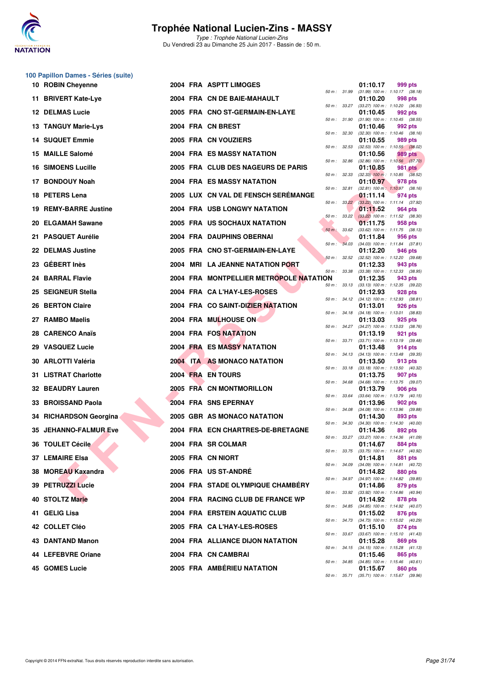

Type : Trophée National Lucien-Zins Du Vendredi 23 au Dimanche 25 Juin 2017 - Bassin de : 50 m.

## **100 Papillon Dames - Séries (suite)**

| 10 ROBIN Cheyenne            |  | 2004 FRA ASPTT LIMOGES                  |              |                          | 01:10.17 | 999 pts                                                        |
|------------------------------|--|-----------------------------------------|--------------|--------------------------|----------|----------------------------------------------------------------|
| 11 BRIVERT Kate-Lye          |  | 2004 FRA CN DE BAIE-MAHAULT             |              | 50 m: 31.99              | 01:10.20 | $(31.99)$ 100 m : 1:10.17 $(38.18)$<br>998 pts                 |
| <b>12 DELMAS Lucie</b>       |  | 2005 FRA CNO ST-GERMAIN-EN-LAYE         |              | 50 m: 33.27              | 01:10.45 | (33.27) 100 m: 1:10.20 (36.93)<br>992 pts                      |
| 13 TANGUY Marie-Lys          |  | 2004 FRA CN BREST                       |              | 50 m: 31.90              | 01:10.46 | $(31.90)$ 100 m : 1:10.45 $(38.55)$<br>992 pts                 |
| <b>14 SUQUET Emmie</b>       |  | 2005 FRA CN VOUZIERS                    |              | 50 m: 32.30              | 01:10.55 | $(32.30)$ 100 m : 1:10.46 $(38.16)$<br>989 pts                 |
| 15 MAILLE Salomé             |  | 2004 FRA ES MASSY NATATION              |              | 50 m: 32.53              | 01:10.56 | $(32.53)$ 100 m : 1:10.55 $(38.02)$<br>989 pts                 |
| <b>16 SIMOENS Lucille</b>    |  | 2005 FRA CLUB DES NAGEURS DE PARIS      | 50 m: 32.86  |                          | 01:10.85 | $(32.86)$ 100 m : 1:10.56 $(37.70)$<br>981 pts                 |
| 17 BONDOUY Noah              |  | <b>2004 FRA ES MASSY NATATION</b>       |              | 50 m: 32.33              | 01:10.97 | $(32.33)$ 100 m : 1:10.85 $(38.52)$<br>978 pts                 |
| 18 PETERS Lena               |  | 2005 LUX CN VAL DE FENSCH SEREMANGE     | 50 m: 32.81  |                          | 01:11.14 | $(32.81)$ 100 m : 1:10.97 $(38.16)$<br>974 pts                 |
| 19 REMY-BARRE Justine        |  | 2004 FRA USB LONGWY NATATION            |              | $50 m$ : $33,22$         | 01:11.52 | (33.22) 100 m : 1:11.14 (37.92)<br>964 pts                     |
| 20 ELGAMAH Sawane            |  | 2005 FRA US SOCHAUX NATATION            |              | 50 m: 33.22              | 01:11.75 | $(33.22)$ 100 m : 1:11.52 $(38.30)$<br>958 pts                 |
| 21 PASQUET Aurélie           |  | 2004 FRA DAUPHINS OBERNAI               | 50 m : 33.62 |                          | 01:11.84 | (33.62) 100 m: 1:11.75 (38.13)<br>956 pts                      |
| 22 DELMAS Justine            |  | 2005 FRA CNO ST-GERMAIN-EN-LAYE         |              | $50 \text{ m}$ : $34.03$ | 01:12.20 | $(34.03)$ 100 m : 1:11.84 $(37.81)$<br>946 pts                 |
| 23 GÉBERT Inès               |  | 2004 MRI LA JEANNE NATATION PORT        |              | 50 m: 32.52              | 01:12.33 | $(32.52)$ 100 m : 1:12.20 $(39.68)$<br>943 pts                 |
| 24 BARRAL Flavie             |  | 2004 FRA MONTPELLIER METROPOLE NATATION | 50 m : 33.38 |                          | 01:12.35 | (33.38) 100 m: 1:12.33 (38.95)<br>943 pts                      |
| 25 SEIGNEUR Stella           |  | 2004 FRA CA L'HAY-LES-ROSES             |              | 50 m: 33.13              | 01:12.93 | (33.13) 100 m: 1:12.35 (39.22)<br>928 pts                      |
| <b>26 BERTON Claire</b>      |  | 2004 FRA CO SAINT-DIZIER NATATION       |              |                          | 01:13.01 | 50 m: 34.12 (34.12) 100 m: 1:12.93 (38.81)<br>926 pts          |
| 27 RAMBO Maelis              |  | 2004 FRA MULHOUSE ON                    |              |                          | 01:13.03 | 50 m: 34.18 (34.18) 100 m: 1:13.01 (38.83)<br>925 pts          |
| 28 CARENCO Anaïs             |  | 2004 FRA FOS NATATION                   |              | 50 m : 34.27             | 01:13.19 | $(34.27)$ 100 m : 1:13.03 $(38.76)$<br>921 pts                 |
| 29 VASQUEZ Lucie             |  | <b>2004 FRA ES MASSY NATATION</b>       |              | 50 m : 33.71             | 01:13.48 | $(33.71)$ 100 m : 1:13.19 $(39.48)$<br>914 pts                 |
| 30 ARLOTTI Valéria           |  | 2004 ITA AS MONACO NATATION             |              | 50 m: 34.13              | 01:13.50 | $(34.13)$ 100 m : 1:13.48 $(39.35)$<br>913 pts                 |
| 31 LISTRAT Charlotte         |  | 2004 FRA EN TOURS                       |              | 50 m: 33.18              | 01:13.75 | (33.18) 100 m: 1:13.50 (40.32)<br>907 pts                      |
| 32 BEAUDRY Lauren            |  | 2005 FRA CN MONTMORILLON                |              | 50 m : 34.68             | 01:13.79 | $(34.68)$ 100 m : 1:13.75 $(39.07)$<br>906 pts                 |
| 33 BROISSAND Paola           |  | 2004 FRA SNS EPERNAY                    | 50 m : 33.64 |                          | 01:13.96 | (33.64) 100 m: 1:13.79 (40.15)<br>902 pts                      |
| 34 RICHARDSON Georgina       |  | 2005 GBR AS MONACO NATATION             |              | 50 m : 34.08             | 01:14.30 | (34.08) 100 m: 1:13.96 (39.88)<br>893 pts                      |
| <b>35 JEHANNO-FALMUR Eve</b> |  | 2004 FRA ECN CHARTRES-DE-BRETAGNE       |              | 50 m : 34.30             | 01:14.36 | $(34.30)$ 100 m : 1:14.30 $(40.00)$<br>892 pts                 |
| 36 TOULET Cécile             |  | 2004 FRA SR COLMAR                      | 50 m: 33.27  |                          | 01:14.67 | $(33.27)$ 100 m : 1:14.36 $(41.09)$<br><b>884 pts</b>          |
| 37 LEMAIRE Elsa              |  | 2005 FRA CN NIORT                       |              | 50 m : 33.75             | 01:14.81 | (33.75) 100 m : 1:14.67 (40.92)<br>881 pts                     |
| 38 MOREAU Kaxandra           |  | 2006 FRA US ST-ANDRE                    |              | 50 m : 34.09             | 01:14.82 | (34.09) 100 m: 1:14.81 (40.72)<br>880 pts                      |
| 39 PETRUZZI Lucie            |  | 2004 FRA STADE OLYMPIQUE CHAMBERY       |              | 50 m : 34.97             | 01:14.86 | (34.97) 100 m : 1:14.82 (39.85)<br>879 pts                     |
| 40 STOLTZ Marie              |  | 2004 FRA RACING CLUB DE FRANCE WP       |              | 50 m: 33.92              | 01:14.92 | (33.92) 100 m: 1:14.86 (40.94)<br>878 pts                      |
| 41 GELIG Lisa                |  | 2004 FRA ERSTEIN AQUATIC CLUB           |              | 50 m : 34.85             | 01:15.02 | $(34.85)$ 100 m : 1:14.92 $(40.07)$<br>876 pts                 |
| 42 COLLET Cléo               |  | 2005 FRA CA L'HAY-LES-ROSES             |              | 50 m : 34.73             | 01:15.10 | (34.73) 100 m: 1:15.02 (40.29)<br>874 pts                      |
| 43 DANTAND Manon             |  | 2004 FRA ALLIANCE DIJON NATATION        |              | $50 m$ : $33.67$         | 01:15.28 | $(33.67)$ 100 m : 1:15.10 $(41.43)$<br>869 pts                 |
| 44 LEFEBVRE Oriane           |  | 2004 FRA CN CAMBRAI                     |              | 50 m : 34.15             | 01:15.46 | $(34.15)$ 100 m : 1:15.28 $(41.13)$<br>865 pts                 |
| 45 GOMES Lucie               |  | 2005 FRA AMBÉRIEU NATATION              |              |                          | 01:15.67 | 50 m : 34.85 (34.85) 100 m : 1:15.46 (40.61)<br><b>860 pts</b> |
|                              |  |                                         |              |                          |          | 50 m: 35.71 (35.71) 100 m: 1:15.67 (39.96)                     |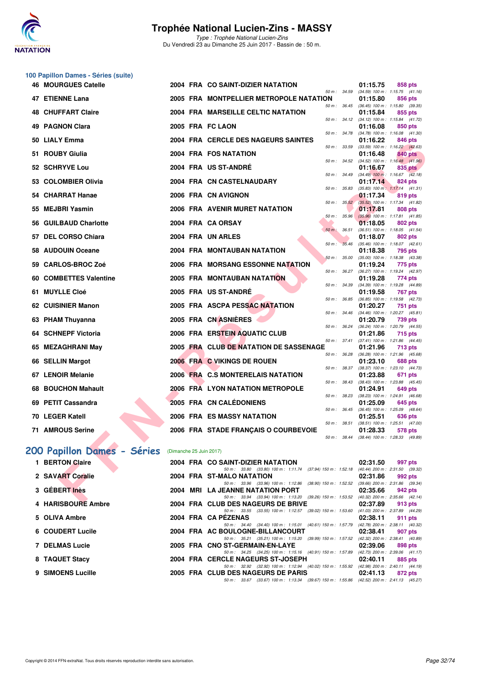

|     | 100 Papillon Dames - Séries (suite) |                         |                                                                                                                                 |          |                                                         |
|-----|-------------------------------------|-------------------------|---------------------------------------------------------------------------------------------------------------------------------|----------|---------------------------------------------------------|
|     | <b>46 MOURGUES Catelle</b>          |                         | 2004 FRA CO SAINT-DIZIER NATATION<br>50 m : 34.59                                                                               | 01:15.75 | 858 pts<br>$(34.59)$ 100 m : 1:15.75 $(41.16)$          |
|     | 47 ETIENNE Lana                     |                         | 2005 FRA MONTPELLIER METROPOLE NATATION                                                                                         | 01:15.80 | 856 pts<br>50 m: 36.45 (36.45) 100 m: 1:15.80 (39.35)   |
| 48. | <b>CHUFFART Claire</b>              |                         | 2004 FRA MARSEILLE CELTIC NATATION                                                                                              | 01:15.84 | 855 pts                                                 |
|     | 49 PAGNON Clara                     |                         | 2005 FRA FC LAON                                                                                                                | 01:16.08 | 50 m: 34.12 (34.12) 100 m: 1:15.84 (41.72)<br>850 pts   |
|     | 50 LIALY Emma                       |                         | 50 m : 34.78<br>2004 FRA CERCLE DES NAGEURS SAINTES                                                                             | 01:16.22 | $(34.78)$ 100 m : 1:16.08 $(41.30)$<br>846 pts          |
|     | 51 ROUBY Giulia                     |                         | 50 m : 33.59<br>2004 FRA FOS NATATION                                                                                           | 01:16.48 | $(33.59)$ 100 m : 1:16.22 $(42.63)$<br>840 pts          |
|     | 52 SCHRYVE Lou                      |                         | 50 m : 34.52<br>2004 FRA US ST-ANDRE                                                                                            | 01:16.67 | $(34.52)$ 100 m : 1:16.48 $(41.96)$<br>835 pts          |
|     | 53 COLOMBIER Olivia                 |                         | 50 m : 34.49<br>2004 FRA CN CASTELNAUDARY                                                                                       | 01:17.14 | $(34.49)$ 100 m : 1:16.67 $(42.18)$<br>824 pts          |
|     | 54 CHARRAT Hanae                    |                         | 50 m : 35.83<br>2006 FRA CN AVIGNON                                                                                             | 01:17.34 | $(35.83)$ 100 m : 1:17.14 $(41.31)$<br>819 pts          |
| 55  | MEJBRI Yasmin                       |                         | $50 m$ : $35.52$<br>2006 FRA AVENIR MURET NATATION                                                                              | 01:17.81 | $(35.52)$ 100 m : 1:17.34 $(41.82)$<br>808 pts          |
|     | 56 GUILBAUD Charlotte               |                         | 50 m : 35.96<br>2004 FRA CA ORSAY                                                                                               | 01:18.05 | $(35.96)$ 100 m : 1:17.81 $(41.85)$<br>802 pts          |
| 57  | <b>DEL CORSO Chiara</b>             |                         | $50 m$ : $36.51$<br>2004 FRA UN ARLES                                                                                           | 01:18.07 | (36.51) 100 m: 1:18.05 (41.54)<br>802 pts               |
|     | 58 AUDOUIN Oceane                   |                         | $50 m$ :<br>35.46<br><b>2004 FRA MONTAUBAN NATATION</b>                                                                         | 01:18.38 | $(35.46)$ 100 m : 1:18.07 $(42.61)$<br>795 pts          |
|     | 59 CARLOS-BROC Zoé                  |                         | 50 m : 35.00<br>2006 FRA MORSANG ESSONNE NATATION                                                                               | 01:19.24 | (35.00) 100 m: 1:18.38 (43.38)<br>775 pts               |
| 60  | <b>COMBETTES Valentine</b>          |                         | 2005 FRA MONTAUBAN NATATION                                                                                                     | 01:19.28 | 50 m: 36.27 (36.27) 100 m: 1:19.24 (42.97)<br>774 pts   |
|     | 61 MUYLLE Cloé                      |                         | 50 m : 34.39<br>2005 FRA US ST-ANDRE                                                                                            | 01:19.58 | (34.39) 100 m: 1:19.28 (44.89)<br>767 pts               |
|     | 62 CUISINIER Manon                  |                         | 50 m : 36.85<br>2005 FRA ASCPA PESSAC NATATION                                                                                  | 01:20.27 | (36.85) 100 m: 1:19.58 (42.73)<br>751 pts               |
|     | 63 PHAM Thuyanna                    |                         | 50 m : 34.46<br>2005 FRA CN ASNIERES                                                                                            | 01:20.79 | (34.46) 100 m: 1:20.27 (45.81)<br>739 pts               |
|     |                                     |                         | 50 m: 36.24<br>2006 FRA ERSTEIN AQUATIC CLUB                                                                                    |          | (36.24) 100 m: 1:20.79 (44.55)                          |
|     | 64 SCHNEPF Victoria                 |                         | 50 m : 37.41                                                                                                                    | 01:21.86 | 715 pts<br>$(37.41)$ 100 m : 1:21.86 $(44.45)$          |
|     | 65 MEZAGHRANI May                   |                         | 2005 FRA CLUB DE NATATION DE SASSENAGE<br>50 m : 36.28                                                                          | 01:21.96 | <b>713 pts</b><br>(36.28) 100 m: 1:21.96 (45.68)        |
|     | 66 SELLIN Margot                    |                         | 2006 FRA C VIKINGS DE ROUEN<br>50 m : 38.37                                                                                     | 01:23.10 | 688 pts<br>(38.37) 100 m : 1:23.10 (44.73)              |
|     | 67 LENOIR Melanie                   |                         | 2006 FRA C.S MONTERELAIS NATATION<br>50 m : 38.43                                                                               | 01:23.88 | 671 pts<br>(38.43) 100 m: 1:23.88 (45.45)               |
|     | <b>68 BOUCHON Mahault</b>           |                         | 2006 FRA LYON NATATION METROPOLE<br>50 m : 38.23                                                                                | 01:24.91 | 649 pts<br>(38.23) 100 m: 1:24.91 (46.68)               |
|     | 69 PETIT Cassandra                  |                         | 2005 FRA CN CALÉDONIENS<br>50 m : 36.45                                                                                         | 01:25.09 | 645 pts<br>$(36.45)$ 100 m : 1:25.09 $(48.64)$          |
|     | 70 LEGER Katell                     |                         | 2006 FRA ES MASSY NATATION<br>50 m : 38.51                                                                                      | 01:25.51 | 636 pts<br>(38.51) 100 m: 1:25.51 (47.00)               |
|     | <b>71 AMROUS Serine</b>             |                         | 2006 FRA STADE FRANÇAIS O COURBEVOIE                                                                                            | 01:28.33 | 578 pts<br>50 m : 38.44 (38.44) 100 m : 1:28.33 (49.89) |
|     | 200 Papillon Dames - Séries         | (Dimanche 25 Juin 2017) |                                                                                                                                 |          |                                                         |
|     | 1 BERTON Claire                     |                         | 2004 FRA CO SAINT-DIZIER NATATION                                                                                               | 02:31.50 | 997 pts                                                 |
|     | 2 SAVART Coralie                    |                         | 50 m: 33.80 (33.80) 100 m: 1:11.74 (37.94) 150 m: 1:52.18<br>2004 FRA ST-MALO NATATION                                          | 02:31.86 | (40.44) 200 m : 2:31.50 (39.32)<br>992 pts              |
|     | 3 GÉBERT Inès                       |                         | 50 m: 33.96 (33.96) 100 m: 1:12.86<br>(38.90) 150 m: 1:52.52 (39.66) 200 m: 2:31.86 (39.34)<br>2004 MRI LA JEANNE NATATION PORT | 02:35.66 | 942 pts                                                 |
|     | 4 HARISBOURE Ambre                  |                         | 50 m: 33.94 (33.94) 100 m: 1:13.20 (39.26) 150 m: 1:53.52 (40.32) 200 m: 2:35.66 (42.14)<br>2004 FRA CLUB DES NAGEURS DE BRIVE  | 02:37.89 | 913 pts                                                 |
|     | 5 OLIVA Ambre                       |                         | 50 m: 33.55 (33.55) 100 m: 1:12.57 (39.02) 150 m: 1:53.60<br>2004 FRA CA PEZENAS                                                | 02:38.11 | (41.03) 200 m : 2:37.89 (44.29)<br>911 pts              |
| 6   | <b>COUDERT Lucile</b>               |                         | 50 m: 34.40 (34.40) 100 m: 1:15.01 (40.61) 150 m: 1:57.79 (42.78) 200 m: 2:38.11 (40.32)<br>2004 FRA AC BOULOGNE-BILLANCOURT    | 02:38.41 | 907 pts                                                 |
|     | 7 DELMAS Lucie                      |                         | 50 m: 35.21 (35.21) 100 m: 1:15.20 (39.99) 150 m: 1:57.52 (42.32) 200 m: 2:38.41 (40.89)<br>2005 FRA CNO ST-GERMAIN-EN-LAYE     | 02:39.06 | 898 pts                                                 |
|     | 8 TAQUET Stacy                      |                         | 50 m: 34.25 (34.25) 100 m: 1:15.16 (40.91) 150 m: 1:57.89 (42.73) 200 m: 2:39.06 (41.17)<br>2004 FRA CERCLE NAGEURS ST-JOSEPH   | 02:40.11 | 885 pts                                                 |
|     | 9 SIMOENS Lucille                   |                         | 50 m: 32.92 (32.92) 100 m: 1:12.94 (40.02) 150 m: 1:55.92 (42.98) 200 m: 2:40.11 (44.19)<br>2005 FRA CLUB DES NAGEURS DE PARIS  | 02:41.13 | 872 pts                                                 |
|     |                                     |                         | 50 m: 33.67 (33.67) 100 m: 1:13.34 (39.67) 150 m: 1:55.86 (42.52) 200 m: 2:41.13 (45.27)                                        |          |                                                         |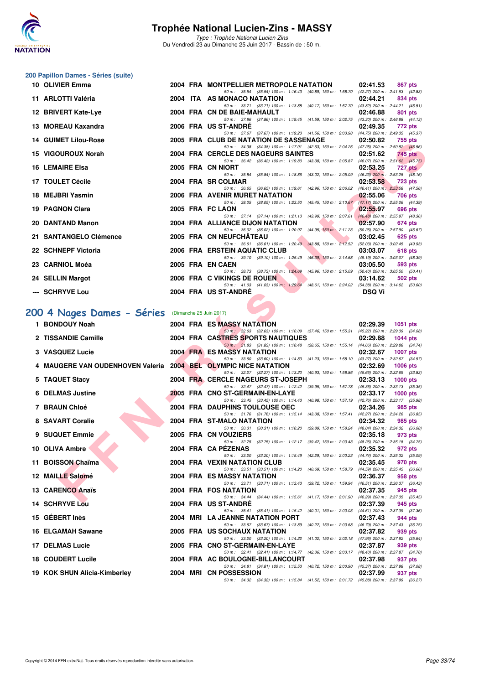

Type : Trophée National Lucien-Zins Du Vendredi 23 au Dimanche 25 Juin 2017 - Bassin de : 50 m.

# **200 Papillon Dames - Séries (suite)**

| 10 OLIVIER Emma             |  | 2004 FRA MONTPELLIER METROPOLE NATATION 02:41.53                                         |               | 867 pts        |
|-----------------------------|--|------------------------------------------------------------------------------------------|---------------|----------------|
|                             |  | 50 m: 35.54 (35.54) 100 m: 1:16.43 (40.89) 150 m: 1:58.70 (42.27) 200 m: 2:41.53 (42.83) |               |                |
| 11 ARLOTTI Valéria          |  | 2004 ITA AS MONACO NATATION                                                              | 02:44.21      | 834 pts        |
|                             |  | 50 m: 33.71 (33.71) 100 m: 1:13.88 (40.17) 150 m: 1:57.70 (43.82) 200 m: 2:44.21 (46.51) |               |                |
| 12 BRIVERT Kate-Lye         |  | 2004 FRA CN DE BAIE-MAHAULT                                                              | 02:46.88      | <b>801 pts</b> |
|                             |  | 50 m: 37.86 (37.86) 100 m: 1:19.45 (41.59) 150 m: 2:02.75 (43.30) 200 m: 2:46.88 (44.13) |               |                |
| 13 MOREAU Kaxandra          |  | 2006 FRA US ST-ANDRE                                                                     | 02:49.35      | 772 pts        |
|                             |  | 50 m: 37.67 (37.67) 100 m: 1:19.23 (41.56) 150 m: 2:03.98 (44.75) 200 m: 2:49.35 (45.37) |               |                |
| <b>14 GUIMET Lilou-Rose</b> |  | 2005 FRA CLUB DE NATATION DE SASSENAGE                                                   | 02:50.82      | 755 pts        |
|                             |  | 50 m: 34.38 (34.38) 100 m: 1:17.01 (42.63) 150 m: 2:04.26 (47.25) 200 m: 2:50.82 (46.56) |               |                |
| 15 VIGOUROUX Norah          |  | 2004 FRA CERCLE DES NAGEURS SAINTES 02:51.62                                             |               | 745 pts        |
|                             |  | 50 m: 36.42 (36.42) 100 m: 1:19.80 (43.38) 150 m: 2:05.87 (46.07) 200 m: 2:51.62 (45.75) |               |                |
| <b>16 LEMAIRE Elsa</b>      |  | 2005 FRA CN NIORT                                                                        | 02:53.25      | <b>727 pts</b> |
|                             |  | 50 m: 35.84 (35.84) 100 m: 1:18.86 (43.02) 150 m: 2:05.09 (46.23) 200 m: 2:53.25 (48.16) |               |                |
| 17 TOULET Cécile            |  | 2004 FRA SR COLMAR                                                                       | 02:53.58      | <b>723 pts</b> |
|                             |  | 50 m: 36.65 (36.65) 100 m: 1:19.61 (42.96) 150 m: 2:06.02 (46.41) 200 m: 2:53.58 (47.56) |               |                |
| 18 MEJBRI Yasmin            |  | 2006 FRA AVENIR MURET NATATION                                                           | 02:55.06      | 706 pts        |
|                             |  | 50 m: 38.05 (38.05) 100 m: 1:23.50 (45.45) 150 m: 2:10.67 (47.17) 200 m: 2:55.06 (44.39) |               |                |
| <b>19 PAGNON Clara</b>      |  | 2005 FRA FC LAON                                                                         | 02:55.97      | 696 pts        |
|                             |  | 50 m: 37.14 (37.14) 100 m: 1:21.13 (43.99) 150 m: 2:07.61 (46.48) 200 m: 2:55.97 (48.36) |               |                |
| 20 DANTAND Manon            |  | 2004 FRA ALLIANCE DIJON NATATION                                                         | 02:57.90      | 674 pts        |
|                             |  | 50 m: 36.02 (36.02) 100 m: 1:20.97 (44.95) 150 m: 2:11.23 (50.26) 200 m: 2:57.90 (46.67) |               |                |
| 21 SANTANGELO Clémence      |  | 2005 FRA CN NEUFCHATEAU                                                                  | 03:02.45      | 625 pts        |
|                             |  | 50 m: 36.61 (36.61) 100 m: 1:20.49 (43.88) 150 m: 2:12.52 (52.03) 200 m: 3:02.45 (49.93) |               |                |
| 22 SCHNEPF Victoria         |  | 2006 FRA ERSTEIN AQUATIC CLUB                                                            | 03:03.07      | <b>618 pts</b> |
|                             |  | 50 m: 39.10 (39.10) 100 m: 1:25.49 (46.39) 150 m: 2:14.68 (49.19) 200 m: 3:03.07 (48.39) |               |                |
| 23 CARNIOL Moéa             |  | 2005 FRA EN CAEN                                                                         | 03:05.50      | 593 pts        |
|                             |  | 50 m: 38.73 (38.73) 100 m: 1:24.69 (45.96) 150 m: 2:15.09 (50.40) 200 m: 3:05.50 (50.41) |               |                |
| 24 SELLIN Margot            |  | 2006 FRA C VIKINGS DE ROUEN                                                              | 03:14.62      | 502 pts        |
|                             |  | 50 m: 41.03 (41.03) 100 m: 1:29.64 (48.61) 150 m: 2:24.02 (54.38) 200 m: 3:14.62 (50.60) |               |                |
| --- SCHRYVE Lou             |  | 2004 FRA US ST-ANDRE                                                                     | <b>DSQ Vi</b> |                |

# [200 4 Nages Dames - Séries](http://www.ffnatation.fr/webffn/resultats.php?idact=nat&go=epr&idcpt=47287&idepr=41) (Dimanche 25 Juin 2017)

| 14 GUINET LIIUU-RUSC                                            |  | <b>CLUD DE NATATION DE SASSENAGE</b><br><b>02.00.02</b><br>TUU PIS                                                                                             |
|-----------------------------------------------------------------|--|----------------------------------------------------------------------------------------------------------------------------------------------------------------|
| 15 VIGOUROUX Norah                                              |  | 50 m: 34.38 (34.38) 100 m: 1:17.01 (42.63) 150 m: 2:04.26 (47.25) 200 m: 2:50.82 (46.56)<br>2004 FRA CERCLE DES NAGEURS SAINTES<br>02:51.62<br>745 pts         |
| 16 LEMAIRE Elsa                                                 |  | 50 m: 36.42 (36.42) 100 m: 1:19.80 (43.38) 150 m: 2:05.87 (46.07) 200 m: 2:51.62 (45.75)<br>2005 FRA CN NIORT<br>02:53.25<br>727 pts                           |
|                                                                 |  | 50 m: 35.84 (35.84) 100 m: 1:18.86 (43.02) 150 m: 2:05.09 (46.23) 200 m: 2:53.25 (48.16)                                                                       |
| 17 TOULET Cécile                                                |  | 2004 FRA SR COLMAR<br>02:53.58<br><b>723 pts</b><br>50 m: 36.65 (36.65) 100 m: 1:19.61 (42.96) 150 m: 2:06.02 (46.41) 200 m: 2:53.58 (47.56)                   |
| 18 MEJBRI Yasmin                                                |  | 2006 FRA AVENIR MURET NATATION<br>02:55.06<br>706 pts                                                                                                          |
| 19 PAGNON Clara                                                 |  | 50 m: 38.05 (38.05) 100 m: 1:23.50 (45.45) 150 m: 2:10.67 (47.17) 200 m: 2:55.06 (44.39)<br>2005 FRA FC LAON<br>02:55.97<br>696 pts                            |
|                                                                 |  | 50 m: 37.14 (37.14) 100 m: 1:21.13 (43.99) 150 m: 2:07.61 (46.48) 200 m: 2:55.97 (48.36)                                                                       |
| 20 DANTAND Manon                                                |  | 2004 FRA ALLIANCE DIJON NATATION<br>02:57.90<br>674 pts<br>50 m: 36.02 (36.02) 100 m: 1:20.97 (44.95) 150 m: 2:11.23 (50.26) 200 m: 2:57.90 (46.67)            |
| 21 SANTANGELO Clémence                                          |  | 2005 FRA CN NEUFCHATEAU<br>03:02.45<br>$625$ pts                                                                                                               |
| 22 SCHNEPF Victoria                                             |  | 50 m: 36.61 (36.61) 100 m: 1:20.49 (43.88) 150 m: 2:12.52 (52.03) 200 m: 3:02.45 (49.93)<br><b>2006 FRA ERSTEIN AQUATIC CLUB</b><br>03:03.07<br><b>618 pts</b> |
|                                                                 |  | 50 m: 39.10 (39.10) 100 m: 1:25.49 (46.39) 150 m: 2:14.68 (49.19) 200 m: 3:03.07 (48.39)                                                                       |
| 23   CARNIOL Moéa                                               |  | 2005 FRA EN CAEN<br>03:05.50<br>593 pts                                                                                                                        |
| 24 SELLIN Margot                                                |  | 50 m: 38.73 (38.73) 100 m: 1:24.69 (45.96) 150 m: 2:15.09 (50.40) 200 m: 3:05.50 (50.41)<br>2006 FRA C VIKINGS DE ROUEN<br>03:14.62<br>502 pts                 |
|                                                                 |  | 50 m: 41.03 (41.03) 100 m: 1:29.64 (48.61) 150 m: 2:24.02 (54.38) 200 m: 3:14.62 (50.60)                                                                       |
| --- SCHRYVE Lou                                                 |  | 2004 FRA US ST-ANDRE<br><b>DSQ Vi</b>                                                                                                                          |
|                                                                 |  |                                                                                                                                                                |
| 00 4 Nages Dames - Séries (Dimanche 25 Juin 2017)               |  |                                                                                                                                                                |
| 1 BONDOUY Noah                                                  |  | 2004 FRA ES MASSY NATATION<br>02:29.39<br>1051 pts<br>50 m: 32.63 (32.63) 100 m: 1:10.09 (37.46) 150 m: 1:55.31 (45.22) 200 m: 2:29.39 (34.08)                 |
| 2 TISSANDIE Camille                                             |  | 2004 FRA CASTRES SPORTS NAUTIQUES<br>02:29.88<br>$1044$ pts                                                                                                    |
| 3 VASQUEZ Lucie                                                 |  | 50 m: 31.83 (31.83) 100 m: 1:10.48 (38.65) 150 m: 1:55.14 (44.66) 200 m: 2:29.88 (34.74)<br><b>2004 FRA ES MASSY NATATION</b><br>02:32.67<br><b>1007 pts</b>   |
|                                                                 |  | 50 m: 33.60 (33.60) 100 m: 1:14.83 (41.23) 150 m: 1:58.10 (43.27) 200 m: 2:32.67 (34.57)                                                                       |
| 4 MAUGERE VAN OUDENHOVEN Valeria 2004 BEL OLYMPIC NICE NATATION |  | 02:32.69<br>$1006$ pts<br>50 m: 32.27 (32.27) 100 m: 1:13.20 (40.93) 150 m: 1:58.86 (45.66) 200 m: 2:32.69 (33.83)                                             |
| 5 TAQUET Stacy                                                  |  | 2004 FRA CERCLE NAGEURS ST-JOSEPH<br>02:33.13<br>1000 $pts$                                                                                                    |
|                                                                 |  | 50 m: 32.47 (32.47) 100 m: 1:12.42 (39.95) 150 m: 1:57.78 (45.36) 200 m: 2:33.13 (35.35)                                                                       |
| <b>6 DELMAS Justine</b>                                         |  | 2005 FRA CNO ST-GERMAIN-EN-LAYE<br>02:33.17<br>$1000$ pts<br>50 m: 33.45 (33.45) 100 m: 1:14.43 (40.98) 150 m: 1:57.19 (42.76) 200 m: 2:33.17 (35.98)          |
| 7 BRAUN Chloé                                                   |  | 2004 FRA DAUPHINS TOULOUSE OEC<br>02:34.26<br>985 pts                                                                                                          |
| 8 SAVART Coralie                                                |  | 50 m: 31.76 (31.76) 100 m: 1:15.14 (43.38) 150 m: 1:57.41 (42.27) 200 m: 2:34.26 (36.85)<br>2004 FRA ST-MALO NATATION<br>02:34.32<br>985 pts                   |
|                                                                 |  | 50 m: 30.31 (30.31) 100 m: 1:10.20 (39.89) 150 m: 1:58.24 (48.04) 200 m: 2:34.32 (36.08)                                                                       |
| 9 SUQUET Emmie                                                  |  | 2005 FRA CN VOUZIERS<br>02:35.18<br>973 pts<br>50 m: 32.75 (32.75) 100 m: 1:12.17 (39.42) 150 m: 2:00.43 (48.26) 200 m: 2:35.18 (34.75)                        |
| 10 OLIVA Ambre                                                  |  | 2004 FRA CA PEZENAS<br>02:35.32<br>972 pts                                                                                                                     |
| 11 BOISSON Chaïma                                               |  | 50 m: 33.20 (33.20) 100 m: 1:15.49 (42.29) 150 m: 2:00.23 (44.74) 200 m: 2:35.32 (35.09)<br>2004 FRA VEXIN NATATION CLUB<br>02:35.45<br>970 pts                |
|                                                                 |  | 50 m: 33.51 (33.51) 100 m: 1:14.20 (40.69) 150 m: 1:58.79 (44.59) 200 m: 2:35.45 (36.66)                                                                       |
| 12 MAILLE Salomé                                                |  | 2004 FRA ES MASSY NATATION<br>02:36.37<br>958 pts<br>50 m: 33.71 (33.71) 100 m: 1:13.43 (39.72) 150 m: 1:59.94 (46.51) 200 m: 2:36.37 (36.43)                  |
| 13 CARENCO Anaïs                                                |  | 2004 FRA FOS NATATION<br>02:37.35<br>945 pts                                                                                                                   |
| <b>14 SCHRYVE Lou</b>                                           |  | 50 m: 34.44 (34.44) 100 m: 1:15.61 (41.17) 150 m: 2:01.90 (46.29) 200 m: 2:37.35 (35.45)<br>2004 FRA US ST-ANDRE<br>02:37.39<br>945 pts                        |
|                                                                 |  | 50 m: 35.41 (35.41) 100 m: 1:15.42 (40.01) 150 m: 2:00.03 (44.61) 200 m: 2:37.39 (37.36)                                                                       |
| 15 GÉBERT Inès                                                  |  | 2004 MRI LA JEANNE NATATION PORT<br>02:37.43<br>944 pts<br>50 m: 33.67 (33.67) 100 m: 1:13.89 (40.22) 150 m: 2:00.68 (46.79) 200 m: 2:37.43 (36.75)            |
| 16 ELGAMAH Sawane                                               |  | 2005 FRA US SOCHAUX NATATION<br>02:37.82<br>939 pts                                                                                                            |
| 17 DELMAS Lucie                                                 |  | 50 m: 33.20 (33.20) 100 m: 1:14.22 (41.02) 150 m: 2:02.18 (47.96) 200 m: 2:37.82 (35.64)                                                                       |
|                                                                 |  | 2005 FRA CNO ST-GERMAIN-EN-LAYE<br>02:37.87<br>939 pts<br>50 m: 32.41 (32.41) 100 m: 1:14.77 (42.36) 150 m: 2:03.17 (48.40) 200 m: 2:37.87 (34.70)             |
| <b>18 COUDERT Lucile</b>                                        |  | 2004 FRA AC BOULOGNE-BILLANCOURT<br>02:37.98<br>937 pts                                                                                                        |
| 19 KOK SHUN Alicia-Kimberley                                    |  | 50 m: 34.81 (34.81) 100 m: 1:15.53 (40.72) 150 m: 2:00.90 (45.37) 200 m: 2:37.98 (37.08)<br>2004 MRI CN POSSESSION<br>02:37.99<br>937 pts                      |
|                                                                 |  | 50 m: 34.32 (34.32) 100 m: 1:15.84 (41.52) 150 m: 2:01.72 (45.88) 200 m: 2:37.99 (36.27)                                                                       |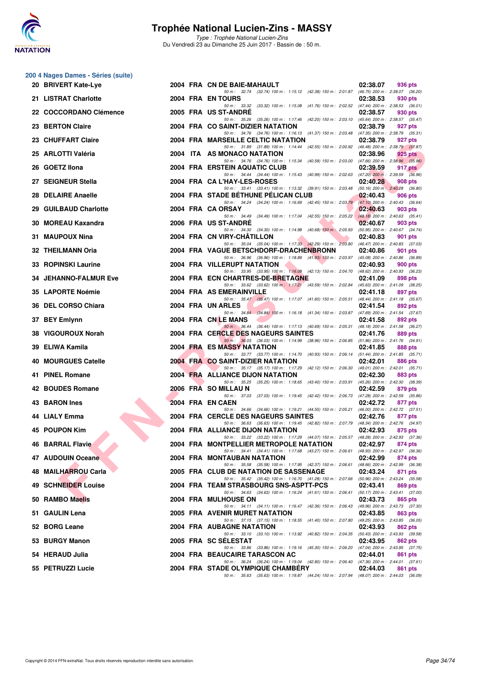

**200 4 Nages Dames - Séries (suite)**

## **Trophée National Lucien-Zins - MASSY**

|     | 20 BRIVERT Kate-Lye        |      | 2004 FRA CN DE BAIE-MAHAULT                                                                                                                                                                                                     | 02:38.07<br>936 pts                                        |
|-----|----------------------------|------|---------------------------------------------------------------------------------------------------------------------------------------------------------------------------------------------------------------------------------|------------------------------------------------------------|
|     | 21 LISTRAT Charlotte       |      | 50 m: 32.74 (32.74) 100 m: 1:15.12 (42.38) 150 m: 2:01.87 (46.75) 200 m: 2:38.07 (36.20)<br>2004 FRA EN TOURS                                                                                                                   | 02:38.53<br>930 pts                                        |
|     | 22 COCCORDANO Clémence     |      | 50 m: 33.32 (33.32) 100 m: 1:15.08 (41.76) 150 m: 2:02.52 (47.44) 200 m: 2:38.53 (36.01)<br>2005 FRA US ST-ANDRE                                                                                                                | 02:38.57<br>930 pts                                        |
|     | 23 BERTON Claire           |      | 50 m: 35.26 (35.26) 100 m: 1:17.46 (42.20) 150 m: 2:03.10 (45.64) 200 m: 2:38.57 (35.47)<br>2004 FRA CO SAINT-DIZIER NATATION                                                                                                   | 02:38.79<br>927 pts                                        |
|     | 23 CHUFFART Claire         |      | 50 m: 34.76 (34.76) 100 m: 1:16.13 (41.37) 150 m: 2:03.48 (47.35) 200 m: 2:38.79 (35.31)<br>2004 FRA MARSEILLE CELTIC NATATION                                                                                                  | 02:38.79<br>927 pts                                        |
|     | 25 ARLOTTI Valéria         | 2004 | 50 m: 31.89 (31.89) 100 m: 1:14.44 (42.55) 150 m: 2:00.92 (46.48) 200 m: 2:38.79 (37.87)<br>ITA AS MONACO NATATION                                                                                                              | 02:38.96<br>925 pts                                        |
| 26. | <b>GOETZ Ilona</b>         |      | 50 m: 34.76 (34.76) 100 m: 1:15.34 (40.58) 150 m: 2:03.00 (47.66) 200 m: 2:38.96 (35.96)<br>2004 FRA ERSTEIN AQUATIC CLUB                                                                                                       | 02:39.59<br>917 pts                                        |
|     | 27 SEIGNEUR Stella         |      | 50 m: 34.44 (34.44) 100 m: 1:15.43 (40.99) 150 m: 2:02.63 (47.20) 200 m: 2:39.59 (36.96)<br>2004 FRA CA L'HAY-LES-ROSES                                                                                                         | 02:40.28<br>908 pts                                        |
|     | 28 DELAIRE Anaelle         |      | 50 m: 33.41 (33.41) 100 m: 1:13.32 (39.91) 150 m: 2:03.48 (50.16) 200 m: 2:40.28 (36.80)<br>2004 FRA STADE BETHUNE PELICAN CLUB                                                                                                 | 02:40.43<br>906 pts                                        |
|     | 29 GUILBAUD Charlotte      |      | 50 m: 34.24 (34.24) 100 m: 1:16.69 (42.45) 150 m: 2:03.79<br>2004 FRA CA ORSAY                                                                                                                                                  | $(47.10)$ 200 m : 2:40.43 $(36.64)$<br>02:40.63<br>903 pts |
|     | 30 MOREAU Kaxandra         |      | 50 m: 34.49 (34.49) 100 m: 1:17.04 (42.55) 150 m: 2:05.22<br>2006 FRA US ST-ANDRE                                                                                                                                               | $(48.18)$ 200 m : 2:40.63 $(35.41)$<br>02:40.67<br>903 pts |
| 31. | <b>MAUPOUX Nina</b>        |      | 50 m: 34.30 (34.30) 100 m: 1:14.98 (40.68) 150 m: 2:05.93<br>2004 FRA CN VIRY-CHATILLON                                                                                                                                         | (50.95) 200 m : 2:40.67 (34.74)<br>02:40.83<br>901 pts     |
|     | 32 THEILMANN Oria          |      | 50 m: 35.04 (35.04) 100 m: 1:17.33 (42.29) 150 m: 2:03.80<br>2004 FRA VAGUE BETSCHDORF-DRACHENBRONN                                                                                                                             | (46.47) 200 m : 2:40.83 (37.03)<br>02:40.86<br>901 pts     |
|     | 33 ROPINSKI Laurine        |      | 50 m: 36.96 (36.96) 100 m: 1:18.89 (41.93) 150 m: 2:03.97 (45.08) 200 m: 2:40.86 (36.89)<br>2004 FRA VILLERUPT NATATION                                                                                                         | 02:40.93<br><b>900 pts</b>                                 |
| 34. | <b>JEHANNO-FALMUR Eve</b>  |      | 50 m: 33.95 (33.95) 100 m: 1:16.08 (42.13) 150 m: 2:04.70 (48.62) 200 m: 2:40.93 (36.23)<br>2004 FRA ECN CHARTRES-DE-BRETAGNE                                                                                                   | 02:41.09<br>898 pts                                        |
|     | 35 LAPORTE Noémie          |      | 50 m: 33.62 (33.62) 100 m: 1:17.21 (43.59) 150 m: 2:02.84 (45.63) 200 m: 2:41.09 (38.25)<br>2004 FRA AS EMERAINVILLE                                                                                                            | 02:41.18<br>897 pts                                        |
|     | 36 DEL CORSO Chiara        |      | 50 m: 35.47 (35.47) 100 m: 1:17.07 (41.60) 150 m: 2:05.51<br>2004 FRA UN ARLES                                                                                                                                                  | (48.44) 200 m : 2:41.18 (35.67)<br>02:41.54<br>892 pts     |
|     | 37 BEY Emlynn              |      | 50 m: 34.84 (34.84) 100 m: 1:16.18 (41.34) 150 m: 2:03.87<br>2004 FRA CN LE MANS                                                                                                                                                | $(47.69)$ 200 m : 2:41.54 $(37.67)$<br>02:41.58<br>892 pts |
| 38  | <b>VIGOUROUX Norah</b>     |      | 50 m : 36.44 (36.44) 100 m : 1:17.13 (40.69) 150 m : 2:05.31<br>2004 FRA CERCLE DES NAGEURS SAINTES                                                                                                                             | (48.18) 200 m : 2:41.58 (36.27)<br>02:41.76<br>889 pts     |
|     | 39 ELIWA Kamila            |      | 50 m: 36.03 (36.03) 100 m: 1:14.99 (38.96) 150 m: 2:06.85 (51.86) 200 m: 2:41.76 (34.91)<br>2004 FRA ES MASSY NATATION                                                                                                          | 02:41.85<br>888 pts                                        |
| 40  | <b>MOURGUES Catelle</b>    |      | 50 m: 33.77 (33.77) 100 m: 1:14.70 (40.93) 150 m: 2:06.14 (51.44) 200 m: 2:41.85 (35.71)<br>2004 FRA CO SAINT-DIZIER NATATION                                                                                                   | 02:42.01<br>886 pts                                        |
|     | 41 PINEL Romane            |      | 50 m: 35.17 (35.17) 100 m: 1:17.29 (42.12) 150 m: 2:06.30<br>2004 FRA ALLIANCE DIJON NATATION                                                                                                                                   | (49.01) 200 m : 2:42.01 (35.71)<br>02:42.30<br>883 pts     |
|     | 42 BOUDES Romane           |      | 50 m: 35.25 (35.25) 100 m: 1:18.65 (43.40) 150 m: 2:03.91<br>2006 FRA SO MILLAU N                                                                                                                                               | (45.26) 200 m : 2:42.30 (38.39)<br>02:42.59<br>879 pts     |
|     | 43 BARON Ines              |      | 50 m: 37.03 (37.03) 100 m: 1:19.45 (42.42) 150 m: 2:06.73<br>2004 FRA EN CAEN                                                                                                                                                   | (47.28) 200 m : 2:42.59 (35.86)<br>02:42.72<br>877 pts     |
|     | 44 LIALY Emma              |      | 50 m: 34.66 (34.66) 100 m: 1:19.21 (44.55) 150 m: 2:05.21 (46.00) 200 m: 2:42.72 (37.51)<br>2004 FRA CERCLE DES NAGEURS SAINTES                                                                                                 | 02:42.76<br>877 pts                                        |
|     | 45 POUPON Kim              |      | 50 m: 36.63 (36.63) 100 m: 1:19.45 (42.82) 150 m: 2:07.79 (48.34) 200 m: 2:42.76 (34.97)<br>2004 FRA ALLIANCE DIJON NATATION                                                                                                    | 02:42.93<br>875 pts                                        |
|     | <b>46 BARRAL Flavie</b>    |      | 50 m: 33.22 (33.22) 100 m: 1:17.29 (44.07) 150 m: 2:05.57 (48.28) 200 m: 2:42.93 (37.36)<br>2004 FRA MONTPELLIER METROPOLE NATATION<br>50 m: 34.41 (34.41) 100 m: 1:17.68 (43.27) 150 m: 2:06.61 (48.93) 200 m: 2:42.97 (36.36) | 02:42.97<br>874 pts                                        |
|     | 47 AUDOUIN Oceane          |      | 2004 FRA MONTAUBAN NATATION<br>50 m: 35.58 (35.58) 100 m: 1:17.95 (42.37) 150 m: 2:06.61 (48.66) 200 m: 2:42.99 (36.38)                                                                                                         | 02:42.99<br>874 pts                                        |
|     | 48 MAILHARROU Carla        |      | <b>2005 FRA CLUB DE NATATION DE SASSENAGE</b><br>50 m: 35.42 (35.42) 100 m: 1:16.70 (41.28) 150 m: 2:07.66 (50.96) 200 m: 2:43.24 (35.58)                                                                                       | 02:43.24<br>871 pts                                        |
|     | <b>49 SCHNEIDER Louise</b> |      | 2004 FRA TEAM STRASBOURG SNS-ASPTT-PCS<br>50 m: 34.63 (34.63) 100 m: 1:16.24 (41.61) 150 m: 2:06.41 (50.17) 200 m: 2:43.41 (37.00)                                                                                              | 02:43.41<br>869 pts                                        |
|     | 50 RAMBO Maelis            |      | 2004 FRA MULHOUSE ON                                                                                                                                                                                                            | 02:43.73<br>865 pts                                        |
|     | 51 GAULIN Lena             |      | 50 m: 34.11 (34.11) 100 m: 1:16.47 (42.36) 150 m: 2:06.43 (49.96) 200 m: 2:43.73 (37.30)<br>2005 FRA AVENIR MURET NATATION                                                                                                      | 02:43.85<br>863 pts                                        |
|     | 52 BORG Leane              |      | 50 m: 37.15 (37.15) 100 m: 1:18.55 (41.40) 150 m: 2:07.80 (49.25) 200 m: 2:43.85 (36.05)<br>2004 FRA AUBAGNE NATATION                                                                                                           | 02:43.93<br>862 pts                                        |
|     | 53 BURGY Manon             |      | 50 m: 33.10 (33.10) 100 m: 1:13.92 (40.82) 150 m: 2:04.35 (50.43) 200 m: 2:43.93 (39.58)<br>2005 FRA SC SELESTAT                                                                                                                | 02:43.95<br>862 pts                                        |
|     | 54 HERAUD Julia            |      | 50 m: 33.86 (33.86) 100 m: 1:19.16 (45.30) 150 m: 2:06.20 (47.04) 200 m: 2:43.95 (37.75)<br>2004 FRA BEAUCAIRE TARASCON AC                                                                                                      | 02:44.01<br>861 pts                                        |
|     | 55 PETRUZZI Lucie          |      | 50 m: 36.24 (36.24) 100 m: 1:19.04 (42.80) 150 m: 2:06.40 (47.36) 200 m: 2:44.01 (37.61)<br>2004 FRA STADE OLYMPIQUE CHAMBERY                                                                                                   | 02:44.03<br>861 pts                                        |
|     |                            |      | 50 m: 35.63 (35.63) 100 m: 1:19.87 (44.24) 150 m: 2:07.94 (48.07) 200 m: 2:44.03 (36.09)                                                                                                                                        |                                                            |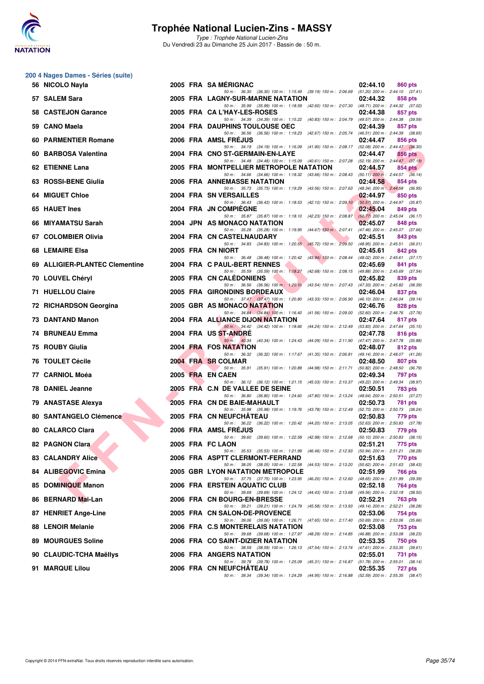

Type : Trophée National Lucien-Zins Du Vendredi 23 au Dimanche 25 Juin 2017 - Bassin de : 50 m.

#### **200 4 Nages Dames - Séries (suite)**

| 56 NICOLO Nayla                |  | 2005 FRA SA MERIGNAC                                                                                                                | 02:44.10 | 860 pts                                           |
|--------------------------------|--|-------------------------------------------------------------------------------------------------------------------------------------|----------|---------------------------------------------------|
| 57 SALEM Sara                  |  | 50 m: 36.30 (36.30) 100 m: 1:15.49 (39.19) 150 m: 2:06.69 (51.20) 200 m: 2:44.10 (37.41)<br>2005 FRA LAGNY-SUR-MARNE NATATION       | 02:44.32 | 858 pts                                           |
| 58 CASTEJON Garance            |  | 50 m: 35.99 (35.99) 100 m: 1:18.59 (42.60) 150 m: 2:07.30 (48.71) 200 m: 2:44.32 (37.02)<br>2005 FRA CA L'HAY-LES-ROSES             | 02:44.38 | 857 pts                                           |
| 59 CANO Maela                  |  | 50 m: 34.39 (34.39) 100 m: 1:15.22 (40.83) 150 m: 2:04.79 (49.57) 200 m: 2:44.38 (39.59)<br>2004 FRA DAUPHINS TOULOUSE OEC          | 02:44.39 | 857 pts                                           |
| 60 PARMENTIER Romane           |  | 50 m: 36.56 (36.56) 100 m: 1:19.23 (42.67) 150 m: 2:05.74 (46.51) 200 m: 2:44.39 (38.65)<br>2006 FRA AMSL FREJUS                    | 02:44.47 | 856 pts                                           |
| 60 BARBOSA Valentina           |  | 50 m: 34.19 (34.19) 100 m: 1:16.09 (41.90) 150 m: 2:08.17 (52.08) 200 m: 2:44.47 (36.30)<br>2004 FRA CNO ST-GERMAIN-EN-LAYE         | 02:44.47 | 856 pts                                           |
| 62 ETIENNE Lana                |  | 50 m: 34.48 (34.48) 100 m: 1:15.09 (40.61) 150 m: 2:07.28 (52.19) 200 m: 2:44.47 (37.19)<br>2005 FRA MONTPELLIER METROPOLE NATATION | 02:44.57 | 854 pts                                           |
| 63 ROSSI-BENE Giulia           |  | 50 m: 34.66 (34.66) 100 m: 1:18.32 (43.66) 150 m: 2:08.43 (50.11) 200 m: 2:44.57 (36.14)<br><b>2006 FRA ANNEMASSE NATATION</b>      | 02:44.58 | 854 pts                                           |
| 64 MIGUET Chloe                |  | 50 m: 35.73 (35.73) 100 m: 1:19.29 (43.56) 150 m: 2:07.63 (48.34) 200 m: 2:44.58 (36.95)<br>2004 FRA SN VERSAILLES                  | 02:44.97 | 850 pts                                           |
| 65 HAUET Ines                  |  | 50 m: 36.43 (36.43) 100 m: 1:18.53 (42.10) 150 m: 2:09.10<br>2004 FRA JN COMPIEGNE                                                  | 02:45.04 | (50.57) 200 m : 2:44.97 (35.87)<br>849 pts        |
| 66 MIYAMATSU Sarah             |  | 50 m: 35.87 (35.87) 100 m: 1:18.10 (42.23) 150 m: 2:08.87 (50.77) 200 m: 2:45.04 (36.17)<br>2004 JPN AS MONACO NATATION             | 02:45.07 |                                                   |
|                                |  | 50 m : 35.28 (35.28) 100 m : 1:19.95 (44.67) 150 m : 2:07.41                                                                        |          | 848 pts<br>$(47.46)$ 200 m : 2:45.07 $(37.66)$    |
| 67 COLOMBIER Olivia            |  | 2004 FRA CN CASTELNAUDARY<br>50 m: 34.83 (34.83) 100 m: 1:20.55 (45.72) 150 m: 2:09.50 (48.95) 200 m: 2:45.51 (36.01)               | 02:45.51 | 843 pts                                           |
| 68 LEMAIRE Elsa                |  | 2005 FRA CN NIORT<br>50 m: 36.48 (36.48) 100 m: 1:20.42 (43.94) 150 m: 2:08.44 (48.02) 200 m: 2:45.61 (37.17)                       | 02:45.61 | 842 pts                                           |
| 69 ALLIGIER-PLANTEC Clementine |  | 2004 FRA C PAUL-BERT RENNES<br>50 m: 35.59 (35.59) 100 m: 1:18.27 (42.68) 150 m: 2:08.15 (49.88) 200 m: 2:45.69 (37.54)             | 02:45.69 | 841 pts                                           |
| 70 LOUVEL Chéryl               |  | 2005 FRA CN CALEDONIENS<br>50 m: 36.56 (36.56) 100 m: 1:20.10 (43.54) 150 m: 2:07.43 (47.33) 200 m: 2:45.82 (38.39)                 | 02:45.82 | 839 pts                                           |
| 71 HUELLOU Claire              |  | 2005 FRA GIRONDINS BORDEAUX<br>50 m: 37.47 (37.47) 100 m: 1:20.80 (43.33) 150 m: 2:06.90 (46.10) 200 m: 2:46.04 (39.14)             | 02:46.04 | 837 pts                                           |
| 72 RICHARDSON Georgina         |  | 2005 GBR AS MONACO NATATION<br>50 m: 34.84 (34.84) 100 m: 1:16.40 (41.56) 150 m: 2:09.00 (52.60) 200 m: 2:46.76 (37.76)             | 02:46.76 | 828 pts                                           |
| 73 DANTAND Manon               |  | 2004 FRA ALLIANCE DIJON NATATION<br>50 m: 34.42 (34.42) 100 m: 1:18.66 (44.24) 150 m: 2:12.49 (53.83) 200 m: 2:47.64 (35.15)        | 02:47.64 | 817 pts                                           |
| 74 BRUNEAU Emma                |  | 2004 FRA US ST-ANDRE<br>50 m: 40.34 (40.34) 100 m: 1:24.43 (44.09) 150 m: 2:11.90 (47.47) 200 m: 2:47.78 (35.88)                    | 02:47.78 | 816 pts                                           |
| 75 ROUBY Giulia                |  | 2004 FRA FOS NATATION                                                                                                               | 02:48.07 | 812 pts                                           |
| 76 TOULET Cécile               |  | 50 m: 36.32 (36.32) 100 m: 1:17.67 (41.35) 150 m: 2:06.81<br>2004 FRA SR COLMAR                                                     | 02:48.50 | (49.14) 200 m : 2:48.07 (41.26)<br>807 pts        |
| 77 CARNIOL Moéa                |  | 50 m: 35.91 (35.91) 100 m: 1:20.89 (44.98) 150 m: 2:11.71 (50.82) 200 m: 2:48.50 (36.79)<br>2005 FRA EN CAEN                        | 02:49.34 | 797 pts                                           |
| 78 DANIEL Jeanne               |  | 50 m: 36.12 (36.12) 100 m: 1:21.15 (45.03) 150 m: 2:10.37 (49.22) 200 m: 2:49.34 (38.97)<br>2005 FRA C.N DE VALLEE DE SEINE         | 02:50.51 | 783 pts                                           |
| 79 ANASTASE Alexya             |  | 50 m: 36.80 (36.80) 100 m: 1:24.60 (47.80) 150 m: 2:13.24 (48.64) 200 m: 2:50.51 (37.27)<br>2005 FRA CN DE BAIE-MAHAULT             | 02:50.73 | <b>781 pts</b>                                    |
| 80 SANTANGELO Clémence         |  | 50 m: 35.98 (35.98) 100 m: 1:19.76 (43.78) 150 m: 2:12.49 (52.73) 200 m: 2:50.73 (38.24)<br>2005 FRA CN NEUFCHATEAU                 | 02:50.83 | 779 pts                                           |
| 80 CALARCO Clara               |  | 50 m: 36.22 (36.22) 100 m: 1:20.42 (44.20) 150 m: 2:13.05 (52.63) 200 m: 2:50.83 (37.78)<br>2006 FRA AMSL FREJUS                    | 02:50.83 | 779 pts                                           |
| 82 PAGNON Clara                |  | 50 m: 39.60 (39.60) 100 m: 1:22.58 (42.98) 150 m: 2:12.68<br>2005 FRA FC LAON                                                       | 02:51.21 | $(50.10)$ 200 m : 2:50.83 $(38.15)$<br>775 pts    |
| <b>83 CALANDRY Alice</b>       |  | 50 m: 35.53 (35.53) 100 m: 1:21.99<br>(46.46) 150 m : 2:12.93<br>2006 FRA ASPTT CLERMONT-FERRAND                                    | 02:51.63 | (50.94) 200 m : 2:51.21 (38.28)<br>770 pts        |
| 84 ALIBEGOVIC Emina            |  | 50 m: 38.05 (38.05) 100 m: 1:22.58<br>(44.53) 150 m : 2:13.20<br><b>2005 GBR LYON NATATION METROPOLE</b>                            | 02:51.99 | $(50.62)$ 200 m : 2:51.63 $(38.43)$<br>766 pts    |
| 85 DOMINIQUE Manon             |  | 50 m: 37.75 (37.75) 100 m: 1:23.95<br>(46.20) 150 m : 2:12.60<br><b>2006 FRA ERSTEIN AQUATIC CLUB</b>                               | 02:52.18 | (48.65) 200 m : 2:51.99 (39.39)<br>764 pts        |
| 86 BERNARD Mai-Lan             |  | 50 m: 39.69 (39.69) 100 m: 1:24.12<br>(44.43) 150 m : 2:13.68                                                                       |          | $(49.56)$ 200 m : 2:52.18 $(38.50)$               |
|                                |  | 2006 FRA CN BOURG-EN-BRESSE<br>50 m: 39.21 (39.21) 100 m: 1:24.79<br>(45.58) 150 m : 2:13.93                                        | 02:52.21 | <b>763 pts</b><br>(49.14) 200 m : 2:52.21 (38.28) |
| 87 HENRIET Ange-Line           |  | 2005 FRA CN SALON-DE-PROVENCE<br>50 m: 39.06 (39.06) 100 m: 1:26.71<br>$(47.65)$ 150 m : 2:17.40                                    | 02:53.06 | 754 pts<br>$(50.69)$ 200 m : 2:53.06 $(35.66)$    |
| 88 LENOIR Melanie              |  | 2006 FRA C.S MONTERELAIS NATATION<br>50 m: 39.68 (39.68) 100 m: 1:27.97<br>(48.29) 150 m : 2:14.85                                  | 02:53.08 | 753 pts<br>(46.88) 200 m : 2:53.08 (38.23)        |
| 89 MOURGUES Soline             |  | 2006 FRA CO SAINT-DIZIER NATATION<br>50 m : 38.59 (38.59) 100 m : 1:26.13<br>(47.54) 150 m : 2:13.74                                | 02:53.35 | 750 pts<br>$(47.61)$ 200 m : 2:53.35 $(39.61)$    |
| 90 CLAUDIC-TCHA Maëllys        |  | 2006 FRA ANGERS NATATION<br>50 m: 39.78 (39.78) 100 m: 1:25.09<br>(45.31) 150 m : 2:16.87                                           | 02:55.01 | 731 pts<br>(51.78) 200 m : 2:55.01 (38.14)        |
| 91 MARQUE Lilou                |  | 2006 FRA CN NEUFCHATEAU<br>50 m: 39.34 (39.34) 100 m: 1:24.29 (44.95) 150 m: 2:16.88 (52.59) 200 m: 2:55.35 (38.47)                 | 02:55.35 | 727 pts                                           |
|                                |  |                                                                                                                                     |          |                                                   |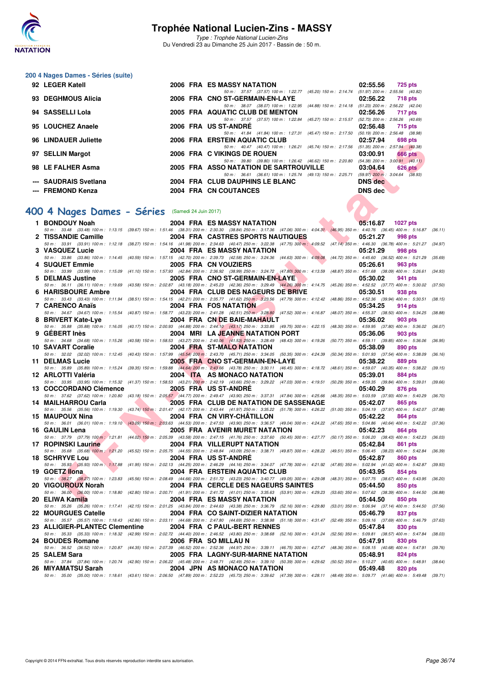

Type : Trophée National Lucien-Zins Du Vendredi 23 au Dimanche 25 Juin 2017 - Bassin de : 50 m.

# **200 4 Nages Dames - Séries (suite)**

| 92 LEGER Katell       |  | 2006 FRA ES MASSY NATATION                                    | 02:55.56                            |         | 725 pts        |
|-----------------------|--|---------------------------------------------------------------|-------------------------------------|---------|----------------|
|                       |  | 50 m : 37.57 (37.57) 100 m : 1:22.77 (45.20) 150 m : 2:14.74  | $(51.97)$ 200 m : 2:55.56 $(40.82)$ |         |                |
| 93 DEGHMOUS Alicia    |  | 2006 FRA CNO ST-GERMAIN-EN-LAYE                               | 02:56.22                            |         | 718 pts        |
|                       |  | (44.88) 150 m : 2:14.18<br>50 m: 38.07 (38.07) 100 m: 1:22.95 | (51.23) 200 m : 2:56.22 (42.04)     |         |                |
| 94 SASSELLI Lola      |  | 2005 FRA AQUATIC CLUB DE MENTON                               | 02:56.26                            | 717 pts |                |
|                       |  | 50 m: 37.57 (37.57) 100 m: 1:22.84 (45.27) 150 m: 2:15.57     | (52.73) 200 m : 2:56.26 (40.69)     |         |                |
| 95 LOUCHEZ Anaele     |  | 2006 FRA US ST-ANDRÉ                                          | 02:56.48                            | 715 pts |                |
|                       |  | 50 m: 41.84 (41.84) 100 m: 1:27.31 (45.47) 150 m: 2:17.50     | (50.19) 200 m : 2:56.48 (38.98)     |         |                |
| 96 LINDAUER Juliette  |  | 2006 FRA ERSTEIN AQUATIC CLUB                                 | 02:57.94                            |         | 698 pts        |
|                       |  | 50 m: 40.47 (40.47) 100 m: 1:26.21 (45.74) 150 m: 2:17.56     | $(51.35)$ 200 m : 2:57.94 $(40.38)$ |         |                |
| 97 SELLIN Margot      |  | 2006 FRA C VIKINGS DE ROUEN                                   | 03:00.91                            |         | <b>666 pts</b> |
|                       |  | 50 m: 39.80 (39.80) 100 m: 1:26.42 (46.62) 150 m: 2:20.80     | $(54.38)$ 200 m : 3:00.91 $(40.11)$ |         |                |
| 98 LE FALHER Asma     |  | 2005 FRA ASSO NATATION DE SARTROUVILLE                        | 03:04.64                            |         | $626$ pts      |
|                       |  | 50 m: 36.61 (36.61) 100 m: 1:25.74 (49.13) 150 m: 2:25.71     | (59.97) 200 m : 3:04.64 (38.93)     |         |                |
| --- SAUDRAIS Svetlana |  | 2004 FRA CLUB DAUPHINS LE BLANC                               | <b>DNS</b> dec                      |         |                |
| --- FREMOND Kenza     |  | 2004 FRA CN COUTANCES                                         | <b>DNS</b> dec                      |         |                |

## **[400 4 Nages Dames - Séries](http://www.ffnatation.fr/webffn/resultats.php?idact=nat&go=epr&idcpt=47287&idepr=42)** (Samedi 24 Juin 2017)

| <b>30 LINDAULR JUICILE</b>                      |                                                                                                                                                                                                                                      | <b><i>LOUG</i></b> FRAMERSTEIN AGORTIC CLOB                                                                                                                                                                                           | 04.JI.J4<br>ັບວບ ມເວ                                 |
|-------------------------------------------------|--------------------------------------------------------------------------------------------------------------------------------------------------------------------------------------------------------------------------------------|---------------------------------------------------------------------------------------------------------------------------------------------------------------------------------------------------------------------------------------|------------------------------------------------------|
| 97 SELLIN Margot                                |                                                                                                                                                                                                                                      | 50 m: 40.47 (40.47) 100 m: 1:26.21 (45.74) 150 m: 2:17.56 (51.35) 200 m: 2:57.94 (40.38)<br>2006 FRA C VIKINGS DE ROUEN                                                                                                               | 03:00.91<br><b>666 pts</b>                           |
| 98   LE FALHER Asma                             |                                                                                                                                                                                                                                      | 50 m: 39.80 (39.80) 100 m: 1:26.42 (46.62) 150 m: 2:20.80 (54.38) 200 m: 3:00.91 (40.11)<br>2005 FRA ASSO NATATION DE SARTROUVILLE                                                                                                    | 03:04.64<br>626 pts                                  |
| ---   SAUDRAIS Svetlana                         |                                                                                                                                                                                                                                      | 50 m: 36.61 (36.61) 100 m: 1:25.74 (49.13) 150 m: 2:25.71 (59.97) 200 m: 3:04.64 (38.93)<br>2004 FRA CLUB DAUPHINS LE BLANC                                                                                                           | <b>DNS</b> dec                                       |
| --- FREMOND Kenza                               |                                                                                                                                                                                                                                      | 2004 FRA CN COUTANCES                                                                                                                                                                                                                 | <b>DNS dec</b>                                       |
|                                                 |                                                                                                                                                                                                                                      |                                                                                                                                                                                                                                       |                                                      |
| 00 4 Nages Dames - Séries (Samedi 24 Juin 2017) |                                                                                                                                                                                                                                      |                                                                                                                                                                                                                                       |                                                      |
| 1 BONDOUY Noah                                  |                                                                                                                                                                                                                                      | 2004 FRA ES MASSY NATATION                                                                                                                                                                                                            | 05:16.87<br><b>1027 pts</b>                          |
|                                                 |                                                                                                                                                                                                                                      | 50 m: 33.48 (33.48) 100 m: 1:13.15 (39.67) 150 m: 1:51.46 (38.31) 200 m: 2:30.30 (38.84) 250 m: 3:17.36 (47.06) 300 m: 4:04.31 (46.95) 350 m: 4:40.76 (36.45) 400 m: 5:16.87 (36.11)                                                  |                                                      |
| 2 TISSANDIE Camille                             |                                                                                                                                                                                                                                      | 2004 FRA CASTRES SPORTS NAUTIQUES                                                                                                                                                                                                     | <b>The Contract of Street</b><br>05:21.27<br>998 pts |
| 3 VASQUEZ Lucie                                 |                                                                                                                                                                                                                                      | 50 m: 33.91 (33.91) 100 m: 1:12.18 (38.27) 150 m: 1:54.16 (41.98) 200 m: 2:34.63 (40.47) 250 m: 3:22.38 (47.75) 300 m: 4:09.52 (47.14) 350 m: 4:46.30 (36.78) 400 m: 5:21.27 (34.97)<br>$\bullet$<br>2004 FRA ES MASSY NATATION       | 05:21.29                                             |
|                                                 |                                                                                                                                                                                                                                      | 50 m: 33.86 (33.86) 100 m: 1:14.45 (40.59) 150 m: 1:57.15 (42.70) 200 m: 2:39.73 (42.58) 250 m: 3:24.36 (44.63) 300 m: 4:09.08 (44.72) 350 m: 4:45.60 (36.52) 400 m: 5:21.29                                                          | 998 pts<br>(35.69)                                   |
| 4 SUQUET Emmie                                  |                                                                                                                                                                                                                                      | 2005 FRA CN VOUZIERS                                                                                                                                                                                                                  | 05:26.61<br>963 pts                                  |
|                                                 |                                                                                                                                                                                                                                      | 50 m : 33.99 (33.99) 100 m : 1:15.09 (41.10) 150 m : 1:57.93 (42.84) 200 m : 2:36.92 (38.99) 250 m : 3:24.72 (47.80) 300 m : 4:13.59 (48.87) 350 m : 4:51.68 (38.09) 400 m : 5:26.61                                                  | (34.93)                                              |
| 5 DELMAS Justine                                |                                                                                                                                                                                                                                      | 2005 FRA CNO ST-GERMAIN-EN-LAYE                                                                                                                                                                                                       | 05:30.02<br>941 pts                                  |
| <b>6 HARISBOURE Ambre</b>                       |                                                                                                                                                                                                                                      | 50 m: 36.11 (36.11) 100 m: 1:19.69 (43.58) 150 m: 2:02.87 (43.18) 200 m: 2:45.23 (42.36) 250 m: 3:29.49 (44.26) 300 m: 4:14.75 (45.26) 350 m: 4:52.52 (37.77) 400 m: 5:30.02<br>2004 FRA CLUB DES NAGEURS DE BRIVE                    | (37.50)<br>05:30.51<br>938 pts                       |
|                                                 |                                                                                                                                                                                                                                      | 50 m: 33.43 (33.43) 100 m: 1:11.94 (38.51) 150 m: 1:54.15 (42.21) 200 m: 2:35.77 (41.62) 250 m: 3:23.56 (47.79) 300 m: 4:12.42 (48.86) 350 m: 4:52.36 (39.94) 400 m: 5:30.51                                                          | (38.15)                                              |
| 7 CARENCO Anaïs                                 |                                                                                                                                                                                                                                      | 2004 FRA FOS NATATION                                                                                                                                                                                                                 | 05:34.25<br>914 pts                                  |
|                                                 |                                                                                                                                                                                                                                      | 50 m: 34.67 (34.67) 100 m: 1:15.54 (40.87) 150 m: 1:58.77 (43.23) 200 m: 2:41.28 (42.51) 250 m: 3:28.80 (47.52) 300 m: 4:16.87 (48.07) 350 m: 4:55.37 (38.50) 400 m: 5:34.25 (38.88                                                   |                                                      |
| 8 BRIVERT Kate-Lye                              |                                                                                                                                                                                                                                      | 2004 FRA CN DE BAIE-MAHAULT                                                                                                                                                                                                           | 05:36.02<br>903 pts                                  |
| 9 GEBERT Inès                                   |                                                                                                                                                                                                                                      | 50 m: 35.88 (35.88) 100 m: 1:16.05 (40.17) 150 m: 2:00.93 (44.88) 200 m: 2:44.10 (43.17) 250 m: 3:33.85 (49.75) 300 m: 4:22.15 (48.30) 350 m: 4:59.95 (37.80) 400 m: 5:36.02<br>2004 MRI LA JEANNE NATATION PORT                      | (36.07)<br>05:36.06<br>903 pts                       |
|                                                 |                                                                                                                                                                                                                                      | 50 m: 34.68 (34.68) 100 m: 1:15.26 (40.58) 150 m: 1:58.53 (43.27) 200 m: 2:40.06 (41.53) 250 m: 3:28.49 (48.43) 300 m: 4:19.26 (50.77) 350 m: 4:59.11 (39.85) 400 m: 5:36.06 (36.95)                                                  |                                                      |
| 10 SAVART Coralie                               |                                                                                                                                                                                                                                      | 2004 FRA ST-MALO NATATION                                                                                                                                                                                                             | 05:38.09<br>890 pts                                  |
|                                                 |                                                                                                                                                                                                                                      | 50 m: 32.02 (32.02) 100 m: 1:12.45 (40.43) 150 m: 1:57.99 (45.54) 200 m: 2:43.70 (45.71) 250 m: 3:34.05 (50.35) 300 m: 4:24.39 (50.34) 350 m: 5:01.93 (37.54) 400 m: 5:38.09                                                          | (36.16)                                              |
| 11 DELMAS Lucie                                 |                                                                                                                                                                                                                                      | 2005 FRA CNO ST-GERMAIN-EN-LAYE<br>50 m: 35.89 (35.89) 100 m: 1:15.24 (39.35) 150 m: 1:59.88 (44.64) 200 m: 2:43.66 (43.78) 250 m: 3:30.11 (46.45) 300 m: 4:18.72 (48.61) 350 m: 4:59.07 (40.35) 400 m: 5:38.22 (39.15)               | 05:38.22<br><b>889 pts</b>                           |
| 12 ARLOTTI Valéria                              |                                                                                                                                                                                                                                      | 2004 ITA AS MONACO NATATION                                                                                                                                                                                                           | 05:39.01<br><b>884 pts</b>                           |
|                                                 |                                                                                                                                                                                                                                      | 50 m: 33.95 (33.95) 100 m: 1:15.32 (41.37) 150 m: 1:58.53 (43.21) 200 m: 2:42.19 (43.66) 250 m: 3:29.22 (47.03) 300 m: 4:19.51 (50.29) 350 m: 4:59.35 (39.84) 400 m: 5:39.01                                                          | (39.66)                                              |
| 13 COCCORDANO Clémence                          |                                                                                                                                                                                                                                      | 2005 FRA US ST-ANDRE                                                                                                                                                                                                                  | 05:40.29<br>876 pts                                  |
|                                                 |                                                                                                                                                                                                                                      | 50 m: 37.62 (37.62) 100 m: 1:20.80 (43.18) 150 m: 2:05.57 (44.77) 200 m: 2:49.47 (43.90) 250 m: 3:37.31 (47.84) 300 m: 4:25.66 (48.35) 350 m: 5:03.59 (37.93) 400 m: 5:40.29<br><b>EXAMPLE 2005 FRA CLUB DE NATATION DE SASSENAGE</b> | (36.70)<br>05:42.07                                  |
| 14 MAILHARROU Carla                             |                                                                                                                                                                                                                                      | 50 m: 35.56 (35.56) 100 m: 1:19.30 (43.74) 150 m: 2:01.47 (42.17) 200 m: 2:43.44 (41.97) 250 m: 3:35.22 (51.78) 300 m: 4:26.22 (51.00) 350 m: 5:04.19 (37.97) 400 m: 5:42.07 (37.88)                                                  | 865 pts                                              |
| 15 MAUPOUX Nina                                 | <u>and the second property of the second property of the second property of the second property of the second property of the second property of the second property of the second property of the second property of the second</u> | 2004 FRA CN VIRY-CHATILLON                                                                                                                                                                                                            | 05:42.22<br>864 pts                                  |
|                                                 |                                                                                                                                                                                                                                      | 50 m: 36.01 (36.01) 100 m: 1:19.10 (43.09) 150 m: 2:03.63 (44.53) 200 m: 2:47.53 (43.90) 250 m: 3:36.57 (49.04) 300 m: 4:24.22 (47.65) 350 m: 5:04.86 (40.64) 400 m: 5:42.22 (37.36)                                                  |                                                      |
| 16 GAULIN Lena                                  |                                                                                                                                                                                                                                      | 2005 FRA AVENIR MURET NATATION                                                                                                                                                                                                        | 05:42.23<br>864 pts                                  |
| <b>17 ROPINSKI Laurine Advised AT 18</b>        |                                                                                                                                                                                                                                      | 50 m: 37.79 (37.79) 100 m: 1:21.81 (44.02) 150 m: 2:05.39 (43.58) 200 m: 2:47.15 (41.76) 250 m: 3:37.60 (50.45) 300 m: 4:27.77 (50.17) 350 m: 5:06.20 (38.43) 400 m: 5:42.23 (36.03)<br>2004 FRA VILLERUPT NATATION                   | 05:42.84<br>861 pts                                  |
|                                                 |                                                                                                                                                                                                                                      | 50 m : 35.68 (35.68) 100 m : 1:21.20 (45.52) 150 m : 2:05.75 (44.55) 200 m : 2:48.84 (43.09) 250 m : 3:38.71 (49.87) 300 m : 4:28.22 (49.51) 350 m : 5:06.45 (38.23) 400 m : 5:42.84                                                  | (36.39)                                              |
| <b>18 SCHRYVE Lou</b>                           |                                                                                                                                                                                                                                      | 2004 FRA US ST-ANDRE                                                                                                                                                                                                                  | 05:42.87<br>860 pts                                  |
| $\blacktriangledown$                            |                                                                                                                                                                                                                                      | 50 m: 35.93 (35.93) 100 m: 1:17.88 (41.95) 150 m: 2:02.13 (44.25) 200 m: 2:46.29 (44.16) 250 m: 3:34.07 (47.78) 300 m: 4:21.92 (47.85) 350 m: 5:02.94 (41.02) 400 m: 5:42.87 (39.93,                                                  |                                                      |
| 19 GOETZ Ilona                                  |                                                                                                                                                                                                                                      | 2004 FRA ERSTEIN AQUATIC CLUB<br>50 m: 38.27 (38.27) 100 m: 1:23.83 (45.56) 150 m: 2:08.49 (44.66) 200 m: 2:51.72 (43.23) 250 m: 3:40.77 (49.05) 300 m: 4:29.08 (48.31) 350 m: 5:07.75 (38.67) 400 m: 5:43.95 (36.20)                 | 05:43.95<br>854 pts                                  |
| 20   VIGOUROUX Norah                            |                                                                                                                                                                                                                                      | 2004 FRA CERCLE DES NAGEURS SAINTES                                                                                                                                                                                                   | 05:44.50<br>850 pts                                  |
|                                                 |                                                                                                                                                                                                                                      | 50 m: 36.00 (36.00) 100 m: 1:18.80 (42.80) 150 m: 2:00.71 (41.91) 200 m: 2:41.72 (41.01) 250 m: 3:35.63 (53.91) 300 m: 4:29.23 (53.60) 350 m: 5:07.62 (38.39) 400 m: 5:44.50 (36.88                                                   |                                                      |
| 20 ELIWA Kamila                                 |                                                                                                                                                                                                                                      | <b>2004 FRA ES MASSY NATATION</b>                                                                                                                                                                                                     | 05:44.50<br>850 pts                                  |
|                                                 |                                                                                                                                                                                                                                      | 50 m: 35.26 (35.26) 100 m: 1:17.41 (42.15) 150 m: 2:01.25 (43.84) 200 m: 2:44.63 (43.38) 250 m: 3:36.79 (52.16) 300 m: 4:29.80 (53.01) 350 m: 5:06.94 (37.14) 400 m: 5:44.50 (37.56)<br>2004 FRA CO SAINT-DIZIER NATATION             | 05:46.79                                             |
| 22 MOURGUES Catelle                             |                                                                                                                                                                                                                                      | 50 m: 35.57 (35.57) 100 m: 1:18.43 (42.86) 150 m: 2:03.11 (44.68) 200 m: 2:47.80 (44.69) 250 m: 3:38.98 (51.18) 300 m: 4:31.47 (52.49) 350 m: 5:09.16 (37.69) 400 m: 5:46.79                                                          | 837 pts<br>(37.63)                                   |
| 23 ALLIGIER-PLANTEC Clementine                  |                                                                                                                                                                                                                                      | 2004 FRA C PAUL-BERT RENNES                                                                                                                                                                                                           | 05:47.84<br>830 pts                                  |
|                                                 |                                                                                                                                                                                                                                      | 50 m : 35.33 (35.33) 100 m : 1:18.32 (42.99) 150 m : 2:02.72 (44.40) 200 m : 2:46.52 (43.80) 250 m : 3:38.68 (52.16) 300 m : 4:31.24 (52.56) 350 m : 5:09.81 (38.57) 400 m : 5:47.84                                                  | (38.03)                                              |
| 24 BOUDES Romane                                |                                                                                                                                                                                                                                      | 2006 FRA SO MILLAU N                                                                                                                                                                                                                  | 05:47.91<br>830 pts                                  |
| 25   SALEM Sara                                 |                                                                                                                                                                                                                                      | 50 m: 36.52 (36.52) 100 m: 1:20.87 (44.35) 150 m: 2:07.39 (46.52) 200 m: 2:52.36 (44.97) 250 m: 3:39.11 (46.75) 300 m: 4:27.47 (48.36) 350 m: 5:08.15 (40.68) 400 m: 5:47.91<br>2005 FRA LAGNY-SUR-MARNE NATATION                     | (39.76)<br>05:48.91<br>824 pts                       |
|                                                 |                                                                                                                                                                                                                                      | 50 m : 37.84 (37.84) 100 m : 1:20.74 (42.90) 150 m : 2:06.22 (45.48) 200 m : 2:48.71 (42.49) 250 m : 3:39.10 (50.39) 300 m : 4:29.62 (50.52) 350 m : 5:10.27 (40.65) 400 m : 5:48.91                                                  | (38.64)                                              |
| 26 MIYAMATSU Sarah                              |                                                                                                                                                                                                                                      | 2004 JPN AS MONACO NATATION                                                                                                                                                                                                           | 05:49.48<br>820 pts                                  |
|                                                 |                                                                                                                                                                                                                                      | 50 m : 35.00 (35.00) 100 m : 1:18.61 (43.61) 150 m : 2:06.50 (47.89) 200 m : 2:52.23 (45.73) 250 m : 3:39.62 (47.39) 300 m : 4:28.11 (48.49) 350 m : 5:09.77 (41.66) 400 m : 5:49.48 (39.71)                                          |                                                      |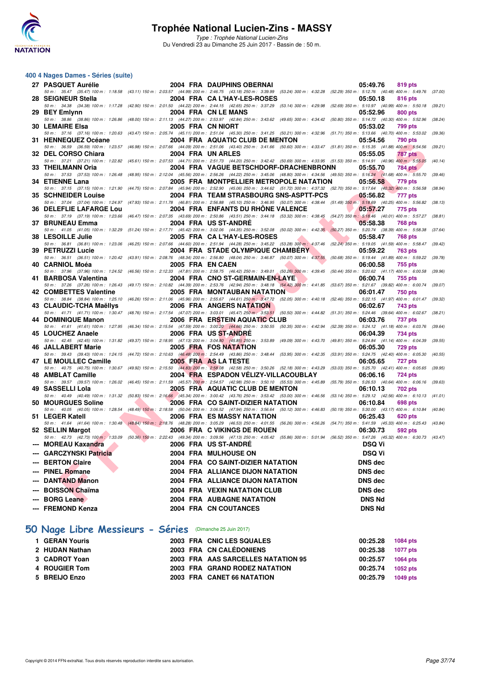

Type : Trophée National Lucien-Zins Du Vendredi 23 au Dimanche 25 Juin 2017 - Bassin de : 50 m.

#### **400 4 Nages Dames - Séries (suite)**

| 27 PASQUET Aurélie                                                                                                                                                                                              |                                                                                                                                                                                                                                      | 2004 FRA DAUPHINS OBERNAI                                 |                                   | 05:49.76                        | 819 pts        |         |
|-----------------------------------------------------------------------------------------------------------------------------------------------------------------------------------------------------------------|--------------------------------------------------------------------------------------------------------------------------------------------------------------------------------------------------------------------------------------|-----------------------------------------------------------|-----------------------------------|---------------------------------|----------------|---------|
| 50 m: 35.47 (35.47) 100 m: 1:18.58 (43.11) 150 m: 2:03.57 (44.99) 200 m: 2:46.75 (43.18) 250 m: 3:39.99 (53.24) 300 m: 4:32.28 (52.29) 350 m: 5:12.76 (40.48) 400 m: 5:49.76 (37.00)<br>28 SEIGNEUR Stella      |                                                                                                                                                                                                                                      | 2004 FRA CAL'HAY-LES-ROSES                                |                                   | 05:50.18                        | 816 pts        |         |
| 50 m: 34.38 (34.38) 100 m: 1:17.28 (42.90) 150 m: 2:01.50 (44.22) 200 m: 2:44.15 (42.65) 250 m: 3:37.29 (53.14) 300 m: 4:29.98 (52.69) 350 m: 5:10.97 (40.99) 400 m: 5:50.18 (39.21)<br>29 BEY Emlynn           |                                                                                                                                                                                                                                      | 2004 FRA CN LE MANS                                       |                                   | 05:52.96                        | 800 pts        |         |
| 50 m : 38.86 (38.86) 100 m : 1:26.86 (48.00) 150 m : 2:11.13 (44.27) 200 m : 2:53.97 (42.84) 250 m : 3:43.62 (49.65) 300 m : 4:34.42 (50.80) 350 m : 5:14.72 (40.30) 400 m : 5:52.96 (38.24)                    |                                                                                                                                                                                                                                      |                                                           |                                   |                                 |                |         |
| <b>30 LEMAIRE EIsa</b><br>50 m: 37.16 (37.16) 100 m: 1:20.63 (43.47) 150 m: 2:05.74 (45.11) 200 m: 2:51.04 (45.30) 250 m: 3:41.25 (50.21) 300 m: 4:32.96 (51.71) 350 m: 5:13.66 (40.70) 400 m: 5:53.02 (39.36)  |                                                                                                                                                                                                                                      | 2005 FRA CN NIORT                                         |                                   | 05:53.02                        | 799 pts        |         |
| 31 HENNEQUEZ Océane<br>50 m: 36.59 (36.59) 100 m: 1:23.57 (46.98) 150 m: 2:07.66 (44.09) 200 m: 2:51.06 (43.40) 250 m: 3:41.66 (50.60) 300 m: 4:33.47 (51.81) 350 m: 5:15.35 (41.88) 400 m: 5:54.56             |                                                                                                                                                                                                                                      | 2004 FRA AQUATIC CLUB DE MENTON                           |                                   | 05:54.56                        | <b>790 pts</b> | (39.21) |
| 32 DEL CORSO Chiara                                                                                                                                                                                             |                                                                                                                                                                                                                                      | 2004 FRA UN ARLES                                         |                                   | 05:55.05                        | 787 pts        |         |
| 50 m: 37.21 (37.21) 100 m: 1:22.82 (45.61) 150 m: 2:07.53 (44.71) 200 m: 2:51.73 (44.20) 250 m: 3:42.42 (50.69) 300 m: 4:33.95 (51.53) 350 m: 5:14.91 (40.96) 400 m; 5:55.05<br>33 THEILMANN Oria               |                                                                                                                                                                                                                                      | 2004 FRA VAGUE BETSCHDORF-DRACHENBRONN                    |                                   | 05:55.70                        | <b>784 pts</b> | (40.14) |
| 50 m: 37.53 (37.53) 100 m: 1:26.48 (48.95) 150 m: 2:12.04 (45.56) 200 m: 2:56.26 (44.22) 250 m: 3:45.06 (48.80) 300 m: 4:34.56 (49.50) 350 m: 5:16.24 (41.68) 400 m: 5:55.70 (39.46)<br>34 ETIENNE Lana         |                                                                                                                                                                                                                                      | 2005 FRA MONTPELLIER METROPOLE NATATION                   |                                   | 05:56.58                        | 779 pts        |         |
| 50 m: 37.15 (37.15) 100 m: 1:21.90 (44.75) 150 m: 2:07.84 (45.94) 200 m: 2:52.90 (45.06) 250 m: 3:44.62 (51.72) 300 m: 4:37.32 (52.70) 350 m: 5:17.64 (40.32) 400 m: 5:56.58 (38.94)                            |                                                                                                                                                                                                                                      |                                                           |                                   |                                 |                |         |
| 35 SCHNEIDER Louise<br>50 m: 37.04 (37.04) 100 m: 1:24.97 (47.93) 150 m: 2:11.78 (46.81) 200 m: 2:56.88 (45.10) 250 m: 3:46.95 (50.07) 300 m: 4:38.44 (51.49) 350 m: 5:18.69 (40.25) 400 m: 5:56.82 (38.13)     |                                                                                                                                                                                                                                      | 2004 FRA TEAM STRASBOURG SNS-ASPTT-PCS                    |                                   | 05:56.82                        | 777 pts        |         |
| <b>36 DELEFLIE LAFARGE Lou</b>                                                                                                                                                                                  |                                                                                                                                                                                                                                      | 2004 FRA ENFANTS DU RHONE VALENCE                         |                                   | 05:57.27                        | 775 pts        |         |
| 50 m : 37.19 (37.19) 100 m : 1:23.66 (46.47) 150 m : 2:07.35 (43.69) 200 m : 2:50.86 (43.51) 250 m : 3:44.18 (53.32) 300 m : 4:38.45 (54.27) 350 m : 5:18.46 (40.01) 400 m : 5:57.27<br>37 BRUNEAU Emma         |                                                                                                                                                                                                                                      | 2004 FRA US ST-ANDRE                                      |                                   | 05:58.38                        | <b>768 pts</b> | (38.81) |
| 50 m: 41.05 (41.05) 100 m: 1:32.29 (51.24) 150 m: 2:17.71 (45.42) 200 m: 3:02.06 (44.35) 250 m: 3:52.08 (50.02) 300 m: 4:42.35 (50.27) 350 m: 5:20.74 (38.39) 400 m: 5:58.38 (37.64)<br>38 LESOILLE Julie       |                                                                                                                                                                                                                                      | 2005 FRA CA L'HAY-LES-ROSES                               | <b>Contract Contract Contract</b> | 05:58.47                        | <b>768 pts</b> |         |
| 50 m: 36.81 (36.81) 100 m: 1:23.06 (46.25) 150 m: 2:07.66 (44.60) 200 m: 2:51.94 (44.28) 250 m: 3:45.22 (53.28) 300 m: 4:37.46 (52.24) 350 m: 5:19.05 (41.59) 400 m: 5:58.47 (39.42)                            |                                                                                                                                                                                                                                      |                                                           |                                   |                                 |                |         |
| 39 PETRUZZI Lucie<br>50 m: 36.51 (36.51) 100 m: 1:20.42 (43.91) 150 m: 2:08.76 (48.34) 200 m: 2:56.80 (48.04) 250 m: 3:46.87 (50.07) 300 m: 4:37.55 (50.68) 350 m: 5:19.44 (41.89) 400 m: 5:59.22 (39.78)       |                                                                                                                                                                                                                                      | 2004 FRA STADE OLYMPIQUE CHAMBERY                         |                                   | 05:59.22                        | 763 pts        |         |
| 40 CARNIOL Moéa<br>50 m: 37.96 (37.96) 100 m: 1:24.52 (46.56) 150 m: 2:12.33 (47.81) 200 m: 2:58.75 (46.42) 250 m: 3:49.01 (50.26) 300 m: 4:39.45 (50.44) 350 m: 5:20.62 (41.17) 400 m: 6:00.58 (39.96)         | 2005 FRA EN CAEN                                                                                                                                                                                                                     |                                                           |                                   | 06:00.58                        | 755 pts        |         |
| 41 BARBOSA Valentina                                                                                                                                                                                            |                                                                                                                                                                                                                                      | 2004 FRA CNO ST-GERMAIN-EN-LAYE                           |                                   | 06:00.74                        | 755 pts        |         |
| 50 m: 37.26 (37.26) 100 m: 1:26.43 (49.17) 150 m: 2:10.82 (44.39) 200 m: 2:53.76 (42.94) 250 m: 3:48.18 (54.42) 300 m: 4:41.85 (53.67) 350 m: 5:21.67 (39.82) 400 m: 6:00.74 (39.07)<br>42 COMBETTES Valentine  |                                                                                                                                                                                                                                      | <b>2005 FRA MONTAUBAN NATATION</b>                        |                                   | 06:01.47                        | <b>750 pts</b> |         |
| 50 m: 38.84 (38.84) 100 m: 1:25.10 (46.26) 150 m: 2:11.06 (45.96) 200 m: 2:55.67 (44.61) 250 m; 3:47.72 (52.05) 300 m: 4:40.18 (52.46) 350 m: 5:22.15 (41.97) 400 m: 6:01.47 (39.32)                            |                                                                                                                                                                                                                                      | 2006 FRA ANGERS NATATION                                  |                                   | 06:02.67                        | 743 pts        |         |
| 43 CLAUDIC-TCHA Maëllys<br>50 m: 41.71 (41.71) 100 m: 1:30.47 (48.76) 150 m: 2:17.54 (47.07) 200 m: 3:03.01 (45.47) 250 m: 3:53.51 (50.50) 300 m: 4:44.82 (51.31) 350 m: 5:24.46 (39.64) 400 m: 6:02.67 (38.21) |                                                                                                                                                                                                                                      |                                                           |                                   |                                 |                |         |
| 44 DOMINIQUE Manon<br>50 m: 41.61 (41.61) 100 m: 1:27.95 (46.34) 150 m: 2:15.54 (47.59) 200 m: 3:00.20 (44.66) 250 m: 3:50.55 (50.35) 300 m: 4:42.94 (52.39) 350 m: 5:24.12 (41.18) 400 m: 6:03.76 (39.64)      |                                                                                                                                                                                                                                      | 2006 FRA ERSTEIN AQUATIC CLUB                             |                                   | 06:03.76                        | <b>737 pts</b> |         |
| 45 LOUCHEZ Anaele                                                                                                                                                                                               |                                                                                                                                                                                                                                      | 2006 FRA US ST-ANDRE                                      |                                   | 06:04.39                        | 734 pts        |         |
| 50 m: 42.45 (42.45) 100 m: 1:31.82 (49.37) 150 m: 2:18.95 (47.13) 200 m: 3:04.80 (45.85) 250 m: 3:53.89 (49.09) 300 m: 4:43.70 (49.81) 350 m: 5:24.84 (41.14) 400 m: 6:04.39 (39.55)<br>46 JALLABERT Marie      |                                                                                                                                                                                                                                      | 2005 FRA FOS NATATION                                     |                                   | 06:05.30                        | <b>729 pts</b> |         |
| 50 m: 39.43 (39.43) 100 m: 1:24.15 (44.72) 150 m: 2:10.63 (46.48) 200 m: 2:54.49 (43.86) 250 m: 3:48.44 (53.95) 300 m: 4:42.35 (53.91) 350 m: 5:24.75 (42.40) 400 m: 6:05.30 (40.55)<br>47 LE MOULLEC Camille   |                                                                                                                                                                                                                                      | 2005 FRA AS LA TESTE                                      |                                   | 06:05.65                        | 727 pts        |         |
| 50 m: 40.75 (40.75) 100 m: 1:30.67 (49.92) 150 m: 2:15.50 (44.83) 200 m: 2:58.08 (42.58) 250 m: 3:50.26 (52.18) 300 m: 4:43.29 (53.03) 350 m: 5:25.70 (42.41) 400 m: 6:05.65 (39.95)                            |                                                                                                                                                                                                                                      |                                                           |                                   |                                 |                |         |
| 48 AMBLAT Camille<br>50 m: 39.57 (39.57) 100 m: 1:26.02 (46.45) 150 m: 2:11.59 (45.57) 200 m: 2:54.57 (42.98) 250 m: 3:50.10 (55.53) 300 m: 4:45.89 (55.79) 350 m: 5:26.53 (40.64) 400 m: 6:06.16               |                                                                                                                                                                                                                                      | 2004 FRA ESPADON VELIZY-VILLACOUBLAY                      |                                   | 06:06.16                        | 724 pts        | (39.63) |
| 49 SASSELLI Lola<br>50 m: 40.49 (40.49) 100 m: 1:31.32 (50.83) 150 m: 2:16.66 (45.34) 200 m: 3:00.42 (43.76) 250 m: 3:53.42 (53.00) 300 m: 4:46.56 (53.14) 350 m: 5:29.12 (42.56) 400 m: 6:10.13 (41.01)        |                                                                                                                                                                                                                                      | 2005 FRA AQUATIC CLUB DE MENTON                           |                                   | 06:10.13                        | <b>702 pts</b> |         |
| 50 MOURGUES Soline                                                                                                                                                                                              | <u>and the second second in the second second in the second second second in the second second in the second second in the second second in the second second second in the second second second in the second second second in </u> | 2006 FRA CO SAINT-DIZIER NATATION                         |                                   | 06:10.84                        | 698 pts        |         |
| 50 m: 40.05 (40.05) 100 m: 1:28.54 (48.49) 150 m: 2:18.58 (50.04) 200 m: 3:06.52 (47.94) 250 m: 3:56.64 (50.12) 300 m: 4:46.83 (50.19) 350 m: 5:30.00 (43.17) 400 m: 6:10.84 (40.84)<br>51 LEGER Katell         |                                                                                                                                                                                                                                      | 2006 FRA ES MASSY NATATION                                |                                   | 06:25.43                        | <b>620 pts</b> |         |
| 50 m: 41.64 (41.64) 100 m: 1:30.48 (48.84) 150 m: 2:18.76 (48.28) 200 m: 3:05.29 (46.53) 250 m: 4:01.55 (56.26) 300 m: 4:56.26 (54.71) 350 m: 5:41.59 (45.33) 400 m: 6:25.43 (43.84)<br>52 SELLIN Margot        |                                                                                                                                                                                                                                      | 2006 FRA C VIKINGS DE ROUEN                               |                                   | 06:30.73                        | <b>592 pts</b> |         |
| 50 m: 42.73 (42.73) 100 m: 1:33.09 (50.36) 150 m: 2:22.43 (49.34) 200 m: 3:09.56 (47.13) 250 m: 4:05.42 (55.86) 300 m: 5:01.94 (56.52) 350 m: 5:47.26 (45.32) 400 m: 6:30.73 (43.47)                            |                                                                                                                                                                                                                                      |                                                           |                                   |                                 |                |         |
| <b>MOREAU Kaxandra MOREAU</b><br>--- GARCZYNSKI Patricia                                                                                                                                                        |                                                                                                                                                                                                                                      | 2006 FRA US ST-ANDRÉ<br>2004 FRA MULHOUSE ON              |                                   | <b>DSQ Vi</b><br><b>DSQ Vi</b>  |                |         |
| --- BERTON Claire                                                                                                                                                                                               |                                                                                                                                                                                                                                      | 2004 FRA CO SAINT-DIZIER NATATION                         |                                   | <b>DNS</b> dec                  |                |         |
| --- PINEL Romane                                                                                                                                                                                                |                                                                                                                                                                                                                                      | 2004 FRA ALLIANCE DIJON NATATION                          |                                   | <b>DNS</b> dec                  |                |         |
| --- DANTAND Manon                                                                                                                                                                                               |                                                                                                                                                                                                                                      | 2004 FRA ALLIANCE DIJON NATATION                          |                                   | <b>DNS</b> dec                  |                |         |
| --- BOISSON Chaïma<br>--- BORG Leane                                                                                                                                                                            |                                                                                                                                                                                                                                      | 2004 FRA VEXIN NATATION CLUB<br>2004 FRA AUBAGNE NATATION |                                   | <b>DNS</b> dec<br><b>DNS Nd</b> |                |         |
| --- FREMOND Kenza                                                                                                                                                                                               |                                                                                                                                                                                                                                      | 2004 FRA CN COUTANCES                                     |                                   | <b>DNS Nd</b>                   |                |         |
|                                                                                                                                                                                                                 |                                                                                                                                                                                                                                      |                                                           |                                   |                                 |                |         |
| 50 Nage Libre Messieurs - Séries (Dimanche 25 Juin 2017)                                                                                                                                                        |                                                                                                                                                                                                                                      |                                                           |                                   |                                 |                |         |
| 1. GERAN Youris                                                                                                                                                                                                 |                                                                                                                                                                                                                                      | 2003 FRA CNIC LES SOUALES                                 |                                   | $00:25.28$ 1084 pts             |                |         |

| I GENAN TUUIS  |  | <b>ZUUS FRA CIVIC LES SQUALES</b>  | <b>UU.23.20</b> 1004 DIS |          |
|----------------|--|------------------------------------|--------------------------|----------|
| 2 HUDAN Nathan |  | 2003 FRA CN CALÉDONIENS            | 00:25.38 1077 pts        |          |
| 3 CADROT Yoan  |  | 2003 FRA AAS SARCELLES NATATION 95 | 00:25.57                 | 1064 pts |
| 4 ROUGIER Tom  |  | 2003 FRA GRAND RODEZ NATATION      | 00:25.74 1052 pts        |          |
| 5 BREIJO Enzo  |  | 2003 FRA CANET 66 NATATION         | 00:25.79 1049 pts        |          |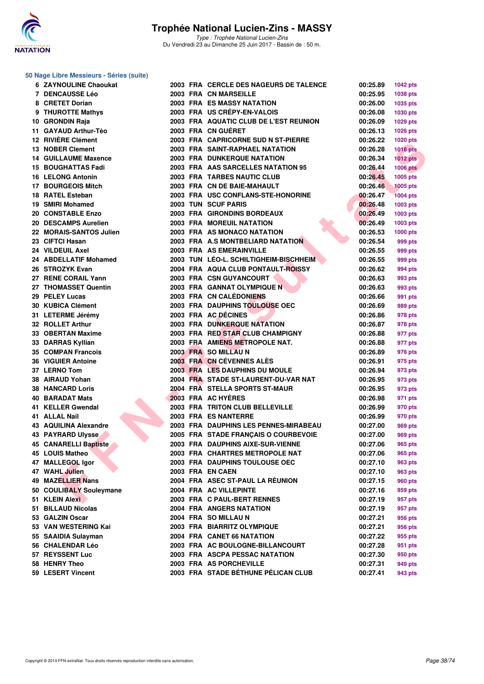

Type : Trophée National Lucien-Zins Du Vendredi 23 au Dimanche 25 Juin 2017 - Bassin de : 50 m.

#### **50 Nage Libre Messieurs - Séries (suite)**

| 6              | <b>ZAYNOULINE Chaoukat</b>                  |
|----------------|---------------------------------------------|
| $\overline{7}$ | <b>DENCAUSSE Léo</b>                        |
| 8              | <b>CRETET Dorian</b>                        |
| 9              | <b>THUROTTE Mathys</b>                      |
| 10             | <b>GRONDIN Raja</b>                         |
| 11             | <b>GAYAUD Arthur-Tèo</b>                    |
| 12             | <b>RIVIÈRE Clément</b>                      |
| 13             | <b>NOBER Clement</b>                        |
|                | <b>14 GUILLAUME Maxence</b>                 |
|                | <b>15 BOUGHATTAS Fadi</b>                   |
| 16             | <b>LELONG Antonin</b>                       |
| 17             | <b>BOURGEOIS Mitch</b>                      |
|                | <b>18 RATEL Esteban</b>                     |
|                | 19 SMIRI Mohamed                            |
|                | 20 CONSTABLE Enzo                           |
| 20             | <b>DESCAMPS Aurelien</b>                    |
| 22             | <b>MORAIS-SANTOS Julien</b>                 |
|                | 23 CIFTCI Hasan                             |
|                | 24 VILDEUIL Axel                            |
|                | 24 ABDELLATIF Mohamed                       |
|                | 26 STROZYK Evan                             |
|                | 27 RENE CORAIL Yann                         |
| 27             | <b>THOMASSET Quentin</b>                    |
|                | 29 PELEY Lucas                              |
|                | 30 KUBICA Clément                           |
|                | 31 LETERME Jérémy                           |
|                | 32 ROLLET Arthur                            |
|                | 33 OBERTAN Maxime                           |
|                | 33 DARRAS Kyllian                           |
|                | <b>35 COMPAN Francois</b>                   |
|                | 36 VIGUIER Antoine                          |
|                | 37 LERNO Tom                                |
| 38             | <b>AIRAUD Yohan</b>                         |
|                | <b>38 HANCARD Loris</b>                     |
| 40             | <b>BARADAT Mats</b>                         |
|                | 41 KELLER Gwendal                           |
|                | 41 ALLAL Nail                               |
|                | 43 AQUILINA Alexandre                       |
|                | <b>43 PAYRARD Ulysse</b>                    |
| 45             | <b>CANARELLI Baptiste</b>                   |
| 45             | <b>LOUIS Matheo</b>                         |
| 47             | <b>MALLEGOL Igor</b>                        |
| 47             | <b>WAHL Julien</b>                          |
| 49             | <b>MAZELLIER Nans</b>                       |
| 50             | <b>COULIBALY Souleymane</b>                 |
| 51             | <b>KLEIN Alexi</b>                          |
| 51             | <b>BILLAUD Nicolas</b>                      |
|                | 53 GALZIN Oscar                             |
|                | 53 VAN WESTERING Kai                        |
|                | 55 SAAIDIA Sulayman                         |
|                |                                             |
| 56             | <b>CHALENDAR Léo</b><br><b>REYSSENT Luc</b> |
| 57             |                                             |
| 58             | <b>HENRY Theo</b>                           |
|                | 59 LESERT Vincent                           |

| 6 ZAYNOULINE Chaoukat       |  | 2003 FRA CERCLE DES NAGEURS DE TALENCE | 00:25.89 | <b>1042 pts</b> |
|-----------------------------|--|----------------------------------------|----------|-----------------|
| <b>7 DENCAUSSE Léo</b>      |  | 2003 FRA CN MARSEILLE                  | 00:25.95 | 1038 pts        |
| 8 CRETET Dorian             |  | <b>2003 FRA ES MASSY NATATION</b>      | 00:26.00 | 1035 pts        |
| 9 THUROTTE Mathys           |  | 2003 FRA US CREPY-EN-VALOIS            | 00:26.08 | 1030 pts        |
| 10 GRONDIN Raja             |  | 2003 FRA AQUATIC CLUB DE L'EST REUNION | 00:26.09 | 1029 pts        |
| 11 GAYAUD Arthur-Tèo        |  | 2003 FRA CN GUÉRET                     | 00:26.13 | <b>1026 pts</b> |
| 12 RIVIÈRE Clément          |  | 2003 FRA CAPRICORNE SUD N ST-PIERRE    | 00:26.22 | <b>1020 pts</b> |
| 13 NOBER Clement            |  | 2003 FRA SAINT-RAPHAEL NATATION        | 00:26.28 | <b>1016 pts</b> |
| <b>14 GUILLAUME Maxence</b> |  | <b>2003 FRA DUNKERQUE NATATION</b>     | 00:26.34 | 1012 pts        |
| <b>15 BOUGHATTAS Fadi</b>   |  | 2003 FRA AAS SARCELLES NATATION 95     | 00:26.44 | <b>1006 pts</b> |
| <b>16 LELONG Antonin</b>    |  | 2003 FRA TARBES NAUTIC CLUB            | 00:26.45 | 1005 pts        |
| <b>17 BOURGEOIS Mitch</b>   |  | 2003 FRA CN DE BAIE-MAHAULT            | 00:26.46 | $1005$ pts      |
| 18 RATEL Esteban            |  | 2003 FRA USC CONFLANS-STE-HONORINE     | 00:26.47 | <b>1004 pts</b> |
| 19 SMIRI Mohamed            |  | 2003 TUN SCUF PARIS                    | 00:26.48 | 1003 pts        |
| <b>20 CONSTABLE Enzo</b>    |  | 2003 FRA GIRONDINS BORDEAUX            | 00:26.49 | $1003$ pts      |
| 20 DESCAMPS Aurelien        |  | <b>2003 FRA MOREUIL NATATION</b>       | 00:26.49 | 1003 pts        |
| 22 MORAIS-SANTOS Julien     |  | 2003 FRA AS MONACO NATATION            | 00:26.53 | <b>1000 pts</b> |
| 23 CIFTCI Hasan             |  | 2003 FRA A.S MONTBELIARD NATATION      | 00:26.54 | 999 pts         |
| 24 VILDEUIL Axel            |  | 2003 FRA AS EMERAINVILLE               | 00:26.55 | 999 pts         |
| 24 ABDELLATIF Mohamed       |  | 2003 TUN LEO-L. SCHILTIGHEIM-BISCHHEIM | 00:26.55 | 999 pts         |
| 26 STROZYK Evan             |  | 2004 FRA AQUA CLUB PONTAULT-ROISSY     | 00:26.62 | 994 pts         |
| 27 RENE CORAIL Yann         |  | 2003 FRA CSN GUYANCOURT                | 00:26.63 | 993 pts         |
| 27 THOMASSET Quentin        |  | 2003 FRA GANNAT OLYMPIQUE N            | 00:26.63 | 993 pts         |
| 29 PELEY Lucas              |  | 2003 FRA CN CALÉDONIENS                | 00:26.66 | 991 pts         |
| 30 KUBICA Clément           |  | 2003 FRA DAUPHINS TOULOUSE OEC         | 00:26.69 | 989 pts         |
| 31 LETERME Jérémy           |  | 2003 FRA AC DÉCINES                    | 00:26.86 | 978 pts         |
| 32 ROLLET Arthur            |  | <b>2003 FRA DUNKERQUE NATATION</b>     | 00:26.87 | 978 pts         |
| 33 OBERTAN Maxime           |  | 2003 FRA RED STAR CLUB CHAMPIGNY       | 00:26.88 | 977 pts         |
| 33 DARRAS Kyllian           |  | 2003 FRA AMIENS METROPOLE NAT.         | 00:26.88 | 977 pts         |
| 35 COMPAN Francois          |  | 2003 FRA SO MILLAU N                   | 00:26.89 | 976 pts         |
| 36 VIGUIER Antoine          |  | 2003 FRA CN CEVENNES ALES              | 00:26.91 | 975 pts         |
| 37 LERNO Tom                |  | 2003 FRA LES DAUPHINS DU MOULE         | 00:26.94 | 973 pts         |
| 38 AIRAUD Yohan             |  | 2004 FRA STADE ST-LAURENT-DU-VAR NAT   | 00:26.95 | 973 pts         |
| <b>38 HANCARD Loris</b>     |  | 2004 FRA STELLA SPORTS ST-MAUR         | 00:26.95 | 973 pts         |
| 40 BARADAT Mats             |  | 2003 FRA AC HYÈRES                     | 00:26.98 | 971 pts         |
| 41 KELLER Gwendal           |  | 2003 FRA TRITON CLUB BELLEVILLE        | 00:26.99 | 970 pts         |
| 41 ALLAL Nail               |  | 2003 FRA ES NANTERRE                   | 00:26.99 | 970 pts         |
| 43 AQUILINA Alexandre       |  | 2003 FRA DAUPHINS LES PENNES-MIRABEAU  | 00:27.00 | 969 pts         |
| <b>43 PAYRARD Ulysse</b>    |  | 2005 FRA STADE FRANÇAIS O COURBEVOIE   | 00:27.00 | 969 pts         |
| 45 CANARELLI Baptiste       |  | 2003 FRA DAUPHINS AIXE-SUR-VIENNE      | 00:27.06 | 965 pts         |
| 45 LOUIS Matheo             |  | 2003 FRA CHARTRES METROPOLE NAT        | 00:27.06 | 965 pts         |
| 47 MALLEGOL Igor            |  | 2003 FRA DAUPHINS TOULOUSE OEC         | 00:27.10 | 963 pts         |
| 47 WAHL Julien              |  | 2003 FRA EN CAEN                       | 00:27.10 | 963 pts         |
| 49 MAZELLIER Nans           |  | 2004 FRA ASEC ST-PAUL LA REUNION       | 00:27.15 | 960 pts         |
| 50 COULIBALY Souleymane     |  | 2004 FRA AC VILLEPINTE                 | 00:27.16 | 959 pts         |
| 51 KLEIN Alexi I            |  | 2003 FRA C PAUL-BERT RENNES            | 00:27.19 | 957 pts         |
| 51 BILLAUD Nicolas          |  | 2004 FRA ANGERS NATATION               | 00:27.19 | 957 pts         |
| 53 GALZIN Oscar             |  | 2004 FRA SO MILLAU N                   | 00:27.21 | 956 pts         |
| 53 VAN WESTERING Kai        |  | 2003 FRA BIARRITZ OLYMPIQUE            | 00:27.21 | 956 pts         |
| 55 SAAIDIA Sulayman         |  | 2004 FRA CANET 66 NATATION             | 00:27.22 | 955 pts         |
| 56 CHALENDAR Léo            |  | 2003 FRA AC BOULOGNE-BILLANCOURT       | 00:27.28 | 951 pts         |
| 57 REYSSENT Luc             |  | 2003 FRA ASCPA PESSAC NATATION         | 00:27.30 | 950 pts         |
| 58 HENRY Theo               |  | 2003 FRA AS PORCHEVILLE                | 00:27.31 | 949 pts         |
| 59 LESERT Vincent           |  | 2003 FRA STADE BÉTHUNE PÉLICAN CLUB    | 00:27.41 | 943 pts         |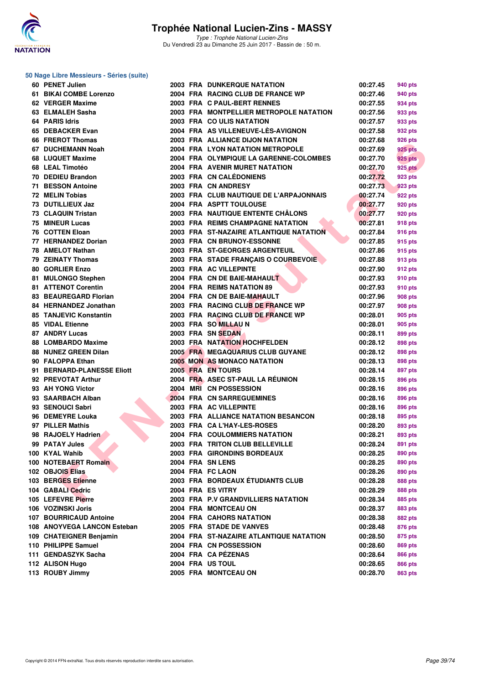

Type : Trophée National Lucien-Zins Du Vendredi 23 au Dimanche 25 Juin 2017 - Bassin de : 50 m.

#### **50 Nage Libre Messieurs - Séries (suite)**

| 60 PENET Julien             |  | <b>2003 FRA DUNKERQUE NATATION</b>      | 00:27.45 | 940 pts        |
|-----------------------------|--|-----------------------------------------|----------|----------------|
| 61 BIKAI COMBE Lorenzo      |  | 2004 FRA RACING CLUB DE FRANCE WP       | 00:27.46 | 940 pts        |
| 62 VERGER Maxime            |  | 2003 FRA C PAUL-BERT RENNES             | 00:27.55 | 934 pts        |
| 63 ELMALEH Sasha            |  | 2003 FRA MONTPELLIER METROPOLE NATATION | 00:27.56 | 933 pts        |
| 64 PARIS Idris              |  | 2003 FRA COULIS NATATION                | 00:27.57 | 933 pts        |
| 65 DEBACKER Evan            |  | 2004 FRA AS VILLENEUVE-LES-AVIGNON      | 00:27.58 | 932 pts        |
| 66 FREROT Thomas            |  | 2003 FRA ALLIANCE DIJON NATATION        | 00:27.68 | 926 pts        |
| 67 DUCHEMANN Noah           |  | 2004 FRA LYON NATATION METROPOLE        | 00:27.69 | <b>925 pts</b> |
| 68 LUQUET Maxime            |  | 2004 FRA OLYMPIQUE LA GARENNE-COLOMBES  | 00:27.70 | 925 pts        |
| 68 LEAL Timotéo             |  | 2004 FRA AVENIR MURET NATATION          | 00:27.70 | <b>925 pts</b> |
| 70 DEDIEU Brandon           |  | 2003 FRA CN CALÉDONIENS                 | 00:27.72 | 923 pts        |
| <b>71 BESSON Antoine</b>    |  | 2003 FRA CN ANDRESY                     | 00:27.73 | 923 pts        |
| 72 MELIN Tobias             |  | 2003 FRA CLUB NAUTIQUE DE L'ARPAJONNAIS | 00:27.74 | 922 pts        |
| 73 DUTILLIEUX Jaz           |  | 2004 FRA ASPTT TOULOUSE                 | 00:27.77 | 920 pts        |
| 73 CLAQUIN Tristan          |  | 2003 FRA NAUTIQUE ENTENTE CHÂLONS       | 00:27.77 | <b>920 pts</b> |
| 75 MINEUR Lucas             |  | 2003 FRA REIMS CHAMPAGNE NATATION       | 00:27.81 | 918 pts        |
| 76 COTTEN Eloan             |  | 2003 FRA ST-NAZAIRE ATLANTIQUE NATATION | 00:27.84 | 916 pts        |
| 77 HERNANDEZ Dorian         |  | 2003 FRA CN BRUNOY-ESSONNE              | 00:27.85 | 915 pts        |
| 78 AMELOT Nathan            |  | 2003 FRA ST-GEORGES ARGENTEUIL          | 00:27.86 | 915 pts        |
| <b>79 ZEINATY Thomas</b>    |  | 2003 FRA STADE FRANÇAIS O COURBEVOIE    | 00:27.88 | 913 pts        |
| 80 GORLIER Enzo             |  | 2003 FRA AC VILLEPINTE                  | 00:27.90 | 912 pts        |
| 81 MULONGO Stephen          |  | 2004 FRA CN DE BAIE-MAHAULT             | 00:27.93 | 910 pts        |
| 81 ATTENOT Corentin         |  | 2004 FRA REIMS NATATION 89              | 00:27.93 | 910 pts        |
| 83 BEAUREGARD Florian       |  | 2004 FRA CN DE BAIE-MAHAULT             | 00:27.96 | 908 pts        |
| 84 HERNANDEZ Jonathan       |  | 2003 FRA RACING CLUB DE FRANCE WP       | 00:27.97 | 908 pts        |
| 85 TANJEVIC Konstantin      |  | 2003 FRA RACING CLUB DE FRANCE WP       | 00:28.01 | 905 pts        |
| <b>85 VIDAL Etienne</b>     |  | 2003 FRA SO MILLAU N                    | 00:28.01 | 905 pts        |
| 87 ANDRY Lucas              |  | 2003 FRA SN SEDAN                       | 00:28.11 | 899 pts        |
| 88 LOMBARDO Maxime          |  | <b>2003 FRA NATATION HOCHFELDEN</b>     | 00:28.12 | 898 pts        |
| 88 NUNEZ GREEN Dilan        |  | <b>2005 FRA MEGAQUARIUS CLUB GUYANE</b> | 00:28.12 | 898 pts        |
| 90 FALOPPA Ethan            |  | <b>2005 MON AS MONACO NATATION</b>      | 00:28.13 | 898 pts        |
| 91 BERNARD-PLANESSE Eliott  |  | 2005 FRA EN TOURS                       | 00:28.14 | 897 pts        |
| 92 PREVOTAT Arthur          |  | 2004 FRA ASEC ST-PAUL LA RÉUNION        | 00:28.15 | 896 pts        |
| 93 AH YONG Victor           |  | 2004 MRI CN POSSESSION                  | 00:28.16 | 896 pts        |
| 93 SAARBACH Alban           |  | 2004 FRA CN SARREGUEMINES               | 00:28.16 | 896 pts        |
| 93 SENOUCI Sabri            |  | 2003 FRA AC VILLEPINTE                  | 00:28.16 | 896 pts        |
| 96 DEMEYRE Louka            |  | 2003 FRA ALLIANCE NATATION BESANCON     | 00:28.18 | 895 pts        |
| 97 PILLER Mathis            |  | 2003 FRA CA L'HAY-LES-ROSES             | 00:28.20 | 893 pts        |
| 98 RAJOELY Hadrien          |  | 2004 FRA COULOMMIERS NATATION           | 00:28.21 | 893 pts        |
| 99 PATAY Jules              |  | 2003 FRA TRITON CLUB BELLEVILLE         | 00:28.24 | <b>891 pts</b> |
| 100 KYAL Wahib              |  | 2003 FRA GIRONDINS BORDEAUX             | 00:28.25 | 890 pts        |
| 100 NOTEBAERT Romain        |  | 2004 FRA SN LENS                        | 00:28.25 | 890 pts        |
| 102 OBJOIS Elias            |  | 2004 FRA FC LAON                        | 00:28.26 | 890 pts        |
| 103 BERGES Etienne          |  | 2003 FRA BORDEAUX ÉTUDIANTS CLUB        | 00:28.28 | 888 pts        |
| 104 GABALI Cedric           |  | 2004 FRA ES VITRY                       | 00:28.29 | 888 pts        |
| 105 LEFEVRE Pierre          |  | 2003 FRA P.V GRANDVILLIERS NATATION     | 00:28.34 | 885 pts        |
| 106 VOZINSKI Joris          |  | 2004 FRA MONTCEAU ON                    | 00:28.37 | 883 pts        |
| 107 BOURRICAUD Antoine      |  | 2004 FRA CAHORS NATATION                | 00:28.38 | 882 pts        |
| 108 ANOYVEGA LANCON Esteban |  | 2005 FRA STADE DE VANVES                | 00:28.48 | 876 pts        |
| 109 CHATEIGNER Benjamin     |  | 2004 FRA ST-NAZAIRE ATLANTIQUE NATATION | 00:28.50 | 875 pts        |
| 110 PHILIPPE Samuel         |  | 2004 FRA CN POSSESSION                  | 00:28.60 | 869 pts        |
| 111 GENDASZYK Sacha         |  | 2004 FRA CA PÉZENAS                     | 00:28.64 | 866 pts        |
| 112 ALISON Hugo             |  | 2004 FRA US TOUL                        | 00:28.65 | 866 pts        |
| 113 ROUBY Jimmy             |  | 2005 FRA MONTCEAU ON                    | 00:28.70 | <b>863 pts</b> |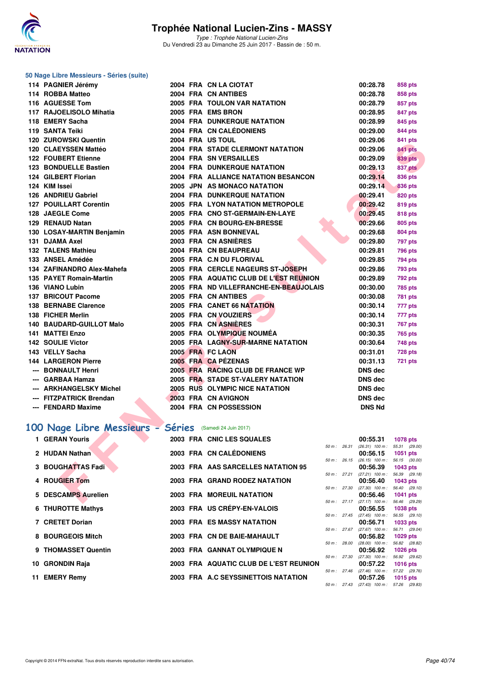

Type : Trophée National Lucien-Zins Du Vendredi 23 au Dimanche 25 Juin 2017 - Bassin de : 50 m.

#### **50 Nage Libre Messieurs - Séries (suite)**

| 114 PAGNIER Jérémy               |  | 2004 FRA CN LA CIOTAT                  |              | 00:28.78                                      | 858 pts          |
|----------------------------------|--|----------------------------------------|--------------|-----------------------------------------------|------------------|
| 114 ROBBA Matteo                 |  | 2004 FRA CN ANTIBES                    |              | 00:28.78                                      | 858 pts          |
| 116 AGUESSE Tom                  |  | 2005 FRA TOULON VAR NATATION           |              | 00:28.79                                      | 857 pts          |
| 117 RAJOELISOLO Mihatia          |  | 2005 FRA EMS BRON                      |              | 00:28.95                                      | 847 pts          |
| 118 EMERY Sacha                  |  | <b>2004 FRA DUNKERQUE NATATION</b>     |              | 00:28.99                                      | 845 pts          |
| 119 SANTA Teiki                  |  | 2004 FRA CN CALÉDONIENS                |              | 00:29.00                                      | 844 pts          |
| <b>120 ZUROWSKI Quentin</b>      |  | 2004 FRA US TOUL                       |              | 00:29.06                                      | 841 pts          |
| 120 CLAEYSSEN Mattéo             |  | 2004 FRA STADE CLERMONT NATATION       |              | 00:29.06                                      | <b>841 pts</b>   |
| <b>122 FOUBERT Etienne</b>       |  | 2004 FRA SN VERSAILLES                 |              | 00:29.09                                      | <b>839 pts</b>   |
| 123 BONDUELLE Bastien            |  | 2004 FRA DUNKERQUE NATATION            |              | 00:29.13                                      | 837 pts          |
| 124 GILBERT Florian              |  | 2004 FRA ALLIANCE NATATION BESANCON    |              | 00:29.14                                      | <b>836 pts</b>   |
| 124 KIM Issei                    |  | 2005 JPN AS MONACO NATATION            |              | 00:29.14                                      | <b>836 pts</b>   |
| 126 ANDRIEU Gabriel              |  | 2004 FRA DUNKERQUE NATATION            |              | 00:29.41                                      | 820 pts          |
| <b>127 POUILLART Corentin</b>    |  | 2005 FRA LYON NATATION METROPOLE       |              | 00:29.42                                      | 819 pts          |
| 128 JAEGLE Come                  |  | 2005 FRA CNO ST-GERMAIN-EN-LAYE        |              | 00:29.45                                      | <b>818 pts</b>   |
| 129 RENAUD Natan                 |  | 2005 FRA CN BOURG-EN-BRESSE            |              | 00:29.66                                      | 805 pts          |
| 130 LOSAY-MARTIN Benjamin        |  | 2005 FRA ASN BONNEVAL                  |              | 00:29.68                                      | <b>804 pts</b>   |
| 131 DJAMA Axel                   |  | 2003 FRA CN ASNIERES                   |              | 00:29.80                                      | 797 pts          |
| 132 TALENS Mathieu               |  | 2004 FRA CN BEAUPREAU                  |              | 00:29.81                                      | <b>796 pts</b>   |
| 133 ANSEL Amédée                 |  | 2005 FRA C.N DU FLORIVAL               |              | 00:29.85                                      | 794 pts          |
| 134 ZAFINANDRO Alex-Mahefa       |  | 2005 FRA CERCLE NAGEURS ST-JOSEPH      |              | 00:29.86                                      | 793 pts          |
| 135 PAYET Romain-Martin          |  | 2005 FRA AQUATIC CLUB DE L'EST REUNION |              | 00:29.89                                      | 792 pts          |
| 136 VIANO Lubin                  |  | 2005 FRA ND VILLEFRANCHE-EN-BEAUJOLAIS |              | 00:30.00                                      | <b>785 pts</b>   |
| 137 BRICOUT Pacome               |  | 2005 FRA CN ANTIBES                    |              | 00:30.08                                      | <b>781 pts</b>   |
| <b>138 BERNABE Clarence</b>      |  | 2005 FRA CANET 66 NATATION             |              | 00:30.14                                      | 777 pts          |
| 138 FICHER Merlin                |  | 2005 FRA CN VOUZIERS                   |              | 00:30.14                                      | 777 pts          |
| <b>140 BAUDARD-GUILLOT Malo</b>  |  | 2005 FRA CN ASNIERES                   |              | 00:30.31                                      | <b>767 pts</b>   |
| <b>141 MATTEI Enzo</b>           |  | 2005 FRA OLYMPIQUE NOUMÉA              |              | 00:30.35                                      | <b>765 pts</b>   |
| <b>142 SOULIE Victor</b>         |  | 2005 FRA LAGNY-SUR-MARNE NATATION      |              | 00:30.64                                      | 748 pts          |
| 143 VELLY Sacha                  |  | 2005 FRA FC LAON                       |              | 00:31.01                                      | 728 pts          |
| <b>144 LARGERON Pierre</b>       |  | 2005 FRA CA PÉZENAS                    |              | 00:31.13                                      | <b>721 pts</b>   |
| --- BONNAULT Henri               |  | 2005 FRA RACING CLUB DE FRANCE WP      |              | DNS dec                                       |                  |
| --- GARBAA Hamza                 |  | 2005 FRA STADE ST-VALERY NATATION      |              | <b>DNS dec</b>                                |                  |
| --- ARKHANGELSKY Michel          |  | <b>2005 RUS OLYMPIC NICE NATATION</b>  |              | <b>DNS dec</b>                                |                  |
| --- FITZPATRICK Brendan          |  | 2003 FRA CN AVIGNON                    |              | <b>DNS dec</b>                                |                  |
| --- FENDARD Maxime               |  | 2004 FRA CN POSSESSION                 |              | <b>DNS Nd</b>                                 |                  |
|                                  |  |                                        |              |                                               |                  |
| 00 Nage Libre Messieurs - Séries |  | (Samedi 24 Juin 2017)                  |              |                                               |                  |
| 1 GERAN Youris                   |  | 2003 FRA CNIC LES SQUALES              |              | 00:55.31                                      | 1078 pts         |
|                                  |  |                                        | 50 m: 26.31  | $(26.31)$ 100 m : 55.31 $(29.00)$             |                  |
| 2 HUDAN Nathan                   |  | 2003 FRA CN CALÉDONIENS                | 50 m: 26.15  | 00:56.15<br>$(26.15)$ 100 m : 56.15 $(30.00)$ | 1051 pts         |
| 3 BOUGHATTAS Fadi                |  | 2003 FRA AAS SARCELLES NATATION 95     |              | 00:56.39                                      | 1043 pts         |
|                                  |  |                                        | 50 m: 27.21  | $(27.21)$ 100 m :                             | 56.39<br>(29.18) |
| 4 ROUGIER Tom                    |  | 2003 FRA GRAND RODEZ NATATION          | 50 m : 27.30 | 00:56.40<br>$(27.30)$ 100 m : 56.40 $(29.10)$ | <b>1043 pts</b>  |
| 5 DESCAMPS Aurelien              |  | <b>2003 FRA MOREUIL NATATION</b>       |              | 00:56.46                                      | 1041 pts         |
|                                  |  |                                        |              | 50 m: 27.17 (27.17) 100 m: 56.46 (29.29)      |                  |

# **[100 Nage Libre Messieurs - Séries](http://www.ffnatation.fr/webffn/resultats.php?idact=nat&go=epr&idcpt=47287&idepr=52)** (Samedi 24 Juin 2017)

| 1 GERAN Youris           |  | 2003 FRA CNIC LES SQUALES              |             | 00:55.31          | <b>1078 pts</b> |
|--------------------------|--|----------------------------------------|-------------|-------------------|-----------------|
|                          |  |                                        | 50 m: 26.31 | $(26.31)$ 100 m : | 55.31 (29.00    |
| 2 HUDAN Nathan           |  | 2003 FRA CN CALÉDONIENS                |             | 00:56.15          | $1051$ pts      |
|                          |  |                                        | 50 m: 26.15 | $(26.15)$ 100 m : | 56.15 (30.00    |
| 3 BOUGHATTAS Fadi        |  | 2003 FRA AAS SARCELLES NATATION 95     |             | 00:56.39          | 1043 pts        |
|                          |  |                                        | 50 m: 27.21 | $(27.21)$ 100 m : | 56.39 (29.18    |
| 4 ROUGIER Tom            |  | 2003 FRA GRAND RODEZ NATATION          |             | 00:56.40          | 1043 pts        |
|                          |  |                                        | 50 m: 27.30 | $(27.30)$ 100 m : | 56.40 (29.10)   |
| 5 DESCAMPS Aurelien      |  | <b>2003 FRA MOREUIL NATATION</b>       |             | 00:56.46          | 1041 pts        |
|                          |  |                                        | 50 m: 27.17 | $(27.17)$ 100 m : | 56.46 (29.29)   |
| <b>6 THUROTTE Mathys</b> |  | 2003 FRA US CRÉPY-EN-VALOIS            |             | 00:56.55          | 1038 pts        |
|                          |  |                                        | 50 m: 27.45 | $(27.45)$ 100 m : | 56.55 (29.10    |
| 7 CRETET Dorian          |  | <b>2003 FRA ES MASSY NATATION</b>      |             | 00:56.71          | <b>1033 pts</b> |
|                          |  |                                        | 50 m: 27.67 | $(27.67)$ 100 m : | 56.71 (29.04)   |
| 8 BOURGEOIS Mitch        |  | 2003 FRA CN DE BAIE-MAHAULT            |             | 00:56.82          | $1029$ pts      |
|                          |  |                                        | 50 m: 28.00 | $(28.00)$ 100 m : | 56.82 (28.82)   |
| 9 THOMASSET Quentin      |  | 2003 FRA GANNAT OLYMPIQUE N            |             | 00:56.92          | $1026$ pts      |
|                          |  | 2003 FRA AQUATIC CLUB DE L'EST REUNION | 50 m: 27.30 | $(27.30)$ 100 m : | 56.92 (29.62)   |
| 10 GRONDIN Raja          |  |                                        |             | 00:57.22          | $1016$ pts      |
|                          |  | 2003 FRA A.C SEYSSINETTOIS NATATION    | 50 m: 27.46 | $(27.46)$ 100 m : | 57.22 (29.76    |
| 11 EMERY Remy            |  |                                        |             | 00:57.26          | 1015 $pts$      |

50 m : 27.43 (27.43) 100 m : 57.26 (29.83)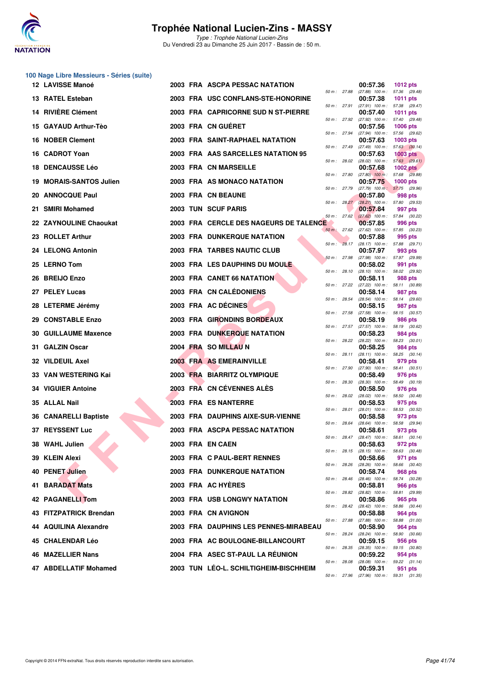

| 100 Nage Libre Messieurs - Séries (suite) |  |                                        |                        |              |                                                      |                 |
|-------------------------------------------|--|----------------------------------------|------------------------|--------------|------------------------------------------------------|-----------------|
| 12 LAVISSE Manoé                          |  | 2003 FRA ASCPA PESSAC NATATION         | 50 m : 27.88           |              | 00:57.36<br>(27.88) 100 m: 57.36 (29.48)             | <b>1012 pts</b> |
| 13 RATEL Esteban                          |  | 2003 FRA USC CONFLANS-STE-HONORINE     |                        |              | 00:57.38<br>50 m: 27.91 (27.91) 100 m: 57.38 (29.47) | <b>1011 pts</b> |
| <b>14 RIVIÈRE Clément</b>                 |  | 2003 FRA CAPRICORNE SUD N ST-PIERRE    |                        |              | 00:57.40                                             | <b>1011 pts</b> |
| 15 GAYAUD Arthur-Tèo                      |  | 2003 FRA CN GUÉRET                     | 50 m: 27.92            |              | (27.92) 100 m: 57.40 (29.48)<br>00:57.56             | <b>1006 pts</b> |
| 16 NOBER Clement                          |  | 2003 FRA SAINT-RAPHAEL NATATION        | 50 m : 27.94           |              | (27.94) 100 m: 57.56 (29.62)<br>00:57.63             | 1003 pts        |
| 16 CADROT Yoan                            |  | 2003 FRA AAS SARCELLES NATATION 95     | 50 m : 27.49           |              | $(27.49)$ 100 m : 57.63 $(30.14)$<br>00:57.63        | 1003 pts        |
| <b>18 DENCAUSSE Léo</b>                   |  | 2003 FRA CN MARSEILLE                  | 50 m : 28.02           |              | $(28.02)$ 100 m : 57.63 $(29.61)$<br>00:57.68        | <b>1002 pts</b> |
| 19 MORAIS-SANTOS Julien                   |  | 2003 FRA AS MONACO NATATION            | 50 m : 27.80           |              | $(27.80)$ 100 m : 57.68 $(29.88)$<br>00:57.75        | $1000$ pts      |
| <b>20 ANNOCQUE Paul</b>                   |  | 2003 FRA CN BEAUNE                     | 50 m : 27.79           |              | (27.79) 100 m: 57.75 (29.96)<br>00:57.80             | 998 pts         |
| 21 SMIRI Mohamed                          |  | 2003 TUN SCUF PARIS                    | 50 m: 28.27            |              | $(28.27)$ 100 m : 57.80 $(29.53)$<br>00:57.84        | 997 pts         |
| 22 ZAYNOULINE Chaoukat                    |  | 2003 FRA CERCLE DES NAGEURS DE TALENCE | 50 m: 27.62            |              | $(27.62)$ 100 m : 57.84 $(30.22)$                    |                 |
|                                           |  |                                        | 50 m: 27.62            |              | 00:57.85<br>$(27.62)$ 100 m : 57.85 $(30.23)$        | 996 pts         |
| 23 ROLLET Arthur                          |  | <b>2003 FRA DUNKERQUE NATATION</b>     | $50 \text{ m}$ : 28.17 |              | 00:57.88<br>$(28.17)$ 100 m : 57.88 $(29.71)$        | 995 pts         |
| 24 LELONG Antonin                         |  | 2003 FRA TARBES NAUTIC CLUB            | 50 m: 27.98            |              | 00:57.97<br>(27.98) 100 m: 57.97 (29.99)             | 993 pts         |
| 25 LERNO Tom                              |  | 2003 FRA LES DAUPHINS DU MOULE         |                        | 50 m : 28.10 | 00:58.02<br>$(28.10)$ 100 m : 58.02 $(29.92)$        | 991 pts         |
| 26 BREIJO Enzo                            |  | 2003 FRA CANET 66 NATATION             |                        |              | 00:58.11<br>50 m: 27.22 (27.22) 100 m: 58.11 (30.89) | 988 pts         |
| 27 PELEY Lucas                            |  | 2003 FRA CN CALÉDONIENS                | 50 m : 28.54           |              | 00:58.14<br>$(28.54)$ 100 m : 58.14 $(29.60)$        | 987 pts         |
| 28 LETERME Jérémy                         |  | 2003 FRA AC DÉCINES                    | 50 m : 27.58           |              | 00:58.15                                             | 987 pts         |
| 29 CONSTABLE Enzo                         |  | 2003 FRA GIRONDINS BORDEAUX            |                        |              | (27.58) 100 m: 58.15 (30.57)<br>00:58.19             | 986 pts         |
| <b>30 GUILLAUME Maxence</b>               |  | <b>2003 FRA DUNKERQUE NATATION</b>     | 50 m: 27.57            |              | (27.57) 100 m: 58.19 (30.62)<br>00:58.23             | 984 pts         |
| 31 GALZIN Oscar                           |  | 2004 FRA SO MILLAU N                   |                        | 50 m : 28.22 | $(28.22)$ 100 m : 58.23 $(30.01)$<br>00:58.25        | 984 pts         |
| 32 VILDEUIL Axel                          |  | 2003 FRA AS EMERAINVILLE               | 50 m : 28.11           |              | $(28.11)$ 100 m : 58.25 $(30.14)$<br>00:58.41        | 979 pts         |
| 33 VAN WESTERING Kai                      |  | 2003 FRA BIARRITZ OLYMPIQUE            | 50 m : 27.90           |              | $(27.90)$ 100 m : 58.41 $(30.51)$<br>00:58.49        | 976 pts         |
| <b>34 VIGUIER Antoine</b>                 |  | 2003 FRA CN CÉVENNES ALES              | 50 m: 28.30            |              | $(28.30)$ 100 m : 58.49 $(30.19)$<br>00:58.50        | 976 pts         |
| 35 ALLAL Nail                             |  | 2003 FRA ES NANTERRE                   | 50 m : 28.02           |              | $(28.02)$ 100 m : 58.50 $(30.48)$<br>00:58.53        | 975 pts         |
| <b>36 CANARELLI Baptiste</b>              |  | 2003 FRA DAUPHINS AIXE-SUR-VIENNE      | 50 m : 28.01           |              | $(28.01)$ 100 m : 58.53 $(30.52)$<br>00:58.58        | 973 pts         |
| 37 REYSSENT Luc                           |  | 2003 FRA ASCPA PESSAC NATATION         | 50 m : 28.64           |              | (28.64) 100 m: 58.58 (29.94)<br>00:58.61             | 973 pts         |
|                                           |  |                                        |                        |              | 50 m: 28.47 (28.47) 100 m: 58.61 (30.14)             |                 |
| 38 WAHL Julien                            |  | 2003 FRA EN CAEN                       |                        |              | 00:58.63<br>50 m: 28.15 (28.15) 100 m: 58.63 (30.48) | 972 pts         |
| 39 KLEIN Alexi                            |  | 2003 FRA C PAUL-BERT RENNES            | 50 m : 28.26           |              | 00:58.66<br>$(28.26)$ 100 m : 58.66 $(30.40)$        | 971 pts         |
| 40 PENET Julien                           |  | <b>2003 FRA DUNKERQUE NATATION</b>     | 50 m: 28.46            |              | 00:58.74<br>(28.46) 100 m: 58.74 (30.28)             | 968 pts         |
| 41 BARADAT Mats                           |  | 2003 FRA AC HYÈRES                     | 50 m : 28.82           |              | 00:58.81<br>(28.82) 100 m : 58.81 (29.99)            | 966 pts         |
| 42 PAGANELLI Tom                          |  | <b>2003 FRA USB LONGWY NATATION</b>    | 50 m : 28.42           |              | 00:58.86<br>(28.42) 100 m: 58.86 (30.44)             | 965 pts         |
| 43 FITZPATRICK Brendan                    |  | 2003 FRA CN AVIGNON                    | 50 m : 27.88           |              | 00:58.88<br>$(27.88)$ 100 m : 58.88 $(31.00)$        | 964 pts         |
| 44 AQUILINA Alexandre                     |  | 2003 FRA DAUPHINS LES PENNES-MIRABEAU  | 50 m : 28.24           |              | 00:58.90<br>$(28.24)$ 100 m : 58.90 $(30.66)$        | 964 pts         |
| 45 CHALENDAR Léo                          |  | 2003 FRA AC BOULOGNE-BILLANCOURT       |                        |              | 00:59.15                                             | 956 pts         |
| 46 MAZELLIER Nans                         |  | 2004 FRA ASEC ST-PAUL LA REUNION       | 50 m : 28.35           |              | (28.35) 100 m: 59.15 (30.80)<br>00:59.22             | 954 pts         |
| 47 ABDELLATIF Mohamed                     |  | 2003 TUN LEO-L. SCHILTIGHEIM-BISCHHEIM | 50 m: 28.08            |              | $(28.08)$ 100 m : 59.22 $(31.14)$<br>00:59.31        | 951 pts         |
|                                           |  |                                        |                        |              | 50 m: 27.96 (27.96) 100 m: 59.31 (31.35)             |                 |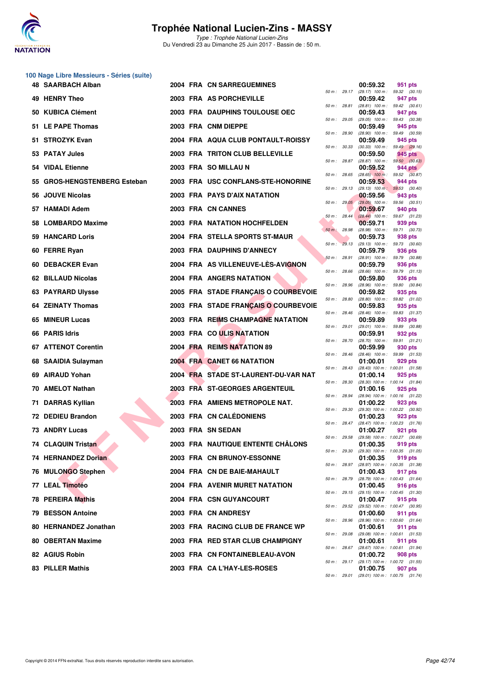

|     | 100 Nage Libre Messieurs - Séries (suite) |  |                                       |                |              |                                                 |                |  |
|-----|-------------------------------------------|--|---------------------------------------|----------------|--------------|-------------------------------------------------|----------------|--|
|     | 48 SAARBACH Alban                         |  | 2004 FRA CN SARREGUEMINES             |                | 50 m : 29.17 | 00:59.32<br>$(29.17)$ 100 m : 59.32 $(30.15)$   | 951 pts        |  |
|     | 49 HENRY Theo                             |  | 2003 FRA AS PORCHEVILLE               | 50 m : 28.81   |              | 00:59.42<br>$(28.81)$ 100 m : 59.42 $(30.61)$   | 947 pts        |  |
|     | 50 KUBICA Clément                         |  | 2003 FRA DAUPHINS TOULOUSE OEC        | $50 m$ : 29.05 |              | 00:59.43<br>(29.05) 100 m: 59.43 (30.38)        | 947 pts        |  |
|     | 51 LE PAPE Thomas                         |  | 2003 FRA CNM DIEPPE                   |                |              | 00:59.49                                        | 945 pts        |  |
|     | 51 STROZYK Evan                           |  | 2004 FRA AQUA CLUB PONTAULT-ROISSY    | 50 m: 28.90    |              | (28.90) 100 m: 59.49 (30.59)<br>00:59.49        | 945 pts        |  |
|     | 53 PATAY Jules                            |  | 2003 FRA TRITON CLUB BELLEVILLE       | 50 m: 30.33    |              | $(30.33)$ 100 m : 59.49 $(29.16)$<br>00:59.50   | 945 pts        |  |
|     | 54 VIDAL Etienne                          |  | 2003 FRA SO MILLAU N                  | 50 m : 28.87   |              | $(28.87)$ 100 m : 59.50 $(30.63)$<br>00:59.52   | <b>944 pts</b> |  |
|     | 55 GROS-HENGSTENBERG Esteban              |  | 2003 FRA USC CONFLANS-STE-HONORINE    | 50 m : 28.65   |              | $(28.65)$ 100 m : 59.52 $(30.87)$<br>00:59.53   | 944 pts        |  |
|     | 56 JOUVE Nicolas                          |  | 2003 FRA PAYS D'AIX NATATION          | 50 m : 29.13   |              | $(29.13)$ 100 m; 59.53 $(30.40)$<br>00:59.56    | 943 pts        |  |
|     | 57 HAMADI Adem                            |  | 2003 FRA CN CANNES                    | $50 m$ : 29.05 |              | $(29.05)$ 100 m : 59.56 $(30.51)$<br>00:59.67   | 940 pts        |  |
|     | 58 LOMBARDO Maxime                        |  | <b>2003 FRA NATATION HOCHFELDEN</b>   | 50 m: 28.44    |              | $(28.44)$ 100 m : 59.67 $(31.23)$<br>00:59.71   | 939 pts        |  |
| 59. | <b>HANCARD Loris</b>                      |  | 2004 FRA STELLA SPORTS ST-MAUR        | 50 m : 28.98   |              | (28.98) 100 m: 59.71 (30.73)<br>00:59.73        | 938 pts        |  |
|     | 60 FERRE Ryan                             |  | 2003 FRA DAUPHINS D'ANNECY            | 50 m: 29.13    |              | $(29.13)$ 100 m : 59.73 $(30.60)$<br>00:59.79   | 936 pts        |  |
|     | 60 DEBACKER Evan                          |  | 2004 FRA AS VILLENEUVE-LES-AVIGNON    | 50 m: 28.91    |              | (28.91) 100 m: 59.79 (30.88)<br>00:59.79        | 936 pts        |  |
|     | 62 BILLAUD Nicolas                        |  | 2004 FRA ANGERS NATATION              | 50 m : 28.66   |              | (28.66) 100 m: 59.79 (31.13)<br>00:59.80        | 936 pts        |  |
|     | 63 PAYRARD Ulysse                         |  | 2005 FRA STADE FRANCAIS O COURBEVOIE  | 50 m: 28.96    |              | (28.96) 100 m: 59.80 (30.84)<br>00:59.82        | 935 pts        |  |
|     | <b>64 ZEINATY Thomas</b>                  |  | 2003 FRA STADE FRANÇAIS O COURBEVOIE  | 50 m: 28.80    |              | $(28.80)$ 100 m : 59.82 $(31.02)$<br>00:59.83   | 935 pts        |  |
|     | 65 MINEUR Lucas                           |  | 2003 FRA REIMS CHAMPAGNE NATATION     | 50 m: 28.46    |              | (28.46) 100 m: 59.83 (31.37)<br>00:59.89        | 933 pts        |  |
|     | 66 PARIS Idris                            |  | 2003 FRA COULIS NATATION              | 50 m: 29.01    |              | (29.01) 100 m: 59.89 (30.88)<br>00:59.91        | 932 pts        |  |
|     | 67 ATTENOT Corentin                       |  | 2004 FRA REIMS NATATION 89            | 50 m : 28.70   |              | $(28.70)$ 100 m : 59.91 $(31.21)$<br>00:59.99   | 930 pts        |  |
|     | 68 SAAIDIA Sulayman                       |  | 2004 FRA CANET 66 NATATION            | 50 m: 28.46    |              | (28.46) 100 m: 59.99 (31.53)<br>01:00.01        | 929 pts        |  |
|     | 69 AIRAUD Yohan                           |  | 2004 FRA STADE ST-LAURENT-DU-VAR NAT  | 50 m: 28.43    |              | $(28.43)$ 100 m : 1:00.01 $(31.58)$<br>01:00.14 | 925 pts        |  |
|     | 70 AMELOT Nathan                          |  | <b>2003 FRA ST-GEORGES ARGENTEUIL</b> | 50 m: 28.30    |              | (28.30) 100 m: 1:00.14 (31.84)                  |                |  |
|     |                                           |  |                                       | 50 m : 28.94   |              | 01:00.16<br>(28.94) 100 m: 1:00.16 (31.22)      | 925 pts        |  |
| 71  | <b>DARRAS Kyllian</b>                     |  | 2003 FRA AMIENS METROPOLE NAT.        | 50 m: 29.30    |              | 01:00.22<br>(29.30) 100 m: 1:00.22 (30.92)      | 923 pts        |  |
|     | 72 DEDIEU Brandon                         |  | 2003 FRA CN CALEDONIENS               | 50 m : 28.47   |              | 01:00.23<br>(28.47) 100 m : 1:00.23 (31.76)     | 923 pts        |  |
|     | 73 ANDRY Lucas                            |  | 2003 FRA SN SEDAN                     | 50 m : 29.58   |              | 01:00.27<br>(29.58) 100 m: 1:00.27 (30.69)      | 921 pts        |  |
|     | 74 CLAQUIN Tristan                        |  | 2003 FRA NAUTIQUE ENTENTE CHÂLONS     | 50 m : 29.30   |              | 01:00.35<br>$(29.30)$ 100 m : 1:00.35 $(31.05)$ | 919 pts        |  |
|     | 74 HERNANDEZ Dorian                       |  | 2003 FRA CN BRUNOY-ESSONNE            | 50 m: 28.97    |              | 01:00.35<br>(28.97) 100 m: 1:00.35 (31.38)      | 919 pts        |  |
|     | 76 MULONGO Stephen                        |  | 2004 FRA CN DE BAIE-MAHAULT           | 50 m : 28.79   |              | 01:00.43<br>(28.79) 100 m: 1:00.43 (31.64)      | 917 pts        |  |
|     | 77 LEAL Timotéo                           |  | 2004 FRA AVENIR MURET NATATION        | 50 m : 29.15   |              | 01:00.45<br>$(29.15)$ 100 m : 1:00.45 $(31.30)$ | 916 pts        |  |
|     | 78 PEREIRA Mathis                         |  | 2004 FRA CSN GUYANCOURT               | 50 m : 29.52   |              | 01:00.47<br>(29.52) 100 m: 1:00.47 (30.95)      | 915 pts        |  |
|     | 79 BESSON Antoine                         |  | 2003 FRA CN ANDRESY                   | 50 m : 28.96   |              | 01:00.60<br>$(28.96)$ 100 m : 1:00.60 $(31.64)$ | 911 pts        |  |
|     | 80 HERNANDEZ Jonathan                     |  | 2003 FRA RACING CLUB DE FRANCE WP     | 50 m : 29.08   |              | 01:00.61<br>(29.08) 100 m : 1:00.61 (31.53)     | 911 pts        |  |
|     | 80 OBERTAN Maxime                         |  | 2003 FRA RED STAR CLUB CHAMPIGNY      | 50 m : 28.67   |              | 01:00.61<br>(28.67) 100 m: 1:00.61 (31.94)      | 911 pts        |  |
|     | 82 AGIUS Robin                            |  | 2003 FRA CN FONTAINEBLEAU-AVON        | 50 m : 29.17   |              | 01:00.72<br>(29.17) 100 m: 1:00.72 (31.55)      | 908 pts        |  |
|     | 83 PILLER Mathis                          |  | 2003 FRA CA L'HAY-LES-ROSES           |                |              | 01:00.75                                        | 907 pts        |  |

|          |       | 00:59.32                      | 951 pts                   |                |
|----------|-------|-------------------------------|---------------------------|----------------|
| 50 m:    | 29.17 | $(29.17)$ 100 m :             | 59.32                     | (30.15)        |
| $50 m$ : | 28.81 | 00:59.42<br>$(28.81)$ 100 m : | 947 pts<br>59.42          | (30.61)        |
|          |       | 00:59.43                      | 947 pts                   |                |
| $50 m$ : | 29.05 | $(29.05)$ 100 m :<br>00:59.49 | 59.43<br>945 pts          | (30.38)        |
| $50 m$ : | 28.90 | $(28.90)$ 100 m :             | 59.49                     | (30.59)        |
| $50 m$ : | 30.33 | 00:59.49<br>$(30.33)$ 100 m : | 945 pts<br>59.49 (29.16)  |                |
|          |       | 00:59.50                      | 945 pts                   |                |
| $50 m$ : | 28.87 | $(28.87)$ 100 m :             | 59.50                     | (30.63)        |
| $50 m$ : | 28.65 | 00:59.52<br>$(28.65)$ 100 m : | <b>944 pts</b><br>59.52   | (30.87)        |
|          |       | 00:59.53                      | 944 pts                   |                |
| $50 m$ : | 29.13 | $(29.13)$ 100 m;<br>00:59.56  | 59.53<br>943 pts          | (30.40)        |
| 50 m :   | 29.05 | $(29.05)$ 100 m :             | 59.56                     | (30.51)        |
| $50 m$ : | 28.44 | 00:59.67<br>$(28.44)$ 100 m : | 940 pts<br>59.67          | (31.23)        |
|          |       | 00:59.71                      | 939 pts                   |                |
| $50 m$ : | 28.98 | $(28.98)$ 100 m :             | 59.71                     | (30.73)        |
| 50 m :   | 29.13 | 00:59.73<br>$(29.13)$ 100 m : | 938 pts<br>59.73          | (30.60)        |
|          |       | 00:59.79                      | 936 pts                   |                |
| $50 m$ : | 28.91 | $(28.91)$ 100 m :<br>00:59.79 | 59.79<br>936 pts          | (30.88)        |
| $50 m$ : | 28.66 | $(28.66)$ 100 m :             | 59.79                     | (31.13)        |
| $50 m$ : | 28.96 | 00:59.80<br>$(28.96)$ 100 m : | 936 pts<br>59.80          | (30.84)        |
|          |       | 00:59.82                      | 935 pts                   |                |
| $50 m$ : | 28.80 | $(28.80)$ 100 m :             | 59.82                     | (31.02)        |
| $50 m$ : | 28.46 | 00:59.83<br>$(28.46)$ 100 m : | 935 pts<br>59.83          | (31.37)        |
|          |       | 00:59.89                      | 933 pts                   |                |
| $50 m$ : | 29.01 | $(29.01)$ 100 m :<br>00:59.91 | 59.89<br>932 pts          | (30.88)        |
| $50 m$ : | 28.70 | $(28.70)$ 100 m :             | 59.91                     | (31.21)        |
| 50 m :   | 28.46 | 00:59.99<br>$(28.46)$ 100 m : | 930 pts<br>59.99          | (31.53)        |
|          |       | 01:00.01                      | 929 pts                   |                |
| 50 m :   | 28.43 | $(28.43) 100 m$ :             | 1:00.01<br>925 pts        | (31.58)        |
| $50 m$ : | 28.30 | 01:00.14<br>(28.30) 100 m :   | 1:00.14                   | (31.84)        |
|          |       | 01:00.16                      | 925 pts                   |                |
| 50 m :   | 28.94 | $(28.94) 100 m$ :<br>01:00.22 | 1:00.16<br>923 pts        | (31.22)        |
| $50 m$ : | 29.30 | (29.30) 100 m :               | 1:00.22                   | (30.92)        |
| $50 m$ : | 28.47 | 01:00.23<br>$(28.47)$ 100 m : | 923 pts<br>1:00.23        | (31.76)        |
|          |       | 01:00.27                      | 921 pts                   |                |
| 50 m :   | 29.58 | (29.58) 100 m :<br>01:00.35   | 1:00.27<br>919 pts        | (30.69)        |
| 50 m :   | 29.30 | (29.30) 100 m :               | 1:00.35                   | (31.05)        |
| $50 m$ : | 28.97 | 01:00.35<br>(28.97) 100 m :   | 919 pts<br>1:00.35        | (31.38)        |
|          |       | 01:00.43                      | 917 pts                   |                |
| $50 m$ : | 28.79 | (28.79) 100 m :               | 1:00.43                   | (31.64)        |
| $50 m$ : | 29.15 | 01:00.45<br>(29.15) 100 m :   | 916 pts<br>1:00.45        | (31.30)        |
|          |       | 01:00.47                      | 915 pts                   |                |
| $50 m$ : | 29.52 | (29.52) 100 m :<br>01:00.60   | 1:00.47<br>911            | (30.95)<br>pts |
| $50 m$ : | 28.96 | (28.96) 100 m :               | 1:00.60                   | (31.64)        |
| $50 m$ : | 29.08 | 01:00.61<br>(29.08) 100 m :   | 911<br>1:00.61            | pts<br>(31.53) |
|          |       | 01:00.61                      | 911                       | pts            |
| $50 m$ : | 28.67 | (28.67) 100 m :               | 1:00.61                   | (31.94)        |
| $50 m$ : | 29.17 | 01:00.72<br>$(29.17) 100 m$ : | <b>908 pts</b><br>1:00.72 | (31.55)        |
|          |       | 01:00.75                      | 907 pts                   |                |
| $50 m$ : | 29.01 | (29.01) 100 m :               | 1:00.75                   | (31.74)        |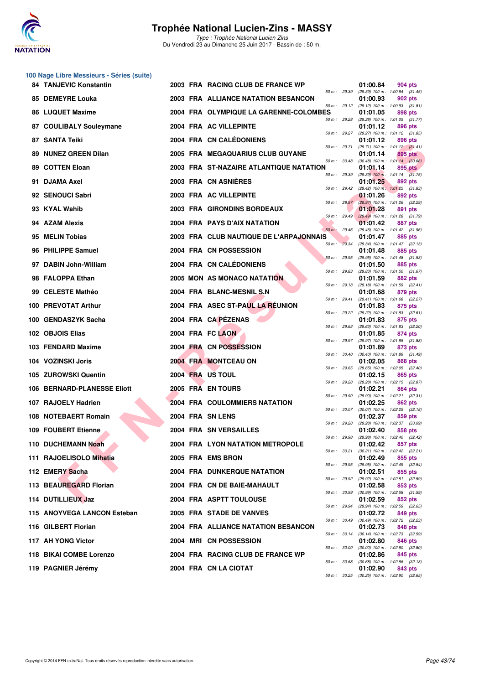

|    | 100 Nage Libre Messieurs - Séries (suite) |  |                                         |                              |          |                                                       |
|----|-------------------------------------------|--|-----------------------------------------|------------------------------|----------|-------------------------------------------------------|
|    | <b>84 TANJEVIC Konstantin</b>             |  | 2003 FRA RACING CLUB DE FRANCE WP       | 50 m : 29.39                 | 01:00.84 | 904 pts<br>(29.39) 100 m: 1:00.84 (31.45)             |
|    | 85 DEMEYRE Louka                          |  | 2003 FRA ALLIANCE NATATION BESANCON     |                              | 01:00.93 | 902 pts<br>50 m: 29.12 (29.12) 100 m: 1:00.93 (31.81) |
|    | 86 LUQUET Maxime                          |  | 2004 FRA OLYMPIQUE LA GARENNE-COLOMBES  | 50 m: 29.28                  | 01:01.05 | 898 pts<br>(29.28) 100 m: 1:01.05 (31.77)             |
|    | 87 COULIBALY Souleymane                   |  | 2004 FRA AC VILLEPINTE                  | 50 m: 29.27                  | 01:01.12 | 896 pts                                               |
|    | 87 SANTA Teiki                            |  | 2004 FRA CN CALÉDONIENS                 |                              | 01:01.12 | (29.27) 100 m: 1:01.12 (31.85)<br>896 pts             |
|    | 89 NUNEZ GREEN Dilan                      |  | 2005 FRA MEGAQUARIUS CLUB GUYANE        | 50 m : 29.71                 | 01:01.14 | $(29.71)$ 100 m : 1:01.12 $(31.41)$<br>895 pts        |
|    | 89 COTTEN Eloan                           |  | 2003 FRA ST-NAZAIRE ATLANTIQUE NATATION | 50 m : 30.48                 | 01:01.14 | $(30.48)$ 100 m : 1:01.14 $(30.66)$<br>895 pts        |
|    | 91 DJAMA Axel                             |  | 2003 FRA CN ASNIERES                    | 50 m : 29.39                 | 01:01.25 | $(29.39)$ 100 m : 1:01.14 $(31.75)$<br>892 pts        |
|    | 92 SENOUCI Sabri                          |  | 2003 FRA AC VILLEPINTE                  | 50 m : 29.42                 | 01:01.26 | (29.42) 100 m: 1:01.25 (31.83)<br>892 pts             |
|    | 93 KYAL Wahib                             |  | 2003 FRA GIRONDINS BORDEAUX             | 50 m : 28.97                 | 01:01.28 | (28.97) 100 m : 1:01.26 (32.29)<br>891 pts            |
|    | 94 AZAM Alexis                            |  | 2004 FRA PAYS D'AIX NATATION            | 50 m : 29.49                 | 01:01.42 | $(29.49)$ 100 m : 1:01.28 $(31.79)$<br>887 pts        |
| 95 | MELIN Tobias                              |  | 2003 FRA CLUB NAUTIQUE DE L'ARPAJONNAIS | 50 m: 29.46                  | 01:01.47 | (29.46) 100 m: 1:01.42 (31.96)<br>885 pts             |
|    | 96 PHILIPPE Samuel                        |  | 2004 FRA CN POSSESSION                  | 50 m: 29.34                  | 01:01.48 | (29.34) 100 m: 1:01.47 (32.13)<br>885 pts             |
|    | 97 DABIN John-William                     |  | 2004 FRA CN CALÉDONIENS                 | 50 m: 29.95                  | 01:01.50 | (29.95) 100 m: 1:01.48 (31.53)<br>885 pts             |
|    | 98 FALOPPA Ethan                          |  | <b>2005 MON AS MONACO NATATION</b>      | 50 m : 29.83                 | 01:01.59 | (29.83) 100 m: 1:01.50 (31.67)<br>882 pts             |
|    | 99 CELESTE Mathéo                         |  | 2004 FRA BLANC-MESNIL S.N.              | 50 m: 29.18                  | 01:01.68 | (29.18) 100 m: 1:01.59 (32.41)<br>879 pts             |
|    | 100 PREVOTAT Arthur                       |  | 2004 FRA ASEC ST-PAUL LA REUNION        | 50 m : 29.41                 | 01:01.83 | (29.41) 100 m: 1:01.68 (32.27)<br>875 pts             |
|    | 100 GENDASZYK Sacha                       |  | 2004 FRA CAPÉZENAS                      | 50 m: 29.22                  | 01:01.83 | (29.22) 100 m: 1:01.83 (32.61)<br>875 pts             |
|    | 102 OBJOIS Elias                          |  | 2004 FRA FC LAON                        | 50 m: 29.63                  | 01:01.85 | (29.63) 100 m: 1:01.83 (32.20)<br>874 pts             |
|    | 103 FENDARD Maxime                        |  | 2004 FRA CN POSSESSION                  | 50 m : 29.97                 | 01:01.89 | (29.97) 100 m: 1:01.85 (31.88)<br>873 pts             |
|    | 104 VOZINSKI Joris                        |  | 2004 FRA MONTCEAU ON                    | 50 m : 30.40                 | 01:02.05 | (30.40) 100 m: 1:01.89 (31.49)<br>868 pts             |
|    | 105 ZUROWSKI Quentin                      |  | 2004 FRA US TOUL                        | 50 m : 29.65                 | 01:02.15 | $(29.65)$ 100 m : 1:02.05 $(32.40)$<br>865 pts        |
|    | <b>106 BERNARD-PLANESSE Eliott</b>        |  | 2005 FRA EN TOURS                       | 50 m : 29.28                 | 01:02.21 | (29.28) 100 m: 1:02.15 (32.87)                        |
|    |                                           |  |                                         | 50 m: 29.90                  |          | 864 pts<br>(29.90) 100 m: 1:02.21 (32.31)             |
|    | 107 RAJOELY Hadrien                       |  | <b>2004 FRA COULOMMIERS NATATION</b>    | 50 m : 30.07                 | 01:02.25 | 862 pts<br>(30.07) 100 m: 1:02.25 (32.18)             |
|    | 108 NOTEBAERT Romain                      |  | 2004 FRA SN LENS                        | 50 m: 29.28                  | 01:02.37 | 859 pts<br>(29.28) 100 m: 1:02.37 (33.09)             |
|    | 109 FOUBERT Etienne                       |  | 2004 FRA SN VERSAILLES                  | 50 m : 29.98                 | 01:02.40 | 858 pts<br>(29.98) 100 m: 1:02.40 (32.42)             |
|    | 110 DUCHEMANN Noah                        |  | 2004 FRA LYON NATATION METROPOLE        | 50 m : 30.21                 | 01:02.42 | 857 pts<br>$(30.21)$ 100 m : 1:02.42 $(32.21)$        |
|    | 111 RAJOELISOLO Mihatia                   |  | 2005 FRA EMS BRON                       | 50 m : 29.95                 | 01:02.49 | 855 pts<br>(29.95) 100 m: 1:02.49 (32.54)             |
|    | 112 EMERY Sacha                           |  | <b>2004 FRA DUNKERQUE NATATION</b>      | 50 m : 29.92                 | 01:02.51 | 855 pts<br>(29.92) 100 m: 1:02.51 (32.59)             |
|    | 113 BEAUREGARD Florian                    |  | 2004 FRA CN DE BAIE-MAHAULT             | 50 m : 30.99                 | 01:02.58 | 853 pts<br>$(30.99)$ 100 m : 1:02.58 $(31.59)$        |
|    | 114 DUTILLIEUX Jaz                        |  | 2004 FRA ASPTT TOULOUSE                 | 50 m : 29.94                 | 01:02.59 | 852 pts<br>(29.94) 100 m: 1:02.59 (32.65)             |
|    | 115 ANOYVEGA LANCON Esteban               |  | 2005 FRA STADE DE VANVES                |                              | 01:02.72 | 849 pts                                               |
|    | 116 GILBERT Florian                       |  | 2004 FRA ALLIANCE NATATION BESANCON     | 50 m : 30.49<br>50 m : 30.14 | 01:02.73 | (30.49) 100 m : 1:02.72 (32.23)<br>848 pts            |
|    | 117 AH YONG Victor                        |  | 2004 MRI CN POSSESSION                  |                              | 01:02.80 | (30.14) 100 m : 1:02.73 (32.59)<br>846 pts            |
|    | 118 BIKAI COMBE Lorenzo                   |  | 2004 FRA RACING CLUB DE FRANCE WP       | 50 m : 30.00                 | 01:02.86 | $(30.00)$ 100 m : 1:02.80 $(32.80)$<br>845 pts        |
|    | 119 PAGNIER Jérémy                        |  | 2004 FRA CN LA CIOTAT                   | 50 m : 30.68                 | 01:02.90 | $(30.68)$ 100 m : 1:02.86 $(32.18)$<br>843 pts        |
|    |                                           |  |                                         |                              |          | 50 m: 30.25 (30.25) 100 m: 1:02.90 (32.65)            |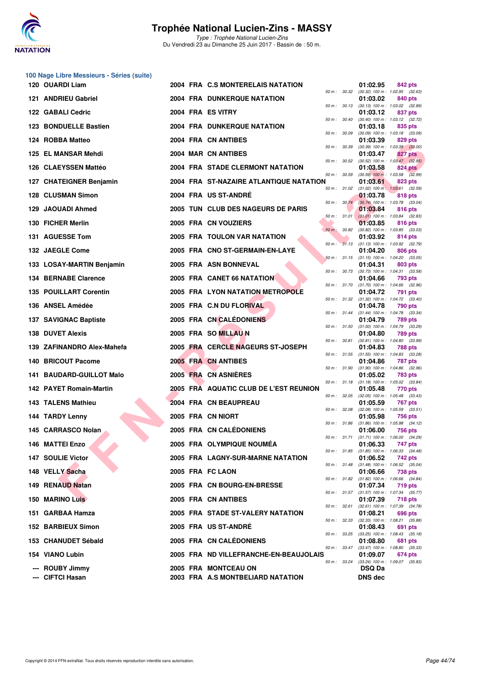

| 100 Nage Libre Messieurs - Séries (suite) |  |                                         |              |       |                |                                                              |  |
|-------------------------------------------|--|-----------------------------------------|--------------|-------|----------------|--------------------------------------------------------------|--|
| 120 OUARDI Liam                           |  | 2004 FRA C.S MONTERELAIS NATATION       | 50 m : 30.32 |       | 01:02.95       | 842 pts<br>$(30.32)$ 100 m : 1:02.95 $(32.63)$               |  |
| 121 ANDRIEU Gabriel                       |  | 2004 FRA DUNKERQUE NATATION             | 50 m : 30.13 |       | 01:03.02       | 840 pts<br>$(30.13)$ 100 m : 1:03.02 $(32.89)$               |  |
| 122 GABALI Cedric                         |  | 2004 FRA ES VITRY                       | 50 m: 30.40  |       | 01:03.12       | 837 pts                                                      |  |
| 123 BONDUELLE Bastien                     |  | <b>2004 FRA DUNKERQUE NATATION</b>      |              |       | 01:03.18       | (30.40) 100 m : 1:03.12 (32.72)<br>835 pts                   |  |
| 124 ROBBA Matteo                          |  | 2004 FRA CN ANTIBES                     | 50 m : 30.09 |       | 01:03.39       | (30.09) 100 m: 1:03.18 (33.09)<br>829 pts                    |  |
| <b>125 EL MANSAR Mehdi</b>                |  | 2004 MAR CN ANTIBES                     | 50 m : 30.39 |       | 01:03.47       | $(30.39)$ 100 m : 1:03.39 $(33.00)$<br>827 pts               |  |
| 126 CLAEYSSEN Mattéo                      |  | <b>2004 FRA STADE CLERMONT NATATION</b> | 50 m: 30.52  |       | 01:03.58       | $(30.52)$ 100 m : 1:03.47 $(32.95)$<br><b>824 pts</b>        |  |
| 127 CHATEIGNER Benjamin                   |  | 2004 FRA ST-NAZAIRE ATLANTIQUE NATATION | 50 m : 30.59 |       | 01:03.61       | $(30.59)$ 100 m : 1:03.58 $(32.99)$<br>823 pts               |  |
| <b>128 CLUSMAN Simon</b>                  |  | 2004 FRA US ST-ANDRE                    | 50 m : 31.02 |       | 01:03.78       | $(31.02)$ 100 m : 1:03.61 $(32.59)$<br>818 pts               |  |
| 129 JAOUADI Ahmed                         |  | 2005 TUN CLUB DES NAGEURS DE PARIS      | 50 m: 30.74  |       | 01:03.84       | (30.74) 100 m : 1:03.78 (33.04)<br>816 pts                   |  |
|                                           |  |                                         | 50 m: 31.01  |       |                | $(31.01)$ 100 m : 1:03.84 $(32.83)$                          |  |
| 130 FICHER Merlin                         |  | 2005 FRA CN VOUZIERS                    | $50 m$ :     | 30.82 | 01:03.85       | 816 pts<br>(30.82) 100 m: 1:03.85 (33.03)                    |  |
| 131 AGUESSE Tom                           |  | <b>2005 FRA TOULON VAR NATATION</b>     | 50 m: 31.13  |       | 01:03.92       | 814 pts<br>$(31.13)$ 100 m : 1:03.92 $(32.79)$               |  |
| 132 JAEGLE Come                           |  | 2005 FRA CNO ST-GERMAIN-EN-LAYE         |              |       | 01:04.20       | 806 pts<br>50 m: 31.15 (31.15) 100 m: 1:04.20 (33.05)        |  |
| 133 LOSAY-MARTIN Benjamin                 |  | 2005 FRA ASN BONNEVAL                   | 50 m : 30.73 |       | 01:04.31       | 803 pts<br>$(30.73)$ 100 m : 1:04.31 $(33.58)$               |  |
| <b>134 BERNABE Clarence</b>               |  | 2005 FRA CANET 66 NATATION              | 50 m : 31.70 |       | 01:04.66       | 793 pts                                                      |  |
| <b>135 POUILLART Corentin</b>             |  | 2005 FRA LYON NATATION METROPOLE        |              |       | 01:04.72       | $(31.70)$ 100 m : 1:04.66 $(32.96)$<br>791 pts               |  |
| 136 ANSEL Amédée                          |  | 2005 FRA C.N DU FLORIVAL                | 50 m : 31.32 |       | 01:04.78       | $(31.32)$ 100 m : 1:04.72 $(33.40)$<br>790 pts               |  |
| 137 SAVIGNAC Baptiste                     |  | 2005 FRA CN CALEDONIENS                 | 50 m : 31.44 |       | 01:04.79       | (31.44) 100 m: 1:04.78 (33.34)<br>789 pts                    |  |
| <b>138 DUVET Alexis</b>                   |  | 2005 FRA SO MILLAU N                    | 50 m : 31.50 |       | 01:04.80       | (31.50) 100 m: 1:04.79 (33.29)<br>789 pts                    |  |
| 139 ZAFINANDRO Alex-Mahefa                |  | 2005 FRA CERCLE NAGEURS ST-JOSEPH       | 50 m : 30.81 |       | 01:04.83       | $(30.81)$ 100 m : 1:04.80 $(33.99)$<br><b>788 pts</b>        |  |
| 140 BRICOUT Pacome                        |  | 2005 FRA CN ANTIBES                     | 50 m : 31.55 |       | 01:04.86       | $(31.55)$ 100 m : 1:04.83 $(33.28)$<br>787 pts               |  |
|                                           |  |                                         | 50 m : 31.90 |       |                | $(31.90)$ 100 m : 1:04.86 $(32.96)$                          |  |
| 141 BAUDARD-GUILLOT Malo                  |  | 2005 FRA CN ASNIERES                    | 50 m: 31.18  |       | 01:05.02       | 783 pts<br>$(31.18)$ 100 m : 1:05.02 $(33.84)$               |  |
| 142 PAYET Romain-Martin                   |  | 2005 FRA AQUATIC CLUB DE L'EST REUNION  | 50 m: 32.05  |       | 01:05.48       | 770 pts<br>(32.05) 100 m: 1:05.48 (33.43)                    |  |
| 143 TALENS Mathieu                        |  | 2004 FRA CN BEAUPREAU                   | 50 m : 32.08 |       | 01:05.59       | 767 pts<br>$(32.08)$ 100 m : 1:05.59 $(33.51)$               |  |
| 144 TARDY Lenny                           |  | 2005 FRA CN NIORT                       | 50 m : 31.86 |       | 01:05.98       | 756 pts<br>$(31.86)$ 100 m : 1:05.98 $(34.12)$               |  |
| 145 CARRASCO Nolan                        |  | 2005 FRA CN CALÉDONIENS                 |              |       | 01:06.00       | 756 pts                                                      |  |
| 146 MATTEI Enzo                           |  | 2005 FRA OLYMPIQUE NOUMÉA               |              |       | 01:06.33       | 50 m : 31.71 (31.71) 100 m : 1:06.00 (34.29)<br>747 pts      |  |
| 147 SOULIE Victor                         |  | 2005 FRA LAGNY-SUR-MARNE NATATION       |              |       | 01:06.52       | 50 m: 31.85 (31.85) 100 m: 1:06.33 (34.48)<br>742 pts        |  |
| 148 VELLY Sacha                           |  | 2005 FRA FC LAON                        | 50 m : 31.48 |       | 01:06.66       | $(31.48)$ 100 m : 1:06.52 $(35.04)$<br>738 pts               |  |
| 149 RENAUD Natan                          |  | 2005 FRA CN BOURG-EN-BRESSE             |              |       | 01:07.34       | 50 m: 31.82 (31.82) 100 m: 1:06.66 (34.84)<br>719 pts        |  |
| <b>150 MARINO Luis</b>                    |  | 2005 FRA CN ANTIBES                     |              |       | 01:07.39       | 50 m: 31.57 (31.57) 100 m: 1:07.34 (35.77)<br><b>718 pts</b> |  |
|                                           |  |                                         | 50 m : 32.61 |       |                | (32.61) 100 m: 1:07.39 (34.78)                               |  |
| 151 GARBAA Hamza                          |  | 2005 FRA STADE ST-VALERY NATATION       | 50 m : 32.33 |       | 01:08.21       | 696 pts<br>$(32.33)$ 100 m : 1:08.21 $(35.88)$               |  |
| 152 BARBIEUX Simon                        |  | 2005 FRA US ST-ANDRE                    | 50 m : 33.25 |       | 01:08.43       | 691 pts<br>(33.25) 100 m: 1:08.43 (35.18)                    |  |
| 153 CHANUDET Sébald                       |  | 2005 FRA CN CALÉDONIENS                 | 50 m : 33.47 |       | 01:08.80       | 681 pts<br>$(33.47)$ 100 m : 1:08.80 $(35.33)$               |  |
| 154 VIANO Lubin                           |  | 2005 FRA ND VILLEFRANCHE-EN-BEAUJOLAIS  | 50 m : 33.24 |       | 01:09.07       | 674 pts<br>(33.24) 100 m: 1:09.07 (35.83)                    |  |
| --- ROUBY Jimmy                           |  | 2005 FRA MONTCEAU ON                    |              |       | <b>DSQ Da</b>  |                                                              |  |
| --- CIFTCI Hasan                          |  | 2003 FRA A.S MONTBELIARD NATATION       |              |       | <b>DNS</b> dec |                                                              |  |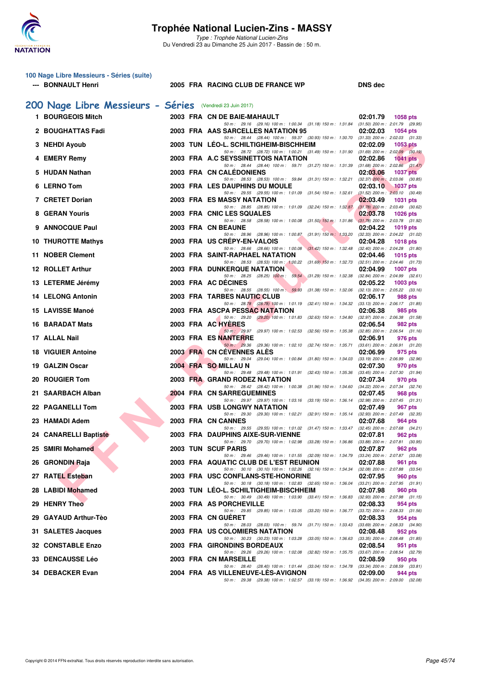

Type : Trophée National Lucien-Zins Du Vendredi 23 au Dimanche 25 Juin 2017 - Bassin de : 50 m.

| 100 Nage Libre Messieurs - Séries (suite) |  |
|-------------------------------------------|--|
| --- BONNAULT Henri                        |  |

#### 2005 FRA RACING CLUB DE FRANCE WP DNS dec

#### **EN Quadre Trainer and Conservation Conservation Conservation Conservation Conservation Conservation Conservation Conservation Conservation Conservation Conservation Conservation Conservation Conservation Conservation Con [200 Nage Libre Messieurs - Séries](http://www.ffnatation.fr/webffn/resultats.php?idact=nat&go=epr&idcpt=47287&idepr=53)** (Vendredi 23 Juin 2017) **1 BOURGEOIS Mitch** 2003 FRA CN DE BAIE-MAHAULT 2003 2:01.79 1058 pts<br>  $\frac{50 \text{ m} \div 29.16}{50 \text{ m} \times 29.16}$   $\frac{29.16}{100 \text{ m} \times 100.34}$   $\frac{(31.18) \cdot 150 \text{ m} \div 1.31.84}{(31.18) \cdot 150 \text{ m} \times 1.31.84}$   $\frac{(31.50) \cdot 200 \text{ m$ 50 m : 29.16 (29.16) 100 m : 1:00.34 (31.18) 150 m : 1:31.84 (31.50) 200 m : 2:01.79 (29.9.<br>SARCELLES NATATION 95 02:02.03 1054 pts **2 BOUGHATTAS Fadi** 2003 FRA AAS SARCELLES NATATION 95 02:02.03 1054 pts 02:02.03 1054 pts 02:02.03 1054 pts  $50 \text{ m}$ : 28.44 (28.44)  $100 \text{ m}$ :  $59.37$  (30.93)  $150 \text{ m}$ :  $1:30.70$ **3 NEHDI Ayoub 2003 TUN LÉO-L. SCHILTIGHEIM-BISCHHEIM 02:02.09 1053 pts** 50 m : 28.72 (28.72) 100 m : 1:00.21 (31.49) 150 m : 1:31.90 (31.69) 200 m : 2:02.09 (30.19) **4 EMERY Remy** 2003 FRA A.C SEYSSINETTOIS NATATION 202:02.86 1041 pts<br>  $\frac{50 \text{ m} \div 28.44}{50 \text{ m} \div 28.44}$   $\frac{(28.44) \text{ 100 \text{ m} \div 59.71}}{(31.27) \text{ 150 \text{ m} \div 1.31.39}}$   $\frac{(31.68) \text{ 200 \text{ m} \div 202.86}}{(31.47) \text{ m} \div 200$ 50 m : 28.44 (28.44) 100 m : 59.71 (31.27) 150 m : 1:31.39 **5 HUDAN Nathan 2003 FRA CN CALÉDONIENS 02:03.06 1037 pts** 50 m : 28.53 (28.53) 100 m : 59.84 (31.31) 150 m : 1:32.21 (32.37) 200 m : 2:03.06 (30.85) **6 LERNO Tom 2003 FRA LES DAUPHINS DU MOULE 02:03.10 1037 pts** 50 m : 29.55 (29.55) 100 m : 1:01.09 (31.54) 150 m : 1:32.61 (31.52) 200 m : 2:03.10 (30.49) **7 CRETET Dorian** 2003 FRA ES MASSY NATATION **02:03.49** 1031 pts<br>
<sup>50 m</sup>: 28.85 (28.85) 100 m; 1:01.09 (32.24) 150 m; 1:32.87 (31.78) 200 m; 2:03.49 (30.62)  $50 \text{ m}$  : 28.85 (28.85)  $100 \text{ m}$  :  $1:01.09$  (32.24)  $150 \text{ m}$  :  $1:32.87$ **8 GERAN Youris** 2003 FRA CNIC LES SQUALES 2009 150 m: 1:00.08 (31.50) 150 m; 1:31.86 (31.78) 200 m: 2:03.78 1026 pts 50 m : 28.58 (28.58) 100 m : 1:00.08 (31.50) 150 m : 1:31.86 **9 ANNOCQUE Paul 2003 FRA CN BEAUNE 02:04.22 1019 pts**<br>
50 m: 28.96 (28.96) 100 m: 1:00.87 (31.91) 150 m: 1:33.20 (32.33) 200 m: 2:04.22 (31.02) 28.96 (28.96) 100 m : 1:00.87 (31.91) 150 m : 1:33.20 **10 THUROTTE Mathys 1018 pts 2003 FRA US CRÉPY-EN-VALOIS 102:04.28 1018 pts 1018 pts 1018 pts 1018 pts 1018 pts 1018 pts 1018 pts 1018 pts 1018 pts 1018 pts 1018 pts 1018 pts 1018 pt 1018**  $50 m$  :  $28.66$  (28.66)  $100 m$  :  $1:00.08$ **11 NOBER Clement** 2003 FRA SAINT-RAPHAEL NATATION 02:04.46 1015 pts<br>
<sup>50 m:</sup> 28.53 (28.53) 100 m: 1:00.22 (31.69) 150 m: 1:02.73 (32.51) 200 m: 2:04.46 (31.73) 50 m : 28.53 (28.53) 100 m : 1:00.22 (31.69) 150 m : 1:32.73 **12 ROLLET Arthur 12 ROLLET Arthur 12 COO3 FRA DUNKERQUE NATATION 129.94 129.99 1007 pts** *59.54* **129.99 129.99 129.99 129.99 129.99 129.99 129.99 129.99 129.99 129.99 12.94.99 12.951 12.** 50 m : 28.25 (28.25) 100 m : 59.54 (31.29) 150 m : 1:32.38 (32.84) 200 m : 2:04.99 (32.6<br>**ÉCINES** 02:05.22 1003 pts **13 LETERME Jérémy 13 LETERME 1998 2003 FRA AC DÉCINES 02:05.22 1003 pts 02:05.22 1003 pts 02:05.22 1003 pts** 50 m : 28.55 (28.55) 100 m : 59.93 (31.38) 150 m : 1:32.06 (32.13) 200 m : 2:05.22 (33.16) **14 LELONG Antonin 14 LELONG Antonin 1.988 pts 14 LELONG Antonin 1.988 pts 14 LELONG Antonin 1.988 pts 14 LELONG 20:06.17 988 pts 14 LELONG 20:06.17 988 pts 14 LELONG 20:06.17 150 Bigger 1.** 50 m : 28.78 (28.78) 100 m : 1:01.19 (32.41) 150 m : 1:34.32 **15 LAVISSE Manoé 2003 FRA ASCPA PESSAC NATATION 02:06.38 985 pts** 50 m : 29.20 (29.20) 100 m : 1:01.83 (32.63) 150 m : 1:34.80 (32.97) 200 m : 2:06.38 (31.58)<br>**YÈRES** 02:06.54 982 pts **16 BARADAT Mats 2003 FRA AC HYÈRES 02:06.54 982 pts** 50 m: 2.00.57 (32.56) 150 m : 1.35.38 (32.85) 200 m : 2.06.54 (31.16) in the St. 35.38 (32.85) 2:06.91 **17 ALLAL Nail** 976 pts<br>**2003 FRA ES NANTERRE** 29.36 (29.36) 100 m : 1:02.10 (32.74) 150 m : 1:35.71 (33.61) 200 m : 2:06.91 (31.20) 50 m : 29.36 (29.36) 100 m : 1:02.10 (32.74) 150 m : 1:35.71 (33.61) 200 m : 2:06.91 (31.20)<br>ÉVENNES ALÈS (02:06.99 975 pts **18 VIGUIER Antoine 2003 FRA CN CÉVENNES ALÈS 18 VIGUIER Antoine 92:06.99** 50 m : 29.04 (29.04) 100 m : 1:00.84 (31.80) 150 m : 1:34.03 (33.19) 200 m : 2:06.99 (32.96) **19 GALZIN Oscar 2004 FRA SO MILLAU N 02:07.30 970 pts** 50 m : 29.48 (29.48) 100 m : 1:01.91 (32.43) 150 m : 1:35.36 (33.45) 200 m : 2:07.30 (31.94) **20 ROUGIER Tom** 2003 FRA GRAND RODEZ NATATION 202:07.34 970 pts 2013 **PRA GRAND RODEZ NATATION** 202.54 2007 **02:07.34 970** pts  $50 \text{ m}$  :  $28.42$   $(28.42)$   $100 \text{ m}$  :  $1:00.38$   $(31.96)$   $150 \text{ m}$  :  $1:34.60$ **21 SAARBACH Alban** 2004 FRA CN SARREGUEMINES 02:07.45 **968 pts**<br> **2004 FRA CN SARREGUEMINES** 29.97 (29.97) 100 m: 103.16 (33.19) 150 m: 106.14 (32.98) 200 m: 20745 (313 50 m : 29.97 (29.97) 100 m : 1:03.16 (33.19) 150 m : 1:36.14 (32.98) 200 m : 2:07.45 (31.31) **22 PAGANELLI Tom** 2003 FRA USB LONGWY NATATION 02:07.49 967 pts<br>  $\frac{50 \text{ m} \cdot 29.30 \text{ (29.30) } 100 \text{ m} \cdot 1.02.21 \text{ (32.91) } 150 \text{ m} \cdot 1.35.14 \text{ (32.83) } 200 \text{ m} \cdot 2.07.49} = 22.367 \text{ m}$ 50 m : 29.30 (29.30) 100 m : 1:02.21 (32.91) 150 m : 1:35.14 **23 HAMADI Adem 2003 FRA CN CANNES 02:07.68 964 pts** 50 m : 29.55 (29.55) 100 m : 1:01.02 (31.47) 150 m : 1:33.47 (32.45) 200 m : 2:07.68 (34.21) **24 CANARELLI Baptiste 2003 FRA DAUPHINS AIXE-SUR-VIENNE 02:07.81 962 pts**<br>  $50 \text{ m}$ : 29.70 (29.70) 100 m: 1:02.98 (33.28) 150 m: 1:36.86 (33.88) 200 m: 2.07.81 (30.9 50 m : 29.70 (29.70) 100 m : 1:02.98 (33.28) 150 m : 1:36.86 (33.88) 200 m : 2:07.81 (30.95) **25 SMIRI Mohamed 2003 TUN SCUF PARIS 02:07.87 02:07.87 02:07.87 04:07:07 2003 TUN SCUF PARIS** *02:046 20.46 20.46 20.46 20.46 20.46 20.46 20.46 20.46 20.46 20.46 20.*  $(32.09)$  150 m : 1:34.79 **26 GRONDIN Raja** 2003 FRA AQUATIC CLUB DE L'EST REUNION 02:07.88 961 pts<br>
<sup>50 m:</sup> 30.10 (30.10) 100 m: 1:02.26 (32.16) 150 m: 1:03.44 (32.08) 200 m: 2:07.88 (33.54) 50 m : 30.10 (30.10) 100 m : 1:02.26 (32.16) 150 m : 1:34.34 **27 RATEL Esteban** 2003 FRA USC CONFLANS-STE-HONORINE 02:07.95 960 pts<br>  $\frac{50 \text{ m} \cdot 30.18 \cdot (30.18) \cdot (90.18) \cdot (90.18) \cdot (90.18) \cdot (100 \text{ m} \cdot 1.02.83 \cdot (32.65) \cdot 150 \text{ m} \cdot 1.36.04 \cdot (33.21) \cdot 200 \text{ m} \cdot 2.07.95 \cdot (31.91) \cdot (31$ 50 m : 30.18 (30.18) 100 m : 1:02.83 (32.65) 150 m : 1:36.04 **28 LABIDI Mohamed** 2003 TUN LÉO-L. SCHILTIGHEIM-BISCHHEIM 22:07.98 960 pts<br><sup>50 m: 30.49</sup> 100 m: 103.90 13.41) 150 m: 108.89 12.89 12.89 13.99 13.15 (20.7.98 11.15)  $(30.49)$  100 m : 1:03.90  $(33.41)$  150 m : 1:36.83

50 m : 29.85 (29.85) 100 m : 1:03.05 (33.20) 150 m : 1:36.77 (33.72) 200 m : 2:08.33 (31.56)

50 m : 29.26 (29.26) 100 m : 1:02.08 (32.82) 150 m : 1:35.75

50 m : 28.40 (28.40) 100 m : 1:01.44 (33.04) 150 m : 1:34.78

50 m : 28.03 (28.03) 100 m : 59.74 (31.71) 150 m : 1:33.43 (33.69) 200 m : 2:08.33 (34.90)<br>**OLOMIERS NATATION** 02:08.48 952 pts

50 m : 30.23 (30.23) 100 m : 1:03.28 (33.05) 150 m : 1:36.63 (33.35) 200 m : 2:08.48 (31.8<br>**NDINS BORDEAUX** 02:08.54 951 pts

50 m : 29.38 (29.38) 100 m : 1:02.57 (33.19) 150 m : 1:36.92 (34.35) 200 m : 2:09.00 (32.08)

- **29 HENRY Theo** 2003 FRA AS PORCHEVILLE 2003 **FRA AS PORCHEVILLE** 2005 100 m i 1:03.05 (33.20) 150 m i 1:36.77 (33.72) 200 m i 2:08.33 (31.56)
- **29 GAYAUD Arthur-Tèo 2003 FRA CN GUÉRET 02:08.33 954 pts**
- **31 SALETES Jacques** 2003 FRA US COLOMIERS NATATION 202:08.48 952 pts<br><sup>50 m:</sup> 30.23 100 m: 103.28 100 m: 103.28 13.05) 150 m: 106.83 13.35) 200 m: 208.48 13.85)
- **32 CONSTABLE Enzo 2003 FRA GIRONDINS BORDEAUX 02:08.54 051 pts 2026 951 pts 50 m**: 2003 **cg 32.86 100 m**: 1:02.08 **(32.82**) 150 m: 1:02.08 **(32.82**) 150 m: 1:03.75 **(33.67) 200 m: 2:08.54 (32.79**)
- **33 DENCAUSSE Léo** 2003 FRA CN MARSEILLE 28.40 100 m: 1:01.44 (33.04) 150 m: 1:34.78 (33.34) 200 m: 2:08.59 950 pts
- **34 DEBACKER Evan 2004 FRA AS VILLENEUVE-LÈS-AVIGNON 02:09.00 944 pts**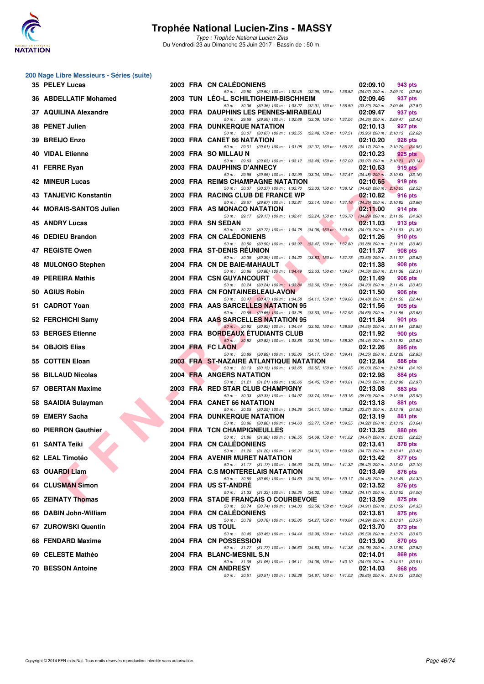

Type : Trophée National Lucien-Zins Du Vendredi 23 au Dimanche 25 Juin 2017 - Bassin de : 50 m.

### **200 Nage Libre Messieurs - Séries (suite)**

| 35 PELEY Lucas              |  | 2003 FRA CN CALEDONIENS                                                                                                             | 02:09.10<br>943 pts                                                            |  |
|-----------------------------|--|-------------------------------------------------------------------------------------------------------------------------------------|--------------------------------------------------------------------------------|--|
| 36 ABDELLATIF Mohamed       |  | 50 m: 29.50 (29.50) 100 m: 1:02.45 (32.95) 150 m: 1:36.52 (34.07) 200 m: 2:09.10 (32.58)<br>2003 TUN LEO-L. SCHILTIGHEIM-BISCHHEIM  | 02:09.46<br>937 pts                                                            |  |
| 37 AQUILINA Alexandre       |  | 50 m: 30.36 (30.36) 100 m: 1:03.27 (32.91) 150 m: 1:36.59 (33.32) 200 m: 2:09.46 (32.87)<br>2003 FRA DAUPHINS LES PENNES-MIRABEAU   | 02:09.47<br>937 pts                                                            |  |
| 38 PENET Julien             |  | 50 m: 29.59 (29.59) 100 m: 1:02.68 (33.09) 150 m: 1:37.04 (34.36) 200 m: 2:09.47 (32.43)<br>2003 FRA DUNKERQUE NATATION             | 02:10.13<br>927 pts                                                            |  |
| 39 BREIJO Enzo              |  | 50 m: 30.07 (30.07) 100 m: 1:03.55 (33.48) 150 m: 1:37.51 (33.96) 200 m: 2:10.13 (32.62)<br>2003 FRA CANET 66 NATATION              | 02:10.20<br>926 pts                                                            |  |
| 40 VIDAL Etienne            |  | 50 m: 29.01 (29.01) 100 m: 1:01.08 (32.07) 150 m: 1:35.25 (34.17) 200 m: 2:10.20 (34.95)<br>2003 FRA SO MILLAU N                    | 02:10.23<br>925 pts                                                            |  |
| 41 FERRE Ryan               |  | 50 m: 29.63 (29.63) 100 m: 1:03.12 (33.49) 150 m: 1:37.09 (33.97) 200 m: 2:10.23 (33.14)<br>2003 FRA DAUPHINS D'ANNECY              | 02:10.63<br>919 pts                                                            |  |
| 42 MINEUR Lucas             |  | 50 m: 29.95 (29.95) 100 m: 1:02.99 (33.04) 150 m: 1:37.47 (34.48) 200 m: 2:10.63 (33.16)<br>2003 FRA REIMS CHAMPAGNE NATATION       | 02:10.65<br>919 pts                                                            |  |
| 43 TANJEVIC Konstantin      |  | 50 m: 30.37 (30.37) 100 m: 1:03.70 (33.33) 150 m: 1:38.12 (34.42) 200 m: 2:10.65 (32.53)<br>2003 FRA RACING CLUB DE FRANCE WP       | 02:10.82<br>916 pts                                                            |  |
| <b>MORAIS-SANTOS Julien</b> |  | 50 m: 29.67 (29.67) 100 m: 1:02.81 (33.14) 150 m: 1:37.16 (34.35) 200 m: 2:10.82 (33.66)<br>2003 FRA AS MONACO NATATION             | 02:11.00<br>914 pts                                                            |  |
| <b>45 ANDRY Lucas</b>       |  | 50 m: 29.17 (29.17) 100 m: 1:02.41 (33.24) 150 m: 1:36.70<br>2003 FRA SN SEDAN                                                      | $(34.29)$ 200 m : 2:11.00 $(34.30)$<br>02:11.03<br>913 pts                     |  |
| 46 DEDIEU Brandon           |  | 50 m : 30.72 (30.72) 100 m : 1:04.78 (34.06) 150 m : 1:39.68<br>2003 FRA CN CALEDONIENS                                             | $(34.90)$ 200 m : 2:11.03 $(31.35)$<br>02:11.26<br>910 pts                     |  |
| 47 REGISTE Owen             |  | 50 m: 30.50 (30.50) 100 m: 1:03.92 (33.42) 150 m: 1:37.80 (33.88) 200 m: 2:11.26 (33.46)<br>2003 FRA ST-DENIS REUNION               | 02:11.37<br>908 pts                                                            |  |
| 48 MULONGO Stephen          |  | 50 m: 30.39 (30.39) 100 m: 1:04.22 (33.83) 150 m: 1:37.75 (33.53) 200 m: 2:11.37 (33.62)<br>2004 FRA CN DE BAIE-MAHAULT             | 02:11.38<br>908 pts                                                            |  |
| 49 PEREIRA Mathis           |  | 50 m: 30.86 (30.86) 100 m: 1:04.49 (33.63) 150 m: 1:39.07 (34.58) 200 m: 2:11.38 (32.31)<br>2004 FRA CSN GUYANCOURT                 | 02:11.49<br>906 pts                                                            |  |
| 50 AGIUS Robin              |  | 50 m: 30.24 (30.24) 100 m: 1:03.84 (33.60) 150 m: 1:38.04 (34.20) 200 m: 2:11.49 (33.45)<br>2003 FRA CN FONTAINEBLEAU-AVON          | 02:11.50<br>906 pts                                                            |  |
| 51 CADROT Yoan              |  | 50 m: 30.47 (30.47) 100 m: 1:04.58 (34.11) 150 m: 1:39.06 (34.48) 200 m: 2:11.50 (32.44)<br>2003 FRA AAS SARCELLES NATATION 95      |                                                                                |  |
|                             |  | 50 m: 29.65 (29.65) 100 m: 1:03.28 (33.63) 150 m: 1:37.93 (34.65) 200 m: 2:11.56 (33.63)                                            | 02:11.56<br>905 pts                                                            |  |
| 52 FERCHICHI Samy           |  | 2004 FRA AAS SARCELLES NATATION 95<br>50 m : 30.92 (30.92) 100 m : 1:04.44 (33.52) 150 m : 1:38.99 (34.55) 200 m : 2:11.84 (32.85)  | 02:11.84<br>901 pts                                                            |  |
| 53 BERGES Etienne           |  | <b>2003 FRA BORDEAUX ETUDIANTS CLUB</b><br>50 m: 30.82 (30.82) 100 m: 1:03.86 (33.04) 150 m: 1:38.30 (34.44) 200 m: 2:11.92 (33.62) | 02:11.92<br>900 pts                                                            |  |
| 54 OBJOIS Elias             |  | 2004 FRA FC LAON<br>50 m: 30.89 (30.89) 100 m: 1:05.06 (34.17) 150 m: 1:39.41 (34.35) 200 m: 2:12.26 (32.85)                        | 02:12.26<br>895 pts                                                            |  |
| 55 COTTEN Eloan             |  | 2003 FRA ST-NAZAIRE ATLANTIQUE NATATION<br>50 m: 30.13 (30.13) 100 m: 1:03.65 (33.52) 150 m: 1:38.65 (35.00) 200 m: 2:12.84 (34.19) | 02:12.84<br>886 pts                                                            |  |
| 56 BILLAUD Nicolas          |  | 2004 FRA ANGERS NATATION<br>50 m: 31.21 (31.21) 100 m: 1:05.66 (34.45) 150 m: 1:40.01 (34.35) 200 m: 2:12.98 (32.97)                | 02:12.98<br>884 pts                                                            |  |
| 57 OBERTAN Maxime           |  | 2003 FRA RED STAR CLUB CHAMPIGNY<br>50 m: 30.33 (30.33) 100 m: 1:04.07 (33.74) 150 m: 1:39.16 (35.09) 200 m: 2:13.08 (33.92)        | 02:13.08<br>883 pts                                                            |  |
| 58 SAAIDIA Sulayman         |  | 2004 FRA CANET 66 NATATION<br>50 m: 30.25 (30.25) 100 m: 1:04.36 (34.11) 150 m: 1:38.23 (33.87) 200 m: 2:13.18 (34.95)              | 02:13.18<br>881 pts                                                            |  |
| 59 EMERY Sacha              |  | <b>2004 FRA DUNKERQUE NATATION</b><br>50 m: 30.86 (30.86) 100 m: 1:04.63 (33.77) 150 m: 1:39.55 (34.92) 200 m: 2:13.19 (33.64)      | 02:13.19<br>881 pts                                                            |  |
| 60 PIERRON Gauthier         |  | 2004 FRA TCN CHAMPIGNEULLES<br>50 m: 31.86 (31.86) 100 m: 1:06.55 (34.69) 150 m: 1:41.02 (34.47) 200 m: 2:13.25 (32.23)             | 02:13.25<br>880 pts                                                            |  |
| 61 SANTA Teiki              |  | 2004 FRA CN CALEDONIENS<br>50 m: 31.20 (31.20) 100 m: 1:05.21 (34.01) 150 m: 1:39.98                                                | 02:13.41<br>878 pts<br>$(34.77)$ 200 m : 2:13.41 $(33.43)$                     |  |
| 62 LEAL Timotéo             |  | 2004 FRA AVENIR MURET NATATION<br>50 m: 31.17 (31.17) 100 m: 1:05.90<br>$(34.73)$ 150 m : 1:41.32                                   | 02:13.42<br>877 pts<br>$(35.42)$ 200 m : 2:13.42 $(32.10)$                     |  |
| 63 OUARDI Liam              |  | 2004 FRA C.S MONTERELAIS NATATION<br>50 m: 30.69 (30.69) 100 m: 1:04.69                                                             | 02:13.49<br>876 pts<br>(34.00) 150 m : 1:39.17 (34.48) 200 m : 2:13.49 (34.32) |  |
| <b>64 CLUSMAN Simon</b>     |  | 2004 FRA US ST-ANDRE<br>50 m: 31.33 (31.33) 100 m: 1:05.35                                                                          | 02:13.52<br>876 pts<br>(34.02) 150 m : 1:39.52 (34.17) 200 m : 2:13.52 (34.00) |  |
| 65 ZEINATY Thomas           |  | 2003 FRA STADE FRANÇAIS O COURBEVOIE                                                                                                | 02:13.59<br>875 pts                                                            |  |
| 66 DABIN John-William       |  | 50 m: 30.74 (30.74) 100 m: 1:04.33 (33.59) 150 m: 1:39.24<br><b>2004 FRA CN CALEDONIENS</b>                                         | $(34.91)$ 200 m : 2:13.59 $(34.35)$<br>02:13.61<br>875 pts                     |  |
| 67 ZUROWSKI Quentin         |  | 50 m: 30.78 (30.78) 100 m: 1:05.05<br>$(34.27)$ 150 m : 1:40.04<br>2004 FRA US TOUL                                                 | $(34.99)$ 200 m : 2:13.61 $(33.57)$<br>02:13.70<br>873 pts                     |  |
| 68 FENDARD Maxime           |  | 50 m: 30.45 (30.45) 100 m: 1:04.44 (33.99) 150 m: 1:40.03<br>2004 FRA CN POSSESSION                                                 | (35.59) 200 m : 2:13.70 (33.67)<br>02:13.90<br>870 pts                         |  |
| 69 CELESTE Mathéo           |  | 50 m : 31.77 (31.77) 100 m : 1:06.60<br>(34.83) 150 m : 1:41.38<br>2004 FRA BLANC-MESNIL S.N                                        | $(34.78)$ 200 m : 2:13.90 $(32.52)$<br>02:14.01<br>869 pts                     |  |
| <b>70 BESSON Antoine</b>    |  | 50 m : 31.05 (31.05) 100 m : 1:05.11<br>(34.06) 150 m : 1:40.10<br>2003 FRA CN ANDRESY                                              | $(34.99)$ 200 m : 2:14.01 $(33.91)$<br>02:14.03<br>868 pts                     |  |
|                             |  | 50 m: 30.51 (30.51) 100 m: 1:05.38 (34.87) 150 m: 1:41.03 (35.65) 200 m: 2:14.03 (33.00)                                            |                                                                                |  |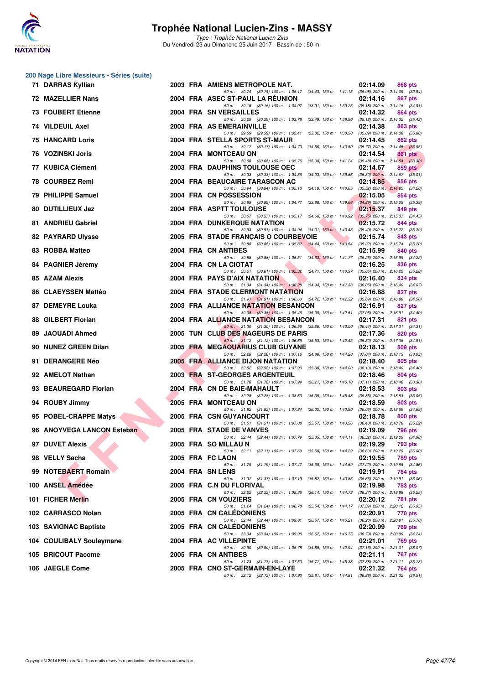

|    | 200 Nage Libre Messieurs - Séries (suite) |  |  |                                                                                                                                     |                                                            |  |  |  |  |  |
|----|-------------------------------------------|--|--|-------------------------------------------------------------------------------------------------------------------------------------|------------------------------------------------------------|--|--|--|--|--|
|    | 71 DARRAS Kyllian                         |  |  | 2003 FRA AMIENS METROPOLE NAT.<br>50 m: 30.74 (30.74) 100 m: 1:05.17 (34.43) 150 m: 1:41.15 (35.98) 200 m: 2:14.09 (32.94)          | 02:14.09<br>868 pts                                        |  |  |  |  |  |
|    | 72 MAZELLIER Nans                         |  |  | 2004 FRA ASEC ST-PAUL LA REUNION                                                                                                    | 02:14.16<br>867 pts                                        |  |  |  |  |  |
|    | <b>73 FOUBERT Etienne</b>                 |  |  | 50 m: 30.16 (30.16) 100 m: 1:04.07 (33.91) 150 m: 1:39.25 (35.18) 200 m: 2:14.16 (34.91)<br>2004 FRA SN VERSAILLES                  | 02:14.32<br>864 pts                                        |  |  |  |  |  |
|    | 74 VILDEUIL Axel                          |  |  | 50 m : 30.29 (30.29) 100 m : 1:03.78 (33.49) 150 m : 1:38.90<br>2003 FRA AS EMERAINVILLE                                            | (35.12) 200 m : 2:14.32 (35.42)<br>02:14.38<br>863 pts     |  |  |  |  |  |
|    | <b>75 HANCARD Loris</b>                   |  |  | 50 m: 29.59 (29.59) 100 m: 1:03.41 (33.82) 150 m: 1:38.50<br>2004 FRA STELLA SPORTS ST-MAUR                                         | (35.09) 200 m : 2:14.38 (35.88)<br>02:14.45<br>862 pts     |  |  |  |  |  |
|    | 76 VOZINSKI Joris                         |  |  | 50 m: 30.17 (30.17) 100 m: 1:04.73 (34.56) 150 m: 1:40.50<br>2004 FRA MONTCEAU ON                                                   | $(35.77)$ 200 m : 2:14.45 $(33.95)$<br>02:14.54<br>861 pts |  |  |  |  |  |
|    | 77 KUBICA Clément                         |  |  | 50 m: 30.68 (30.68) 100 m: 1:05.76 (35.08) 150 m: 1:41.24 (35.48) 200 m: 2:14.54 (33.30)<br>2003 FRA DAUPHINS TOULOUSE OEC          | 02:14.67<br>859 pts                                        |  |  |  |  |  |
|    | 78 COURBEZ Remi                           |  |  | 50 m: 30.33 (30.33) 100 m: 1:04.36 (34.03) 150 m: 1:39.66 (35.30) 200 m: 2:14.67 (35.01)<br>2004 FRA BEAUCAIRE TARASCON AC          | 02:14.85<br>856 pts                                        |  |  |  |  |  |
|    | 79 PHILIPPE Samuel                        |  |  | 50 m: 30.94 (30.94) 100 m: 1:05.13 (34.19) 150 m: 1:40.65 (35.52) 200 m: 2:14.85 (34.20)<br>2004 FRA CN POSSESSION                  | 02:15.05<br>854 pts                                        |  |  |  |  |  |
|    |                                           |  |  | 50 m: 30.89 (30.89) 100 m: 1:04.77 (33.88) 150 m: 1:39.66                                                                           | $(34.89)$ 200 m : 2:15.05 $(35.39)$                        |  |  |  |  |  |
|    | 80 DUTILLIEUX Jaz                         |  |  | 2004 FRA ASPTT TOULOUSE<br>50 m: 30.57 (30.57) 100 m: 1:05.17 (34.60) 150 m: 1:40.92                                                | 02:15.37<br>849 pts<br>$(35.75)$ 200 m : 2:15.37 $(34.45)$ |  |  |  |  |  |
|    | 81 ANDRIEU Gabriel                        |  |  | <b>2004 FRA DUNKERQUE NATATION</b><br>50 m: 30.93 (30.93) 100 m: 1:04.94 (34.01) 150 m: 1:40.43                                     | 02:15.72<br>844 pts<br>$(35.49)$ 200 m : 2:15.72 $(35.29)$ |  |  |  |  |  |
|    | <b>82 PAYRARD Ulysse</b>                  |  |  | 2005 FRA STADE FRANÇAIS O COURBEVOIE<br>50 m: 30.88 (30.88) 100 m: 1:05.32 (34.44) 150 m: 1:40.54                                   | 02:15.74<br>843 pts<br>$(35.22)$ 200 m : 2:15.74 $(35.20)$ |  |  |  |  |  |
|    | 83 ROBBA Matteo                           |  |  | 2004 FRA CN ANTIBES<br>50 m: 30.88 (30.88) 100 m: 1:05.51 (34.63) 150 m: 1:41.77 (36.26) 200 m: 2:15.99 (34.22)                     | 02:15.99<br>840 pts                                        |  |  |  |  |  |
|    | 84 PAGNIER Jérémy                         |  |  | 2004 FRA CN LA CIOTAT<br>50 m: 30.61 (30.61) 100 m: 1:05.32 (34.71) 150 m: 1:40.97                                                  | 02:16.25<br>836 pts                                        |  |  |  |  |  |
|    | 85 AZAM Alexis                            |  |  | 2004 FRA PAYS D'AIX NATATION                                                                                                        | (35.65) 200 m : 2:16.25 (35.28)<br>02:16.40<br>834 pts     |  |  |  |  |  |
|    | 86 CLAEYSSEN Mattéo                       |  |  | 50 m: 31.34 (31.34) 100 m: 1.06.28 (34.94) 150 m: 1.42.33 (36.05) 200 m: 2.16.40 (34.07)<br><b>2004 FRA STADE CLERMONT NATATION</b> | 02:16.88<br>827 pts                                        |  |  |  |  |  |
|    | 87 DEMEYRE Louka                          |  |  | 50 m: 31.91 (31.91) 100 m: 1:06.63 (34.72) 150 m: 1:42.32 (35.69) 200 m: 2:16.88 (34.56)<br>2003 FRA ALLIANCE NATATION BESANCON     | 02:16.91<br>827 pts                                        |  |  |  |  |  |
|    | 88 GILBERT Florian                        |  |  | 50 m : 30.38 (30.38) 100 m : 1:05.46 (35.08) 150 m : 1:42.51<br>2004 FRA ALLIANCE NATATION BESANCON                                 | $(37.05)$ 200 m : 2:16.91 $(34.40)$<br>02:17.31<br>821 pts |  |  |  |  |  |
| 89 | <b>JAOUADI Ahmed</b>                      |  |  | 50 m : 31.30 (31.30) 100 m : 1:06.56 (35.26) 150 m : 1:43.00 (36.44) 200 m : 2:17.31 (34.31)<br>2005 TUN CLUB DES NAGEURS DE PARIS  | 02:17.36<br>820 pts                                        |  |  |  |  |  |
|    | 90 NUNEZ GREEN Dilan                      |  |  | 50 m : 31.12 (31.12) 100 m : 1:06.65 (35.53) 150 m : 1:42.45 (35.80) 200 m : 2:17.36 (34.91)<br>2005 FRA MEGAQUARIUS CLUB GUYANE    | 02:18.13<br>809 pts                                        |  |  |  |  |  |
|    | 91 DERANGERE Néo                          |  |  | 50 m: 32.28 (32.28) 100 m: 1:07.16 (34.88) 150 m: 1:44.20 (37.04) 200 m: 2:18.13 (33.93)<br><b>2005 FRA ALLIANCE DIJON NATATION</b> | 02:18.40<br>805 pts                                        |  |  |  |  |  |
|    | 92 AMELOT Nathan                          |  |  | 50 m : 32.52 (32.52) 100 m : 1:07.90 (35.38) 150 m : 1:44.00<br>2003 FRA ST-GEORGES ARGENTEUIL                                      | $(36.10)$ 200 m : 2:18.40 $(34.40)$<br>02:18.46<br>804 pts |  |  |  |  |  |
|    | 93 BEAUREGARD Florian                     |  |  | 50 m: 31.78 (31.78) 100 m: 1:07.99 (36.21) 150 m: 1:45.10<br>2004 FRA CN DE BAIE-MAHAULT                                            | $(37.11)$ 200 m : 2:18.46 $(33.36)$<br>02:18.53<br>803 pts |  |  |  |  |  |
|    | 94 ROUBY Jimmy                            |  |  | 50 m: 32.28 (32.28) 100 m: 1:08.63 (36.35) 150 m: 1:45.48<br>2005 FRA MONTCEAU ON                                                   | $(36.85)$ 200 m : 2:18.53 $(33.05)$<br>02:18.59<br>803 pts |  |  |  |  |  |
|    |                                           |  |  | 50 m : 31.82 (31.82) 100 m : 1:07.84 (36.02) 150 m : 1:43.90<br>2005 FRA CSN GUYANCOURT                                             | $(36.06)$ 200 m : 2:18.59 $(34.69)$<br>02:18.78<br>800 pts |  |  |  |  |  |
|    | 95 POBEL-CRAPPE Matys                     |  |  | 50 m: 31.51 (31.51) 100 m: 1:07.08 (35.57) 150 m: 1:43.56                                                                           | (36.48) 200 m : 2:18.78 (35.22)                            |  |  |  |  |  |
|    | 96 ANOYVEGA LANCON Esteban                |  |  | 2005 FRA STADE DE VANVES<br>50 m: 32.44 (32.44) 100 m: 1:07.79 (35.35) 150 m: 1:44.11                                               | 02:19.09<br>796 pts<br>$(36.32)$ 200 m : 2:19.09 $(34.98)$ |  |  |  |  |  |
|    | 97 DUVET Alexis                           |  |  | 2005 FRA SO MILLAU N<br>50 m: 32.11 (32.11) 100 m: 1:07.69 (35.58) 150 m: 1:44.29                                                   | 02:19.29<br>793 pts<br>$(36.60)$ 200 m : 2:19.29 $(35.00)$ |  |  |  |  |  |
|    | 98 VELLY Sacha                            |  |  | 2005 FRA FC LAON<br>50 m: 31.79 (31.79) 100 m: 1:07.47 (35.68) 150 m: 1:44.69                                                       | 02:19.55<br>789 pts<br>(37.22) 200 m : 2:19.55 (34.86)     |  |  |  |  |  |
|    | 99 NOTEBAERT Romain                       |  |  | 2004 FRA SN LENS<br>50 m: 31.37 (31.37) 100 m: 1:07.19 (35.82) 150 m: 1:43.85                                                       | 02:19.91<br>784 pts<br>(36.66) 200 m : 2:19.91 (36.06)     |  |  |  |  |  |
|    | 100 ANSEL Amédée                          |  |  | 2005 FRA C.N DU FLORIVAL<br>50 m: 32.22 (32.22) 100 m: 1:08.36 (36.14) 150 m: 1:44.73                                               | 02:19.98<br>783 pts<br>(36.37) 200 m : 2:19.98 (35.25)     |  |  |  |  |  |
|    | 101 FICHER Merlin                         |  |  | 2005 FRA CN VOUZIERS                                                                                                                | 02:20.12<br>781 pts                                        |  |  |  |  |  |
|    | 102 CARRASCO Nolan                        |  |  | 50 m : 31.24 (31.24) 100 m : 1:06.78 (35.54) 150 m : 1:44.17<br>2005 FRA CN CALEDONIENS                                             | (37.39) 200 m : 2:20.12 (35.95)<br>02:20.91<br>770 pts     |  |  |  |  |  |
|    | 103 SAVIGNAC Baptiste                     |  |  | 50 m: 32.44 (32.44) 100 m: 1:09.01 (36.57) 150 m: 1:45.21<br>2005 FRA CN CALEDONIENS                                                | (36.20) 200 m : 2:20.91 (35.70)<br>02:20.99<br>769 pts     |  |  |  |  |  |
|    | 104 COULIBALY Souleymane                  |  |  | 50 m: 33.34 (33.34) 100 m: 1:09.96 (36.62) 150 m: 1:46.75<br>2004 FRA AC VILLEPINTE                                                 | (36.79) 200 m : 2:20.99 (34.24)<br>02:21.01<br>769 pts     |  |  |  |  |  |
|    | 105 BRICOUT Pacome                        |  |  | 50 m : 30.90 (30.90) 100 m : 1:05.78 (34.88) 150 m : 1:42.94<br>2005 FRA CN ANTIBES                                                 | (37.16) 200 m : 2:21.01 (38.07)<br>02:21.11<br>767 pts     |  |  |  |  |  |
|    | 106 JAEGLE Come                           |  |  | 50 m: 31.73 (31.73) 100 m: 1:07.50 (35.77) 150 m: 1:45.38<br>2005 FRA CNO ST-GERMAIN-EN-LAYE                                        | (37.88) 200 m : 2:21.11 (35.73)<br>02:21.32<br>764 pts     |  |  |  |  |  |
|    |                                           |  |  | 50 m: 32.12 (32.12) 100 m: 1:07.93 (35.81) 150 m: 1:44.81 (36.88) 200 m: 2:21.32 (36.51)                                            |                                                            |  |  |  |  |  |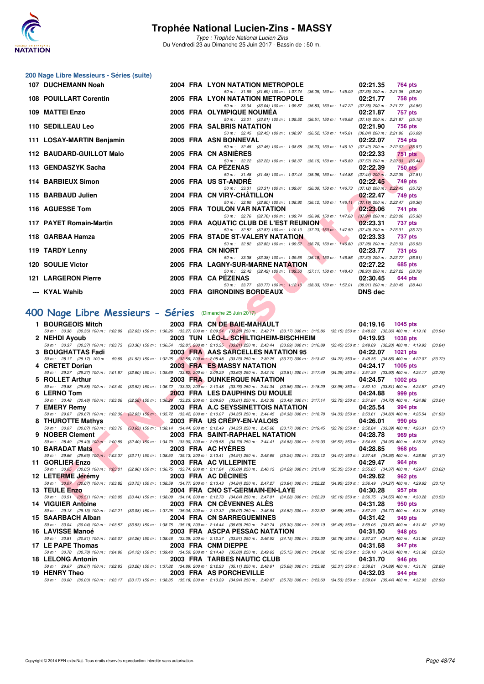

Type : Trophée National Lucien-Zins Du Vendredi 23 au Dimanche 25 Juin 2017 - Bassin de : 50 m.

# **200 Nage Libre Messieurs - Séries (suite)**

| 107 DUCHEMANN Noah                              |  | 2004 FRA LYON NATATION METROPOLE                                                         | 02:21.35           |                | 764 pts        |
|-------------------------------------------------|--|------------------------------------------------------------------------------------------|--------------------|----------------|----------------|
|                                                 |  | 50 m: 31.69 (31.69) 100 m: 1:07.74 (36.05) 150 m: 1:45.09 (37.35) 200 m: 2:21.35 (36.26) |                    |                |                |
| 108 POUILLART Corentin                          |  | <b>2005 FRA LYON NATATION METROPOLE</b>                                                  | 02:21.77           |                | 758 pts        |
|                                                 |  | 50 m: 33.04 (33.04) 100 m: 1:09.87 (36.83) 150 m: 1:47.22 (37.35) 200 m: 2:21.77 (34.55) |                    |                |                |
| 109 MATTEI Enzo                                 |  | 2005 FRA OLYMPIQUE NOUMEA                                                                | 02:21.87           |                | 757 pts        |
|                                                 |  | 50 m: 33.01 (33.01) 100 m: 1:09.52 (36.51) 150 m: 1:46.68 (37.16) 200 m: 2:21.87 (35.19) |                    |                |                |
| 110 SEDILLEAU Leo                               |  | 2005 FRA SALBRIS NATATION                                                                | 02:21.90           |                | 756 pts        |
|                                                 |  | 50 m: 32.45 (32.45) 100 m: 1:08.97 (36.52) 150 m: 1:45.81 (36.84) 200 m: 2:21.90 (36.09) |                    |                |                |
| 111 LOSAY-MARTIN Benjamin 2005 FRA ASN BONNEVAL |  |                                                                                          | 02:22.07           | 754 pts        |                |
|                                                 |  | 50 m: 32.45 (32.45) 100 m: 1:08.68 (36.23) 150 m: 1:46.10 (37.42) 200 m: 2:22.07 (35.97) |                    |                |                |
| 112 BAUDARD-GUILLOT Malo                        |  | 2005 FRA CN ASNIERES                                                                     | 02:22.33           |                | 751 pts        |
|                                                 |  | 50 m: 32.22 (32.22) 100 m: 1:08.37 (36.15) 150 m: 1:45.89 (37.52) 200 m: 2:22.33 (36.44) |                    |                |                |
| 113 GENDASZYK Sacha                             |  | 2004 FRA CA PÉZENAS                                                                      | 02:22.39           | <b>750 pts</b> |                |
|                                                 |  | 50 m: 31.48 (31.48) 100 m: 1:07.44 (35.96) 150 m: 1:44.88 (37.44) 200 m: 2:22.39 (37.51) |                    |                |                |
| 114 BARBIEUX Simon                              |  | 2005 FRA US ST-ANDRÉ                                                                     | 02:22.45           |                | 749 pts        |
|                                                 |  | 50 m: 33.31 (33.31) 100 m: 1:09.61 (36.30) 150 m: 1:46.73 (37.12) 200 m: 2:22.45 (35.72) |                    |                |                |
| 115 BARBAUD Julien                              |  | 2004 FRA CN VIRY-CHÂTILLON                                                               | 02:22.47           |                | 749 pts        |
|                                                 |  | 50 m: 32.80 (32.80) 100 m: 1:08.92 (36.12) 150 m: 1:46.11 (37.19) 200 m: 2:22.47 (36.36) |                    |                |                |
| 116 AGUESSE Tom                                 |  | 2005 FRA TOULON VAR NATATION                                                             | 02:23.06           |                | 741 pts        |
|                                                 |  | 50 m: 32.76 (32.76) 100 m: 1:09.74 (36.98) 150 m: 1:47.68 (37.94) 200 m: 2:23.06 (35.38) |                    |                |                |
| 117 PAYET Romain-Martin                         |  | 2005 FRA AQUATIC CLUB DE L'EST REUNION                                                   | $02:23.31$ 737 pts |                |                |
|                                                 |  | 50 m: 32.87 (32.87) 100 m: 1:10.10 (37.23) 150 m: 1:47.59 (37.49) 200 m: 2:23.31 (35.72) |                    |                |                |
| 118 GARBAA Hamza                                |  | 2005 FRA STADE ST-VALERY NATATION                                                        | 02:23.33           |                | 737 pts        |
|                                                 |  | 50 m: 32.82 (32.82) 100 m: 1:09.52 (36.70) 150 m: 1:46.80 (37.28) 200 m: 2:23.33 (36.53) |                    |                |                |
| 119 TARDY Lenny                                 |  | 2005 FRA CN NIORT                                                                        | 02:23.77           |                | <b>731 pts</b> |
|                                                 |  | 50 m: 33.38 (33.38) 100 m: 1:09.56 (36.18) 150 m: 1:46.86 (37.30) 200 m: 2:23.77 (36.91) |                    |                |                |
| 120 SOULIE Victor                               |  | 2005 FRA LAGNY-SUR-MARNE NATATION                                                        | 02:27.22           |                | 685 pts        |
|                                                 |  | 50 m: 32.42 (32.42) 100 m: 1:09.53 (37.11) 150 m: 1:48.43 (38.90) 200 m: 2:27.22 (38.79) |                    |                |                |
| <b>121 LARGERON Pierre</b>                      |  | 2005 FRA CA PÉZENAS                                                                      | 02:30.45           |                | 644 pts        |
|                                                 |  | 50 m: 33.77 (33.77) 100 m: 1:12.10 (38.33) 150 m: 1:52.01 (39.91) 200 m: 2:30.45 (38.44) |                    |                |                |
| --- KYAL Wahib                                  |  | 2003 FRA GIRONDINS BORDEAUX                                                              | DNS dec            |                |                |

# **[400 Nage Libre Messieurs - Séries](http://www.ffnatation.fr/webffn/resultats.php?idact=nat&go=epr&idcpt=47287&idepr=54)** (Dimanche 25 Juin 2017)

| <b>II LUJAI WARIIN DEIJAIIIII</b>                                                                               |                               | <b><i>LUUJ FRA HOR DURREVAL</i></b><br>$U2.22.01$ $U34.13$                                                                                                                                                                                                |  |
|-----------------------------------------------------------------------------------------------------------------|-------------------------------|-----------------------------------------------------------------------------------------------------------------------------------------------------------------------------------------------------------------------------------------------------------|--|
| 12 BAUDARD-GUILLOT Malo                                                                                         |                               | 50 m: 32.45 (32.45) 100 m: 1:08.68 (36.23) 150 m: 1:46.10 (37.42) 200 m: 2:22.07 (35.97)<br>2005 FRA CN ASNIERES<br>02:22.33<br>751 pts                                                                                                                   |  |
| 13 GENDASZYK Sacha                                                                                              |                               | 50 m: 32.22 (32.22) 100 m: 1:08.37 (36.15) 150 m: 1:45.89 (37.52) 200 m: 2:22.33 (36.44)<br>2004 FRA CA PEZENAS<br>02:22.39<br>$750$ pts                                                                                                                  |  |
|                                                                                                                 |                               | 50 m: 31.48 (31.48) 100 m: 1:07.44 (35.96) 150 m: 1:44.88 (37.44) 200 m: 2:22.39 (37.51)                                                                                                                                                                  |  |
| 14 BARBIEUX Simon                                                                                               |                               | 2005 FRA US ST-ANDRÉ<br>02:22.45<br>749 pts<br>50 m: 33.31 (33.31) 100 m: 1:09.61 (36.30) 150 m: 1:46.73 (37.12) 200 m: 2:22.45 (35.72)                                                                                                                   |  |
| 15 BARBAUD Julien                                                                                               |                               | 2004 FRA CN VIRY-CHATILLON<br>02:22.47<br>749 pts<br>50 m: 32.80 (32.80) 100 m: 1:08.92 (36.12) 150 m: 1:46.11 (37.19) 200 m: 2:22.47 (36.36)                                                                                                             |  |
| <b>16 AGUESSE Tom</b>                                                                                           |                               | 2005 FRA TOULON VAR NATATION<br>02:23.06<br>741 pts                                                                                                                                                                                                       |  |
| 17 PAYET Romain-Martin                                                                                          |                               | 50 m: 32.76 (32.76) 100 m: 1:09.74 (36.98) 150 m: 1:47.68 (37.94) 200 m: 2:23.06 (35.38)<br>2005 FRA AQUATIC CLUB DE L'EST REUNION<br>02:23.31<br>737 pts                                                                                                 |  |
|                                                                                                                 |                               | 50 m: 32.87 (32.87) 100 m: 1:10.10 (37.23) 150 m: 1:47.59 (37.49) 200 m: 2:23.31 (35.72)                                                                                                                                                                  |  |
| 18 GARBAA Hamza                                                                                                 |                               | <b>2005 FRA STADE ST-VALERY NATATION</b><br>02:23.33<br>737 pts<br>50 m: 32.82 (32.82) 100 m: 1:09.52 (36.70) 150 m: 1:46.80 (37.28) 200 m: 2:23.33 (36.53)                                                                                               |  |
| 19 TARDY Lenny                                                                                                  |                               | 2005 FRA CN NIORT<br>02:23.77<br>731 pts                                                                                                                                                                                                                  |  |
| 20 SOULIE Victor                                                                                                |                               | 50 m: 33.38 (33.38) 100 m: 1:09.56 (36.18) 150 m: 1:46.86 (37.30) 200 m: 2:23.77 (36.91)<br>2005 FRA LAGNY-SUR-MARNE NATATION<br>02:27.22<br>685 pts                                                                                                      |  |
| <b>21 LARGERON Pierre</b>                                                                                       |                               | 50 m: 32.42 (32.42) 100 m: 1:09.53 (37.11) 150 m: 1:48.43 (38.90) 200 m: 2:27.22 (38.79)<br>2005 FRA CA PEZENAS                                                                                                                                           |  |
|                                                                                                                 |                               | 02:30.45<br>644 pts<br>50 m: 33.77 (33.77) $100 \text{ m}$ : $1:12.10$ (38.33) $150 \text{ m}$ : $1:52.01$ (39.91) $200 \text{ m}$ : $2:30.45$ (38.44)                                                                                                    |  |
| --- KYAL Wahib                                                                                                  |                               | 2003 FRA GIRONDINS BORDEAUX<br><b>DNS</b> dec                                                                                                                                                                                                             |  |
|                                                                                                                 |                               |                                                                                                                                                                                                                                                           |  |
| 00 Nage Libre Messieurs - Séries (Dimanche 25 Juin 2017)                                                        |                               |                                                                                                                                                                                                                                                           |  |
| 1 BOURGEOIS Mitch                                                                                               |                               | 2003 FRA CN DE BAIE-MAHAULT<br>04:19.16 1045 pts<br>50 m: 30.36 (30.36) 100 m: 1:02.99 (32.63) 150 m: 1:36.26 (33.27) 200 m: 2:09.54 (33.28) 250 m: 2:42.71 (33.17) 300 m: 3:15.86 (33.15) 350 m: 3:48.22 (32.36) 400 m: 4:19.16 (30.94)                  |  |
| 2 NEHDI Ayoub                                                                                                   |                               | 2003 TUN LEO-L. SCHILTIGHEIM-BISCHHEIM<br>04:19.93<br><b>1038 pts</b>                                                                                                                                                                                     |  |
| 3 BOUGHATTAS Fadi                                                                                               |                               | 50 m: 30.37 (30.37) 100 m: 1:03.73 (33.36) 150 m: 1:36.54 (32.81) 200 m: 2:10.35 (33.81) 250 m: 2:43.44 (33.09) 300 m: 3:16.89 (33.45) 350 m: 3:49.09 (32.20) 400 m: 4:19.93 (30.84)<br>2003 FRA AAS SARCELLES NATATION 95<br>04:22.07<br>1021 pts        |  |
|                                                                                                                 |                               | 50 m : 28.17 (28.17) 100 m : 59.69 (31.52) 150 m : 1:32.25 (32,56) 200 m : 2:05.48 (33.23) 250 m : 2:39.25 (33.77) 300 m : 3:13.47 (34.22) 350 m : 3:48.35 (34.88) 400 m : 4:22.07 (33.72)                                                                |  |
| 4 CRETET Dorian                                                                                                 |                               | <b>2003 FRA ES MASSY NATATION</b><br>04:24.17<br>1005 pts<br>50 m: 29.27 (29.27) 100 m: 1:01.87 (32.60) 150 m: 1:35.69 (33.82) 200 m: 2:09.29 (33.60) 250 m: 2:43.10 (33.81) 300 m: 3:17.49 (34.39) 350 m: 3:51.39 (33.90) 400 m: 4:24.17 (32.78)         |  |
| 5 ROLLET Arthur                                                                                                 |                               | 2003 FRA DUNKERQUE NATATION<br>04:24.57<br><b>1002 pts</b>                                                                                                                                                                                                |  |
| 6 LERNO Tom                                                                                                     |                               | 50 m: 29.88 (29.88) 100 m: 1:03.40 (33.52) 150 m: 1:36.72 (33.32) 200 m: 2:10.48 (33.76) 250 m: 2:44.34 (33.86) 300 m: 3:18.29 (33.95) 350 m: 3:52.10 (33.81) 400 m: 4:24.57 (32.47)<br>2003 FRA LES DAUPHINS DU MOULE<br>04:24.88<br>999 pts             |  |
|                                                                                                                 |                               | 50 m: 30.48 (30.48) 100 m: 1:03.06 (32.58) 150 m: 1:36.29 (33.23) 200 m: 2:09.90 (33.61) 250 m: 2:43.39 (33.49) 300 m: 3:17.14 (33.75) 350 m: 3:51.84 (34.70) 400 m: 4:24.88 (33.04)                                                                      |  |
| 7 EMERY Remy                                                                                                    | <b>The Contract of Street</b> | 2003 FRA A.C SEYSSINETTOIS NATATION<br>04:25.54<br>994 pts<br>50 m: 29.67 (29.67) 100 m: 1:02.30 (32.63) 150 m: 1:35.72 (33.42) 200 m: 2:10.07 (34.35) 250 m: 2:44.45 (34.38) 300 m: 3:18.78 (34.33) 350 m: 3:53.61 (34.83) 400 m: 4:25.54 (31.93)        |  |
| 8 THUROTTE Mathys                                                                                               | <b>CONTRACTOR</b>             | 2003 FRA US CREPY-EN-VALOIS<br>04:26.01<br>990 pts                                                                                                                                                                                                        |  |
| 9 NOBER Clement                                                                                                 | <b>The Contract of Street</b> | 50 m : 30.07 (30.07) 100 m : 1:03.70 (33.63) 150 m : 1:38.14 (34.44) 200 m : 2:12.49 (34.35) 250 m : 2:45.66 (33.17) 300 m : 3:19.45 (33.79) 350 m : 3:52.84 (33.39) 400 m : 4:26.01 (33.17)<br>2003 FRA SAINT-RAPHAEL NATATION<br>04:28.78<br>969 pts    |  |
|                                                                                                                 |                               | 50 m : 28.49 (28.49) 100 m : 1:00.89 (32.40) 150 m : 1:34.79 (33.90) 200 m : 2:09.58 (34.79) 250 m : 2:44.41 (34.83) 300 m : 3:19.93 (35.52) 350 m : 3:54.88 (34.95) 400 m : 4:28.78 (33.90)                                                              |  |
| 10 BARADAT Mats                                                                                                 |                               | 2003 FRA AC HYERES<br>04:28.85<br>968 pts<br>50 m : 29.66 (29.66) 100 m : 1.03.37 (33.71) 150 m : 1:38.50 (35.13) 200 m : 2:13.41 (34.91) 250 m : 2:48.65 (35.24) 300 m : 3:23.12 (34.47) 350 m : 3:57.48 (34.36) 400 m : 4:28.85 (31.37)                 |  |
| 11 GORLIER Enzo                                                                                                 |                               | 2003 FRA AC VILLEPINTE<br>04:29.47<br>964 pts                                                                                                                                                                                                             |  |
| 12 LETERME Jérémy                                                                                               |                               | 50 m: 30,05 (30.05) 100 m: 1:03.01 (32.96) 150 m: 1:36.75 (33.74) 200 m: 2:11.84 (35.09) 250 m: 2:46.13 (34.29) 300 m: 3:21.48 (35.35) 350 m: 3:55.85 (34.37) 400 m: 4:29.47 (33.62)<br>2003 FRA AC DECINES<br>04:29.62<br>962 pts                        |  |
|                                                                                                                 |                               | 50 m: 30.07 (30.07) 100 m: 1:03.82 (33.75) 150 m: 1:38.59 (34.77) 200 m: 2:13.43 (34.84) 250 m: 2:47.27 (33.84) 300 m: 3:22.22 (34.95) 350 m: 3:56.49 (34.27) 400 m: 4:29.62 (33.13)                                                                      |  |
| 13 TEULE Enzo                                                                                                   |                               | 2004 FRA CNO ST-GERMAIN-EN-LAYE<br>04:30.28<br>957 pts<br>50 m: 30.51 (30.51) 100 m: 1:03.95 (33.44) 150 m: 1:38.09 (34.14) 200 m: 2:12.73 (34.64) 250 m: 2:47.01 (34.28) 300 m: 3:22.20 (35.19) 350 m: 3:56.75 (34.55) 400 m: 4:30.28 (33.53)            |  |
| 14 VIGUIER Antoine and the control of the control of the control of the control of the control of the control o |                               | 2003 FRA CN CÉVENNES ALÈS<br>04:31.28<br>950 pts                                                                                                                                                                                                          |  |
| 15 SAARBACH Alban                                                                                               |                               | 50 m: 29.13 (29.13) 100 m: 1:02.21 (33.08) 150 m: 1:37.25 (35.04) 200 m: 2:12.32 (35.07) 250 m: 2:46.84 (34.52) 300 m: 3:22.52 (35.68) 350 m: 3:57.29 (34.77) 400 m: 4:31.28 (33.99)<br>2004 FRA CN SARREGUEMINES<br>04:31.42<br>949 pts                  |  |
|                                                                                                                 |                               | 50 m : 30.04 (30.04) 100 m : 1:03.57 (33.53) 150 m : 1:38.75 (35.18) 200 m : 2:14.44 (35.69) 250 m : 2:49.74 (35.30) 300 m : 3:25.19 (35.45) 350 m : 3:59.06 (33.87) 400 m : 4:31.42<br>(32.36)                                                           |  |
| 16 LAVISSE Manoé                                                                                                |                               | 2003 FRA ASCPA PESSAC NATATION<br>04:31.50<br>948 pts<br>50 m : 30.81 (30.81) 100 m : 1:05.07 (34.26) 150 m : 1:38.46 (33.39) 200 m : 2:12.37 (33.91) 250 m : 2:46.52 (34.15) 300 m : 3:22.30<br>(35.78) 350 m: 3:57.27 (34.97) 400 m: 4:31.50<br>(34.23) |  |
| 17 LE PAPE Thomas                                                                                               |                               | 2003 FRA CNM DIEPPE<br>04:31.68<br>947 pts                                                                                                                                                                                                                |  |
| 18 LELONG Antonin                                                                                               |                               | 50 m: 30.78 (30.78) 100 m: 1:04.90 (34.12) 150 m: 1:39.40 (34.50) 200 m: 2:14.48 (35.08) 250 m: 2:49.63 (35.15) 300 m: 3:24.82 (35.19) 350 m: 3:59.18 (34.36) 400 m: 4:31.68<br>(32.50)<br>2003 FRA TARBES NAUTIC CLUB<br>04:31.70<br>946 pts             |  |
| 19 HENRY Theo                                                                                                   |                               | 50 m: 29.67 (29.67) 100 m: 1:02.93 (33.26) 150 m: 1:37.82 (34.89) 200 m: 2:12.93 (35.11) 250 m: 2:48.61 (35.68) 300 m: 3:23.92 (35.31) 350 m: 3:58.81 (34.89) 400 m: 4:31.70 (32.89)<br>2003 FRA AS PORCHEVILLE<br>04:32.03                               |  |
|                                                                                                                 |                               | 944 pts<br>50 m: 30.00 (30.00) 100 m: 1:03.17 (33.17) 150 m: 1:38.35 (35.18) 200 m: 2:13.29 (34.94) 250 m: 2:49.07 (35.78) 300 m: 3:23.60 (34.53) 350 m: 3:59.04 (35.44) 400 m: 4:32.03 (32.99)                                                           |  |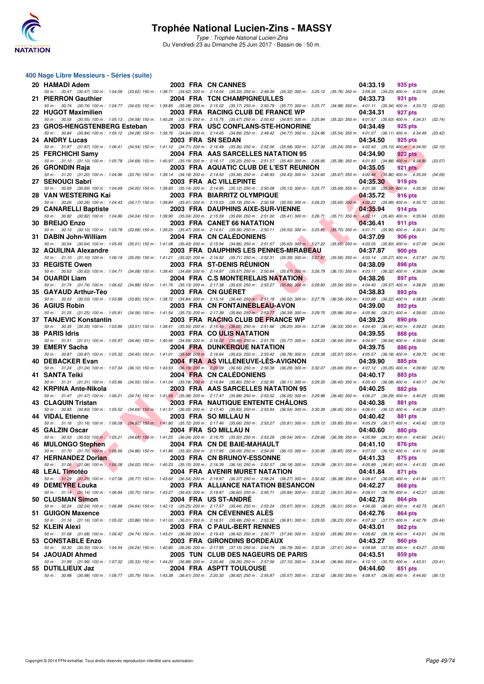

Type : Trophée National Lucien-Zins Du Vendredi 23 au Dimanche 25 Juin 2017 - Bassin de : 50 m.

#### **400 Nage Libre Messieurs - Séries (suite)**

| 20 HAMADI Adem               | 2003 FRA CN CANNES                                                                                                                                                                                                               | 04:33.19<br>935 pts                                                            |         |
|------------------------------|----------------------------------------------------------------------------------------------------------------------------------------------------------------------------------------------------------------------------------|--------------------------------------------------------------------------------|---------|
| 21 PIERRON Gauthier          | 50 m: 30.47 (30.47) 100 m: 1:04.09 (33.62) 150 m: 1:38.71 (34.62) 200 m: 2:14.04 (35.33) 250 m: 2:49.36 (35.32) 300 m: 3:25.12 (35.76) 350 m: 3:59.35 (34.23) 400 m: 4:33.19 (33.84)<br>2004 FRA TCN CHAMPIGNEULLES              | 04:33.73<br>931 pts                                                            |         |
| 22 HUGOT Maximilien          | 50 m: 30.74 (30.74) 100 m: 1:04.77 (34.03) 150 m: 1:39.85 (35.08) 200 m: 2:15.02 (35.17) 250 m: 2:50.79 (35.77) 300 m: 3:25.77 (34.98) 350 m: 4:01.11 (35.34) 400 m: 4:33.73 (32.62)<br>2003 FRA RACING CLUB DE FRANCE WP        | 04:34.31<br>927 pts                                                            |         |
| 23 GROS-HENGSTENBERG Esteban | 50 m: 30.55 (30.55) 100 m: 1:05.13 (34.58) 150 m: 1:40.28 (35.15) 200 m: 2:15.75 (35.47) 250 m: 2:50.62 (34.87) 300 m: 3:25.94 (35.32) 350 m: 4:01.57 (35.63) 400 m: 4:34.31<br>2003 FRA USC CONFLANS-STE-HONORINE               | 04:34.49<br>925 pts                                                            | (32.74) |
| 24 ANDRY Lucas               | 50 m: 30.84 (30.84) 100 m: 1:05.12 (34.28) 150 m: 1:39.76 (34.64) 200 m: 2:14.65 (34.89) 250 m: 2:49.42 (34.77) 300 m: 3:24.96 (35.54) 350 m: 4:01.07 (36.11) 400 m: 4:34.49<br>2003 FRA SN SEDAN                                | 04:34.50<br>925 pts                                                            | (33.42) |
| 25 FERCHICHI Samy            | 50 m: 31.87 (31.87) 100 m: 1:06.41 (34.54) 150 m: 1:41.12 (34.71) 200 m: 2:16.48 (35.36) 250 m: 2:52.06 (35.58) 300 m: 3:27.30 (35.24) 350 m: 4:02.40 (35.10) 400 m: 4:34.50 (32.10)<br>2004 FRA AAS SARCELLES NATATION 95       | 04:34.90<br>922 pts                                                            |         |
| 26 GRONDIN Raja              | 50 m: 31.10 (31.10) 100 m: 1:05.78 (34.68) 150 m: 1:40.97 (35.19) 200 m: 2:16.17 (35.20) 250 m: 2:51.57 (35.40) 300 m: 3:26.95 (35.38) 350 m: 4:01.83 (34.88) 400 m; 4:34.90<br>2003 FRA AQUATIC CLUB DE L'EST REUNION           | 04:35.05<br>921 pts                                                            | (33.07) |
| 27 SENOUCI Sabri             | 50 m: 31.20 (31.20) 100 m: 1:04.96 (33.76) 150 m: 1:39.14 (34.18) 200 m: 2:14.50 (35.36) 250 m: 2:48.93 (34.43) 300 m: 3:24.60 (35.67) 350 m: 4:00.46 (35.86) 400 m: 4:35.05 (34.59)<br>2003 FRA AC VILLEPINTE                   | 04:35.30<br>919 pts                                                            |         |
| 28 VAN WESTERING Kai         | 50 m: 30.69 (30.69) 100 m: 1:04.69 (34.00) 150 m: 1:39.83 (35.14) 200 m: 2:14.95 (35.12) 250 m: 2:50.08 (35.13) 300 m: 3:25.77 (35.69) 350 m: 4:01.36 (35.59) 400 m: 4:35.30<br>2003 FRA BIARRITZ OLYMPIQUE                      | 04:35.72<br>916 pts                                                            | (33.94) |
|                              | 50 m: 30.26 (30.26) 100 m: 1:04.43 (34.17) 150 m: 1:39.84 (35.41) 200 m: 2:15.03 (35.19) 250 m: 2:50.58 (35.55) 300 m: 3:26.23 (35.65) 350 m: 4:02.22 (35.99) 400 m: 4:35.72                                                     |                                                                                | (33.50) |
| 29 CANARELLI Baptiste        | 2003 FRA DAUPHINS AIXE-SUR-VIENNE<br>50 m: 30.82 (30.82) 100 m: 1:04.86 (34.04) 150 m: 1:39.90 (35.04) 200 m: 2:15.59 (35.69) 250 m: 2:51.00 (35.41) 300 m: 3:26.71 (35.71) 350 m: 4:02.11 (35.40) 400 m: 4:35.94                | 04:35.94<br>914 pts                                                            | (33.83) |
| 30 BREIJO Enzo               | 2003 FRA CANET 66 NATATION<br>50 m: 30.10 (30.10) 100 m: 1:03.78 (33.68) 150 m: 1:39.25 (35.47) 200 m: 2:14.61 (35.36) 250 m: 2:50.11 (35.50) 300 m: 3:25.81 (35.70) 350 m: 4:01.71 (35.90) 400 m: 4:36.41                       | 04:36.41<br>911 pts                                                            | (34.70) |
| 31 DABIN John-William        | 2004 FRA CN CALEDONIENS<br>50 m: 30.64 (30.64) 100 m: 1:05.65 (35.01) 150 m: 1:41.08 (35.43) 200 m: 2:15.94 (34.86) 250 m: 2:51.57 (35.63) 300 m: 3:27.22 (35.65) 350 m: 4:03.05 (35.83) 400 m: 4:37.09 (34.04)                  | 04:37.09<br>906 pts                                                            |         |
| 32 AQUILINA Alexandre        | 2003 FRA DAUPHINS LES PENNES-MIRABEAU<br>50 m: 31.10 (31.10) 100 m: 1:06.19 (35.09) 150 m: 1:41.21 (35.02) 200 m: 2:16.92 (35.71) 250 m: 2:52.31 (35.39) 300 m: 3:27.87 (35.56) 350 m: 4:03.14 (35.27) 400 m: 4:37.87            | 04:37.87<br>900 pts                                                            | (34.73) |
| 33 REGISTE Owen              | 2003 FRA ST-DENIS REUNION<br>50 m : 30.63 (30.63) 100 m : 1:04.71 (34.08) 150 m : 1:39.40 (34.69) 200 m : 2:14.97 (35.57) 250 m : 2:50.64 (35.67) 300 m : 3:26.79 (36.15) 350 m : 4:03.11 (36.32) 400 m : 4:38.09 (34.98)        | 04:38.09<br>898 pts                                                            |         |
| 34 OUARDI Liam               | 2004 FRA C.S MONTERELAIS NATATION<br>50 m: 31.74 (31.74) 100 m: 1:06.62 (34.88) 150 m: 1:41.75 (35.13) 200 m: 2:17.38 (35.63) 250 m: 2:53.27 (35.89) 300 m: 3:28.83 (35.56) 350 m: 4:04.40 (35.57) 400 m: 4:38.26                | 04:38.26<br>897 pts                                                            | (33.86) |
| 35 GAYAUD Arthur-Tèo         | 2003 FRA CN GUERET<br>50 m : 30.03 (30.03) 100 m : 1:03.88 (33.85) 150 m : 1:38.72 (34.84) 200 m : 2:15.16 (36.44) 250 m : 2:51.18 (36.02) 300 m : 3:27.76 (36.58) 350 m : 4:03.98 (36.22) 400 m : 4:38.83                       | 04:38.83<br>893 pts                                                            | (34.85) |
| 36 AGIUS Robin               | 2003 FRA CN FONTAINEBLEAU-AVON<br>50 m: 31.25 (31.25) 100 m: 1:05.81 (34.56) 150 m: 1:41.54 (35.73) 200 m: 2:17.38 (35.84) 250 m: 2:53.77 (36.39) 300 m: 3:29.75 (35.98) 350 m: 4:05.96 (36.21) 400 m: 4:39.00 (33.04)           | 04:39.00<br>892 pts                                                            |         |
| 37 TANJEVIC Konstantin       | 2003 FRA RACING CLUB DE FRANCE WP                                                                                                                                                                                                | 04:39.23<br>890 pts                                                            |         |
| 38 PARIS Idris               | 50 m: 30.35 (30.35) 100 m: 1:03.86 (33.51) 150 m: 1:39.41 (35.55) 200 m: 2:15.46 (36.05) 250 m: 2:51.66 (36.20) 300 m: 3:27.99 (36.33) 350 m: 4:04.40 (36.41) 400 m: 4:39.23<br>2003 FRA COULIS NATATION                         | 04:39.55<br>888 pts                                                            | (34.83) |
| 39 EMERY Sacha               | 50 m: 31.51 (31.51) 100 m: 1:05.97 (34.46) 150 m: 1:40.56 (34.59) 200 m: 2:16.02 (35.46) 250 m: 2:51.79 (35.77) 300 m: 3:28.23<br><b>2004 FRA DUNKERQUE NATATION</b>                                                             | (36.44) 350 m : 4:04.87 (36.64) 400 m : 4:39.55 (34.68)<br>04:39.75<br>886 pts |         |
| 40 DEBACKER Evan             | 50 m : 30.87 (30.87) 100 m : 1:05.32 (34.45) 150 m : 1:41.01 (35.69) 200 m : 2:16.64 (35.63) 250 m : 2:53.42 (36.78) 300 m : 3:29.39<br>2004 FRA AS VILLENEUVE-LES-AVIGNON                                                       | (35.97) 350 m : 4:05.57 (36.18) 400 m : 4:39.75<br>04:39.90<br>885 pts         | (34.18) |
| 41 SANTA Teiki               | 50 m: 31.24 (31.24) 100 m: 1:07.34 (36.10) 150 m: 1:43.53 (36.19) 200 m: 2:20.09 (36.56) 250 m: 2:56.38 (36.29) 300 m: 3:32.07<br>2004 FRA CN CALEDONIENS                                                                        | $(35.69)$ 350 m : 4:07.12 $(35.05)$ 400 m : 4:39.90<br>04:40.17<br>883 pts     | (32.78) |
| 42 KRPINA Ante-Nikola        | 50 m: 31.31 (31.31) 100 m: 1:05.86 (34.55) 150 m: 1:41.04 (35.18) 200 m: 2:16.84 (35.80) 250 m: 2:52.95 (36.11) 300 m: 3:29.35 (36.40) 350 m: 4:05.43 (36.08) 400 m: 4:40.17<br>2003 FRA AAS SARCELLES NATATION 95               | 04:40.25<br>882 pts                                                            | (34.74) |
| 43 CLAQUIN Tristan           | 50 m: 31.47 (31.47) 100 m: 1:06.21 (34.74) 150 m: 1:41.59 (35.38) 200 m: 2:17.47 (35.88) 250 m: 2:53.52 (36.05) 300 m: 3:29.98 (36.46) 350 m: 4:06.27 (36.29) 400 m: 4:40.25 (33.98)<br><b>2003 FRA NAUTIQUE ENTENTE CHALONS</b> | 04:40.38<br>881 pts                                                            |         |
| 44 VIDAL Etienne             | 50 m: 30.83 (30.83) 100 m: 1:05.52 (34.69) 150 m: 1:41.57 (36.05) 200 m: 2:17.40 (35.83) 250 m: 2:53.94 (36.54) 300 m: 3:30.39 (36.45) 350 m: 4:06.51 (36.12) 400 m: 4:40.38 (33.87)<br>2003 FRA SO MILLAU N                     | 04:40.42<br>881 pts                                                            |         |
| 45 GALZIN Oscar              | 50 m: 31.16 (31.16) 100 m: 1:06.08 (34.92) 150 m: 1:41.80 (35.72) 200 m: 2:17.46 (35.66) 250 m: 2:53.27 (35.81) 300 m: 3:29.12 (35.85) 350 m: 4:05.29 (36.17) 400 m: 4:40.42 (35.13)<br>2004 FRA SO MILLAU N                     | 04:40.60<br>880 pts                                                            |         |
| 46 MULONGO Stephen           | 50 m: 30.53 (30.53) 100 m: 1:05.21 (34.68) 150 m: 1:41.25 (36.04) 200 m: 2:16.75 (35.50) 250 m: 2:53.29 (36.54) 300 m: 3:29.68 (36.39) 350 m: 4:05.99 (36.31) 400 m: 4:40.60 (34.61)<br>2004 FRA CN DE BAIE-MAHAULT              | 04:41.10<br>876 pts                                                            |         |
| 47 HERNANDEZ Dorian          | 50 m : 31.70 (31.70) 100 m : 1:06.56 (34.86) 150 m : 1:41.86 (35.30) 200 m : 2:17.95 (36.09) 250 m : 2:54.05 (36.10) 300 m : 3:30.90 (36.85) 350 m : 4:07.02 (36.12) 400 m : 4:41.10 (34.08)<br>2003 FRA CN BRUNOY-ESSONNE       | 04:41.33<br>875 pts                                                            |         |
|                              | 50 m : 31.06 (31.06) 100 m : 1:05.08 (34.02) 150 m : 1:40.23 (35.15) 200 m : 2:16.39 (36.16) 250 m : 2:52.57 (36.18) 300 m : 3:29.08 (36.51) 350 m : 4:05.89 (36.81) 400 m : 4:41.33 (35.44)                                     |                                                                                |         |
| 48 LEAL Timotéo              | 2004 FRA AVENIR MURET NATATION<br>50 m : 31.29 (31.29) 100 m : 1:07.06 (35.77) 150 m : 1:43.60 (36.54) 200 m : 2:19.97 (36.37) 250 m : 2:56.24 (36.27) 300 m : 3:32.62 (36.38) 350 m : 4:08.67 (36.05) 400 m : 4:41.84           | 04:41.84<br>871 pts                                                            | (33.17) |
| 49 DEMEYRE Louka             | 2003 FRA ALLIANCE NATATION BESANCON<br>50 m: 31.14 (31.14) 100 m: 1:06.84 (35.70) 150 m: 1:43.27 (36.43) 200 m: 2:19.87 (36.60) 250 m: 2:55.71 (35.84) 300 m: 3:32.22 (36.51) 350 m: 4:09.01 (36.79) 400 m: 4:42.27 (33.26)      | 04:42.27<br>868 pts                                                            |         |
| 50 CLUSMAN Simon             | 2004 FRA US ST-ANDRE<br>50 m: 32.24 (32.24) 100 m: 1:06.88 (34.64) 150 m: 1:42.13 (35.25) 200 m: 2:17.57 (35.44) 250 m: 2:53.24 (35.67) 300 m: 3:29.25 (36.01) 350 m: 4:06.06 (36.81) 400 m: 4:42.73 (36.67)                     | 04:42.73<br>864 pts                                                            |         |
| 51 GUIGON Maxence            | 2003 FRA CN CÉVENNES ALÉS<br>50 m : 31.16 (31.16) 100 m : 1:05.02 (33.86) 150 m : 1:41.03 (36.01) 200 m : 2:16.51 (35.48) 250 m : 2:53.32 (36.81) 300 m : 3:29.55                                                                | 04:42.76<br>864 pts<br>(36.23) 350 m : 4:07.32 (37.77) 400 m : 4:42.76         | (35.44) |
| 52 KLEIN Alexi               | 2003 FRA C PAUL-BERT RENNES<br>50 m : 31.68 (31.68) 100 m : 1:06.42 (34.74) 150 m : 1:43.01 (36.59) 200 m : 2:19.43 (36.42) 250 m : 2:56.77 (37.34) 300 m : 3:32.63 (35.86) 350 m : 4:08.82 (36.19) 400 m : 4:43.01              | 04:43.01<br>862 pts                                                            | (34.19) |
| 53 CONSTABLE Enzo            | 2003 FRA GIRONDINS BORDEAUX<br>50 m : 30.30 (30.30) 100 m : 1:04.54 (34.24) 150 m : 1:40.80 (36.26) 200 m : 2:17.95 (37.15) 250 m : 2:54.74 (36.79) 300 m : 3:32.35 (37.61) 350 m : 4:09.68 (37.33) 400 m : 4:43.27              | 04:43.27<br>860 pts                                                            | (33.59) |
| 54 JAOUADI Ahmed             | 2005 TUN CLUB DES NAGEURS DE PARIS<br>50 m: 31.99 (31.99) 100 m: 1:07.32 (35.33) 150 m: 1:44.20 (36.88) 200 m: 2:20.46 (36.26) 250 m: 2:57.56 (37.10) 300 m: 3:34.40 (36.84) 350 m: 4:10.10 (35.70) 400 m: 4:43.51 (33.41)       | 04:43.51<br>859 pts                                                            |         |
| 55 DUTILLIEUX Jaz            | 2004 FRA ASPTT TOULOUSE<br>50 m: 30.98 (30.98) 100 m: 1:06.77 (35.79) 150 m: 1:43.38 (36.61) 200 m: 2:20.30 (36.92) 250 m: 2:55.87 (35.57) 300 m: 3:32.42 (36.55) 350 m: 4:08.47 (36.05) 400 m: 4:44.60 (36.13)                  | 04:44.60<br>851 pts                                                            |         |
|                              |                                                                                                                                                                                                                                  |                                                                                |         |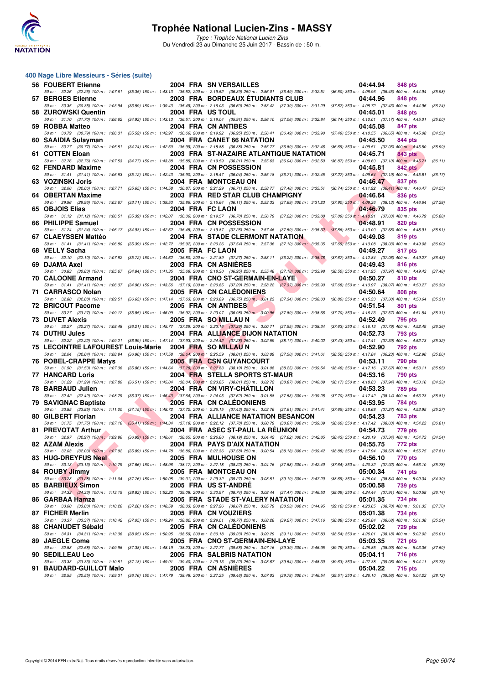

Type : Trophée National Lucien-Zins Du Vendredi 23 au Dimanche 25 Juin 2017 - Bassin de : 50 m.

#### **400 Nage Libre Messieurs - Séries (suite)**

| 56 FOUBERT Etienne                                      |                  | 2004 FRA SN VERSAILLES                                                                                                                                                                                                          | 04:44.94<br>848 pts                                                               |         |
|---------------------------------------------------------|------------------|---------------------------------------------------------------------------------------------------------------------------------------------------------------------------------------------------------------------------------|-----------------------------------------------------------------------------------|---------|
| 57 BERGES Etienne                                       |                  | 50 m : 32.26 (32.26) 100 m : 1:07.61 (35.35) 150 m : 1:43.13 (35.52) 200 m : 2:19.52 (36.39) 250 m : 2:56.01 (36.49) 300 m : 3:32.51 (36.50) 350 m : 4:08.96 (36.45) 400 m : 4:44.94<br><b>2003 FRA BORDEAUX ETUDIANTS CLUB</b> | 04:44.96<br>848 pts                                                               | (35.98) |
|                                                         |                  | 50 m: 30.35 (30.35) 100 m: 1:03.94 (33.59) 150 m: 1:39.43 (35.49) 200 m: 2:16.03 (36.60) 250 m: 2:53.42 (37.39) 300 m: 3:31.29 (37.87) 350 m: 4:08.72 (37.43) 400 m: 4:44.96 (36.24)                                            |                                                                                   |         |
| 58 ZUROWSKI Quentin                                     | 2004 FRA US TOUL | 50 m : 31.70 (31.70) 100 m : 1:06.62 (34.92) 150 m : 1:43.13 (36.51) 200 m : 2:19.04 (35.91) 250 m : 2:56.10 (37.06) 300 m : 3:32.84                                                                                            | 04:45.01<br>848 pts<br>$(36.74)$ 350 m : 4:10.01 $(37.17)$ 400 m : 4:45.01        | (35.00) |
| 59 ROBBA Matteo                                         |                  | 2004 FRA CN ANTIBES                                                                                                                                                                                                             | 04:45.08<br><b>847 pts</b><br>$(37.49)$ 350 m : 4:10.55 $(36.65)$ 400 m : 4:45.08 |         |
| 60 SAAIDIA Sulayman                                     |                  | 50 m : 30.79 (30.79) 100 m : 1:06.31 (35.52) 150 m : 1:42.97 (36.66) 200 m : 2:19.92 (36.95) 250 m : 2:56.41 (36.49) 300 m : 3:33.90<br>2004 FRA CANET 66 NATATION                                                              | 04:45.50<br>844 pts                                                               | (34.53) |
| 61 COTTEN Eloan                                         |                  | 50 m: 30.77 (30.77) 100 m: 1:05.51 (34.74) 150 m: 1:42.50 (36.99) 200 m: 2:18.88 (36.38) 250 m: 2:55.77 (36.89) 300 m: 3:32.46 (36.69) 350 m: 4:09.51 (37.05) 400 m: 4:45.50<br>2003 FRA ST-NAZAIRE ATLANTIQUE NATATION         | 04:45.71<br>843 pts                                                               | (35.99) |
|                                                         |                  | 50 m : 32.76 (32.76) 100 m : 1:07.53 (34.77) 150 m : 1:43.38 (35.85) 200 m : 2:19.59 (36.21) 250 m : 2:55.63 (36.04) 300 m : 3:32.50 (36.87) 350 m : 4:09.60 (37.10) 400 m : 4:45.71                                            |                                                                                   | (36.11) |
| 62 FENDARD Maxime                                       |                  | 2004 FRA CN POSSESSION<br>50 m: 31.41 (31.41) 100 m: 1:06.53 (35.12) 150 m: 1:42.43 (35.90) 200 m: 2:18.47 (36.04) 250 m: 2:55.18 (36.71) 300 m: 3:32.45 (37.27) 350 m: 4:09.64 (37.19) 400 m: 4:45.81 (36.17)                  | 04:45.81<br><b>842 pts</b>                                                        |         |
| 63 VOZINSKI Joris                                       |                  | 2004 FRA MONTCEAU ON                                                                                                                                                                                                            | 04:46.47<br>837 pts                                                               |         |
| 64 OBERTAN Maxime                                       |                  | 50 m: 32.06 (32.06) 100 m: 1:07.71 (35.65) 150 m: 1:44.58 (36.87) 200 m: 2:21.29 (36.71) 250 m: 2:58.77 (37.48) 300 m: 3:35.51 (36.74) 350 m: 4:11.92 (36.41) 400 m: 4:46.47<br>2003 FRA RED STAR CLUB CHAMPIGNY                | 04:46.64<br>836 pts                                                               | (34.55) |
|                                                         |                  | 50 m: 29.96 (29.96) 100 m: 1:03.67 (33.71) 150 m: 1:39.53 (35.86) 200 m: 2:15.64 (36.11) 250 m: 2:53.33 (37.69) 300 m: 3:31.23 (37.90) 350 m: 4:09.36 (38.13) 400 m: 4:46.64                                                    |                                                                                   | (37.28) |
| 65 OBJOIS Elias                                         | 2004 FRA FC LAON | 50 m : 31.12 (31.12) 100 m : 1:06.51 (35.39) 150 m : 1:42.87 (36.36) 200 m : 2:19.57 (36.70) 250 m : 2:56.79 (37.22) 300 m : 3:33.88 (37.09) 350 m : 4:10.91 (37.03) 400 m : 4:46.79                                            | 04:46.79<br>835 pts                                                               | (35.88) |
| 66 PHILIPPE Samuel                                      |                  | 2004 FRA CN POSSESSION                                                                                                                                                                                                          | 04:48.91<br>820 pts                                                               |         |
| 67 CLAEYSSEN Mattéo                                     |                  | 50 m: 31.24 (31.24) 100 m: 1:06.17 (34.93) 150 m: 1:42.62 (36.45) 200 m: 2:19.87 (37.25) 250 m: 2:57.46 (37.59) 300 m: 3:35.32 (37.86) 350 m: 4:13.00 (37.68) 400 m: 4:48.91<br><b>2004 FRA STADE CLERMONT NATATION</b>         | 04:49.08<br>819 pts                                                               | (35.91) |
| 68 VELLY Sacha                                          |                  | 50 m : 31.41 (31.41) 100 m : 1:06.80 (35.39) 150 m : 1:42.72 (35.92) 200 m : 2:20.26 (37.54) 250 m : 2:57.36 (37.10) 300 m : 3:35.05 (37.69) 350 m : 4:13.08 (38.03) 400 m : 4:49.08<br>2005 FRA FC LAON                        | 04:49.27<br>817 pts                                                               | (36.00) |
|                                                         |                  | 50 m: 32.10 (32.10) 100 m: 1:07.82 (35.72) 150 m: 1:44.62 (36.80) 200 m: 2:21.89 (37.27) 250 m: 2:58.11 (36.22) 300 m: 3:35.78                                                                                                  | (37.67) 350 m : 4:12.84 (37.06) 400 m : 4:49.27                                   | (36.43) |
| 69 DJAMA Axel                                           |                  | 2003 FRA CN ASNIERES<br>50 m: 30.83 (30.83) 100 m: 1:05.67 (34.84) 150 m: 1:41.35 (35.68) 200 m: 2:18.30 (36.95) 250 m: 2:55.48 (37.18) 300 m: 3:33.98 (38.50) 350 m: 4:11.95 (37.97) 400 m: 4:49.43 (37.48)                    | 04:49.43<br>816 pts                                                               |         |
| 70 CALOONE Armand                                       |                  | 2004 FRA CNO ST-GERMAIN-EN-LAYE                                                                                                                                                                                                 | 04:50.27<br>810 pts                                                               |         |
| 71 CARRASCO Nolan                                       |                  | 50 m: 31.41 (31.41) 100 m: 1:06.37 (34.96) 150 m: 1:43.56 (37.19) 200 m: 2:20.85 (37.29) 250 m: 2:58.22 (37.37) 300 m: 3:35.90<br><b>2005 FRA CN CALEDONIENS</b>                                                                | (37.68) 350 m: 4:13.97 (38.07) 400 m: 4:50.27<br>04:50.64<br>808 pts              | (36.30) |
|                                                         |                  | 50 m: 32.88 (32.88) 100 m: 1:09.51 (36.63) 150 m: 1:47.14 (37.63) 200 m: 2:23.89 (36.75) 250 m: 3:01.23 (37.34) 300 m: 3:38.03 (36.80) 350 m: 4:15.33 (37.30) 400 m: 4:50.64                                                    |                                                                                   | (35.31) |
| 72 BRICOUT Pacome                                       |                  | 2005 FRA CN ANTIBES<br>50 m: 33.27 (33.27) 100 m: 1:09.12 (35.85) 150 m: 1:46.09 (36.97) 200 m: 2:23.07 (36.98) 250 m: 3:00.96 (37.89) 300 m: 3:38.66 (37.70) 350 m: 4:16.23 (37.57) 400 m: 4:51.54                             | 04:51.54<br>801 pts                                                               | (35.31) |
| 73 DUVET Alexis                                         |                  | 2005 FRA SO MILLAU N                                                                                                                                                                                                            | 04:52.49<br>795 pts                                                               |         |
|                                                         |                  | 50 m: 32.27 (32.27) 100 m: 1:08.48 (36.21) 150 m: 1:45.77 (37.29) 200 m: 2:23.16 (37.39) 250 m: 3:00.71 (37.55) 300 m: 3:38.34 (37.63) 350 m: 4:16.13 (37.79) 400 m: 4:52.49                                                    |                                                                                   | (36.36) |
| 74 DUTHU Jules                                          |                  | 2004 FRA ALLIANCE DIJON NATATION                                                                                                                                                                                                | 04:52.73<br><b>793 pts</b>                                                        |         |
|                                                         |                  | 50 m: 32.22 (32.22) 100 m: 1:09.21 (36.99) 150 m: 1:47.14 (37.93) 200 m: 2:24.42 (37.28) 250 m: 3:02.59 (38.17) 300 m: 3:40.02 (37.43) 350 m: 4:17.41 (37.39) 400 m: 4:52.73 (35.32)                                            |                                                                                   |         |
| 75 LECOINTRE LAFOUREST Louis-Marie 2004 FRA SO MILLAU N |                  | 50 m : 32.04 (32.04) 100 m : 1:08.94 (36.90) 150 m : 1:47.58 (38.64) 200 m : 2:25.59 (38.01) 250 m : 3:03.09 (37.50) 300 m : 3:41.61                                                                                            | 04:52.90<br>792 pts<br>(38.52) 350 m : 4:17.84 (36.23) 400 m : 4:52.90            | (35.06) |
| 76 POBEL-CRAPPE Matys                                   |                  | <b>2005 FRA CSN GUYANCOURT</b>                                                                                                                                                                                                  | 04:53.11<br>790 pts                                                               |         |
| <b>77 HANCARD Loris</b>                                 |                  | 50 m : 31.50 (31.50) 100 m : 1:07.36 (35.86) 150 m : 1:44.64 (37.28) 200 m : 2:22.83 (38.19) 250 m : 3:01.08 (38.25) 300 m : 3:39.54<br>2004 FRA STELLA SPORTS ST-MAUR                                                          | (38.46) 350 m : 4:17.16 (37.62) 400 m : 4:53.11<br>04:53.16<br>790 pts            | (35.95) |
|                                                         |                  | 50 m: 31.29 (31.29) 100 m: 1:07.80 (36.51) 150 m: 1:45.84 (38.04) 200 m: 2:23.85 (38.01) 250 m: 3:02.72 (38.87) 300 m: 3:40.89 (38.17) 350 m: 4:18.83 (37.94) 400 m: 4:53.16                                                    |                                                                                   | (34.33) |
| 78 BARBAUD Julien                                       |                  | 2004 FRA CN VIRY-CHATILLON<br>50 m: 32.42 (32.42) 100 m: 1:08.79 (36.37) 150 m: 1:46.43 (37.64) 200 m: 2:24.05 (37.62) 250 m: 3:01.58 (37.53) 300 m: 3:39.28 (37.70) 350 m: 4:17.42 (38.14) 400 m: 4:53.23                      | 04:53.23<br>789 pts                                                               | (35.81) |
| 79 SAVIGNAC Baptiste                                    |                  | 2005 FRA CN CALEDONIENS<br>50 m: 33.85 (33.85) 100 m: 1:11.00 (37.15) 150 m: 1:48.72 (37.72) 200 m: 2:26.15 (37.43) 250 m: 3:03.76 (37.61) 300 m: 3:41.41 (37.65) 350 m: 4:18.68 (37.27) 400 m: 4:53.95 (35.27)                 | 04:53.95<br>784 pts                                                               |         |
| 80 GILBERT Florian                                      |                  | 2004 FRA ALLIANCE NATATION BESANCON                                                                                                                                                                                             | 04:54.23<br><b>783 pts</b>                                                        |         |
| 81 PREVOTAT Arthur                                      |                  | 50 m: 31.75 (31.75) 100 m: 1:07.16 (35.41) 150 m: 1:44.34 (37.18) 200 m: 2:22.12 (37.78) 250 m: 3:00.79 (38.67) 300 m: 3:39.39 (38.60) 350 m: 4:17.42 (38.03) 400 m: 4:54.23 (36.81)<br>2004 FRA ASEC ST-PAUL LA REUNION        | 04:54.73<br>779 pts                                                               |         |
|                                                         |                  | 50 m: 32.97 (32.97) 100 m: 1:09.96 (36.99) 150 m: 1:48.61 (38.65) 200 m: 2:26.80 (38.19) 250 m: 3:04.42 (37.62) 300 m: 3:42.85 (38.43) 350 m: 4:20.19 (37.34) 400 m: 4:54.73 (34.54)                                            |                                                                                   |         |
| 82 AZAM Alexis                                          |                  | 2004 FRA PAYS D'AIX NATATION<br>50 m : 32.03 (32.03) 100 m : 1:07.92 (35.89) 150 m : 1:44.78 (36.86) 200 m : 2:22.36 (37.58) 250 m : 3:00.54 (38.18) 300 m : 3:39.42 (38.88) 350 m : 4:17.94 (38.52) 400 m : 4:55.75 (37.81)    | 04:55.75<br>772 pts                                                               |         |
| 83 HUG-DREYFUS Neal                                     |                  | 2005 FRA MULHOUSE ON                                                                                                                                                                                                            | 04:56.10<br>770 pts                                                               |         |
| 84 ROUBY Jimmy                                          |                  | 50 m : 33.13 (33.13) 100 m : 1:10.79 (37.66) 150 m : 1:48.96 (38.17) 200 m : 2:27.18 (38.22) 250 m : 3:04.76 (37.58) 300 m : 3:42.40 (37.64) 350 m : 4:20.32 (37.92) 400 m : 4:56.10<br>2005 FRA MONTCEAU ON                    | 05:00.34<br>741 pts                                                               | (35.78) |
|                                                         |                  | 50 m: 33.28 (33.28) 100 m: 1:11.04 (37.76) 150 m: 1:50.05 (39.01) 200 m: 2:29.32 (39.27) 250 m: 3:08.51 (39.19) 300 m: 3:47.20 (38.69) 350 m: 4:26.04 (38.84) 400 m: 5:00.34                                                    |                                                                                   | (34.30) |
| 85 BARBIEUX Simon                                       |                  | 2005 FRA US ST-ANDRE<br>50 m: 34.33 (34.33) 100 m: 1:13.15 (38.82) 150 m: 1:52.23 (39.08) 200 m: 2:30.97 (38.74) 250 m: 3:08.44 (37.47) 300 m: 3:46.53 (38.09) 350 m: 4:24.44 (37.91) 400 m: 5:00.58 (36.14)                    | 05:00.58<br>739 pts                                                               |         |
| 86 GARBAA Hamza                                         |                  | 2005 FRA STADE ST-VALERY NATATION                                                                                                                                                                                               | 05:01.35<br>734 pts                                                               |         |
| 87 FICHER Merlin                                        |                  | 50 m: 33.00 (33.00) 100 m: 1:10.26 (37.26) 150 m: 1:48.59 (38.33) 200 m: 2:27.26 (38.67) 250 m: 3:05.79 (38.53) 300 m: 3:44.95 (39.16) 350 m: 4:23.65 (38.70) 400 m: 5:01.35 (37.70)<br>2005 FRA CN VOUZIERS                    | 05:01.38<br>734 pts                                                               |         |
| 88 CHANUDET Sébald                                      |                  | 50 m : 33.37 (33.37) 100 m : 1:10.42 (37.05) 150 m : 1:49.24 (38.82) 200 m : 2:29.01 (39.77) 250 m : 3:08.28 (39.27) 300 m : 3:47.16 (38.88) 350 m : 4:25.84 (38.68) 400 m : 5:01.38 (35.54)<br>2005 FRA CN CALEDONIENS         | 05:02.02<br>729 pts                                                               |         |
|                                                         |                  | 50 m : 34.31 (34.31) 100 m : 1:12.36 (38.05) 150 m : 1:50.95 (38.59) 200 m : 2:30.18 (39.23) 250 m : 3:09.29 (39.11) 300 m : 3:47.83 (38.54) 350 m : 4:26.01 (38.18) 400 m : 5:02.02 (36.01)                                    |                                                                                   |         |
| 89 JAEGLE Come                                          |                  | 2005 FRA CNO ST-GERMAIN-EN-LAYE<br>50 m: 32.58 (32.58) 100 m: 1:09.96 (37.38) 150 m: 1:48.19 (38.23) 200 m: 2:27.77 (39.58) 250 m: 3:07.16 (39.39) 300 m: 3:46.95 (39.79) 350 m: 4:25.85 (38.90) 400 m: 5:03.35 (37.50)         | 05:03.35<br>721 pts                                                               |         |
| 90 SEDILLEAU Leo                                        |                  | 2005 FRA SALBRIS NATATION                                                                                                                                                                                                       | 05:04.11<br>716 pts                                                               |         |
| 91 BAUDARD-GUILLOT Malo                                 |                  | 50 m : 33.33 (33.33) 100 m : 1:10.51 (37.18) 150 m : 1:49.91 (39.40) 200 m : 2:29.13 (39.22) 250 m : 3:08.67 (39.54) 300 m : 3:48.30 (39.63) 350 m : 4:27.38 (39.08) 400 m : 5:04.11 (36.73)<br>2005 FRA CN ASNIERES            | 05:04.22<br>715 pts                                                               |         |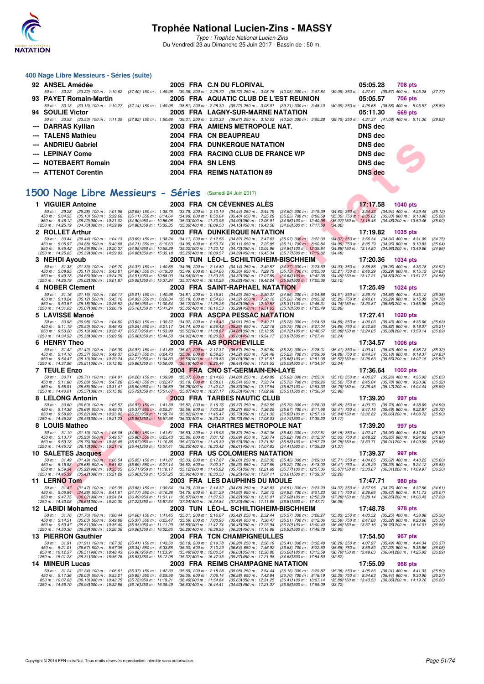

Type : Trophée National Lucien-Zins Du Vendredi 23 au Dimanche 25 Juin 2017 - Bassin de : 50 m.

#### **400 Nage Libre Messieurs - Séries (suite)**

|                        |                                        | 05:05.28 708 pts                                                                                                                                                                             |
|------------------------|----------------------------------------|----------------------------------------------------------------------------------------------------------------------------------------------------------------------------------------------|
|                        |                                        | 50 m : 33.22 (33.22) 100 m : 1:10.62 (37.40) 150 m : 1:49.98 (39.36) 200 m : 2:28.70 (38.72) 250 m : 3:08.75 (40.05) 300 m : 3:47.84 (39.09) 350 m : 4:27.51 (39.67) 400 m : 5:05.28 (37.77) |
| 93 PAYET Romain-Martin | 2005 FRA AQUATIC CLUB DE L'EST REUNION | 05:05.57<br>706 pts                                                                                                                                                                          |
|                        |                                        | 50 m: 33.13 (33.13) 100 m: 1:10.27 (37.14) 150 m: 1:49.08 (38.81) 200 m: 2:28.30 (39.22) 250 m: 3:08.01 (39.71) 300 m: 3:48.10 (40.09) 350 m: 4:26.68 (38.58) 400 m: 5:05.57 (38.89)         |
| 94 SOULIE Victor       | 2005 FRA LAGNY-SUR-MARNE NATATION      | 05:11.30 669 pts                                                                                                                                                                             |
|                        |                                        | 50 m: 33.53 (33.53) 100 m: 1:11.35 (37.82) 150 m: 1:50.66 (39.31) 200 m: 2:30.33 (39.67) 250 m: 3:10.53 (40.20) 300 m: 3:50.28 (39.75) 350 m: 4:31.37 (41.09) 400 m: 5:11.30 (39.93)         |
| --- DARRAS Kyllian     | 2003 FRA AMIENS METROPOLE NAT.         | <b>DNS</b> dec                                                                                                                                                                               |
| --- TALENS Mathieu     | 2004 FRA CN BEAUPREAU                  | <b>DNS</b> dec                                                                                                                                                                               |
| --- ANDRIEU Gabriel    | <b>2004 FRA DUNKERQUE NATATION</b>     | <b>DNS</b> dec                                                                                                                                                                               |
| --- LEPINAY Come       | 2003 FRA RACING CLUB DE FRANCE WP      | DNS dec                                                                                                                                                                                      |
| --- NOTEBAERT Romain   | 2004 FRA SN LENS                       | DNS dec                                                                                                                                                                                      |
| --- ATTENOT Corentin   | 2004 FRA REIMS NATATION 89             | <b>DNS</b> dec                                                                                                                                                                               |

### **[1500 Nage Libre Messieurs - Séries](http://www.ffnatation.fr/webffn/resultats.php?idact=nat&go=epr&idcpt=47287&idepr=56)** (Samedi 24 Juin 2017)

| <b>ANDRIEU Gabriel</b>                     |                                                                      |                                                         |                                                                |                                                                 | <b>2004 FRA DUNKERQUE NATATION</b>                                               |                                                                | <b>DNS dec</b>                                                  |                                                                                  |                    |
|--------------------------------------------|----------------------------------------------------------------------|---------------------------------------------------------|----------------------------------------------------------------|-----------------------------------------------------------------|----------------------------------------------------------------------------------|----------------------------------------------------------------|-----------------------------------------------------------------|----------------------------------------------------------------------------------|--------------------|
| --- LEPINAY Come                           |                                                                      |                                                         |                                                                |                                                                 | 2003 FRA RACING CLUB DE FRANCE WP                                                |                                                                | <b>DNS dec</b>                                                  |                                                                                  |                    |
|                                            | --- NOTEBAERT Romain                                                 |                                                         | 2004 FRA SN LENS                                               |                                                                 |                                                                                  |                                                                | <b>DNS</b> dec                                                  |                                                                                  |                    |
| --- ATTENOT Corentin                       |                                                                      |                                                         |                                                                |                                                                 | 2004 FRA REIMS NATATION 89                                                       |                                                                | <b>DNS</b> dec                                                  |                                                                                  |                    |
|                                            |                                                                      |                                                         |                                                                |                                                                 |                                                                                  |                                                                |                                                                 |                                                                                  |                    |
|                                            | 500 Nage Libre Messieurs - Séries                                    |                                                         |                                                                |                                                                 | (Samedi 24 Juin 2017)                                                            |                                                                |                                                                 |                                                                                  |                    |
| 1 VIGUIER Antoine                          |                                                                      |                                                         |                                                                |                                                                 | 2003 FRA CN CEVENNES ALES                                                        |                                                                | 17:17.58                                                        |                                                                                  |                    |
| 50 m: 29.28                                | (29.28) 100 m : 1:01.96                                              | $(32.68)$ 150 m : 1:35.75                               |                                                                | $(33.79)$ 200 m : 2:10.19                                       | (34.44) 250 m : 2:44.79                                                          | $(34.60)$ 300 m : 3:19.39                                      | $(34.60)$ 350 m : 3:54.33                                       | <b>1040 pts</b><br>$(34.94)$ 400 m : 4:29.45                                     | (35.12)            |
| 450 m: 5:04.55<br>850 m : 9:46.12          | $(35.10)$ 500 m : 5:39.66<br>(35.22) 900 m : 10:21.02                | $(35.11)$ 550 m : 6:14.64<br>(34.90) 950 m : 10:56.05   |                                                                | $(34.98)$ 600 m : 6:50.04<br>(35.031000 m: 11:30.95)            | $(35.40)$ 650 m : 7:25.29<br>(34.90) 050 m: 12:05.91                             | (35.25) 700 m : 8:00.59<br>(34.96) 100 m : 12:40.98            | $(35.30)$ 750 m : 8:35.62<br>$(35.071150 \text{ m} : 13.15.46)$ | $(35.03)$ 800 m : 9:10.90<br>(34.48) 200 m : 13:50.46                            | (35.28)<br>(35.00) |
| 1250 m: 14:25.19                           | (34.73) 300 m : 14:59.99                                             | (34.80) 350 m : 15:35.35                                |                                                                | (35.36) 400 m : 16:09.50                                        | $(34.15)450 \text{ m}$ : 16:43.56                                                | $(34.061500 \text{ m} : 17.17.58)$                             | (34.02)                                                         |                                                                                  |                    |
| 2 ROLLET Arthur<br>$50 m$ : $30.44$        | $(30.44)$ 100 m : 1:04.13                                            | $(33.69)$ 150 m : 1:38.24                               | $(34.11)$ 200 m : 2:12.56                                      |                                                                 | <b>2003 FRA DUNKERQUE NATATION</b><br>$(34.32)$ 250 m : 2:47.63                  | $(35.07)$ 300 m; 3:22.00                                       | 17:19.82                                                        | 1035 pts<br>$(34.37)$ 350 m : 3:56.34 $(34.34)$ 400 m : 4:31.09                  | (34.75)            |
| 450 m: 5:05.97<br>850 m : 9:45.42          | $(34.88)$ 500 m : 5:40.68<br>(34.59) 900 m : 10:20.37                | $(34.71)$ 550 m : 6:15.63<br>$(34.95)$ 950 m : 10:55.39 |                                                                | $(34.95)$ 600 m : 6:50.74<br>$(35.02)000 \text{ m}$ : 11:30.12  | $(35.11)$ 650 m : 7:25.85<br>(34.73) 050 m : 12:04.96                            | $(35.11)$ 700 m : 8:00.84<br>(34.841100 m: 12:39.84)           | $(34.99)$ 750 m : 8:35.79<br>(34.88) 150 m : 13:14.80           | $(34.95)$ 800 m : 9:10.83<br>(34.961200 m : 13.49.66                             | (35.04)            |
| 1250 m: 14:25.05                           | (35.39) 300 m : 14:59.93                                             | (34.88) 350 m : 15:35.18                                |                                                                | $(35.25)400 \text{ m}$ : 16:09.57                               | (34.39) 450 m : 16:45.34                                                         | (35.771500 m : 17:19.82                                        | (34.48)                                                         |                                                                                  | (34.86)            |
| 3 NEHDI Ayoub                              |                                                                      |                                                         |                                                                |                                                                 | 2003 TUN LEO-L. SCHILTIGHEIM-BISCHHEIM                                           |                                                                | 17:20.36                                                        | <b>1034 pts</b>                                                                  |                    |
| 50 m: 31.33<br>450 m: 5:08.95              | $(31.33)$ 100 m : 1:05.70<br>(35.17) 500 m : 5:43.81                 | $(34.37)$ 150 m : 1:40.66<br>$(34.86)$ 550 m : 6:19.30  | $(35.49)$ 600 m : 6:54.66                                      | $(34.96)$ 200 m : 2:14.80                                       | $(34.14)$ 250 m : 2:49.57<br>$(35.36)$ 650 m : 7:29.79                           | $(34.77)$ 300 m : 3:23.60<br>$(35.13)$ 700 m : 8:05.00         | $(34.03)$ 350 m : 3:58.86<br>$(35.21)$ 750 m : 8:40.29          | $(35.26)$ 400 m : 4:33.78<br>$(35.29)$ 800 m : 9:15.12                           | (34.92)<br>(34.83) |
| 850 m : 9:49.78<br>1250 m: 14:26.79        | $(34.66)$ 900 m : 10:24.29<br>(35.02) 300 m : 15:01.87               | $(34.51)$ 950 m : 10:58.93<br>(35.08) 350 m : 15:37.24  | (34.641000 m: 11:33.25                                         | (35.37) 400 m : 16:12.26                                        | (34.32) 050 m : 12:07.89<br>(35.02) 450 m : 16:48.24                             | (34.64) 100 m: 12:42.38<br>(35.98) 500 m : 17:20.36            | (34.49) 150 m : 13:17.21<br>(32.12)                             | (34.83) 200 m : 13:51.77                                                         | (34.56)            |
| 4 NOBER Clement                            |                                                                      |                                                         |                                                                |                                                                 | 2003 FRA SAINT-RAPHAEL NATATION                                                  |                                                                | 17:25.49                                                        | 1024 pts                                                                         |                    |
| 50 m: 31.16<br>450 m: 5:10.24              | $(31.16)$ 100 m : 1:06.17<br>$(35.12)$ 500 m : 5:45.16               | $(35.01)$ 150 m : 1:40.98<br>(34.92) 550 m : 6:20.34    | $(34.81)$ 200 m : 2:15.81<br>$(35.18)$ 600 m : 6:54.86         |                                                                 | (34.83) 250 m : 2:50.37<br>$(34.52)$ 650 m : 7:30.12                             | $(34.56)$ 300 m : 3:24.88<br>(35.26) 700 m : 8:05.32           | $(34.51)$ 350 m : 3:59.74<br>$(35.20)$ 750 m : 8:40.61          | $(34.86)$ 400 m : 4:35.12<br>$(35.29)$ 800 m : 9:15.39                           | (35.38)<br>(34.78) |
| 850 m: 9:50.57<br>1250 m: 14:31.03         | (35.18) 900 m : 10:25.52<br>(35.07) 300 m : 15:06.19                 | (34.95) 950 m : 11:00.64<br>(35.16) 350 m : 15:41.24    |                                                                | (35.121000 m: 11:35.26<br>$(35.05)400 \text{ m}$ : 16:16.53     | (34.62) 050 m: 12:10.57<br>$(35.29)450 \text{ m}$ : 16:51.63                     | (35.311100 m: 12:45.31)<br>(35.10) 500 m : 17:25.49            | (34.741150 m : 13:20.87<br>(33.86)                              | (35.561200 m: 13:55.96                                                           | (35.09)            |
| 5 LAVISSE Manoé                            |                                                                      |                                                         |                                                                |                                                                 | 2003 FRA ASCPA PESSAC NATATION                                                   |                                                                | 17:27.41                                                        | <b>1020 pts</b>                                                                  |                    |
| 50 m: 30.98<br>450 m: 5:11.19              | $(30.98)$ 100 m : 1:04.60<br>(35.53) 500 m : 5:46.43                 | $(33.62)$ 150 m : 1:39.52<br>$(35.24)$ 550 m : 6:21.17  | $(34.92)$ 200 m : 2:14.43                                      |                                                                 | $(34.91)$ 250 m : 2:49.71<br>$(34.74)$ 600 m : 6:56.43 $(35.26)$ 650 m : 7:32.18 | $(35.28)$ 300 m : 3:24.60<br>$(35.75)$ 700 m : 8:07.04         | $(34.89)$ 350 m : 4:00.03<br>$(34.86)$ 750 m : $8.42.86$        | $(35.43)$ 400 m : 4:35.66<br>$(35.82)$ 800 m : 9:18.07                           | (35.63)<br>(35.21) |
| 850 m : 9:53.20<br>1250 m: 14:34.52        | (35.13) 900 m : 10:28.47<br>(35.38) 300 m : 15:09.58                 | (35.27) 950 m : 11:03.99<br>(35.061350 m : 15:44.50     |                                                                | (35.52) 000 m: 11:38.87<br>$(34.921400 \text{ m} : 16.20.30)$   | (34.88) 050 m : 12:13.59<br>(35.80) 450 m : 16:54.17                             | (34.72) 100 m : 12:48.67<br>(33.871500 m: 17:27.41             | (35.08) 150 m : 13:24.05<br>(33.24)                             | (35.38) 200 m : 13:59.14                                                         | (35.09)            |
| 6 HENRY Theo                               |                                                                      |                                                         |                                                                |                                                                 | 2003 FRA AS PORCHEVILLE                                                          |                                                                | 17:34.57                                                        | <b>1006 pts</b>                                                                  |                    |
| 50 m: 31.42                                | $(31.42)$ 100 m : 1:06.39                                            | $(34.97)$ 150 m : 1:41.80                               |                                                                | $(35.41)$ 200 m : 2:17.37                                       | $(35.57)$ 250 m : 2:52.60                                                        | $(35.23)$ 300 m : 3:28.01                                      |                                                                 | $(35.41)$ 350 m : 4:03.41 $(35.40)$ 400 m : 4:38.73                              | (35.32)            |
| 450 m: 5:14.10<br>850 m: 9:54.47           | (35.37) 500 m : 5:49.37<br>(35.10) 900 m : 10:29.24                  | (35.27) 550 m : 6:24.73<br>(34.77) 950 m : 11:04.83     | $(35.36)$ 600 m : 6:59.25<br>$(35.59)000 \text{ m}$ : 11:39.83 |                                                                 | $(34.52)$ 650 m : 7:34.48<br>(35.00) 050 m: 12:15.51                             | $(35.23)$ 700 m : $8.09.36$<br>(35.68) 100 m : 12:51.08        | $(34.88)$ 750 m : 8:44.54<br>(35.57) 150 m : 13:26.63           | (35.18) 800 m : 9.19.37<br>(35.55) 200 m : 14:02.15                              | (34.83)<br>(35.52) |
| 1250 m: 14:37.96<br><b>7 TEULE Enzo</b>    | (35.811300 m: 15:13.82)                                              | (35.86) 350 m : 15:50.00                                | (36.18) 400 m : 16:26.44                                       |                                                                 | (36.44) 450 m : 17:01.53<br>2004 FRA CNO ST-GERMAIN-EN-LAYE                      | (35.09) 500 m : 17:34.57                                       | (33.04)<br>17:36.64                                             | 1002 pts                                                                         |                    |
| 50 m: 30.71                                | $(30.71)$ 100 m : 1:04.91                                            | $(34.20)$ 150 m : 1:39.98                               | $(35.07)$ 200 m : 2:14.86                                      |                                                                 | $(34.88)$ 250 m : 2:49.89                                                        | $(35.03)$ 300 m : 3:25.01                                      | $(35.12)$ 350 m : 4:00.27                                       | $(35.26)$ 400 m : 4:35.92                                                        | (35.65)            |
| 450 m: 5:11.80<br>850 m: 9:55.91           | (35.88) 500 m : 5:47.28<br>$(35.55)$ 900 m : 10:31.41                | (35.48) 550 m : 6:22.47<br>$(35.50)$ 950 m : 11:06.69   |                                                                | $(35.19)$ 600 m : 6.58.01<br>$(35.281000 \text{ m} : 11.42.02)$ | (35.54) 650 m : 7:33.74<br>(35.33) 050 m: 12:17.54                               | (35.73) 700 m : 8:09.26<br>(35.52) 100 m : 12:53.33            | $(35.52)$ 750 m : 8:45.04                                       | $(35.78)$ 800 m : 9:20.36<br>(35.79) 150 m: 13:28.45 (35.12) 200 m: 14:04.44     | (35.32)<br>(35.99) |
| 1250 m: 14:40.01<br>8 LELONG Antonin       | (35.57) 300 m : 15:15.80                                             | (35.791350 m: 15:51.67                                  | $(35.87)400 \text{ m}$ : 16:27.17                              |                                                                 | (35.50)450 m : 17:02.68<br><b>2003 FRA TARBES NAUTIC CLUB</b>                    | (35.511500 m: 17:36.64                                         | (33.96)<br>17:39.20                                             |                                                                                  |                    |
| 50 m: 30.60                                | (30.60) 100 m : 1:05.57                                              | $(34.97)$ 150 m : 1:41.39                               |                                                                | $(35.82)$ 200 m : 2:16.76                                       | $(35.37)$ 250 m : 2:52.55                                                        | $(35.79)$ 300 m : 3:28.00                                      |                                                                 | 997 pts<br>$(35.45)$ 350 m : 4:03.70 $(35.70)$ 400 m : 4:38.69                   | (34.99)            |
| 450 m: 5:14.38<br>850 m: 9:58.69           | $(35.69)$ 500 m : 5:49.75<br>$(35.82)$ 900 m : 10:33.92              | $(35.37)$ 550 m : 6:25.31<br>$(35.23)$ 950 m : 11:09.74 |                                                                | $(35.56)$ 600 m : 7:00.58<br>(35.82) 000 m : 11:45.47           | $(35.27)$ 650 m : 7:36.25<br>$(35.73)050$ m : 12:21.32                           | $(35.67)$ 700 m : 8:11.66<br>$(35.85)100 \text{ m}$ : 12:57.16 | $(35.41)$ 750 m : 8:47.15<br>(35.84) 150 m : 13:32.82           | $(35.49)$ 800 m : 9:22.87<br>(35.66) 200 m : 14:08.72                            | (35.72)<br>(35.90) |
| 1250 m: 14:45.28                           | $(36.56)300 \text{ m}$ : 15:21.23                                    | (35.95)350 m : 15.57.56                                 |                                                                | (36.33) 400 m : 16:33.29                                        | (35.73) 450 m : 17:08.03                                                         | (34.741500 m: 17:39.20                                         | (31.17)                                                         |                                                                                  |                    |
| 8 LOUIS Matheo<br>50 m: 31.19              | $(31.19)$ 100 m $: 1.06.08$                                          | $(34.89)$ 150 m : 1:41.61                               |                                                                | $(35.53)$ 200 m : 2:16.93                                       | 2003 FRA CHARTRES METROPOLE NAT<br>$(35.32)$ 250 m : 2:52.36                     | $(35.43)$ 300 m : 3:27.51                                      | 17:39.20                                                        | 997 pts<br>(35.15) 350 m: 4:02.47 (34.96) 400 m: 4:37.84                         | (35.37)            |
| 450 m: 5:13.77<br>850 m : 9:59.78          | $(35.93)$ 500 m : 5:49.57<br>(35.76) 900 m / 10:35.45                | $(35.80)$ 550 m : 6:25.43<br>$(35.67)$ 950 m : 11:10.86 | (35.411000 m: 11:46.39)                                        | $(35.86)$ 600 m : 7:01.12                                       | (35.69) 650 m : 7:36.74<br>(35.53) 050 m: 12:21.92                               | $(35.62)$ 700 m : 8:12.37<br>(35.53) 100 m : 12:57.70          | $(35.63)$ 750 m : 8:48.22<br>(35.78) 150 m : 13:33.71           | $(35.85)$ 800 m : 9:24.02<br>(36.011200 m: 14:09.59                              | (35.80)<br>(35.88) |
| 1250 m: 14:45.72                           | (36.13) 300 m : 15:21.16                                             | (35.441350 m : 15:57.41                                 |                                                                | (36.25) 400 m : 16:33.42                                        | (36.011450 m: 17:07.83                                                           | (34.41) 500 m : 17:39.20                                       | (31.37)                                                         |                                                                                  |                    |
| 10 SALETES Jacques<br>$50 m$ : 31.49       |                                                                      |                                                         | $(35.33)$ 200 m : 2:17.87                                      |                                                                 | 2003 FRA US COLOMIERS NATATION                                                   |                                                                | 17:39.37                                                        | 997 pts                                                                          |                    |
| 450 m: 5:15.93                             | $(31.49)$ 100 m : 1:06.54<br>(35.68) 500 m : 5.51.62                 | $(35.05)$ 150 m : 1:41.87<br>$(35.69)$ 550 m : 6:27.14  | $(35.52)$ 600 m : 7:02.37                                      |                                                                 | $(36.00)$ 250 m : 2:53.32<br>$(35.23)$ 650 m : 7:37.59                           | $(35.45)$ 300 m : 3:29.03<br>$(35.22)$ 700 m : 8:13.00         | $(35.41)$ 750 m : 8:48.29                                       | $(35.71)$ 350 m : 4:04.65 $(35.62)$ 400 m : 4:40.25<br>$(35.29)$ 800 m : 9:24.12 | (35.60)<br>(35.83) |
| 850 m : 9:59.34<br>1250 m: 14:45.39        | (35.22) 900 m : 10:35.05<br>(35.42) 300 m : 15:21.29                 | (35.71) 950 m: 11:10.17<br>(35.90) 350 m : 15:57.25     |                                                                | (35.12) 000 m: 11:45.92<br>$(35.96)400 \text{ m}$ : 16:33.50    | (35.75) 050 m : 12:21.69<br>$(36.25)1450 \text{ m}$ : 17:07.11                   | (35.77) 100 m : 12:57.36<br>(33.611500 m: 17:39.37             | (32.26)                                                         | (35.671150 m: 13:33.67 (36.311200 m: 14:09.97)                                   | (36.30)            |
| 11 LERNO Tom                               |                                                                      |                                                         |                                                                |                                                                 | 2003 FRA LES DAUPHINS DU MOULE                                                   |                                                                | 17:47.71                                                        | 980 pts                                                                          |                    |
| 50 m: 31.47                                | $(31.47)$ 100 m : 1:05.35<br>450 m : 5:06.84 (34.28) 500 m : 5:41.61 | $(33.88)$ 150 m : 1:39.64<br>$(34.77)$ 550 m : 6:16.36  | $(34.75)$ 600 m : 6:51.29                                      | $(34.29)$ 200 m : 2:14.32                                       | $(34.68)$ 250 m : 2:48.83<br>$(34.93)$ 650 m : 7:26.12                           | $(34.51)$ 300 m : 3:23.20<br>$(34.83)$ 700 m : 8:01.23         | (34.37) 350 m : 3:57.95<br>$(35.11)$ 750 m : 8:36.66            | $(34.75)$ 400 m : 4:32.56<br>$(35.43)$ 800 m : 9:11.73                           | (34.61)<br>(35.07) |
| 850 m : 9:47.75<br>1250 m: 14:43.08        | $(36.02)$ 900 m : 10:24.24<br>$(36.65)300 \text{ m}$ : 15:20.30      | (36.49) 950 m : 11:01.11<br>(37.22) 350 m : 15:57.54    | (36.87) 000 m : 11:37.93<br>(37.241400 m : 16:34.84            |                                                                 | (36.82) 050 m : 12:15.01<br>(37.30) 450 m : 17:11.65                             | (37.081100 m: 12:52.29)<br>(36.811500 m : 17:47.71             | (36.06)                                                         | (37.28) 150 m : 13:29.14 (36.85) 200 m : 14:06.43                                | (37.29)            |
| 12 LABIDI Mohamed                          |                                                                      |                                                         |                                                                |                                                                 | 2003 TUN LEO-L. SCHILTIGHEIM-BISCHHEIM                                           |                                                                | 17:48.78                                                        | 978 pts                                                                          |                    |
| 50 m: 31.76<br>450 m : 5:14.51             | $(31.76)$ 100 m : 1:06.44<br>$(35.63)$ 500 m : 5:49.88               | $(34.68)$ 150 m : 1:41.45<br>$(35.37)$ 550 m : 6:25.47  | $(35.01)$ 200 m : 2:16.87<br>$(35.59)$ 600 m : 7:00.96         |                                                                 | $(35.42)$ 250 m : 2:52.44<br>(35.49) 650 m : 7:36.47                             | $(35.57)$ 300 m : 3:28.27<br>$(35.51)$ 700 m : 8:12.06         | $(35.59)$ 750 m : $8.47.88$                                     | (35.83) 350 m : 4:03.52 (35.25) 400 m : 4:38.88<br>$(35.82)$ 800 m : 9:23.66     | (35.36)<br>(35.78) |
| 850 m : 9:59.47<br>1250 m: 14:50.30        | (35.81) 900 m : 10:35.40<br>(36.29) 300 m : 15:26.36                 | (35.93) 950 m : 11:11.29<br>(36.061350 m : 16.02.65)    | (35.89) 000 m : 11:47.74                                       | (36.29) 400 m : 16:38.95                                        | (36.451050 m: 12:23.94<br>(36.30) 450 m : 17:14.88                               | (36.201100 m: 13:00.40)<br>(35.93) 500 m : 17:48.78            | (36.46) 150 m : 13:37.16<br>(33.90)                             | (36.761200 m: 14:14.01                                                           | (36.85)            |
| <b>13 PIERRON Gauthier</b>                 |                                                                      |                                                         |                                                                |                                                                 | 2004 FRA TCN CHAMPIGNEULLES                                                      |                                                                | 17:54.50                                                        | 967 pts                                                                          |                    |
| 50 m: 31.91                                | $(31.91)$ 100 m : 1:07.32                                            | $(35.41)$ 150 m : 1:43.50                               | $(36.18)$ 200 m : 2:19.78                                      |                                                                 | $(36.28)$ 250 m : 2:56.19                                                        | $(36.41)$ 300 m : 3:32.48                                      | $(36.29)$ 350 m : 4:07.97                                       | $(35.49)$ 400 m : 4:44.34                                                        | (36.37)            |
| 450 m : 5:21.01<br>850 m: 10:12.37         | $(36.67)$ 500 m : 5:57.35<br>$(36.51)$ 900 m : 10:48.43              | $(36.34)$ 550 m : 6:33.65<br>(36.06) 950 m : 11:23.91   | $(36.30)$ 600 m : 7:10.29<br>(35.48) 000 m: 12:00.54           |                                                                 | (36.64) 650 m : 7:46.92<br>(36.63) 050 m: 12:36.80                               | $(36.63)$ 700 m : 8:22.60<br>(36.26) 100 m : 13:13.59          | $(35.68)$ 750 m : $8.59.80$                                     | (37.20) 800 m : 9:35.86<br>(36.79) 150 m : 13:49.63 (36.04) 200 m : 14:25.92     | (36.06)<br>(36.29) |
| 1250 m: 15:01.23<br><b>14 MINEUR Lucas</b> | (35.311300 m: 15:36.76                                               | (35.53) 350 m : 16:12.08                                |                                                                | (35.32) 400 m : 16:47.35                                        | (35.27) 450 m : 17:21.98<br>2003 FRA REIMS CHAMPAGNE NATATION                    | (34.631500 m : 17:54.50                                        | (32.52)<br>17:55.09                                             | 966 pts                                                                          |                    |
| 50 m: 31.24                                | $(31.24)$ 100 m : 1:06.61                                            | (35.37) 150 m : 1:42.30                                 | $(35.69)$ 200 m : 2:18.28                                      |                                                                 | $(35.98)$ 250 m : 2:54.44                                                        | $(36.16)$ 300 m : 3:29.82                                      | $(35.38)$ 350 m : 4:05.83                                       | $(36.01)$ 400 m : 4:41.33                                                        | (35.50)            |
| 450 m: 5:17.36<br>850 m : 10:07.03         | $(36.03)$ 500 m : 5:53.21<br>$(36.13)$ 900 m : 10:42.75              | $(35.85)$ 550 m : 6:29.56<br>(35.72) 950 m : 11:19.21   | $(36.35)$ 600 m : 7:06.14<br>(36.46) 000 m : 11:54.84          |                                                                 | $(36.58)$ 650 m : 7:42.84<br>(35.63) 050 m: 12:31.25                             | $(36.70)$ 700 m : 8:18.19<br>(36.411100 m: 13:07.14)           | $(35.35)$ 750 m : 8:54.63<br>(35.89) 150 m : 13:43.50           | $(36.44)$ 800 m : 9:30.90<br>(36.361200 m: 14:19.76)                             | (36.27)<br>(36.26) |
| 1250 m : 14:56.70                          | (36.941300 m : 15:32.86                                              | (36.161350 m : 16:09.49                                 | $(36.631400 \text{ m} : 16.44.41)$                             |                                                                 | (34.92) 450 m : 17:21.37                                                         | (36.961500 m : 17:55.09                                        | (33.72)                                                         |                                                                                  |                    |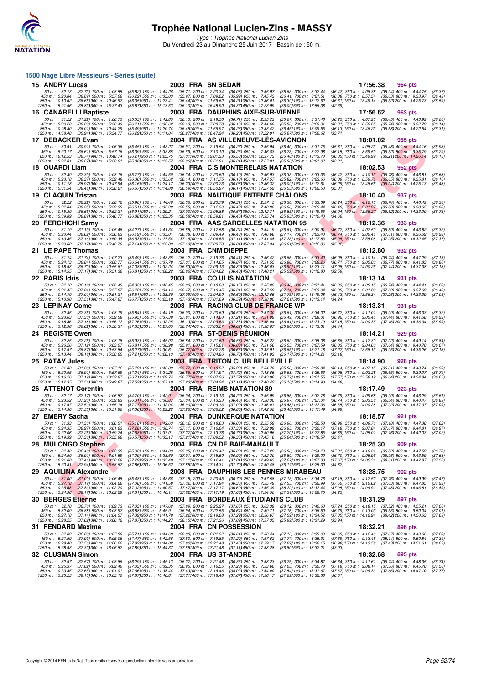

Type : Trophée National Lucien-Zins Du Vendredi 23 au Dimanche 25 Juin 2017 - Bassin de : 50 m.

#### **1500 Nage Libre Messieurs - Séries (suite)**

| 15 ANDRY Lucas                                                         |                                                                                                                           |                                                                                                                |                                                                                                               | 2003 FRA SNSEDAN           |                                                                                                               |                                                                                                               |                                                                                                 | 17:56.38 | 964 pts                                                                                                |                               |
|------------------------------------------------------------------------|---------------------------------------------------------------------------------------------------------------------------|----------------------------------------------------------------------------------------------------------------|---------------------------------------------------------------------------------------------------------------|----------------------------|---------------------------------------------------------------------------------------------------------------|---------------------------------------------------------------------------------------------------------------|-------------------------------------------------------------------------------------------------|----------|--------------------------------------------------------------------------------------------------------|-------------------------------|
| 50 m: 32.73<br>450 m : 5:20.84<br>850 m : 10:10.62<br>1250 m: 15:01.56 | (32.73) 100 m : 1:08.55<br>$(36.09)$ 500 m : 5:57.06<br>(36.65) 900 m : 10:46.97<br>(35.83) 300 m : 15:37.43              | $(35.82)$ 150 m : 1:44.26<br>$(36.22)$ 550 m : 6:33.03<br>(36.35) 950 m : 11:23.41<br>(35.87) 350 m : 16:13.53 | $(35.71)$ 200 m : 2:20.34<br>(35.97) 600 m : 7:09.02<br>(36.44) 000 m: 11:59.62<br>(36.101400 m: 16:48.90     |                            | $(36.08)$ 250 m : 2:55.97<br>$(35.99)$ 650 m : 7:45.43<br>(36.211050 m: 12:36.01<br>(35.37) 450 m : 17:23.99  | $(35.63)$ 300 m : 3:32.44<br>$(36.41)$ 700 m : 8:21.51<br>(36.39) 100 m : 13:12.62<br>(35.091500 m: 17:56.38) | $(36.47)$ 350 m : $4:08.38$<br>$(36.08)$ 750 m : 8:57.54<br>(36.61) 150 m : 13:49.14<br>(32.39) |          | $(35.94)$ 400 m : 4:44.75<br>$(36.03)$ 800 m : 9:33.97<br>(36.52) 200 m : 14:25.73                     | (36.37)<br>(36.43)<br>(36.59) |
| 16 CANARELLI Baptiste                                                  |                                                                                                                           |                                                                                                                |                                                                                                               |                            | 2003 FRA DAUPHINS AIXE-SUR-VIENNE                                                                             |                                                                                                               |                                                                                                 | 17:56.62 | 963 pts                                                                                                |                               |
| 50 m : 31.22<br>450 m: 5:20.28<br>850 m: 10:08.80<br>1250 m: 14:58.48  | $(31.22)$ 100 m : 1:06.75<br>$(36.29)$ 500 m : 5:56.49<br>(36.01) 900 m : 10:44.29<br>(35.941300 m: 15:34.77              | $(35.53)$ 150 m : 1:42.85<br>$(36.21)$ 550 m : 6:32.62<br>(35.49) 950 m : 11:20.74<br>(36.291350 m: 16:11.04   | $(36.10)$ 200 m : 2:19.56<br>$(36.13)$ 600 m : 7:08.78<br>(36.451000 m: 11.56.97)<br>(36.271400 m: 16:47.24)  |                            | $(36.71)$ 250 m : 2:55.23<br>$(36.16)$ 650 m : 7:44.60<br>(36.231050 m: 12:33.42)<br>(36.201450 m: 17:22.91   | $(35.67)$ 300 m : 3:31.48<br>$(35.82)$ 700 m : 8:20.91<br>(36.45) 100 m : 13:09.55<br>(35.671500 m: 17:56.62  | $(36.25)$ 350 m : 4:07.93<br>$(36.31)$ 750 m : 8:56.65<br>(36.13) 150 m : 13:46.23<br>(33.71)   |          | $(36.45)$ 400 m : 4:43.99<br>$(35.74)$ 800 m : 9:32.79<br>(36.68) 200 m : 14:22.54                     | (36.06)<br>(36.14)<br>(36.31) |
| 17 DEBACKER Evan                                                       |                                                                                                                           |                                                                                                                |                                                                                                               |                            | 2004 FRA AS VILLENEUVE-LES-AVIGNON                                                                            |                                                                                                               |                                                                                                 | 18:01.02 | 955 pts                                                                                                |                               |
| 50 m: 30.91<br>450 m: 5:20.77<br>850 m: 10:12.53<br>1250 m : 15:02.81  | $(30.91)$ 100 m : 1:06.36<br>$(36.61)$ 500 m : 5:57.16<br>(36.74) 900 m : 10:48.74<br>(36.67)300 m : 15.38.61             | $(35.45)$ 150 m : 1:43.27<br>$(36.39)$ 550 m : 6:33.85<br>(36.21) 950 m: 11:25.75<br>(35.80) 350 m : 16:15.57  | $(36.91)$ 200 m : 2:19.54<br>$(36.69)$ 600 m : 7:10.10<br>(37.011000 m: 12:01.33<br>(36.96)400 m: 16:51.91    |                            | $(36.27)$ 250 m : 2:55.94<br>$(36.25)$ 650 m : 7:46.83<br>(35.58) 050 m: 12:37.73<br>(36.34) 450 m : 17:27.81 | $(36.40)$ 300 m : 3:31.75<br>$(36.73)$ 700 m : 8:22.98<br>(36.40) 100 m : 13:13.78<br>(35.901500 m: 18:01.02  | (35.81) 350 m : 4:08.23<br>$(36.15)$ 750 m : $8:59.50$<br>(36.05) 150 m : 13:49.99<br>(33.21)   |          | $(36.48)$ 400 m : 4:44.16<br>$(36.52)$ 800 m : 9:35.79<br>(36.211200 m: 14:26.14)                      | (35.93)<br>(36.29)<br>(36.15) |
| 18 OUARDI Liam                                                         |                                                                                                                           |                                                                                                                |                                                                                                               |                            | 2004 FRA C.S MONTERELAIS NATATION                                                                             |                                                                                                               |                                                                                                 | 18:02.53 | <b>952 pts</b>                                                                                         |                               |
| 50 m: 32.39<br>450 m: 5:23.18                                          | $(32.39)$ 100 m : 1:08.16<br>(36.37) 500 m : 5:59.48                                                                      | $(35.77)$ 150 m : 1:44.50<br>$(36.30)$ 550 m : 6:35.62                                                         | (36.34) 200 m : 2:20.60<br>(36.14) 600 m: 7:11.75                                                             |                            | (36.10) 250 m : 2:56.93<br>$(36.13)$ 650 m : 7:47.57                                                          | $(36.33)$ 300 m : 3:33.35<br>$(35.82)$ 700 m : 8:23.66                                                        | $(36.42)$ 350 m : 4:10.13                                                                       |          | $(36.78)$ 400 m : 4:46.81<br>(36.05) 800 m : 9.35.81                                                   | (36.68)                       |
| 850 m : 10:11.78                                                       | (35.97) 900 m : 10:47.94                                                                                                  | (36.16) 950 m: 11:24.17                                                                                        | (36.231000 m: 12:00.23                                                                                        |                            | (36.061050 m: 12:36.32)                                                                                       | (36.09) 100 m : 13:12.61                                                                                      | $(36.09)$ 750 m : 8:59.71<br>(36.29 <b>)</b> 150 m : 13:48.65                                   |          | (36.041200 m : 14:25.13)                                                                               | (36.10)<br>(36.48)            |
| 1250 m : 15:01.54<br>19 CLAQUIN Tristan                                | (36.411300 m: 15:38.21                                                                                                    | (36.671350 m : 16:14.80                                                                                        | (36.59) 400 m : 16:50.97                                                                                      |                            | (36.17) 450 m : 17:27.52<br>2003 FRA NAUTIQUE ENTENTE CHALONS                                                 | (36.551500 m : 18:02.53                                                                                       | (35.01)                                                                                         | 18:10.40 | 937 pts                                                                                                |                               |
| 50 m : 32.22                                                           | $(32.22)$ 100 m : 1:08.12                                                                                                 | $(35.90)$ 150 m : 1:44.48                                                                                      | $(36.36)$ 200 m : 2:20.79                                                                                     |                            | $(36.31)$ 250 m : 2:57.15                                                                                     | $(36.36)$ 300 m : 3:33.39                                                                                     |                                                                                                 |          | (36.24) 350 m : 4:10.13 (36.74) 400 m : 4:46.49                                                        | (36.36)                       |
| 450 m : 5:22.84<br>850 m: 10:15.30                                     | $(36.35)$ 500 m : 5:59.35<br>(36.65) 900 m : 10:52.21                                                                     | $(36.51)$ 550 m : 6:35.90<br>(36.91) 950 m : 11:29.21                                                          | $(36.55)$ 600 m : 7:12.30<br>(37.001000 m: 12:05.88                                                           |                            | $(36.40)$ 650 m : 7:48.96<br>(36.67) 050 m : 12:42.71                                                         | $(36.66)$ 700 m : 8:25.44<br>(36.83) 100 m : 13:19.65                                                         | $(36.48)$ 750 m : $9:01.97$<br>(36.94) 150 m : 13:56.27                                         |          | $(36.53)$ 800 m : 9:38.65<br>(36.62) 200 m : 14:33.00                                                  | (36.68)<br>(36.73)            |
| 1250 m: 15:09.89<br>20 FERCHICHI Samy                                  | (36.89) 300 m : 15:46.77                                                                                                  | (36.88) 350 m : 16:23.35                                                                                       | (36.58) 400 m : 16:59.81                                                                                      |                            | (36.46) 450 m : 17:35.74<br>2004 FRA AAS SARCELLES NATATION 95                                                | (35.931500 m: 18:10.40                                                                                        | (34.66)                                                                                         | 18:12.36 | 933 pts                                                                                                |                               |
| 50 m : 31.19                                                           | $(31.19)$ 100 m : 1:05.46                                                                                                 | $(34.27)$ 150 m : 1:41.34                                                                                      | $(35.88)$ 200 m : 2:17.58                                                                                     |                            | $(36.24)$ 250 m : 2:54.19                                                                                     | $(36.61)$ 300 m : 3:30.91                                                                                     | $(36.72)$ 350 m : 4:07.50                                                                       |          | $(36.59)$ 400 m : 4:43.82                                                                              | (36.32)                       |
| 450 m : 5:20.44<br>850 m: 10:13.85                                     | $(36.62)$ 500 m : 5:56.63<br>$(37.16)$ 900 m : 10:50.38                                                                   | $(36.19)$ 550 m : 6:33.01<br>$(36.53)$ 950 m : 11:27.54                                                        | (36.38) 600 m : 7:09.49<br>(37.161000 m: 12:04.65                                                             |                            | $(36.48)$ 650 m : 7:46.66<br>(37.111050 m: 12:41.88                                                           | $(37.17)$ 700 m : 8:23.40<br>$(37.23)100 \text{ m}$ : 13:17.83                                                | $(36.74)$ 750 m : 9:00.41<br>(35.95) 150 m : 13:55.08                                           |          | $(37.01)$ 800 m : 9:36.69<br>(37.251200 m : 14:32.45                                                   | (36.28)<br>(37.37)            |
| 1250 m: 15:09.62                                                       | (37.17) 300 m : 15:46.76                                                                                                  | (37.141350 m: 16:23.89)                                                                                        | (37.131400 m: 17:00.73)                                                                                       |                            | (36.841450 m: 17:37.34)                                                                                       | (36.611500 m: 18:12.36                                                                                        | (35.02)                                                                                         |          |                                                                                                        |                               |
| 21 LE PAPE Thomas<br>50 m: 31.74                                       | (31.74) 100 m : 1:07.23                                                                                                   | $(35.49)$ 150 m : 1:43.35                                                                                      | (36.12) 200 m : 2:19.76                                                                                       | 2003 FRA CNM DIEPPE        | (36.41) 250 m : 2:56.42                                                                                       | $(36.66)$ 300 m : 3:33.40                                                                                     | $(36.98)$ 350 m : 4:10.14                                                                       | 18:12.80 | <b>932 pts</b><br>$(36.74)$ 400 m : 4:47.29                                                            | (37.15)                       |
| 450 m : 5:24.13<br>850 m : 10:18.53                                    | (36.84) 500 m : 6:00.77<br>(36.70) 900 m : 10:55.61                                                                       | $(36.64)$ 550 m : 6:37.78<br>(37.08) 950 m : 11:32.24                                                          | $(37.01)$ 600 m : 7:14.65<br>(36.631000 m: 12.09.13)                                                          |                            | $(36.87)$ 650 m : 7:51.55<br>(36.891050 m : 12:46.03                                                          | $(36.90)$ 700 m : 8:28.26<br>(36.901100 m: 13:23.11                                                           | $(36.71)$ 750 m : $9.05.03$<br>(37.08) 150 m : 14:00.25                                         |          | $(36.77)$ 800 m : 9:41.83<br>(37.141200 m: 14:37.38)                                                   | (36.80)<br>(37.13)            |
| 1250 m : 15:14.55                                                      | (37.171300 m: 15:51.36)                                                                                                   | (36.811350 m : 16:28.22                                                                                        | (36.86) 400 m : 17:04.62                                                                                      |                            | (36.40) 450 m : 17:40.21                                                                                      | $(35.591500 \text{ m} : 18.12.80)$                                                                            | (32.59)                                                                                         |          |                                                                                                        |                               |
| 22 PARIS Idris<br>50 m: 32.12                                          | $(32.12)$ 100 m : 1:06.45                                                                                                 | $(34.33)$ 150 m : 1:42.45                                                                                      | $(36.00)$ 200 m : 2:18.60                                                                                     | 2003 FRA COULIS NATATION   | $(36.15)$ 250 m : 2:55.08                                                                                     | $(36.48)$ 300 m : 3:31.41                                                                                     | $(36.33)$ 350 m : 4:08.15                                                                       | 18:13.14 | 931 pts<br>$(36.74)$ 400 m : 4:44.41                                                                   | (36.26)                       |
| 450 m : 5:21.45                                                        | (37.04) 500 m : 5:57.67                                                                                                   | $(36.22)$ 550 m : 6:34.14<br>$(36.51)$ 950 m : 11:28.30                                                        | $(36.47)$ 600 m : 7:10.45<br>(37.09) 000 m : 12:04.90                                                         |                            | $(36.31)$ 650 m : 7:47.59                                                                                     | $(37.14)$ 700 m : 8:23.94                                                                                     | $(36.35)$ 750 m : $9.01.23$                                                                     |          | $(37.29)$ 800 m : 9:37.69                                                                              | (36.46)                       |
| 850 m: 10:14.70<br>1250 m: 15:10.90                                    | $(37.01)$ 900 m : 10:51.21<br>(37.511300 m: 15:47.67                                                                      | (36.771350 m : 16:25.10                                                                                        | (37.43) 400 m : 17:01.69                                                                                      |                            | (36.60) 050 m : 12:42.65<br>$(36.591450 \text{ m} : 17.38.90)$                                                | (37.75) 100 m : 13:19.08<br>(37.211500 m: 18:13.14)                                                           | (36.43) 150 m : 13:56.34<br>(34.24)                                                             |          | (37.26) 200 m : 14:33.39                                                                               | (37.05)                       |
| 23 LEPINAY Come                                                        |                                                                                                                           |                                                                                                                |                                                                                                               |                            | 2003 FRA RACING CLUB DE FRANCE WP                                                                             |                                                                                                               |                                                                                                 | 18:13.31 | 931 pts                                                                                                |                               |
| 50 m : 32.35<br>450 m: 5:23.63                                         | $(32.35)$ 100 m : 1:08.19<br>$(37.30)$ 500 m : 5:59.58                                                                    | $(35.84)$ 150 m : 1:44.19<br>$(35.95)$ 550 m : 6:37.39                                                         | $(36.00)$ 200 m : 2:20.69<br>$(37.81)$ 600 m : 7:14.60                                                        |                            | $(36.50)$ $250$ m : $2:57.30$<br>$(37.21)$ 650 m : 7:51.09                                                    | $(36.61)$ 300 m : 3:34.02<br>$(36.49)$ 700 m : 8:28.01                                                        | (36.72) 350 m : 4:11.01<br>(36.92) 750 m : 9:05.45                                              |          | $(36.99)$ 400 m : 4:46.33<br>$(37.44)$ 800 m : 9:41.68                                                 | (35.32)<br>(36.23)            |
| 850 m: 10:18.86<br>1250 m: 15:12.96                                    | $(37.18)$ 900 m : 10:56.12<br>(36.62) 300 m : 15:50.31                                                                    | (37.26) 950 m : 11:32.25<br>(37.35) 350 m : 16:27.05                                                           | (36.13) 000 m: 12:09.63<br>(36.741400 m: 17:03.07                                                             |                            | (37.38) 050 m : 12:46.04<br>(36.02) 450 m : 17:38.87                                                          | (36.41) 100 m: 13:23.19<br>(35.80) 500 m: 18:13.31                                                            | (34.44)                                                                                         |          | (37.15) 150 m: 14:00.35 (37.16) 200 m: 14:36.34                                                        | (35.99)                       |
| 24 REGISTE Owen                                                        |                                                                                                                           |                                                                                                                | 2003 FRA ST-DENIS REUNION                                                                                     |                            |                                                                                                               |                                                                                                               |                                                                                                 |          |                                                                                                        |                               |
|                                                                        |                                                                                                                           |                                                                                                                |                                                                                                               |                            |                                                                                                               |                                                                                                               |                                                                                                 | 18:14.21 | 929 pts                                                                                                |                               |
| 50 m: 32.25<br>450 m: 5:26.26<br>850 m : 10:17.57                      | (32.25) 100 m: 1:08.18<br>$(37.12)$ 500 m : 6:03.07<br>(36.87) 900 m : 10:53.84                                           | $(35.93)$ 150 m : 1:45.02<br>$(36.81)$ 550 m : 6:38.98<br>$(36.27)$ 950 m : 11:30.61                           | $(36.84)$ 200 m : 2:21.60<br>$(35.91)$ 600 m : 7:15.01<br>(36.771000 m: 12:07.26                              |                            | $(36.58)$ 250 m : 2:58.22<br>$(36.03) 650 m$ : 7:51.56<br>(36.65)050 m : 12:43.91                             | $(36.62)$ 300 m : 3:35.08<br>$(36.55)$ 700 m : 8:27.59<br>(36.65)100 m : 13.21.18                             | (36.86) 350 m : 4:12.30<br>(36.03) 750 m : 9:04.63<br>(37.27 <b>)</b> 150 m : 13:58.13          |          | $(37.22)$ 400 m : 4:49.14<br>$(37.04)$ 800 m : 9:40.70<br>(36.95) 200 m : 14:35.26                     | (36.84)<br>(36.07)<br>(37.13) |
| 1250 m: 15:13.44<br>25 PATAY Jules                                     | (38.18) 300 m : 15:50.65                                                                                                  | (37.211350 m: 16:28.13)                                                                                        | (37.48) 400 m : 17:04.86                                                                                      |                            | (36.73) 450 m : 17:41.03<br>2003 FRA  TRITON CLUB BELLEVILLE                                                  | (36.17) 500 m : 18:14.21                                                                                      | (33.18)                                                                                         | 18:14.90 | 928 pts                                                                                                |                               |
| 50 m: 31.83                                                            | $(31.83)$ 100 m : 1.07.12                                                                                                 | $(35.29)$ 150 m : 1:42.89                                                                                      | $(35.77)$ 200 m : 2:18.82                                                                                     |                            | $(35.93)$ 250 m : 2:54.70                                                                                     | $(35.88)$ 300 m : 3:30.84                                                                                     | $(36.14)$ 350 m : 4:07.15                                                                       |          | $(36.31)$ 400 m : 4:43.74                                                                              | (36.59)                       |
| 450 m : 5:20.65<br>850 m: 10:16.26                                     | $(36.91)$ 500 m : 5:57.69<br>(37.19) 900 m : 10:52.97                                                                     | $(37.04)$ 550 m : 6:34.25<br>(36.71) 950 m : 11:29.74                                                          | $(36.56)$ 600 m : 7:11.97<br>(36.771000 m: 12:07.26                                                           |                            | $(37.72)$ 650 m : 7:48.65<br>(37.52) 050 m : 12:43.98                                                         | $(36.68)$ 700 m : 8:25.63<br>(36.72) 100 m : 13:21.55                                                         | $(36.98)$ 750 m : $9:02.28$<br>(37.57) 150 m : 13:58.19                                         |          | $(36.65)$ 800 m : 9:39.07<br>(36.64) 200 m : 14:34.84                                                  | (36.79)<br>(36.65)            |
| 1250 m: 15:12.35<br>26 ATTENOT Corentin                                | (37.511300 m: 15:49.87                                                                                                    | (37.52) 350 m : 16:27.10                                                                                       | (37.23) 400 m : 17:04.24                                                                                      | 2004 FRA REIMS NATATION 89 | (37.141450 m : 17:40.42)                                                                                      | (36.181500 m: 18:14.90                                                                                        | (34.48)                                                                                         | 18:17.49 | 923 pts                                                                                                |                               |
| 50 m : 32.17                                                           | $(32.17)$ 100 m : 1:06.87                                                                                                 | $(34.70)$ 150 m : 1:42.91                                                                                      | $(36.04)$ 200 m : 2:19.13                                                                                     |                            | $(36.22)$ 250 m : 2:55.99                                                                                     | $(36.86)$ 300 m : 3:32.78                                                                                     | (36.79) 350 m : 4:09.68                                                                         |          | $(36.90)$ 400 m : 4:46.29                                                                              | (36.61)                       |
| 450 m : 5:23.52<br>850 m: 10:17.97                                     | $(37.23)$ 500 m : 5:59.83<br>$(37.50)$ 900 m : 10:55.14                                                                   | $(36.31)$ 550 m : 6:36.87<br>(37.17) 950 m : 11:32.04                                                          | $(37.04)$ 600 m : 7:13.33<br>(36.90) 000 m: 12:09.13                                                          |                            | $(36.46)$ 650 m : 7:50.30<br>(37.09) 050 m : 12:46.01                                                         | (36.97) 700 m : 8:27.04<br>(36.88) 100 m : 13:22.36                                                           | $(36.74)$ 750 m : $9:03.58$<br>(36.35) 150 m : 14:00.28                                         |          | $(36.54)$ 800 m : 9:40.47<br>(37.92) 200 m : 14:37.37                                                  | (36.89)<br>(37.09)            |
| 1250 m: 15:14.90                                                       | (37.53) 300 m : 15:51.96                                                                                                  | (37.061350 m : 16:29.22                                                                                        | (37.26) 400 m : 17:06.02                                                                                      |                            | (36.80) 450 m : 17:42.50                                                                                      | (36.48) 500 m: 18:17.49                                                                                       | (34.99)                                                                                         |          |                                                                                                        |                               |
| 27 EMERY Sacha<br>50 m: 31.33                                          | $(31.33)$ 100 m : 1:06.51                                                                                                 | $(35.18)$ 150 m : 1:42.63                                                                                      | $(36.12)$ 200 m : 2:18.63                                                                                     |                            | 2004 FRA DUNKERQUE NATATION<br>$(36.00)$ 250 m : 2:55.59                                                      | $(36.96)$ 300 m : 3:32.58                                                                                     | $(36.99)$ 350 m : 4:09.76                                                                       | 18:18.57 | 921 pts<br>$(37.18)$ 400 m : 4:47.38                                                                   | (37.62)                       |
| 450 m: 5:24.35<br>850 m : 10:22.06                                     | $(36.97)$ 500 m : 6:01.63<br>(37.25) 900 m : 10:59.74                                                                     | $(37.28)$ 550 m : 6:38.74<br>$(37.68)$ 950 m : 11:37.01                                                        | $(37.11)$ 600 m : 7:16.04<br>(37.27) 000 m : 12:13.76                                                         |                            | $(37.30)$ 650 m : 7:52.99<br>(36.75) 050 m : 12:50.96                                                         | (36.95) 700 m : 8:30.17<br>(37.201100 m: 13:27.85)                                                            | (37.18) 750 m : 9:07.84                                                                         |          | $(37.67)$ 800 m : 9:44.81<br>(36.89) 150 m : 14:05.01 (37.16) 200 m : 14:42.03                         | (36.97)<br>(37.02)            |
| 1250 m : 15:19.39                                                      | $(37.361300 \text{ m} : 15.55.96)$                                                                                        | (36.57)350 m : 16:33.17                                                                                        | (37.211400 m : 17:09.52                                                                                       |                            | (36.351450 m : 17:45.16)                                                                                      | $(35.64)500 \text{ m}$ : 18:18.57                                                                             | (33.41)                                                                                         |          |                                                                                                        |                               |
| 28 MULONGO Stephen<br>50 m: 32.40                                      | $(32.40)$ 100 m : 1:08.38                                                                                                 | $(35.98)$ 150 m : 1:44.33                                                                                      | $(35.95)$ 200 m : 2:20.42                                                                                     |                            | 2004 FRA CN DE BAIE-MAHAULT<br>$(36.09)$ 250 m : 2:57.28                                                      | (36.86) 300 m : 3:34.29                                                                                       | $(37.01)$ 350 m : 4:10.81                                                                       | 18:25.30 | 909 pts<br>$(36.52)$ 400 m : 4:47.59                                                                   | (36.78)                       |
| 450 m : 5:24.50<br>850 m : 10:21.00                                    | $(36.91)$ 500 m : 6:01.59<br>$(37.41)900 \text{ m}$ : 10:58.29                                                            | $(37.09)$ 550 m : 6:38.60<br>(37.29) 950 m : 11:35.40                                                          | $(37.01)$ 600 m : 7:15.50<br>(37.111000 m: 12:12.41)                                                          |                            | $(36.90)$ 650 m : 7:52.30<br>(37.01)050 m : 12:49.63                                                          | $(36.80)$ 700 m : 8:29.00<br>(37.22) 100 m : 13:27.30                                                         | $(36.70)$ 750 m : $9:05.96$<br>(37.67) 150 m : 14:05.31                                         |          | $(36.96)$ 800 m : 9:43.59<br>(38.01) 200 m : 14:42.87                                                  | (37.63)<br>(37.56)            |
|                                                                        | 1250 m: 15:20.81 (37.941300 m: 15:58.67)                                                                                  | (37.861350 m : 16:36.52                                                                                        | (37.85) 400 m : 17:14.31                                                                                      |                            | (37.79) 450 m : 17:50.48                                                                                      | (36.171500 m: 18:25.30                                                                                        | (34.82)                                                                                         |          |                                                                                                        |                               |
| 29 AQUILINA Alexandre<br>50 m: 31.00                                   |                                                                                                                           |                                                                                                                |                                                                                                               |                            |                                                                                                               | 2003 FRA DAUPHINS LES PENNES-MIRABEAU<br>$(37.13)$ 300 m : 3:34.76                                            |                                                                                                 | 18:28.75 | 902 pts<br>$(37.76)$ 400 m : 4:49.99                                                                   |                               |
| 450 m : 5:27.18                                                        | $(31.00)$ 100 m : 1:06.48<br>(37.19) 500 m : 6.04.26                                                                      | $(35.48)$ 150 m : 1:43.66<br>$(37.08)$ 550 m : 6:41.58                                                         | $(37.18)$ 200 m : 2:20.45<br>$(37.32)$ 600 m : 7:17.94                                                        |                            | $(36.79)$ 250 m : 2:57.58<br>$(36.36)$ 650 m : 7:55.49                                                        | $(37.55)$ 700 m : 8:32.99                                                                                     | $(37.18)$ 350 m : 4:12.52<br>$(37.50)$ 750 m : $9:10.62$                                        |          | $(37.63)$ 800 m : 9:47.85                                                                              | (37.47)<br>(37.23)            |
|                                                                        | 850 m: 10:25.68 (37.83) 900 m: 11:02.70<br>1250 m: 15:24.98 (38.17) 300 m: 16:02.29                                       | $(37.02)$ 950 m : 11:40.57<br>(37.311350 m : 16:40.11                                                          | (37.87) 000 m : 12:17.17<br>(37.82) 400 m : 17:17.19                                                          |                            | (36.60) 050 m : 12:55.39<br>(37.081450 m : 17:54.50                                                           | (38.22) 100 m : 13:32.44<br>(37.311500 m: 18:28.75                                                            | (34.25)                                                                                         |          | (37.05) 150 m : 14:09.92 (37.48) 200 m : 14:46.81                                                      | (36.89)                       |
| <b>30 BERGES Etienne</b>                                               |                                                                                                                           |                                                                                                                |                                                                                                               |                            | 2003 FRA BORDEAUX ETUDIANTS CLUB                                                                              |                                                                                                               |                                                                                                 | 18:31.29 | 897 pts                                                                                                |                               |
| 50 m: 32.70<br>450 m : 5:32.09<br>850 m: 10:27.18<br>1250 m : 15:28.25 | $(32.70)$ 100 m : 1:09.73<br>$(36.88)$ 500 m : 6:08.97<br>$(37.14)$ 900 m : 11:04.57<br>$(37.62)300 \text{ m}$ : 16:06.12 | $(37.03)$ 150 m : 1:47.62<br>$(36.88)$ 550 m : 6:45.91<br>(37.39) 950 m : 11:41.79<br>(37.871350 m : 16:44.27  | $(37.89)$ 200 m : 2:25.27<br>$(36.94)$ 600 m : 7:22.55<br>(37.22) 000 m: 12:19.08<br>(38.15) 400 m : 17:21.36 |                            | $(37.65)$ 250 m : 3:03.39<br>(36.64) 650 m : 7:59.71<br>(37.29) 050 m : 12:56.67<br>(37.09) 450 m : 17:57.35  | $(38.12)$ 300 m : 3:40.63<br>$(37.16)$ 700 m : 8:36.50<br>(37.59) 100 m : 13:34.52<br>(35.991500 m: 18:31.29) | (36.79) 750 m : 9:13.03<br>(37.85 <b>)</b> 150 m : 14:12.94<br>(33.94)                          |          | (37.24) 350 m: 4:18.15 (37.52) 400 m: 4:55.21<br>$(36.53)$ 800 m : 9:50.04<br>(38.42) 200 m : 14:50.63 | (37.06)<br>(37.01)<br>(37.69) |
| 31 FENDARD Maxime                                                      |                                                                                                                           |                                                                                                                |                                                                                                               | 2004 FRA CN POSSESSION     |                                                                                                               |                                                                                                               |                                                                                                 | 18:32.21 | 896 pts                                                                                                |                               |
| 50 m: 32.09<br>450 m : 5:27.59                                         | $(32.09)$ 100 m : 1:07.80<br>$(37.93)$ 500 m : 6:05.06                                                                    | $(35.71)$ 150 m : 1:44.68<br>$(37.47)$ 550 m : 6:42.56                                                         | $(36.88)$ 200 m : 2:21.32<br>$(37.50)$ 600 m : 7:19.85                                                        |                            | $(36.64)$ 250 m : 2:58.44<br>$(37.29)$ 650 m : 7:57.62                                                        | $(37.12)$ 300 m : 3:35.09<br>$(37.77)$ 700 m : 8:35.31                                                        | $(36.65)$ 350 m : 4:12.46<br>$(37.69)$ 750 m : 9:13.45                                          |          | $(37.37)$ 400 m : 4:49.66<br>$(38.14)$ 800 m : 9:50.84                                                 | (37.20)<br>(37.39)            |
| 850 m : 10:28.40<br>1250 m : 15:28.93                                  | $(37.56)$ 900 m : 11:06.22<br>(37.32) 300 m : 16:06.82                                                                    | $(37.82)$ 950 m : 11:44.02<br>(37.891350 m : 16:44.37                                                          | (37.80) 000 m : 12:21.48<br>(37.55 <b>)</b> 400 m : 17:21.48                                                  |                            | (37.46)050 m : 12:59.17<br>(37.11) 450 m : 17:58.28                                                           | (37.691100 m : 13.36.15)<br>(36.801500 m : 18:32.21                                                           | (36.98) 150 m : 14:13.58<br>(33.93)                                                             |          | (37.431200 m : 14.51.61                                                                                | (38.03)                       |
| 32 CLUSMAN Simon                                                       |                                                                                                                           |                                                                                                                |                                                                                                               | 2004 FRA USST-ANDRE        |                                                                                                               |                                                                                                               |                                                                                                 | 18:32.68 | 895 pts                                                                                                |                               |
| 50 m: 32.57<br>450 m : 5:25.37                                         | $(32.57)$ 100 m : 1:08.86<br>$(37.02)$ 500 m : 6:02.40<br>(37.65) 900 m : 11:01.01                                        | $(36.29)$ 150 m : 1:45.13<br>$(37.03)$ 550 m : 6:39.35                                                         | $(36.27)$ 200 m : 2:21.48<br>$(36.95)$ 600 m : 7:16.55                                                        |                            | $(36.35)$ 250 m : 2:58.23<br>$(37.20)$ 650 m : 7:53.60<br>(38.02) 050 m: 12:54.00                             | $(36.75)$ 300 m : 3:34.87<br>$(37.05)$ 700 m : 8:30.78                                                        | (36.64) 350 m : 4:11.61<br>$(37.18)$ 750 m : $9.08.14$                                          |          | $(36.74)$ 400 m : 4:48.35<br>$(37.36)$ 800 m : 9:45.70                                                 | (36.74)<br>(37.56)            |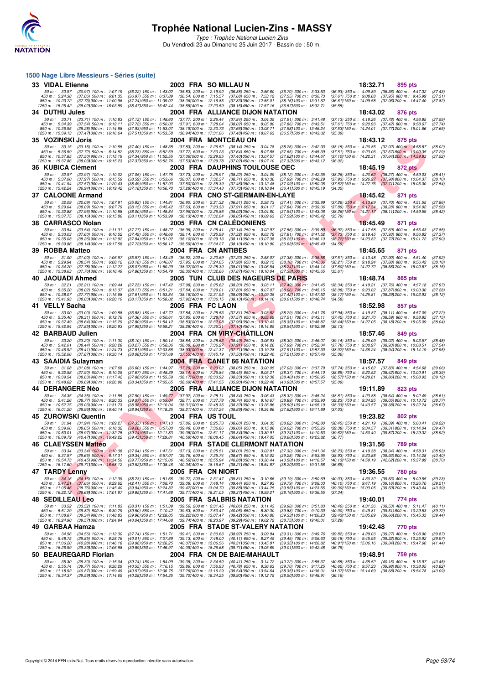

Type : Trophée National Lucien-Zins Du Vendredi 23 au Dimanche 25 Juin 2017 - Bassin de : 50 m.

### **1500 Nage Libre Messieurs - Séries (suite)**

| 33 VIDAL Etienne                                                              |                                                                                                                           | 2003 FRA SO MILLAU N                                                                                                                                                                                                                 |                                                                                                                         |                                                                                                                 | 18:32.71                                                                                      | 895 pts                                                                                                                                                   |                               |
|-------------------------------------------------------------------------------|---------------------------------------------------------------------------------------------------------------------------|--------------------------------------------------------------------------------------------------------------------------------------------------------------------------------------------------------------------------------------|-------------------------------------------------------------------------------------------------------------------------|-----------------------------------------------------------------------------------------------------------------|-----------------------------------------------------------------------------------------------|-----------------------------------------------------------------------------------------------------------------------------------------------------------|-------------------------------|
| 50 m: 30.97<br>450 m: 5:24.38<br>850 m : 10:23.72<br>1250 m : 15:25.42        | $(30.97)$ 100 m : 1:07.19<br>$(37.06)$ 500 m : 6:01.35<br>(37.73) 900 m : 11:00.96<br>(38.02) 300 m : 16:03.89            | $(36.22)$ 150 m : 1:43.02<br>$(35.83)$ 200 m : 2:19.90<br>$(36.54)$ 600 m : 7:15.57<br>$(36.97)$ 550 m : 6:37.89<br>(37.24) 950 m: 11:39.02<br>(38.06) 000 m: 12:16.85<br>(38.471350 m : 16:42.44)<br>(38.55) 400 m : 17:20.59       | $(36.88)$ 250 m : 2:56.60<br>$(37.68)$ 650 m : 7:53.12<br>(37.83) 050 m: 12:55.01<br>(38.15) 450 m : 17:57.16           | $(36.70)$ 300 m : 3:33.53<br>(37.55) 700 m : 8:30.73<br>(38.161100 m: 13:31.62)<br>(36.57) 500 m : 18:32.71     | $(37.61)$ 750 m : $9.08.68$<br>(36.61) 150 m : 14:09.58<br>(35.55)                            | (36.93) 350 m: 4:09.89 (36.36) 400 m: 4:47.32<br>$(37.95)$ 800 m : 9:45.99<br>(37.96) 200 m : 14:47.40                                                    | (37.43)<br>(37.31)<br>(37.82) |
| 34 DUTHU Jules                                                                |                                                                                                                           |                                                                                                                                                                                                                                      | 2004 FRA ALLIANCE DIJON NATATION                                                                                        |                                                                                                                 | 18:43.02                                                                                      | 876 pts                                                                                                                                                   |                               |
| 50 m: 33.71<br>450 m : 5:34.39<br>850 m: 10:36.95<br>1250 m: 15:39.13         | $(33.71)$ 100 m : 1:10.83<br>$(37.54)$ 500 m : 6:12.11<br>$(38.28)$ 900 m : 11:14.88<br>(37.47) 300 m : 16:16.64          | $(37.12)$ 150 m : 1:48.60<br>(37.77) 200 m : 2:26.44<br>$(37.91)$ 600 m : 7:28.04<br>$(37.72)$ 550 m : 6:50.02<br>(38.19) 000 m : 12:30.73<br>(37.93) 950 m : 11:53.07<br>(36.941400 m: 17:31.06<br>(37.511350 m: 16:53.58           | $(37.84)$ 250 m : 3:04.35<br>$(38.02)$ 650 m : 8:05.90<br>(37.661050 m: 13.08.71<br>(37.48) 450 m : 18:07.63            | (37.91) 300 m : 3:41.48<br>$(37.86)$ 700 m : 8:43.51<br>(37.98) 100 m : 13:46.24<br>(36.571500 m: 18:43.02)     | $(37.13)$ 350 m : 4:19.26<br>$(37.61)$ 750 m : 9:20.93<br>(37.53) 150 m : 14:24.01<br>(35.39) | $(37.78)$ 400 m : 4:56.85<br>$(37.42)$ 800 m : 9:58.67<br>(37.77) 200 m : 15:01.66                                                                        | (37.59)<br>(37.74)<br>(37.65) |
| 35 VOZINSKI Joris                                                             |                                                                                                                           | 2004 FRA MONTCEAUON                                                                                                                                                                                                                  |                                                                                                                         |                                                                                                                 | 18:43.12                                                                                      | 875 pts                                                                                                                                                   |                               |
| 50 m : 33.15<br>450 m: 5:36.59<br>850 m: 10:37.85<br>1250 m: 15:37.86         | $(33.15)$ 100 m : 1:10.55<br>$(37.72)$ 500 m : 6:14.82<br>(37.50) 900 m : 11:15.19<br>(38.03) 300 m : 16:15.23            | $(37.40)$ 150 m : 1:48.38<br>$(37.83)$ 200 m : 2:26.52<br>(37.77) 600 m : 7:30.23<br>$(38.23)$ 550 m : 6:52.59<br>(37.34) 950 m : 11:52.55<br>(37.36) 000 m : 12:29.95<br>(37.371350 m : 16:52.76<br>(37.531400 m : 17:29.78         | $(38.14)$ 250 m : 3:04.78<br>$(37.64)$ 650 m : 8:07.88<br>(37.40) 050 m: 13:07.57<br>(37.02) 450 m : 18:07.10           | $(38.26)$ 300 m : 3:42.93<br>$(37.65)$ 700 m : 8:45.39<br>(37.62) 100 m : 13:44.67<br>(37.32) 500 m : 18:43.12  | (38.15) 350 m : 4:20.85<br>$(37.51)$ 750 m : $9.23.06$<br>(37.10) 150 m : 14:22.31<br>(36.02) | $(37.92)$ 400 m : 4:58.87<br>$(37.67)800 \text{ m}$ : 10:00.35<br>(37.64) 200 m : 14:59.83                                                                | (38.02)<br>(37.29)<br>(37.52) |
| 36 KUBICA Clément                                                             |                                                                                                                           |                                                                                                                                                                                                                                      | 2003 FRA DAUPHINS TOULOUSE OEC                                                                                          |                                                                                                                 | 18:45.19                                                                                      | 872 pts                                                                                                                                                   |                               |
| 50 m: 32.97<br>450 m: 5:37.00<br>850 m: 10:41.94<br>1250 m : 15:42.24         | $(32.97)$ 100 m : 1:10.02<br>$(37.97)$ 500 m : 6:15.59<br>(37.57) 900 m : 11:20.43<br>(36.941300 m: 16:19.42)             | (37.73) 200 m : 2:25.97<br>$(37.05)$ 150 m : 1:47.75<br>$(38.59)$ 550 m : 6:53.66<br>(38.07) 600 m : 7:32.37<br>(38.49) 950 m : 11:57.93<br>(37.501000 m: 12:35.39)<br>(37.181350 m : 16:56.70<br>(37.28) 400 m : 17:34.43           | $(38.22)$ 250 m : 3:04.09<br>$(38.71)$ 650 m : 8:10.36<br>(37.46) 050 m : 13:12.48<br>(37.73) 450 m : 18:10.84          | (38.12) 300 m : 3:42.35<br>$(37.99)$ 700 m : 8:48.29<br>(37.09) 100 m : 13:50.05<br>(36.411500 m : 18:45.19)    | $(38.26)$ 350 m : 4:20.62<br>$(37.93)$ 750 m : 9:26.27<br>(34.35)                             | $(38.27)$ 400 m : 4:59.03<br>(37.98)800 m : 10.04.37<br>(37.57) 150 m : 14:27.76 (37.71) 200 m : 15:05.30                                                 | (38.41)<br>(38.10)<br>(37.54) |
| 37 CALOONE Armand                                                             |                                                                                                                           |                                                                                                                                                                                                                                      | 2004 FRA CNO ST-GERMAIN-EN-LAYE                                                                                         |                                                                                                                 | 18:45.42                                                                                      | 871 pts                                                                                                                                                   |                               |
| 50 m: 32.09<br>450 m: 5:29.64<br>850 m : 10:32.88<br>1250 m: 15:37.75         | $(32.09)$ 100 m : 1:07.91<br>$(38.09)$ 500 m : 6:07.79<br>(37.96) 900 m : 11:10.88<br>$(38.16)300 \text{ m}$ : 16:15.86   | $(36.90)$ 200 m : 2:21.32<br>$(35.82)$ 150 m : 1:44.81<br>$(38.15)$ 550 m : 6:45.42<br>$(37.63)$ 600 m : 7:23.33<br>(37.96) 000 m : 12:26.86<br>(38.00) 950 m : 11:48.84<br>(38.111350 m: 16:53.99)<br>(38.13) 400 m : 17:32.04      | $(36.51)$ 250 m : 2:58.73<br>$(37.91)$ 650 m : 8:01.17<br>(38.02) 050 m : 13:04.80<br>(38.05) 450 m : 18:09.63          | (37.41) 300 m : 3:35.99<br>(37.84) 700 m : 8:39.06<br>(37.94) 100 m : 13:43.06<br>(37.591500 m: 18:45.42)       | (35.79)                                                                                       | $(37.26)$ 350 m : 4:13.69 $(37.70)$ 400 m : 4:51.55<br>(37.89) 750 m : 9:17.34 (38.28) 800 m : 9:54.92<br>(38.26) 150 m: 14:21.17 (38.11) 200 m: 14:59.59 | (37.86)<br>(37.58)<br>(38.42) |
| 38 CARRASCO Nolan                                                             |                                                                                                                           |                                                                                                                                                                                                                                      | 2005 FRA CN CALEDONIENS                                                                                                 |                                                                                                                 | 18:45.49                                                                                      | 871 pts                                                                                                                                                   |                               |
| 50 m : 33.54<br>450 m: 5:33.03<br>850 m : 10:35.08<br>1250 m: 15:39.86        | $(33.54)$ 100 m : 1:11.31<br>$(37.60)$ 500 m : 6:10.52<br>$(38.26)$ 900 m : 11:12.92<br>(38.141300 m: 16:17.58            | $(36.96)$ 200 m : 2:25.41<br>(37.77) 150 m : 1:48.27<br>$(38.14)$ 600 m : 7:25.98<br>$(37.49)$ 550 m : 6:48.66<br>(37.84) 950 m : 11:51.02<br>(38.10) 000 m: 12:29.13<br>(37.721350 m : 16:56.17<br>(38.591400 m : 17:34.27          | $(37.14)$ 250 m : 3:02.97<br>$(37.32)$ 650 m : 8:03.79<br>(38.11) 050 m : 13:07.38<br>(38.10) 450 m : 18:10.90          | $(37.56)$ 300 m : 3:39.89<br>$(37.81)$ 700 m : 8:41.52<br>(38.25) 100 m : 13:46.10<br>(36.631500 m: 18:45.49)   | $(36.92)$ 350 m : 4:17.58<br>$(37.73)$ 750 m : 9:19.45<br>(34.59)                             | $(37.69)$ 400 m : 4:55.43<br>(37.93) 800 m : 9:56.82<br>(38.72) 150 m : 14:23.82 (37.72) 200 m : 15:01.72                                                 | (37.85)<br>(37.37)<br>(37.90) |
| 39 ROBBA Matteo                                                               |                                                                                                                           | 2004 FRA CNANTIBES                                                                                                                                                                                                                   |                                                                                                                         |                                                                                                                 | 18:45.65                                                                                      | 871 pts                                                                                                                                                   |                               |
| 50 m: 31.00<br>450 m: 5:29.94<br>850 m: 10:34.20<br>1250 m: 15:38.63          | $(31.00)$ 100 m : 1:06.57<br>(38.54) 500 m : 6.08.12<br>(37.78) 900 m : 11:12.27<br>(37.761300 m: 16:16.49)               | (35.57) 150 m : 1:43.49<br>$(36.92)$ 200 m : 2:20.69<br>$(38.18)$ 550 m : 6:46.07<br>(37.95) 600 m : 7:24.05<br>(38.07) 950 m: 11:50.29<br>(38.021000 m: 12:28.30<br>(38.30) 400 m : 17:32.66<br>(37.86) 350 m : 16:54.79            | (37.20) 250 m : 2:58.07<br>$(37.98)$ 650 m : 8:02.15<br>(38.011050 m: 13:06.54<br>(37.87) 450 m : 18:10.04              | $(37.38)$ 300 m : 3:35.58<br>(38.10) 700 m : 8:40.36<br>(38.241100 m: 13:44.14)<br>(37.381500 m : 18:45.65      | $(38.21)$ 750 m : 9:18.24<br>(35.61)                                                          | (37.51) 350 m: 4:13.48 (37.90) 400 m: 4:51.40<br>$(37.88)$ 800 m : 9:56.42<br>(37.60) 150 m: 14:22.72 (38.58) 200 m: 15:00.87                             | (37.92)<br>(38.18)<br>(38.15) |
| 40 JAOUADI Ahmed                                                              |                                                                                                                           |                                                                                                                                                                                                                                      | 2005   TUN   CLUB DES NAGEURS DE PARIS                                                                                  |                                                                                                                 | 18:48.74                                                                                      | 865 pts                                                                                                                                                   |                               |
| 50 m: 32.21<br>450 m: 5:35.20<br>850 m: 10:38.07<br>1250 m: 15:41.93          | (32.21) 100 m : 1:09.44<br>$(38.02)$ 500 m : 6:13.37<br>$(37.77)900 \text{ m}$ : 11:15.68<br>(38.00) 300 m : 16:20.10     | (37.23) 150 m : 1:47.42<br>$(37.98)$ 200 m : 2:25.62<br>$(38.17)$ 550 m : 6:51.21<br>(37.84) 600 m : 7:29.01<br>(38.16) 000 m: 12:31.93<br>(37.61) 950 m : 11:53.84<br>(37.92) 400 m : 17:36.15<br>(38.171350 m: 16:58.02)           | $(38.20)$ 250 m : 3:03.11<br>$(37.80)$ 650 m : 8:07.07<br>(38.09) 050 m : 13:09.35<br>$(38.13)450 \text{ m}$ : 18:14.16 | $(37.49)$ 300 m : 3:41.45<br>$(38.06)$ 700 m : 8:45.15<br>(37.42) 100 m : 13:47.52<br>(38.011500 m: 18:48.74    | $(38.34)$ 350 m : 4:19.21<br>$(38.08)$ 750 m : 9:23.02<br>(38.171150 m: 14.25.81)<br>(34.58)  | $(37.76)$ 400 m : 4:57.18<br>$(37.87)800 \text{ m}$ : 10:00.30<br>(38.291200 m: 15.03.93)                                                                 | (37.97)<br>(37.28)<br>(38.12) |
| 41 VELLY Sacha                                                                |                                                                                                                           | 2005 FRA FC LAON                                                                                                                                                                                                                     |                                                                                                                         |                                                                                                                 | 18:52.98                                                                                      | 857 pts                                                                                                                                                   |                               |
| 50 m : 33.00<br>450 m : 5:35.40<br>850 m: 10:37.49<br>1250 m : 15:42.94       | $(33.00)$ 100 m : 1:09.88<br>$(38.31)$ 500 m : 6:12.76<br>(38.64) 900 m : 11:15.29<br>(37.85) 300 m : 16:20.93            | $(37.84)$ 200 m : 2:25.53<br>$(36.88)$ 150 m : 1:47.72<br>$(37.85)$ 600 m : 7:28.18<br>$(37.36)$ 550 m : 6:50.61<br>(37.80) 950 m : 11:54.12<br>(38.83) 000 m : 12:32.08<br>(37.991350 m : 16:59.21<br>(38.28) 400 m : 17:36.31      | $(37.81)$ 250 m : 3:03.82<br>$(37.57)$ 650 m : 8:05.69<br>(37.96) 050 m : 13:10.43<br>(37.10) 450 m : 18:14.85          | $(38.29)$ 300 m : 3:41.76<br>$(37.51)$ 700 m : 8:43.11<br>(38.35) 100 m : 13:48.87<br>(38.541500 m: 18:52.98    | $(37.94)$ 350 m : 4:19.87<br>(37.42) 750 m : 9:21.70<br>(38.13)                               | $(38.11)$ 400 m : 4:57.09<br>$(38.59)$ 800 m : $9.58.85$<br>(38.44) 150 m: 14:27.05 (38.18) 200 m: 15:05.09                                               | (37.22)<br>(37.15)<br>(38.04) |
| 42 BARBAUD Julien                                                             |                                                                                                                           |                                                                                                                                                                                                                                      | 2004 FRA CN VIRY-CHATILLON                                                                                              |                                                                                                                 | 18:57.46                                                                                      | 849 pts                                                                                                                                                   |                               |
| 50 m: 33.20<br>450 m: 5:42.01<br>850 m : 10:46.92<br>1250 m: 15:52.06         | $(33.20)$ 100 m : 1:11.30<br>$(38.44)$ 500 m : 6:20.28<br>(38.41) 900 m : 11:24.73<br>(37.87) 300 m : 16:30.14            | $(38.84)$ 200 m : 2:28.63<br>$(38.10)$ 150 m : 1:50.14<br>(38.27) 550 m : 6:58.36<br>$(38.08)$ 600 m : 7:36.27<br>(37.81) 950 m : 12:03.66<br>(38.931000 m: 12:41.37<br>(38.081350 m : 17:07.69<br>(37.551400 m: 17:45.19)           | $(38.49)$ 250 m : 3:06.93<br>$(37.91)$ 650 m : 8:14.26<br>(37.711050 m: 13:19.28)<br>(37.501450 m : 18:22.40            | $(38.30)$ 300 m : 3:46.07<br>(37.99) 700 m : 8:52.04<br>(37.911100 m: 13:57.30<br>(37.211500 m: 18:57.46        | (39.14) 350 m : 4:25.09<br>$(37.78)$ 750 m : $9:30.97$<br>(38.02) 150 m : 14:36.24<br>(35.06) | $(39.02)$ 400 m : 5:03.57<br>$(38.93)800$ m : 10:08.51<br>(38.94) 200 m : 15:14.19                                                                        | (38.48)<br>(37.54)<br>(37.95) |
| 43 SAAIDIA Sulayman                                                           |                                                                                                                           |                                                                                                                                                                                                                                      | 2004 FRA CANET 66 NATATION                                                                                              |                                                                                                                 | 18:57.57                                                                                      | 849 pts                                                                                                                                                   |                               |
| 50 m: 31.08<br>450 m : 5:32.58<br>850 m: 10:39.54<br>1250 m: 15:48.62         | $(31.08)$ 100 m : 1:07.68<br>$(37.90)$ 500 m : 6:10.25<br>$(38.63)$ 900 m : 11:17.42<br>$(39.69)300 \text{ m}$ : 16:26.96 | (36.60) 150 m: 1:44.97<br>$(37.29)$ 200 m : 2:23.02<br>$(37.67)$ 550 m : 6:48.39<br>$(38.14)$ 600 m : 7:26.84<br>$(37.88)$ 950 m : 11:55.59<br>(38.171000 m: 12:33.92<br>(38.341350 m: 17:05.65<br>$(38.69)400 \text{ m}$ : 17:41.55 | $(38.05)$ 250 m : 3:00.05<br>$(38.45)$ 650 m : 8:05.21<br>(38.33) 050 m : 13:12.38<br>(35.90) 450 m : 18:22.48          | (37.03) 300 m : 3:37.79<br>(38.37) 700 m : 8:44.10<br>(38.46) 100 m : 13:50.95<br>(40.93) 500 m : 18:57.57      | $(37.74)$ 350 m : 4:15.62<br>$(38.89)$ 750 m : 9:22.52<br>(38.57) 150 m : 14:29.81<br>(35.09) | $(37.83)$ 400 m : 4:54.68<br>(38.42) 800 m : 10:00.91<br>(38.86) 200 m : 15:08.93                                                                         | (39.06)<br>(38.39)<br>(39.12) |
| 44 DERANGERE Néo                                                              |                                                                                                                           |                                                                                                                                                                                                                                      | 2005 FRA ALLIANCE DIJON NATATION                                                                                        |                                                                                                                 | 19:11.89                                                                                      | 823 pts                                                                                                                                                   |                               |
| 50 m: 34.35<br>450 m : 5:41.26<br>850 m: 10:52.75<br>1250 m: 16:01.20         | $(34.35)$ 100 m : 1:11.85<br>$(38.77)$ 500 m : 6:20.33<br>(39.03) 900 m : 11:31.73<br>(38.961300 m : 16.40.14)            | $(37.50)$ 150 m : 1:49.77<br>$(37.92)$ 200 m : 2:28.11<br>$(38.71)$ 600 m : 7:37.78<br>(39.07) 550 m : 6:59.04<br>(38.98) 950 m : 12:10.04<br>(38.311000 m: 12:48.36<br>(38.941350 m : 17:18.35<br>(38.211400 m: 17:57.24            | $(38.34)$ 250 m : 3:06.43<br>$(38.74)$ 650 m : 8:16.67<br>(38.321050 m: 13:26.86)<br>(38.89) 450 m : 18:34.86           | (38.32) 300 m : 3:45.24<br>(38.89) 700 m : 8:55.90<br>(38.50) 100 m : 14:05.19<br>(37.62) 500 m : 19:11.89      | $(38.81)$ 350 m : 4:23.88<br>(39.23) 750 m : 9:34.95<br>(38.33) 150 m : 14:43.57<br>(37.03)   | $(38.64)$ 400 m : 5:02.49<br>$(39.05)800 \text{ m}$ : 10:13.72<br>(38.38) 200 m : 15:22.24                                                                | (38.61)<br>(38.77)<br>(38.67) |
| 45 ZUROWSKI Quentin<br>50 m: 31.94                                            | $(31.94)$ 100 m : 1:09.27                                                                                                 | 2004 FRA USTOUL<br>$(37.86)$ 200 m : 2:25.73<br>$(37.33)$ 150 m : 1:47.13                                                                                                                                                            | $(38.60)$ 250 m : 3:04.35                                                                                               | $(38.62)$ 300 m : 3:42.80                                                                                       | 19:23.82                                                                                      | 802 pts<br>(38.45) 350 m : 4:21.19 (38.39) 400 m : 5:00.41                                                                                                | (39.22)                       |
| 450 m: 5:39.06<br>850 m: 10:53.01<br>1250 m : 16:09.79<br>46 CLAEYSSEN Mattéo | $(38.65)$ 500 m : 6:18.32<br>(38.97) 900 m : 11:32.75<br>(40.47) 300 m : 16:49.22                                         | $(39.48)$ 600 m : 7:36.86<br>$(39.26)$ 550 m : 6:57.80<br>(39.74) 950 m : 12:11.83<br>(39.08) 000 m: 12:51.17<br>(39.43) 350 m : 17:29.81<br>(40.59) 400 m : 18:08.45                                                                | $(39.06)$ 650 m : 8:15.88<br>(39.34) 050 m: 13:30.91<br>(38.641450 m : 18:47.05<br>2004 FRA STADE CLERMONT NATATION     | $(39.02)$ 700 m : 8:55.26<br>(39.74) 100 m : 14:10.53<br>(38.601500 m : 19:23.82                                | $(39.38)$ 750 m : $9.34.57$<br>(36.77)<br>19:31.56                                            | (39.31) 800 m : 10:14.04<br>(39.62) 150 m : 14:50.40 (39.87) 200 m : 15:29.32<br><b>789 pts</b>                                                           | (39.47)<br>(38.92)            |
| 50 m : 33.34                                                                  | $(33.34)$ 100 m : 1:10.38                                                                                                 | $(37.04)$ 150 m : 1:47.51<br>$(37.13)$ 200 m : 2:25.51                                                                                                                                                                               | (38.00) 250 m : 3:02.81                                                                                                 | $(37.30)$ 300 m : 3:41.04                                                                                       | $(38.23)$ 350 m : 4:19.38                                                                     | $(38.34)$ 400 m : 4:58.31                                                                                                                                 | (38.93)                       |
| 450 m : 5:37.97<br>850 m : 10:54.73<br>1250 m: 16:17.60                       | $(39.66)$ 500 m : 6:17.31<br>$(40.45)$ 900 m : 11:34.50<br>(39.711300 m : 16:58.12                                        | (39.34) 550 m : 6:57.07<br>(39.76) 600 m : 7:35.74<br>(39.77) 950 m : 12:15.06<br>(40.56) 000 m : 12:55.94<br>(40.52) 350 m : 17:38.46<br>(40.341400 m : 18:16.67                                                                    | $(38.67)$ 650 m : 8:15.02<br>(40.881050 m: 13:36.44)<br>(38.211450 m : 18:54.87                                         | (39.28) 700 m : 8:53.95<br>(40.50) 100 m : 14:16.57<br>(38.201500 m : 19:31.56                                  | $(38.93)$ 750 m : $9:33.88$<br>(40.13) 150 m : 14:59.19<br>(36.69)                            | (39.93) 800 m : 10:14.28<br>(42.62) 200 m : 15:37.89                                                                                                      | (40.40)<br>(38.70)            |
| 47 TARDY Lenny<br>50 m : 34.16                                                | $(34.16)$ 100 m : 1:12.39                                                                                                 | 2005 FRA CN NIORT<br>(39.27) 200 m : 2:31.47<br>$(38.23)$ 150 m : 1:51.66                                                                                                                                                            | $(39.81)$ 250 m : 3:10.66                                                                                               | (39.19) 300 m : 3:50.69                                                                                         | 19:36.55<br>$(40.03)$ 350 m : 4:30.32                                                         | 780 pts<br>$(39.63)$ 400 m : 5:09.55                                                                                                                      | (39.23)                       |
| 450 m : 5:47.21                                                               | $(37.66)$ 500 m : 6:29.62<br>850 m: 11:05.46 (38.76) 900 m: 11:45.40<br>1250 m: 16:22.12 (38.68) 300 m: 17:01.97          | $(39.08)$ 600 m : 7:48.14<br>(42.41) 550 m : 7:08.70<br>(39.42) 000 m : 13:04.70<br>(39.94) 950 m : 12:24.82<br>(39.85) 350 m : 17:41.68<br>(39.711400 m : 18:21.05                                                                  | $(39.44)$ 650 m : 8:27.93<br>(39.88) 050 m : 13:44.25<br>(39.37) 450 m : 18:59.21                                       | (39.79) 700 m : 9:08.03<br>(39.55) 100 m: 14:23.55<br>(38.161500 m: 19:36.55                                    | (40.10) 750 m : 9:47.19<br>(39.30) 150 m : 15:03.05<br>(37.34)                                | $(39.16)800 \text{ m}$ : 10:26.70<br>(39.50) 200 m : 15:43.44                                                                                             | (39.51)<br>(40.39)            |
| <b>48 SEDILLEAU Leo</b><br>50 m : 33.52                                       |                                                                                                                           | $(39.56)$ 200 m : 2:31.45                                                                                                                                                                                                            | 2005 FRA SALBRIS NATATION                                                                                               |                                                                                                                 | 19:40.01                                                                                      | 774 pts<br>(40.40) 350 m: 4:31.36 (39.53) 400 m: 5:11.47                                                                                                  | (40.11)                       |
| 450 m : 5:51.29<br>850 m: 11:08.87<br>1250 m : 16:24.90                       | $(33.52)$ 100 m : 1:11.83<br>$(39.82)$ 500 m : 6:30.79<br>(39.34) 900 m : 11:48.83<br>(39.57) 300 m : 17:04.94            | $(38.31)$ 150 m : 1:51.39<br>$(39.63)$ 600 m : 7:50.47<br>$(39.50)$ 550 m : 7:10.42<br>(39.96) 950 m : 12:28.05<br>(39.22) 000 m: 13:07.47<br>(39.741400 m : 18:23.97)<br>(40.04) 350 m : 17:44.68                                   | $(40.06)$ 250 m : 3:11.43<br>$(40.05)$ 650 m : 8:30.30<br>(39.42) 050 m: 13:46.80<br>(39.29) 450 m : 19:02.72           | $(39.98)$ 300 m : 3:51.83<br>$(39.83)$ 700 m : $9:10.30$<br>(39.33) 100 m: 14:26.23<br>(38.75) 500 m : 19:40.01 | $(40.00)$ 750 m : 9:49.81<br>(39.43) 150 m : 15:05.89<br>(37.29)                              | $(39.51)800$ m : 10:29.53<br>(39.66) 200 m : 15:45.33                                                                                                     | (39.72)<br>(39.44)            |
| 49 GARBAA Hamza<br>50 m: 34.56                                                | (34.56) 100 m: 1:12.30                                                                                                    | $(39.41)$ 200 m : 2:30.63<br>$(37.74)$ 150 m : 1:51.71                                                                                                                                                                               | 2005 FRA STADE ST-VALERY NATATION<br>$(38.92)$ 250 m : 3:09.94                                                          | (39.31) 300 m : 3:49.76                                                                                         | 19:42.48<br>$(39.82)$ 350 m : 4:29.03                                                         | 770 pts<br>$(39.27)$ 400 m : 5:08.90                                                                                                                      | (39.87)                       |
| 450 m : 5:48.75<br>850 m: 11:06.20<br>1250 m : 16:26.99                       | $(39.85)$ 500 m : 6:28.76<br>(40.28) 900 m : 11:46.18<br>(39.391300 m: 17:06.88                                           | (40.01) 550 m : 7:07.89<br>(39.13) 600 m : 7:48.00<br>(39.98) 950 m : 12:26.25<br>(40.071000 m: 13:06.56)<br>(39.89) 350 m : 17:46.97<br>(40.09) 400 m : 18:26.68                                                                    | (40.11) 650 m : 8:27.45<br>(40.311050 m: 13:45.91<br>(39.711450 m: 19:05.69                                             | (39.45) 700 m : 9:06.63<br>(39.35) 100 m : 14:26.82<br>(39.011500 m: 19:42.48)                                  | $(39.18)$ 750 m : $9.45.95$<br>(40.91) 150 m : 15:06.16<br>(36.79)                            | (39.32) 800 m : 10:25.92<br>(39.34) 200 m : 15:47.60                                                                                                      | (39.97)<br>(41.44)            |
|                                                                               | 50 BEAUREGARD Florian                                                                                                     |                                                                                                                                                                                                                                      | 2004 FRA CN DE BAIE-MAHAULT                                                                                             |                                                                                                                 | 19:48.91                                                                                      | 759 pts                                                                                                                                                   |                               |
| 50 m: 35.30<br>450 m : 5:55.74<br>850 m : 11:18.92<br>1250 m : 16:34.37       | $(35.30)$ 100 m : 1:15.04<br>$(39.77)$ 500 m : 6:36.29<br>(40.87) 900 m: 11:59.49<br>(39.59) 300 m : 17:14.65             | (39.05) 200 m : 2:34.50<br>$(39.74)$ 150 m : 1:54.09<br>$(40.55)$ 550 m : 7:16.15<br>$(39.86)$ 600 m : 7:56.93<br>(40.57) 950 m : 12:36.75<br>(37.26) 000 m : 13:16.29<br>(39.70) 400 m : 18:34.25<br>(40.28) 350 m : 17:54.35       | $(40.41)$ 250 m : 3:14.72<br>$(40.78)$ 650 m : 8:36.63<br>(39.54)050 m : 13.54.64<br>(39.90) 450 m : 19:12.75           | (40.22) 300 m : 3:55.37<br>$(39.70)$ 700 m : $9:17.25$<br>(38.35) 100 m : 14:36.01<br>(38.501500 m: 19:48.91    | $(40.65)$ 350 m : 4:35.52<br>$(40.62)$ 750 m : 9:57.23<br>(41.37) 150 m : 15:14.69<br>(36.16) | $(40.15)$ 400 m : 5:15.97<br>(39.98)800 m : 10.38.05<br>$(38.68)200 \text{ m}$ : 15:54.78                                                                 | (40.45)<br>(40.82)<br>(40.09) |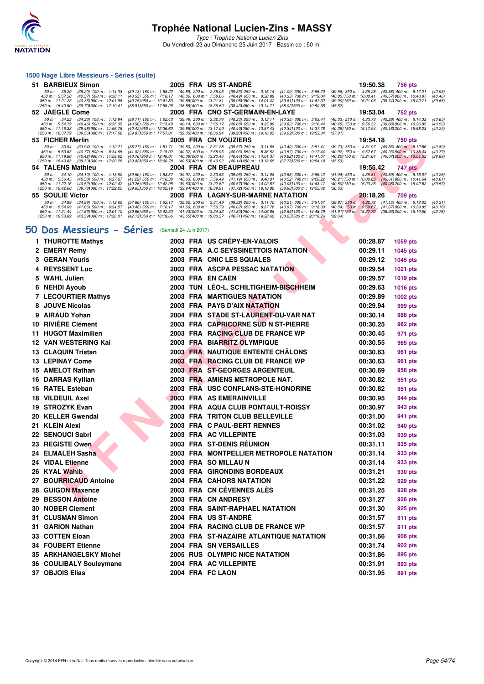

Type : Trophée National Lucien-Zins Du Vendredi 23 au Dimanche 25 Juin 2017 - Bassin de : 50 m.

#### **1500 Nage Libre Messieurs - Séries (suite)**

| <b>BARBIEUX Simon</b><br>51.                                                                                                                                                                                    | <b>FRA US ST-ANDRE</b><br>2005                                                                                                                                                                                                   |                                                                                                                                                                                                                                    | 19:50.38<br>756 pts                                                                                                                                                                                                           |
|-----------------------------------------------------------------------------------------------------------------------------------------------------------------------------------------------------------------|----------------------------------------------------------------------------------------------------------------------------------------------------------------------------------------------------------------------------------|------------------------------------------------------------------------------------------------------------------------------------------------------------------------------------------------------------------------------------|-------------------------------------------------------------------------------------------------------------------------------------------------------------------------------------------------------------------------------|
| 50 m : 35.20<br>$(35.20)$ 100 m : 1:14.33<br>450 m : 5:57.58<br>$(40.37)$ 500 m : 6:38.11<br>850 m : 11:21.23<br>$(40.36)$ 900 m : 12:01.98<br>1250 m : 16:40.50<br>(39.791300 m : 17:19.41                     | $(40.89)$ 200 m : 2:35.05<br>$(39.13)$ 150 m : 1:55.22<br>$(40.53)$ 550 m : 7:18.17<br>(40.06) 600 m : 7:58.66<br>(40.75) 950 m : 12:41.83<br>(39.851000 m : 13:21.81<br>(38.851400 m : 18:36.69<br>(38.911350 m : 17:58.26)     | $(39.83)$ 250 m : 3:16.14<br>(41.09) 300 m : 3:55.70<br>(40.49) 650 m : 8:38.99<br>(40.33) 700 m : 9:19.84<br>(39.981050 m : 14:01.42)<br>(39.611100 m : 14:41.32)<br>(38.43) 450 m : 19:14.71<br>(38.021500 m : 19:50.38          | $(39.56)$ 350 m : 4:36.28<br>$(40.58)$ 400 m : 5:17.21<br>(40.93)<br>$(40.85)$ 750 m : 10:00.41<br>(40.57) 800 m : 10:40.87<br>(40, 46)<br>(39.90) 150 m : 15:21.06<br>(39.741200 m : 16:00.71<br>(39.65)<br>(35.67)          |
| 52 JAEGLE Come                                                                                                                                                                                                  | 2005                                                                                                                                                                                                                             | <b>FRA CNO ST-GERMAIN-EN-LAYE</b>                                                                                                                                                                                                  | 19:53.04<br>752 pts                                                                                                                                                                                                           |
| $50 \text{ m}$ : 34.23<br>$(34.23)$ 100 m : 1:12.94<br>450 m : 5:54.79<br>$(40.46)$ 500 m : 6:35.35<br>850 m : 11:16.33<br>$(39.48)$ 900 m : 11:56.75<br>1250 m : 16:37.79<br>(39.561300 m : 17:17.66           | $(39.49)$ 200 m : 2:32.76<br>$(38.71)$ 150 m : 1:52.43<br>$(40.56)$ 550 m : 7:15.49<br>$(40.14)$ 600 m : 7:56.17<br>(40.42) 950 m : 12:36.60<br>(39.85) 000 m : 13:17.09<br>(39.871350 m : 17:57.01<br>(39.351400 m : 18:36.94   | $(40.33)$ 250 m : 3:13.11<br>$(40.35)$ 300 m : 3:53.44<br>$(40.68)$ 650 m : 8:35.99<br>$(39.82)$ 700 m : 9:16.44<br>(40.34) 100 m : 14:37.78<br>(40.491050 m : 13:57.43)<br>(39.931450 m : 19:16.03<br>(39.091500 m : 19:53.04     | $(40.29)$ 400 m : 5:14.33<br>$(40.33)$ 350 m : 4:33.73<br>(40.60)<br>$(40.45)$ 750 m : 9.56.32<br>(39.88) 800 m : 10:36.85<br>(40.53)<br>(40.35) 150 m : 15:17.94<br>(40.29)<br>(40.161200 m: 15:58.23)<br>(37.01)            |
| 53 FICHER Merlin                                                                                                                                                                                                | 2005 FRA CN VOUZIERS                                                                                                                                                                                                             |                                                                                                                                                                                                                                    | 19:54.18<br><b>750 pts</b>                                                                                                                                                                                                    |
| $50 \text{ m}$ : 33.94<br>$(33.94)$ 100 m : 1:12.21<br>$450 \text{ m}$ : 5:53.63<br>$(40.77)$ 500 m : 6:34.65<br>850 m : 11:18.86<br>$(40.42)$ 900 m : 11:59.62<br>1250 m : 16:40.83<br>(39.301300 m : 17:20.25 | $(38.27)$ 150 m : 1:51.71<br>$(39.50)$ 200 m : 2:31.28<br>$(41.02)$ 550 m : 7:15.02<br>(40.37) 600 m : 7:55.95<br>$(40.76)$ 950 m : 12:40.01<br>(40.391000 m : 13:20.45)<br>(39.42) 350 m : 18:00.78<br>(40.531400 m : 18:40.92) | $(39.57)$ 250 m : 3:11.68<br>$(40.40)$ 300 m : 3:51.41<br>$(40.93)$ 650 m : 8:36.52<br>$(40.57)$ 700 m : 9:17.44<br>(40.441050 m : 14:01.37<br>(40.92) 100 m : 14:41.57<br>(40.141450 m : 19:18.65)<br>(37.731500 m : 19:54.18     | $(40.56)$ 400 m : 5:12.86<br>$(39.73)$ 350 m : 4:31.97<br>(40.89)<br>$(40.92)$ 750 m : 9.57.67<br>(40.23) 800 m : 10.38.44<br>(40.77)<br>(40.20) 150 m : 15:21.64<br>(39.89)<br>(40.071200 m: 16:01.53<br>(35.53)             |
| 54 TALENS Mathieu                                                                                                                                                                                               | 2004 FRA CN BEAUPREAU                                                                                                                                                                                                            |                                                                                                                                                                                                                                    | 19:55.42<br>747 pts                                                                                                                                                                                                           |
| $50 \text{ m}$ : 34.10<br>$(34.10)$ 100 m : 1:13.60<br>$450 \text{ m}$ : 5:56.45<br>$(40.38)$ 500 m : 6:37.67<br>850 m : 11:22.16<br>$(40.52)$ 900 m : 12:02.42<br>1250 m : 16:42.60<br>(39.781300 m : 17:22.25 | $(39.97)$ 200 m : 2:33.53<br>$(39.50)$ 150 m : 1:53.57<br>$(41.22)$ 550 m : 7:18.30<br>(40.63) 600 m : 7:59.49<br>(40.26) 950 m : 12:42.05<br>(39.631000 m : 13:22.62<br>(39.651350 m : 18:02.19<br>(39.941400 m : 18:39.91      | $(39.96)$ $250$ m : $3.14.08$<br>$(40.55)$ 300 m : 3:55.12<br>$(40.52)$ 700 m : 9:20.22<br>$(41.19)$ 650 m : 8:40.01<br>(40.05) 100 m : 14:43.17<br>(40.571050 m : 14:02.67<br>(37.72) 450 m : 19:18.89<br>(38.981500 m : 19:55.42 | $(41.04)$ 350 m : 4:35.81<br>$(40.69)$ 400 m : 5:16.07<br>(40.26)<br>$(40.21)$ 750 m : 10.00.83<br>$(40.61)800 \text{ m}$ : 10:41.64<br>(40.81)<br>(40.50) 150 m : 15:23.25<br>(40.081200 m : 16:02.82)<br>(39.57)<br>(36.53) |
| 55 SOULIE Victor                                                                                                                                                                                                |                                                                                                                                                                                                                                  | 2005 FRA LAGNY-SUR-MARNE NATATION                                                                                                                                                                                                  | 20:18.26<br><b>709 pts</b>                                                                                                                                                                                                    |
| 50 m : 34.99<br>$(34.99)$ 100 m : 1:12.65<br>450 m : 5:54.09<br>$(41.06)$ 500 m : 6:34.57<br>850 m : 11:21.44<br>$(41.59)$ 900 m : 12:01.10<br>1250 m : 16:53.89<br>(43.391300 m : 17:36.01                     | $(37.66)$ 150 m : 1:52.17<br>$(39.52)$ 200 m : 2:31.49<br>$(40.48)$ 550 m : 7:16.17<br>$(41.60)$ 600 m : 7:56.79<br>(39.66) 950 m : 12:42.53<br>(41.431000 m : 13:24.33)<br>(42.121350 m: 18:19.66<br>(43.651400 m : 19:00.37    | $(39.32)$ 250 m : 3:11.70<br>$(40.21)$ 300 m : 3:51.57<br>$(40.62)$ 650 m : 8:37.76<br>$(40.97)$ 700 m : 9:18.30<br>(41.801050 m : 14.06.88<br>(42.55) 100 m : 14:48.79<br>(40.711450 m : 19:38.62)<br>(38.251500 m : 20:18.26     | $(39.87)$ 350 m : 4:32.72<br>$(41.15)$ 400 m : 5:13.03<br>(40.31)<br>$(40.54)$ 750 m : 9:59.67<br>(41.37) 800 m : 10:39.85<br>(40.18)<br>(41.911150 m : 15:27.72)<br>(38.93) 200 m : 16:10.50<br>(42.78)<br>(39.64)           |

### **[50 Dos Messieurs - Séries](http://www.ffnatation.fr/webffn/resultats.php?idact=nat&go=epr&idcpt=47287&idepr=61)** (Samedi 24 Juin 2017)

| JJ |                                                                                                                                                                                                                             |                                                                                                                                                                                                                                                                                                                                                                                                                                                                                                                                                                                                                                                                                                                                                                                                                                                                                                                                                                                                                                                                                                                                                                                                                                                                                                                                                                                                                                                                                                                                                                                                                                                                                                                                                                                                                                                                                                                                                                                                                                                                                                                                                                                                                                                                                                                                                                                                                                                                                                                                                                                                                                                                                                                         |                                                                               |                                                                                                                                                                                                                                                      | 19.94.10 | ruu pia                                                                          |                   |
|----|-----------------------------------------------------------------------------------------------------------------------------------------------------------------------------------------------------------------------------|-------------------------------------------------------------------------------------------------------------------------------------------------------------------------------------------------------------------------------------------------------------------------------------------------------------------------------------------------------------------------------------------------------------------------------------------------------------------------------------------------------------------------------------------------------------------------------------------------------------------------------------------------------------------------------------------------------------------------------------------------------------------------------------------------------------------------------------------------------------------------------------------------------------------------------------------------------------------------------------------------------------------------------------------------------------------------------------------------------------------------------------------------------------------------------------------------------------------------------------------------------------------------------------------------------------------------------------------------------------------------------------------------------------------------------------------------------------------------------------------------------------------------------------------------------------------------------------------------------------------------------------------------------------------------------------------------------------------------------------------------------------------------------------------------------------------------------------------------------------------------------------------------------------------------------------------------------------------------------------------------------------------------------------------------------------------------------------------------------------------------------------------------------------------------------------------------------------------------------------------------------------------------------------------------------------------------------------------------------------------------------------------------------------------------------------------------------------------------------------------------------------------------------------------------------------------------------------------------------------------------------------------------------------------------------------------------------------------------|-------------------------------------------------------------------------------|------------------------------------------------------------------------------------------------------------------------------------------------------------------------------------------------------------------------------------------------------|----------|----------------------------------------------------------------------------------|-------------------|
|    | 50 m: 33.94<br>$(33.94)$ 100 m : 1:12.21<br>$(38.27)$ 150 m : 1:51.71<br>450 m : 5:53.63<br>$(40.77)$ 500 m : 6:34.65<br>(41.02) 550 m : 7:15.02<br>850 m: 11:18.86<br>(40.42) 900 m : 11:59.62<br>(40.76) 950 m : 12:40.01 |                                                                                                                                                                                                                                                                                                                                                                                                                                                                                                                                                                                                                                                                                                                                                                                                                                                                                                                                                                                                                                                                                                                                                                                                                                                                                                                                                                                                                                                                                                                                                                                                                                                                                                                                                                                                                                                                                                                                                                                                                                                                                                                                                                                                                                                                                                                                                                                                                                                                                                                                                                                                                                                                                                                         | (39.50) 200 m : 2:31.28<br>(40.37) 600 m : 7:55.95<br>(40.39) 000 m: 13:20.45 | $(39.57)$ 250 m : 3:11.68<br>(40.40) 300 m: 3:51.41<br>(39.73) 350 m : 4:31.97<br>$(40.93)$ 650 m : 8:36.52<br>(40.57) 700 m : 9:17.44<br>(40.92) 750 m : 9:57.67<br>(40.44) 050 m: 14:01.37<br>(40.92) 100 m : 14:41.57<br>(40.20) 150 m : 15:21.64 |          | $(40.56)$ 400 m : 5:12.86<br>(40.23) 800 m : 10:38.44<br>(40.07) 200 m: 16:01.53 | (4)<br>(4)<br>(3) |
|    | 1250 m : 16:40.83<br>(39.30) 300 m : 17:20.25<br>(39.42) 350 m : 18:00.78<br>54 TALENS Mathieu                                                                                                                              |                                                                                                                                                                                                                                                                                                                                                                                                                                                                                                                                                                                                                                                                                                                                                                                                                                                                                                                                                                                                                                                                                                                                                                                                                                                                                                                                                                                                                                                                                                                                                                                                                                                                                                                                                                                                                                                                                                                                                                                                                                                                                                                                                                                                                                                                                                                                                                                                                                                                                                                                                                                                                                                                                                                         | (40.53) 400 m : 18:40.92                                                      | (40.14) 450 m : 19:18.65<br>(37.73) 500 m : 19:54.18<br>(35.53)<br>2004 FRA CN BEAUPREAU                                                                                                                                                             | 19:55.42 |                                                                                  |                   |
|    | 50 m: 34.10<br>$(34.10)$ 100 m : 1:13.60<br>(39.50) 150 m: 1:53.57                                                                                                                                                          |                                                                                                                                                                                                                                                                                                                                                                                                                                                                                                                                                                                                                                                                                                                                                                                                                                                                                                                                                                                                                                                                                                                                                                                                                                                                                                                                                                                                                                                                                                                                                                                                                                                                                                                                                                                                                                                                                                                                                                                                                                                                                                                                                                                                                                                                                                                                                                                                                                                                                                                                                                                                                                                                                                                         | (39.97) 200 m : 2:33.53                                                       | $(39.96)$ 250 m : 3:14.08<br>(40.55) 300 m : 3:55.12<br>$(41.04)$ 350 m : 4:35.81                                                                                                                                                                    |          | 747 pts<br>$(40.69)$ 400 m : 5:16.07                                             | (4)               |
|    | 450 m: 5:56.45<br>(40.38) 500 m : 6:37.67<br>(41.22) 550 m : 7:18.30<br>850 m : 11:22.16<br>(40.52) 900 m : 12:02.42<br>(40.26) 950 m : 12:42.05<br>1250 m : 16:42.60<br>(39.78) 300 m : 17:22.25                           |                                                                                                                                                                                                                                                                                                                                                                                                                                                                                                                                                                                                                                                                                                                                                                                                                                                                                                                                                                                                                                                                                                                                                                                                                                                                                                                                                                                                                                                                                                                                                                                                                                                                                                                                                                                                                                                                                                                                                                                                                                                                                                                                                                                                                                                                                                                                                                                                                                                                                                                                                                                                                                                                                                                         | (40.63) 600 m : 7:59.49<br>(39.63) 000 m : 13:22.62                           | $(41.19)$ 650 m : 8:40.01<br>(40.52) 700 m : 9:20.22<br>(40.21) 750 m : 10:00.83<br>(40.57) 050 m : 14:02.67<br>(40.05) 100 m: 14:43.17<br>(40.50 <b>)</b> 150 m : 15:23.25<br>(37.72) 450 m : 19:18.89<br>(38.98) 500 m : 19:55.42<br>(36.53)       |          | $(40.61)800 \text{ m}$ : 10:41.64<br>(40.08) 200 m : 16:02.82                    | (4)<br>(3)        |
|    | 55 SOULIE Victor                                                                                                                                                                                                            |                                                                                                                                                                                                                                                                                                                                                                                                                                                                                                                                                                                                                                                                                                                                                                                                                                                                                                                                                                                                                                                                                                                                                                                                                                                                                                                                                                                                                                                                                                                                                                                                                                                                                                                                                                                                                                                                                                                                                                                                                                                                                                                                                                                                                                                                                                                                                                                                                                                                                                                                                                                                                                                                                                                         |                                                                               |                                                                                                                                                                                                                                                      |          | 709 pts                                                                          |                   |
|    | 50 m : 34.99<br>$(34.99)$ 100 m : 1:12.65<br>450 m : 5:54.09<br>$(41.06)$ 500 m : 6:34.57<br>(41.59) 900 m : 12:01.10<br>850 m : 11:21.44<br>1250 m: 16:53.89<br>(43.39) 300 m : 17:36.01                                   |                                                                                                                                                                                                                                                                                                                                                                                                                                                                                                                                                                                                                                                                                                                                                                                                                                                                                                                                                                                                                                                                                                                                                                                                                                                                                                                                                                                                                                                                                                                                                                                                                                                                                                                                                                                                                                                                                                                                                                                                                                                                                                                                                                                                                                                                                                                                                                                                                                                                                                                                                                                                                                                                                                                         |                                                                               | $(40.62)$ 650 m : 8:37.76<br>(40.97) 700 m : 9:18.30<br>(41.80) 050 m: 14:06.88<br>(42.55 <b>)</b> 100 m : 14:48.79<br>(40.711450 m: 19:38.62)<br>(38.25) 500 m : 20:18.26<br>(39.64)                                                                |          |                                                                                  | (4)<br>(4)        |
| 0  | Dos Messieurs - Séries                                                                                                                                                                                                      |                                                                                                                                                                                                                                                                                                                                                                                                                                                                                                                                                                                                                                                                                                                                                                                                                                                                                                                                                                                                                                                                                                                                                                                                                                                                                                                                                                                                                                                                                                                                                                                                                                                                                                                                                                                                                                                                                                                                                                                                                                                                                                                                                                                                                                                                                                                                                                                                                                                                                                                                                                                                                                                                                                                         |                                                                               |                                                                                                                                                                                                                                                      |          |                                                                                  |                   |
|    | 1 THUROTTE Mathys                                                                                                                                                                                                           |                                                                                                                                                                                                                                                                                                                                                                                                                                                                                                                                                                                                                                                                                                                                                                                                                                                                                                                                                                                                                                                                                                                                                                                                                                                                                                                                                                                                                                                                                                                                                                                                                                                                                                                                                                                                                                                                                                                                                                                                                                                                                                                                                                                                                                                                                                                                                                                                                                                                                                                                                                                                                                                                                                                         |                                                                               |                                                                                                                                                                                                                                                      |          | 1059 pts                                                                         |                   |
|    | 2 EMERY Remy                                                                                                                                                                                                                |                                                                                                                                                                                                                                                                                                                                                                                                                                                                                                                                                                                                                                                                                                                                                                                                                                                                                                                                                                                                                                                                                                                                                                                                                                                                                                                                                                                                                                                                                                                                                                                                                                                                                                                                                                                                                                                                                                                                                                                                                                                                                                                                                                                                                                                                                                                                                                                                                                                                                                                                                                                                                                                                                                                         |                                                                               |                                                                                                                                                                                                                                                      |          |                                                                                  |                   |
|    | <b>3 GERAN Youris</b>                                                                                                                                                                                                       |                                                                                                                                                                                                                                                                                                                                                                                                                                                                                                                                                                                                                                                                                                                                                                                                                                                                                                                                                                                                                                                                                                                                                                                                                                                                                                                                                                                                                                                                                                                                                                                                                                                                                                                                                                                                                                                                                                                                                                                                                                                                                                                                                                                                                                                                                                                                                                                                                                                                                                                                                                                                                                                                                                                         |                                                                               |                                                                                                                                                                                                                                                      |          | 1045 pts                                                                         |                   |
| 4  | <b>REYSSENT Luc</b>                                                                                                                                                                                                         |                                                                                                                                                                                                                                                                                                                                                                                                                                                                                                                                                                                                                                                                                                                                                                                                                                                                                                                                                                                                                                                                                                                                                                                                                                                                                                                                                                                                                                                                                                                                                                                                                                                                                                                                                                                                                                                                                                                                                                                                                                                                                                                                                                                                                                                                                                                                                                                                                                                                                                                                                                                                                                                                                                                         |                                                                               |                                                                                                                                                                                                                                                      |          | 1021 pts                                                                         |                   |
| 5  | <b>WAHL Julien</b>                                                                                                                                                                                                          |                                                                                                                                                                                                                                                                                                                                                                                                                                                                                                                                                                                                                                                                                                                                                                                                                                                                                                                                                                                                                                                                                                                                                                                                                                                                                                                                                                                                                                                                                                                                                                                                                                                                                                                                                                                                                                                                                                                                                                                                                                                                                                                                                                                                                                                                                                                                                                                                                                                                                                                                                                                                                                                                                                                         |                                                                               |                                                                                                                                                                                                                                                      |          |                                                                                  |                   |
| 6  | <b>NEHDI Ayoub</b>                                                                                                                                                                                                          | 2003                                                                                                                                                                                                                                                                                                                                                                                                                                                                                                                                                                                                                                                                                                                                                                                                                                                                                                                                                                                                                                                                                                                                                                                                                                                                                                                                                                                                                                                                                                                                                                                                                                                                                                                                                                                                                                                                                                                                                                                                                                                                                                                                                                                                                                                                                                                                                                                                                                                                                                                                                                                                                                                                                                                    | <b>TUN</b>                                                                    |                                                                                                                                                                                                                                                      |          |                                                                                  |                   |
|    | <b>7 LECOURTIER Mathys</b>                                                                                                                                                                                                  | 2003                                                                                                                                                                                                                                                                                                                                                                                                                                                                                                                                                                                                                                                                                                                                                                                                                                                                                                                                                                                                                                                                                                                                                                                                                                                                                                                                                                                                                                                                                                                                                                                                                                                                                                                                                                                                                                                                                                                                                                                                                                                                                                                                                                                                                                                                                                                                                                                                                                                                                                                                                                                                                                                                                                                    |                                                                               |                                                                                                                                                                                                                                                      |          |                                                                                  |                   |
| 8  | <b>JOUVE Nicolas</b>                                                                                                                                                                                                        | 2003                                                                                                                                                                                                                                                                                                                                                                                                                                                                                                                                                                                                                                                                                                                                                                                                                                                                                                                                                                                                                                                                                                                                                                                                                                                                                                                                                                                                                                                                                                                                                                                                                                                                                                                                                                                                                                                                                                                                                                                                                                                                                                                                                                                                                                                                                                                                                                                                                                                                                                                                                                                                                                                                                                                    |                                                                               |                                                                                                                                                                                                                                                      |          |                                                                                  |                   |
| 9  | <b>AIRAUD Yohan</b>                                                                                                                                                                                                         |                                                                                                                                                                                                                                                                                                                                                                                                                                                                                                                                                                                                                                                                                                                                                                                                                                                                                                                                                                                                                                                                                                                                                                                                                                                                                                                                                                                                                                                                                                                                                                                                                                                                                                                                                                                                                                                                                                                                                                                                                                                                                                                                                                                                                                                                                                                                                                                                                                                                                                                                                                                                                                                                                                                         |                                                                               |                                                                                                                                                                                                                                                      |          | 988 pts                                                                          |                   |
|    | 10 RIVIÈRE Clément                                                                                                                                                                                                          |                                                                                                                                                                                                                                                                                                                                                                                                                                                                                                                                                                                                                                                                                                                                                                                                                                                                                                                                                                                                                                                                                                                                                                                                                                                                                                                                                                                                                                                                                                                                                                                                                                                                                                                                                                                                                                                                                                                                                                                                                                                                                                                                                                                                                                                                                                                                                                                                                                                                                                                                                                                                                                                                                                                         |                                                                               |                                                                                                                                                                                                                                                      |          |                                                                                  |                   |
|    | 11 HUGOT Maximilien                                                                                                                                                                                                         |                                                                                                                                                                                                                                                                                                                                                                                                                                                                                                                                                                                                                                                                                                                                                                                                                                                                                                                                                                                                                                                                                                                                                                                                                                                                                                                                                                                                                                                                                                                                                                                                                                                                                                                                                                                                                                                                                                                                                                                                                                                                                                                                                                                                                                                                                                                                                                                                                                                                                                                                                                                                                                                                                                                         |                                                                               |                                                                                                                                                                                                                                                      |          |                                                                                  |                   |
|    | 12 VAN WESTERING Kai                                                                                                                                                                                                        |                                                                                                                                                                                                                                                                                                                                                                                                                                                                                                                                                                                                                                                                                                                                                                                                                                                                                                                                                                                                                                                                                                                                                                                                                                                                                                                                                                                                                                                                                                                                                                                                                                                                                                                                                                                                                                                                                                                                                                                                                                                                                                                                                                                                                                                                                                                                                                                                                                                                                                                                                                                                                                                                                                                         |                                                                               |                                                                                                                                                                                                                                                      |          |                                                                                  |                   |
|    | 13 CLAQUIN Tristan                                                                                                                                                                                                          | 2003                                                                                                                                                                                                                                                                                                                                                                                                                                                                                                                                                                                                                                                                                                                                                                                                                                                                                                                                                                                                                                                                                                                                                                                                                                                                                                                                                                                                                                                                                                                                                                                                                                                                                                                                                                                                                                                                                                                                                                                                                                                                                                                                                                                                                                                                                                                                                                                                                                                                                                                                                                                                                                                                                                                    |                                                                               |                                                                                                                                                                                                                                                      |          |                                                                                  |                   |
|    | <b>13 LEPINAY Come</b>                                                                                                                                                                                                      |                                                                                                                                                                                                                                                                                                                                                                                                                                                                                                                                                                                                                                                                                                                                                                                                                                                                                                                                                                                                                                                                                                                                                                                                                                                                                                                                                                                                                                                                                                                                                                                                                                                                                                                                                                                                                                                                                                                                                                                                                                                                                                                                                                                                                                                                                                                                                                                                                                                                                                                                                                                                                                                                                                                         |                                                                               |                                                                                                                                                                                                                                                      |          |                                                                                  |                   |
|    | 15 AMELOT Nathan                                                                                                                                                                                                            |                                                                                                                                                                                                                                                                                                                                                                                                                                                                                                                                                                                                                                                                                                                                                                                                                                                                                                                                                                                                                                                                                                                                                                                                                                                                                                                                                                                                                                                                                                                                                                                                                                                                                                                                                                                                                                                                                                                                                                                                                                                                                                                                                                                                                                                                                                                                                                                                                                                                                                                                                                                                                                                                                                                         |                                                                               |                                                                                                                                                                                                                                                      |          |                                                                                  |                   |
|    | 16 DARRAS Kyllian                                                                                                                                                                                                           | 2003                                                                                                                                                                                                                                                                                                                                                                                                                                                                                                                                                                                                                                                                                                                                                                                                                                                                                                                                                                                                                                                                                                                                                                                                                                                                                                                                                                                                                                                                                                                                                                                                                                                                                                                                                                                                                                                                                                                                                                                                                                                                                                                                                                                                                                                                                                                                                                                                                                                                                                                                                                                                                                                                                                                    |                                                                               |                                                                                                                                                                                                                                                      |          |                                                                                  |                   |
|    | 16 RATEL Esteban                                                                                                                                                                                                            | 2003                                                                                                                                                                                                                                                                                                                                                                                                                                                                                                                                                                                                                                                                                                                                                                                                                                                                                                                                                                                                                                                                                                                                                                                                                                                                                                                                                                                                                                                                                                                                                                                                                                                                                                                                                                                                                                                                                                                                                                                                                                                                                                                                                                                                                                                                                                                                                                                                                                                                                                                                                                                                                                                                                                                    |                                                                               |                                                                                                                                                                                                                                                      |          |                                                                                  |                   |
|    | 18 VILDEUIL Axel                                                                                                                                                                                                            |                                                                                                                                                                                                                                                                                                                                                                                                                                                                                                                                                                                                                                                                                                                                                                                                                                                                                                                                                                                                                                                                                                                                                                                                                                                                                                                                                                                                                                                                                                                                                                                                                                                                                                                                                                                                                                                                                                                                                                                                                                                                                                                                                                                                                                                                                                                                                                                                                                                                                                                                                                                                                                                                                                                         |                                                                               |                                                                                                                                                                                                                                                      |          |                                                                                  |                   |
|    | 19 STROZYK Evan                                                                                                                                                                                                             |                                                                                                                                                                                                                                                                                                                                                                                                                                                                                                                                                                                                                                                                                                                                                                                                                                                                                                                                                                                                                                                                                                                                                                                                                                                                                                                                                                                                                                                                                                                                                                                                                                                                                                                                                                                                                                                                                                                                                                                                                                                                                                                                                                                                                                                                                                                                                                                                                                                                                                                                                                                                                                                                                                                         |                                                                               |                                                                                                                                                                                                                                                      |          |                                                                                  |                   |
|    | 20 KELLER Gwendal                                                                                                                                                                                                           |                                                                                                                                                                                                                                                                                                                                                                                                                                                                                                                                                                                                                                                                                                                                                                                                                                                                                                                                                                                                                                                                                                                                                                                                                                                                                                                                                                                                                                                                                                                                                                                                                                                                                                                                                                                                                                                                                                                                                                                                                                                                                                                                                                                                                                                                                                                                                                                                                                                                                                                                                                                                                                                                                                                         |                                                                               |                                                                                                                                                                                                                                                      |          |                                                                                  |                   |
|    | 21 KLEIN Alexi                                                                                                                                                                                                              |                                                                                                                                                                                                                                                                                                                                                                                                                                                                                                                                                                                                                                                                                                                                                                                                                                                                                                                                                                                                                                                                                                                                                                                                                                                                                                                                                                                                                                                                                                                                                                                                                                                                                                                                                                                                                                                                                                                                                                                                                                                                                                                                                                                                                                                                                                                                                                                                                                                                                                                                                                                                                                                                                                                         |                                                                               |                                                                                                                                                                                                                                                      |          |                                                                                  |                   |
|    | 22 SENOUCI Sabri                                                                                                                                                                                                            |                                                                                                                                                                                                                                                                                                                                                                                                                                                                                                                                                                                                                                                                                                                                                                                                                                                                                                                                                                                                                                                                                                                                                                                                                                                                                                                                                                                                                                                                                                                                                                                                                                                                                                                                                                                                                                                                                                                                                                                                                                                                                                                                                                                                                                                                                                                                                                                                                                                                                                                                                                                                                                                                                                                         |                                                                               |                                                                                                                                                                                                                                                      |          |                                                                                  |                   |
|    | <b>23 REGISTE Owen</b>                                                                                                                                                                                                      |                                                                                                                                                                                                                                                                                                                                                                                                                                                                                                                                                                                                                                                                                                                                                                                                                                                                                                                                                                                                                                                                                                                                                                                                                                                                                                                                                                                                                                                                                                                                                                                                                                                                                                                                                                                                                                                                                                                                                                                                                                                                                                                                                                                                                                                                                                                                                                                                                                                                                                                                                                                                                                                                                                                         |                                                                               |                                                                                                                                                                                                                                                      |          |                                                                                  |                   |
|    | 24 ELMALEH Sasha                                                                                                                                                                                                            | 2003                                                                                                                                                                                                                                                                                                                                                                                                                                                                                                                                                                                                                                                                                                                                                                                                                                                                                                                                                                                                                                                                                                                                                                                                                                                                                                                                                                                                                                                                                                                                                                                                                                                                                                                                                                                                                                                                                                                                                                                                                                                                                                                                                                                                                                                                                                                                                                                                                                                                                                                                                                                                                                                                                                                    |                                                                               |                                                                                                                                                                                                                                                      |          |                                                                                  |                   |
|    | 24 VIDAL Etienne                                                                                                                                                                                                            |                                                                                                                                                                                                                                                                                                                                                                                                                                                                                                                                                                                                                                                                                                                                                                                                                                                                                                                                                                                                                                                                                                                                                                                                                                                                                                                                                                                                                                                                                                                                                                                                                                                                                                                                                                                                                                                                                                                                                                                                                                                                                                                                                                                                                                                                                                                                                                                                                                                                                                                                                                                                                                                                                                                         |                                                                               |                                                                                                                                                                                                                                                      |          |                                                                                  |                   |
|    | 26 KYAL Wahib                                                                                                                                                                                                               |                                                                                                                                                                                                                                                                                                                                                                                                                                                                                                                                                                                                                                                                                                                                                                                                                                                                                                                                                                                                                                                                                                                                                                                                                                                                                                                                                                                                                                                                                                                                                                                                                                                                                                                                                                                                                                                                                                                                                                                                                                                                                                                                                                                                                                                                                                                                                                                                                                                                                                                                                                                                                                                                                                                         |                                                                               |                                                                                                                                                                                                                                                      |          |                                                                                  |                   |
|    | 27 BOURRICAUD Antoine                                                                                                                                                                                                       |                                                                                                                                                                                                                                                                                                                                                                                                                                                                                                                                                                                                                                                                                                                                                                                                                                                                                                                                                                                                                                                                                                                                                                                                                                                                                                                                                                                                                                                                                                                                                                                                                                                                                                                                                                                                                                                                                                                                                                                                                                                                                                                                                                                                                                                                                                                                                                                                                                                                                                                                                                                                                                                                                                                         |                                                                               |                                                                                                                                                                                                                                                      |          |                                                                                  |                   |
|    | 28 GUIGON Maxence                                                                                                                                                                                                           |                                                                                                                                                                                                                                                                                                                                                                                                                                                                                                                                                                                                                                                                                                                                                                                                                                                                                                                                                                                                                                                                                                                                                                                                                                                                                                                                                                                                                                                                                                                                                                                                                                                                                                                                                                                                                                                                                                                                                                                                                                                                                                                                                                                                                                                                                                                                                                                                                                                                                                                                                                                                                                                                                                                         |                                                                               |                                                                                                                                                                                                                                                      |          |                                                                                  |                   |
|    | <b>29 BESSON Antoine</b>                                                                                                                                                                                                    |                                                                                                                                                                                                                                                                                                                                                                                                                                                                                                                                                                                                                                                                                                                                                                                                                                                                                                                                                                                                                                                                                                                                                                                                                                                                                                                                                                                                                                                                                                                                                                                                                                                                                                                                                                                                                                                                                                                                                                                                                                                                                                                                                                                                                                                                                                                                                                                                                                                                                                                                                                                                                                                                                                                         |                                                                               |                                                                                                                                                                                                                                                      |          |                                                                                  |                   |
|    | 30 NOBER Clement                                                                                                                                                                                                            |                                                                                                                                                                                                                                                                                                                                                                                                                                                                                                                                                                                                                                                                                                                                                                                                                                                                                                                                                                                                                                                                                                                                                                                                                                                                                                                                                                                                                                                                                                                                                                                                                                                                                                                                                                                                                                                                                                                                                                                                                                                                                                                                                                                                                                                                                                                                                                                                                                                                                                                                                                                                                                                                                                                         |                                                                               |                                                                                                                                                                                                                                                      |          |                                                                                  |                   |
|    | 31 CLUSMAN Simon                                                                                                                                                                                                            |                                                                                                                                                                                                                                                                                                                                                                                                                                                                                                                                                                                                                                                                                                                                                                                                                                                                                                                                                                                                                                                                                                                                                                                                                                                                                                                                                                                                                                                                                                                                                                                                                                                                                                                                                                                                                                                                                                                                                                                                                                                                                                                                                                                                                                                                                                                                                                                                                                                                                                                                                                                                                                                                                                                         |                                                                               |                                                                                                                                                                                                                                                      |          |                                                                                  |                   |
|    | 31 GARION Nathan                                                                                                                                                                                                            |                                                                                                                                                                                                                                                                                                                                                                                                                                                                                                                                                                                                                                                                                                                                                                                                                                                                                                                                                                                                                                                                                                                                                                                                                                                                                                                                                                                                                                                                                                                                                                                                                                                                                                                                                                                                                                                                                                                                                                                                                                                                                                                                                                                                                                                                                                                                                                                                                                                                                                                                                                                                                                                                                                                         |                                                                               |                                                                                                                                                                                                                                                      |          |                                                                                  |                   |
|    | 33 COTTEN Eloan                                                                                                                                                                                                             |                                                                                                                                                                                                                                                                                                                                                                                                                                                                                                                                                                                                                                                                                                                                                                                                                                                                                                                                                                                                                                                                                                                                                                                                                                                                                                                                                                                                                                                                                                                                                                                                                                                                                                                                                                                                                                                                                                                                                                                                                                                                                                                                                                                                                                                                                                                                                                                                                                                                                                                                                                                                                                                                                                                         |                                                                               |                                                                                                                                                                                                                                                      |          |                                                                                  |                   |
|    | 34 FOUBERT Etienne                                                                                                                                                                                                          |                                                                                                                                                                                                                                                                                                                                                                                                                                                                                                                                                                                                                                                                                                                                                                                                                                                                                                                                                                                                                                                                                                                                                                                                                                                                                                                                                                                                                                                                                                                                                                                                                                                                                                                                                                                                                                                                                                                                                                                                                                                                                                                                                                                                                                                                                                                                                                                                                                                                                                                                                                                                                                                                                                                         |                                                                               |                                                                                                                                                                                                                                                      |          | 902 pts                                                                          |                   |
|    | 35 ARKHANGELSKY Michel                                                                                                                                                                                                      | (39.65) 350 m : 18:02.19<br>(39.94) 400 m : 18:39.91<br>2005 FRA LAGNY-SUR-MARNE NATATION<br>20:18.26<br>$(39.87)$ 350 m : 4:32.72<br>$(37.66)$ 150 m : 1:52.17<br>(39.52) 200 m : 2:31.49<br>$(39.32)$ 250 m : 3:11.70<br>$(40.21)$ 300 m : 3:51.57<br>$(41.15)$ 400 m : 5:13.03<br>(4)<br>(40.48) 550 m : 7:16.17<br>(41.60) 600 m : 7:56.79<br>(40.54) 750 m: 9:59.67<br>(41.37) 800 m : 10:39.85<br>(39.66) 950 m : 12:42.53<br>(41.43) 000 m: 13:24.33<br>(41.91) 150 m : 15:27.72<br>(38.93) 200 m : 16:10.50<br>(42.12) 350 m : 18:19.66<br>(43.65) 400 m : 19:00.37<br>(Samedi 24 Juin 2017)<br>2003 FRA US CREPY-EN-VALOIS<br>00:28.87<br>2003 FRA A.C SEYSSINETTOIS NATATION<br>00:29.11<br>1045 pts<br>2003 FRA CNIC LES SQUALES<br>00:29.12<br>2003 FRA ASCPA PESSAC NATATION<br>00:29.54<br><b>EN CAEN</b><br>2003 FRA<br>00:29.57<br>1019 pts<br><b>LEO-L. SCHILTIGHEIM-BISCHHEIM</b><br>00:29.63<br><b>1016 pts</b><br>FRA MARTIGUES NATATION<br>00:29.89<br>1002 pts<br><b>FRA PAYS D'AIX NATATION</b><br>00:29.94<br>999 pts<br>2004 FRA STADE ST-LAURENT-DU-VAR NAT<br>00:30.14<br>2003 FRA CAPRICORNE SUD N ST-PIERRE<br>00:30.25<br>982 pts<br>2003 FRA RACING CLUB DE FRANCE WP<br>00:30.45<br>971 pts<br>2003 FRA BIARRITZ OLYMPIQUE<br>00:30.55<br>965 pts<br><b>FRA NAUTIQUE ENTENTE CHALONS</b><br>00:30.63<br>961 pts<br>2003 FRA RACING CLUB DE FRANCE WP<br>00:30.63<br>961 pts<br>2003 FRA ST-GEORGES ARGENTEUIL<br>00:30.69<br>958 pts<br><b>FRA AMIENS METROPOLE NAT.</b><br>00:30.82<br>951 pts<br>00:30.82<br>FRA USC CONFLANS-STE-HONORINE<br>951 pts<br>2003 FRA AS EMERAINVILLE<br>00:30.95<br>944 pts<br>2004 FRA AQUA CLUB PONTAULT-ROISSY<br>00:30.97<br>943 pts<br>2003 FRA TRITON CLUB BELLEVILLE<br>00:31.00<br>941 pts<br>2003 FRA C PAUL-BERT RENNES<br>00:31.02<br>940 pts<br><b>FRA AC VILLEPINTE</b><br>2003<br>00:31.03<br>939 pts<br>2003 FRA ST-DENIS RÉUNION<br>00:31.11<br>935 pts<br><b>MONTPELLIER METROPOLE NATATION</b><br><b>FRA</b><br>00:31.14<br>933 pts<br>2003 FRA SO MILLAU N<br>00:31.14<br>933 pts<br>2003 FRA GIRONDINS BORDEAUX<br>00:31.21<br>930 pts<br>2004 FRA CAHORS NATATION<br>00:31.22<br><b>929 pts</b><br>2003 FRA CN CÉVENNES ALÈS<br>00:31.25<br>928 pts<br>2003 FRA CN ANDRESY<br>00:31.27<br>926 pts<br>2003 FRA SAINT-RAPHAEL NATATION<br>00:31.30<br>925 pts<br>2004 FRA US ST-ANDRE<br>00:31.57<br>911 pts<br>2004 FRA RACING CLUB DE FRANCE WP<br>00:31.57<br>911 pts<br>2003 FRA ST-NAZAIRE ATLANTIQUE NATATION<br>00:31.66<br>906 pts<br>2004 FRA SN VERSAILLES<br>00:31.74<br>2005 RUS OLYMPIC NICE NATATION<br>00:31.86<br>895 pts<br>2004 FRA AC VILLEPINTE<br>00:31.91<br>893 pts<br>2004 FRA FC LAON<br>00:31.95<br>891 pts |                                                                               |                                                                                                                                                                                                                                                      |          |                                                                                  |                   |
|    | 36 COULIBALY Souleymane                                                                                                                                                                                                     |                                                                                                                                                                                                                                                                                                                                                                                                                                                                                                                                                                                                                                                                                                                                                                                                                                                                                                                                                                                                                                                                                                                                                                                                                                                                                                                                                                                                                                                                                                                                                                                                                                                                                                                                                                                                                                                                                                                                                                                                                                                                                                                                                                                                                                                                                                                                                                                                                                                                                                                                                                                                                                                                                                                         |                                                                               |                                                                                                                                                                                                                                                      |          |                                                                                  |                   |
|    | 37 OBJOIS Elias                                                                                                                                                                                                             |                                                                                                                                                                                                                                                                                                                                                                                                                                                                                                                                                                                                                                                                                                                                                                                                                                                                                                                                                                                                                                                                                                                                                                                                                                                                                                                                                                                                                                                                                                                                                                                                                                                                                                                                                                                                                                                                                                                                                                                                                                                                                                                                                                                                                                                                                                                                                                                                                                                                                                                                                                                                                                                                                                                         |                                                                               |                                                                                                                                                                                                                                                      |          |                                                                                  |                   |
|    |                                                                                                                                                                                                                             |                                                                                                                                                                                                                                                                                                                                                                                                                                                                                                                                                                                                                                                                                                                                                                                                                                                                                                                                                                                                                                                                                                                                                                                                                                                                                                                                                                                                                                                                                                                                                                                                                                                                                                                                                                                                                                                                                                                                                                                                                                                                                                                                                                                                                                                                                                                                                                                                                                                                                                                                                                                                                                                                                                                         |                                                                               |                                                                                                                                                                                                                                                      |          |                                                                                  |                   |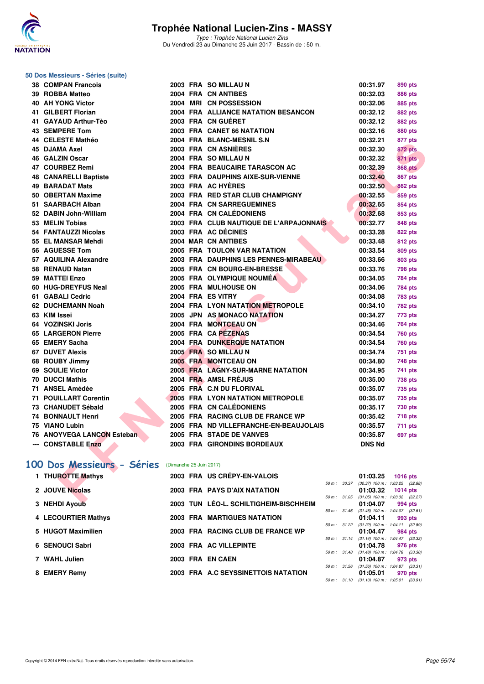

Type : Trophée National Lucien-Zins Du Vendredi 23 au Dimanche 25 Juin 2017 - Bassin de : 50 m.

#### **50 Dos Messieurs - Séries (suite)**

| 38 COMPAN Francois                                |  | 2003 FRA SO MILLAU N                     | 00:31.97      | 890 pts                                                  |
|---------------------------------------------------|--|------------------------------------------|---------------|----------------------------------------------------------|
| 39 ROBBA Matteo                                   |  | 2004 FRA CN ANTIBES                      | 00:32.03      | <b>886 pts</b>                                           |
| 40 AH YONG Victor                                 |  | 2004 MRI CN POSSESSION                   | 00:32.06      | 885 pts                                                  |
| 41 GILBERT Florian                                |  | 2004 FRA ALLIANCE NATATION BESANCON      | 00:32.12      | <b>882 pts</b>                                           |
| 41 GAYAUD Arthur-Tèo                              |  | 2003 FRA CN GUERET                       | 00:32.12      | <b>882 pts</b>                                           |
| 43 SEMPERE Tom                                    |  | 2003 FRA CANET 66 NATATION               | 00:32.16      | <b>880 pts</b>                                           |
| 44 CELESTE Mathéo                                 |  | 2004 FRA BLANC-MESNIL S.N.               | 00:32.21      | 877 pts                                                  |
| 45 DJAMA Axel                                     |  | 2003 FRA CN ASNIERES                     | 00:32.30      | <b>872 pts</b>                                           |
| 46 GALZIN Oscar                                   |  | 2004 FRA SO MILLAU N                     | 00:32.32      | <b>871 pts</b>                                           |
| 47 COURBEZ Remi                                   |  | 2004 FRA BEAUCAIRE TARASCON AC           | 00:32.39      | <b>868 pts</b>                                           |
| <b>48 CANARELLI Baptiste</b>                      |  | 2003 FRA DAUPHINS AIXE-SUR-VIENNE        | 00:32.40      | <b>867 pts</b>                                           |
| 49 BARADAT Mats                                   |  | 2003 FRA AC HYÈRES                       | 00:32.50      | <b>862 pts</b>                                           |
| 50 OBERTAN Maxime                                 |  | 2003 FRA RED STAR CLUB CHAMPIGNY         | 00:32.55      | 859 pts                                                  |
| 51 SAARBACH Alban                                 |  | 2004 FRA CN SARREGUEMINES                | 00:32.65      | 854 pts                                                  |
| 52 DABIN John-William                             |  | 2004 FRA CN CALÉDONIENS                  | 00:32.68      | 853 pts                                                  |
| 53 MELIN Tobias                                   |  | 2003 FRA CLUB NAUTIQUE DE L'ARPAJONNAIS  | 00:32.77      | 848 pts                                                  |
| 54 FANTAUZZI Nicolas                              |  | 2003 FRA AC DÉCINES                      | 00:33.28      | <b>822 pts</b>                                           |
| 55 EL MANSAR Mehdi                                |  | 2004 MAR CN ANTIBES                      | 00:33.48      | 812 pts                                                  |
| <b>56 AGUESSE Tom</b>                             |  | 2005 FRA TOULON VAR NATATION             | 00:33.54      | 809 pts                                                  |
| 57 AQUILINA Alexandre                             |  | 2003 FRA DAUPHINS LES PENNES-MIRABEAU    | 00:33.66      | <b>803 pts</b>                                           |
| 58 RENAUD Natan                                   |  | 2005 FRA CN BOURG-EN-BRESSE              | 00:33.76      | <b>798 pts</b>                                           |
| 59 MATTEI Enzo                                    |  | 2005 FRA OLYMPIQUE NOUMÉA                | 00:34.05      | <b>784 pts</b>                                           |
| 60 HUG-DREYFUS Neal                               |  | 2005 FRA MULHOUSE ON                     | 00:34.06      | <b>784 pts</b>                                           |
| 61 GABALI Cedric                                  |  | 2004 FRA ES VITRY                        | 00:34.08      | <b>783 pts</b>                                           |
| 62 DUCHEMANN Noah                                 |  | 2004 FRA LYON NATATION METROPOLE         | 00:34.10      | <b>782 pts</b>                                           |
| 63 KIM Issei                                      |  | 2005 JPN AS MONACO NATATION              | 00:34.27      | 773 pts                                                  |
| 64 VOZINSKI Joris                                 |  | 2004 FRA MONTCEAU ON                     | 00:34.46      | <b>764 pts</b>                                           |
| 65 LARGERON Pierre                                |  | 2005 FRA CAPÉZENAS                       | 00:34.54      | <b>760 pts</b>                                           |
| 65 EMERY Sacha                                    |  | 2004 FRA DUNKERQUE NATATION              | 00:34.54      | <b>760 pts</b>                                           |
| 67 DUVET Alexis                                   |  | 2005 FRA SO MILLAU N                     | 00:34.74      | 751 pts                                                  |
| 68 ROUBY Jimmy                                    |  | 2005 FRA MONTCEAU ON                     | 00:34.80      | 748 pts                                                  |
| 69 SOULIE Victor                                  |  | 2005 FRA LAGNY-SUR-MARNE NATATION        | 00:34.95      | 741 pts                                                  |
| 70 DUCCI Mathis                                   |  | 2004 FRA AMSL FRÉJUS                     | 00:35.00      | <b>738 pts</b>                                           |
| 71 ANSEL Amédée                                   |  | 2005 FRA C.N DU FLORIVAL                 | 00:35.07      | <b>735 pts</b>                                           |
| <b>71 POUILLART Corentin</b>                      |  | 2005 FRA LYON NATATION METROPOLE         | 00:35.07      | 735 pts                                                  |
| 73 CHANUDET Sébald                                |  | 2005 FRA CN CALÉDONIENS                  | 00:35.17      | 730 pts                                                  |
| 74 BONNAULT Henri                                 |  | 2005 FRA RACING CLUB DE FRANCE WP        | 00:35.42      | <b>718 pts</b>                                           |
| 75 VIANO Lubin                                    |  | 2005 FRA ND VILLEFRANCHE-EN-BEAUJOLAIS   | 00:35.57      | 711 pts                                                  |
| 76 ANOYVEGA LANCON Esteban                        |  | 2005 FRA STADE DE VANVES                 | 00:35.87      | 697 pts                                                  |
| --- CONSTABLE Enzo                                |  | 2003 FRA GIRONDINS BORDEAUX              | <b>DNS Nd</b> |                                                          |
|                                                   |  |                                          |               |                                                          |
| 00 Dos Messieurs - Séries (Dimanche 25 Juin 2017) |  |                                          |               |                                                          |
| 1 THUROTTE Mathys                                 |  | 2003 FRA US CREPY-EN-VALOIS              | 01:03.25      | <b>1016 pts</b>                                          |
| 2 JOUVE Nicolas                                   |  | 2003 FRA PAYS D'AIX NATATION             | 01:03.32      | 50 m: 30.37 (30.37) 100 m: 1:03.25 (32.88)<br>1014 $pts$ |
|                                                   |  |                                          |               | 50 m: 31.05 (31.05) 100 m: 1:03.32 (32.27)               |
| O MELINI AUGUST                                   |  | 0000 TINE LÉO L. COULTICULTIM DICOULITIM | 04.04.07      |                                                          |

# **[100 Dos Messieurs - Séries](http://www.ffnatation.fr/webffn/resultats.php?idact=nat&go=epr&idcpt=47287&idepr=62)** (Dimanche 25 Juin 2017)

| 1 THUROTTE Mathys   |  | 2003 FRA US CRÉPY-EN-VALOIS            |              |              | 01:03.25                                                                                                                                                                                                                                                                                                                                                                             | 1016 pts |  |
|---------------------|--|----------------------------------------|--------------|--------------|--------------------------------------------------------------------------------------------------------------------------------------------------------------------------------------------------------------------------------------------------------------------------------------------------------------------------------------------------------------------------------------|----------|--|
|                     |  |                                        | 50 m : 30.37 |              | $(30.37)$ 100 m : 1:03.25 $(32.$                                                                                                                                                                                                                                                                                                                                                     |          |  |
| 2 JOUVE Nicolas     |  | 2003 FRA PAYS D'AIX NATATION           |              |              | 01:03.32                                                                                                                                                                                                                                                                                                                                                                             | 1014 pts |  |
| 3 NEHDI Ayoub       |  | 2003 TUN LÉO-L. SCHILTIGHEIM-BISCHHEIM |              | 50 m : 31.05 | $(31.05)$ 100 m : 1:03.32 $(32.$<br>01:04.07                                                                                                                                                                                                                                                                                                                                         | 994 pts  |  |
|                     |  |                                        |              |              | 50 m: 31.46 (31.46) 100 m: 1:04.07 (32.                                                                                                                                                                                                                                                                                                                                              |          |  |
| 4 LECOURTIER Mathys |  | <b>2003 FRA MARTIGUES NATATION</b>     |              |              | 01:04.11                                                                                                                                                                                                                                                                                                                                                                             | 993 pts  |  |
|                     |  |                                        |              |              | 50 m: 31.22 (31.22) 100 m: 1:04.11 (32.                                                                                                                                                                                                                                                                                                                                              |          |  |
| 5 HUGOT Maximilien  |  | 2003 FRA RACING CLUB DE FRANCE WP      |              |              | 01:04.47                                                                                                                                                                                                                                                                                                                                                                             | 984 pts  |  |
|                     |  |                                        |              |              | 50 m: 31.14 (31.14) 100 m: 1:04.47 (33.                                                                                                                                                                                                                                                                                                                                              |          |  |
| 6 SENOUCI Sabri     |  | 2003 FRA AC VILLEPINTE                 |              |              | 01:04.78                                                                                                                                                                                                                                                                                                                                                                             | 976 pts  |  |
|                     |  |                                        |              | 50 m : 31.48 | $(31.48)$ 100 m : 1:04.78 (33.                                                                                                                                                                                                                                                                                                                                                       |          |  |
| 7 WAHL Julien       |  | 2003 FRA EN CAEN                       |              |              | 01:04.87                                                                                                                                                                                                                                                                                                                                                                             | 973 pts  |  |
|                     |  |                                        |              |              | 50 m: 31.56 (31.56) 100 m: 1:04.87 (33.                                                                                                                                                                                                                                                                                                                                              |          |  |
| 8 EMERY Remy        |  | 2003 FRA A.C SEYSSINETTOIS NATATION    |              |              | 01:05.01                                                                                                                                                                                                                                                                                                                                                                             | 970 pts  |  |
|                     |  |                                        |              |              | $\overline{a}$ $\overline{a}$ $\overline{a}$ $\overline{a}$ $\overline{a}$ $\overline{a}$ $\overline{a}$ $\overline{a}$ $\overline{a}$ $\overline{a}$ $\overline{a}$ $\overline{a}$ $\overline{a}$ $\overline{a}$ $\overline{a}$ $\overline{a}$ $\overline{a}$ $\overline{a}$ $\overline{a}$ $\overline{a}$ $\overline{a}$ $\overline{a}$ $\overline{a}$ $\overline{a}$ $\overline{$ |          |  |

|              |       | 01:03.25          | 1016 $pts$                          |
|--------------|-------|-------------------|-------------------------------------|
| 50 m: 30.37  |       | $(30.37)$ 100 m : | 1:03.25 (32.88)                     |
|              |       | 01:03.32          | 1014 pts                            |
| 50 m: 31.05  |       | $(31.05) 100 m$ : | 1:03.32 (32.27)                     |
|              |       | 01:04.07          | 994 pts                             |
| 50 m: 31.46  |       | $(31.46) 100 m$ : | $1:04.07$ $(32.61)$                 |
|              |       | 01:04.11          | 993 pts                             |
| 50 m: 31.22  |       | $(31.22)$ 100 m : | $1:04.11$ $(32.89)$                 |
|              |       |                   |                                     |
|              |       | 01:04.47          | 984 pts                             |
| 50 m :       | 31.14 | $(31.14) 100 m$ : | 1:04.47 (33.33)                     |
|              |       | 01:04.78          | 976 pts                             |
| 50 m: 31.48  |       | $(31.48) 100 m$ : | 1:04.78 (33.30)                     |
|              |       | 01:04.87          | 973 pts                             |
| 50 m : 31.56 |       | $(31.56)$ 100 m : | $1:04.87$ $(33.31)$                 |
|              |       |                   | 01:05.01 970 pts                    |
| $50 m$ :     | 31.10 |                   | $(31.10)$ 100 m : 1:05.01 $(33.91)$ |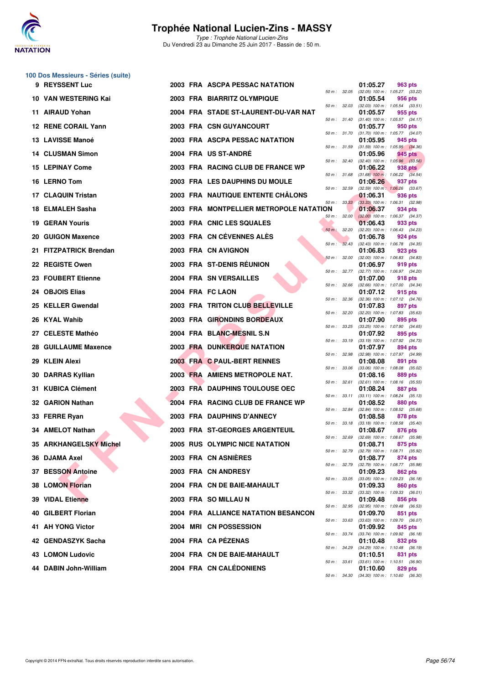

Type : Trophée National Lucien-Zins Du Vendredi 23 au Dimanche 25 Juin 2017 - Bassin de : 50 m.

|     | 100 Dos Messieurs - Séries (suite) |  |                                         |              |       |                                                                                                        |  |
|-----|------------------------------------|--|-----------------------------------------|--------------|-------|--------------------------------------------------------------------------------------------------------|--|
|     | 9 REYSSENT Luc                     |  | 2003 FRA ASCPA PESSAC NATATION          | 50 m: 32.05  |       | 01:05.27<br>963 pts<br>$(32.05)$ 100 m : 1:05.27 $(33.22)$                                             |  |
|     | 10 VAN WESTERING Kai               |  | 2003 FRA BIARRITZ OLYMPIQUE             | 50 m: 32.03  |       | 01:05.54<br>956 pts<br>$(32.03)$ 100 m : 1:05.54 $(33.51)$                                             |  |
|     | 11 AIRAUD Yohan                    |  | 2004 FRA STADE ST-LAURENT-DU-VAR NAT    |              |       | 01:05.57<br>955 pts                                                                                    |  |
|     | 12 RENE CORAIL Yann                |  | 2003 FRA CSN GUYANCOURT                 | 50 m: 31.40  |       | $(31.40)$ 100 m : 1:05.57 $(34.17)$<br>01:05.77<br>950 pts                                             |  |
|     | 13 LAVISSE Manoé                   |  | 2003 FRA ASCPA PESSAC NATATION          | 50 m : 31.70 |       | $(31.70)$ 100 m : 1:05.77 $(34.07)$<br>01:05.95<br>945 pts                                             |  |
|     | <b>14 CLUSMAN Simon</b>            |  | 2004 FRA US ST-ANDRE                    | 50 m: 31.59  |       | $(31.59)$ 100 m : 1:05.95 $(34.36)$<br>01:05.96<br>945 pts                                             |  |
|     | <b>15 LEPINAY Come</b>             |  | 2003 FRA RACING CLUB DE FRANCE WP       | 50 m: 32.40  |       | $(32.40)$ 100 m : 1:05.96 $(33.56)$<br>01:06.22<br>938 pts                                             |  |
|     | 16 LERNO Tom                       |  | 2003 FRA LES DAUPHINS DU MOULE          | 50 m : 31.68 |       | $(31.68)$ 100 m : 1:06.22 $(34.54)$<br>01:06.26<br>937 pts                                             |  |
|     | 17 CLAQUIN Tristan                 |  | 2003 FRA NAUTIQUE ENTENTE CHALONS       | 50 m: 32.59  |       | $(32.59)$ 100 m : 1:06.26 $(33.67)$<br>01:06.31<br>936 pts                                             |  |
|     | 18 ELMALEH Sasha                   |  | 2003 FRA MONTPELLIER METROPOLE NATATION | 50 m: 33.33  |       | $(33.33)$ 100 m : 1:06.31 $(32.98)$<br>01:06.37<br>934 pts                                             |  |
|     | <b>19 GERAN Youris</b>             |  | 2003 FRA CNIC LES SQUALES               | $50 m$ :     | 32.00 | $(32.00)$ 100 m : 1:06.37 $(34.37)$<br>01:06.43<br>933 pts                                             |  |
|     |                                    |  |                                         | $50 m$ :     | 32.20 | (32.20) 100 m: 1:06.43 (34.23)                                                                         |  |
| 20. | <b>GUIGON Maxence</b>              |  | 2003 FRA CN CÉVENNES ALÈS               | $50 m$ :     | 32.43 | 01:06.78<br>924 pts<br>$(32.43)$ 100 m : 1:06.78 $(34.35)$                                             |  |
| 21. | <b>FITZPATRICK Brendan</b>         |  | 2003 FRA CN AVIGNON                     |              |       | 01:06.83<br>923 pts                                                                                    |  |
|     | 22 REGISTE Owen                    |  | 2003 FRA ST-DENIS RÉUNION               | 50 m: 32.00  |       | $(32.00)$ 100 m : 1:06.83 $(34.83)$<br>01:06.97<br>919 pts                                             |  |
|     | 23 FOUBERT Etienne                 |  | 2004 FRA SN VERSAILLES                  | 50 m: 32.77  |       | (32.77) 100 m : 1:06.97 (34.20)<br>01:07.00<br>918 pts                                                 |  |
|     | 24 OBJOIS Elias                    |  | 2004 FRA FC LAON                        | 50 m: 32.66  |       | $(32.66)$ 100 m : 1:07.00 $(34.34)$<br>01:07.12<br>915 pts                                             |  |
|     |                                    |  |                                         | 50 m: 32.36  |       | (32.36) 100 m: 1:07.12 (34.76)                                                                         |  |
|     | 25 KELLER Gwendal                  |  | 2003 FRA TRITON CLUB BELLEVILLE         | 50 m: 32.20  |       | 01:07.83<br>897 pts<br>$(32.20)$ 100 m : 1:07.83 $(35.63)$                                             |  |
|     | 26 KYAL Wahib                      |  | 2003 FRA GIRONDINS BORDEAUX             | 50 m: 33.25  |       | 01:07.90<br>895 pts<br>$(33.25)$ 100 m : 1:07.90 $(34.65)$                                             |  |
| 27. | <b>CELESTE Mathéo</b>              |  | 2004 FRA BLANC-MESNIL S.N               |              |       | 01:07.92<br>895 pts                                                                                    |  |
|     | <b>28 GUILLAUME Maxence</b>        |  | 2003 FRA DUNKERQUE NATATION             | 50 m: 33.19  |       | $(33.19)$ 100 m : 1:07.92 $(34.73)$<br>01:07.97<br>894 pts                                             |  |
|     | 29 KLEIN Alexi                     |  | 2003 FRA C PAUL-BERT RENNES             | 50 m : 32.98 |       | (32.98) 100 m : 1:07.97 (34.99)<br>01:08.08<br>891 pts                                                 |  |
|     |                                    |  |                                         | 50 m: 33.06  |       | $(33.06)$ 100 m : 1:08.08 $(35.02)$                                                                    |  |
|     | 30 DARRAS Kyllian                  |  | 2003 FRA AMIENS METROPOLE NAT.          | 50 m :       | 32.61 | 01:08.16<br>889 pts<br>$(32.61)$ 100 m : 1:08.16 $(35.55)$                                             |  |
|     | 31 KUBICA Clément                  |  | 2003 FRA DAUPHINS TOULOUSE OEC          | 50 m: 33.11  |       | 01:08.24<br><b>887 pts</b><br>$(33.11)$ 100 m : 1:08.24 $(35.13)$                                      |  |
|     | 32 GARION Nathan                   |  | 2004 FRA RACING CLUB DE FRANCE WP       | 50 m: 32.84  |       | 01:08.52<br>880 pts<br>$(32.84)$ 100 m : 1:08.52 $(35.68)$                                             |  |
|     | 33 FERRE Ryan                      |  | <b>2003 FRA DAUPHINS D'ANNECY</b>       | 50 m: 33.18  |       | 01:08.58<br>878 pts<br>$(33.18)$ 100 m : 1:08.58 $(35.40)$                                             |  |
|     | 34 AMELOT Nathan                   |  | <b>2003 FRA ST-GEORGES ARGENTEUIL</b>   |              |       | 01:08.67<br>876 pts                                                                                    |  |
|     | <b>35 ARKHANGELSKY Michel</b>      |  | <b>2005 RUS OLYMPIC NICE NATATION</b>   | 50 m : 32.79 |       | 50 m : 32.69 (32.69) 100 m : 1:08.67 (35.98)<br>01:08.71<br>875 pts<br>(32.79) 100 m : 1:08.71 (35.92) |  |
|     | 36 DJAMA Axel                      |  | 2003 FRA CN ASNIÈRES                    |              |       | 01:08.77<br>874 pts                                                                                    |  |
|     | 37 BESSON Antoine                  |  | 2003 FRA CN ANDRESY                     | 50 m : 32.79 |       | (32.79) 100 m : 1:08.77 (35.98)<br>01:09.23<br>862 pts                                                 |  |
|     | 38 LOMON Florian                   |  | 2004 FRA CN DE BAIE-MAHAULT             | 50 m : 33.05 |       | $(33.05)$ 100 m : 1:09.23 $(36.18)$<br>01:09.33<br>860 pts                                             |  |
|     | <b>39 VIDAL Etienne</b>            |  | 2003 FRA SO MILLAU N                    | 50 m : 33.32 |       | $(33.32)$ 100 m : 1:09.33 $(36.01)$<br>01:09.48<br>856 pts                                             |  |

| 31 KUBICA Clément             |  | 2003 FRA DAUPHINS TOULOUSE OEC      |                  | 01:08.24                                                |         | 887 pts |
|-------------------------------|--|-------------------------------------|------------------|---------------------------------------------------------|---------|---------|
| 32 GARION Nathan              |  | 2004 FRA RACING CLUB DE FRANCE WP   | 50 m: 33.11      | $(33.11)$ 100 m : 1:08.24 $(35.13)$<br>01:08.52         |         | 880 pts |
| 33 FERRE Ryan                 |  | <b>2003 FRA DAUPHINS D'ANNECY</b>   |                  | 50 m: 32.84 (32.84) 100 m: 1:08.52 (35.68)<br>01:08.58  |         | 878 pts |
|                               |  |                                     | 50 m : 33.18     | $(33.18)$ 100 m : 1:08.58 $(35.40)$                     |         |         |
| 34 AMELOT Nathan              |  | 2003 FRA ST-GEORGES ARGENTEUIL      |                  | 01:08.67                                                | 876 pts |         |
| <b>35 ARKHANGELSKY Michel</b> |  | 2005 RUS OLYMPIC NICE NATATION      | 50 m: 32.69      | $(32.69)$ 100 m : 1:08.67 $(35.98)$<br>01:08.71         | 875 pts |         |
|                               |  |                                     | 50 m: 32.79      | $(32.79)$ 100 m : 1:08.71 $(35.92)$                     |         |         |
| 36 DJAMA Axel                 |  | 2003 FRA CN ASNIÈRES                |                  | 01:08.77                                                |         | 874 pts |
| 37 BESSON Antoine             |  | 2003 FRA CN ANDRESY                 | $50 m$ : $32.79$ | $(32.79)$ 100 m : 1:08.77 $(35.98)$<br>01:09.23 862 pts |         |         |
|                               |  |                                     | 50 m : 33.05     | $(33.05)$ 100 m : 1:09.23 $(36.18)$                     |         |         |
| 38 LOMON Florian              |  | 2004 FRA CN DE BAIE-MAHAULT         |                  | 01:09.33                                                |         | 860 pts |
|                               |  |                                     |                  | 50 m: 33.32 (33.32) 100 m: 1:09.33 (36.01)              |         |         |
| <b>39 VIDAL Etienne</b>       |  | 2003 FRA SO MILLAU N                |                  | 01:09.48                                                | 856 pts |         |
|                               |  |                                     |                  | 50 m: 32.95 (32.95) 100 m: 1:09.48 (36.53)              |         |         |
| 40 GILBERT Florian            |  | 2004 FRA ALLIANCE NATATION BESANCON |                  | 01:09.70                                                |         | 851 pts |
|                               |  |                                     | 50 m: 33.63      | $(33.63)$ 100 m : 1:09.70 $(36.07)$                     |         |         |
| 41 AH YONG Victor             |  | 2004 MRI CN POSSESSION              |                  | 01:09.92                                                |         | 845 pts |
|                               |  |                                     | $50 m$ : $33.74$ | $(33.74)$ 100 m : 1:09.92 $(36.18)$                     |         |         |
| 42 GENDASZYK Sacha            |  | 2004 FRA CA PÉZENAS                 |                  | 01:10.48                                                | 832 pts |         |
|                               |  |                                     | 50 m: 34.29      | $(34.29)$ 100 m : 1:10.48 $(36.19)$                     |         |         |
| <b>43 LOMON Ludovic</b>       |  | 2004 FRA CN DE BAIE-MAHAULT         |                  | 01:10.51                                                |         | 831 pts |
| 44 DABIN John-William         |  | 2004 FRA CN CALÉDONIENS             | $50 m$ : $33.61$ | $(33.61)$ 100 m : 1:10.51 $(36.90)$                     |         |         |
|                               |  |                                     |                  | 01:10.60                                                |         | 829 pts |

50 m : 34.30 (34.30) 100 m : 1:10.60 (36.30)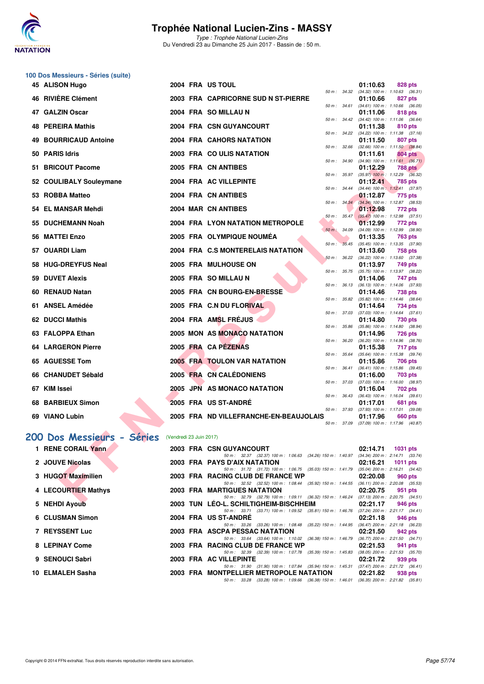

Type : Trophée National Lucien-Zins Du Vendredi 23 au Dimanche 25 Juin 2017 - Bassin de : 50 m.

# **100 Dos Messieurs - Séries (suite)**

| 45 ALISON Hugo             |                         | 2004 FRA US TOUL                                                                                                                       |                          |       | 01:10.63                                        | 828 pts         |         |
|----------------------------|-------------------------|----------------------------------------------------------------------------------------------------------------------------------------|--------------------------|-------|-------------------------------------------------|-----------------|---------|
|                            |                         |                                                                                                                                        |                          |       | 50 m: 34.32 (34.32) 100 m: 1:10.63 (36.31)      |                 |         |
| 46 RIVIÈRE Clément         |                         | 2003 FRA CAPRICORNE SUD N ST-PIERRE                                                                                                    |                          |       | 01:10.66                                        | 827 pts         |         |
| 47 GALZIN Oscar            |                         | 2004 FRA SO MILLAU N                                                                                                                   | 50 m : 34.61             |       | $(34.61)$ 100 m : 1:10.66 $(36.05)$<br>01:11.06 | 818 pts         |         |
|                            |                         |                                                                                                                                        |                          |       | 50 m : 34.42 (34.42) 100 m : 1:11.06 (36.64)    |                 |         |
| 48 PEREIRA Mathis          |                         | 2004 FRA CSN GUYANCOURT                                                                                                                | 50 m : 34.22             |       | 01:11.38<br>$(34.22)$ 100 m : 1:11.38 $(37.16)$ | 810 pts         |         |
| 49 BOURRICAUD Antoine      |                         | 2004 FRA CAHORS NATATION                                                                                                               |                          |       | 01:11.50                                        | 807 pts         |         |
|                            |                         |                                                                                                                                        | 50 m: 32.66              |       | $(32.66)$ 100 m : 1:11.50 $(38.84)$             |                 |         |
| 50 PARIS Idris             |                         | 2003 FRA COULIS NATATION                                                                                                               | 50 m : 34.90             |       | 01:11.61<br>$(34.90)$ 100 m : 1:11.61 $(36.71)$ | <b>804 pts</b>  |         |
| 51 BRICOUT Pacome          |                         | 2005 FRA CN ANTIBES                                                                                                                    |                          |       | 01:12.29                                        | <b>788 pts</b>  |         |
| 52 COULIBALY Souleymane    |                         | 2004 FRA AC VILLEPINTE                                                                                                                 | 50 m: 35.97              |       | $(35.97)$ 100 m : 1:12.29 $(36.32)$<br>01:12.41 | 785 pts         |         |
|                            |                         |                                                                                                                                        |                          |       | 50 m: 34.44 (34.44) 100 m: 1:12.41 (37.97)      |                 |         |
| 53 ROBBA Matteo            |                         | 2004 FRA CN ANTIBES                                                                                                                    |                          |       | 01:12.87                                        | 775 pts         |         |
| 54 EL MANSAR Mehdi         |                         | 2004 MAR CN ANTIBES                                                                                                                    | 50 m: 34.34              |       | (34.34) 100 m : 1:12.87 (38.53)<br>01:12.98     | 772 pts         |         |
|                            |                         |                                                                                                                                        | $50 m$ : $35.47$         |       | $(35.47)$ 100 m : 1:12.98 $(37.51)$             |                 |         |
| 55 DUCHEMANN Noah          |                         | <b>2004 FRA LYON NATATION METROPOLE</b>                                                                                                | 50 m : 34.09             |       | 01:12.99<br>(34.09) 100 m: 1:12.99 (38.90)      | 772 pts         |         |
| 56 MATTEI Enzo             |                         | 2005 FRA OLYMPIQUE NOUMÉA                                                                                                              |                          |       | 01:13.35                                        | 763 pts         |         |
|                            |                         |                                                                                                                                        | $50 m$ :                 | 35.45 | $(35.45)$ 100 m : 1:13.35 $(37.90)$             |                 |         |
| 57 OUARDI Liam             |                         | 2004 FRA C.S MONTERELAIS NATATION                                                                                                      | 50 m: 36.22              |       | 01:13.60<br>$(36.22)$ 100 m : 1:13.60 $(37.38)$ | 758 pts         |         |
| 58 HUG-DREYFUS Neal        |                         | 2005 FRA MULHOUSE ON                                                                                                                   |                          |       | 01:13.97                                        | 749 pts         |         |
| 59 DUVET Alexis            |                         | 2005 FRA SO MILLAU N                                                                                                                   | 50 m : 35.75             |       | $(35.75)$ 100 m : 1:13.97 $(38.22)$<br>01:14.06 | 747 pts         |         |
|                            |                         |                                                                                                                                        | 50 m : 36.13             |       | (36.13) 100 m: 1:14.06 (37.93)                  |                 |         |
| 60 RENAUD Natan            |                         | 2005 FRA CN BOURG-EN-BRESSE                                                                                                            |                          |       | 01:14.46                                        | <b>738 pts</b>  |         |
| 61 ANSEL Amédée            |                         | 2005 FRA C.N DU FLORIVAL                                                                                                               | 50 m : 35.82             |       | (35.82) 100 m: 1:14.46 (38.64)<br>01:14.64      | 734 pts         |         |
|                            |                         |                                                                                                                                        | 50 m : 37.03             |       | $(37.03)$ 100 m : 1:14.64 $(37.61)$             |                 |         |
| <b>62 DUCCI Mathis</b>     |                         | 2004 FRA AMSL FREJUS                                                                                                                   | 50 m : 35.86             |       | 01:14.80<br>$(35.86)$ 100 m : 1:14.80 $(38.94)$ | 730 pts         |         |
| 63 FALOPPA Ethan           |                         | 2005 MON AS MONACO NATATION                                                                                                            |                          |       | 01:14.96                                        | <b>726 pts</b>  |         |
|                            |                         |                                                                                                                                        | 50 m : 36.20             |       | $(36.20)$ 100 m : 1:14.96 $(38.76)$             |                 |         |
| <b>64 LARGERON Pierre</b>  |                         | 2005 FRA CA PEZENAS                                                                                                                    | 50 m : 35.64             |       | 01:15.38<br>$(35.64)$ 100 m : 1:15.38 $(39.74)$ | 717 pts         |         |
| 65 AGUESSE Tom             |                         | 2005 FRA TOULON VAR NATATION                                                                                                           |                          |       | 01:15.86                                        | 706 pts         |         |
| 66 CHANUDET Sébald         |                         | 2005 FRA CN CALEDONIENS                                                                                                                | $50 \text{ m}$ : $36.41$ |       | $(36.41)$ 100 m : 1:15.86 $(39.45)$<br>01:16.00 | 703 pts         |         |
|                            |                         |                                                                                                                                        | 50 m: 37.03              |       | $(37.03)$ 100 m : 1:16.00 $(38.97)$             |                 |         |
| 67 KIM Issei               |                         | 2005 JPN AS MONACO NATATION                                                                                                            | 50 m: 36.43              |       | 01:16.04                                        | 702 pts         |         |
| <b>68 BARBIEUX Simon</b>   |                         | 2005 FRA US ST-ANDRE                                                                                                                   |                          |       | $(36.43)$ 100 m : 1:16.04 $(39.61)$<br>01:17.01 | 681 pts         |         |
|                            |                         |                                                                                                                                        | 50 m : 37.93             |       | $(37.93)$ 100 m : 1:17.01 $(39.08)$             |                 |         |
| 69 VIANO Lubin             |                         | 2005 FRA ND VILLEFRANCHE-EN-BEAUJOLAIS                                                                                                 | 50 m : 37.09             |       | 01:17.96<br>$(37.09)$ 100 m : 1:17.96 $(40.87)$ | 660 pts         |         |
|                            |                         |                                                                                                                                        |                          |       |                                                 |                 |         |
| 200 Dos Messieurs - Séries | (Vendredi 23 Juin 2017) |                                                                                                                                        |                          |       |                                                 |                 |         |
| 1 RENE CORAIL Yann         |                         | 2003 FRA CSN GUYANCOURT                                                                                                                |                          |       | 02:14.71                                        | <b>1031 pts</b> |         |
| 2 JOUVE Nicolas            |                         | 50 m: 32.37 (32.37) 100 m: 1:06.63 (34.26) 150 m: 1:40.97<br>2003 FRA PAYS D'AIX NATATION                                              |                          |       | $(34.34)$ 200 m : 2:14.71 $(33.74)$<br>02:16.21 | 1011 pts        |         |
|                            |                         | 50 m: 31.72 (31.72) 100 m: 1:06.75 (35.03) 150 m: 1:41.79                                                                              |                          |       | (35.04) 200 m : 2:16.21                         |                 | (34.42) |
| 3 HUGOT Maximilien         |                         | 2003 FRA RACING CLUB DE FRANCE WP                                                                                                      |                          |       | 02:20.08                                        | 960 pts         |         |
| 4 LECOURTIER Mathys        |                         | 50 m: 32.52 (32.52) 100 m: 1:08.44 (35.92) 150 m: 1:44.55 (36.11) 200 m: 2:20.08 (35.53)<br>2003 FRA MARTIGUES NATATION                |                          |       | 02:20.75                                        | 951 pts         |         |
| <b>C. MITLINI Avail</b>    |                         | 50 m: 32.79 (32.79) 100 m: 1:09.11 (36.32) 150 m: 1:46.24 (37.13) 200 m: 2:20.75 (34.51)<br>$0.000$ TIME LÉO L. COULTIOUTIM DICOULITIM |                          |       | 00.04.47                                        |                 |         |
|                            |                         |                                                                                                                                        |                          |       |                                                 |                 |         |

|                       |  | $(34.34)$ 200 m : 2:14.71 $(33.74)$<br>50 m : 32.37 (32.37) 100 m : 1:06.63 (34.26) 150 m : 1:40.97              |  |
|-----------------------|--|------------------------------------------------------------------------------------------------------------------|--|
| 2 JOUVE Nicolas       |  | 2003 FRA PAYS D'AIX NATATION<br>02:16.21<br>1011 pts                                                             |  |
|                       |  | (35.04) 200 m : 2:16.21 (34.42)<br>50 m: 31.72 (31.72) 100 m: 1:06.75 (35.03) 150 m: 1:41.79                     |  |
| 3 HUGOT Maximilien    |  | 2003 FRA RACING CLUB DE FRANCE WP<br>02:20.08<br>960 pts                                                         |  |
|                       |  | $(36.11)$ 200 m : 2:20.08 $(35.53)$<br>50 m: 32.52 (32.52) 100 m: 1:08.44 (35.92) 150 m: 1:44.55                 |  |
| 4 LECOURTIER Mathys   |  | <b>2003 FRA MARTIGUES NATATION</b><br>02:20.75<br>951 pts                                                        |  |
|                       |  | (37.13) 200 m : 2:20.75 (34.51)<br>50 m: 32.79 (32.79) 100 m: 1:09.11 (36.32) 150 m: 1:46.24                     |  |
| 5 NEHDI Ayoub         |  | 2003 TUN LEO-L. SCHILTIGHEIM-BISCHHEIM<br>02:21.17<br>946 pts                                                    |  |
|                       |  | $(37.24)$ 200 m : 2:21.17 $(34.41)$<br>50 m: 33.71 (33.71) 100 m: 1:09.52 (35.81) 150 m: 1:46.76                 |  |
| 6 CLUSMAN Simon       |  | 2004 FRA US ST-ANDRE<br>02:21.18<br>946 pts                                                                      |  |
|                       |  | (36.47) 200 m : 2:21.18 (36.23<br>50 m: 33.26 (33.26) 100 m: 1:08.48 (35.22) 150 m: 1:44.95                      |  |
| <b>7 REYSSENT Luc</b> |  | 2003 FRA ASCPA PESSAC NATATION<br>02:21.50<br>942 pts                                                            |  |
|                       |  | $(36.77)$ 200 m : 2:21.50 $(34.71)$<br>50 m: 33.64 (33.64) 100 m: 1:10.02 (36.38) 150 m: 1:46.79                 |  |
| 8 LEPINAY Come        |  | 2003 FRA RACING CLUB DE FRANCE WP<br>02:21.53<br>941 pts                                                         |  |
|                       |  | $(38.05)$ 200 m : 2:21.53 $(35.70)$<br>50 m: 32.39 (32.39) 100 m: 1:07.78 (35.39) 150 m: 1:45.83                 |  |
| 9 SENOUCI Sabri       |  | 2003 FRA AC VILLEPINTE<br>02:21.72<br>939 pts                                                                    |  |
|                       |  | (37.47) 200 m : 2:21.72 (36.41)<br>50 m: 31.90 (31.90) 100 m: 1:07.84 (35.94) 150 m: 1:45.31                     |  |
| 10 ELMALEH Sasha      |  | 2003 FRA MONTPELLIER METROPOLE NATATION<br>02:21.82<br>938 pts                                                   |  |
|                       |  | (36.35) 200 m : 2:21.82 (35.81)<br>$(33.28)$ 100 m : 1:09.66 $(36.38)$ 150 m : 1:46.01<br>$50 \text{ m}$ : 33.28 |  |
|                       |  |                                                                                                                  |  |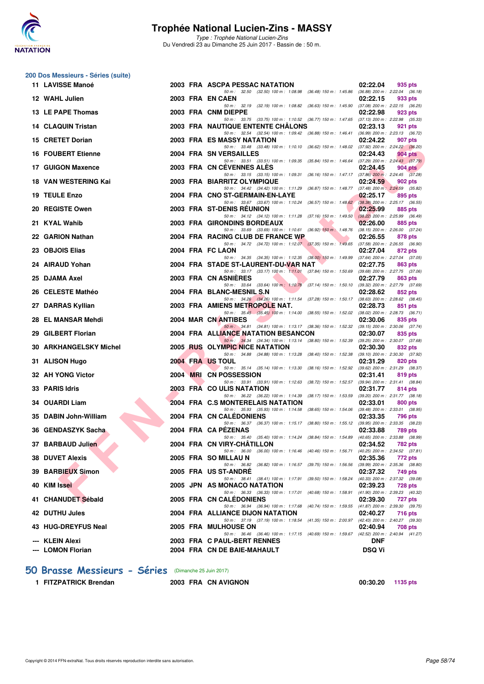

Type : Trophée National Lucien-Zins Du Vendredi 23 au Dimanche 25 Juin 2017 - Bassin de : 50 m.

|     | 200 Dos Messieurs - Séries (suite) |  |                                                                                                                                      |               |                                                |
|-----|------------------------------------|--|--------------------------------------------------------------------------------------------------------------------------------------|---------------|------------------------------------------------|
|     | 11 LAVISSE Manoé                   |  | 2003 FRA ASCPA PESSAC NATATION                                                                                                       | 02:22.04      | 935 pts                                        |
|     | 12 WAHL Julien                     |  | 50 m: 32.50 (32.50) 100 m: 1:08.98 (36.48) 150 m: 1:45.86 (36.88) 200 m: 2:22.04 (36.18)<br>2003 FRA EN CAEN                         | 02:22.15      | 933 pts                                        |
|     | 13 LE PAPE Thomas                  |  | 50 m : 32.19 (32.19) 100 m : 1:08.82 (36.63) 150 m : 1:45.90<br>2003 FRA CNM DIEPPE                                                  | 02:22.98      | $(37.08)$ 200 m : 2:22.15 $(36.25)$<br>923 pts |
|     | 14 CLAQUIN Tristan                 |  | 50 m: 33.75 (33.75) 100 m: 1:10.52 (36.77) 150 m: 1:47.65 (37.13) 200 m: 2:22.98 (35.33)<br><b>2003 FRA NAUTIQUE ENTENTE CHALONS</b> | 02:23.13      | 921 pts                                        |
|     | 15 CRETET Dorian                   |  | 50 m: 32.54 (32.54) 100 m: 1:09.42 (36.88) 150 m: 1:46.41<br>2003 FRA ES MASSY NATATION                                              | 02:24.22      | (36.99) 200 m : 2:23.13 (36.72)<br>907 pts     |
|     | <b>16 FOUBERT Etienne</b>          |  | 50 m: 33.48 (33.48) 100 m: 1:10.10 (36.62) 150 m: 1:48.02 (37.92) 200 m: 2:24.22 (36.20)<br>2004 FRA SN VERSAILLES                   | 02:24.43      | 904 pts                                        |
|     | 17 GUIGON Maxence                  |  | 50 m: 33.51 (33.51) 100 m: 1:09.35 (35.84) 150 m: 1:46.64<br>2003 FRA CN CEVENNES ALES                                               | 02:24.45      | $(37.29)$ 200 m : 2:24.43 $(37.79)$<br>904 pts |
|     | 18 VAN WESTERING Kai               |  | 50 m: 33.15 (33.15) 100 m: 1:09.31 (36.16) 150 m: 1:47.17 (37.86) 200 m: 2:24.45 (37.28)<br>2003 FRA BIARRITZ OLYMPIQUE              | 02:24.59      | 902 pts                                        |
|     | 19 TEULE Enzo                      |  | 50 m: 34.42 (34.42) 100 m: 1:11.29 (36.87) 150 m: 1:48.77 (37.48) 200 m: 2:24.59 (35.82)<br>2004 FRA CNO ST-GERMAIN-EN-LAYE          | 02:25.17      | 895 pts                                        |
|     |                                    |  | 50 m: 33.67 (33.67) 100 m: 1:10.24 (36.57) 150 m: 1:48.62                                                                            |               | (38.38) 200 m : 2:25.17 (36.55)                |
|     | 20 REGISTE Owen                    |  | 2003 FRA ST-DENIS REUNION<br>50 m: 34.12 (34.12) 100 m: 1:11.28 (37.16) 150 m: 1:49.50                                               | 02:25.99      | 885 pts<br>$(38.22)$ 200 m : 2:25.99 $(36.49)$ |
|     | 21 KYAL Wahib                      |  | 2003 FRA GIRONDINS BORDEAUX<br>50 m : 33.69 (33.69) 100 m : 1:10.61 (36.92) 150 m : 1:48.76                                          | 02:26.00      | 885 pts<br>$(38.15)$ 200 m : 2:26.00 $(37.24)$ |
|     | 22 GARION Nathan                   |  | 2004 FRA RACING CLUB DE FRANCE WP<br>50 m: 34.72 (34.72) 100 m: 1:12.07 (37.35) 150 m: 1:49.65 (37.58) 200 m: 2:26.55 (36.90)        | 02:26.55      | 878 pts                                        |
|     | 23 OBJOIS Elias                    |  | 2004 FRA FC LAON                                                                                                                     | 02:27.04      | 872 pts                                        |
|     | 24 AIRAUD Yohan                    |  | 50 m: 34.35 (34.35) 100 m: 1:12.35 (38.00) 150 m: 1:49.99<br>2004 FRA STADE ST-LAURENT-DU-VAR NAT                                    | 02:27.75      | $(37.64)$ 200 m : 2:27.04 $(37.05)$<br>863 pts |
|     | 25 DJAMA Axel                      |  | 50 m: 33.17 (33.17) 100 m: 1:11.01 (37.84) 150 m: 1:50.69<br>2003 FRA CN ASNIERES                                                    | 02:27.79      | $(39.68)$ 200 m : 2:27.75 $(37.06)$<br>863 pts |
|     | 26 CELESTE Mathéo                  |  | 50 m: 33.64 (33.64) 100 m: 1:10.78 (37.14) 150 m: 1:50.10<br>2004 FRA BLANC-MESNIL S.N                                               | 02:28.62      | (39.32) 200 m : 2:27.79 (37.69)<br>852 pts     |
|     | 27 DARRAS Kyllian                  |  | 50 m: 34.26 (34.26) 100 m: 1:11.54 (37.28) 150 m: 1:50.17<br>2003 FRA AMIENS METROPOLE NAT.                                          | 02:28.73      | $(38.63)$ 200 m : 2:28.62 $(38.45)$<br>851 pts |
|     | <b>28 EL MANSAR Mehdi</b>          |  | 50 m : 35.45 (35.45) 100 m : 1:14.00 (38.55) 150 m : 1:52.02<br>2004 MAR CN ANTIBES                                                  | 02:30.06      | $(38.02)$ 200 m : 2:28.73 $(36.71)$<br>835 pts |
| 29. | <b>GILBERT Florian</b>             |  | 50 m: 34.81 (34.81) 100 m: 1:13.17 (38.36) 150 m: 1:52.32 (39.15) 200 m: 2:30.06 (37.74)<br>2004 FRA ALLIANCE NATATION BESANCON      | 02:30.07      | 835 pts                                        |
|     |                                    |  | 50 m : 34.34 (34.34) 100 m : 1:13.14 (38.80) 150 m : 1:52.39                                                                         |               | (39.25) 200 m : 2:30.07 (37.68)                |
|     | <b>30 ARKHANGELSKY Michel</b>      |  | <b>2005 RUS OLYMPIC NICE NATATION</b><br>50 m: 34.88 (34.88) 100 m: 1:13.28 (38.40) 150 m: 1:52.38                                   | 02:30.30      | 832 pts<br>$(39.10)$ 200 m : 2:30.30 $(37.92)$ |
|     | 31 ALISON Hugo                     |  | 2004 FRA US TOUL<br>50 m: 35.14 (35.14) 100 m: 1:13.30 (38.16) 150 m: 1:52.92                                                        | 02:31.29      | 820 pts<br>(39.62) 200 m : 2:31.29 (38.37)     |
|     | 32 AH YONG Victor                  |  | 2004 MRI CN POSSESSION<br>50 m: 33.91 (33.91) 100 m: 1:12.63 (38.72) 150 m: 1:52.57                                                  | 02:31.41      | 819 pts<br>(39.94) 200 m : 2:31.41 (38.84)     |
|     | 33 PARIS Idris                     |  | 2003 FRA COULIS NATATION<br>50 m: 36.22 (36.22) 100 m: 1:14.39 (38.17) 150 m: 1:53.59                                                | 02:31.77      | 814 pts<br>(39.20) 200 m : 2:31.77 (38.18)     |
|     | 34 OUARDI Liam                     |  | 2004 FRA C.S MONTERELAIS NATATION                                                                                                    | 02:33.01      | 800 pts                                        |
|     | 35 DABIN John-William              |  | 50 m: 35.93 (35.93) 100 m: 1:14.58 (38.65) 150 m: 1:54.06 (39.48) 200 m: 2:33.01 (38.95)<br>2004 FRA CN CALEDONIENS                  | 02:33.35      | 796 pts                                        |
|     | 36 GENDASZYK Sacha                 |  | 50 m: 36.37 (36.37) 100 m: 1:15.17 (38.80) 150 m: 1:55.12<br>2004 FRA CA PEZENAS                                                     | 02:33.88      | (39.95) 200 m : 2:33.35 (38.23)<br>789 pts     |
|     | 37 BARBAUD Julien                  |  | 50 m: 35.40 (35.40) 100 m: 1:14.24 (38.84) 150 m: 1:54.89<br>2004 FRA CN VIRY-CHATILLON                                              | 02:34.52      | (40.65) 200 m : 2:33.88 (38.99)<br>782 pts     |
|     | <b>38 DUVET Alexis</b>             |  | 50 m: 36.00 (36.00) 100 m: 1:16.46 (40.46) 150 m: 1:56.71 (40.25) 200 m: 2:34.52 (37.81)<br>2005 FRA SO MILLAU N                     | 02:35.36      | 772 pts                                        |
|     | 39 BARBIEUX Simon                  |  | 50 m: 36.82 (36.82) 100 m: 1:16.57 (39.75) 150 m: 1:56.56<br>2005 FRA US ST-ANDRE                                                    | 02:37.32      | $(39.99)$ 200 m : 2:35.36 $(38.80)$<br>749 pts |
|     | 40 KIM Issei                       |  | 50 m: 38.41 (38.41) 100 m: 1:17.91 (39.50) 150 m: 1:58.24<br>2005 JPN AS MONACO NATATION                                             | 02:39.23      | (40.33) 200 m : 2:37.32 (39.08)                |
|     |                                    |  | 50 m: 36.33 (36.33) 100 m: 1:17.01 (40.68) 150 m: 1:58.91                                                                            |               | 728 pts<br>(41.90) 200 m : 2:39.23 (40.32)     |
|     | 41 CHANUDET Sébald                 |  | 2005 FRA CN CALEDONIENS<br>50 m: 36.94 (36.94) 100 m: 1:17.68 (40.74) 150 m: 1:59.55 (41.87) 200 m: 2:39.30 (39.75)                  | 02:39.30      | 727 pts                                        |
|     | 42 DUTHU Jules                     |  | 2004 FRA ALLIANCE DIJON NATATION<br>50 m: 37.19 (37.19) 100 m: 1:18.54 (41.35) 150 m: 2:00.97 (42.43) 200 m: 2:40.27 (39.30)         | 02:40.27      | <b>716 pts</b>                                 |
|     | 43 HUG-DREYFUS Neal                |  | 2005 FRA MULHOUSE ON<br>50 m: 36.46 (36.46) 100 m: 1:17.15 (40.69) 150 m: 1:59.67 (42.52) 200 m: 2:40.94 (41.27)                     | 02:40.94      | 708 pts                                        |
|     | --- KLEIN Alexi                    |  | 2003 FRA C PAUL-BERT RENNES                                                                                                          | DNF           |                                                |
|     | --- LOMON Florian                  |  | 2004 FRA CN DE BAIE-MAHAULT                                                                                                          | <b>DSQ Vi</b> |                                                |

**[50 Brasse Messieurs - Séries](http://www.ffnatation.fr/webffn/resultats.php?idact=nat&go=epr&idcpt=47287&idepr=71)** (Dimanche 25 Juin 2017)

**1 FITZPATRICK Brendan 2003 FRA CN AVIGNON 00:30.20 1135 pts**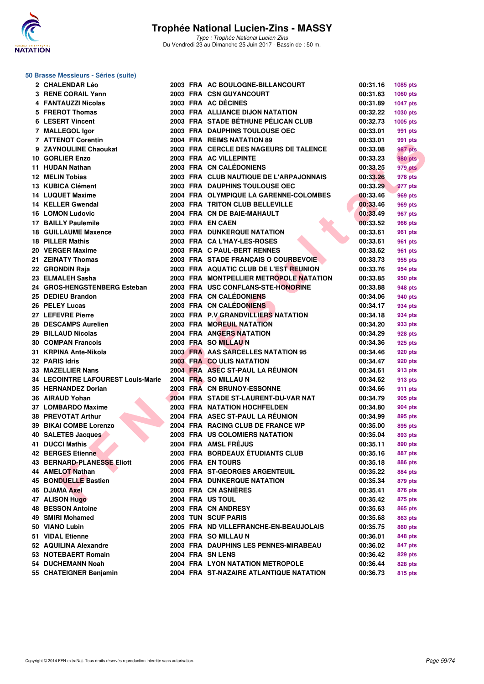

Type : Trophée National Lucien-Zins Du Vendredi 23 au Dimanche 25 Juin 2017 - Bassin de : 50 m.

#### **50 Brasse Messieurs - Séries (suite)**

| 2 CHALENDAR Léo                           |  | 2003 FRA AC BOULOGNE-BILLANCOURT                               | 00:31.16             | 1085 pts           |
|-------------------------------------------|--|----------------------------------------------------------------|----------------------|--------------------|
| 3 RENE CORAIL Yann                        |  | 2003 FRA CSN GUYANCOURT                                        | 00:31.63             | 1060 pts           |
| 4 FANTAUZZI Nicolas                       |  | 2003 FRA AC DÉCINES                                            | 00:31.89             | <b>1047 pts</b>    |
| 5 FREROT Thomas                           |  | 2003 FRA ALLIANCE DIJON NATATION                               | 00:32.22             | 1030 pts           |
| 6 LESERT Vincent                          |  | 2003 FRA STADE BÉTHUNE PÉLICAN CLUB                            | 00:32.73             | 1005 pts           |
| 7 MALLEGOL Igor                           |  | <b>2003 FRA DAUPHINS TOULOUSE OEC</b>                          | 00:33.01             | 991 pts            |
| 7 ATTENOT Corentin                        |  | 2004 FRA REIMS NATATION 89                                     | 00:33.01             | 991 pts            |
| 9 ZAYNOULINE Chaoukat                     |  | 2003 FRA CERCLE DES NAGEURS DE TALENCE                         | 00:33.08             | 987 pts            |
| 10 GORLIER Enzo                           |  | 2003 FRA AC VILLEPINTE                                         | 00:33.23             | <b>980 pts</b>     |
| 11 HUDAN Nathan                           |  | 2003 FRA CN CALÉDONIENS                                        | 00:33.25             | 979 pts            |
| 12 MELIN Tobias                           |  | 2003 FRA CLUB NAUTIQUE DE L'ARPAJONNAIS                        | 00:33.26             | 978 pts            |
| 13 KUBICA Clément                         |  | 2003 FRA DAUPHINS TOULOUSE OEC                                 | 00:33.29             | 977 pts            |
| <b>14 LUQUET Maxime</b>                   |  | 2004 FRA OLYMPIQUE LA GARENNE-COLOMBES                         | 00:33.46             | 969 pts            |
| 14 KELLER Gwendal                         |  | 2003 FRA TRITON CLUB BELLEVILLE                                | 00:33.46             | 969 pts            |
| <b>16 LOMON Ludovic</b>                   |  | 2004 FRA CN DE BAIE-MAHAULT                                    | 00:33.49             | 967 pts            |
| <b>17 BAILLY Paulemile</b>                |  | 2003 FRA EN CAEN                                               | 00:33.52             | <b>966 pts</b>     |
| <b>18 GUILLAUME Maxence</b>               |  | 2003 FRA DUNKERQUE NATATION                                    | 00:33.61             | 961 pts            |
| <b>18 PILLER Mathis</b>                   |  | 2003 FRA CA L'HAY-LES-ROSES                                    | 00:33.61             | <b>961 pts</b>     |
| 20 VERGER Maxime                          |  | 2003 FRA C PAUL-BERT RENNES                                    | 00:33.62             | 961 pts            |
| 21 ZEINATY Thomas                         |  | 2003 FRA STADE FRANÇAIS O COURBEVOIE                           | 00:33.73             | 955 pts            |
| 22 GRONDIN Raja                           |  | 2003 FRA AQUATIC CLUB DE L'EST REUNION                         | 00:33.76             | 954 pts            |
| 23 ELMALEH Sasha                          |  | 2003 FRA MONTPELLIER METROPOLE NATATION                        | 00:33.85             | 950 pts            |
| 24 GROS-HENGSTENBERG Esteban              |  | 2003 FRA USC CONFLANS-STE-HONORINE                             | 00:33.88             | 948 pts            |
| 25 DEDIEU Brandon                         |  | 2003 FRA CN CALÉDONIENS                                        | 00:34.06             | 940 pts            |
| 26 PELEY Lucas                            |  | 2003 FRA CN CALÉDONIENS                                        | 00:34.17             | 934 pts            |
| 27 LEFEVRE Pierre                         |  | 2003 FRA P.V GRANDVILLIERS NATATION                            | 00:34.18             | 934 pts            |
| 28 DESCAMPS Aurelien                      |  | <b>2003 FRA MOREUIL NATATION</b>                               | 00:34.20             | 933 pts            |
| 29 BILLAUD Nicolas                        |  | 2004 FRA ANGERS NATATION                                       | 00:34.29             | 928 pts            |
| <b>30 COMPAN Francois</b>                 |  | 2003 FRA SO MILLAU N                                           | 00:34.36             | 925 pts            |
| 31 KRPINA Ante-Nikola                     |  | 2003 FRA AAS SARCELLES NATATION 95                             | 00:34.46             | 920 pts            |
| 32 PARIS Idris                            |  | 2003 FRA CO ULIS NATATION                                      | 00:34.47             | <b>920 pts</b>     |
| 33 MAZELLIER Nans                         |  | 2004 FRA ASEC ST-PAUL LA RÉUNION                               | 00:34.61             | 913 pts            |
| <b>34 LECOINTRE LAFOUREST Louis-Marie</b> |  | 2004 FRA SO MILLAU N                                           | 00:34.62             | 913 pts            |
| 35 HERNANDEZ Dorian                       |  | 2003 FRA CN BRUNOY-ESSONNE                                     | 00:34.66             | 911 pts            |
| 36 AIRAUD Yohan                           |  | 2004 FRA STADE ST-LAURENT-DU-VAR NAT                           | 00:34.79             | 905 pts            |
| 37 LOMBARDO Maxime                        |  | <b>2003 FRA NATATION HOCHFELDEN</b>                            | 00:34.80             | 904 pts            |
| 38 PREVOTAT Arthur                        |  | 2004 FRA ASEC ST-PAUL LA RÉUNION                               | 00:34.99             | 895 pts            |
| 39 BIKAI COMBE Lorenzo                    |  | 2004 FRA RACING CLUB DE FRANCE WP                              | 00:35.00             | 895 pts            |
| 40 SALETES Jacques                        |  | 2003 FRA US COLOMIERS NATATION                                 | 00:35.04             | 893 pts            |
| 41 DUCCI Mathis                           |  | 2004 FRA AMSL FRÉJUS                                           | 00:35.11             | 890 pts            |
| <b>42 BERGES Etienne</b>                  |  | 2003 FRA BORDEAUX ÉTUDIANTS CLUB                               | 00:35.16             | 887 pts            |
| 43 BERNARD-PLANESSE Eliott                |  | 2005 FRA EN TOURS                                              | 00:35.18             | <b>886 pts</b>     |
| 44 AMELOT Nathan                          |  | 2003 FRA ST-GEORGES ARGENTEUIL                                 | 00:35.22             | <b>884 pts</b>     |
| <b>45 BONDUELLE Bastien</b>               |  | <b>2004 FRA DUNKERQUE NATATION</b>                             | 00:35.34             | 879 pts            |
| <b>46 DJAMA Axel</b>                      |  | 2003 FRA CN ASNIÈRES                                           | 00:35.41             | 876 pts            |
| <b>47 ALISON Hugo</b>                     |  | 2004 FRA US TOUL                                               | 00:35.42             | 875 pts            |
| <b>48 BESSON Antoine</b>                  |  | 2003 FRA CN ANDRESY                                            | 00:35.63             | 865 pts            |
| 49 SMIRI Mohamed                          |  | 2003 TUN SCUF PARIS                                            | 00:35.68             | <b>863 pts</b>     |
|                                           |  |                                                                |                      |                    |
| 50 VIANO Lubin<br>51 VIDAL Etienne        |  | 2005 FRA ND VILLEFRANCHE-EN-BEAUJOLAIS<br>2003 FRA SO MILLAU N | 00:35.75<br>00:36.01 | 860 pts            |
| 52 AQUILINA Alexandre                     |  | 2003 FRA DAUPHINS LES PENNES-MIRABEAU                          | 00:36.02             | 848 pts<br>847 pts |
| 53 NOTEBAERT Romain                       |  | 2004 FRA SN LENS                                               | 00:36.42             |                    |
| 54 DUCHEMANN Noah                         |  | 2004 FRA LYON NATATION METROPOLE                               | 00:36.44             | 829 pts            |
|                                           |  |                                                                |                      | 828 pts            |
| 55 CHATEIGNER Benjamin                    |  | 2004 FRA ST-NAZAIRE ATLANTIQUE NATATION                        | 00:36.73             | <b>815 pts</b>     |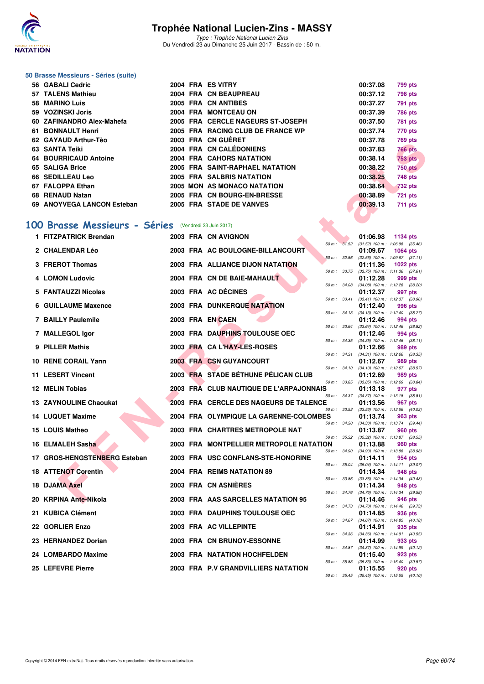

Type : Trophée National Lucien-Zins Du Vendredi 23 au Dimanche 25 Juin 2017 - Bassin de : 50 m.

#### **50 Brasse Messieurs - Séries (suite)**

|    | 56 GABALI Cedric                                      |  | 2004 FRA ES VITRY                  | 00:37.08  | <b>799 pts</b>                                                                                                                                                                                                                                                                                                                                                                                                                        |
|----|-------------------------------------------------------|--|------------------------------------|-----------|---------------------------------------------------------------------------------------------------------------------------------------------------------------------------------------------------------------------------------------------------------------------------------------------------------------------------------------------------------------------------------------------------------------------------------------|
|    | 57 TALENS Mathieu                                     |  | 2004 FRA CN BEAUPREAU              | 00:37.12  | 798 pts                                                                                                                                                                                                                                                                                                                                                                                                                               |
|    | 58 MARINO Luis                                        |  | 2005 FRA CN ANTIBES                | 00:37.27  | 791 pts                                                                                                                                                                                                                                                                                                                                                                                                                               |
| 59 | <b>VOZINSKI Joris</b>                                 |  | 2004 FRA MONTCEAU ON               | 00:37.39  | <b>786 pts</b>                                                                                                                                                                                                                                                                                                                                                                                                                        |
|    | 60 ZAFINANDRO Alex-Mahefa                             |  | 2005 FRA CERCLE NAGEURS ST-JOSEPH  | 00:37.50  | 781 pts                                                                                                                                                                                                                                                                                                                                                                                                                               |
|    | 61 BONNAULT Henri                                     |  | 2005 FRA RACING CLUB DE FRANCE WP  | 00:37.74  | 770 pts                                                                                                                                                                                                                                                                                                                                                                                                                               |
|    | 62 GAYAUD Arthur-Tèo                                  |  | 2003 FRA CN GUERET                 | 00:37.78  | <b>769 pts</b>                                                                                                                                                                                                                                                                                                                                                                                                                        |
|    | 63 SANTA Teiki                                        |  | 2004 FRA CN CALÉDONIENS            | 00:37.83  | <b>766 pts</b>                                                                                                                                                                                                                                                                                                                                                                                                                        |
|    | 64 BOURRICAUD Antoine                                 |  | 2004 FRA CAHORS NATATION           | 00:38.14  | <b>753 pts</b>                                                                                                                                                                                                                                                                                                                                                                                                                        |
|    | 65 SALIGA Brice                                       |  | 2005 FRA SAINT-RAPHAEL NATATION    | 00:38.22  | <b>750 pts</b>                                                                                                                                                                                                                                                                                                                                                                                                                        |
|    | 66 SEDILLEAU Leo                                      |  | 2005 FRA SALBRIS NATATION          | 00:38.25  | 748 pts                                                                                                                                                                                                                                                                                                                                                                                                                               |
|    | 67 FALOPPA Ethan                                      |  | <b>2005 MON AS MONACO NATATION</b> | 00:38.64  | <b>732 pts</b>                                                                                                                                                                                                                                                                                                                                                                                                                        |
|    | 68 RENAUD Natan                                       |  | 2005 FRA CN BOURG-EN-BRESSE        | 00:38.89  | <b>721 pts</b>                                                                                                                                                                                                                                                                                                                                                                                                                        |
|    | 69 ANOYVEGA LANCON Esteban                            |  | 2005 FRA STADE DE VANVES           | 00:39.13  | 711 pts                                                                                                                                                                                                                                                                                                                                                                                                                               |
|    |                                                       |  |                                    |           |                                                                                                                                                                                                                                                                                                                                                                                                                                       |
|    | 100 Brasse Messieurs - Séries (Vendredi 23 Juin 2017) |  |                                    |           |                                                                                                                                                                                                                                                                                                                                                                                                                                       |
|    | $\blacksquare$ FITTRATRIAL Research                   |  | <b>COOO FDA ON AVIONANT</b>        | 04.00.00. | $\begin{array}{cccccccccccccc} & \mathbf{1} & \mathbf{1} & \mathbf{1} & \mathbf{1} & \mathbf{1} & \mathbf{1} & \mathbf{1} & \mathbf{1} & \mathbf{1} & \mathbf{1} & \mathbf{1} & \mathbf{1} & \mathbf{1} & \mathbf{1} & \mathbf{1} & \mathbf{1} & \mathbf{1} & \mathbf{1} & \mathbf{1} & \mathbf{1} & \mathbf{1} & \mathbf{1} & \mathbf{1} & \mathbf{1} & \mathbf{1} & \mathbf{1} & \mathbf{1} & \mathbf{1} & \mathbf{1} & \mathbf{1}$ |

## **[100 Brasse Messieurs - Séries](http://www.ffnatation.fr/webffn/resultats.php?idact=nat&go=epr&idcpt=47287&idepr=72)** (Vendredi 23 Juin 2017)

| 04 GAIAOD AILIUI-ICO                                 |  | ZUUJ FAM VIIUULAEI                      |              | 00.J7.70 | <b>TOP PIP</b>                                          |
|------------------------------------------------------|--|-----------------------------------------|--------------|----------|---------------------------------------------------------|
| 63 SANTA Teiki                                       |  | 2004 FRA CN CALÉDONIENS                 |              | 00:37.83 | <b>766 pts</b>                                          |
| 64 BOURRICAUD Antoine                                |  | 2004 FRA CAHORS NATATION                |              | 00:38.14 | <b>753 pts</b>                                          |
| 65 SALIGA Brice                                      |  | 2005 FRA SAINT-RAPHAEL NATATION         |              | 00:38.22 | <b>750 pts</b>                                          |
| <b>66 SEDILLEAU Leo</b>                              |  | 2005 FRA SALBRIS NATATION               |              | 00:38.25 | 748 pts                                                 |
| 67 FALOPPA Ethan                                     |  | 2005 MON AS MONACO NATATION             |              | 00:38.64 | <b>732 pts</b>                                          |
| 68 RENAUD Natan                                      |  | 2005 FRA CN BOURG-EN-BRESSE             |              | 00:38.89 | <b>721 pts</b>                                          |
| 69 ANOYVEGA LANCON Esteban                           |  | 2005 FRA STADE DE VANVES                |              | 00:39.13 | 711 pts                                                 |
| 00 Brasse Messieurs - Séries (Vendredi 23 Juin 2017) |  |                                         |              |          |                                                         |
| 1 FITZPATRICK Brendan                                |  | 2003 FRA CN AVIGNON                     |              | 01:06.98 | 1134 pts                                                |
| 2 CHALENDAR Léo                                      |  | 2003 FRA AC BOULOGNE-BILLANCOURT        | 50 m : 31.52 | 01:09.67 | $(31.52)$ 100 m : 1:06.98 $(35.46)$<br><b>1064 pts</b>  |
|                                                      |  |                                         | 50 m: 32.56  |          | $(32.56)$ 100 m : 1:09.67 $(37.11)$                     |
| 3 FREROT Thomas                                      |  | 2003 FRA ALLIANCE DIJON NATATION        |              | 01:11.36 | 1022 $pts$                                              |
| 4 LOMON Ludovic                                      |  | 2004 FRA CN DE BAIE-MAHAULT             | 50 m : 33.75 | 01:12.28 | $(33.75)$ 100 m : 1:11.36 $(37.61)$<br>999 pts          |
|                                                      |  |                                         | 50 m : 34.08 |          | $(34.08)$ 100 m : 1:12.28 $(38.20)$                     |
| 5 FANTAUZZI Nicolas                                  |  | 2003 FRA AC DÉCINES                     |              | 01:12.37 | 997 pts<br>50 m: 33.41 (33.41) 100 m: 1:12.37 (38.96)   |
| 6 GUILLAUME Maxence                                  |  | 2003 FRA DUNKERQUE NATATION             |              | 01:12.40 | 996 pts                                                 |
| 7 BAILLY Paulemile                                   |  | 2003 FRA EN CAEN                        |              | 01:12.46 | 50 m: 34.13 (34.13) 100 m: 1:12.40 (38.27)<br>994 pts   |
|                                                      |  |                                         |              |          | 50 m: 33.64 (33.64) 100 m: 1:12.46 (38.82)              |
| 7 MALLEGOL Igor                                      |  | 2003 FRA DAUPHINS TOULOUSE OEC          |              | 01:12.46 | 994 pts<br>50 m : 34.35 (34.35) 100 m : 1:12.46 (38.11) |
| 9 PILLER Mathis                                      |  | 2003 FRA CA L'HAY-LES-ROSES             |              | 01:12.66 | 989 pts                                                 |
| 10 RENE CORAIL Yann                                  |  | <b>2003 FRA CSN GUYANCOURT</b>          | 50 m : 34.31 | 01:12.67 | $(34.31)$ 100 m : 1:12.66 $(38.35)$<br>989 pts          |
|                                                      |  |                                         | 50 m : 34.10 |          | $(34.10)$ 100 m : 1:12.67 $(38.57)$                     |
| 11 LESERT Vincent                                    |  | 2003 FRA STADE BÉTHUNE PÉLICAN CLUB     |              | 01:12.69 | 989 pts<br>50 m: 33.85 (33.85) 100 m: 1:12.69 (38.84)   |
| 12 MELIN Tobias                                      |  | 2003 FRA CLUB NAUTIQUE DE L'ARPAJONNAIS |              | 01:13.18 | 977 pts                                                 |
| <b>13 ZAYNOULINE Chaoukat</b>                        |  | 2003 FRA CERCLE DES NAGEURS DE TALENCE  |              | 01:13.56 | 50 m: 34.37 (34.37) 100 m: 1:13.18 (38.81)<br>967 pts   |
|                                                      |  |                                         |              |          | 50 m: 33.53 (33.53) 100 m: 1:13.56 (40.03)              |
| 14 LUQUET Maxime                                     |  | 2004 FRA OLYMPIQUE LA GARENNE-COLOMBES  |              | 01:13.74 | 963 pts<br>50 m: 34.30 (34.30) 100 m: 1:13.74 (39.44)   |
| 15 LOUIS Matheo                                      |  | 2003 FRA CHARTRES METROPOLE NAT         |              | 01:13.87 | 960 pts                                                 |
|                                                      |  |                                         | 50 m: 35.32  |          | $(35.32)$ 100 m : 1:13.87 $(38.55)$                     |
| 16 ELMALEH Sasha                                     |  | 2003 FRA MONTPELLIER METROPOLE NATATION | 50 m : 34.90 | 01:13.88 | 960 pts<br>(34.90) 100 m : 1:13.88 (38.98)              |
| 17 GROS-HENGSTENBERG Esteban                         |  | 2003 FRA USC CONFLANS-STE-HONORINE      |              | 01:14.11 | 954 pts                                                 |
| <b>18 ATTENOT Corentin</b>                           |  | 2004 FRA REIMS NATATION 89              | 50 m : 35.04 | 01:14.34 | $(35.04)$ 100 m : 1:14.11 $(39.07)$<br>948 pts          |
|                                                      |  |                                         |              |          | 50 m: 33.86 (33.86) 100 m: 1:14.34 (40.48)              |
| <b>18 DJAMA Axel</b>                                 |  | 2003 FRA CN ASNIERES                    |              | 01:14.34 | 948 pts<br>50 m: 34.76 (34.76) 100 m: 1:14.34 (39.58)   |
| 20 KRPINA Ante-Nikola                                |  | 2003 FRA AAS SARCELLES NATATION 95      |              | 01:14.46 | 946 pts                                                 |
| 21 KUBICA Clément                                    |  | 2003 FRA DAUPHINS TOULOUSE OEC          | 50 m : 34.73 | 01:14.85 | (34.73) 100 m : 1:14.46 (39.73)<br>936 pts              |
|                                                      |  |                                         | 50 m : 34.67 |          | $(34.67)$ 100 m : 1:14.85 $(40.18)$                     |
| 22 GORLIER Enzo                                      |  | 2003 FRA AC VILLEPINTE                  | 50 m : 34.36 | 01:14.91 | 935 pts<br>(34.36) 100 m: 1:14.91 (40.55)               |
| 23 HERNANDEZ Dorian                                  |  | 2003 FRA CN BRUNOY-ESSONNE              |              | 01:14.99 | 933 pts                                                 |
|                                                      |  |                                         |              |          | 50 m: 34.87 (34.87) 100 m: 1:14.99 (40.12)              |
| 24 LOMBARDO Maxime                                   |  | <b>2003 FRA NATATION HOCHFELDEN</b>     |              | 01:15.40 | 923 pts<br>50 m: 35.83 (35.83) 100 m: 1:15.40 (39.57)   |
| 25 LEFEVRE Pierre                                    |  | 2003 FRA P.V GRANDVILLIERS NATATION     |              | 01:15.55 | 920 pts                                                 |
|                                                      |  |                                         |              |          | 50 m: 35.45 (35.45) 100 m: 1:15.55 (40.10)              |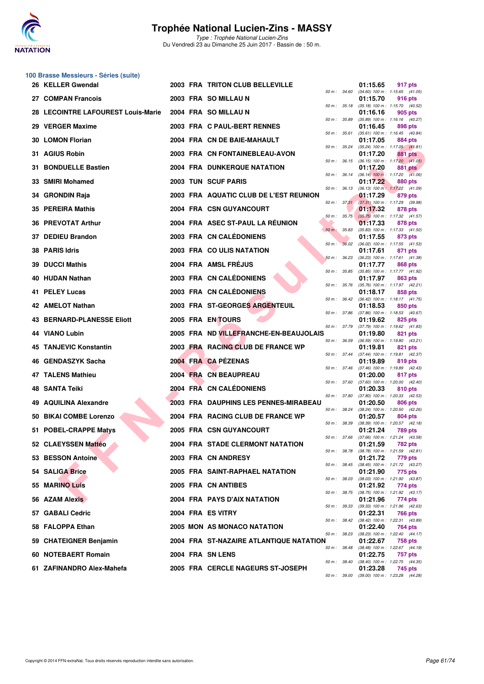

**100 Brasse Messieurs - Séries (suite)**

# **Trophée National Lucien-Zins - MASSY**

| 26 KELLER Gwendal                  |  | 2003 FRA TRITON CLUB BELLEVILLE         |              |              | 01:15.65 | 917 pts                                                 |
|------------------------------------|--|-----------------------------------------|--------------|--------------|----------|---------------------------------------------------------|
| 27 COMPAN Francois                 |  | 2003 FRA SO MILLAU N                    |              | 50 m : 34.60 | 01:15.70 | $(34.60)$ 100 m : 1:15.65 $(41.05)$<br>916 pts          |
| 28 LECOINTRE LAFOUREST Louis-Marie |  | 2004 FRA SO MILLAU N                    |              | 50 m : 35.18 | 01:16.16 | $(35.18)$ 100 m : 1:15.70 $(40.52)$<br>905 pts          |
| 29 VERGER Maxime                   |  | 2003 FRA C PAUL-BERT RENNES             | 50 m : 35.89 |              | 01:16.45 | $(35.89)$ 100 m : 1:16.16 $(40.27)$<br>898 pts          |
| 30 LOMON Florian                   |  | 2004 FRA CN DE BAIE-MAHAULT             |              | 50 m : 35.61 | 01:17.05 | $(35.61)$ 100 m : 1:16.45 $(40.84)$<br>884 pts          |
| 31 AGIUS Robin                     |  | 2003 FRA CN FONTAINEBLEAU-AVON          | 50 m : 35.24 |              | 01:17.20 | $(35.24)$ 100 m : 1:17.05 $(41.81)$<br>881 pts          |
| <b>31 BONDUELLE Bastien</b>        |  | <b>2004 FRA DUNKERQUE NATATION</b>      | 50 m : 36.15 |              | 01:17.20 | $(36.15)$ 100 m : 1:17.20 $(41.05)$<br>881 pts          |
| 33 SMIRI Mohamed                   |  | 2003 TUN SCUF PARIS                     |              | 50 m : 36.14 | 01:17.22 | $(36.14)$ 100 m : 1:17.20 $(41.06)$<br>880 pts          |
| 34 GRONDIN Raja                    |  | 2003 FRA AQUATIC CLUB DE L'EST REUNION  |              | 50 m : 36.13 | 01:17.29 | (36.13) 100 m: 1:17.22 (41.09)<br>879 pts               |
| 35 PEREIRA Mathis                  |  | 2004 FRA CSN GUYANCOURT                 |              | 50 m: 37.31  | 01:17.32 | $(37.31)$ 100 m : 1:17.29 $(39.98)$<br>878 pts          |
| <b>36 PREVOTAT Arthur</b>          |  | 2004 FRA ASEC ST-PAUL LA REUNION        | 50 m: 35.75  |              | 01:17.33 | $(35.75)$ 100 m : 1:17.32 $(41.57)$<br>878 pts          |
| 37 DEDIEU Brandon                  |  | 2003 FRA CN CALÉDONIENS                 | 50 m : 35.83 |              | 01:17.55 | $(35.83)$ 100 m : 1:17.33 $(41.50)$<br>873 pts          |
| 38 PARIS Idris                     |  | 2003 FRA COULIS NATATION                | $50 m$ :     | 36.02        | 01:17.61 | $(36.02)$ 100 m : 1:17.55 $(41.53)$<br>871 pts          |
| <b>39 DUCCI Mathis</b>             |  | 2004 FRA AMSL FRÉJUS                    | 50 m: 36.23  |              | 01:17.77 | $(36.23)$ 100 m : 1:17.61 $(41.38)$<br>868 pts          |
| 40 HUDAN Nathan                    |  | 2003 FRA CN CALÉDONIENS                 |              | 50 m : 35.85 | 01:17.97 | $(35.85)$ 100 m : 1:17.77 $(41.92)$<br><b>863 pts</b>   |
| 41 PELEY Lucas                     |  | 2003 FRA CN CALÉDONIENS                 | 50 m : 35.76 |              | 01:18.17 | $(35.76)$ 100 m : 1:17.97 $(42.21)$<br>858 pts          |
| 42 AMELOT Nathan                   |  | 2003 FRA ST-GEORGES ARGENTEUIL          |              |              | 01:18.53 | 50 m: 36.42 (36.42) 100 m: 1:18.17 (41.75)<br>850 pts   |
| 43 BERNARD-PLANESSE Eliott         |  | 2005 FRA EN TOURS                       | 50 m : 37.86 |              | 01:19.62 | $(37.86)$ 100 m : 1:18.53 $(40.67)$<br>825 pts          |
| 44 VIANO Lubin                     |  | 2005 FRA ND VILLEFRANCHE-EN-BEAUJOLAIS  | 50 m : 37.79 |              | 01:19.80 | (37.79) 100 m: 1:19.62 (41.83)<br>821 pts               |
| 45 TANJEVIC Konstantin             |  | 2003 FRA RACING CLUB DE FRANCE WP       |              | 50 m : 36.59 | 01:19.81 | $(36.59)$ 100 m : 1:19.80 $(43.21)$<br>821 pts          |
| 46 GENDASZYK Sacha                 |  | 2004 FRA CA PÉZENAS                     |              | 50 m : 37.44 | 01:19.89 | (37.44) 100 m: 1:19.81 (42.37)<br>819 pts               |
| <b>47 TALENS Mathieu</b>           |  | 2004 FRA CN BEAUPREAU                   |              |              | 01:20.00 | 50 m: 37.46 (37.46) 100 m: 1:19.89 (42.43)<br>817 pts   |
| <b>48 SANTA Teiki</b>              |  | 2004 FRA CN CALÉDONIENS                 | 50 m : 37.60 |              | 01:20.33 | $(37.60)$ 100 m : 1:20.00 $(42.40)$<br>810 pts          |
| 49 AQUILINA Alexandre              |  | 2003 FRA DAUPHINS LES PENNES-MIRABEAU   | 50 m: 37.80  |              | 01:20.50 | $(37.80)$ 100 m : 1:20.33 $(42.53)$<br>806 pts          |
| 50 BIKAI COMBE Lorenzo             |  | 2004 FRA RACING CLUB DE FRANCE WP       | 50 m : 38.24 |              | 01:20.57 | (38.24) 100 m: 1:20.50 (42.26)<br>804 pts               |
| 51 POBEL-CRAPPE Matys              |  | 2005 FRA CSN GUYANCOURT                 |              | 50 m : 38.39 | 01:21.24 | (38.39) 100 m : 1:20.57 (42.18)<br><b>789 pts</b>       |
| 52 CLAEYSSEN Mattéo                |  | 2004 FRA STADE CLERMONT NATATION        | 50 m : 37.66 |              | 01:21.59 | $(37.66)$ 100 m : 1:21.24 $(43.58)$<br><b>782 pts</b>   |
| 53 BESSON Antoine                  |  | 2003 FRA CN ANDRESY                     |              |              | 01:21.72 | 50 m : 38.78 (38.78) 100 m : 1:21.59 (42.81)<br>779 pts |
| 54 SALIGA Brice                    |  | 2005 FRA SAINT-RAPHAEL NATATION         |              |              | 01:21.90 | 50 m: 38.45 (38.45) 100 m: 1:21.72 (43.27)<br>775 pts   |
| 55 MARINO Luis                     |  | 2005 FRA CN ANTIBES                     |              | 50 m : 38.03 | 01:21.92 | (38.03) 100 m: 1:21.90 (43.87)<br>774 pts               |
| 56 AZAM Alexis                     |  | 2004 FRA PAYS D'AIX NATATION            |              | 50 m : 38.75 | 01:21.96 | (38.75) 100 m: 1:21.92 (43.17)<br>774 pts               |
| 57 GABALI Cedric                   |  | 2004 FRA ES VITRY                       |              | 50 m : 39.33 | 01:22.31 | (39.33) 100 m: 1:21.96 (42.63)<br>766 pts               |
| 58 FALOPPA Ethan                   |  | 2005 MON AS MONACO NATATION             |              | 50 m : 38.42 | 01:22.40 | (38.42) 100 m : 1:22.31 (43.89)<br>764 pts              |
| 59 CHATEIGNER Benjamin             |  | 2004 FRA ST-NAZAIRE ATLANTIQUE NATATION |              | 50 m : 38.23 | 01:22.67 | $(38.23)$ 100 m : 1:22.40 $(44.17)$<br>758 pts          |
| 60 NOTEBAERT Romain                |  | 2004 FRA SN LENS                        | 50 m : 38.48 |              | 01:22.75 | (38.48) 100 m: 1:22.67 (44.19)<br>757 pts               |
| 61 ZAFINANDRO Alex-Mahefa          |  | 2005 FRA CERCLE NAGEURS ST-JOSEPH       |              | 50 m : 38.40 | 01:23.28 | (38.40) 100 m : 1:22.75 (44.35)<br>745 pts              |
|                                    |  |                                         |              | 50 m : 39.00 |          | (39.00) 100 m: 1:23.28 (44.28)                          |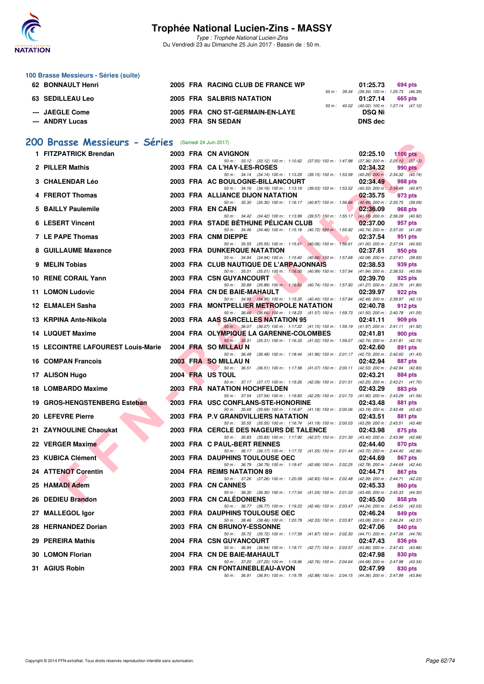

Type : Trophée National Lucien-Zins

Du Vendredi 23 au Dimanche 25 Juin 2017 - Bassin de : 50 m.

| 100 Brasse Messieurs - Séries (suite) |                                   |  |                                            |         |
|---------------------------------------|-----------------------------------|--|--------------------------------------------|---------|
| 62 BONNAULT Henri                     | 2005 FRA RACING CLUB DE FRANCE WP |  | 01:25.73                                   | 694 pts |
|                                       |                                   |  | 50 m: 39.34 (39.34) 100 m: 1:25.73 (46.39) |         |
| <b>63 SEDILLEAU Leo</b>               | 2005 FRA SALBRIS NATATION         |  | 01:27.14                                   | 665 pts |
|                                       |                                   |  | 50 m: 40.02 (40.02) 100 m: 1:27.14 (47.12) |         |
| --- JAEGLE Come                       | 2005 FRA CNO ST-GERMAIN-EN-LAYE   |  | <b>DSQ Ni</b>                              |         |
| --- ANDRY Lucas                       | 2003 FRA SN SEDAN                 |  | DNS dec                                    |         |

# **[200 Brasse Messieurs - Séries](http://www.ffnatation.fr/webffn/resultats.php?idact=nat&go=epr&idcpt=47287&idepr=73)** (Samedi 24 Juin 2017)

| Brasse Messieurs - Series                 |  | (Samedi 24 Juin 2017)                                                                                                               |          |                                                |
|-------------------------------------------|--|-------------------------------------------------------------------------------------------------------------------------------------|----------|------------------------------------------------|
| 1 FITZPATRICK Brendan                     |  | 2003 FRA CN AVIGNON                                                                                                                 | 02:25.10 | 1106 $pts$                                     |
| 2 PILLER Mathis                           |  | 50 m: 33.12 (33.12) 100 m: 1:10.62 (37.50) 150 m: 1:47.98 (37.36) 200 m: 2:25.10 (37.12)<br>2003 FRA CAL'HAY-LES-ROSES              | 02:34.32 | 990 pts                                        |
| <b>3 CHALENDAR Léo</b>                    |  | 50 m: 34.14 (34.14) 100 m: 1:13.29 (39.15) 150 m: 1:53.58 (40.29) 200 m: 2:34.32 (40.74)<br>2003 FRA AC BOULOGNE-BILLANCOURT        | 02:34.49 | <b>988 pts</b>                                 |
| 4 FREROT Thomas                           |  | 50 m: 34.16 (34.16) 100 m: 1:13.19 (39.03) 150 m: 1:53.52 (40.33) 200 m: 2:34.49 (40.97)<br>2003 FRA ALLIANCE DIJON NATATION        |          |                                                |
|                                           |  | 50 m: 35.30 (35.30) 100 m: 1:16.17 (40.87) 150 m: 1:56.66                                                                           | 02:35.75 | 973 pts<br>$(40.49)$ 200 m : 2:35.75 $(39.09)$ |
| 5 BAILLY Paulemile                        |  | 2003 FRA EN CAEN<br>50 m: 34.42 (34.42) 100 m: 1:13.99 (39.57) 150 m: 1:55.17 (41.18) 200 m: 2:36.09 (40.92)                        | 02:36.09 | 968 pts                                        |
| <b>6 LESERT Vincent</b>                   |  | 2003 FRA STADE BETHUNE PELICAN CLUB                                                                                                 | 02:37.00 | 957 pts<br>$(40.74)$ 200 m : 2:37.00 $(41.08)$ |
| 7 LE PAPE Thomas                          |  | 50 m: 34.46 (34.46) 100 m: 1:15.18 (40.72) 150 m: 1:55.92<br>2003 FRA CNM DIEPPE                                                    | 02:37.54 | 951 pts                                        |
| 8 GUILLAUME Maxence                       |  | 50 m: 35.55 (35.55) 100 m: 1:15.61 (40.06) 150 m: 1:56.61 (41.00) 200 m: 2:37.54 (40.93)<br><b>2003 FRA DUNKERQUE NATATION</b>      | 02:37.61 | 950 pts                                        |
| 9 MELIN Tobias                            |  | 50 m: 34.94 (34.94) 100 m: 1:15.60 (40.66) 150 m: 1:57.68 (42.08) 200 m: 2:37.61 (39.93)<br>2003 FRA CLUB NAUTIQUE DE L'ARPAJONNAIS | 02:38.53 | 939 pts                                        |
|                                           |  | 50 m: 35.01 (35.01) 100 m: 1:16.00 (40.99) 150 m: 1:57.94 (41.94) 200 m: 2:38.53 (40.59)                                            |          |                                                |
| 10 RENE CORAIL Yann                       |  | 2003 FRA CSN GUYANCOURT<br>50 m: 35.89 (35.89) 100 m: 1:16.63 (40.74) 150 m: 1:57.90 (41.27) 200 m: 2:39.70 (41.80)                 | 02:39.70 | 925 pts                                        |
| <b>11 LOMON Ludovic</b>                   |  | 2004 FRA CN DE BAIE-MAHAULT                                                                                                         | 02:39.97 | 922 pts                                        |
| 12 ELMALEH Sasha                          |  | 50 m: 34.95 (34.95) 100 m: 1:15.35 (40.40) 150 m: 1:57.84 (42.49) 200 m: 2:39.97 (42.13)<br>2003 FRA MONTPELLIER METROPOLE NATATION | 02:40.78 | 912 pts                                        |
| 13 KRPINA Ante-Nikola                     |  | 50 m: 36.66 (36.66) 100 m: 1:18.23 (41.57) 150 m: 1:59.73 (41.50) 200 m: 2:40.78 (41.05)<br>2003 FRA AAS SARCELLES NATATION 95      | 02:41.11 | 909 pts                                        |
|                                           |  | 50 m : 36.07 (36.07) 100 m : 1:17.22 (41.15) 150 m : 1:59.19 (41.97) 200 m : 2:41.11 (41.92)                                        |          |                                                |
| <b>14 LUQUET Maxime</b>                   |  | 2004 FRA OLYMPIQUE LA GARENNE-COLOMBES<br>50 m: 35.31 (35.31) 100 m: 1:16.33 (41.02) 150 m: 1:59.07 (42.74) 200 m: 2:41.81 (42.74)  | 02:41.81 | 900 pts                                        |
| <b>15 LECOINTRE LAFOUREST Louis-Marie</b> |  | 2004 FRA SO MILLAU N                                                                                                                | 02:42.60 | 891 pts                                        |
| <b>16 COMPAN Francois</b>                 |  | 50 m : 36.48 (36.48) 100 m : 1:18.44 (41.96) 150 m : 2:01.17<br>2003 FRA SO MILLAU N                                                | 02:42.94 | $(42.73)$ 200 m : 2:42.60 $(41.43)$<br>887 pts |
| 17 ALISON Hugo                            |  | 50 m: 36.51 (36.51) 100 m: 1:17.58 (41.07) 150 m: 2:00.11 (42.53) 200 m: 2:42.94 (42.83)<br>2004 FRA US TOUL                        | 02:43.21 | 884 pts                                        |
| 18 LOMBARDO Maxime                        |  | 50 m: 37.17 (37.17) 100 m: 1:19.26 (42.09) 150 m: 2:01.51 (42.25) 200 m: 2:43.21 (41.70)<br><b>2003 FRA NATATION HOCHFELDEN</b>     | 02:43.29 | 883 pts                                        |
| 19 GROS-HENGSTENBERG Esteban              |  | 50 m: 37.54 (37.54) 100 m: 1:19.83 (42.29) 150 m: 2:01.73 (41.90) 200 m: 2:43.29 (41.56)<br>2003 FRA USC CONFLANS-STE-HONORINE      | 02:43.48 | 881 pts                                        |
|                                           |  | 50 m: 35.69 (35.69) 100 m: 1:16.87 (41.18) 150 m: 2:00.06 (43.19) 200 m: 2:43.48 (43.42)                                            |          |                                                |
| 20 LEFEVRE Pierre                         |  | 2003 FRA P.V GRANDVILLIERS NATATION<br>50 m: 35.55 (35.55) 100 m: 1:16.74 (41.19) 150 m: 2:00.03 (43.29) 200 m: 2:43.51 (43.48)     | 02:43.51 | 881 pts                                        |
| 21 ZAYNOULINE Chaoukat                    |  | 2003 FRA CERCLE DES NAGEURS DE TALENCE                                                                                              | 02:43.98 | 875 pts                                        |
| 22 VERGER Maxime                          |  | 50 m: 35.83 (35.83) 100 m: 1:17.90 (42.07) 150 m: 2:01.30 (43.40) 200 m: 2:43.98 (42.68)<br>2003 FRA C PAUL-BERT RENNES             | 02:44.40 | 870 pts                                        |
| 23 KUBICA Clément                         |  | 50 m: 36.17 (36.17) 100 m: 1:17.72 (41.55) 150 m: 2:01.44 (43.72) 200 m: 2:44.40 (42.96)<br>2003 FRA DAUPHINS TOULOUSE OEC          | 02:44.69 | 867 pts                                        |
|                                           |  | 50 m: 36.79 (36.79) 100 m: 1:19.47 (42.68) 150 m: 2:02.25 (42.78) 200 m: 2:44.69 (42.44)                                            |          |                                                |
| 24 ATTENOT Corentin                       |  | 2004 FRA REIMS NATATION 89<br>50 m: 37.26 (37.26) 100 m: 1:20.09 (42.83) 150 m: 2:02.48 (42.39) 200 m: 2:44.71 (42.23)              | 02:44.71 | 867 pts                                        |
| 25 HAMADI Adem                            |  | 2003 FRA CN CANNES<br>50 m: 36.30 (36.30) 100 m: 1:17.54 (41.24) 150 m: 2:01.03 (43.49) 200 m: 2:45.33 (44.30)                      | 02:45.33 | 860 pts                                        |
| 26 DEDIEU Brandon                         |  | 2003 FRA CN CALEDONIENS                                                                                                             | 02:45.50 | 858 pts                                        |
| 27 MALLEGOL Igor                          |  | 50 m: 36.77 (36.77) 100 m: 1:19.23 (42.46) 150 m: 2:03.47<br>2003 FRA DAUPHINS TOULOUSE OEC                                         | 02:46.24 | (44.24) 200 m : 2:45.50 (42.03)<br>849 pts     |
| 28 HERNANDEZ Dorian                       |  | 50 m : 38.46 (38.46) 100 m : 1:20.79 (42.33) 150 m : 2:03.87 (43.08) 200 m : 2:46.24 (42.37)<br>2003 FRA CN BRUNOY-ESSONNE          | 02:47.06 | 840 pts                                        |
| 29 PEREIRA Mathis                         |  | 50 m : 35.72 (35.72) 100 m : 1:17.59 (41.87) 150 m : 2:02.30<br><b>2004 FRA CSN GUYANCOURT</b>                                      |          | (44.71) 200 m : 2:47.06 (44.76)<br>836 pts     |
|                                           |  | 50 m : 36.94 (36.94) 100 m : 1:19.71 (42.77) 150 m : 2:03.57                                                                        | 02:47.43 | (43.86) 200 m : 2:47.43 (43.86)                |
| <b>30 LOMON Florian</b>                   |  | 2004 FRA CN DE BAIE-MAHAULT<br>50 m : 37.20 (37.20) 100 m : 1:19.96 (42.76) 150 m : 2:04.64 (44.68) 200 m : 2:47.98 (43.34)         | 02:47.98 | 830 pts                                        |
| 31 AGIUS Robin                            |  | 2003 FRA CN FONTAINEBLEAU-AVON                                                                                                      | 02:47.99 | 830 pts                                        |
|                                           |  | 50 m: 36.91 (36.91) 100 m: 1:19.79 (42.88) 150 m: 2:04.15 (44.36) 200 m: 2:47.99 (43.84)                                            |          |                                                |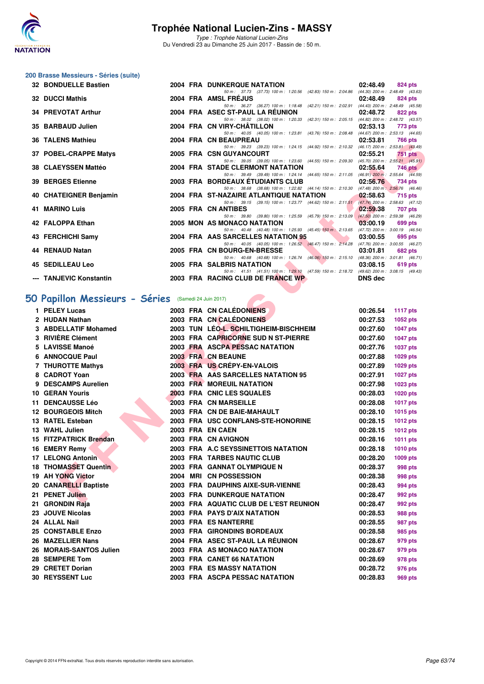

Type : Trophée National Lucien-Zins Du Vendredi 23 au Dimanche 25 Juin 2017 - Bassin de : 50 m.

# **200 Brasse Messieurs - Séries (suite)**

| 32 BONDUELLE Bastien     |  | 2004 FRA DUNKERQUE NATATION                                                                                                                                                                                                    |          | 02:48.49 824 pts |
|--------------------------|--|--------------------------------------------------------------------------------------------------------------------------------------------------------------------------------------------------------------------------------|----------|------------------|
|                          |  | 50 m: 37.73 (37.73) 100 m: 1:20.56 (42.83) 150 m: 2:04.86 (44.30) 200 m: 2:48.49 (43.63)                                                                                                                                       |          |                  |
| <b>32 DUCCI Mathis</b>   |  | 2004 FRA AMSL FRÉJUS                                                                                                                                                                                                           | 02:48.49 | 824 pts          |
|                          |  | 50 m: 36.27 (36.27) 100 m: 1:18.48 (42.21) 150 m: 2:02.91 (44.43) 200 m: 2:48.49 (45.58)                                                                                                                                       |          |                  |
| 34 PREVOTAT Arthur       |  | 2004 FRA ASEC ST-PAUL LA RÉUNION                                                                                                                                                                                               | 02:48.72 | 822 pts          |
|                          |  | 50 m: 38.02 (38.02) 100 m: 1:20.33 (42.31) 150 m: 2:05.15 (44.82) 200 m: 2:48.72 (43.57)                                                                                                                                       |          |                  |
| 35 BARBAUD Julien        |  | 2004 FRA CN VIRY-CHÂTILLON                                                                                                                                                                                                     | 02:53.13 | 773 pts          |
|                          |  |                                                                                                                                                                                                                                |          |                  |
|                          |  | 50 m: 40.05 (40.05) 100 m: 1:23.81 (43.76) 150 m: 2:08.48 (44.67) 200 m: 2:53.13 (44.65)                                                                                                                                       |          |                  |
| <b>36 TALENS Mathieu</b> |  | 2004 FRA CN BEAUPREAU                                                                                                                                                                                                          | 02:53.81 | 766 pts          |
|                          |  | 50 m: 39.23 (39.23) 100 m: 1:24.15 (44.92) 150 m: 2:10.32 (46.17) 200 m: 2:53.81 (43.49)                                                                                                                                       |          |                  |
| 37 POBEL-CRAPPE Matys    |  | 2005 FRA CSN GUYANCOURT                                                                                                                                                                                                        | 02:55.21 | $751$ pts        |
|                          |  | 50 m: 39.05 (39.05) 100 m: 1:23.60 (44.55) 150 m: 2:09.30 (45.70) 200 m: 2:55.21 (45.91)                                                                                                                                       |          |                  |
| 38 CLAEYSSEN Mattéo      |  | 2004 FRA STADE CLERMONT NATATION 02:55.64                                                                                                                                                                                      |          | <b>746 pts</b>   |
|                          |  | 50 m: 39.49 (39.49) 100 m: 1:24.14 (44.65) 150 m: 2:11.05 (46.91) 200 m: 2:55.64 (44.59)                                                                                                                                       |          |                  |
| <b>39 BERGES Etienne</b> |  | 2003 FRA BORDEAUX ETUDIANTS CLUB 02:56.76                                                                                                                                                                                      |          | <b>734 pts</b>   |
|                          |  | 50 m: 38.68 (38.68) 100 m: 1:22.82 (44.14) 150 m: 2:10.30 (47.48) 200 m: 2:56.76 (46.46)                                                                                                                                       |          |                  |
| 40 CHATEIGNER Benjamin   |  | 2004 FRA ST-NAZAIRE ATLANTIQUE NATATION 02:58.63 715 pts                                                                                                                                                                       |          |                  |
|                          |  | 50 m: 39.15 (39.15) 100 m: 1:23.77 (44.62) 150 m: 2:11.51 (47.74) 200 m: 2:58.63 (47.12)                                                                                                                                       |          |                  |
| 41 MARINO Luis           |  | 2005 FRA CN ANTIBES                                                                                                                                                                                                            | 02:59.38 | 707 pts          |
|                          |  | 50 m: 39.80 (39.80) 100 m: 1:25.59 (45.79) 150 m: 2:13.09 (47.50) 200 m: 2:59.38 (46.29)                                                                                                                                       |          |                  |
|                          |  | 2005 MON AS MONACO NATATION                                                                                                                                                                                                    |          |                  |
| 42 FALOPPA Ethan         |  |                                                                                                                                                                                                                                | 03:00.19 | 699 pts          |
|                          |  | 50 m: 40.48 (40.48) 100 m: 1:25.93 (45.45) 150 m: 2:13.65 (47.72) 200 m: 3:00.19 (46.54)                                                                                                                                       |          |                  |
| 43 FERCHICHI Samy        |  | 2004 FRA AAS SARCELLES NATATION 95 03:00.55                                                                                                                                                                                    |          | 695 pts          |
|                          |  | 50 m: 40.05 (40.05) 100 m: 1:26.52 (46.47) 150 m: 2:14.28 (47.76) 200 m: 3:00.55 (46.27)                                                                                                                                       |          |                  |
| 44 RENAUD Natan          |  | 2005 FRA CN BOURG-EN-BRESSE                                                                                                                                                                                                    | 03:01.81 | 682 pts          |
|                          |  | 50 m: 40.68 (40.68) 100 m: 1:26.74 (46.06) 150 m: 2:15.10 (48.36) 200 m: 3:01.81 (46.71)                                                                                                                                       |          |                  |
| 45 SEDILLEAU Leo         |  | 2005 FRA SALBRIS NATATION AND RESERVE TO A 1999 THE RESERVE TO A 1999 THE RESERVE TO A 1999 THE RESERVE TO A 1999 THE RESERVE TO A 1999 THE RESERVE TO A 1999 THE RESERVE TO A 1999 THE RESERVE TO A 1999 THE RESERVE TO A 199 | 03:08.15 | 619 pts          |
|                          |  | 50 m: 41.51 (41.51) 100 m: 1:29.10 (47.59) 150 m: 2:18.72 (49.62) 200 m: 3:08.15 (49.43)                                                                                                                                       |          |                  |
| --- TANJEVIC Konstantin  |  | 2003 FRA RACING CLUB DE FRANCE WP                                                                                                                                                                                              | DNS dec  |                  |
|                          |  |                                                                                                                                                                                                                                |          |                  |

# **[50 Papillon Messieurs - Séries](http://www.ffnatation.fr/webffn/resultats.php?idact=nat&go=epr&idcpt=47287&idepr=81)** (Samedi 24 Juin 2017)

| <b>IMLENO MALITEU</b>                                |  | ZUU+ ГЛА СІЧ DEAUFREAU                                                                                                              | 02.JJ.OT       | <b>TUU PIS</b>  |
|------------------------------------------------------|--|-------------------------------------------------------------------------------------------------------------------------------------|----------------|-----------------|
| 37 POBEL-CRAPPE Matys                                |  | 50 m: 39.23 (39.23) 100 m: 1:24.15 (44.92) 150 m: 2:10.32 (46.17) 200 m: 2:53.81 (43.49)<br>2005 FRA CSN GUYANCOURT                 | 02:55.21       | 751 pts         |
| 38 CLAEYSSEN Mattéo                                  |  | 50 m: 39.05 (39.05) 100 m: 1:23.60 (44.55) 150 m: 2:09.30 (45.70) 200 m: 2:55.21 (45.91)<br><b>2004 FRA STADE CLERMONT NATATION</b> | 02:55.64       | <b>746 pts</b>  |
|                                                      |  | 50 m: 39.49 (39.49) 100 m: 1:24.14 (44.65) 150 m: 2:11.05 (46.91) 200 m: 2:55.64 (44.59)                                            |                |                 |
| <b>39 BERGES Etienne</b>                             |  | 2003 FRA BORDEAUX ETUDIANTS CLUB<br>50 m: 38.68 (38.68) 100 m: 1:22.82 (44.14) 150 m: 2:10.30 (47.48) 200 m: 2:56.76 (46.46)        | 02:56.76       | 734 pts         |
| 40 CHATEIGNER Benjamin                               |  | 2004 FRA ST-NAZAIRE ATLANTIQUE NATATION                                                                                             | 02:58.63       | <b>715 pts</b>  |
| 41 MARINO Luis                                       |  | 50 m: 39.15 (39.15) 100 m: 1:23.77 (44.62) 150 m: 2:11.51 (47.74) 200 m: 2:58.63 (47.12)<br>2005 FRA CN ANTIBES                     | 02:59.38       | <b>707 pts</b>  |
|                                                      |  | 50 m: 39.80 (39.80) 100 m: 1:25.59 (45.79) 150 m: 2:13.09 (47.50) 200 m: 2:59.38 (46.29)                                            |                |                 |
| 42 FALOPPA Ethan                                     |  | 2005 MON AS MONACO NATATION<br>50 m: 40.48 (40.48) 100 m: 1:25.93 (45.45) 150 m: 2:13.65 (47.72) 200 m: 3:00.19 (46.54)             | 03:00.19       | 699 pts         |
| 43 FERCHICHI Samy                                    |  | 2004 FRA AAS SARCELLES NATATION 95                                                                                                  | 03:00.55       | 695 pts         |
| 44 RENAUD Natan                                      |  | 50 m: 40.05 (40.05) 100 m: 1:26.52 (46.47) 150 m: 2:14.28 (47.76) 200 m: 3:00.55 (46.27)<br>2005 FRA CN BOURG-EN-BRESSE             | 03:01.81       | 682 pts         |
| <b>45 SEDILLEAU Leo</b>                              |  | 50 m: 40.68 (40.68) 100 m: 1:26.74 (46.06) 150 m: 2:15.10 (48.36) 200 m: 3:01.81 (46.71)<br>2005 FRA SALBRIS NATATION               | 03:08.15       | 619 pts         |
| --- TANJEVIC Konstantin                              |  | 50 m: 41.51 (41.51) 100 m: 1:29.10 (47.59) 150 m: 2:18.72 (49.62) 200 m: 3:08.15 (49.43)<br>2003 FRA RACING CLUB DE FRANCE WP       | <b>DNS</b> dec |                 |
|                                                      |  |                                                                                                                                     |                |                 |
| 50 Papillon Messieurs - Séries (Samedi 24 Juin 2017) |  |                                                                                                                                     |                |                 |
| 1 PELEY Lucas                                        |  | 2003 FRA CN CALÉDONIENS                                                                                                             | 00:26.54       | <b>1117 pts</b> |
| 2 HUDAN Nathan                                       |  | 2003 FRA CN CALÉDONIENS                                                                                                             | 00:27.53       | <b>1052 pts</b> |
| 3 ABDELLATIF Mohamed                                 |  | 2003 TUN LÉO-L. SCHILTIGHEIM-BISCHHEIM                                                                                              | 00:27.60       | <b>1047 pts</b> |
| 3 RIVIÈRE Clément                                    |  | 2003 FRA CAPRICORNE SUD N ST-PIERRE                                                                                                 | 00:27.60       | <b>1047 pts</b> |
| 5 LAVISSE Manoé                                      |  | 2003 FRA ASCPA PESSAC NATATION                                                                                                      | 00:27.76       | <b>1037 pts</b> |
| 6 ANNOCQUE Paul                                      |  | 2003 FRA CN BEAUNE                                                                                                                  | 00:27.88       | 1029 pts        |
| 7 THUROTTE Mathys                                    |  | 2003 FRA US CRÉPY-EN-VALOIS                                                                                                         | 00:27.89       | 1029 pts        |
| 8 CADROT Yoan                                        |  | 2003 FRA AAS SARCELLES NATATION 95                                                                                                  | 00:27.91       | <b>1027 pts</b> |
| 9 DESCAMPS Aurelien                                  |  | <b>2003 FRA MOREUIL NATATION</b>                                                                                                    | 00:27.98       | <b>1023 pts</b> |
| <b>10 GERAN Youris</b>                               |  | 2003 FRA CNIC LES SQUALES                                                                                                           | 00:28.03       | 1020 pts        |
| 11 DENCAUSSE Léo                                     |  | 2003 FRA CN MARSEILLE                                                                                                               | 00:28.08       | <b>1017 pts</b> |
| <b>12 BOURGEOIS Mitch</b>                            |  | 2003 FRA CN DE BAIE-MAHAULT                                                                                                         | 00:28.10       | <b>1015 pts</b> |
| 13 RATEL Esteban                                     |  | 2003 FRA USC CONFLANS-STE-HONORINE                                                                                                  | 00:28.15       | <b>1012 pts</b> |
| 13 WAHL Julien                                       |  | 2003 FRA EN CAEN                                                                                                                    | 00:28.15       | <b>1012 pts</b> |
| 15 FITZPATRICK Brendan                               |  | 2003 FRA CN AVIGNON                                                                                                                 | 00:28.16       | 1011 pts        |
| 16 EMERY Remy                                        |  | 2003 FRA A.C SEYSSINETTOIS NATATION                                                                                                 | 00:28.18       | <b>1010 pts</b> |
| <b>17 LELONG Antonin</b>                             |  | 2003 FRA TARBES NAUTIC CLUB                                                                                                         | 00:28.20       | 1009 pts        |
| 18 THOMASSET Quentin                                 |  | 2003 FRA GANNAT OLYMPIQUE N                                                                                                         | 00:28.37       | 998 pts         |
| <b>19 AH YONG Victor</b>                             |  | 2004 MRI CN POSSESSION                                                                                                              | 00:28.38       | 998 pts         |
| 20 CANARELLI Baptiste                                |  | 2003 FRA DAUPHINS AIXE-SUR-VIENNE                                                                                                   | 00:28.43       | 994 pts         |
| 21 PENET Julien                                      |  | <b>2003 FRA DUNKERQUE NATATION</b>                                                                                                  | 00:28.47       | 992 pts         |
| 21 GRONDIN Raja                                      |  | 2003 FRA AQUATIC CLUB DE L'EST REUNION                                                                                              | 00:28.47       | 992 pts         |
| 23 JOUVE Nicolas                                     |  | 2003 FRA PAYS D'AIX NATATION                                                                                                        | 00:28.53       | 988 pts         |
| 24 ALLAL Nail                                        |  | 2003 FRA ES NANTERRE                                                                                                                | 00:28.55       | 987 pts         |
| 25 CONSTABLE Enzo                                    |  | 2003 FRA GIRONDINS BORDEAUX                                                                                                         | 00:28.58       | 985 pts         |
| 26 MAZELLIER Nans                                    |  | 2004 FRA ASEC ST-PAUL LA RÉUNION                                                                                                    | 00:28.67       | 979 pts         |
| 26 MORAIS-SANTOS Julien                              |  | 2003 FRA AS MONACO NATATION                                                                                                         | 00:28.67       | 979 pts         |
| 28 SEMPERE Tom                                       |  | 2003 FRA CANET 66 NATATION                                                                                                          | 00:28.69       | 978 pts         |
| 29 CRETET Dorian                                     |  | 2003 FRA ES MASSY NATATION                                                                                                          | 00:28.72       | 976 pts         |
| 30 REYSSENT Luc                                      |  | 2003 FRA ASCPA PESSAC NATATION                                                                                                      | 00:28.83       | <b>969 pts</b>  |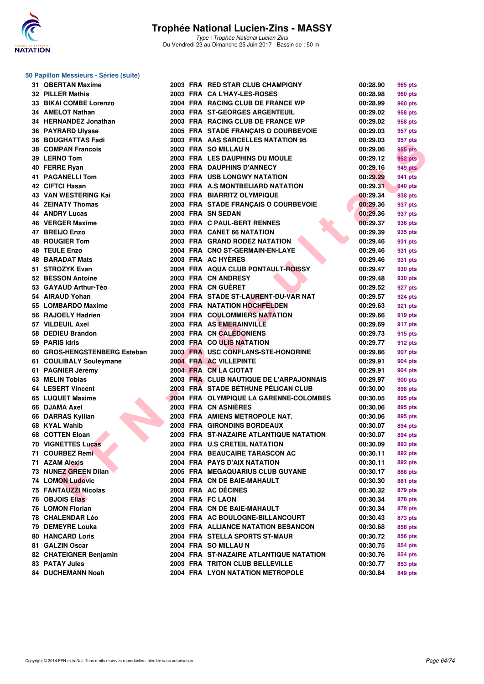

Type : Trophée National Lucien-Zins Du Vendredi 23 au Dimanche 25 Juin 2017 - Bassin de : 50 m.

#### **50 Papillon Messieurs - Séries (suite)**

|    | 31 OBERTAN Maxime                          |
|----|--------------------------------------------|
|    | 32 PILLER Mathis                           |
|    |                                            |
|    | 33 BIKAI COMBE Lorenzo<br>34 AMELOT Nathan |
|    | 34 HERNANDEZ Jonathan                      |
|    | 36 PAYRARD Ulysse                          |
|    | 36 BOUGHATTAS Fadi                         |
|    | <b>38 COMPAN Francois</b>                  |
|    | 39 LERNO Tom                               |
|    | 40 FERRE Ryan                              |
|    | 41 PAGANELLI Tom                           |
|    | 42 CIFTCI Hasan                            |
|    | 43 VAN WESTERING Kai                       |
|    | 44 ZEINATY Thomas                          |
|    | 44 ANDRY Lucas                             |
|    | <b>46 VERGER Maxime</b>                    |
|    | 47 BREIJO Enzo                             |
|    | <b>48 ROUGIER Tom</b>                      |
|    |                                            |
|    | 48 TEULE Enzo                              |
|    | <b>48 BARADAT Mats</b>                     |
|    | 51 STROZYK Evan                            |
|    | 52 BESSON Antoine                          |
|    | 53 GAYAUD Arthur-Tèo                       |
|    | 54 AIRAUD Yohan                            |
|    | 55 LOMBARDO Maxime                         |
|    | 56 RAJOELY Hadrien                         |
|    | 57 VILDEUIL Axel                           |
|    | 58 DEDIEU Brandon                          |
|    | 59 PARIS Idris                             |
|    | 60 GROS-HENGSTENBERG Esteba                |
|    | 61 COULIBALY Souleymane                    |
|    | 61 PAGNIER Jérémy                          |
|    | 63 MELIN Tobias                            |
|    | 64 LESERT Vincent                          |
|    | 65 LUQUET Maxime                           |
|    | 66 DJAMA Axel                              |
|    | 66 DARRAS Kyllian                          |
|    | 68 KYAL Wahib                              |
|    | <b>68 COTTEN Eloan</b>                     |
|    | 70 VIGNETTES Lucas                         |
| 71 | <b>COURBEZ Remi</b>                        |
| 71 | <b>AZAM Alexis</b>                         |
|    | 73 NUNEZ GREEN Dilan                       |
|    | 74 LOMON Ludovic                           |
|    | 75 FANTAUZZI Nicolas                       |
|    | <b>76 OBJOIS Elias</b>                     |
|    | 76 LOMON Florian                           |
| 78 | <b>CHALENDAR Léo</b>                       |
| 79 | <b>DEMEYRE Louka</b>                       |
|    | <b>80 HANCARD Loris</b>                    |
|    | 81 GALZIN Oscar                            |
|    | 82 CHATEIGNER Benjamin                     |
|    | 83 PATAY Jules                             |
|    |                                            |

**84 DUCHEMANN Noah 2004 FRA LYON NATATION METROPOLE 00:30.84 849 pts**

| Papillon Messieurs - Séries (suite) |  |                                         |          |                |
|-------------------------------------|--|-----------------------------------------|----------|----------------|
| 31 OBERTAN Maxime                   |  | 2003 FRA RED STAR CLUB CHAMPIGNY        | 00:28.90 | <b>965 pts</b> |
| 32 PILLER Mathis                    |  | 2003 FRA CA L'HAY-LES-ROSES             | 00:28.98 | 960 pts        |
| 33 BIKAI COMBE Lorenzo              |  | 2004 FRA RACING CLUB DE FRANCE WP       | 00:28.99 | 960 pts        |
| 34 AMELOT Nathan                    |  | 2003 FRA ST-GEORGES ARGENTEUIL          | 00:29.02 | 958 pts        |
| 34 HERNANDEZ Jonathan               |  | 2003 FRA RACING CLUB DE FRANCE WP       | 00:29.02 | 958 pts        |
| <b>36 PAYRARD Ulysse</b>            |  | 2005 FRA STADE FRANÇAIS O COURBEVOIE    | 00:29.03 | 957 pts        |
| 36 BOUGHATTAS Fadi                  |  | 2003 FRA AAS SARCELLES NATATION 95      | 00:29.03 | 957 pts        |
| 38 COMPAN Francois                  |  | 2003 FRA SO MILLAU N                    | 00:29.06 | 955 pts        |
| 39 LERNO Tom                        |  | <b>2003 FRA LES DAUPHINS DU MOULE</b>   | 00:29.12 | 952 pts        |
| 40 FERRE Ryan                       |  | 2003 FRA DAUPHINS D'ANNECY              | 00:29.16 | 949 pts        |
| <b>41 PAGANELLI Tom</b>             |  | 2003 FRA USB LONGWY NATATION            | 00:29.29 | 941 pts        |
| 42 CIFTCI Hasan                     |  | 2003 FRA A.S MONTBELIARD NATATION       | 00:29.31 | 940 pts        |
| 43   VAN WESTERING Kai              |  | 2003 FRA BIARRITZ OLYMPIQUE             | 00:29.34 | 938 pts        |
| 44 ZEINATY Thomas                   |  | 2003 FRA STADE FRANÇAIS O COURBEVOIE    | 00:29.36 | 937 pts        |
| 44 ANDRY Lucas                      |  | 2003 FRA SN SEDAN                       | 00:29.36 | 937 pts        |
| 46 VERGER Maxime                    |  | 2003 FRA C PAUL-BERT RENNES             | 00:29.37 | 936 pts        |
| 47 BREIJO Enzo                      |  | 2003 FRA CANET 66 NATATION              | 00:29.39 | 935 pts        |
| 48 ROUGIER Tom                      |  | 2003 FRA GRAND RODEZ NATATION           | 00:29.46 | 931 pts        |
| 48 TEULE Enzo                       |  | 2004 FRA CNO ST-GERMAIN-EN-LAYE         | 00:29.46 | 931 pts        |
| <b>48 BARADAT Mats</b>              |  | 2003 FRA AC HYÈRES                      | 00:29.46 |                |
| 51 STROZYK Evan                     |  | 2004 FRA AQUA CLUB PONTAULT-ROISSY      | 00:29.47 | 931 pts        |
|                                     |  | 2003 FRA CN ANDRESY                     |          | 930 pts        |
| 52 BESSON Antoine                   |  | 2003 FRA CN GUÉRET                      | 00:29.48 | 930 pts        |
| 53 GAYAUD Arthur-Tèo                |  |                                         | 00:29.52 | 927 pts        |
| 54 AIRAUD Yohan                     |  | 2004 FRA STADE ST-LAURENT-DU-VAR NAT    | 00:29.57 | 924 pts        |
| 55 LOMBARDO Maxime                  |  | <b>2003 FRA NATATION HOCHFELDEN</b>     | 00:29.63 | 921 pts        |
| 56 RAJOELY Hadrien                  |  | <b>2004 FRA COULOMMIERS NATATION</b>    | 00:29.66 | 919 pts        |
| 57 VILDEUIL Axel                    |  | 2003 FRA AS EMERAINVILLE                | 00:29.69 | 917 pts        |
| 58 DEDIEU Brandon                   |  | 2003 FRA CN CALÉDONIENS                 | 00:29.73 | 915 pts        |
| 59 PARIS Idris                      |  | 2003 FRA COULIS NATATION                | 00:29.77 | 912 pts        |
| 60 GROS-HENGSTENBERG Esteban        |  | 2003 FRA USC CONFLANS-STE-HONORINE      | 00:29.86 | 907 pts        |
| 61 COULIBALY Souleymane             |  | 2004 FRA AC VILLEPINTE                  | 00:29.91 | 904 pts        |
| 61 PAGNIER Jérémy                   |  | 2004 FRA CN LA CIOTAT                   | 00:29.91 | 904 pts        |
| 63 MELIN Tobias                     |  | 2003 FRA CLUB NAUTIQUE DE L'ARPAJONNAIS | 00:29.97 | 900 pts        |
| 64 LESERT Vincent                   |  | 2003 FRA STADE BÉTHUNE PÉLICAN CLUB     | 00:30.00 | 898 pts        |
| 65 LUQUET Maxime                    |  | 2004 FRA OLYMPIQUE LA GARENNE-COLOMBES  | 00:30.05 | 895 pts        |
| 66 DJAMA Axel                       |  | 2003 FRA CN ASNIERES                    | 00:30.06 | 895 pts        |
| 66 DARRAS Kyllian                   |  | 2003 FRA AMIENS METROPOLE NAT.          | 00:30.06 | 895 pts        |
| 68 KYAL Wahib                       |  | 2003 FRA GIRONDINS BORDEAUX             | 00:30.07 | 894 pts        |
| 68 COTTEN Eloan                     |  | 2003 FRA ST-NAZAIRE ATLANTIQUE NATATION | 00:30.07 | 894 pts        |
| 70 VIGNETTES Lucas                  |  | 2003 FRA U.S CRETEIL NATATION           | 00:30.09 | 893 pts        |
| 71 COURBEZ Remi                     |  | 2004 FRA BEAUCAIRE TARASCON AC          | 00:30.11 | 892 pts        |
| 71 AZAM Alexis                      |  | 2004 FRA PAYS D'AIX NATATION            | 00:30.11 | 892 pts        |
| 73 NUNEZ GREEN Dilan                |  | 2005 FRA MEGAQUARIUS CLUB GUYANE        | 00:30.17 | 888 pts        |
| <b>74 LOMON Ludovic</b>             |  | 2004 FRA CN DE BAIE-MAHAULT             | 00:30.30 | 881 pts        |
| 75 FANTAUZZI Nicolas                |  | 2003 FRA AC DECINES                     | 00:30.32 | 879 pts        |
| 76 OBJOIS Elias                     |  | 2004 FRA FC LAON                        | 00:30.34 | 878 pts        |
| 76 LOMON Florian                    |  | 2004 FRA CN DE BAIE-MAHAULT             | 00:30.34 | 878 pts        |
| 78 CHALENDAR Léo                    |  | 2003 FRA AC BOULOGNE-BILLANCOURT        | 00:30.43 | 873 pts        |
| 79 DEMEYRE Louka                    |  | 2003 FRA ALLIANCE NATATION BESANCON     | 00:30.68 | 858 pts        |
| 80 HANCARD Loris                    |  | 2004 FRA STELLA SPORTS ST-MAUR          | 00:30.72 | 856 pts        |
| 81 GALZIN Oscar                     |  | 2004 FRA SO MILLAU N                    | 00:30.75 | 854 pts        |
| 82 CHATEIGNER Benjamin              |  | 2004 FRA ST-NAZAIRE ATLANTIQUE NATATION | 00:30.76 | 854 pts        |
| 83 PATAY Jules                      |  | 2003 FRA TRITON CLUB BELLEVILLE         | 00:30.77 | 853 pts        |
|                                     |  |                                         |          |                |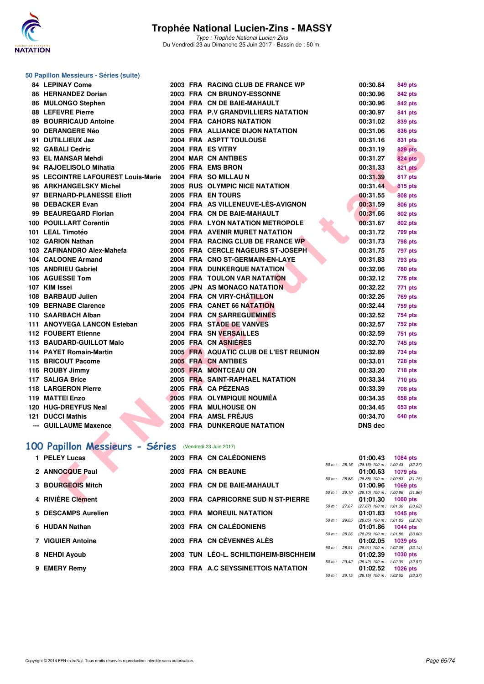

Type : Trophée National Lucien-Zins Du Vendredi 23 au Dimanche 25 Juin 2017 - Bassin de : 50 m.

#### **50 Papillon Messieurs - Séries (suite)**

| <b>84 LEPINAY Come</b>                                 |  | 2003 FRA RACING CLUB DE FRANCE WP      |             | 00:30.84       | 849 pts                                         |
|--------------------------------------------------------|--|----------------------------------------|-------------|----------------|-------------------------------------------------|
| 86 HERNANDEZ Dorian                                    |  | 2003 FRA CN BRUNOY-ESSONNE             |             | 00:30.96       | 842 pts                                         |
| 86 MULONGO Stephen                                     |  | 2004 FRA CN DE BAIE-MAHAULT            |             | 00:30.96       | 842 pts                                         |
| <b>88 LEFEVRE Pierre</b>                               |  | 2003 FRA P.V GRANDVILLIERS NATATION    |             | 00:30.97       | 841 pts                                         |
| <b>89 BOURRICAUD Antoine</b>                           |  | 2004 FRA CAHORS NATATION               |             | 00:31.02       | 839 pts                                         |
| 90 DERANGERE Néo                                       |  | 2005 FRA ALLIANCE DIJON NATATION       |             | 00:31.06       | 836 pts                                         |
| 91 DUTILLIEUX Jaz                                      |  | 2004 FRA ASPTT TOULOUSE                |             | 00:31.16       | 831 pts                                         |
| 92 GABALI Cedric                                       |  | 2004 FRA ES VITRY                      |             | 00:31.19       | <b>829 pts</b>                                  |
| 93 EL MANSAR Mehdi                                     |  | 2004 MAR CN ANTIBES                    |             | 00:31.27       | <b>824 pts</b>                                  |
| 94 RAJOELISOLO Mihatia                                 |  | 2005 FRA EMS BRON                      |             | 00:31.33       | <b>821 pts</b>                                  |
| 95 LECOINTRE LAFOUREST Louis-Marie                     |  | 2004 FRA SO MILLAU N                   |             | 00:31.39       | 817 pts                                         |
| 96 ARKHANGELSKY Michel                                 |  | 2005 RUS OLYMPIC NICE NATATION         |             | 00:31.44       | <b>815 pts</b>                                  |
| 97 BERNARD-PLANESSE Eliott                             |  | 2005 FRA EN TOURS                      |             | 00:31.55       | <b>808 pts</b>                                  |
| 98 DEBACKER Evan                                       |  | 2004 FRA AS VILLENEUVE-LÈS-AVIGNON     |             | 00:31.59       | 806 pts                                         |
| 99 BEAUREGARD Florian                                  |  | 2004 FRA CN DE BAIE-MAHAULT            |             | 00:31.66       | <b>802 pts</b>                                  |
| 100 POUILLART Corentin                                 |  | 2005 FRA LYON NATATION METROPOLE       |             | 00:31.67       | 802 pts                                         |
| 101 LEAL Timotéo                                       |  | <b>2004 FRA AVENIR MURET NATATION</b>  |             | 00:31.72       | 799 pts                                         |
| 102 GARION Nathan                                      |  | 2004 FRA RACING CLUB DE FRANCE WP      |             | 00:31.73       | 798 pts                                         |
| 103 ZAFINANDRO Alex-Mahefa                             |  | 2005 FRA CERCLE NAGEURS ST-JOSEPH      |             | 00:31.75       | <b>797 pts</b>                                  |
| 104 CALOONE Armand                                     |  | 2004 FRA CNO ST-GERMAIN-EN-LAYE        |             | 00:31.83       | 793 pts                                         |
| 105 ANDRIEU Gabriel                                    |  | <b>2004 FRA DUNKERQUE NATATION</b>     |             | 00:32.06       | <b>780 pts</b>                                  |
| 106 AGUESSE Tom                                        |  | 2005 FRA TOULON VAR NATATION           |             | 00:32.12       | 776 pts                                         |
| 107 KIM Issei                                          |  | 2005 JPN AS MONACO NATATION            |             | 00:32.22       | 771 pts                                         |
| 108 BARBAUD Julien                                     |  | 2004 FRA CN VIRY-CHÂTILLON             |             | 00:32.26       | <b>769 pts</b>                                  |
| 109 BERNABE Clarence                                   |  | 2005 FRA CANET 66 NATATION             |             | 00:32.44       | 759 pts                                         |
| 110 SAARBACH Alban                                     |  | 2004 FRA CN SARREGUEMINES              |             | 00:32.52       | <b>754 pts</b>                                  |
| 111 ANOYVEGA LANCON Esteban                            |  | 2005 FRA STADE DE VANVES               |             | 00:32.57       | <b>752 pts</b>                                  |
| 112 FOUBERT Etienne                                    |  | 2004 FRA SN VERSAILLES                 |             | 00:32.59       | <b>751 pts</b>                                  |
| 113 BAUDARD-GUILLOT Malo                               |  | 2005 FRA CN ASNIERES                   |             | 00:32.70       | 745 pts                                         |
| 114 PAYET Romain-Martin                                |  | 2005 FRA AQUATIC CLUB DE L'EST REUNION |             | 00:32.89       | 734 pts                                         |
| 115 BRICOUT Pacome                                     |  | 2005 FRA CN ANTIBES                    |             | 00:33.01       | <b>728 pts</b>                                  |
| 116 ROUBY Jimmy                                        |  | 2005 FRA MONTCEAU ON                   |             | 00:33.20       | <b>718 pts</b>                                  |
| 117 SALIGA Brice                                       |  | 2005 FRA SAINT-RAPHAEL NATATION        |             | 00:33.34       | <b>710 pts</b>                                  |
| <b>118 LARGERON Pierre</b>                             |  | 2005 FRA CA PÉZENAS                    |             | 00:33.39       | <b>708 pts</b>                                  |
| 119 MATTEI Enzo                                        |  | 2005 FRA OLYMPIQUE NOUMÉA              |             | 00:34.35       | 658 pts                                         |
| 120 HUG-DREYFUS Neal                                   |  | 2005 FRA MULHOUSE ON                   |             | 00:34.45       | 653 pts                                         |
| <b>121 DUCCI Mathis</b>                                |  | 2004 FRA AMSL FRÉJUS                   |             | 00:34.70       | <b>640 pts</b>                                  |
| --- GUILLAUME Maxence                                  |  | <b>2003 FRA DUNKERQUE NATATION</b>     |             | <b>DNS dec</b> |                                                 |
|                                                        |  |                                        |             |                |                                                 |
| 00 Papillon Messieurs - Séries (Vendredi 23 Juin 2017) |  |                                        |             |                |                                                 |
| 1 PELEY Lucas                                          |  | 2003 FRA CN CALÉDONIENS                |             | 01:00.43       | 1084 pts                                        |
| 2 ANNOCQUE Paul                                        |  | 2003 FRA CN BEAUNE                     | 50 m: 28.16 | 01:00.63       | $(28.16)$ 100 m : 1:00.43 $(32.27)$<br>1079 pts |
|                                                        |  |                                        | 50 m: 28.88 |                | $(28.88)$ 100 m : 1:00.63 $(31.75)$             |
| 3 BOURGEOIS Mitch                                      |  | 2003 FRA CN DE BAIE-MAHAULT            |             | 01:00.96       | 1069 pts                                        |
| 4 RIVIÈRE Clément                                      |  | 2003 FRA CAPRICORNE SUD N ST-PIERRE    | 50 m: 29.10 | 01:01.30       | $(29.10)$ 100 m : 1:00.96 $(31.86)$<br>1060 pts |
|                                                        |  |                                        |             |                |                                                 |

# **[100 Papillon Messieurs - Séries](http://www.ffnatation.fr/webffn/resultats.php?idact=nat&go=epr&idcpt=47287&idepr=82)** (Vendredi 23 Juin 2017)

| 1 PELEY Lucas            | 2003 FRA CN CALÉDONIENS                |              | 01:00.43<br>1084 pts                                   |
|--------------------------|----------------------------------------|--------------|--------------------------------------------------------|
|                          |                                        | 50 m: 28.16  | (28.16) 100 m : 1:00.43 (32.27)                        |
| 2 ANNOCQUE Paul          | 2003 FRA CN BEAUNE                     |              | 01:00.63<br>1079 pts                                   |
|                          |                                        | 50 m: 28.88  | (28.88) 100 m: 1:00.63 (31.75)                         |
| 3 BOURGEOIS Mitch        | 2003 FRA CN DE BAIE-MAHAULT            |              | 01:00.96<br>1069 pts                                   |
|                          |                                        | 50 m: 29.10  | (29.10) 100 m: 1:00.96 (31.86)                         |
| 4 RIVIÈRE Clément        | 2003 FRA CAPRICORNE SUD N ST-PIERRE    |              | 01:01.30<br><b>1060 pts</b>                            |
| 5 DESCAMPS Aurelien      | <b>2003 FRA MOREUIL NATATION</b>       | 50 m: 27.67  | $(27.67)$ 100 m : 1:01.30 $(33.63)$                    |
|                          |                                        | 50 m : 29.05 | 01:01.83<br>1045 pts<br>(29.05) 100 m: 1:01.83 (32.78) |
| 6 HUDAN Nathan           | 2003 FRA CN CALÉDONIENS                |              | $01:01.86$ 1044 pts                                    |
|                          |                                        | 50 m : 28.26 | $(28.26)$ 100 m : 1:01.86 $(33.60)$                    |
| <b>7 VIGUIER Antoine</b> | 2003 FRA CN CÉVENNES ALÈS              |              | 01:02.05<br>1039 pts                                   |
|                          |                                        | 50 m: 28.91  | $(28.91)$ 100 m : 1:02.05 $(33.14)$                    |
| 8 NEHDI Ayoub            | 2003 TUN LÉO-L. SCHILTIGHEIM-BISCHHEIM |              | 01:02.39<br>1030 pts                                   |
|                          |                                        | 50 m: 29.42  | (29.42) 100 m : 1:02.39 (32.97)                        |
| 9 EMERY Remy             | 2003 FRA A.C SEYSSINETTOIS NATATION    |              | 01:02.52<br>1026 pts                                   |
|                          |                                        | 50 m : 29.15 | (29.15) 100 m : 1:02.52 (33.37)                        |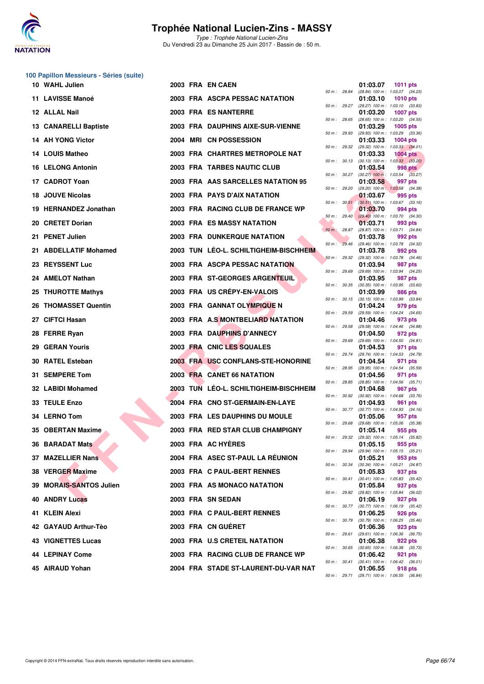

Type : Trophée National Lucien-Zins Du Vendredi 23 au Dimanche 25 Juin 2017 - Bassin de : 50 m.

#### **100 Papillon Messieurs - Séries (suite)**

| 10 WAHL Julien            |  | 2003 FRA EN CAEN                       |              |              | 01:03.07 | 1011 pts                                              |
|---------------------------|--|----------------------------------------|--------------|--------------|----------|-------------------------------------------------------|
| 11 LAVISSE Manoé          |  | 2003 FRA ASCPA PESSAC NATATION         | 50 m : 28.84 |              | 01:03.10 | (28.84) 100 m: 1:03.07 (34.23)<br><b>1010 pts</b>     |
| 12 ALLAL Nail             |  | 2003 FRA ES NANTERRE                   | 50 m : 29.27 |              | 01:03.20 | (29.27) 100 m: 1:03.10 (33.83)<br><b>1007 pts</b>     |
| 13 CANARELLI Baptiste     |  | 2003 FRA DAUPHINS AIXE-SUR-VIENNE      | 50 m : 28.65 |              | 01:03.29 | (28.65) 100 m : 1:03.20 (34.55)<br>1005 pts           |
| 14 AH YONG Victor         |  | 2004 MRI CN POSSESSION                 | 50 m : 29.93 |              | 01:03.33 | (29.93) 100 m: 1:03.29 (33.36)<br><b>1004 pts</b>     |
| 14 LOUIS Matheo           |  | 2003 FRA CHARTRES METROPOLE NAT        |              | 50 m : 29.32 | 01:03.33 | $(29.32)$ 100 m : 1:03.33 $(34.01)$<br>$1004$ pts     |
| <b>16 LELONG Antonin</b>  |  | 2003 FRA TARBES NAUTIC CLUB            |              | 50 m : 30.13 | 01:03.54 | $(30.13)$ 100 m : 1:03.33 $(33.20)$<br>998 pts        |
| 17 CADROT Yoan            |  | 2003 FRA AAS SARCELLES NATATION 95     |              | 50 m: 30.27  | 01:03.58 | $(30.27)$ 100 m : 1:03.54 $(33.27)$<br>997 pts        |
| <b>18 JOUVE Nicolas</b>   |  | 2003 FRA PAYS D'AIX NATATION           | 50 m: 29.20  |              | 01:03.67 | (29.20) 100 m: 1:03.58 (34.38)<br>995 pts             |
| 19 HERNANDEZ Jonathan     |  | 2003 FRA RACING CLUB DE FRANCE WP      |              | 50 m: 30.51  | 01:03.70 | $(30.51)$ 100 m : 1:03.67 $(33.16)$<br>994 pts        |
| 20 CRETET Dorian          |  | <b>2003 FRA ES MASSY NATATION</b>      |              | 50 m: 29.40  | 01:03.71 | $(29.40)$ 100 m : 1:03.70 $(34.30)$<br>993 pts        |
| 21 PENET Julien           |  | <b>2003 FRA DUNKERQUE NATATION</b>     | 50 m: 28.87  |              | 01:03.78 | (28.87) 100 m: 1:03.71 (34.84)<br>992 pts             |
| 21 ABDELLATIF Mohamed     |  | 2003 TUN LEO-L. SCHILTIGHEIM-BISCHHEIM | 50 m: 29.46  |              | 01:03.78 | (29.46) 100 m: 1:03.78 (34.32)                        |
|                           |  | 2003 FRA ASCPA PESSAC NATATION         | 50 m: 29.32  |              |          | 992 pts<br>(29.32) 100 m: 1:03.78 (34.46)             |
| 23 REYSSENT Luc           |  |                                        | 50 m : 29.69 |              | 01:03.94 | 987 pts<br>(29.69) 100 m: 1:03.94 (34.25)             |
| 24 AMELOT Nathan          |  | 2003 FRA ST-GEORGES ARGENTEUIL         | 50 m : 30.35 |              | 01:03.95 | 987 pts<br>$(30.35)$ 100 m : 1:03.95 $(33.60)$        |
| 25 THUROTTE Mathys        |  | 2003 FRA US CRÉPY-EN-VALOIS            |              | 50 m : 30.15 | 01:03.99 | 986 pts<br>$(30.15)$ 100 m : 1:03.99 $(33.84)$        |
| 26 THOMASSET Quentin      |  | <b>2003 FRA GANNAT OLYMPIQUE N</b>     |              | 50 m : 29.59 | 01:04.24 | 979 pts<br>(29.59) 100 m: 1:04.24 (34.65)             |
| 27 CIFTCI Hasan           |  | 2003 FRA A.S MONTBELIARD NATATION      | 50 m : 29.58 |              | 01:04.46 | 973 pts<br>(29.58) 100 m: 1:04.46 (34.88)             |
| 28 FERRE Ryan             |  | 2003 FRA DAUPHINS D'ANNECY             | 50 m : 29.69 |              | 01:04.50 | 972 pts<br>$(29.69)$ 100 m : 1:04.50 $(34.81)$        |
| 29 GERAN Youris           |  | 2003 FRA CNIC LES SQUALES              | 50 m : 29.74 |              | 01:04.53 | 971 pts<br>(29.74) 100 m: 1:04.53 (34.79)             |
| 30 RATEL Esteban          |  | 2003 FRA USC CONFLANS-STE-HONORINE     | 50 m : 28.95 |              | 01:04.54 | 971 pts<br>(28.95) 100 m : 1:04.54 (35.59)            |
| 31 SEMPERE Tom            |  | 2003 FRA CANET 66 NATATION             |              | 50 m : 28.85 | 01:04.56 | 971 pts<br>$(28.85)$ 100 m : 1:04.56 $(35.71)$        |
| 32 LABIDI Mohamed         |  | 2003 TUN LEO-L. SCHILTIGHEIM-BISCHHEIM |              | 50 m : 30.92 | 01:04.68 | 967 pts<br>$(30.92)$ 100 m : 1:04.68 $(33.76)$        |
| 33 TEULE Enzo             |  | 2004 FRA CNO ST-GERMAIN-EN-LAYE        |              |              | 01:04.93 | 961 pts<br>50 m: 30.77 (30.77) 100 m: 1:04.93 (34.16) |
| 34 LERNO Tom              |  | <b>2003 FRA LES DAUPHINS DU MOULE</b>  | 50 m : 29.68 |              | 01:05.06 | 957 pts<br>$(29.68)$ 100 m : 1:05.06 $(35.38)$        |
| 35 OBERTAN Maxime         |  | 2003 FRA RED STAR CLUB CHAMPIGNY       |              |              | 01:05.14 | 955 pts                                               |
| <b>36 BARADAT Mats</b>    |  | 2003 FRA AC HYÈRES                     | 50 m : 29.32 |              | 01:05.15 | (29.32) 100 m: 1:05.14 (35.82)<br>955 pts             |
| 37 MAZELLIER Nans         |  | 2004 FRA ASEC ST-PAUL LA RÉUNION       |              | 50 m : 29.94 | 01:05.21 | (29.94) 100 m: 1:05.15 (35.21)<br>953 pts             |
| 38 VERGER Maxime          |  | 2003 FRA C PAUL-BERT RENNES            |              | 50 m : 30.34 | 01:05.83 | (30.34) 100 m: 1:05.21 (34.87)<br>937 pts             |
| 39 MORAIS-SANTOS Julien   |  | 2003 FRA AS MONACO NATATION            |              | 50 m : 30.41 | 01:05.84 | $(30.41)$ 100 m : 1:05.83 $(35.42)$<br>937 pts        |
| 40 ANDRY Lucas            |  | 2003 FRA SN SEDAN                      |              | 50 m : 29.82 | 01:06.19 | (29.82) 100 m : 1:05.84 (36.02)<br>927 pts            |
| 41 KLEIN Alexi            |  | 2003 FRA C PAUL-BERT RENNES            |              | 50 m : 30.77 | 01:06.25 | (30.77) 100 m : 1:06.19 (35.42)<br>926 pts            |
| 42 GAYAUD Arthur-Tèo      |  | 2003 FRA CN GUERET                     | 50 m : 30.79 |              | 01:06.36 | $(30.79)$ 100 m : 1:06.25 $(35.46)$<br>923 pts        |
| <b>43 VIGNETTES Lucas</b> |  | 2003 FRA U.S CRETEIL NATATION          |              | 50 m : 29.61 | 01:06.38 | (29.61) 100 m: 1:06.36 (36.75)<br>922 pts             |
| 44 LEPINAY Come           |  | 2003 FRA RACING CLUB DE FRANCE WP      |              | 50 m : 30.65 | 01:06.42 | $(30.65)$ 100 m : 1:06.38 $(35.73)$<br>921 pts        |
| 45 AIRAUD Yohan           |  | 2004 FRA STADE ST-LAURENT-DU-VAR NAT   |              | 50 m : 30.41 | 01:06.55 | $(30.41)$ 100 m : 1:06.42 $(36.01)$<br>918 pts        |
|                           |  |                                        |              |              |          |                                                       |

|          |       | 01:03.07                      | 1011 pts                              |
|----------|-------|-------------------------------|---------------------------------------|
| 50 m :   | 28.84 | $(28.84) 100 m$ :             | 1:03.07<br>(34.23)                    |
|          |       | 01:03.10                      | <b>1010 pts</b>                       |
| $50 m$ : | 29.27 | (29.27) 100 m :<br>01:03.20   | 1:03.10<br>(33.83)<br>1007 pts        |
| $50 m$ : | 28.65 | (28.65) 100 m :               | 1:03.20<br>(34.55)                    |
|          |       | 01:03.29                      | 1005 pts                              |
| $50 m$ : | 29.93 | (29.93) 100 m :               | 1:03.29<br>(33.36)                    |
|          |       | 01:03.33                      | 1004 pts                              |
| 50 m :   | 29.32 | (29.32) 100 m :               | 1:03.33<br>(34.01)                    |
| $50 m$ : | 30.13 | 01:03.33<br>$(30.13) 100 m$ : | <b>1004 pts</b><br>1:03.33<br>(33.20) |
|          |       | 01:03.54                      | <b>998 pts</b>                        |
| $50 m$ : | 30.27 | $(30.27)$ 100 m :             | 1:03.54<br>(33.27)                    |
|          |       | 01:03.58                      | 997 pts                               |
| $50 m$ : | 29.20 | $(29.20)$ 100 m :             | 1:03.58<br>(34.38)                    |
| $50 m$ : | 30.51 | 01:03.67                      | 995 pts                               |
|          |       | $(30.51)$ 100 m :<br>01:03.70 | 1:03.67<br>(33.16)<br>994 pts         |
| $50 m$ : | 29.40 | $(29.40)$ 100 m :             | 1:03.70<br>(34.30)                    |
|          |       | 01:03.71                      | 993 pts                               |
| $50 m$ : | 28.87 | (28.87) 100 m :               | 1:03.71<br>(34.84)                    |
|          |       | 01:03.78                      | 992 pts                               |
| $50 m$ : | 29.46 | $(29.46) 100 m$ :             | 1:03.78<br>(34.32)                    |
| $50 m$ : | 29.32 | 01:03.78<br>(29.32) 100 m :   | 992 pts<br>1:03.78<br>(34.46)         |
|          |       | 01:03.94                      | 987 pts                               |
| $50 m$ : | 29.69 | (29.69) 100 m :               | 1:03.94<br>(34.25)                    |
|          |       | 01:03.95                      | 987 pts                               |
| $50 m$ : | 30.35 | $(30.35)$ 100 m :             | 1:03.95<br>(33.60)                    |
|          | 30.15 | 01:03.99                      | 986 pts                               |
| $50 m$ : |       | $(30.15) 100 m$ :<br>01:04.24 | 1:03.99<br>(33.84)<br>979 pts         |
| $50 m$ : | 29.59 | (29.59) 100 m :               | 1:04.24<br>(34.65)                    |
|          |       | 01:04.46                      | 973 pts                               |
| $50 m$ : | 29.58 | $(29.58) 100 m$ :             | 1:04.46<br>(34.88)                    |
|          |       | 01:04.50                      | 972 pts                               |
| $50 m$ : | 29.69 | (29.69) 100 m :               | 1:04.50<br>(34.81)                    |
| $50 m$ : | 29.74 | 01:04.53<br>(29.74) 100 m :   | 971 pts<br>1:04.53<br>(34.79)         |
|          |       | 01:04.54                      | 971<br>pts                            |
| $50 m$ : | 28.95 | (28.95) 100 m :               | 1:04.54<br>(35.59)                    |
|          |       | 01:04.56                      | 971<br>pts                            |
| $50 m$ : | 28.85 | (28.85) 100 m :               | 1:04.56<br>(35.71)                    |
| $50 m$ : | 30.92 | 01:04.68<br>$(30.92)$ 100 m : | 967 pts<br>1:04.68<br>(33.76)         |
|          |       | 01:04.93                      | <b>961 pts</b>                        |
| $50 m$ : | 30.77 | $(30.77)$ 100 m :             | 1:04.93<br>(34.16)                    |
|          |       | 01:05.06                      | 957 pts                               |
| $50 m$ : | 29.68 | $(29.68) 100 m$ :             | 1:05.06<br>(35.38)                    |
| $50 m$ : | 29.32 | 01:05.14<br>(29.32) 100 m :   | 955 pts<br>1:05.14<br>(35.82)         |
|          |       | 01:05.15                      | 955 pts                               |
| $50 m$ : | 29.94 | (29.94) 100 m :               | 1:05.15<br>(35.21)                    |
|          |       | 01:05.21                      | 953 pts                               |
| $50 m$ : | 30.34 | $(30.34) 100 m$ :             | 1:05.21<br>(34.87)                    |
| $50 m$ : | 30.41 | 01:05.83<br>$(30.41)$ 100 m : | 937 pts<br>1:05.83<br>(35.42)         |
|          |       | 01:05.84                      | 937 pts                               |
| $50 m$ : | 29.82 | (29.82) 100 m :               | 1:05.84<br>(36.02)                    |
|          |       | 01:06.19                      | 927 pts                               |
| $50 m$ : | 30.77 | (30.77) 100 m :               | 1:06.19<br>(35.42)                    |
| $50 m$ : | 30.79 | 01:06.25<br>$(30.79)$ 100 m : | 926 pts                               |
|          |       | 01:06.36                      | 1:06.25<br>(35.46)<br>923 pts         |
| $50 m$ : | 29.61 | (29.61) 100 m :               | 1:06.36<br>(36.75)                    |
|          |       | 01:06.38                      | 922 pts                               |
| $50 m$ : | 30.65 | $(30.65)$ 100 m :             | 1:06.38<br>(35.73)                    |
|          |       | 01:06.42                      | 921 pts                               |
| $50 m$ : | 30.41 | (30.41) 100 m :<br>01:06.55   | 1:06.42<br>(36.01)<br>918 pts         |
| 50 m :   | 29.71 | $(29.71)$ 100 m :             | 1:06.55 (36.84)                       |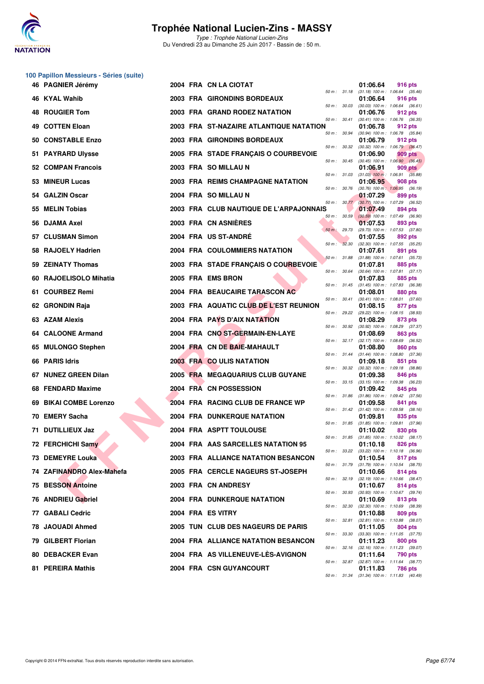

|     | 100 Papillon Messieurs - Séries (suite) |  |                                         |              |                                                          |         |
|-----|-----------------------------------------|--|-----------------------------------------|--------------|----------------------------------------------------------|---------|
|     | 46 PAGNIER Jérémy                       |  | 2004 FRA CN LA CIOTAT                   |              | 01:06.64<br>50 m: 31.18 (31.18) 100 m: 1:06.64 (35.46)   | 916 pts |
|     | 46 KYAL Wahib                           |  | 2003 FRA GIRONDINS BORDEAUX             | 50 m: 30.03  | 01:06.64<br>$(30.03)$ 100 m : 1:06.64 $(36.61)$          | 916 pts |
| 48  | <b>ROUGIER Tom</b>                      |  | 2003 FRA GRAND RODEZ NATATION           | 50 m: 30.41  | 01:06.76                                                 | 912 pts |
|     | 49 COTTEN Eloan                         |  | 2003 FRA ST-NAZAIRE ATLANTIQUE NATATION |              | $(30.41)$ 100 m : 1:06.76 $(36.35)$<br>01:06.78          | 912 pts |
|     | 50 CONSTABLE Enzo                       |  | 2003 FRA GIRONDINS BORDEAUX             | 50 m : 30.94 | (30.94) 100 m: 1:06.78 (35.84)<br>01:06.79               | 912 pts |
|     | 51 PAYRARD Ulysse                       |  | 2005 FRA STADE FRANÇAIS O COURBEVOIE    | 50 m: 30.32  | $(30.32)$ 100 m : 1:06.79 $(36.47)$<br>01:06.90          | 909 pts |
|     | 52 COMPAN Francois                      |  | 2003 FRA SO MILLAU N                    | 50 m : 30.45 | $(30.45)$ 100 m : 1:06.90 $(36.45)$<br>01:06.91          | 909 pts |
|     | 53 MINEUR Lucas                         |  | 2003 FRA REIMS CHAMPAGNE NATATION       | 50 m : 31.03 | $(31.03)$ 100 m : 1:06.91 $(35.88)$<br>01:06.95          | 908 pts |
|     | 54 GALZIN Oscar                         |  | 2004 FRA SO MILLAU N                    | 50 m: 30.76  | $(30.76)$ 100 m : 1:06.95 $(36.19)$<br>01:07.29          | 899 pts |
| 55  | <b>MELIN Tobias</b>                     |  | 2003 FRA CLUB NAUTIQUE DE L'ARPAJONNAIS | 50 m: 30.77  | (30.77) 100 m : 1:07.29 (36.52)<br>01:07.49              | 894 pts |
|     | 56 DJAMA Axel                           |  | 2003 FRA CN ASNIERES                    | 50 m : 30.59 | $(30.59)$ 100 m : 1:07.49 $(36.90)$<br>01:07.53          | 893 pts |
| 57  | <b>CLUSMAN Simon</b>                    |  | 2004 FRA US ST-ANDRE                    | 50 m: 29.73  | (29.73) 100 m: 1:07.53 (37.80)<br>01:07.55               | 892 pts |
|     | 58 RAJOELY Hadrien                      |  | 2004 FRA COULOMMIERS NATATION           | 50 m : 32.30 | (32.30) 100 m: 1:07.55 (35.25)<br>01:07.61               | 891 pts |
| 59. | <b>ZEINATY Thomas</b>                   |  | 2003 FRA STADE FRANÇAIS O COURBEVOIE    | 50 m: 31.88  | $(31.88)$ 100 m : 1:07.61 $(35.73)$<br>01:07.81          | 885 pts |
|     | 60 RAJOELISOLO Mihatia                  |  | 2005 FRA EMS BRON                       | 50 m : 30.64 | $(30.64)$ 100 m : 1:07.81 $(37.17)$<br>01:07.83          | 885 pts |
|     | 61 COURBEZ Remi                         |  | 2004 FRA BEAUCAIRE TARASCON AC          | 50 m: 31.45  | $(31.45)$ 100 m : 1:07.83 $(36.38)$<br>01:08.01          | 880 pts |
|     | 62 GRONDIN Raja                         |  | 2003 FRA AQUATIC CLUB DE L'EST REUNION  | 50 m : 30.41 | $(30.41)$ 100 m : 1:08.01 $(37.60)$<br>01:08.15          | 877 pts |
|     | 63 AZAM Alexis                          |  | 2004 FRA PAYS D'AIX NATATION            | 50 m: 29.22  | (29.22) 100 m : 1:08.15 (38.93)<br>01:08.29              | 873 pts |
|     | 64 CALOONE Armand                       |  | 2004 FRA CNO ST-GERMAIN-EN-LAYE         | 50 m : 30.92 | (30.92) 100 m: 1:08.29 (37.37)<br>01:08.69               | 863 pts |
|     | 65 MULONGO Stephen                      |  | 2004 FRA CN DE BAIE-MAHAULT             |              | 50 m: 32.17 (32.17) 100 m: 1:08.69 (36.52)<br>01:08.80   | 860 pts |
|     | 66 PARIS Idris                          |  | 2003 FRA COULIS NATATION                | 50 m : 31.44 | $(31.44)$ 100 m : 1:08.80 $(37.36)$<br>01:09.18          | 851 pts |
|     | 67 NUNEZ GREEN Dilan                    |  | 2005 FRA MEGAQUARIUS CLUB GUYANE        | 50 m : 30.32 | $(30.32)$ 100 m : 1:09.18 $(38.86)$<br>01:09.38          |         |
|     | 68 FENDARD Maxime                       |  | 2004 FRA CN POSSESSION                  | 50 m : 33.15 | (33.15) 100 m: 1:09.38 (36.23)                           | 846 pts |
|     |                                         |  |                                         | 50 m : 31.86 | 01:09.42<br>$(31.86)$ 100 m : 1:09.42 $(37.56)$          | 845 pts |
| 69  | <b>BIKAI COMBE Lorenzo</b>              |  | 2004 FRA RACING CLUB DE FRANCE WP       |              | 01:09.58<br>50 m: 31.42 (31.42) 100 m: 1:09.58 (38.16)   | 841 pts |
|     | 70 EMERY Sacha                          |  | <b>2004 FRA DUNKERQUE NATATION</b>      | 50 m : 31.85 | 01:09.81<br>$(31.85)$ 100 m : 1:09.81 $(37.96)$          | 835 pts |
|     | 71 DUTILLIEUX Jaz                       |  | 2004 FRA ASPTT TOULOUSE                 |              | 01:10.02<br>50 m : 31.85 (31.85) 100 m : 1:10.02 (38.17) | 830 pts |
|     | 72 FERCHICHI Samy                       |  | 2004 FRA AAS SARCELLES NATATION 95      |              | 01:10.18<br>50 m: 33.22 (33.22) 100 m: 1:10.18 (36.96)   | 826 pts |
|     | 73 DEMEYRE Louka                        |  | 2003 FRA ALLIANCE NATATION BESANCON     | 50 m : 31.79 | 01:10.54<br>$(31.79)$ 100 m : 1:10.54 $(38.75)$          | 817 pts |
|     | 74 ZAFINANDRO Alex-Mahefa               |  | 2005 FRA CERCLE NAGEURS ST-JOSEPH       | 50 m: 32.19  | 01:10.66<br>(32.19) 100 m: 1:10.66 (38.47)               | 814 pts |
|     | <b>75 BESSON Antoine</b>                |  | 2003 FRA CN ANDRESY                     | 50 m : 30.93 | 01:10.67<br>(30.93) 100 m: 1:10.67 (39.74)               | 814 pts |
|     | 76 ANDRIEU Gabriel                      |  | <b>2004 FRA DUNKERQUE NATATION</b>      | 50 m : 32.30 | 01:10.69<br>$(32.30)$ 100 m : 1:10.69 $(38.39)$          | 813 pts |
|     | 77 GABALI Cedric                        |  | 2004 FRA ES VITRY                       | 50 m : 32.81 | 01:10.88<br>(32.81) 100 m: 1:10.88 (38.07)               | 809 pts |
|     | <b>78 JAOUADI Ahmed</b>                 |  | 2005 TUN CLUB DES NAGEURS DE PARIS      | 50 m : 33.30 | 01:11.05<br>$(33.30)$ 100 m : 1:11.05 $(37.75)$          | 804 pts |
|     | 79 GILBERT Florian                      |  | 2004 FRA ALLIANCE NATATION BESANCON     |              | 01:11.23                                                 | 800 pts |
|     | 80 DEBACKER Evan                        |  | 2004 FRA AS VILLENEUVE-LES-AVIGNON      | 50 m : 32.16 | (32.16) 100 m: 1:11.23 (39.07)<br>01:11.64               | 790 pts |
|     | 81 PEREIRA Mathis                       |  | 2004 FRA CSN GUYANCOURT                 | 50 m : 32.87 | (32.87) 100 m: 1:11.64 (38.77)<br>01:11.83               | 786 pts |
|     |                                         |  |                                         |              | 50 m: 31.34 (31.34) 100 m: 1:11.83 (40.49)               |         |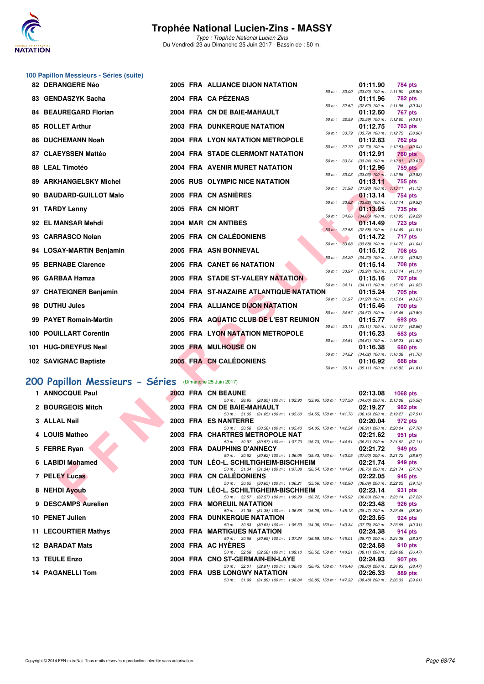

Type : Trophée National Lucien-Zins Du Vendredi 23 au Dimanche 25 Juin 2017 - Bassin de : 50 m.

# **100 Papillon Messieurs - Séries (suite)**

| 82 DERANGERE Néo                |  | 2005 FRA ALLIANCE DIJON NATATION                                                                                                   |              |       | 01:11.90                                               | 784 pts         |  |
|---------------------------------|--|------------------------------------------------------------------------------------------------------------------------------------|--------------|-------|--------------------------------------------------------|-----------------|--|
|                                 |  | 2004 FRA CA PÉZENAS                                                                                                                |              |       | 50 m: 33.00 (33.00) 100 m: 1:11.90 (38.90)             |                 |  |
| 83 GENDASZYK Sacha              |  |                                                                                                                                    | 50 m: 32.62  |       | 01:11.96<br>$(32.62)$ 100 m : 1:11.96 $(39.34)$        | <b>782 pts</b>  |  |
| 84 BEAUREGARD Florian           |  | 2004 FRA CN DE BAIE-MAHAULT                                                                                                        |              |       | 01:12.60                                               | <b>767 pts</b>  |  |
| 85 ROLLET Arthur                |  | <b>2003 FRA DUNKERQUE NATATION</b>                                                                                                 |              |       | 50 m: 32.59 (32.59) 100 m: 1:12.60 (40.01)<br>01:12.75 | 763 pts         |  |
|                                 |  |                                                                                                                                    | 50 m : 33.79 |       | $(33.79)$ 100 m : 1:12.75 $(38.96)$                    |                 |  |
| 86 DUCHEMANN Noah               |  | 2004 FRA LYON NATATION METROPOLE                                                                                                   | 50 m : 32.79 |       | 01:12.83<br>$(32.79)$ 100 m : 1:12.83 $(40.04)$        | 762 pts         |  |
| 87 CLAEYSSEN Mattéo             |  | 2004 FRA STADE CLERMONT NATATION                                                                                                   |              |       | 01:12.91                                               | <b>760 pts</b>  |  |
| 88 LEAL Timotéo                 |  | 2004 FRA AVENIR MURET NATATION                                                                                                     | 50 m : 33.24 |       | $(33.24)$ 100 m : 1:12.91 $(39.67)$<br>01:12.96        | <b>759 pts</b>  |  |
| <b>89 ARKHANGELSKY Michel</b>   |  | 2005 RUS OLYMPIC NICE NATATION                                                                                                     | 50 m: 33.03  |       | $(33.03)$ 100 m : 1:12.96 $(39.93)$<br>01:13.11        | 755 pts         |  |
|                                 |  |                                                                                                                                    | 50 m : 31.98 |       | $(31.98)$ 100 m : 1:13.11 $(41.13)$                    |                 |  |
| 90 BAUDARD-GUILLOT Malo         |  | 2005 FRA CN ASNIERES                                                                                                               | 50 m: 33.62  |       | 01:13.14<br>(33.62) 100 m: 1:13.14 (39.52)             | 754 pts         |  |
| 91 TARDY Lenny                  |  | 2005 FRA CN NIORT                                                                                                                  |              |       | 01:13.95                                               | 735 pts         |  |
| 92 EL MANSAR Mehdi              |  | 2004 MAR CN ANTIBES                                                                                                                | 50 m: 34.66  |       | $(34.66)$ 100 m : 1:13.95 $(39.29)$                    |                 |  |
|                                 |  |                                                                                                                                    | 50 m: 32.58  |       | 01:14.49<br>(32.58) 100 m: 1:14.49 (41.91)             | <b>723 pts</b>  |  |
| 93 CARRASCO Nolan               |  | 2005 FRA CN CALÉDONIENS                                                                                                            |              |       | 01:14.72                                               | 717 pts         |  |
| 94 LOSAY-MARTIN Benjamin        |  | 2005 FRA ASN BONNEVAL                                                                                                              | $50 m$ :     | 33.68 | $(33.68)$ 100 m : 1:14.72 $(41.04)$<br>01:15.12        | <b>708 pts</b>  |  |
|                                 |  |                                                                                                                                    | 50 m : 34.20 |       | (34.20) 100 m: 1:15.12 (40.92)                         |                 |  |
| 95 BERNABE Clarence             |  | 2005 FRA CANET 66 NATATION                                                                                                         | 50 m: 33.97  |       | 01:15.14<br>(33.97) 100 m: 1:15.14 (41.17)             | 708 pts         |  |
| 96 GARBAA Hamza                 |  | <b>2005 FRA STADE ST-VALERY NATATION</b>                                                                                           |              |       | 01:15.16                                               | <b>707 pts</b>  |  |
| 97 CHATEIGNER Benjamin          |  | 2004 FRA ST-NAZAIRE ATLANTIQUE NATATION                                                                                            | 50 m : 34.11 |       | $(34.11)$ 100 m : 1:15.16 $(41.05)$<br>01:15.24        | 705 pts         |  |
|                                 |  |                                                                                                                                    | 50 m: 31.97  |       | (31.97) 100 m: 1:15.24 (43.27)                         |                 |  |
| 98 DUTHU Jules                  |  | 2004 FRA ALLIANCE DIJON NATATION                                                                                                   |              |       | 01:15.46                                               | 700 pts         |  |
| 99 PAYET Romain-Martin          |  | 2005 FRA AQUATIC CLUB DE L'EST REUNION                                                                                             |              |       | 50 m: 34.57 (34.57) 100 m: 1:15.46 (40.89)<br>01:15.77 | 693 pts         |  |
| 100 POUILLART Corentin          |  | 2005 FRA LYON NATATION METROPOLE                                                                                                   |              |       | 50 m: 33.11 (33.11) 100 m: 1:15.77 (42.66)             |                 |  |
|                                 |  |                                                                                                                                    |              |       | 01:16.23<br>50 m: 34.61 (34.61) 100 m: 1:16.23 (41.62) | 683 pts         |  |
| 101 HUG-DREYFUS Neal            |  | 2005 FRA MULHOUSE ON                                                                                                               |              |       | 01:16.38                                               | 680 pts         |  |
| 102 SAVIGNAC Baptiste           |  | 2005 FRA CN CALEDONIENS                                                                                                            |              |       | 50 m: 34.62 (34.62) 100 m: 1:16.38 (41.76)<br>01:16.92 | 668 pts         |  |
|                                 |  |                                                                                                                                    |              |       | 50 m: 35.11 (35.11) 100 m: 1:16.92 (41.81)             |                 |  |
| 200 Papillon Messieurs - Séries |  | (Dimanche 25 Juin 2017)                                                                                                            |              |       |                                                        |                 |  |
| 1 ANNOCQUE Paul                 |  | <b>2003 FRA CN BEAUNE</b>                                                                                                          |              |       | 02:13.08                                               | <b>1068 pts</b> |  |
| 2 BOURGEOIS Mitch               |  | 50 m: 28.95 (28.95) 100 m: 1:02.90 (33.95) 150 m: 1:37.50<br>2003 FRA CN DE BAIE-MAHAULT                                           |              |       | $(34.60)$ 200 m : 2:13.08 $(35.58)$<br>02:19.27        | 982 pts         |  |
|                                 |  | 50 m: 31.05 (31.05) 100 m: 1:05.60 (34.55) 150 m: 1:41.76                                                                          |              |       | $(36.16)$ 200 m : 2:19.27 $(37.51)$                    |                 |  |
| 3 ALLAL Nail                    |  | 2003 FRA ES NANTERRE                                                                                                               |              |       | 02:20.04                                               | 972 pts         |  |
| 4 LOUIS Matheo                  |  | 50 m: 30.58 (30.58) 100 m: 1:05.43 (34.85) 150 m: 1:42.34<br>2003 FRA CHARTRES METROPOLE NAT                                       |              |       | $(36.91)$ 200 m : 2:20.04 $(37.70)$<br>02:21.62        | 951 pts         |  |
|                                 |  | 50 m: 30.97 (30.97) 100 m: 1:07.70 (36.73) 150 m: 1:44.51 (36.81) 200 m: 2:21.62 (37.11)                                           |              |       |                                                        |                 |  |
| 5 FERRE Ryan                    |  | 2003 FRA DAUPHINS D'ANNECY<br>50 m: 30.62 (30.62) 100 m: 1:06.05 (35.43) 150 m: 1:43.05 (37.00) 200 m: 2:21.72 (38.67)             |              |       | 02:21.72                                               | 949 pts         |  |
| 6 LABIDI Mohamed                |  | 2003 TUN LEO-L. SCHILTIGHEIM-BISCHHEIM                                                                                             |              |       | 02:21.74                                               | 949 pts         |  |
| <b>7 PELEY Lucas</b>            |  | 50 m: 31.34 (31.34) 100 m: 1:07.88 (36.54) 150 m: 1:44.64 (36.76) 200 m: 2:21.74 (37.10)<br>2003 FRA CN CALÉDONIENS                |              |       | 02:22.05                                               | 945 pts         |  |
|                                 |  | 50 m: 30.65 (30.65) 100 m: 1:06.21 (35.56) 150 m: 1:42.90 (36.69) 200 m: 2:22.05 (39.15)                                           |              |       |                                                        |                 |  |
| 8 NEHDI Ayoub                   |  | 2003 TUN LEO-L. SCHILTIGHEIM-BISCHHEIM<br>50 m: 32.57 (32.57) 100 m: 1:09.29 (36.72) 150 m: 1:45.92 (36.63) 200 m: 2:23.14 (37.22) |              |       | 02:23.14                                               | 931 pts         |  |
| O DECOAMBO AUGUST               |  | 0000 FBA MOBELIU MATATIONI                                                                                                         |              |       | 00.00.80                                               | $000 - 1$       |  |

# **[200 Papillon Messieurs - Séries](http://www.ffnatation.fr/webffn/resultats.php?idact=nat&go=epr&idcpt=47287&idepr=83)** (Dimanche 25 Juin 2017)

| 1 ANNOCQUE Paul             |  | <b>2003 FRA CN BEAUNE</b>                                                                                                      | 02:13.08 1068 pts |                |  |
|-----------------------------|--|--------------------------------------------------------------------------------------------------------------------------------|-------------------|----------------|--|
|                             |  | 50 m: 28.95 (28.95) 100 m: 1:02.90 (33.95) 150 m: 1:37.50 (34.60) 200 m: 2:13.08 (35.58)                                       |                   |                |  |
| 2 BOURGEOIS Mitch           |  | 2003 FRA CN DE BAIE-MAHAULT                                                                                                    | 02:19.27          | 982 pts        |  |
|                             |  | 50 m: 31.05 (31.05) 100 m: 1:05.60 (34.55) 150 m: 1:41.76 (36.16) 200 m: 2:19.27 (37.51)                                       |                   |                |  |
| 3 ALLAL Nail                |  | 2003 FRA ES NANTERRE                                                                                                           | 02:20.04          | 972 pts        |  |
|                             |  | 50 m: 30.58 (30.58) 100 m: 1:05.43 (34.85) 150 m: 1:42.34 (36.91) 200 m: 2:20.04 (37.70)                                       |                   |                |  |
| 4 LOUIS Matheo              |  | 2003 FRA CHARTRES METROPOLE NAT                                                                                                | 02:21.62          | 951 pts        |  |
|                             |  | 50 m: 30.97 (30.97) 100 m: 1:07.70 (36.73) 150 m: 1:44.51 (36.81) 200 m: 2:21.62 (37.11)                                       |                   |                |  |
| 5 FERRE Ryan                |  | <b>2003 FRA DAUPHINS D'ANNECY</b>                                                                                              | 02:21.72          | 949 pts        |  |
|                             |  | 50 m: 30.62 (30.62) 100 m: 1:06.05 (35.43) 150 m: 1:43.05 (37.00) 200 m: 2:21.72 (38.67)                                       |                   |                |  |
| 6 LABIDI Mohamed            |  | 2003 TUN LEO-L.SCHILTIGHEIM-BISCHHEIM                                                                                          | 02:21.74          | 949 pts        |  |
| <b>7 PELEY Lucas</b>        |  | 50 m: 31.34 (31.34) 100 m: 1:07.88 (36.54) 150 m: 1:44.64 (36.76) 200 m: 2:21.74 (37.10)<br>2003 FRA CN CALEDONIENS            | 02:22.05          |                |  |
|                             |  | 50 m: 30.65 (30.65) 100 m: 1:06.21 (35.56) 150 m: 1:42.90 (36.69) 200 m: 2:22.05 (39.15)                                       |                   | 945 pts        |  |
| 8 NEHDI Ayoub               |  | 2003 TUN LEO-L. SCHILTIGHEIM-BISCHHEIM                                                                                         | 02:23.14          | 931 pts        |  |
|                             |  |                                                                                                                                |                   |                |  |
|                             |  |                                                                                                                                |                   |                |  |
|                             |  | 50 m: 32.57 (32.57) 100 m: 1:09.29 (36.72) 150 m: 1:45.92 (36.63) 200 m: 2:23.14 (37.22)                                       |                   |                |  |
| 9 DESCAMPS Aurelien         |  | <b>2003 FRA MOREUIL NATATION</b>                                                                                               | 02:23.48          | <b>926 pts</b> |  |
|                             |  | 50 m: 31.38 (31.38) 100 m: 1:06.66 (35.28) 150 m: 1:45.13 (38.47) 200 m: 2:23.48 (38.35)                                       |                   |                |  |
| 10 PENET Julien             |  | <b>2003 FRA DUNKERQUE NATATION</b>                                                                                             | 02:23.65          | 924 pts        |  |
|                             |  | 50 m: 30.63 (30.63) 100 m: 1:05.59 (34.96) 150 m: 1:43.34 (37.75) 200 m: 2:23.65 (40.31)                                       |                   |                |  |
| <b>11 LECOURTIER Mathys</b> |  | <b>2003 FRA MARTIGUES NATATION</b><br>50 m: 30.65 (30.65) 100 m: 1.07.24 (36.59) 150 m: 1.46.01 (38.77) 200 m: 2:24.38 (38.37) | 02:24.38          | 914 pts        |  |
| 12 BARADAT Mats             |  | 2003 FRA AC HYERES                                                                                                             | 02:24.68          | 910 pts        |  |
|                             |  | 50 m: 32.58 (32.58) 100 m: 1:09.10 (36.52) 150 m: 1:48.21 (39.11) 200 m: 2:24.68 (36.47)                                       |                   |                |  |
| 13 TEULE Enzo               |  | 2004 FRA CNO ST-GERMAIN-EN-LAYE                                                                                                | 02:24.93          | 907 pts        |  |
|                             |  | 50 m: 32.01 (32.01) 100 m: 1:08.46 (36.45) 150 m: 1:46.46 (38.00) 200 m: 2:24.93 (38.47)                                       |                   |                |  |
| <b>14 PAGANELLI Tom</b>     |  | <b>2003 FRA USB LONGWY NATATION</b>                                                                                            | 02:26.33          | 889 pts        |  |
|                             |  | 50 m: 31.99 (31.99) 100 m: 1.08.84 (36.85) 150 m: 1.47.32 (38.48) 200 m: 2:26.33 (39.01)                                       |                   |                |  |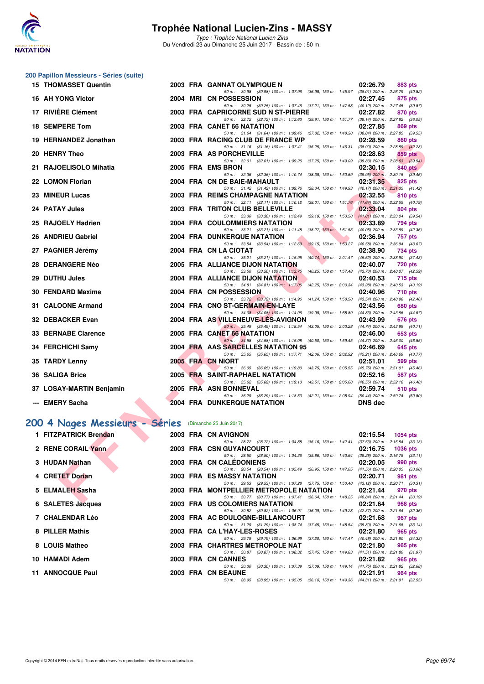

Type : Trophée National Lucien-Zins Du Vendredi 23 au Dimanche 25 Juin 2017 - Bassin de : 50 m.

| 200 Papillon Messieurs - Séries (suite) |  |  |  |  |  |  |
|-----------------------------------------|--|--|--|--|--|--|
|-----------------------------------------|--|--|--|--|--|--|

| <b>15 THOMASSET Quentin</b>                            |  | 2003 FRA GANNAT OLYMPIQUE N                                                                                                     | 02:26.79<br>883 pts                          |
|--------------------------------------------------------|--|---------------------------------------------------------------------------------------------------------------------------------|----------------------------------------------|
| 16 AH YONG Victor                                      |  | 50 m: 30.98 (30.98) 100 m: 1:07.96 (36.98) 150 m: 1:45.97 (38.01) 200 m: 2:26.79 (40.82)<br>2004 MRI CN POSSESSION              | 02:27.45<br>875 pts                          |
| 17 RIVIÈRE Clément                                     |  | 50 m: 30.25 (30.25) 100 m: 1:07.46 (37.21) 150 m: 1:47.58 (40.12) 200 m: 2:27.45 (39.87)<br>2003 FRA CAPRICORNE SUD N ST-PIERRE | 02:27.82<br>870 pts                          |
| <b>18 SEMPERE Tom</b>                                  |  | 50 m: 32.72 (32.72) 100 m: 1:12.63 (39.91) 150 m: 1:51.77 (39.14) 200 m: 2:27.82 (36.05)<br>2003 FRA CANET 66 NATATION          | 02:27.85<br>869 pts                          |
|                                                        |  | 50 m: 31.64 (31.64) 100 m: 1:09.46 (37.82) 150 m: 1:48.30 (38.84) 200 m: 2:27.85 (39.55)                                        |                                              |
| 19 HERNANDEZ Jonathan                                  |  | 2003 FRA RACING CLUB DE FRANCE WP                                                                                               | 02:28.59<br>860 pts                          |
| 20 HENRY Theo                                          |  | 50 m: 31.16 (31.16) 100 m: 1:07.41 (36.25) 150 m: 1:46.31 (38.90) 200 m: 2:28.59 (42.28)<br>2003 FRA AS PORCHEVILLE             | 02:28.63<br>859 pts                          |
|                                                        |  | 50 m: 32.01 (32.01) 100 m: 1:09.26 (37.25) 150 m: 1:49.09                                                                       | $(39.83)$ 200 m : 2:28.63 $(39.54)$          |
| 21 RAJOELISOLO Mihatia                                 |  | 2005 FRA EMS BRON<br>50 m: 32.36 (32.36) 100 m: 1.10.74 (38.38) 150 m: 1.50.69 (39.95) 200 m: 2.30.15 (39.46)                   | 02:30.15<br>840 pts                          |
| 22 LOMON Florian                                       |  | 2004 FRA CN DE BAIE-MAHAULT                                                                                                     | 02:31.35<br>825 pts                          |
| 23 MINEUR Lucas                                        |  | 50 m: 31.42 (31.42) 100 m: 1:09.76 (38.34) 150 m: 1:49.93 (40.17) 200 m: 2:31.35 (41.42)<br>2003 FRA REIMS CHAMPAGNE NATATION   | 02:32.55<br>810 pts                          |
| 24 PATAY Jules                                         |  | 50 m: 32.11 (32.11) 100 m: 1:10.12 (38.01) 150 m: 1:51.76 (41.64) 200 m: 2:32.55 (40.79)<br>2003 FRA TRITON CLUB BELLEVILLE     | 02:33.04                                     |
|                                                        |  | 50 m: 33.30 (33.30) 100 m: 1:12.49 (39.19) 150 m: 1:53.50                                                                       | 804 pts<br>$(41.01)$ 200 m : 2:33.04 (39.54) |
| 25 RAJOELY Hadrien                                     |  | 2004 FRA COULOMMIERS NATATION                                                                                                   | 02:33.89<br>794 pts                          |
| 26 ANDRIEU Gabriel                                     |  | 50 m: 33.21 (33.21) 100 m: 1:11.48 (38.27) 150 m: 1:51.53 (40.05) 200 m: 2:33.89 (42.36)<br><b>2004 FRA DUNKERQUE NATATION</b>  | 02:36.94<br><b>757 pts</b>                   |
|                                                        |  | 50 m: 33.54 (33.54) 100 m: 1:12.69 (39.15) 150 m: 1:53.27 (40.58) 200 m: 2:36.94 (43.67)                                        |                                              |
| 27 PAGNIER Jérémy                                      |  | 2004 FRA CN LA CIOTAT                                                                                                           | 02:38.90<br>734 pts                          |
| 28 DERANGERE Néo                                       |  | 50 m: 35.21 (35.21) 100 m: 1:15.95 (40.74) 150 m: 2:01.47 (45.52) 200 m: 2:38.90 (37.43)<br>2005 FRA ALLIANCE DIJON NATATION    | 02:40.07<br><b>720 pts</b>                   |
|                                                        |  | 50 m: 33.50 (33.50) 100 m: 1:13.75 (40.25) 150 m: 1:57.48 (43.73) 200 m: 2:40.07 (42.59)                                        |                                              |
| 29 DUTHU Jules                                         |  | 2004 FRA ALLIANCE DIJON NATATION<br>50 m: 34.81 (34.81) 100 m: 1:17.06 (42.25) 150 m: 2:00.34 (43.28) 200 m: 2:40.53 (40.19)    | 02:40.53<br><b>715 pts</b>                   |
| 30 FENDARD Maxime                                      |  | 2004 FRA CN POSSESSION                                                                                                          | 02:40.96<br><b>710 pts</b>                   |
| 31 CALOONE Armand                                      |  | 50 m: 33.72 (33.72) 100 m: 1:14.96 (41.24) 150 m: 1:58.50 (43.54) 200 m: 2:40.96 (42.46)<br>2004 FRA CNO ST-GERMAIN-EN-LAYE     |                                              |
|                                                        |  | 50 m: 34.08 (34.08) 100 m: 1:14.06 (39.98) 150 m: 1:58.89 (44.83) 200 m: 2:43.56 (44.67)                                        | 02:43.56<br><b>680 pts</b>                   |
| 32 DEBACKER Evan                                       |  | 2004 FRA AS VILLENEUVE-LES-AVIGNON                                                                                              | 02:43.99<br>676 pts                          |
| 33 BERNABE Clarence                                    |  | 50 m: 35.49 (35.49) 100 m: 1:18.54 (43.05) 150 m: 2:03.28 (44.74) 200 m: 2:43.99 (40.71)<br>2005 FRA CANET 66 NATATION          | 02:46.00<br>653 pts                          |
|                                                        |  | 50 m: 34.58 (34.58) 100 m: 1.15.08 (40.50) 150 m: 1.59.45 (44.37) 200 m: 2.46.00 (46.55)                                        |                                              |
| 34 FERCHICHI Samy                                      |  | 2004 FRA AAS SARCELLES NATATION 95<br>50 m: 35.65 (35.65) 100 m: 1:17.71 (42.06) 150 m: 2:02.92 (45.21) 200 m: 2:46.69 (43.77)  | 02:46.69<br>645 pts                          |
| 35 TARDY Lenny                                         |  | 2005 FRA CN NIORT                                                                                                               | 02:51.01<br>599 pts                          |
| <b>36 SALIGA Brice</b>                                 |  | 50 m: 36.05 (36.05) 100 m: 1:19.80 (43.75) 150 m: 2:05.55 (45.75) 200 m: 2:51.01 (45.46)                                        |                                              |
|                                                        |  | 2005 FRA SAINT-RAPHAEL NATATION<br>50 m: 35.62 (35.62) 100 m: 1:19.13 (43.51) 150 m: 2:05.68 (46.55) 200 m: 2:52.16 (46.48)     | 587 pts<br>02:52.16                          |
| 37 LOSAY-MARTIN Benjamin                               |  | 2005 FRA ASN BONNEVAL                                                                                                           | 02:59.74<br>510 pts                          |
| --- EMERY Sacha                                        |  | 50 m: 36.29 (36.29) 100 m: 1:18.50 (42.21) 150 m: 2:08.94 (50.44) 200 m: 2:59.74 (50.80)<br><b>2004 FRA DUNKERQUE NATATION</b>  | <b>DNS</b> dec                               |
|                                                        |  |                                                                                                                                 |                                              |
| 200 4 Nages Messieurs - Séries (Dimanche 25 Juin 2017) |  |                                                                                                                                 |                                              |
| 1 FITZPATRICK Brendan                                  |  | 2003 FRA CN AVIGNON                                                                                                             | 02:15.54<br>1054 pts                         |
|                                                        |  | 50 m: 28.72 (28.72) 100 m: 1:04.88 (36.16) 150 m: 1:42.41 (37.53) 200 m: 2:15.54 (33.13)                                        |                                              |
| 2 RENE CORAIL Yann                                     |  | 2003 FRA CSN GUYANCOURT                                                                                                         | 02:16.75<br><b>1036 pts</b>                  |
| 3 HUDAN Nathan                                         |  | 50 m: 28.50 (28.50) 100 m: 1:04.36 (35.86) 150 m: 1:43.64 (39.28) 200 m: 2:16.75 (33.11)<br>2003 FRA CN CALEDONIENS             | 02:20.05<br>990 pts                          |
|                                                        |  | 50 m: 28.54 (28.54) 100 m: 1:05.49 (36.95) 150 m: 1:47.05 (41.56) 200 m: 2:20.05 (33.00)                                        |                                              |
| 4 CRETET Dorian                                        |  | 2003 FRA ES MASSY NATATION<br>50 m: 29.53 (29.53) 100 m: 1:07.28 (37.75) 150 m: 1:50.40 (43.12) 200 m: 2:20.71 (30.31)          | 02:20.71<br>981 pts                          |
| 5 ELMALEH Sasha                                        |  | 2003 FRA MONTPELLIER METROPOLE NATATION                                                                                         | 02:21.44<br>970 pts                          |
| $C$ CALETEC 12.200                                     |  | 50 m: 30.77 (30.77) 100 m: 1:07.41 (36.64) 150 m: 1:48.25 (40.84) 200 m: 2:21.44 (33.19)<br>0000 FBA HC OOL OMIFRO NATATION     | 00.0101<br>$0.00 - 1.$                       |

# [200 4 Nages Messieurs - Séries](http://www.ffnatation.fr/webffn/resultats.php?idact=nat&go=epr&idcpt=47287&idepr=91) (Dimanche 25 Juin 2017)

| 1 FITZPATRICK Brendan |  | 2003 FRA CN AVIGNON                                                                      | 02:15.54 | 1054 pts        |  |
|-----------------------|--|------------------------------------------------------------------------------------------|----------|-----------------|--|
|                       |  | 50 m: 28.72 (28.72) 100 m: 1:04.88 (36.16) 150 m: 1:42.41 (37.53) 200 m: 2:15.54 (33.13) |          |                 |  |
| 2 RENE CORAIL Yann    |  | 2003 FRA CSN GUYANCOURT                                                                  | 02:16.75 | <b>1036 pts</b> |  |
|                       |  | 50 m: 28.50 (28.50) 100 m: 1:04.36 (35.86) 150 m: 1:43.64 (39.28) 200 m: 2:16.75 (33.11) |          |                 |  |
| 3 HUDAN Nathan        |  | 2003 FRA CN CALEDONIENS                                                                  | 02:20.05 | 990 pts         |  |
|                       |  | 50 m: 28.54 (28.54) 100 m: 1:05.49 (36.95) 150 m: 1:47.05 (41.56) 200 m: 2:20.05 (33.00) |          |                 |  |
| 4 CRETET Dorian       |  | 2003 FRA ES MASSY NATATION                                                               | 02:20.71 | 981 pts         |  |
|                       |  | 50 m: 29.53 (29.53) 100 m: 1:07.28 (37.75) 150 m: 1:50.40 (43.12) 200 m: 2:20.71 (30.31) |          |                 |  |
| 5 ELMALEH Sasha       |  | 2003 FRA MONTPELLIER METROPOLE NATATION 02:21.44                                         |          | 970 pts         |  |
|                       |  | 50 m: 30.77 (30.77) 100 m: 1:07.41 (36.64) 150 m: 1:48.25 (40.84) 200 m: 2:21.44 (33.19) |          |                 |  |
| 6 SALETES Jacques     |  | 2003 FRA US COLOMIERS NATATION 62:21.64                                                  |          | 968 pts         |  |
|                       |  | 50 m: 30.82 (30.82) 100 m: 1:06.91 (36.09) 150 m: 1:49.28 (42.37) 200 m: 2:21.64 (32.36) |          |                 |  |
| 7 CHALENDAR Léo       |  | 2003 FRA AC BOULOGNE-BILLANCOURT                                                         | 02:21.68 | 967 pts         |  |
|                       |  | 50 m: 31.29 (31.29) 100 m: 1:08.74 (37.45) 150 m: 1:48.54 (39.80) 200 m: 2:21.68 (33.14) |          |                 |  |
| 8 PILLER Mathis       |  | 2003 FRA CAL'HAY-LES-ROSES                                                               | 02:21.80 | 965 pts         |  |
|                       |  | 50 m: 29.79 (29.79) 100 m: 1:06.99 (37.20) 150 m: 1:47.47 (40.48) 200 m: 2:21.80 (34.33) |          |                 |  |
| 8 LOUIS Matheo        |  |                                                                                          |          | 965 pts         |  |
|                       |  | 50 m: 30.87 (30.87) 100 m: 1:08.32 (37.45) 150 m: 1:49.83 (41.51) 200 m: 2:21.80 (31.97) |          |                 |  |
| 10 HAMADI Adem        |  | 2003 FRA CN CANNES                                                                       | 02:21.82 | 965 pts         |  |
|                       |  | 50 m: 30.30 (30.30) 100 m: 1:07.39 (37.09) 150 m: 1:49.14 (41.75) 200 m: 2:21.82 (32.68) |          |                 |  |
| 11 ANNOCQUE Paul      |  | 2003 FRA CN BEAUNE                                                                       | 02:21.91 | 964 pts         |  |
|                       |  | 50 m: 28.95 (28.95) 100 m: 1:05.05 (36.10) 150 m: 1:49.36 (44.31) 200 m: 2:21.91 (32.55) |          |                 |  |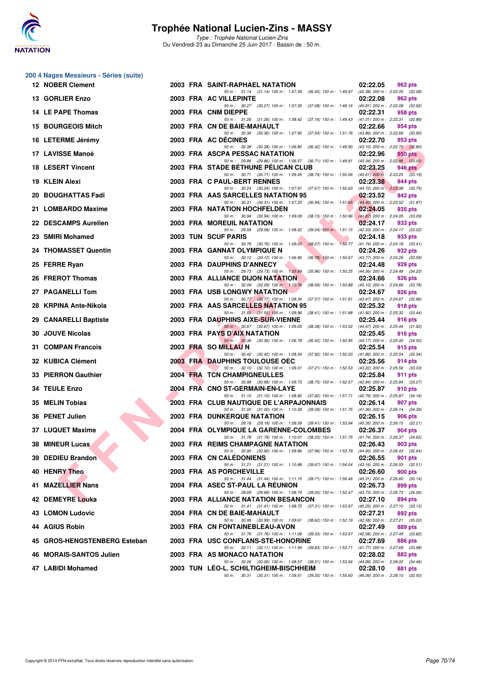

| 200 4 Nages Messieurs - Séries (suite)<br><b>12 NOBER Clement</b> |  | 2003 FRA SAINT-RAPHAEL NATATION                                                                                                                                                                                        | 02:22.05 | 962 pts                                        |
|-------------------------------------------------------------------|--|------------------------------------------------------------------------------------------------------------------------------------------------------------------------------------------------------------------------|----------|------------------------------------------------|
| 13 GORLIER Enzo                                                   |  | 50 m: 31.14 (31.14) 100 m: 1:07.59 (36.45) 150 m: 1:49.97 (42.38) 200 m: 2:22.05 (32.08)<br>2003 FRA AC VILLEPINTE                                                                                                     | 02:22.08 | 962 pts                                        |
| 14 LE PAPE Thomas                                                 |  | 50 m: 30.27 (30.27) 100 m: 1:07.35 (37.08) 150 m: 1:48.16 (40.81) 200 m: 2:22.08 (33.92)<br>2003 FRA CNM DIEPPE                                                                                                        | 02:22.31 | 958 pts                                        |
| <b>15 BOURGEOIS Mitch</b>                                         |  | 50 m: 31.26 (31.26) 100 m: 1:08.42 (37.16) 150 m: 1:49.43<br>2003 FRA CN DE BAIE-MAHAULT                                                                                                                               | 02:22.66 | $(41.01)$ 200 m : 2:22.31 $(32.88)$<br>954 pts |
| 16 LETERME Jérémy                                                 |  | 50 m: 30.36 (30.36) 100 m: 1:07.90 (37.54) 150 m: 1:51.76<br>2003 FRA AC DECINES                                                                                                                                       | 02:22.70 | (43.86) 200 m : 2:22.66 (30.90)<br>953 pts     |
| 17 LAVISSE Manoé                                                  |  | 50 m: 30.38 (30.38) 100 m: 1:06.80 (36.42) 150 m: 1:49.90 (43.10) 200 m: 2:22.70 (32.80)<br>2003 FRA ASCPA PESSAC NATATION<br>50 m: 29.86 (29.86) 100 m: 1:06.57 (36.71) 150 m: 1:49.91 (43.34) 200 m: 2:22.96 (33.05) | 02:22.96 | 950 pts                                        |
| <b>18 LESERT Vincent</b>                                          |  | 2003 FRA STADE BETHUNE PELICAN CLUB<br>50 m: 30.71 (30.71) 100 m: 1:09.45 (38.74) 150 m: 1:50.06 (40.61) 200 m: 2:23.25 (33.19)                                                                                        | 02:23.25 | <b>946 pts</b>                                 |
| 19 KLEIN Alexi                                                    |  | 2003 FRA C PAUL-BERT RENNES<br>50 m: 30.24 (30.24) 100 m: 1:07.91 (37.67) 150 m: 1:52.63 (44.72) 200 m: 2:23.38 (30.75)                                                                                                | 02:23.38 | 944 pts                                        |
| 20 BOUGHATTAS Fadi                                                |  | 2003 FRA AAS SARCELLES NATATION 95                                                                                                                                                                                     | 02:23.52 | 942 pts                                        |
| 21 LOMBARDO Maxime                                                |  | 50 m: 30.31 (30.31) 100 m: 1:07.25 (36.94) 150 m: 1:51.65 (44.40) 200 m: 2:23.52 (31.87)<br><b>2003 FRA NATATION HOCHFELDEN</b><br>50 m: 30.94 (30.94) 100 m: 1:09.09 (38.15) 150 m: 1:50.96                           | 02:24.05 | 935 pts<br>$(41.87)$ 200 m : 2:24.05 $(33.09)$ |
| 22 DESCAMPS Aurelien                                              |  | 2003 FRA MOREUIL NATATION                                                                                                                                                                                              | 02:24.17 | 933 pts                                        |
| 23 SMIRI Mohamed                                                  |  | 50 m: 29.58 (29.58) 100 m: 1:08.62 (39.04) 150 m: 1:51.15 (42.53) 200 m: 2:24.17 (33.02)<br><b>2003 TUN SCUF PARIS</b>                                                                                                 | 02:24.18 | 933 pts                                        |
| 24 THOMASSET Quentin                                              |  | 50 m: 30.76 (30.76) 100 m: 1:09.03 (38.27) 150 m: 1:50.77 (41.74) 200 m: 2:24.18 (33.41)<br>2003 FRA GANNAT OLYMPIQUE N                                                                                                | 02:24.26 | 932 pts                                        |
| 25 FERRE Ryan                                                     |  | 50 m: 30.12 (30.12) 100 m: 1:06.90 (36.78) 150 m: 1:50.67 (43.77) 200 m: 2:24.26 (33.59)<br>2003 FRA DAUPHINS D'ANNECY                                                                                                 | 02:24.48 | 929 pts                                        |
| 26 FREROT Thomas                                                  |  | 50 m: 29.73 (29.73) 100 m: 1:05.69 (35.96) 150 m: 1:50.25 (44.56) 200 m: 2:24.48 (34.23)<br>2003 FRA ALLIANCE DIJON NATATION                                                                                           | 02:24.66 | 926 pts                                        |
| 27 PAGANELLI Tom                                                  |  | 50 m : 32.09 (32.09) 100 m : 1:10.78<br>(38.69) 150 m : 1:50.88 (40.10) 200 m : 2:24.66 (33.78)<br><b>2003 FRA USB LONGWY NATATION</b>                                                                                 | 02:24.67 | 926 pts                                        |
| 28 KRPINA Ante-Nikola                                             |  | 50 m: 30.77 (30.77) 100 m: 1:08.34 (37.57) 150 m: 1:51.81 (43.47) 200 m: 2:24.67 (32.86)<br>2003 FRA AAS SARCELLES NATATION 95                                                                                         | 02:25.32 | 918 pts                                        |
| 29 CANARELLI Baptiste                                             |  | 50 m: 31.55 (31.55) 100 m: 1:09.96 (38.41) 150 m: 1:51.88 (41.92) 200 m: 2:25.32 (33.44)<br>2003 FRA DAUPHINS AIXE-SUR-VIENNE                                                                                          | 02:25.44 | 916 pts                                        |
| 30 JOUVE Nicolas                                                  |  | 50 m: 30.67 (30.67) 100 m: 1:09.05 (38.38) 150 m: 1:53.52 (44.47) 200 m: 2:25.44 (31.92)<br>2003 FRA PAYS D'AIX NATATION                                                                                               | 02:25.45 | 916 pts                                        |
| 31 COMPAN Francois                                                |  | 50 m: 30.36 (30.36) 100 m: 1:06.78 (36.42) 150 m: 1:50.95 (44.17) 200 m: 2:25.45 (34.50)<br>2003 FRA SO MILLAU N                                                                                                       | 02:25.54 | 915 pts                                        |
| 32 KUBICA Clément                                                 |  | 50 m : 30.42 (30.42) 100 m : 1:08.34 (37.92) 150 m : 1:50.20<br>2003 FRA DAUPHINS TOULOUSE OEC                                                                                                                         | 02:25.56 | $(41.86)$ 200 m : 2:25.54 $(35.34)$<br>914 pts |
| 33 PIERRON Gauthier                                               |  | 50 m: 32.10 (32.10) 100 m: 1:09.31 (37.21) 150 m: 1:52.53 (43.22) 200 m: 2:25.56 (33.03)<br>2004 FRA TCN CHAMPIGNEULLES                                                                                                | 02:25.84 | 911 pts                                        |
| 34 TEULE Enzo                                                     |  | 50 m: 30.98 (30.98) 100 m: 1:09.73 (38.75) 150 m: 1:52.57 (42.84) 200 m: 2:25.84 (33.27)<br>2004 FRA CNO ST-GERMAIN-EN-LAYE                                                                                            | 02:25.87 | 910 pts                                        |
| 35 MELIN Tobias                                                   |  | 50 m: 31.10 (31.10) 100 m: 1:08.92 (37.82) 150 m: 1:51.71 (42.79) 200 m: 2:25.87 (34.16)<br>2003 FRA CLUB NAUTIQUE DE L'ARPAJONNAIS                                                                                    | 02:26.14 | 907 pts                                        |
|                                                                   |  | 50 m: 31.00 (31.00) 100 m: 1:10.39 (39.39) 150 m: 1:51.75 (41.36) 200 m: 2:26.14 (34.39)                                                                                                                               |          |                                                |
| 36 PENET Julien                                                   |  | <b>2003 FRA DUNKERQUE NATATION</b><br>50 m: 29.18 (29.18) 100 m: 1:08.59 (39.41) 150 m: 1:53.94 (45.35) 200 m: 2:26.15 (32.21)                                                                                         | 02:26.15 | 906 pts                                        |
| 37 LUQUET Maxime                                                  |  | 2004 FRA OLYMPIQUE LA GARENNE-COLOMBES<br>50 m: 31.78 (31.78) 100 m: 1:10.01 (38.23) 150 m: 1:51.75 (41.74) 200 m: 2:26.37 (34.62)                                                                                     | 02:26.37 | 904 pts                                        |
| <b>38 MINEUR Lucas</b>                                            |  | 2003 FRA REIMS CHAMPAGNE NATATION<br>50 m : 30.90 (30.90) 100 m : 1:08.86 (37.96) 150 m : 1:53.79 (44.93) 200 m : 2:26.43 (32.64)                                                                                      | 02:26.43 | 903 pts                                        |
| 39 DEDIEU Brandon                                                 |  | 2003 FRA CN CALEDONIENS<br>50 m: 31.21 (31.21) 100 m: 1:10.88 (39.67) 150 m: 1:54.04 (43.16) 200 m: 2:26.55 (32.51)                                                                                                    | 02:26.55 | 901 pts                                        |
| 40 HENRY Theo                                                     |  | 2003 FRA AS PORCHEVILLE                                                                                                                                                                                                | 02:26.60 | 900 pts                                        |
| 41 MAZELLIER Nans                                                 |  | 50 m: 31.44 (31.44) 100 m: 1:11.15 (39.71) 150 m: 1:56.46<br>2004 FRA ASEC ST-PAUL LA REUNION                                                                                                                          | 02:26.73 | (45.31) 200 m : 2:26.60 (30.14)<br>899 pts     |
| 42 DEMEYRE Louka                                                  |  | 50 m: 29.69 (29.69) 100 m: 1:08.74 (39.05) 150 m: 1:52.47 (43.73) 200 m: 2:26.73 (34.26)<br>2003 FRA ALLIANCE NATATION BESANCON                                                                                        | 02:27.10 | 894 pts                                        |
| 43 LOMON Ludovic                                                  |  | 50 m: 31.41 (31.41) 100 m: 1:08.72 (37.31) 150 m: 1:53.97 (45.25) 200 m: 2:27.10 (33.13)<br>2004 FRA CN DE BAIE-MAHAULT                                                                                                | 02:27.21 | 892 pts                                        |
| 44 AGIUS Robin                                                    |  | 50 m: 30.99 (30.99) 100 m: 1:09.61 (38.62) 150 m: 1:52.19 (42.58) 200 m: 2:27.21 (35.02)<br>2003 FRA CN FONTAINEBLEAU-AVON                                                                                             | 02:27.49 | 889 pts                                        |
| 45 GROS-HENGSTENBERG Esteban                                      |  | 50 m : 31.76 (31.76) 100 m : 1:11.09 (39.33) 150 m : 1:53.67 (42.58) 200 m : 2:27.49 (33.82)<br>2003 FRA USC CONFLANS-STE-HONORINE                                                                                     | 02:27.69 | 886 pts                                        |
| 46 MORAIS-SANTOS Julien                                           |  | 50 m: 32.11 (32.11) 100 m: 1:11.94 (39.83) 150 m: 1:53.71 (41.77) 200 m: 2:27.69 (33.98)<br>2003 FRA AS MONACO NATATION                                                                                                | 02:28.02 | 882 pts                                        |
| 47 LABIDI Mohamed                                                 |  | 50 m: 30.06 (30.06) 100 m: 1:08.57 (38.51) 150 m: 1:53.56 (44.99) 200 m: 2:28.02 (34.46)<br>2003 TUN LEO-L. SCHILTIGHEIM-BISCHHEIM                                                                                     | 02:28.10 | 881 pts                                        |
|                                                                   |  | 50 m: 30.31 (30.31) 100 m: 1:09.51 (39.20) 150 m: 1:55.60 (46.09) 200 m: 2:28.10 (32.50)                                                                                                                               |          |                                                |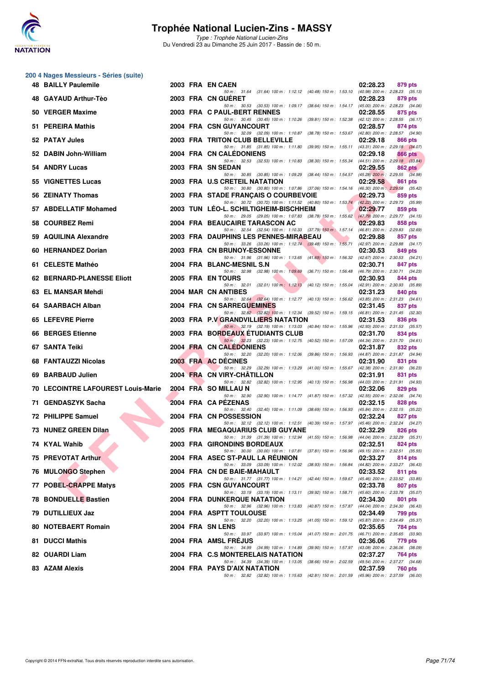

Type : Trophée National Lucien-Zins Du Vendredi 23 au Dimanche 25 Juin 2017 - Bassin de : 50 m.

### **200 4 Nages Messieurs - Séries (suite)**

| <b>48 BAILLY Paulemile</b>                |  | 2003 FRA EN CAEN                                                                                                                   | 02:28.23<br>879 pts                                        |
|-------------------------------------------|--|------------------------------------------------------------------------------------------------------------------------------------|------------------------------------------------------------|
| 48 GAYAUD Arthur-Tèo                      |  | 50 m: 31.64 (31.64) 100 m: 1:12.12 (40.48) 150 m: 1:53.10 (40.98) 200 m: 2:28.23 (35.13)<br>2003 FRA CN GUERET                     | 02:28.23<br>879 pts                                        |
| 50 VERGER Maxime                          |  | 50 m: 30.53 (30.53) 100 m: 1:09.17 (38.64) 150 m: 1:54.17 (45.00) 200 m: 2:28.23 (34.06)<br>2003 FRA C PAUL-BERT RENNES            | 02:28.55<br>875 pts                                        |
| 51 PEREIRA Mathis                         |  | 50 m: 30.45 (30.45) 100 m: 1:10.26 (39.81) 150 m: 1:52.38<br>2004 FRA CSN GUYANCOURT                                               | (42.12) 200 m : 2:28.55 (36.17)<br>02:28.57<br>874 pts     |
| 52 PATAY Jules                            |  | 50 m: 32.09 (32.09) 100 m: 1:10.87 (38.78) 150 m: 1:53.67 (42.80) 200 m: 2:28.57 (34.90)<br>2003 FRA TRITON CLUB BELLEVILLE        | 02:29.18<br>866 pts                                        |
| 52 DABIN John-William                     |  | 50 m: 31.85 (31.85) 100 m: 1:11.80 (39.95) 150 m: 1:55.11 (43.31) 200 m: 2:29.18 (34.07)<br>2004 FRA CN CALEDONIENS                | 02:29.18<br><b>866 pts</b>                                 |
| 54 ANDRY Lucas                            |  | 50 m: 32.53 (32.53) 100 m: 1:10.83 (38.30) 150 m: 1:55.34 (44.51) 200 m: 2:29.18 (33.84)<br>2003 FRA SN SEDAN                      | 02:29.55<br>862 pts                                        |
| 55 VIGNETTES Lucas                        |  | 50 m: 30.85 (30.85) 100 m: 1:09.29 (38.44) 150 m: 1:54.57 (45.28) 200 m: 2:29.55 (34.98)<br>2003 FRA U.S CRETEIL NATATION          | 02:29.58<br>861 pts                                        |
| 56 ZEINATY Thomas                         |  | 50 m: 30.80 (30.80) 100 m: 1:07.86 (37.06) 150 m: 1:54.16 (46.30) 200 m: 2:29.58 (35.42)<br>2003 FRA STADE FRANÇAIS O COURBEVOIE   | 02:29.73<br>859 pts                                        |
| 57 ABDELLATIF Mohamed                     |  | 50 m: 30.72 (30.72) 100 m: 1:11.52 (40.80) 150 m: 1:53.74 (42.22) 200 m: 2:29.73 (35.99)<br>2003 TUN LEO-L. SCHILTIGHEIM-BISCHHEIM | 02:29.77<br>859 pts                                        |
| 58 COURBEZ Remi                           |  | 50 m: 29.05 (29.05) 100 m: 1:07.83 (38.78) 150 m: 1:55.62 (47.79) 200 m: 2:29.77 (34.15)<br>2004 FRA BEAUCAIRE TARASCON AC         | 02:29.83<br>858 pts                                        |
| 59 AQUILINA Alexandre                     |  | 50 m: 32.54 (32.54) 100 m: 1:10.33 (37.79) 150 m: 1:57.14 (46.81) 200 m: 2:29.83 (32.69)<br>2003 FRA DAUPHINS LES PENNES-MIRABEAU  | 02:29.88<br>857 pts                                        |
| 60 HERNANDEZ Dorian                       |  | 50 m: 33.26 (33.26) 100 m: 1:12.74 (39.48) 150 m: 1:55.71 (42.97) 200 m: 2:29.88 (34.17)<br>2003 FRA CN BRUNOY-ESSONNE             | 02:30.53<br>849 pts                                        |
| 61 CELESTE Mathéo                         |  | 50 m: 31.96 (31.96) 100 m: 1:13.65 (41.69) 150 m: 1:56.32 (42.67) 200 m: 2:30.53 (34.21)<br>2004 FRA BLANC-MESNIL S.N              | 02:30.71<br>847 pts                                        |
| <b>62 BERNARD-PLANESSE Eliott</b>         |  | 50 m: 32.98 (32.98) 100 m: 1:09.69 (36.71) 150 m: 1:56.48<br>2005 FRA EN TOURS                                                     | (46.79) 200 m : 2:30.71 (34.23)<br>02:30.93<br>844 pts     |
| 63 EL MANSAR Mehdi                        |  | 50 m : 32.01<br>$(32.01)$ 100 m : 1:12.13 $(40.12)$ 150 m : 1:55.04<br>2004 MAR CN ANTIBES                                         | $(42.91)$ 200 m : 2:30.93 $(35.89)$<br>02:31.23<br>840 pts |
| 64 SAARBACH Alban                         |  | 50 m: 32.64 (32.64) 100 m: 1:12.77 (40.13) 150 m: 1:56.62 (43.85) 200 m: 2:31.23 (34.61)<br>2004 FRA CN SARREGUEMINES              | 02:31.45<br>837 pts                                        |
| 65 LEFEVRE Pierre                         |  | 50 m: 32.82 (32.82) 100 m: 1:12.34 (39.52) 150 m: 1:59.15 (46.81) 200 m: 2:31.45 (32.30)<br>2003 FRA P.V GRANDVILLIERS NATATION    | 02:31.53<br>836 pts                                        |
| 66 BERGES Etienne                         |  | 50 m: 32.19 (32.19) 100 m: 1:13.03 (40.84) 150 m: 1:55.96 (42.93) 200 m: 2:31.53 (35.57)<br>2003 FRA BORDEAUX ETUDIANTS CLUB       |                                                            |
|                                           |  | 50 m: 32.23 (32.23) 100 m: 1:12.75 (40.52) 150 m: 1:57.09 (44.34) 200 m: 2:31.70 (34.61)                                           | 02:31.70<br>834 pts                                        |
| 67 SANTA Teiki                            |  | 2004 FRA CN CALEDONIENS<br>50 m: 32.20 (32.20) 100 m: 1:12.06 (39.86) 150 m: 1:56.93                                               | 02:31.87<br>832 pts<br>(44.87) 200 m : 2:31.87 (34.94)     |
| 68 FANTAUZZI Nicolas                      |  | 2003 FRA AC DECINES<br>50 m: 32.29 (32.29) 100 m: 1:13.29 (41.00) 150 m: 1:55.67                                                   | 02:31.90<br>831 pts<br>(42.38) 200 m : 2:31.90 (36.23)     |
| 69 BARBAUD Julien                         |  | 2004 FRA CN VIRY-CHATILLON<br>50 m: 32.82 (32.82) 100 m: 1:12.95 (40.13) 150 m: 1:56.98 (44.03) 200 m: 2:31.91 (34.93)             | 02:31.91<br>831 pts                                        |
| <b>70 LECOINTRE LAFOUREST Louis-Marie</b> |  | 2004 FRA SO MILLAU N<br>50 m: 32.90 (32.90) 100 m: 1:14.77 (41.87) 150 m: 1:57.32 (42.55) 200 m: 2:32.06 (34.74)                   | 02:32.06<br>829 pts                                        |
| 71 GENDASZYK Sacha                        |  | 2004 FRA CA PEZENAS<br>50 m: 32.40 (32.40) 100 m: 1:11.09 (38.69) 150 m: 1:56.93 (45.84) 200 m: 2:32.15 (35.22)                    | 02:32.15<br>828 pts                                        |
| 72 PHILIPPE Samuel                        |  | 2004 FRA CN POSSESSION<br>50 m: 32.12 (32.12) 100 m: 1:12.51 (40.39) 150 m: 1:57.97 (45.46) 200 m: 2:32.24 (34.27)                 | 02:32.24<br>827 pts                                        |
| 73 NUNEZ GREEN Dilan                      |  | 2005 FRA MEGAQUARIUS CLUB GUYANE<br>50 m: 31.39 (31.39) 100 m: 1:12.94 (41.55) 150 m: 1:56.98 (44.04) 200 m: 2:32.29 (35.31)       | 02:32.29<br>826 pts                                        |
| 74 KYAL Wahib                             |  | 2003 FRA GIRONDINS BORDEAUX<br>50 m: 30.00 (30.00) 100 m: 1:07.81 (37.81) 150 m: 1:56.96                                           | 02:32.51<br>824 pts<br>(49.15) 200 m : 2:32.51 (35.55)     |
| 75 PREVOTAT Arthur                        |  | 2004 FRA  ASEC ST-PAUL LA REUNION<br>50 m: 33.09 (33.09) 100 m: 1:12.02 (38.93) 150 m: 1:56.84                                     | 02:33.27<br>814 pts<br>(44.82) 200 m : 2:33.27 (36.43)     |
| 76 MULONGO Stephen                        |  | 2004 FRA CN DE BAIE-MAHAULT<br>50 m : 31.77 (31.77) 100 m : 1:14.21 (42.44) 150 m : 1:59.67                                        | 02:33.52<br>811 pts<br>(45.46) 200 m : 2:33.52 (33.85)     |
| 77 POBEL-CRAPPE Matys                     |  | <b>2005 FRA CSN GUYANCOURT</b><br>50 m: 33.19 (33.19) 100 m: 1:13.11 (39.92) 150 m: 1:58.71                                        | 02:33.78<br>807 pts<br>(45.60) 200 m : 2:33.78 (35.07)     |
| <b>78 BONDUELLE Bastien</b>               |  | <b>2004 FRA DUNKERQUE NATATION</b><br>50 m: 32.96 (32.96) 100 m: 1:13.83<br>(40.87) 150 m : 1:57.87                                | 02:34.30<br>801 pts<br>$(44.04)$ 200 m : 2:34.30 $(36.43)$ |
| 79 DUTILLIEUX Jaz                         |  | 2004 FRA ASPTT TOULOUSE<br>50 m: 32.20 (32.20) 100 m: 1:13.25<br>$(41.05)$ 150 m : 1:59.12                                         | 02:34.49<br>799 pts<br>(45.87) 200 m : 2:34.49 (35.37)     |
| <b>80 NOTEBAERT Romain</b>                |  | 2004 FRA SN LENS<br>50 m : 33.97<br>$(33.97)$ 100 m : 1:15.04<br>$(41.07)$ 150 m : 2:01.75                                         | 02:35.65<br>784 pts                                        |
| 81 DUCCI Mathis                           |  | 2004 FRA AMSL FREJUS                                                                                                               | $(46.71)$ 200 m : 2:35.65 $(33.90)$<br>02:36.06<br>779 pts |
| 82 OUARDI Liam                            |  | 50 m: 34.99 (34.99) 100 m: 1:14.89<br>$(39.90)$ 150 m : 1:57.97<br>2004 FRA C.S MONTERELAIS NATATION                               | (43.08) 200 m : 2:36.06 (38.09)<br>02:37.27<br>764 pts     |
| 83 AZAM Alexis                            |  | 50 m : 34.39 (34.39) 100 m : 1:13.05 (38.66) 150 m : 2:02.59<br>2004 FRA PAYS D'AIX NATATION                                       | (49.54) 200 m : 2:37.27 (34.68)<br>02:37.59<br>760 pts     |
|                                           |  | 50 m: 32.82 (32.82) 100 m: 1:15.63 (42.81) 150 m: 2:01.59 (45.96) 200 m: 2:37.59 (36.00)                                           |                                                            |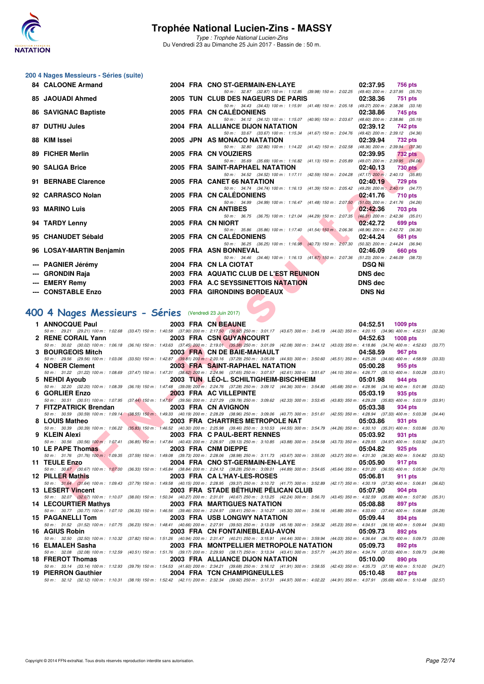

Type : Trophée National Lucien-Zins Du Vendredi 23 au Dimanche 25 Juin 2017 - Bassin de : 50 m.

# **200 4 Nages Messieurs - Séries (suite)**

| <b>84 CALOONE Armand</b>    |  | 2004 FRA CNO ST-GERMAIN-EN-LAYE                                                                                        | 02:37.95       | 756 pts        |
|-----------------------------|--|------------------------------------------------------------------------------------------------------------------------|----------------|----------------|
|                             |  | 50 m: 32.87 (32.87) 100 m: 1:12.85 (39.98) 150 m: 2:02.25 (49.40) 200 m: 2:37.95 (35.70)                               |                |                |
| 85 JAOUADI Ahmed            |  | 2005 TUN CLUB DES NAGEURS DE PARIS                                                                                     | 02:38.36       | 751 pts        |
|                             |  | 50 m: 34.43 (34.43) 100 m: 1:15.91 (41.48) 150 m: 2:05.18 (49.27) 200 m: 2:38.36 (33.18)                               |                |                |
| <b>86 SAVIGNAC Baptiste</b> |  | 2005 FRA CN CALEDONIENS<br>50 m: 34.12 (34.12) 100 m: 1:15.07 (40.95) 150 m: 2:03.67 (48.60) 200 m: 2:38.86 (35.19)    | 02:38.86       | 745 pts        |
| 87 DUTHU Jules              |  | 2004 FRA ALLIANCE DIJON NATATION                                                                                       | 02:39.12       | 742 pts        |
|                             |  | 50 m: 33.67 (33.67) 100 m: 1:15.34 (41.67) 150 m: 2:04.76 (49.42) 200 m: 2:39.12 (34.36)                               |                |                |
| 88 KIM Issei                |  | 2005 JPN AS MONACO NATATION                                                                                            | 02:39.94       | <b>732 pts</b> |
|                             |  | 50 m: 32.80 (32.80) 100 m: 1:14.22 (41.42) 150 m: 2:02.58 (48.36) 200 m: 2:39.94 (37.36)                               |                |                |
| 89 FICHER Merlin            |  | 2005 FRA CN VOUZIERS                                                                                                   | 02:39.95       | 732 pts        |
|                             |  | 50 m: 35.69 (35.69) 100 m: 1:16.82 (41.13) 150 m: 2:05.89 (49.07) 200 m: 2:39.95 (34.06)                               |                |                |
| 90 SALIGA Brice             |  | 2005 FRA SAINT-RAPHAEL NATATION                                                                                        | 02:40.13       | 730 pts        |
| 91 BERNABE Clarence         |  | 50 m: 34.52 (34.52) 100 m: 1:17.11 (42.59) 150 m: 2:04.28 (47.17) 200 m: 2:40.13 (35.85)<br>2005 FRA CANET 66 NATATION | 02:40.19       | 729 pts        |
|                             |  | 50 m: 34.74 (34.74) 100 m: 1:16.13 (41.39) 150 m: 2:05.42 (49.29) 200 m: 2:40.19 (34.77)                               |                |                |
| 92 CARRASCO Nolan           |  | 2005 FRA CN CALÉDONIENS                                                                                                | 02:41.76       | <b>710 pts</b> |
|                             |  | 50 m: 34.99 (34.99) 100 m: 1:16.47 (41.48) 150 m: 2:07.50 (51.03) 200 m: 2:41.76 (34.26)                               |                |                |
| 93 MARINO Luis              |  | 2005 FRA CN ANTIBES                                                                                                    | 02:42.36       | <b>703 pts</b> |
|                             |  | 50 m: 36.75 (36.75) 100 m: 1:21.04 (44.29) 150 m: 2:07.35 (46.31) 200 m: 2:42.36 (35.01)                               |                |                |
| 94 TARDY Lenny              |  | 2005 FRA CN NIORT                                                                                                      | 02:42.72       | 699 pts        |
|                             |  | 50 m: 35.86 (35.86) 100 m: 1:17.40 (41.54) 150 m: 2:06.36 (48.96) 200 m: 2:42.72 (36.36)                               |                |                |
| 95 CHANUDET Sébald          |  | 2005 FRA CN CALEDONIENS<br>50 m: 36.25 (36.25) 100 m: 1:16.98 (40.73) 150 m: 2:07.30 (50.32) 200 m: 2:44.24 (36.94)    | 02:44.24       | 681 pts        |
| 96 LOSAY-MARTIN Benjamin    |  | 2005 FRA ASN BONNEVAL                                                                                                  | 02:46.09       | 660 pts        |
|                             |  | 50 m: 34.46 (34.46) 100 m: 1:16.13 (41.67) 150 m: 2:07.36 (51.23) 200 m: 2:46.09 (38.73)                               |                |                |
| --- PAGNIER Jérémy          |  | 2004 FRA CN LA CIOTAT                                                                                                  | <b>DSQ Ni</b>  |                |
| --- GRONDIN Raja            |  | 2003 FRA AQUATIC CLUB DE L'EST REUNION                                                                                 | <b>DNS</b> dec |                |
|                             |  | 2003 FRA A.C SEYSSINETTOIS NATATION                                                                                    | <b>DNS</b> dec |                |
| --- EMERY Remy              |  |                                                                                                                        |                |                |
| --- CONSTABLE Enzo          |  | 2003 FRA GIRONDINS BORDEAUX                                                                                            | <b>DNS Nd</b>  |                |
|                             |  |                                                                                                                        |                |                |

# **[400 4 Nages Messieurs - Séries](http://www.ffnatation.fr/webffn/resultats.php?idact=nat&go=epr&idcpt=47287&idepr=92)** (Vendredi 23 Juin 2017)

| 00 NINI 155 <del>c</del> i                            |                               | ZUUJ JEN AJ MUNACU NATATIUN                                                                                                                                                                                                    | U4.JJ.J4<br><b>1 טב</b> µוס    |
|-------------------------------------------------------|-------------------------------|--------------------------------------------------------------------------------------------------------------------------------------------------------------------------------------------------------------------------------|--------------------------------|
| 89 FICHER Merlin                                      |                               | 50 m: 32.80 (32.80) 100 m: 1:14.22 (41.42) 150 m: 2:02.58 (48.36) 200 m: 2:39.94 (37.36)<br>2005 FRA CN VOUZIERS                                                                                                               | 02:39.95<br><b>732 pts</b>     |
| 90 SALIGA Brice                                       |                               | 50 m: 35.69 (35.69) 100 m: 1:16.82 (41.13) 150 m: 2:05.89 (49.07) 200 m: 2:39.95 (34.06)<br>2005 FRA SAINT-RAPHAEL NATATION                                                                                                    | 02:40.13<br>730 pts            |
|                                                       |                               | 50 m: 34.52 (34.52) 100 m: 1:17.11 (42.59) 150 m: 2:04.28 (47.17) 200 m: 2:40.13 (35.85)                                                                                                                                       |                                |
| 91 BERNABE Clarence                                   |                               | 2005 FRA CANET 66 NATATION                                                                                                                                                                                                     | 02:40.19<br><b>729 pts</b>     |
| 92 CARRASCO Nolan                                     |                               | 50 m: 34.74 (34.74) 100 m: 1:16.13 (41.39) 150 m: 2:05.42 (49.29) 200 m: 2:40.19 (34.77)<br>2005 FRA CN CALEDONIENS                                                                                                            | 02:41.76<br><b>710 pts</b>     |
|                                                       |                               | 50 m: 34.99 (34.99) 100 m: 1:16.47 (41.48) 150 m: 2:07.50 (51.03) 200 m: 2:41.76 (34.26)                                                                                                                                       |                                |
| 93 MARINO Luis                                        |                               | 2005 FRA CN ANTIBES<br>50 m: 36.75 (36.75) 100 m: 1:21.04 (44.29) 150 m: 2:07.35 (46.31) 200 m: 2:42.36 (35.01)                                                                                                                | 02:42.36<br>703 pts            |
| 94 TARDY Lenny                                        | 2005 FRA CN NIORT             |                                                                                                                                                                                                                                | 02:42.72<br>699 pts            |
| 95 CHANUDET Sébald                                    |                               | 50 m: 35.86 (35.86) 100 m: 1:17.40 (41.54) 150 m: 2:06.36 (48.96) 200 m: 2:42.72 (36.36)<br>2005 FRA CN CALEDONIENS                                                                                                            | 02:44.24<br>681 pts            |
|                                                       |                               | 50 m: 36.25 (36.25) 100 m: 1:16.98 (40.73) 150 m: 2:07.30 (50.32) 200 m: 2:44.24 (36.94)                                                                                                                                       |                                |
| 96 LOSAY-MARTIN Benjamin                              | 2005 FRA ASN BONNEVAL         | 50 m: 34.46 (34.46) 100 m: 1:16.13 (41.67) 150 m: 2:07.36 (51.23) 200 m: 2:46.09 (38.73)                                                                                                                                       | 02:46.09<br>660 pts            |
| ---   PAGNIER Jérémy                                  |                               | 2004 FRA CN LA CIOTAT                                                                                                                                                                                                          | <b>DSQ Ni</b>                  |
|                                                       |                               |                                                                                                                                                                                                                                | <b>DNS</b> dec                 |
|                                                       |                               |                                                                                                                                                                                                                                | <b>DNS</b> dec                 |
|                                                       |                               |                                                                                                                                                                                                                                | <b>DNS Nd</b>                  |
|                                                       |                               |                                                                                                                                                                                                                                |                                |
| 00 4 Nages Messieurs - Séries (Vendredi 23 Juin 2017) |                               |                                                                                                                                                                                                                                |                                |
| 1 ANNOCQUE Paul                                       |                               | 2003 FRA CN BEAUNE                                                                                                                                                                                                             | 04:52.51<br><b>1009 pts</b>    |
| 2 RENE CORAIL Yann                                    |                               | 50 m: 29.21 (29.21) 100 m: 1:02.68 (33.47) 150 m: 1:40.58 (37.90) 200 m: 2:17.50 (36.92) 250 m: 3:01.17 (43.67) 300 m: 3:45.19 (44.02) 350 m: 4:20.15 (34.96) 400 m: 4:52.51 (32.36)<br>2003 FRA CSN GUYANCOURT                | 04:52.63<br><b>1008 pts</b>    |
|                                                       |                               | 50 m: 30.02 (30.02) 100 m: 1:06.18 (36.16) 150 m: 1:43.63 (37.45) 200 m: 2:19.01 (35.38) 250 m: 3:01.09 (42.08) 300 m: 3:44.12 (43.03) 350 m: 4:18.86 (34.74) 400 m: 4:52.63                                                   | (33.77)                        |
| 3 BOURGEOIS Mitch                                     |                               | 2003 FRA CN DE BAIE-MAHAULT                                                                                                                                                                                                    | 04:58.59<br>967 pts            |
| 4 NOBER Clement                                       |                               | 50 m: 29.56 (29.56) 100 m: 1:03.06 (33.50) 150 m: 1:42.87 (39.81) 200 m: 2:20.16 (37.29) 250 m: 3:05.09 (44.93) 300 m: 3:50.60 (45.51) 350 m: 4:25.26 (34.66) 400 m: 4:58.59<br>2003 FRA SAINT-RAPHAEL NATATION                | (33.33)<br>05:00.28<br>955 pts |
|                                                       |                               | 50 m: 31.22 (31.22) 100 m: 1:08.69 (37.47) 150 m: 1:47.31 (38.62) 200 m: 2:24.96 (37.65) 250 m: 3:07.57 (42.61) 300 m: 3:51.67 (44.10) 350 m: 4:26.77 (35.10) 400 m: 5:00.28                                                   | (33.51)                        |
| 5 NEHDI Ayoub                                         |                               | 2003 TUN LEO-L. SCHILTIGHEIM-BISCHHEIM<br>50 m : 32.20 (32.20) 100 m : 1:08.39 (36.19) 150 m : 1:47.48 (39.09) 200 m : 2:24.76 (37.28) 250 m : 3:09.12 (44.36) 300 m : 3:54.80 (45.68) 350 m : 4:28.96 (34.16) 400 m : 5:01.98 | 05:01.98<br>944 pts<br>(33.02) |
| 6 GORLIER Enzo                                        |                               | 2003 FRA AC VILLEPINTE                                                                                                                                                                                                         | 05:03.19<br>935 pts            |
| 7 FITZPATRICK Brendan                                 | <b>The Contract of Street</b> | 50 m : 30.51 (30.51) 100 m : 1:07.95 (37.44) 150 m : 1:47.51 (39.56) 200 m : 2:27.29 (39.78) 250 m : 3:09.62 (42.33) 300 m : 3:53.45 (43.83) 350 m : 4:29.28 (35.83) 400 m : 5:03.19 (33.91)<br>2003 FRA CN AVIGNON            | 05:03.38<br>934 pts            |
|                                                       |                               | 50 m: 30.59 (30.59) 100 m: 1:09.14 (38.55) 150 m: 1:49.33 (40.19) 200 m: 2:28.29 (38.96) 250 m: 3:09.06 (40.77) 300 m: 3:51.61 (42.55) 350 m: 4:28.94 (37.33) 400 m: 5:03.38                                                   | (34.44)                        |
| 8 LOUIS Matheo                                        | <b>CONTRACTOR</b>             | 2003 FRA CHARTRES METROPOLE NAT<br>50 m: 30.39 (30.39) 100 m: 1:06.22 (35.83) 150 m: 1:46.52 (40.30) 200 m: 2:25.98 (39.46) 250 m: 3:10.53 (44.55) 300 m: 3:54.79 (44.26) 350 m: 4:30.10 (35.31) 400 m: 5:03.86 (33.76)        | 05:03.86<br>931 pts            |
| 9 KLEIN Alexi                                         | <b>The Contract of Street</b> | 2003 FRA C PAUL-BERT RENNES                                                                                                                                                                                                    | 05:03.92<br>931 pts            |
|                                                       |                               | 50 m: 30.56 (30.56) 100 m: 1:07.41 (36.85) 150 m: 1:47.84 (40.43) 200 m: 2:26.97 (39.13) 250 m: 3:10.85 (43.88) 300 m: 3:54.58 (43.73) 350 m: 4:29.55 (34.97) 400 m: 5:03.92                                                   | (34.37)                        |
| 10 LE PAPE Thomas                                     |                               | 2003 FRA CNM DIEPPE<br>50 m: 31.76 (31.76) 100 m: 1.09.35 (37.59) 150 m: 1:49.08 (39.73) 200 m: 2:28.06 (38.98) 250 m: 3:11.73 (43.67) 300 m: 3:55.00 (43.27) 350 m: 4:31.30 (36.30) 400 m: 5:04.82 (33.52)                    | 05:04.82<br>925 pts            |
| 11 TEULE Enzo                                         |                               | 2004 FRA CNO ST-GERMAIN-EN-LAYE                                                                                                                                                                                                | 05:05.90<br>917 pts            |
| 12 PILLER Mathis                                      |                               | 50 m: 30.67 (30.67) 100 m: 1:07:00 (36.33) 150 m: 1:45.84 (38.84) 200 m: 2:24.12 (38.28) 250 m: 3:09.01 (44.89) 300 m: 3:54.65 (45.64) 350 m: 4:31.20 (36.55) 400 m: 5:05.90<br>2003 FRA CA L'HAY-LES-ROSES                    | (34.70)<br>05:06.81<br>911 pts |
|                                                       |                               | 50 m: 31.64 (31.64) 100 m: 1:09.43 (37.79) 150 m: 1:49.58 (40.15) 200 m: 2:28.95 (39.37) 250 m: 3:10.72 (41.77) 300 m: 3:52.89 (42.17) 350 m: 4:30.19 (37.30) 400 m: 5:06.81 (36.62)                                           |                                |
| <b>13 LESERT Vincent</b>                              |                               | 2003 FRA STADE BÉTHUNE PÉLICAN CLUB<br>50 m: 32.07 (32.07) 100 m: 1:10.07 (38.00) 150 m: 1:50.34 (40.27) 200 m: 2:31.01 (40.67) 250 m: 3:13.25 (42.24) 300 m: 3:56.70 (43.45) 350 m: 4:32.59 (35.89) 400 m: 5:07.90 (35.31)    | 05:07.90<br>904 pts            |
|                                                       |                               | 14 LECOURTIER Mathys 2003 FRA MARTIGUES NATATION                                                                                                                                                                               | 05:08.88<br>897 pts            |
| <b>15 PAGANELLI Tom</b>                               |                               | 50 m: 30.77 (30.77) 100 m: 1:07.10 (36.33) 150 m: 1:46.56 (39.46) 200 m: 2:24.97 (38.41) 250 m: 3:10.27 (45.30) 300 m: 3:56.16 (45.89) 350 m: 4:33.60 (37.44) 400 m: 5:08.88 (35.28)<br>2003 FRA USB LONGWY NATATION           | 05:09.44<br>894 pts            |
|                                                       |                               | 50 m: 31.52 (31.52) 100 m: 1:07.75 (36.23) 150 m: 1:48.41 (40.66) 200 m: 2:27.91 (39.50) 250 m: 3:13.09 (45.18) 300 m: 3:58.32 (45.23) 350 m: 4:34.51 (36.19) 400 m: 5:09.44 (34.93)                                           |                                |
| 16 AGIUS Robin                                        |                               | 2003 FRA CN FONTAINEBLEAU-AVON                                                                                                                                                                                                 | 05:09.73<br><b>892 pts</b>     |
| 16 ELMALEH Sasha                                      |                               | 50 m: 32.50 (32.50) 100 m: 1:10.32 (37.82) 150 m: 1:51.26 (40.94) 200 m: 2:31.47 (40.21) 250 m: 3:15.91 (44.44) 300 m: 3:59.94 (44.03) 350 m: 4:36.64 (36.70) 400 m: 5:09.73<br>2003 FRA MONTPELLIER METROPOLE NATATION        | (33.09)<br>05:09.73<br>892 pts |
|                                                       |                               | 50 m: 32.08 (32.08) 100 m: 1:12.59 (40.51) 150 m: 1:51.76 (39.17) 200 m: 2:29.93 (38.17) 250 m: 3:13.34 (43.41) 300 m: 3:57.71 (44.37) 350 m: 4:34.74 (37.03) 400 m: 5:09.73 (34.99)                                           |                                |
| 18 FREROT Thomas                                      |                               | 2003 FRA ALLIANCE DIJON NATATION<br>50 m: 33.14 (33.14) 100 m: 1:12.93 (39.79) 150 m: 1:54.53 (41.60) 200 m: 2:34.21 (39.68) 250 m: 3:16.12 (41.91) 300 m: 3:58.55 (42.43) 350 m: 4:35.73 (37.18) 400 m: 5:10.00 (34.27)       | 05:10.00<br>890 pts            |
| 19 PIERRON Gauthier                                   |                               | 2004 FRA TCN CHAMPIGNEULLES                                                                                                                                                                                                    | 05:10.48<br>887 pts            |
|                                                       |                               | 50 m: 32.12 (32.12) 100 m: 1:10.31 (38.19) 150 m: 1:52.42 (42.11) 200 m: 2:32.34 (39.92) 250 m: 3:17.31 (44.97) 300 m: 4:02.22 (44.91) 350 m: 4:37.91 (35.69) 400 m: 5:10.48 (32.57)                                           |                                |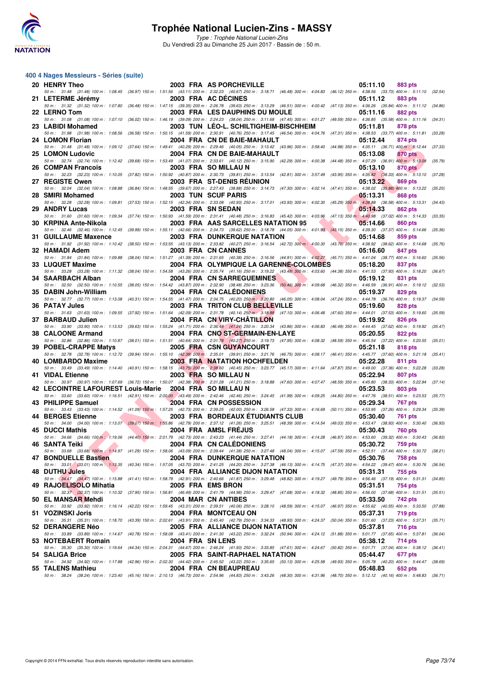

## **Trophée National Lucien-Zins - MASSY**

Type : Trophée National Lucien-Zins Du Vendredi 23 au Dimanche 25 Juin 2017 - Bassin de : 50 m.

### **400 4 Nages Messieurs - Séries (suite)**

| 20 HENRY Theo                                                                                                                                                                                                          |  | 2003 FRA AS PORCHEVILLE                |  | 05:11.10 | 883 pts        |         |
|------------------------------------------------------------------------------------------------------------------------------------------------------------------------------------------------------------------------|--|----------------------------------------|--|----------|----------------|---------|
| 50 m: 31.48 (31.48) 100 m: 1:08.45 (36.97) 150 m: 1:51.56 (43.11) 200 m: 2:32.23 (40.67) 250 m: 3:18.71 (46.48) 300 m: 4:04.83 (46.12) 350 m: 4:38.56 (33.73) 400 m: 5:11.10 (32.54)<br>21 LETERME Jérémy              |  | 2003 FRA AC DECINES                    |  | 05:11.12 | 883 pts        |         |
| 50 m: 31.32 (31.32) 100 m: 1:07.80 (36.48) 150 m: 1:47.15 (39.35) 200 m: 2:26.78 (39.63) 250 m: 3:13.29 (46.51) 300 m: 4:00.42 (47.13) 350 m: 4:36.26 (35.84) 400 m: 5:11.12 (34.86)<br>22 LERNO Tom                   |  | 2003 FRA LES DAUPHINS DU MOULE         |  | 05:11.16 | <b>882 pts</b> |         |
| 50 m: 31.08 (31.08) 100 m: 1:07.10 (36.02) 150 m: 1:46.19 (39.09) 200 m: 2:24.23 (38.04) 250 m: 3:11.68 (47.45) 300 m: 4:01.27 (49.59) 350 m: 4:36.85 (35.58) 400 m: 5:11.16 (34.31)<br>23 LABIDI Mohamed              |  | 2003 TUN LEO-L. SCHILTIGHEIM-BISCHHEIM |  | 05:11.81 | 878 pts        |         |
| 50 m: 31.98 (31.98) 100 m: 1:08.56 (36.58) 150 m: 1:50.15 (41.59) 200 m: 2:30.91 (40.76) 250 m: 3:17.45 (46.54) 300 m: 4:04.76 (47.31) 350 m: 4:38.53 (33.77) 400 m: 5:11.81 (33.28)<br>24 LOMON Florian               |  | 2004 FRA CN DE BAIE-MAHAULT            |  | 05:12.44 | 874 pts        |         |
| 50 m: 31.48 (31.48) 100 m: 1:09.12 (37.64) 150 m: 1:49.41 (40.29) 200 m: 2:29.46 (40.05) 250 m: 3:13.42 (43.96) 300 m: 3:58.40 (44.98) 350 m: 4:35.11 (36.71) 400 m: 5:12.44 (37.33)<br>25 LOMON Ludovic               |  | 2004 FRA CN DE BAIE-MAHAULT            |  | 05:13.08 | 870 pts        |         |
| 50 m: 32.74 (32.74) 100 m: 1:12.42 (39.68) 150 m: 1:53.49 (41.07) 200 m: 2:33.61 (40.12) 250 m: 3:15.90 (42.29) 300 m: 4:00.38 (44.48) 350 m: 4:37.29 (36.91) 400 m: 5:13.08<br>26 COMPAN Francois                     |  | 2003 FRA SO MILLAU N                   |  | 05:13.10 | <b>870 pts</b> | (35.79) |
| 50 m: 32.23 (32.23) 100 m: 1:10.05 (37.82) 150 m: 1:50.92 (40.87) 200 m: 2:30.73 (39.81) 250 m: 3:13.54 (42.81) 300 m: 3:57.49 (43.95) 350 m: 4:35.82 (38.33) 400 m: 5:13.10 (37.28)<br>27 REGISTE Owen                |  | 2003 FRA ST-DENIS REUNION              |  | 05:13.22 | 869 pts        |         |
| 50 m: 32.04 (32.04) 100 m: 1:08.88 (36.84) 150 m: 1:48.55 (39.67) 200 m: 2:27.43 (38.88) 250 m: 3:14.73 (47.30) 300 m: 4:02.14 (47.41) 350 m: 4:38.02 (35.88) 400 m: 5:13.22<br>28 SMIRI Mohamed                       |  | <b>2003 TUN SCUF PARIS</b>             |  | 05:13.31 | <b>868 pts</b> | (35.20) |
| 50 m : 32.28 (32.28) 100 m : 1:09.81 (37.53) 150 m : 1:52.15 (42.34) 200 m : 2:33.08 (40.93) 250 m : 317.01 (43.93) 300 m : 4:02.30 (45.29) 350 m : 4:38.88 (36.58) 400 m : 5:13.31 (34.43)<br>29 ANDRY Lucas          |  | 2003 FRA SN SEDAN                      |  | 05:14.33 | 862 pts        |         |
| 50 m : 31.60 (31.60) 100 m : 1:09.34 (37.74) 150 m : 1:50.93 (41.59) 200 m : 2:31.41 (40.48) 250 m : 3:16.83 (45.42) 300 m : 4:03.96 (47.13) 350 m : 4:40.98 (37.02) 400 m : 5:14.33 (33.35)<br>30 KRPINA Ante-Nikola  |  | 2003 FRA AAS SARCELLES NATATION 95     |  | 05:14.66 | 860 pts        |         |
| 50 m: 32.46 (32.46) 100 m: 1:12.45 (39.99) 150 m: 1:55.11 (42.66) 200 m: 2:34.73 (39.62) 250 m: 3:18.78 (44.05) 300 m: 4:01.93 (43.15) 350 m: 4:39.30 (37.37) 400 m: 5:14.66 (35.36)<br>31 GUILLAUME Maxence           |  | <b>2003 FRA DUNKERQUE NATATION</b>     |  | 05:14.68 | 859 pts        |         |
| 50 m: 31.92 (31.92) 100 m: 1:10.42 (38.50) 150 m: 1:53.55 (43.13) 200 m: 2:33.82 (40.27) 250 m: 3:16.54 (42.72) 300 m: 4:00.30 (43.76) 350 m: 4:38.92 (38.62) 400 m: 5:14.68 (35.76)<br>32 HAMADI Adem                 |  | 2003 FRA CN CANNES                     |  | 05:16.60 | 847 pts        |         |
| 50 m: 31.84 (31.84) 100 m: 1:09.88 (38.04) 150 m: 1:51.27 (41.39) 200 m: 2:31.65 (40.38) 250 m: 3:16.56 (44.91) 300 m: 4:02.27 (45.71) 350 m: 4:41.04 (38.77) 400 m: 5:16.60 (35.56)<br>33 LUQUET Maxime               |  | 2004 FRA OLYMPIQUE LA GARENNE-COLOMBES |  |          | 837 pts        |         |
| 50 m: 33.28 (33.28) 100 m: 1:11.32 (38.04) 150 m: 1:54.58 (43.26) 200 m: 2:35.74 (41.16) 250 m: 3:19.22 (43.48) 300 m: 4:03.60 (44.38) 350 m: 4:41.53 (37.93) 400 m: 5:18.20 (36.67)<br>34 SAARBACH Alban              |  |                                        |  | 05:18.20 |                |         |
| 50 m: 32.50 (32.50) 100 m: 1:10.55 (38.05) 150 m: 1:54.42 (43.87) 200 m: 2:32.90 (38.48) 250 m: 3:23.36 (50.46) 300 m: 4:09.68 (46.32) 350 m: 4:46.59 (36.91) 400 m: 5:19.12 (32.53)                                   |  | 2004 FRA CN SARREGUEMINES              |  | 05:19.12 | 831 pts        |         |
| 35 DABIN John-William<br>50 m: 32.77 (32.77) 100 m: 1:13.08 (40.31) 150 m: 1:54.55 (41.47) 200 m: 2:34.75 (40.20) 250 m: 3:20.80 (46.05) 300 m: 4:08.04 (47.24) 350 m: 4:44.78 (36.74) 400 m: 5:19.37 (34.59)          |  | 2004 FRA CN CALEDONIENS                |  | 05:19.37 | 829 pts        |         |
| <b>36 PATAY Jules</b><br>50 m: 31.63 (31.63) 100 m: 1:09.55 (37.92) 150 m: 1:51.64 (42.09) 200 m: 2:31.78 (40.14) 250 m: 3:18.88 (47.10) 300 m: 4:06.48 (47.60) 350 m: 4:44.01 (37.53) 400 m: 5:19.60 (35.59)          |  | 2003 FRA TRITON CLUB BELLEVILLE        |  | 05:19.60 | 828 pts        |         |
| 37 BARBAUD Julien<br>50 m: 33.90 (33.90) 100 m: 1:13.53 (39.63) 150 m: 1:55.24 (41.71) 200 m: 2:36.48 (41.24) 250 m: 3:20.34 (43.86) 300 m: 4:06.83 (46.49) 350 m: 4:44.45 (37.62) 400 m: 5:19.92 (35.47)              |  | 2004 FRA CN VIRY-CHATILLON             |  | 05:19.92 | 826 pts        |         |
| 38 CALOONE Armand<br>50 m: 32.86 (32.86) 100 m: 1:10.87 (38.01) 150 m: 1:51.51 (40.64) 200 m: 2:31.78 (40.27) 250 m: 3:19.73 (47.95) 300 m: 4:08.32 (48.59) 350 m: 4:45.54 (37.22) 400 m: 5:20.55 (35.01)              |  | 2004 FRA CNO ST-GERMAIN-EN-LAYE        |  | 05:20.55 | 822 pts        |         |
| 39 POBEL-CRAPPE Matys<br>50 m: 32.78 (32.78) 100 m: 1:12.72 (39.94) 150 m: 1:55.10 (42.38) 200 m: 2:35.01 (39.91) 250 m: 3:21.76 (46.75) 300 m: 4:08.17 (46.41) 350 m: 4:45.77 (37.60) 400 m: 5:21.18                  |  | <b>2005 FRA CSN GUYANCOURT</b>         |  | 05:21.18 | 818 pts        | (35.41) |
| 40 LOMBARDO Maxime<br>50 m: 33.49 (33.49) 100 m: 1:14.40 (40.91) 150 m: 1:58.15 (43.75) 200 m: 2:38.60 (40.45) 250 m: 3:23.77 (45.17) 300 m: 4:11.64 (47.87) 350 m: 4:49.00 (37.36) 400 m: 5:22.28                     |  | <b>2003 FRA NATATION HOCHFELDEN</b>    |  | 05:22.28 | 811 pts        | (33.28) |
| 41 VIDAL Etienne<br>50 m: 30.97 (30.97) 100 m: 1:07.69 (36.72) 150 m: 1:50.07 (42.38) 200 m: 2:31.28 (41.21) 250 m: 3:18.88 (47.60) 300 m: 4:07.47 (48.59) 350 m: 4:45.80 (38.33) 400 m: 5:22.94 (37.14)               |  | 2003 FRA SO MILLAU N                   |  | 05:22.94 | 807 pts        |         |
| 42 LECOINTRE LAFOUREST Louis-Marie 2004 FRA SO MILLAU N                                                                                                                                                                |  |                                        |  | 05:23.53 | 803 pts        |         |
| 50 m: 33.60 (33.60) 100 m: 1:16.51 (42.91) 150 m: 2:00.00 (43.49) 200 m: 2:42.46 (42.46) 250 m: 3:24.45 (41.99) 300 m: 4:09.25 (44.80) 350 m: 4:47.76 (38.51) 400 m: 5:23.53 (35.77)<br>43 PHILIPPE Samuel             |  | 2004 FRA CN POSSESSION                 |  | 05:29.34 | 767 pts        |         |
| 50 m: 33.43 (33.43) 100 m: 1:14.52 (41.09) 150 m: 1:57.25 (42.73) 200 m: 2:39.25 (42.00) 250 m: 3:26.58 (47.33) 300 m: 4:16.69 (50.11) 350 m: 4:53.95 (37.26) 400 m: 5:29.34 (35.39)<br>44 BERGES Etienne              |  | 2003 FRA BORDEAUX ETUDIANTS CLUB       |  | 05:30.40 | 761 pts        |         |
| 50 m : 34.00 (34.00) 100 m : 1:13.07 (39.07) 150 m : 1:55.86 (42.79) 200 m : 2:37.12 (41.26) 250 m : 3:25.51 (48.39) 300 m : 4:14.54 (49.03) 350 m : 4:53.47 (38.93) 400 m : 5:30.40 (36.93)<br><b>45 DUCCI Mathis</b> |  | 2004 FRA AMSL FREJUS                   |  | 05:30.43 | 760 pts        |         |
| 50 m : 34.66 (34.66) 100 m : 1:19.06 (44.40) 150 m : 2:01.79 (42.73) 200 m : 2:43.23 (41.44) 250 m : 3:27.41 (44.18) 300 m : 4:14.28 (46.87) 350 m : 4:53.60 (39.32) 400 m : 5:30.43 (36.83)                           |  |                                        |  |          |                |         |
| 46 SANTA Teiki<br>50 m: 33.68 (33.68) 100 m: 1:14.97 (41.29) 150 m: 1:58.06 (43.09) 200 m: 2:39.44 (41.38) 250 m: 3:27.48 (48.04) 300 m: 4:15.07 (47.59) 350 m: 4:52.51 (37.44) 400 m: 5:30.72 (38.21)                 |  | 2004 FRA CN CALEDONIENS                |  | 05:30.72 | <b>759 pts</b> |         |
| 47 BONDUELLE Bastien<br>50 m: 33.01 (33.01) 100 m: 1:13.35 (40.34) 150 m: 1:57.05 (43.70) 200 m: 2:41.25 (44.20) 250 m: 3:27.38 (46.13) 300 m: 4:14.75 (47.37) 350 m: 4:54.22 (39.47) 400 m: 5:30.76 (36.54)           |  | <b>2004 FRA DUNKERQUE NATATION</b>     |  | 05:30.76 | <b>758 pts</b> |         |
| 48 DUTHU Jules                                                                                                                                                                                                         |  | 2004 FRA ALLIANCE DIJON NATATION       |  | 05:31.31 | 755 pts        |         |
| 50 m: 34.47 (34.47) 100 m: 1:15.88 (41.41) 150 m: 1:58.79 (42.91) 200 m: 2:40.66 (41.87) 250 m: 3:29.48 (48.82) 300 m: 4:19.27 (49.79) 350 m: 4:56.46 (37.19) 400 m: 5:31.31 (34.85)<br>49 RAJOELISOLO Mihatia         |  | 2005 FRA EMS BRON                      |  | 05:31.51 | 754 pts        |         |
| 50 m: 32.37 (32.37) 100 m: 1:10.32 (37.95) 150 m: 1:56.81 (46.49) 200 m: 2:41.79 (44.98) 250 m: 3:29.47 (47.68) 300 m: 4:18.32 (48.85) 350 m: 4:56.00 (37.68) 400 m: 5:31.51 (35.51)<br>50 EL MANSAR Mehdi             |  | 2004 MAR CN ANTIBES                    |  | 05:33.50 | 742 pts        |         |
| 50 m: 33.92 (33.92) 100 m: 1:16.14 (42.22) 150 m: 1:59.45 (43.31) 200 m: 2:39.51 (40.06) 250 m: 3:28.10 (48.59) 300 m: 4:15.07 (46.97) 350 m: 4:55.62 (40.55) 400 m: 5:33.50<br>51 VOZINSKI Joris                      |  | 2004 FRA MONTCEAU ON                   |  | 05:37.31 | <b>719 pts</b> | (37.88) |
| 50 m: 35.31 (35.31) 100 m: 1:18.70 (43.39) 150 m: 2:02.61 (43.91) 200 m: 2:45.40 (42.79) 250 m: 3:34.33 (48.93) 300 m: 4:24.37 (50.04) 350 m: 5:01.60 (37.23) 400 m: 5:37.31<br>52 DERANGERE Néo                       |  | 2005 FRA ALLIANCE DIJON NATATION       |  | 05:37.81 | <b>716 pts</b> | (35.71) |
| 50 m : 33.89 (33.89) 100 m : 1:14.67 (40.78) 150 m : 1:58.08 (43.41) 200 m : 2:41.30 (43.22) 250 m : 3:32.24 (50.94) 300 m : 4:24.12 (51.88) 350 m : 5:01.77 (37.65) 400 m : 5:37.81 (36.04)<br>53 NOTEBAERT Romain    |  | 2004 FRA SN LENS                       |  | 05:38.12 | 714 pts        |         |
| 50 m: 35.30 (35.30) 100 m: 1:19.64 (44.34) 150 m: 2:04.31 (44.67) 200 m: 2:46.24 (41.93) 250 m: 3:33.85 (47.61) 300 m: 4:24.67 (50.82) 350 m: 5:01.71 (37.04) 400 m: 5:38.12 (36.41)<br>54 SALIGA Brice                |  | 2005 FRA SAINT-RAPHAEL NATATION        |  | 05:44.47 | 677 pts        |         |
| 50 m : 34.92 (34.92) 100 m : 1:17.88 (42.96) 150 m : 2:02.30 (44.42) 200 m : 2:45.52 (43.22) 250 m : 3:35.65 (50.13) 300 m : 4:25.58 (49.93) 350 m : 5:05.78 (40.20) 400 m : 5:44.47 (38.69)                           |  |                                        |  |          |                |         |
| 55 TALENS Mathieu                                                                                                                                                                                                      |  | 2004 FRA CN BEAUPREAU                  |  | 05:48.83 | 652 pts        |         |